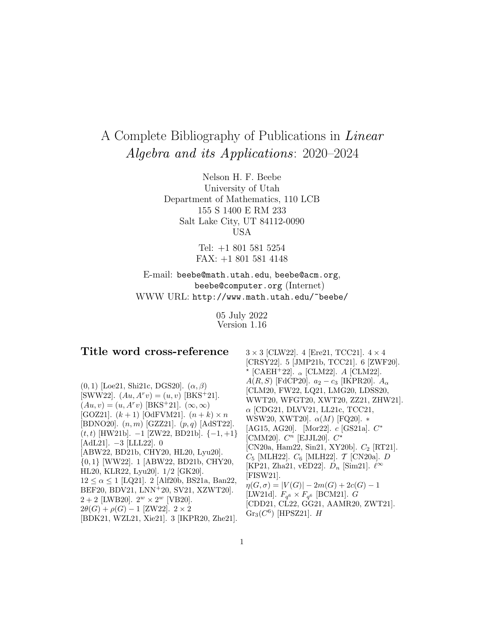# A Complete Bibliography of Publications in Linear Algebra and its Applications: 2020–2024

Nelson H. F. Beebe University of Utah Department of Mathematics, 110 LCB 155 S 1400 E RM 233 Salt Lake City, UT 84112-0090 USA

> Tel: +1 801 581 5254 FAX: +1 801 581 4148

E-mail: beebe@math.utah.edu, beebe@acm.org, beebe@computer.org (Internet) WWW URL: http://www.math.utah.edu/~beebe/

> 05 July 2022 Version 1.16

#### **Title word cross-reference**  $(0, 1)$  [Loe21, Shi21c, DGS20].  $(\alpha, \beta)$ [SWW22].  $(Au, A^rv) = (u, v)$  [BKS<sup>+</sup>21].  $(Au, v)=(u, A^rv)$  [BKS<sup>+</sup>21].  $(\infty, \infty)$ [GOZ21].  $(k + 1)$  [OdFVM21].  $(n + k) \times n$ [BDNO20].  $(n, m)$  [GZZ21].  $(p, q)$  [AdST22].  $(t, t)$  [HW21b].  $-1$  [ZW22, BD21b].  $\{-1, +1\}$ [AdL21]. −3 [LLL22]. 0 [ABW22, BD21b, CHY20, HL20, Lyu20]. {0, 1} [WW22]. 1 [ABW22, BD21b, CHY20, HL20, KLR22, Lyu20]. 1/2 [GK20].  $12 \le \alpha \le 1$  [LQ21]. 2 [Alf20b, BS21a, Ban22, BEF20, BDV21, LNN<sup>+</sup>20, SV21, XZWT20].  $2 + 2$  [LWB20].  $2^w \times 2^w$  [VB20].  $2\theta(G) + \rho(G) - 1$  [ZW22]. 2 × 2 [BDK21, WZL21, Xie21]. 3 [IKPR20, Zhe21].  $3 \times 3$  [CLW22]. 4 [Ere21, TCC21].  $4 \times 4$ [CRSY22]. 5 [JMP21b, TCC21]. 6 [ZWF20].  $\star$  [CAEH<sup>+</sup>22].  $\alpha$  [CLM22]. A [CLM22].  $A(R, S)$  [FdCP20].  $a_2 - c_3$  [IKPR20].  $A_\alpha$ [CLM20, FW22, LQ21, LMG20, LDSS20, WWT20, WFGT20, XWT20, ZZ21, ZHW21].  $\alpha$  [CDG21, DLVV21, LL21c, TCC21, WSW20, XWT20].  $\alpha(M)$  [FQ20]. \* [AG15, AG20]. [Mor22]. c [GS21a]. C<sup>∗</sup> [CMM20].  $C^n$  [EJJL20].  $C^*$ [CN20a, Ham22, Sin21, XY20b].  $C_2$  [RT21].  $C_5$  [MLH22].  $C_6$  [MLH22].  $\mathcal{T}$  [CN20a].  $D$ [KP21, Zha21, vED22].  $D_n$  [Sim21].  $\ell^{\infty}$ [FISW21].  $\eta(G, \sigma) = |V(G)| - 2m(G) + 2c(G) - 1$ [LW21d].  $F_{q^6} \times F_{q^6}$  [BCM21]. *G* [CDD21, CL22, GG21, AAMR20, ZWT21].  $Gr<sub>3</sub>(C<sup>6</sup>)$  [HPSZ21]. H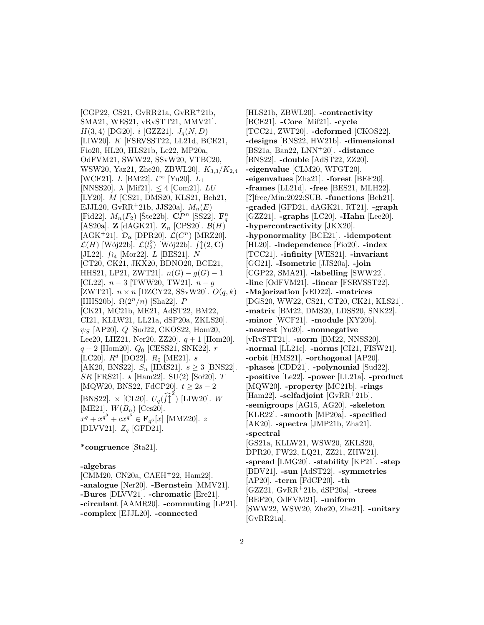[CGP22, CS21, GvRR21a, GvRR<sup>+</sup>21b, SMA21, WES21, vRvSTT21, MMV21].  $H(3, 4)$  [DG20]. *i* [GZZ21].  $J_q(N, D)$ [LIW20]. K [FSRVSST22, LL21d, BCE21, Fio20, HL20, HLS21b, Le22, MP20a, OdFVM21, SWW22, SSvW20, VTBC20, WSW20, Yaz21, Zhe20, ZBWL20].  $K_{3,3}/K_{2,4}$ [WCF21].  $L$  [BM22].  $l^{\infty}$  [Yu20].  $L_1$ [NNSS20].  $\lambda$  [Mif21].  $\leq 4$  [Com21]. LU [LY20]. *M* [CS21, DMS20, KLS21, Beh21, EJJL20, GvRR+21b, JJS20a].  $M_n(E)$ [Fid22].  $M_n(F_2)$  [Ste22b].  $\mathbf{C}P^n$  [SS22].  $\mathbf{F}_q^n$ [AS20a]. **Z** [dAGK21].  $\mathbf{Z}_n$  [CPS20].  $\mathcal{B}(H)$ [AGK<sup>+</sup>21].  $\mathcal{D}_{\alpha}$  [DPR20].  $\mathcal{L}(C^{n})$  [MRZ20].  $\mathcal{L}(H)$  [Wój22b].  $\mathcal{L}(l_2^2)$  [Wój22b].  $\int \updownarrow (2, \mathbf{C})$ [JL22].  $f_{\lambda_4}$  [Mor22].  $L$  [BES21].  $N$ [CT20, CK21, JKX20, BDNO20, BCE21, HHS21, LP21, ZWT21].  $n(G) - g(G) - 1$ [CL22].  $n-3$  [TWW20, TW21].  $n-g$ [ZWT21].  $n \times n$  [DZCY22, SSvW20].  $O(q, k)$ [HHS20b].  $\Omega(2^n/n)$  [Sha22]. P [CK21, MC21b, ME21, AdST22, BM22, CI21, KLLW21, LL21a, dSP20a, ZKLS20].  $\psi_S$  [AP20]. Q [Sud22, CKOS22, Hom20, Lee20, LHZ21, Ner20, ZZ20,  $q + 1$  [Hom20].  $q + 2$  [Hom20].  $Q_0$  [CESS21, SNK22]. r [LC20].  $R^d$  [DO22].  $R_0$  [ME21]. s [AK20, BNS22].  $S_n$  [HMS21].  $s \geq 3$  [BNS22].  $SR$  [FRS21].  $\star$  [Ham22]. SU(2) [Sol20]. T [MQW20, BNS22, FdCP20].  $t \geq 2s - 2$ [BNS22].  $\times$  [CL20].  $U_q(\widehat{f}_q^2)$  [LIW20]. W [ME21].  $W(B_n)$  [Ces20].  $x^q + x^{q^3} + cx^{q^5} \in \mathbf{F}_{q^6}[x]$  [MMZ20]. z [DLVV21].  $Z_q$  [GFD21].

**\*congruence** [Sta21].

#### **-algebras**

[CMM20, CN20a, CAEH<sup>+</sup>22, Ham22]. **-analogue** [Ner20]. **-Bernstein** [MMV21]. **-Bures** [DLVV21]. **-chromatic** [Ere21]. **-circulant** [AAMR20]. **-commuting** [LP21]. **-complex** [EJJL20]. **-connected**

[HLS21b, ZBWL20]. **-contractivity** [BCE21]. **-Core** [Mif21]. **-cycle** [TCC21, ZWF20]. **-deformed** [CKOS22]. **-designs** [BNS22, HW21b]. **-dimensional** [BS21a, Ban22, LNN<sup>+</sup>20]. **-distance** [BNS22]. **-double** [AdST22, ZZ20]. **-eigenvalue** [CLM20, WFGT20]. **-eigenvalues** [Zha21]. **-forest** [BEF20]. **-frames** [LL21d]. **-free** [BES21, MLH22]. [**?**]free/Min:2022:SUB. **-functions** [Beh21]. **-graded** [GFD21, dAGK21, RT21]. **-graph** [GZZ21]. **-graphs** [LC20]. **-Hahn** [Lee20]. **-hypercontractivity** [JKX20]. **-hyponormality** [BCE21]. **-idempotent** [HL20]. **-independence** [Fio20]. **-index** [TCC21]. **-infinity** [WES21]. **-invariant** [GG21]. **-Isometric** [JJS20a]. **-join** [CGP22, SMA21]. **-labelling** [SWW22]. **-line** [OdFVM21]. **-linear** [FSRVSST22]. **-Majorization** [vED22]. **-matrices** [DGS20, WW22, CS21, CT20, CK21, KLS21]. **-matrix** [BM22, DMS20, LDSS20, SNK22]. **-minor** [WCF21]. **-module** [XY20b]. **-nearest** [Yu20]. **-nonnegative** [vRvSTT21]. **-norm** [BM22, NNSS20]. **-normal** [LL21c]. **-norms** [CI21, FISW21]. **-orbit** [HMS21]. **-orthogonal** [AP20]. **-phases** [CDD21]. **-polynomial** [Sud22]. **-positive** [Le22]. **-power** [LL21a]. **-product** [MQW20]. **-property** [MC21b]. **-rings** [Ham22]. **-selfadjoint** [GvRR<sup>+</sup>21b]. **-semigroups** [AG15, AG20]. **-skeleton** [KLR22]. **-smooth** [MP20a]. **-specified** [AK20]. **-spectra** [JMP21b, Zha21]. **-spectral** [GS21a, KLLW21, WSW20, ZKLS20, DPR20, FW22, LQ21, ZZ21, ZHW21]. **-spread** [LMG20]. **-stability** [KP21]. **-step** [BDV21]. **-sun** [AdST22]. **-symmetries** [AP20]. **-term** [FdCP20]. **-th** [GZZ21, GvRR<sup>+</sup>21b, dSP20a]. **-trees** [BEF20, OdFVM21]. **-uniform** [SWW22, WSW20, Zhe20, Zhe21]. **-unitary** [GvRR21a].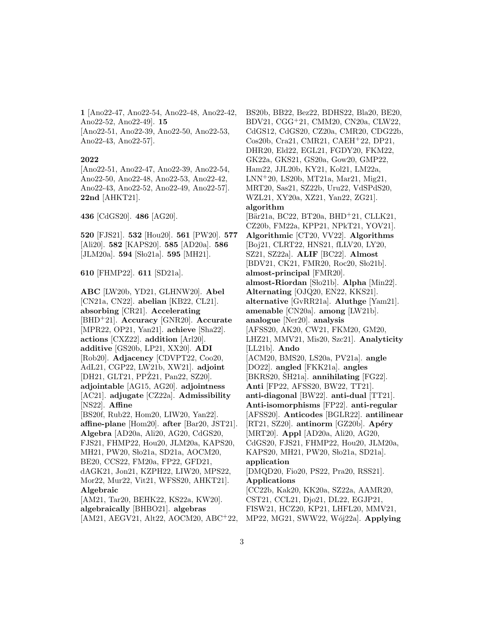**1** [Ano22-47, Ano22-54, Ano22-48, Ano22-42, Ano22-52, Ano22-49]. **15** [Ano22-51, Ano22-39, Ano22-50, Ano22-53, Ano22-43, Ano22-57].

#### **2022**

[Ano22-51, Ano22-47, Ano22-39, Ano22-54, Ano22-50, Ano22-48, Ano22-53, Ano22-42, Ano22-43, Ano22-52, Ano22-49, Ano22-57]. **22nd** [AHKT21].

**436** [CdGS20]. **486** [AG20].

**520** [FJS21]. **532** [Hou20]. **561** [PW20]. **577** [Ali20]. **582** [KAPS20]. **585** [AD20a]. **586** [JLM20a]. **594** [Sło21a]. **595** [MH21].

**610** [FHMP22]. **611** [SD21a].

**ABC** [LW20b, YD21, GLHNW20]. **Abel** [CN21a, CN22]. **abelian** [KB22, CL21]. **absorbing** [CR21]. **Accelerating** [BHD<sup>+</sup>21]. **Accuracy** [GNR20]. **Accurate** [MPR22, OP21, Yan21]. **achieve** [Sha22]. **actions** [CXZ22]. **addition** [Arl20]. **additive** [GS20b, LP21, XX20]. **ADI** [Rob20]. **Adjacency** [CDVPT22, Coo20, AdL21, CGP22, LW21b, XW21]. **adjoint** [DH21, GLT21, PPZ21, Pan22, SZ20]. **adjointable** [AG15, AG20]. **adjointness** [AC21]. **adjugate** [CZ22a]. **Admissibility** [NS22]. **Affine** [BS20f, Rub22, Hom20, LIW20, Yan22]. **affine-plane** [Hom20]. **after** [Bar20, JST21]. **Algebra** [AD20a, Ali20, AG20, CdGS20, FJS21, FHMP22, Hou20, JLM20a, KAPS20, MH21, PW20, Sło21a, SD21a, AOCM20, BE20, CCS22, FM20a, FP22, GFD21, dAGK21, Jon21, KZPH22, LIW20, MPS22, Mor22, Mur22, Vit21, WFSS20, AHKT21]. **Algebraic** [AM21, Tar20, BEHK22, KS22a, KW20]. **algebraically** [BHBO21]. **algebras** [AM21, AEGV21, Alt22, AOCM20, ABC<sup>+</sup>22, BS20b, BB22, Bez22, BDHS22, Bla20, BE20, BDV21, CGG<sup>+</sup>21, CMM20, CN20a, CLW22, CdGS12, CdGS20, CZ20a, CMR20, CDG22b, Cos20b, Cra21, CMR21, CAEH<sup>+</sup>22, DP21, DHR20, Eld22, EGL21, FGDY20, FKM22, GK22a, GKS21, GS20a, Gow20, GMP22, Ham22, JJL20b, KY21, Kol21, LM22a, LNN<sup>+</sup>20, LS20b, MT21a, Mar21, Mig21, MRT20, Sas21, SZ22b, Uru22, VdSPdS20, WZL21, XY20a, XZ21, Yan22, ZG21]. **algorithm** [Bär21a, BC22, BT20a, BHD<sup>+</sup>21, CLLK21, CZ20b, FM22a, KPP21, NPkT21, YOV21]. **Algorithmic** [CT20, VV22]. **Algorithms** [Boj21, CLRT22, HNS21, fLLV20, LY20, SZ21, SZ22a]. **ALIF** [BC22]. **Almost** [BDV21, CK21, FMR20, Roc20, Sło21b]. **almost-principal** [FMR20]. almost-Riordan<sup>[Slo21b]</sup>. Alpha<sup>[Min22]</sup>. **Alternating** [OJQ20, EN22, KKS21]. **alternative** [GvRR21a]. **Aluthge** [Yam21]. **amenable** [CN20a]. **among** [LW21b]. **analogue** [Ner20]. **analysis** [AFSS20, AK20, CW21, FKM20, GM20, LHZ21, MMV21, Mis20, Szc21]. **Analyticity** [LL21b]. **Ando** [ACM20, BMS20, LS20a, PV21a]. **angle** [DO22]. **angled** [FKK21a]. **angles**  $[BKRS20, ŠH21a]$ . **annihilating**  $[FG22]$ . **Anti** [FP22, AFSS20, BW22, TT21]. **anti-diagonal** [BW22]. **anti-dual** [TT21]. **Anti-isomorphisms** [FP22]. **anti-regular** [AFSS20]. **Anticodes** [BGLR22]. **antilinear** [RT21, SZ20]. **antinorm** [GZ20b]. **Apéry** [MRT20]. **Appl** [AD20a, Ali20, AG20, CdGS20, FJS21, FHMP22, Hou20, JLM20a, KAPS20, MH21, PW20, Sło21a, SD21a]. **application** [DMQD20, Fio20, PS22, Pra20, RSS21]. **Applications** [CC22b, Kak20, KK20a, SZ22a, AAMR20, CST21, CCL21, Djo21, DL22, EGJP21, FISW21, HCZ20, KP21, LHFL20, MMV21,

MP22, MG21, SWW22, W´oj22a]. **Applying**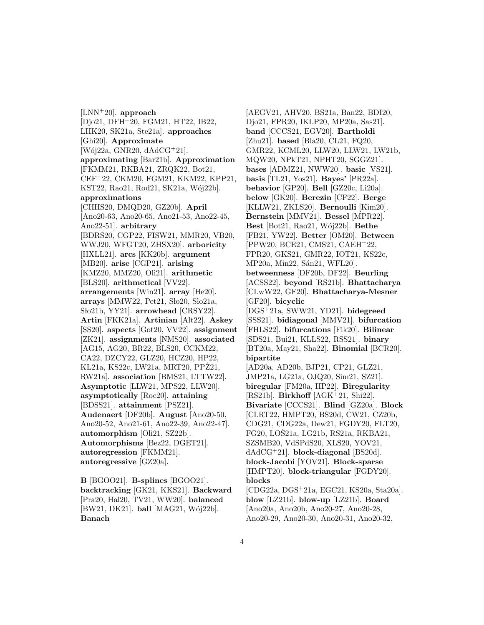[LNN<sup>+</sup>20]. **approach** [Djo21, DFH<sup>+</sup>20, FGM21, HT22, IB22, LHK20, SK21a, Ste21a]. **approaches** [Ghi20]. **Approximate**  $[W6i22a, GNR20, dAdCG^+21].$ **approximating** [Bar21b]. **Approximation** [FKMM21, RKBA21, ZRQK22, Bot21, CEF<sup>+</sup>22, CKM20, FGM21, KKM22, KPP21, KST22, Rao21, Rod21, SK21a, Wój22b]. **approximations** [CHHS20, DMQD20, GZ20b]. **April** [Ano20-63, Ano20-65, Ano21-53, Ano22-45, Ano22-51]. **arbitrary** [BDRS20, CGP22, FISW21, MMR20, VB20, WWJ20, WFGT20, ZHSX20]. **arboricity** [HXLL21]. **arcs** [KK20b]. **argument** [MB20]. **arise** [CGP21]. **arising** [KMZ20, MMZ20, Oli21]. **arithmetic** [BLS20]. **arithmetical** [VV22]. **arrangements** [Win21]. **array** [He20]. **arrays** [MMW22, Pet21, Sło20, Sło21a, Sho21b, YY21]. **arrowhead** [CRSY22]. **Artin** [FKK21a]. **Artinian** [Alt22]. **Askey** [SS20]. **aspects** [Got20, VV22]. **assignment** [ZK21]. **assignments** [NMS20]. **associated** [AG15, AG20, BR22, BLS20, CCKM22, CA22, DZCY22, GLZ20, HCZ20, HP22, KL21a, KS22c, LW21a, MRT20, PPZ21, RW21a]. **association** [BMS21, LTTW22]. **Asymptotic** [LLW21, MPS22, LLW20]. **asymptotically** [Roc20]. **attaining** [BDSS21]. **attainment** [PSZ21]. **Audenaert** [DF20b]. **August** [Ano20-50, Ano20-52, Ano21-61, Ano22-39, Ano22-47]. **automorphism** [Oli21, SZ22b]. **Automorphisms** [Bez22, DGET21]. **autoregression** [FKMM21]. **autoregressive** [GZ20a].

**B** [BGOO21]. **B-splines** [BGOO21]. **backtracking** [GK21, KKS21]. **Backward** [Pra20, Hal20, TV21, WW20]. **balanced** [BW21, DK21]. **ball** [MAG21, Wój22b]. **Banach**

[AEGV21, AHV20, BS21a, Ban22, BDI20, Djo21, FPR20, IKLP20, MP20a, Sas21]. **band** [CCCS21, EGV20]. **Bartholdi** [Zhu21]. **based** [Bla20, CL21, FQ20, GMR22, KCML20, LLW20, LLW21, LW21b, MQW20, NPkT21, NPHT20, SGGZ21]. **bases** [ADMZ21, NWW20]. **basic** [VS21]. **basis** [TL21, Yos21]. **Bayes'** [PR22a]. **behavior** [GP20]. **Bell** [GZ20c, Li20a]. **below** [GK20]. **Berezin** [CF22]. **Berge** [KLLW21, ZKLS20]. **Bernoulli** [Kim20]. **Bernstein** [MMV21]. **Bessel** [MPR22]. **Best** [Bot21, Rao21, W´oj22b]. **Bethe** [FB21, YW22]. **Better** [OM20]. **Between** [PPW20, BCE21, CMS21, CAEH<sup>+</sup>22, FPR20, GKS21, GMR22, IOT21, KS22c, MP20a, Min22, Sán21, WFL20]. **betweenness** [DF20b, DF22]. **Beurling** [ACSS22]. **beyond** [RS21b]. **Bhattacharya** [CLwW22, GF20]. **Bhattacharya-Mesner** [GF20]. **bicyclic** [DGS<sup>+</sup>21a, SWW21, YD21]. **bidegreed** [SSS21]. **bidiagonal** [MMV21]. **bifurcation** [FHLS22]. **bifurcations** [Fik20]. **Bilinear** [SDS21, Bui21, KLLS22, RSS21]. **binary** [BT20a, May21, Sha22]. **Binomial** [BCR20]. **bipartite** [AD20a, AD20b, BJP21, CP21, GLZ21, JMP21a, LG21a, OJQ20, Sim21, SZ21]. **biregular** [FM20a, HP22]. **Biregularity** [RS21b]. **Birkhoff** [AGK<sup>+</sup>21, Shi22]. **Bivariate** [CCCS21]. **Blind** [GZ20a]. **Block** [CLRT22, HMPT20, BS20d, CW21, CZ20b, CDG21, CDG22a, Dew21, FGDY20, FLT20, FG20, LOŠ21a, LG21b, RS21a, RKBA21, SZSMB20, VdSPdS20, XLS20, YOV21, dAdCG<sup>+</sup>21]. **block-diagonal** [BS20d]. **block-Jacobi** [YOV21]. **Block-sparse** [HMPT20]. **block-triangular** [FGDY20]. **blocks** [CDG22a, DGS<sup>+</sup>21a, EGC21, KS20a, Sta20a]. **blow** [LZ21b]. **blow-up** [LZ21b]. **Board** [Ano20a, Ano20b, Ano20-27, Ano20-28,

Ano20-29, Ano20-30, Ano20-31, Ano20-32,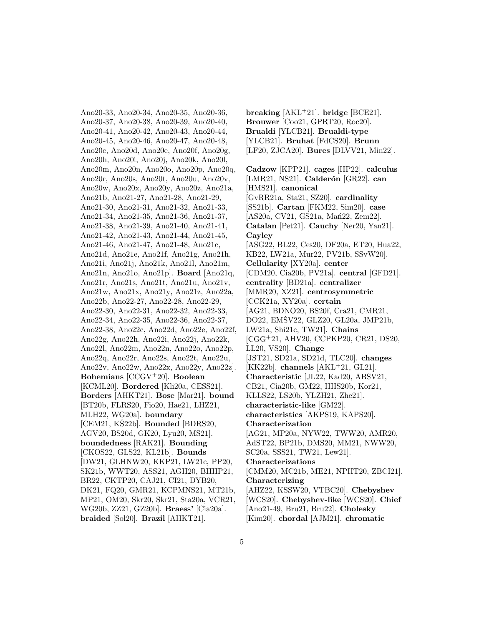Ano20-33, Ano20-34, Ano20-35, Ano20-36, Ano20-37, Ano20-38, Ano20-39, Ano20-40, Ano20-41, Ano20-42, Ano20-43, Ano20-44, Ano20-45, Ano20-46, Ano20-47, Ano20-48, Ano20c, Ano20d, Ano20e, Ano20f, Ano20g, Ano20h, Ano20i, Ano20j, Ano20k, Ano20l, Ano20m, Ano20n, Ano20o, Ano20p, Ano20q, Ano20r, Ano20s, Ano20t, Ano20u, Ano20v, Ano20w, Ano20x, Ano20y, Ano20z, Ano21a, Ano21b, Ano21-27, Ano21-28, Ano21-29, Ano21-30, Ano21-31, Ano21-32, Ano21-33, Ano21-34, Ano21-35, Ano21-36, Ano21-37, Ano21-38, Ano21-39, Ano21-40, Ano21-41, Ano21-42, Ano21-43, Ano21-44, Ano21-45, Ano21-46, Ano21-47, Ano21-48, Ano21c, Ano21d, Ano21e, Ano21f, Ano21g, Ano21h, Ano21i, Ano21j, Ano21k, Ano21l, Ano21m, Ano21n, Ano21o, Ano21p]. **Board** [Ano21q, Ano21r, Ano21s, Ano21t, Ano21u, Ano21v, Ano21w, Ano21x, Ano21y, Ano21z, Ano22a, Ano22b, Ano22-27, Ano22-28, Ano22-29, Ano22-30, Ano22-31, Ano22-32, Ano22-33, Ano22-34, Ano22-35, Ano22-36, Ano22-37, Ano22-38, Ano22c, Ano22d, Ano22e, Ano22f, Ano22g, Ano22h, Ano22i, Ano22j, Ano22k, Ano22l, Ano22m, Ano22n, Ano22o, Ano22p, Ano22q, Ano22r, Ano22s, Ano22t, Ano22u, Ano22v, Ano22w, Ano22x, Ano22y, Ano22z]. **Bohemians** [CCGV<sup>+</sup>20]. **Boolean** [KCML20]. **Bordered** [Kli20a, CESS21]. **Borders** [AHKT21]. **Bose** [Mar21]. **bound** [BT20b, FLRS20, Fio20, Hae21, LHZ21, MLH22, WG20a]. **boundary** [CEM21, KŠ22b]. **Bounded** [BDRS20, AGV20, BS20d, GK20, Lyu20, MS21]. **boundedness** [RAK21]. **Bounding** [CKOS22, GLS22, KL21b]. **Bounds** [DW21, GLHNW20, KKP21, LW21c, PP20, SK21b, WWT20, ASS21, AGH20, BHHP21, BR22, CKTP20, CAJ21, CI21, DYB20, DK21, FQ20, GMR21, KCPMNS21, MT21b, MP21, OM20, Skr20, Skr21, Sta20a, VCR21, WG20b, ZZ21, GZ20b]. **Braess'** [Cia20a]. **braided** [Sol20]. **Brazil** [AHKT21].

**breaking** [AKL<sup>+</sup>21]. **bridge** [BCE21]. **Brouwer** [Coo21, GPRT20, Roc20]. **Brualdi** [YLCB21]. **Brualdi-type** [YLCB21]. **Bruhat** [FdCS20]. **Brunn** [LF20, ZJCA20]. **Bures** [DLVV21, Min22]. **Cadzow** [KPP21]. **cages** [HP22]. **calculus**

[LMR21, NS21]. **Calderón** [GR22]. **can** [HMS21]. **canonical** [GvRR21a, Sta21, SZ20]. **cardinality** [SS21b]. **Cartan** [FKM22, Sim20]. **case** [AS20a, CV21, GS21a, Man22, Zem22]. **Catalan** [Pet21]. **Cauchy** [Ner20, Yan21]. **Cayley** [ASG22, BL22, Ces20, DF20a, ET20, Hua22, KB22, LW21a, Mur22, PV21b, SSvW20]. **Cellularity** [XY20a]. **center** [CDM20, Cia20b, PV21a]. **central** [GFD21]. **centrality** [BD21a]. **centralizer** [MMR20, XZ21]. **centrosymmetric** [CCK21a, XY20a]. **certain** [AG21, BDNO20, BS20f, Cra21, CMR21, DO22, EMSV22, GLZ20, GL20a, JMP21b, LW21a, Shi21c, TW21]. **Chains** [CGG<sup>+</sup>21, AHV20, CCPKP20, CR21, DS20, LL20, VS20]. **Change** [JST21, SD21a, SD21d, TLC20]. **changes** [KK22b]. **channels** [AKL<sup>+</sup>21, GL21]. **Characteristic** [JL22, Kad20, ABSV21, CB21, Cia20b, GM22, HHS20b, Kor21, KLLS22, LS20b, YLZH21, Zhe21]. **characteristic-like** [GM22]. **characteristics** [AKPS19, KAPS20]. **Characterization** [AG21, MP20a, NYW22, TWW20, AMR20, AdST22, BP21b, DMS20, MM21, NWW20, SC20a, SSS21, TW21, Lew21]. **Characterizations** [CMM20, MC21b, ME21, NPHT20, ZBCI21]. **Characterizing** [AHZ22, KSSW20, VTBC20]. **Chebyshev** [WCS20]. **Chebyshev-like** [WCS20]. **Chief** [Ano21-49, Bru21, Bru22]. **Cholesky** [Kim20]. **chordal** [AJM21]. **chromatic**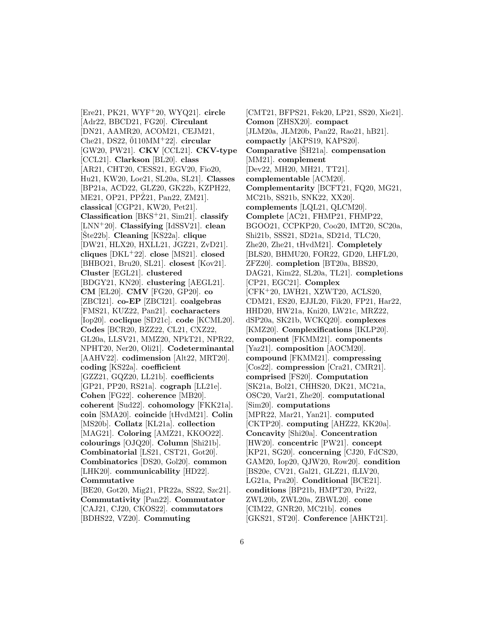[Ere21, PK21, WYF<sup>+</sup>20, WYQ21]. **circle** [Adr22, BBCD21, FG20]. **Circulant** [DN21, AAMR20, ACOM21, CEJM21, Che21, DS22,  $\text{0110MM}$ <sup>+</sup>22]. **circular** [GW20, PW21]. **CKV** [CCL21]. **CKV-type** [CCL21]. **Clarkson** [BL20]. **class** [AR21, CHT20, CESS21, EGV20, Fio20, Hu21, KW20, Loe21, SL20a, SL21]. **Classes** [BP21a, ACD22, GLZ20, GK22b, KZPH22, ME21, OP21, PPZ21, Pan22, ZM21. **classical** [CGP21, KW20, Pet21]. **Classification** [BKS<sup>+</sup>21, Sim21]. **classify** [LNN<sup>+</sup>20]. **Classifying** [IdSSV21]. **clean** [Ste22b]. **Cleaning** [KS22a]. **clique** [DW21, HLX20, HXLL21, JGZ21, ZvD21]. **cliques** [DKL<sup>+</sup>22]. **close** [MS21]. **closed** [BHBO21, Bru20, SL21]. **closest** [Kov21]. **Cluster** [EGL21]. **clustered** [BDGY21, KN20]. **clustering** [AEGL21]. **CM** [EL20]. **CMV** [FG20, GP20]. **co** [ZBCI21]. **co-EP** [ZBCI21]. **coalgebras** [FMS21, KUZ22, Pan21]. **cocharacters** [Iop20]. **coclique** [SD21c]. **code** [KCML20]. **Codes** [BCR20, BZZ22, CL21, CXZ22, GL20a, LLSV21, MMZ20, NPkT21, NPR22, NPHT20, Ner20, Oli21]. **Codeterminantal** [AAHV22]. **codimension** [Alt22, MRT20]. **coding** [KS22a]. **coefficient** [GZZ21, GQZ20, LL21b]. **coefficients** [GP21, PP20, RS21a]. **cograph** [LL21e]. **Cohen** [FG22]. **coherence** [MB20]. **coherent** [Sud22]. **cohomology** [FKK21a]. **coin** [SMA20]. **coincide** [tHvdM21]. **Colin** [MS20b]. **Collatz** [KL21a]. **collection** [MAG21]. **Coloring** [AMZ21, KKOO22]. **colourings** [OJQ20]. **Column** [Shi21b]. **Combinatorial** [LS21, CST21, Got20]. **Combinatorics** [DS20, Gol20]. **common** [LHK20]. **communicability** [HD22]. **Commutative** [BE20, Got20, Mig21, PR22a, SS22, Szc21]. **Commutativity** [Pan22]. **Commutator** [CAJ21, CJ20, CKOS22]. **commutators**

[BDHS22, VZ20]. **Commuting**

[CMT21, BFPS21, Fek20, LP21, SS20, Xie21]. **Comon** [ZHSX20]. **compact** [JLM20a, JLM20b, Pan22, Rao21, hB21]. **compactly** [AKPS19, KAPS20]. **Comparative** [SH21a]. **compensation** [MM21]. **complement** [Dev22, MH20, MH21, TT21]. **complementable** [ACM20]. **Complementarity** [BCFT21, FQ20, MG21, MC21b, SS21b, SNK22, XX20]. **complements** [LQL21, QLCM20]. **Complete** [AC21, FHMP21, FHMP22, BGOO21, CCPKP20, Coo20, IMT20, SC20a, Shi21b, SSS21, SD21a, SD21d, TLC20, Zhe20, Zhe21, tHvdM21]. **Completely** [BLS20, BHMU20, FOR22, GD20, LHFL20, ZFZ20]. **completion** [BT20a, BBS20, DAG21, Kim22, SL20a, TL21]. **completions** [CP21, EGC21]. **Complex** [CFK<sup>+</sup>20, LWH21, XZWT20, ACLS20, CDM21, ES20, EJJL20, Fik20, FP21, Har22, HHD20, HW21a, Kni20, LW21c, MRZ22, dSP20a, SK21b, WCKQ20]. **complexes** [KMZ20]. **Complexifications** [IKLP20]. **component** [FKMM21]. **components** [Yaz21]. **composition** [AOCM20]. **compound** [FKMM21]. **compressing** [Cos22]. **compression** [Cra21, CMR21]. **comprised** [FS20]. **Computation** [SK21a, Bol21, CHHS20, DK21, MC21a, OSC20, Var21, Zhe20]. **computational** [Sim20]. **computations** [MPR22, Mar21, Yan21]. **computed** [CKTP20]. **computing** [AHZ22, KK20a]. **Concavity** [Shi20a]. **Concentration** [HW20]. **concentric** [PW21]. **concept** [KP21, SG20]. **concerning** [CJ20, FdCS20, GAM20, Iop20, QJW20, Row20]. **condition** [BS20e, CV21, Gal21, GLZ21, fLLV20, LG21a, Pra20]. **Conditional** [BCE21]. **conditions** [BP21b, HMPT20, Pri22, ZWL20b, ZWL20a, ZBWL20]. **cone** [CIM22, GNR20, MC21b]. **cones** [GKS21, ST20]. **Conference** [AHKT21].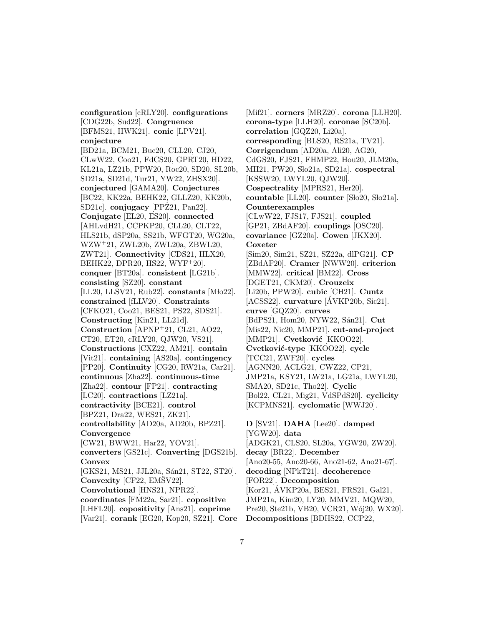**configuration** [cRLY20]. **configurations** [CDG22b, Sud22]. **Congruence** [BFMS21, HWK21]. **conic** [LPV21]. **conjecture** [BD21a, BCM21, Buc20, CLL20, CJ20, CLwW22, Coo21, FdCS20, GPRT20, HD22, KL21a, LZ21b, PPW20, Roc20, SD20, SL20b, SD21a, SD21d, Tur21, YW22, ZHSX20]. **conjectured** [GAMA20]. **Conjectures** [BC22, KK22a, BEHK22, GLLZ20, KK20b, SD21c]. **conjugacy** [PPZ21, Pan22]. **Conjugate** [EL20, ES20]. **connected** [AHLvdH21, CCPKP20, CLL20, CLT22, HLS21b, dSP20a, SS21b, WFGT20, WG20a, WZW<sup>+</sup>21, ZWL20b, ZWL20a, ZBWL20, ZWT21]. **Connectivity** [CDS21, HLX20, BEHK22, DPR20, HS22, WYF<sup>+</sup>20]. **conquer** [BT20a]. **consistent** [LG21b]. **consisting** [SZ20]. **constant** [LL20, LLSV21, Rub22]. **constants** [Mlo22]. **constrained** [fLLV20]. **Constraints** [CFKO21, Coo21, BES21, PS22, SDS21]. **Constructing** [Kin21, LL21d]. **Construction** [APNP<sup>+</sup>21, CL21, AO22, CT20, ET20, cRLY20, QJW20, VS21]. **Constructions** [CXZ22, AM21]. **contain** [Vit21]. **containing** [AS20a]. **contingency** [PP20]. **Continuity** [CG20, RW21a, Car21]. **continuous** [Zha22]. **continuous-time** [Zha22]. **contour** [FP21]. **contracting** [LC20]. **contractions** [LZ21a]. **contractivity** [BCE21]. **control** [BPZ21, Dra22, WES21, ZK21]. **controllability** [AD20a, AD20b, BPZ21]. **Convergence** [CW21, BWW21, Har22, YOV21]. **converters** [GS21c]. **Converting** [DGS21b]. **Convex** [GKS21, MS21, JJL20a, Sán21, ST22, ST20]. **Convexity** [CF22, EMŠV22]. **Convolutional** [HNS21, NPR22]. **coordinates** [FM22a, Sar21]. **copositive** [LHFL20]. **copositivity** [Ans21]. **coprime** [Var21]. **corank** [EG20, Kop20, SZ21]. **Core**

[Mif21]. **corners** [MRZ20]. **corona** [LLH20]. **corona-type** [LLH20]. **coronae** [SC20b]. **correlation** [GQZ20, Li20a]. **corresponding** [BLS20, RS21a, TV21]. **Corrigendum** [AD20a, Ali20, AG20, CdGS20, FJS21, FHMP22, Hou20, JLM20a, MH21, PW20, Sło21a, SD21a]. **cospectral** [KSSW20, LWYL20, QJW20]. **Cospectrality** [MPRS21, Her20].  $countable$  [LL20].  $counter$  [S $lo20$ , S $lo21a$ ]. **Counterexamples** [CLwW22, FJS17, FJS21]. **coupled** [GP21, ZBdAF20]. **couplings** [OSC20]. **covariance** [GZ20a]. **Cowen** [JKX20]. **Coxeter** [Sim20, Sim21, SZ21, SZ22a, dlPG21]. **CP** [ZBdAF20]. **Cramer** [NWW20]. **criterion** [MMW22]. **critical** [BM22]. **Cross** [DGET21, CKM20]. **Crouzeix** [Li20b, PPW20]. **cubic** [CH21]. **Cuntz** [ACSS22]. **curvature** [AVKP20b, Sic21]. ´ **curve** [GQZ20]. **curves** [BdPS21, Hom20, NYW22, Sán21]. Cut [Mis22, Nic20, MMP21]. **cut-and-project** [MMP21]. **Cvetković** [KKOO22]. **Cvetkovi´c-type** [KKOO22]. **cycle** [TCC21, ZWF20]. **cycles** [AGNN20, ACLG21, CWZ22, CP21, JMP21a, KSY21, LW21a, LG21a, LWYL20, SMA20, SD21c, Tho22]. **Cyclic** [Bol22, CL21, Mig21, VdSPdS20]. **cyclicity** [KCPMNS21]. **cyclomatic** [WWJ20]. **D** [SV21]. **DAHA** [Lee20]. **damped** [YGW20]. **data** [ADGK21, CLS20, SL20a, YGW20, ZW20]. **decay** [BR22]. **December** [Ano20-55, Ano20-66, Ano21-62, Ano21-67]. **decoding** [NPkT21]. **decoherence** [FOR22]. **Decomposition** [Kor21, AVKP20a, BES21, FRS21, Gal21, JMP21a, Kim20, LY20, MMV21, MQW20, Pre20, Ste21b, VB20, VCR21, Wój20, WX20].

**Decompositions** [BDHS22, CCP22,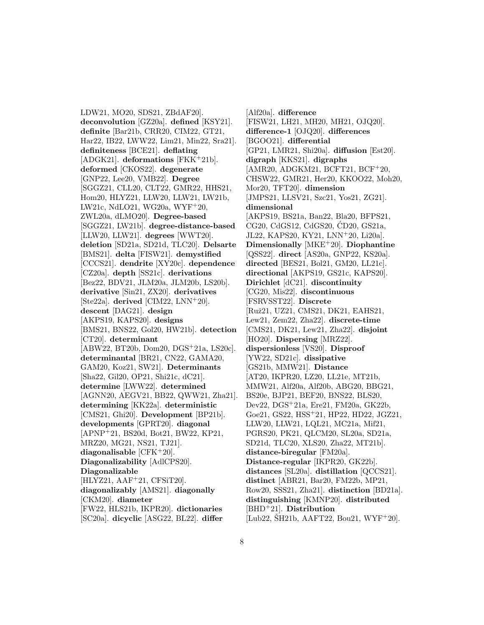LDW21, MO20, SDS21, ZBdAF20]. **deconvolution** [GZ20a]. **defined** [KSY21]. **definite** [Bar21b, CRR20, CIM22, GT21, Har22, IB22, LWW22, Lim21, Min22, Sra21]. **definiteness** [BCE21]. **deflating** [ADGK21]. **deformations** [FKK<sup>+</sup>21b]. **deformed** [CKOS22]. **degenerate** [GNP22, Lee20, VMB22]. **Degree** [SGGZ21, CLL20, CLT22, GMR22, HHS21, Hom20, HLYZ21, LLW20, LLW21, LW21b, LW21c, NdLO21, WG20a, WYF<sup>+</sup>20, ZWL20a, dLMO20]. **Degree-based** [SGGZ21, LW21b]. **degree-distance-based** [LLW20, LLW21]. **degrees** [WWT20]. **deletion** [SD21a, SD21d, TLC20]. **Delsarte** [BMS21]. **delta** [FISW21]. **demystified** [CCCS21]. **dendrite** [XY20c]. **dependence** [CZ20a]. **depth** [SS21c]. **derivations** [Bez22, BDV21, JLM20a, JLM20b, LS20b]. **derivative** [Sin21, ZX20]. **derivatives** [Ste22a]. **derived** [CIM22, LNN<sup>+</sup>20]. **descent** [DAG21]. **design** [AKPS19, KAPS20]. **designs** [BMS21, BNS22, Gol20, HW21b]. **detection** [CT20]. **determinant** [ABW22, BT20b, Dom20, DGS<sup>+</sup>21a, LS20c]. **determinantal** [BR21, CN22, GAMA20, GAM20, Koz21, SW21]. **Determinants** [Sha22, Gil20, OP21, Shi21c, dC21]. **determine** [LWW22]. **determined** [AGNN20, AEGV21, BB22, QWW21, Zha21]. **determining** [KK22a]. **deterministic** [CMS21, Ghi20]. **Development** [BP21b]. **developments** [GPRT20]. **diagonal** [APNP<sup>+</sup>21, BS20d, Bot21, BW22, KP21, MRZ20, MG21, NS21, TJ21]. **diagonalisable** [CFK<sup>+</sup>20]. **Diagonalizability** [AdlCPS20]. **Diagonalizable** [HLYZ21, AAF<sup>+</sup>21, CFSiT20]. **diagonalizably** [AMS21]. **diagonally** [CKM20]. **diameter** [FW22, HLS21b, IKPR20]. **dictionaries** [SC20a]. **dicyclic** [ASG22, BL22]. **differ**

[Alf20a]. **difference** [FISW21, LH21, MH20, MH21, OJQ20]. **difference-1** [OJQ20]. **differences** [BGOO21]. **differential** [GP21, LMR21, Shi20a]. **diffusion** [Est20]. **digraph** [KKS21]. **digraphs** [AMR20, ADGKM21, BCFT21, BCF<sup>+</sup>20, CHSW22, GMR21, Her20, KKOO22, Moh20, Mor20, TFT20]. **dimension** [JMPS21, LLSV21, Szc21, Yos21, ZG21]. **dimensional** [AKPS19, BS21a, Ban22, Bla20, BFPS21, CG20, CdGS12, CdGS20, CD20, GS21a, ´ JL22, KAPS20, KY21, LNN<sup>+</sup>20, Li20a]. **Dimensionally** [MKE<sup>+</sup>20]. **Diophantine** [QSS22]. **direct** [AS20a, GNP22, KS20a]. **directed** [BES21, Bol21, GM20, LL21c]. **directional** [AKPS19, GS21c, KAPS20]. **Dirichlet** [dC21]. **discontinuity** [CG20, Mis22]. **discontinuous** [FSRVSST22]. **Discrete** [Ruˇz21, UZ21, CMS21, DK21, EAHS21, Lew21, Zem22, Zha22]. **discrete-time** [CMS21, DK21, Lew21, Zha22]. **disjoint** [HO20]. **Dispersing** [MRZ22]. **dispersionless** [VS20]. **Disproof** [YW22, SD21c]. **dissipative** [GS21b, MMW21]. **Distance** [AT20, IKPR20, LZ20, LL21e, MT21b, MMW21, Alf20a, Alf20b, ABG20, BBG21, BS20e, BJP21, BEF20, BNS22, BLS20, Dev22, DGS<sup>+</sup>21a, Ere21, FM20a, GK22b, Goe21, GS22, HSS<sup>+</sup>21, HP22, HD22, JGZ21, LLW20, LLW21, LQL21, MC21a, Mif21, PGRS20, PK21, QLCM20, SL20a, SD21a, SD21d, TLC20, XLS20, Zha22, MT21b]. **distance-biregular** [FM20a]. **Distance-regular** [IKPR20, GK22b]. **distances** [SL20a]. **distillation** [QCCS21]. **distinct** [ABR21, Bar20, FM22b, MP21, Row20, SSS21, Zha21]. **distinction** [BD21a]. **distinguishing** [KMNP20]. **distributed** [BHD<sup>+</sup>21]. **Distribution**  $[Lub22, ŠH21b, AAFT22, Bou21, WYF<sup>+</sup>20].$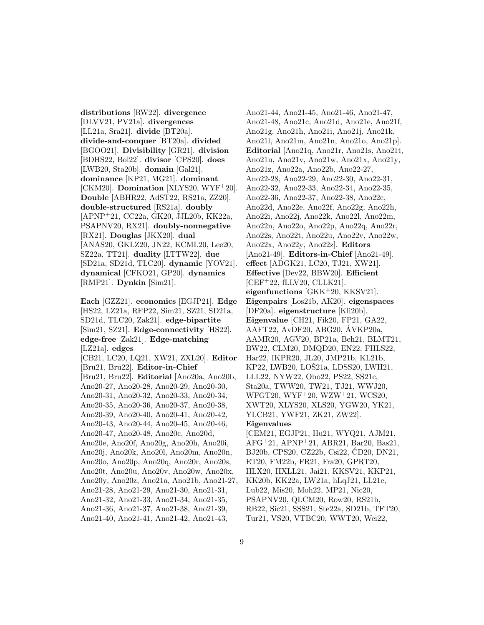**distributions** [RW22]. **divergence** [DLVV21, PV21a]. **divergences** [LL21a, Sra21]. **divide** [BT20a]. **divide-and-conquer** [BT20a]. **divided** [BGOO21]. **Divisibility** [GR21]. **division** [BDHS22, Bol22]. **divisor** [CPS20]. **does** [LWB20, Sta20b]. **domain** [Gal21]. **dominance** [KP21, MG21]. **dominant** [CKM20]. **Domination** [XLYS20, WYF<sup>+</sup>20]. **Double** [ABHR22, AdST22, RS21a, ZZ20]. **double-structured** [RS21a]. **doubly** [APNP<sup>+</sup>21, CC22a, GK20, JJL20b, KK22a, PSAPNV20, RX21]. **doubly-nonnegative** [RX21]. **Douglas** [JKX20]. **dual** [ANAS20, GKLZ20, JN22, KCML20, Lee20, SZ22a, TT21]. **duality** [LTTW22]. **due** [SD21a, SD21d, TLC20]. **dynamic** [YOV21]. **dynamical** [CFKO21, GP20]. **dynamics** [RMP21]. **Dynkin** [Sim21].

**Each** [GZZ21]. **economics** [EGJP21]. **Edge** [HS22, LZ21a, RFP22, Sim21, SZ21, SD21a, SD21d, TLC20, Zak21]. **edge-bipartite** [Sim21, SZ21]. **Edge-connectivity** [HS22]. **edge-free** [Zak21]. **Edge-matching** [LZ21a]. **edges** [CB21, LC20, LQ21, XW21, ZXL20]. **Editor** [Bru21, Bru22]. **Editor-in-Chief** [Bru21, Bru22]. **Editorial** [Ano20a, Ano20b, Ano20-27, Ano20-28, Ano20-29, Ano20-30, Ano20-31, Ano20-32, Ano20-33, Ano20-34, Ano20-35, Ano20-36, Ano20-37, Ano20-38, Ano20-39, Ano20-40, Ano20-41, Ano20-42, Ano20-43, Ano20-44, Ano20-45, Ano20-46, Ano20-47, Ano20-48, Ano20c, Ano20d, Ano20e, Ano20f, Ano20g, Ano20h, Ano20i, Ano20j, Ano20k, Ano20l, Ano20m, Ano20n, Ano20o, Ano20p, Ano20q, Ano20r, Ano20s, Ano20t, Ano20u, Ano20v, Ano20w, Ano20x, Ano20y, Ano20z, Ano21a, Ano21b, Ano21-27, Ano21-28, Ano21-29, Ano21-30, Ano21-31, Ano21-32, Ano21-33, Ano21-34, Ano21-35, Ano21-36, Ano21-37, Ano21-38, Ano21-39, Ano21-40, Ano21-41, Ano21-42, Ano21-43,

Ano21-44, Ano21-45, Ano21-46, Ano21-47, Ano21-48, Ano21c, Ano21d, Ano21e, Ano21f, Ano21g, Ano21h, Ano21i, Ano21j, Ano21k, Ano21l, Ano21m, Ano21n, Ano21o, Ano21p]. **Editorial** [Ano21q, Ano21r, Ano21s, Ano21t, Ano21u, Ano21v, Ano21w, Ano21x, Ano21y, Ano21z, Ano22a, Ano22b, Ano22-27, Ano22-28, Ano22-29, Ano22-30, Ano22-31, Ano22-32, Ano22-33, Ano22-34, Ano22-35, Ano22-36, Ano22-37, Ano22-38, Ano22c, Ano22d, Ano22e, Ano22f, Ano22g, Ano22h, Ano22i, Ano22j, Ano22k, Ano22l, Ano22m, Ano22n, Ano22o, Ano22p, Ano22q, Ano22r, Ano22s, Ano22t, Ano22u, Ano22v, Ano22w, Ano22x, Ano22y, Ano22z]. **Editors** [Ano21-49]. **Editors-in-Chief** [Ano21-49]. **effect** [ADGK21, LC20, TJ21, XW21]. **Effective** [Dev22, BBW20]. **Efficient** [CEF<sup>+</sup>22, fLLV20, CLLK21]. **eigenfunctions** [GKK<sup>+</sup>20, KKSV21]. **Eigenpairs** [Los21b, AK20]. **eigenspaces** [DF20a]. **eigenstructure** [Kli20b]. **Eigenvalue** [CH21, Fik20, FP21, GA22, AAFT22, AvDF20, ABG20, AVKP20a, ´ AAMR20, AGV20, BP21a, Beh21, BLMT21, BW22, CLM20, DMQD20, EN22, FHLS22, Har22, IKPR20, JL20, JMP21b, KL21b, KP22, LWB20, LOŠ21a, LDSS20, LWH21, LLL22, NYW22, Obo22, PS22, SS21c, Sta20a, TWW20, TW21, TJ21, WWJ20, WFGT20, WYF<sup>+</sup>20, WZW<sup>+</sup>21, WCS20, XWT20, XLYS20, XLS20, YGW20, YK21, YLCB21, YWF21, ZK21, ZW22]. **Eigenvalues** [CEM21, EGJP21, Hu21, WYQ21, AJM21, AFG<sup>+</sup>21, APNP<sup>+</sup>21, ABR21, Bar20, Bas21, BJ20b, CPS20, CZ22b, Csi22, CD20, DN21, ´ ET20, FM22b, FR21, Fra20, GPRT20, HLX20, HXLL21, Jai21, KKSV21, KKP21, KK20b, KK22a, LW21a, hLqJ21, LL21e, Lub22, Mis20, Moh22, MP21, Nic20,

PSAPNV20, QLCM20, Row20, RS21b,

RB22, Sic21, SSS21, Ste22a, SD21b, TFT20,

Tur21, VS20, VTBC20, WWT20, Wei22,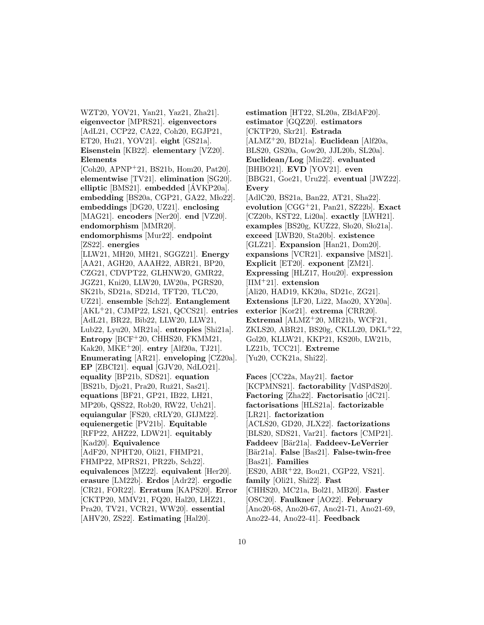WZT20, YOV21, Yan21, Yaz21, Zha21]. **eigenvector** [MPRS21]. **eigenvectors** [AdL21, CCP22, CA22, Coh20, EGJP21, ET20, Hu21, YOV21]. **eight** [GS21a]. **Eisenstein** [KB22]. **elementary** [VZ20]. **Elements**

[Coh20, APNP<sup>+</sup>21, BS21b, Hom20, Pat20]. **elementwise** [TV21]. **elimination** [SG20]. **elliptic** [BMS21]. **embedded** [AVKP20a]. ´ **embedding** [BS20a, CGP21, GA22, Mło22]. **embeddings** [DG20, UZ21]. **enclosing** [MAG21]. **encoders** [Ner20]. **end** [VZ20]. **endomorphism** [MMR20].

#### **endomorphisms** [Mur22]. **endpoint** [ZS22]. **energies**

[LLW21, MH20, MH21, SGGZ21]. **Energy** [AA21, AGH20, AAAH22, ABR21, BP20, CZG21, CDVPT22, GLHNW20, GMR22, JGZ21, Kni20, LLW20, LW20a, PGRS20, SK21b, SD21a, SD21d, TFT20, TLC20, UZ21]. **ensemble** [Sch22]. **Entanglement** [AKL<sup>+</sup>21, CJMP22, LS21, QCCS21]. **entries** [AdL21, BR22, Bib22, LLW20, LLW21, Lub22, Lyu20, MR21a]. **entropies** [Shi21a]. **Entropy** [BCF<sup>+</sup>20, CHHS20, FKMM21, Kak20, MKE<sup>+</sup>20]. **entry** [Alf20a, TJ21]. **Enumerating** [AR21]. **enveloping** [CZ20a]. **EP** [ZBCI21]. **equal** [GJV20, NdLO21]. **equality** [BP21b, SDS21]. **equation** [BS21b, Djo21, Pra20, Ruž21, Sas21]. **equations** [BF21, GP21, IB22, LH21, MP20b, QSS22, Rob20, RW22, Uch21]. **equiangular** [FS20, cRLY20, GIJM22]. **equienergetic** [PV21b]. **Equitable** [RFP22, AHZ22, LDW21]. **equitably** [Kad20]. **Equivalence** [AdF20, NPHT20, Oli21, FHMP21, FHMP22, MPRS21, PR22b, Sch22]. **equivalences** [MZ22]. **equivalent** [Her20]. **erasure** [LM22b]. **Erdos** [Adr22]. **ergodic** [CR21, FOR22]. **Erratum** [KAPS20]. **Error** [CKTP20, MMV21, FQ20, Hal20, LHZ21, Pra20, TV21, VCR21, WW20]. **essential** [AHV20, ZS22]. **Estimating** [Hal20].

**estimation** [HT22, SL20a, ZBdAF20]. **estimator** [GQZ20]. **estimators** [CKTP20, Skr21]. **Estrada** [ALMZ<sup>+</sup>20, BD21a]. **Euclidean** [Alf20a, BLS20, GS20a, Gow20, JJL20b, SL20a]. **Euclidean/Log** [Min22]. **evaluated** [BHBO21]. **EVD** [YOV21]. **even** [BBG21, Goe21, Uru22]. **eventual** [JWZ22]. **Every** [AdlC20, BS21a, Ban22, AT21, Sha22]. **evolution** [CGG<sup>+</sup>21, Pan21, SZ22b]. **Exact** [CZ20b, KST22, Li20a]. **exactly** [LWH21]. examples [BS20g, KUZ22, Sło20, Sło21a]. **exceed** [LWB20, Sta20b]. **existence** [GLZ21]. **Expansion** [Han21, Dom20]. **expansions** [VCR21]. **expansive** [MS21]. **Explicit** [ET20]. **exponent** [ZM21]. **Expressing** [HLZ17, Hou20]. **expression** [IIM<sup>+</sup>21]. **extension** [Ali20, HAD19, KK20a, SD21c, ZG21]. **Extensions** [LF20, Li22, Mao20, XY20a]. **exterior** [Kor21]. **extrema** [CRR20]. **Extremal** [ALMZ<sup>+</sup>20, MR21b, WCF21, ZKLS20, ABR21, BS20g, CKLL20, DKL<sup>+</sup>22, Gol20, KLLW21, KKP21, KS20b, LW21b, LZ21b, TCC21]. **Extreme** [Yu20, CCK21a, Shi22].

**Faces** [CC22a, May21]. **factor** [KCPMNS21]. **factorability** [VdSPdS20]. **Factoring** [Zha22]. **Factorisatio** [dC21]. **factorisations** [HLS21a]. **factorizable** [LR21]. **factorization** [ACLS20, GD20, JLX22]. **factorizations** [BLS20, SDS21, Var21]. **factors** [CMP21]. **Faddeev** [B¨ar21a]. **Faddeev-LeVerrier** [Bär21a]. **False** [Bas21]. **False-twin-free** [Bas21]. **Families** [ES20, ABR<sup>+</sup>22, Bou21, CGP22, VS21]. **family** [Oli21, Shi22]. **Fast** [CHHS20, MC21a, Bol21, MB20]. **Faster** [OSC20]. **Faulkner** [AO22]. **February** [Ano20-68, Ano20-67, Ano21-71, Ano21-69, Ano22-44, Ano22-41]. **Feedback**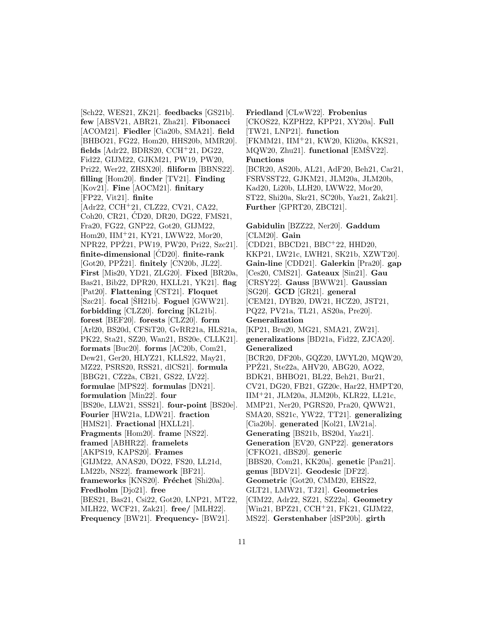[Sch22, WES21, ZK21]. **feedbacks** [GS21b]. **few** [ABSV21, ABR21, Zha21]. **Fibonacci** [ACOM21]. **Fiedler** [Cia20b, SMA21]. **field** [BHBO21, FG22, Hom20, HHS20b, MMR20]. **fields** [Adr22, BDRS20, CCH<sup>+</sup>21, DG22, Fid22, GIJM22, GJKM21, PW19, PW20, Pri22, Wer22, ZHSX20]. **filiform** [BBNS22]. **filling** [Hom20]. **finder** [TV21]. **Finding** [Kov21]. **Fine** [AOCM21]. **finitary** [FP22, Vit21]. **finite** [Adr22, CCH<sup>+</sup>21, CLZ22, CV21, CA22, Coh20, CR21, CD20, DR20, DG22, FMS21, ´ Fra20, FG22, GNP22, Got20, GIJM22, Hom20, IIM<sup>+</sup>21, KY21, LWW22, Mor20, NPR22, PPZ21, PW19, PW20, Pri22, Szc21]. ˙ **finite-dimensional** [CD20]. ´ **finite-rank** [Got20, PPZ21]. **finitely** [CN20b, JL22]. **First** [Mis20, YD21, ZLG20]. **Fixed** [BR20a, Bas21, Bib22, DPR20, HXLL21, YK21]. **flag** [Pat20]. **Flattening** [CST21]. **Floquet**  $[Szc21]$ . **focal**  $[SH21b]$ . **Foguel**  $[GWW21]$ . **forbidding** [CLZ20]. **forcing** [KL21b]. **forest** [BEF20]. **forests** [CLZ20]. **form** [Arl20, BS20d, CFSiT20, GvRR21a, HLS21a, PK22, Sta21, SZ20, Wan21, BS20e, CLLK21]. **formats** [Buc20]. **forms** [AC20b, Com21, Dew21, Ger20, HLYZ21, KLLS22, May21, MZ22, PSRS20, RSS21, dlCS21]. **formula** [BBG21, CZ22a, CB21, GS22, LV22]. **formulae** [MPS22]. **formulas** [DN21]. **formulation** [Min22]. **four** [BS20e, LLW21, SSS21]. **four-point** [BS20e]. **Fourier** [HW21a, LDW21]. **fraction** [HMS21]. **Fractional** [HXLL21]. **Fragments** [Hom20]. **frame** [NS22]. **framed** [ABHR22]. **framelets** [AKPS19, KAPS20]. **Frames** [GIJM22, ANAS20, DO22, FS20, LL21d, LM22b, NS22]. **framework** [BF21]. **frameworks** [KNS20]. **Fréchet** [Shi20a]. **Fredholm** [Djo21]. **free** [BES21, Bas21, Csi22, Got20, LNP21, MT22, MLH22, WCF21, Zak21]. **free/** [MLH22]. **Frequency** [BW21]. **Frequency-** [BW21].

**Friedland** [CLwW22]. **Frobenius** [CKOS22, KZPH22, KPP21, XY20a]. **Full** [TW21, LNP21]. **function** [FKMM21, IIM<sup>+</sup>21, KW20, Kli20a, KKS21,  $MQW20$ ,  $Zhu21$ ]. **functional** [EMSV22]. **Functions** [BCR20, AS20b, AL21, AdF20, Beh21, Car21, FSRVSST22, GJKM21, JLM20a, JLM20b, Kad20, Li20b, LLH20, LWW22, Mor20, ST22, Shi20a, Skr21, SC20b, Yaz21, Zak21]. **Further** [GPRT20, ZBCI21].

## **Gabidulin** [BZZ22, Ner20]. **Gaddum** [CLM20]. **Gain**  $[CDD21, BECD21, BBC<sup>+</sup>22, HHD20,$ KKP21, LW21c, LWH21, SK21b, XZWT20]. **Gain-line** [CDD21]. **Galerkin** [Pra20]. **gap** [Ces20, CMS21]. **Gateaux** [Sin21]. **Gau** [CRSY22]. **Gauss** [BWW21]. **Gaussian** [SG20]. **GCD** [GR21]. **general** [CEM21, DYB20, DW21, HCZ20, JST21, PQ22, PV21a, TL21, AS20a, Pre20]. **Generalization** [KP21, Bru20, MG21, SMA21, ZW21]. **generalizations** [BD21a, Fid22, ZJCA20]. **Generalized** [BCR20, DF20b, GQZ20, LWYL20, MQW20, PPZ21, Ste22a, AHV20, ABG20, AO22, BDK21, BHBO21, BL22, Beh21, Bur21, CV21, DG20, FB21, GZ20c, Har22, HMPT20, IIM<sup>+</sup>21, JLM20a, JLM20b, KLR22, LL21c, MMP21, Ner20, PGRS20, Pra20, QWW21, SMA20, SS21c, YW22, TT21]. **generalizing** [Cia20b]. **generated** [Kol21, LW21a]. **Generating** [BS21b, BS20d, Yaz21]. **Generation** [EV20, GNP22]. **generators** [CFKO21, dBS20]. **generic** [BBS20, Com21, KK20a]. **genetic** [Pan21]. **genus** [BDV21]. **Geodesic** [DF22]. **Geometric** [Got20, CMM20, EHS22, GLT21, LMW21, TJ21]. **Geometries** [CIM22, Adr22, SZ21, SZ22a]. **Geometry** [Win21, BPZ21, CCH<sup>+</sup>21, FK21, GIJM22, MS22]. **Gerstenhaber** [dSP20b]. **girth**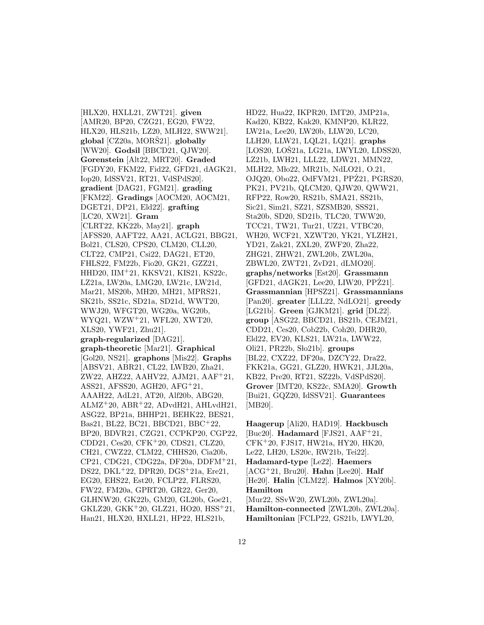[HLX20, HXLL21, ZWT21]. **given** [AMR20, BP20, CZG21, EG20, FW22, HLX20, HLS21b, LZ20, MLH22, SWW21]. **global** [CZ20a, MORŠ21]. **globally** [WW20]. **Godsil** [BBCD21, QJW20]. **Gorenstein** [Alt22, MRT20]. **Graded** [FGDY20, FKM22, Fid22, GFD21, dAGK21, Iop20, IdSSV21, RT21, VdSPdS20]. **gradient** [DAG21, FGM21]. **grading** [FKM22]. **Gradings** [AOCM20, AOCM21, DGET21, DP21, Eld22]. **grafting** [LC20, XW21]. **Gram** [CLRT22, KK22b, May21]. **graph** [AFSS20, AAFT22, AA21, ACLG21, BBG21, Bol21, CLS20, CPS20, CLM20, CLL20, CLT22, CMP21, Csi22, DAG21, ET20, FHLS22, FM22b, Fio20, GK21, GZZ21, HHD20, IIM<sup>+</sup>21, KKSV21, KIS21, KS22c, LZ21a, LW20a, LMG20, LW21c, LW21d, Mar21, MS20b, MH20, MH21, MPRS21, SK21b, SS21c, SD21a, SD21d, WWT20, WWJ20, WFGT20, WG20a, WG20b, WYQ21, WZW<sup>+</sup>21, WFL20, XWT20, XLS20, YWF21, Zhu21]. **graph-regularized** [DAG21]. **graph-theoretic** [Mar21]. **Graphical** [Gol20, NS21]. **graphons** [Mis22]. **Graphs** [ABSV21, ABR21, CL22, LWB20, Zha21, ZW22, AHZ22, AAHV22, AJM21, AAF<sup>+</sup>21, ASS21, AFSS20, AGH20, AFG<sup>+</sup>21, AAAH22, AdL21, AT20, Alf20b, ABG20,  $ALMZ<sup>+</sup>20$ ,  $ABR<sup>+</sup>22$ ,  $ADvdH21$ ,  $AHLvdH21$ , ASG22, BP21a, BHHP21, BEHK22, BES21, Bas21, BL22, BC21, BBCD21, BBC<sup>+</sup>22, BP20, BDVR21, CZG21, CCPKP20, CGP22, CDD21, Ces20, CFK<sup>+</sup>20, CDS21, CLZ20, CH21, CWZ22, CLM22, CHHS20, Cia20b, CP21, CDG21, CDG22a, DF20a, DDFM<sup>+</sup>21, DS22, DKL<sup>+</sup>22, DPR20, DGS<sup>+</sup>21a, Ere21, EG20, EHS22, Est20, FCLP22, FLRS20, FW22, FM20a, GPRT20, GR22, Ger20, GLHNW20, GK22b, GM20, GL20b, Goe21, GKLZ20, GKK<sup>+</sup>20, GLZ21, HO20, HSS<sup>+</sup>21, Han21, HLX20, HXLL21, HP22, HLS21b,

HD22, Hua22, IKPR20, IMT20, JMP21a, Kad20, KB22, Kak20, KMNP20, KLR22, LW21a, Lee20, LW20b, LLW20, LC20, LLH20, LLW21, LQL21, LQ21]. **graphs**  $[LOS20, LOŠ21a, LG21a, LWYL20, LDSS20, ...]$ LZ21b, LWH21, LLL22, LDW21, MMN22, MLH22, Mło22, MR21b, NdLO21, O.21, OJQ20, Obo22, OdFVM21, PPZ21, PGRS20, PK21, PV21b, QLCM20, QJW20, QWW21, RFP22, Row20, RS21b, SMA21, SS21b, Sic21, Sim21, SZ21, SZSMB20, SSS21, Sta20b, SD20, SD21b, TLC20, TWW20, TCC21, TW21, Tur21, UZ21, VTBC20, WH20, WCF21, XZWT20, YK21, YLZH21, YD21, Zak21, ZXL20, ZWF20, Zha22, ZHG21, ZHW21, ZWL20b, ZWL20a, ZBWL20, ZWT21, ZvD21, dLMO20]. **graphs/networks** [Est20]. **Grassmann**  $[GFD21, dAGK21, Lee20, LIW20, PPZ21].$ **Grassmannian** [HPSZ21]. **Grassmannians** [Pan20]. **greater** [LLL22, NdLO21]. **greedy** [LG21b]. **Green** [GJKM21]. **grid** [DL22]. **group** [ASG22, BBCD21, BS21b, CEJM21, CDD21, Ces20, Cob22b, Coh20, DHR20, Eld22, EV20, KLS21, LW21a, LWW22, Oli21, PR22b, Slo21b]. **groups** [BL22, CXZ22, DF20a, DZCY22, Dra22, FKK21a, GG21, GLZ20, HWK21, JJL20a, KB22, Pre20, RT21, SZ22b, VdSPdS20]. **Grover** [IMT20, KS22c, SMA20]. **Growth** [Bui21, GQZ20, IdSSV21]. **Guarantees** [MB20].

**Haagerup** [Ali20, HAD19]. **Hackbusch** [Buc20]. **Hadamard** [FJS21, AAF<sup>+</sup>21, CFK<sup>+</sup>20, FJS17, HW21a, HY20, HK20, Le22, LH20, LS20c, RW21b, Tei22]. **Hadamard-type** [Le22]. **Haemers** [ACG<sup>+</sup>21, Bru20]. **Hahn** [Lee20]. **Half** [He20]. **Halin** [CLM22]. **Halmos** [XY20b]. **Hamilton** [Mur22, SSvW20, ZWL20b, ZWL20a]. **Hamilton-connected** [ZWL20b, ZWL20a]. **Hamiltonian** [FCLP22, GS21b, LWYL20,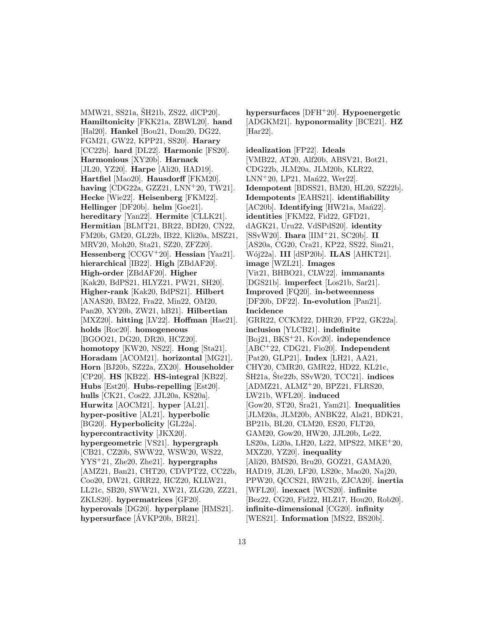MMW21, SS21a, ŠH21b, ZS22, dlCP20]. **Hamiltonicity** [FKK21a, ZBWL20]. **hand** [Hal20]. **Hankel** [Bou21, Dom20, DG22, FGM21, GW22, KPP21, SS20]. **Harary** [CC22b]. **hard** [DL22]. **Harmonic** [FS20]. **Harmonious** [XY20b]. **Harnack** [JL20, YZ20]. **Harpe** [Ali20, HAD19]. **Hartfiel** [Mao20]. **Hausdorff** [FKM20]. **having** [CDG22a, GZZ21, LNN<sup>+</sup>20, TW21]. **Hecke** [Wie22]. **Heisenberg** [FKM22]. **Hellinger** [DF20b]. **helm** [Goe21]. **hereditary** [Yan22]. **Hermite** [CLLK21]. **Hermitian** [BLMT21, BR22, BDI20, CN22, FM20b, GM20, GL22b, IB22, Kli20a, MSZ21, MRV20, Moh20, Sta21, SZ20, ZFZ20]. **Hessenberg** [CCGV<sup>+</sup>20]. **Hessian** [Yaz21]. **hierarchical** [IB22]. **High** [ZBdAF20]. **High-order** [ZBdAF20]. **Higher** [Kak20, BdPS21, HLYZ21, PW21, SH20]. **Higher-rank** [Kak20, BdPS21]. **Hilbert** [ANAS20, BM22, Fra22, Min22, OM20, Pan20, XY20b, ZW21, hB21]. **Hilbertian** [MXZ20]. **hitting** [LV22]. **Hoffman** [Hae21]. **holds** [Roc20]. **homogeneous** [BGOO21, DG20, DR20, HCZ20]. **homotopy** [KW20, NS22]. **Hong** [Sta21]. **Horadam** [ACOM21]. **horizontal** [MG21]. **Horn** [BJ20b, SZ22a, ZX20]. **Householder** [CP20]. **HS** [KB22]. **HS-integral** [KB22]. **Hubs** [Est20]. **Hubs-repelling** [Est20]. **hulls** [CK21, Cos22, JJL20a, KS20a]. **Hurwitz** [AOCM21]. **hyper** [AL21]. **hyper-positive** [AL21]. **hyperbolic** [BG20]. **Hyperbolicity** [GL22a]. **hypercontractivity** [JKX20]. **hypergeometric** [VS21]. **hypergraph** [CB21, CZ20b, SWW22, WSW20, WS22, YYS<sup>+</sup>21, Zhe20, Zhe21]. **hypergraphs** [AMZ21, Ban21, CHT20, CDVPT22, CC22b, Coo20, DW21, GRR22, HCZ20, KLLW21, LL21c, SB20, SWW21, XW21, ZLG20, ZZ21, ZKLS20]. **hypermatrices** [GF20]. **hyperovals** [DG20]. **hyperplane** [HMS21]. **hypersurface** [AVKP20b, BR21]. ´

**hypersurfaces** [DFH<sup>+</sup>20]. **Hypoenergetic** [ADGKM21]. **hyponormality** [BCE21]. **HZ** [Har22].

**idealization** [FP22]. **Ideals** [VMB22, AT20, Alf20b, ABSV21, Bot21, CDG22b, JLM20a, JLM20b, KLR22,  $LNN+20$ ,  $LP21$ ,  $Mañ22$ ,  $Wer22$ ]. **Idempotent** [BDSS21, BM20, HL20, SZ22b]. **Idempotents** [EAHS21]. **identifiability**  $[AC20b]$ . **Identifying**  $[HW21a, Mań22]$ . **identities** [FKM22, Fid22, GFD21, dAGK21, Uru22, VdSPdS20]. **identity** [SSvW20]. **Ihara** [IIM<sup>+</sup>21, SC20b]. **II** [AS20a, CG20, Cra21, KP22, SS22, Sim21, W´oj22a]. **III** [dSP20b]. **ILAS** [AHKT21]. **image** [WZL21]. **Images** [Vit21, BHBO21, CLW22]. **immanants** [DGS21b]. **imperfect** [Los21b, Sar21]. **Improved** [FQ20]. **in-betweenness** [DF20b, DF22]. **In-evolution** [Pan21]. **Incidence** [GRR22, CCKM22, DHR20, FP22, GK22a]. **inclusion** [YLCB21]. **indefinite** [Boj21, BKS<sup>+</sup>21, Kov20]. **independence** [ABC<sup>+</sup>22, CDG21, Fio20]. **Independent** [Pat20, GLP21]. **Index** [LH21, AA21, CHY20, CMR20, GMR22, HD22, KL21c,  $\text{\r{S}H21a}$ ,  $\text{\r{S}te22b}$ ,  $\text{SSvW20}$ ,  $\text{TCC21}$ . **indices** [ADMZ21, ALMZ<sup>+</sup>20, BPZ21, FLRS20, LW21b, WFL20]. **induced** [Gow20, ST20, Sra21, Yam21]. **Inequalities** [JLM20a, JLM20b, ANBK22, Ala21, BDK21, BP21b, BL20, CLM20, ES20, FLT20, GAM20, Gow20, HW20, JJL20b, Le22, LS20a, Li20a, LH20, Li22, MPS22, MKE<sup>+</sup>20, MXZ20, YZ20]. **inequality** [Ali20, BMS20, Bru20, GOZ21, GAMA20, HAD19, JL20, LF20, LS20c, Mao20, Naj20, PPW20, QCCS21, RW21b, ZJCA20]. **inertia** [WFL20]. **inexact** [WCS20]. **infinite** [Bez22, CG20, Fid22, HLZ17, Hou20, Rob20]. **infinite-dimensional** [CG20]. **infinity** [WES21]. **Information** [MS22, BS20b].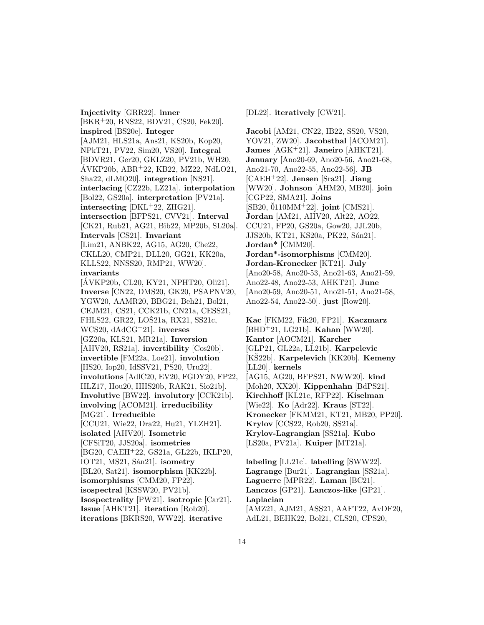**Injectivity** [GRR22]. **inner** [BKR<sup>+</sup>20, BNS22, BDV21, CS20, Fek20]. **inspired** [BS20e]. **Integer** [AJM21, HLS21a, Ans21, KS20b, Kop20, NPkT21, PV22, Sim20, VS20]. **Integral** [BDVR21, Ger20, GKLZ20, PV21b, WH20,  $\text{AVKP20b}, \text{ABR}^{+22}, \text{KB22}, \text{MZ22}, \text{NdLO21},$ Sha22, dLMO20]. **integration** [NS21]. **interlacing** [CZ22b, LZ21a]. **interpolation** [Bol22, GS20a]. **interpretation** [PV21a]. **intersecting** [DKL<sup>+</sup>22, ZHG21]. **intersection** [BFPS21, CVV21]. **Interval** [CK21, Rub21, AG21, Bib22, MP20b, SL20a]. **Intervals** [CS21]. **Invariant** [Lim21, ANBK22, AG15, AG20, Che22, CKLL20, CMP21, DLL20, GG21, KK20a, KLLS22, NNSS20, RMP21, WW20]. **invariants** [AVKP20b, CL20, KY21, NPHT20, Oli21]. ´ **Inverse** [CN22, DMS20, GK20, PSAPNV20, YGW20, AAMR20, BBG21, Beh21, Bol21, CEJM21, CS21, CCK21b, CN21a, CESS21, FHLS22, GR22, LOŠ21a, RX21, SS21c, WCS20, dAdCG<sup>+</sup>21]. **inverses** [GZ20a, KLS21, MR21a]. **Inversion** [AHV20, RS21a]. **invertibility** [Cos20b]. **invertible** [FM22a, Loe21]. **involution** [HS20, Iop20, IdSSV21, PS20, Uru22]. **involutions** [AdlC20, EV20, FGDY20, FP22, HLZ17, Hou20, HHS20b, RAK21, Sło21b]. **Involutive** [BW22]. **involutory** [CCK21b]. **involving** [ACOM21]. **irreducibility** [MG21]. **Irreducible** [CCU21, Wie22, Dra22, Hu21, YLZH21]. **isolated** [AHV20]. **Isometric** [CFSiT20, JJS20a]. **isometries** [BG20, CAEH<sup>+</sup>22, GS21a, GL22b, IKLP20, IOT21, MS21, Sán21]. **isometry** [BL20, Sat21]. **isomorphism** [KK22b]. **isomorphisms** [CMM20, FP22]. **isospectral** [KSSW20, PV21b]. **Isospectrality** [PW21]. **isotropic** [Car21]. **Issue** [AHKT21]. **iteration** [Rob20]. **iterations** [BKRS20, WW22]. **iterative**

[DL22]. **iteratively** [CW21].

**Jacobi** [AM21, CN22, IB22, SS20, VS20, YOV21, ZW20]. **Jacobsthal** [ACOM21]. **James** [AGK<sup>+</sup>21]. **Janeiro** [AHKT21]. **January** [Ano20-69, Ano20-56, Ano21-68, Ano21-70, Ano22-55, Ano22-56]. **JB** [CAEH<sup>+</sup>22]. **Jensen** [Sra21]. **Jiang** [WW20]. **Johnson** [AHM20, MB20]. **join** [CGP22, SMA21]. **Joins** [SB20, 0110MM<sup>+</sup>22]. **joint** [CMS21]. **Jordan** [AM21, AHV20, Alt22, AO22, CCU21, FP20, GS20a, Gow20, JJL20b, JJS20b, KT21, KS20a, PK22, Sán21]. **Jordan\*** [CMM20]. **Jordan\*-isomorphisms** [CMM20]. **Jordan-Kronecker** [KT21]. **July** [Ano20-58, Ano20-53, Ano21-63, Ano21-59, Ano22-48, Ano22-53, AHKT21]. **June** [Ano20-59, Ano20-51, Ano21-51, Ano21-58, Ano22-54, Ano22-50]. **just** [Row20].

**Kac** [FKM22, Fik20, FP21]. **Kaczmarz** [BHD<sup>+</sup>21, LG21b]. **Kahan** [WW20]. **Kantor** [AOCM21]. **Karcher** [GLP21, GL22a, LL21b]. **Karpelevic** [KS22b]. ˇ **Karpelevich** [KK20b]. **Kemeny** [LL20]. **kernels** [AG15, AG20, BFPS21, NWW20]. **kind** [Moh20, XX20]. **Kippenhahn** [BdPS21]. **Kirchhoff** [KL21c, RFP22]. **Kiselman** [Wie22]. **Ko** [Adr22]. **Kraus** [ST22]. **Kronecker** [FKMM21, KT21, MB20, PP20]. **Krylov** [CCS22, Rob20, SS21a]. **Krylov-Lagrangian** [SS21a]. **Kubo** [LS20a, PV21a]. **Kuiper** [MT21a].

**labeling** [LL21c]. **labelling** [SWW22]. **Lagrange** [Bur21]. **Lagrangian** [SS21a]. **Laguerre** [MPR22]. **Laman** [BC21]. **Lanczos** [GP21]. **Lanczos-like** [GP21]. **Laplacian** [AMZ21, AJM21, ASS21, AAFT22, AvDF20, AdL21, BEHK22, Bol21, CLS20, CPS20,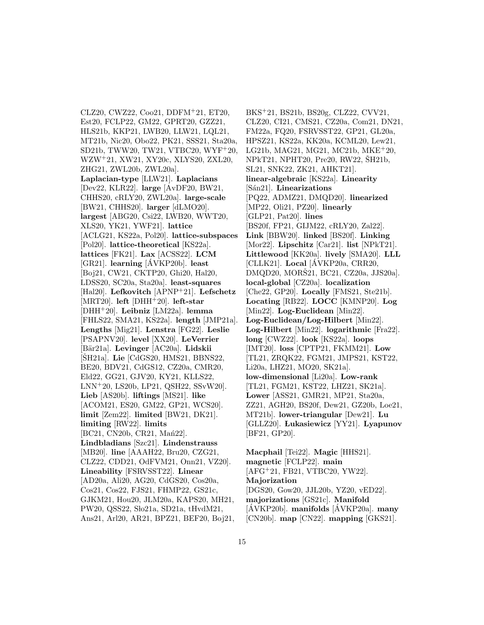CLZ20, CWZ22, Coo21, DDFM<sup>+</sup>21, ET20, Est20, FCLP22, GM22, GPRT20, GZZ21, HLS21b, KKP21, LWB20, LLW21, LQL21, MT21b, Nic20, Obo22, PK21, SSS21, Sta20a, SD21b, TWW20, TW21, VTBC20, WYF<sup>+</sup>20, WZW<sup>+</sup>21, XW21, XY20c, XLYS20, ZXL20, ZHG21, ZWL20b, ZWL20a]. **Laplacian-type** [LLW21]. **Laplacians** [Dev22, KLR22]. **large** [AvDF20, BW21, CHHS20, cRLY20, ZWL20a]. **large-scale** [BW21, CHHS20]. **larger** [dLMO20]. **largest** [ABG20, Csi22, LWB20, WWT20, XLS20, YK21, YWF21]. **lattice** [ACLG21, KS22a, Pol20]. **lattice-subspaces** [Pol20]. **lattice-theoretical** [KS22a]. **lattices** [FK21]. **Lax** [ACSS22]. **LCM**  $[GR21]$ . **learning**  $[AVKP20b]$ . **least** [Boj21, CW21, CKTP20, Ghi20, Hal20, LDSS20, SC20a, Sta20a]. **least-squares** [Hal20]. **Lefkovitch** [APNP<sup>+</sup>21]. **Lefschetz** [MRT20]. **left** [DHH<sup>+</sup>20]. **left-star** [DHH<sup>+</sup>20]. **Leibniz** [LM22a]. **lemma** [FHLS22, SMA21, KS22a]. **length** [JMP21a]. **Lengths** [Mig21]. **Lenstra** [FG22]. **Leslie** [PSAPNV20]. **level** [XX20]. **LeVerrier** [B¨ar21a]. **Levinger** [AC20a]. **Lidskii** [ŠH21a]. **Lie** [CdGS20, HMS21, BBNS22, BE20, BDV21, CdGS12, CZ20a, CMR20, Eld22, GG21, GJV20, KY21, KLLS22, LNN<sup>+</sup>20, LS20b, LP21, QSH22, SSvW20]. **Lieb** [AS20b]. **liftings** [MS21]. **like** [ACOM21, ES20, GM22, GP21, WCS20]. **limit** [Zem22]. **limited** [BW21, DK21]. **limiting** [RW22]. **limits** [BC21, CN20b, CR21, Man22]. **Lindbladians** [Szc21]. **Lindenstrauss** [MB20]. **line** [AAAH22, Bru20, CZG21, CLZ22, CDD21, OdFVM21, Onn21, VZ20]. **Lineability** [FSRVSST22]. **Linear** [AD20a, Ali20, AG20, CdGS20, Cos20a, Cos21, Cos22, FJS21, FHMP22, GS21c, GJKM21, Hou20, JLM20a, KAPS20, MH21, PW20, QSS22, Slo21a, SD21a, tHvdM21, Ans21, Arl20, AR21, BPZ21, BEF20, Boj21,

BKS<sup>+</sup>21, BS21b, BS20g, CLZ22, CVV21, CLZ20, CI21, CMS21, CZ20a, Com21, DN21, FM22a, FQ20, FSRVSST22, GP21, GL20a, HPSZ21, KS22a, KK20a, KCML20, Lew21, LG21b, MAG21, MG21, MC21b, MKE<sup>+</sup>20, NPkT21, NPHT20, Pre20, RW22, SH21b, SL21, SNK22, ZK21, AHKT21]. **linear-algebraic** [KS22a]. **Linearity** [S´an21]. **Linearizations** [PQ22, ADMZ21, DMQD20]. **linearized** [MP22, Oli21, PZ20]. **linearly** [GLP21, Pat20]. **lines** [BS20f, FP21, GIJM22, cRLY20, Zal22]. **Link** [BBW20]. **linked** [BS20f]. **Linking** [Mor22]. **Lipschitz** [Car21]. **list** [NPkT21]. **Littlewood** [KK20a]. **lively** [SMA20]. **LLL** [CLLK21]. **Local** [AVKP20a, CRR20, DMQD20, MORŠ21, BC21, CZ20a, JJS20a]. **local-global** [CZ20a]. **localization** [Che22, GP20]. **Locally** [FMS21, Ste21b]. **Locating** [RB22]. **LOCC** [KMNP20]. **Log** [Min22]. **Log-Euclidean** [Min22]. **Log-Euclidean/Log-Hilbert** [Min22]. **Log-Hilbert** [Min22]. **logarithmic** [Fra22]. **long** [CWZ22]. **look** [KS22a]. **loops** [IMT20]. **loss** [CPTP21, FKMM21]. **Low** [TL21, ZRQK22, FGM21, JMPS21, KST22, Li20a, LHZ21, MO20, SK21a]. **low-dimensional** [Li20a]. **Low-rank** [TL21, FGM21, KST22, LHZ21, SK21a]. **Lower** [ASS21, GMR21, MP21, Sta20a, ZZ21, AGH20, BS20f, Dew21, GZ20b, Loe21, MT21b]. **lower-triangular** [Dew21]. **Lu** [GLLZ20]. **Lukasiewicz** [YY21]. **Lyapunov** [BF21, GP20].

**Macphail** [Tei22]. **Magic** [HHS21]. **magnetic** [FCLP22]. **main** [AFG<sup>+</sup>21, FB21, VTBC20, YW22]. **Majorization** [DGS20, Gow20, JJL20b, YZ20, vED22]. **majorizations** [GS21c]. **Manifold** [AVKP20b]. manifolds [AVKP20a]. many [CN20b]. **map** [CN22]. **mapping** [GKS21].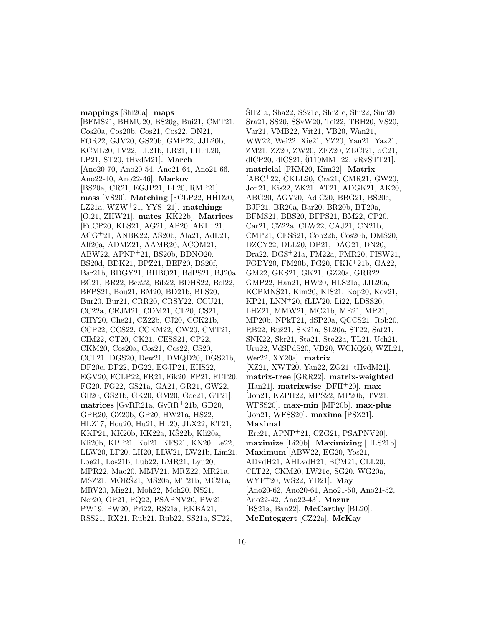**mappings** [Shi20a]. **maps** [BFMS21, BHMU20, BS20g, Bui21, CMT21, Cos20a, Cos20b, Cos21, Cos22, DN21, FOR22, GJV20, GS20b, GMP22, JJL20b, KCML20, LV22, LL21b, LR21, LHFL20, LP21, ST20, tHvdM21]. **March** [Ano20-70, Ano20-54, Ano21-64, Ano21-66, Ano22-40, Ano22-46]. **Markov** [BS20a, CR21, EGJP21, LL20, RMP21]. **mass** [VS20]. **Matching** [FCLP22, HHD20, LZ21a, WZW<sup>+</sup>21, YYS<sup>+</sup>21]. **matchings** [O.21, ZHW21]. **mates** [KK22b]. **Matrices** [FdCP20, KLS21, AG21, AP20, AKL<sup>+</sup>21, ACG<sup>+</sup>21, ANBK22, AS20b, Ala21, AdL21, Alf20a, ADMZ21, AAMR20, ACOM21, ABW22, APNP<sup>+</sup>21, BS20b, BDNO20, BS20d, BDK21, BPZ21, BEF20, BS20f, Bar21b, BDGY21, BHBO21, BdPS21, BJ20a, BC21, BR22, Bez22, Bib22, BDHS22, Bol22, BFPS21, Bou21, BM20, BD21b, BLS20, Bur20, Bur21, CRR20, CRSY22, CCU21, CC22a, CEJM21, CDM21, CL20, CS21, CHY20, Che21, CZ22b, CJ20, CCK21b, CCP22, CCS22, CCKM22, CW20, CMT21, CIM22, CT20, CK21, CESS21, CP22, CKM20, Cos20a, Cos21, Cos22, CS20, CCL21, DGS20, Dew21, DMQD20, DGS21b, DF20c, DF22, DG22, EGJP21, EHS22, EGV20, FCLP22, FR21, Fik20, FP21, FLT20, FG20, FG22, GS21a, GA21, GR21, GW22, Gil20, GS21b, GK20, GM20, Goe21, GT21]. **matrices** [GvRR21a, GvRR<sup>+</sup>21b, GD20, GPR20, GZ20b, GP20, HW21a, HS22, HLZ17, Hou20, Hu21, HL20, JLX22, KT21, KKP21, KK20b, KK22a, KŠ22b, Kli20a, Kli20b, KPP21, Kol21, KFS21, KN20, Le22, LLW20, LF20, LH20, LLW21, LW21b, Lim21, Loe21, Los21b, Lub22, LMR21, Lyu20, MPR22, Mao20, MMV21, MRZ22, MR21a, MSZ21, MORS21, MS20a, MT21b, MC21a, MRV20, Mig21, Moh22, Moh20, NS21, Ner20, OP21, PQ22, PSAPNV20, PW21, PW19, PW20, Pri22, RS21a, RKBA21, RSS21, RX21, Rub21, Rub22, SS21a, ST22,

 $\text{SH}21a$ , Sha22, SS21c, Shi21c, Shi22, Sim20, Sra21, SS20, SSvW20, Tei22, TBH20, VS20, Var21, VMB22, Vit21, VB20, Wan21, WW22, Wei22, Xie21, YZ20, Yan21, Yaz21, ZM21, ZZ20, ZW20, ZFZ20, ZBCI21, dC21, dlCP20, dlCS21,  $\ddot{0}110MM+22$ , vRvSTT21. **matricial** [FKM20, Kim22]. **Matrix** [ABC<sup>+</sup>22, CKLL20, Cra21, CMR21, GW20, Jon21, Kis22, ZK21, AT21, ADGK21, AK20, ABG20, AGV20, AdlC20, BBG21, BS20e, BJP21, BR20a, Bar20, BR20b, BT20a, BFMS21, BBS20, BFPS21, BM22, CP20, Car21, CZ22a, CLW22, CAJ21, CN21b, CMP21, CESS21, Cob22b, Cos20b, DMS20, DZCY22, DLL20, DP21, DAG21, DN20, Dra22, DGS<sup>+</sup>21a, FM22a, FMR20, FISW21, FGDY20, FM20b, FG20, FKK<sup>+</sup>21b, GA22, GM22, GKS21, GK21, GZ20a, GRR22, GMP22, Han21, HW20, HLS21a, JJL20a, KCPMNS21, Kim20, KIS21, Kop20, Kov21, KP21, LNN<sup>+</sup>20, fLLV20, Li22, LDSS20, LHZ21, MMW21, MC21b, ME21, MP21, MP20b, NPkT21, dSP20a, QCCS21, Rob20, RB22, Ruž21, SK21a, SL20a, ST22, Sat21, SNK22, Skr21, Sta21, Ste22a, TL21, Uch21, Uru22, VdSPdS20, VB20, WCKQ20, WZL21, Wer22, XY20a]. **matrix** [XZ21, XWT20, Yan22, ZG21, tHvdM21]. **matrix-tree** [GRR22]. **matrix-weighted** [Han21]. **matrixwise** [DFH<sup>+</sup>20]. **max** [Jon21, KZPH22, MPS22, MP20b, TV21, WFSS20]. **max-min** [MP20b]. **max-plus** [Jon21, WFSS20]. **maxima** [PSZ21]. **Maximal** [Ere21, APNP<sup>+</sup>21, CZG21, PSAPNV20]. **maximize** [Li20b]. **Maximizing** [HLS21b]. **Maximum** [ABW22, EG20, Yos21, ADvdH21, AHLvdH21, BCM21, CLL20, CLT22, CKM20, LW21c, SG20, WG20a, WYF<sup>+</sup>20, WS22, YD21]. **May** [Ano20-62, Ano20-61, Ano21-50, Ano21-52, Ano22-42, Ano22-43]. **Mazur** [BS21a, Ban22]. **McCarthy** [BL20]. **McEnteggert** [CZ22a]. **McKay**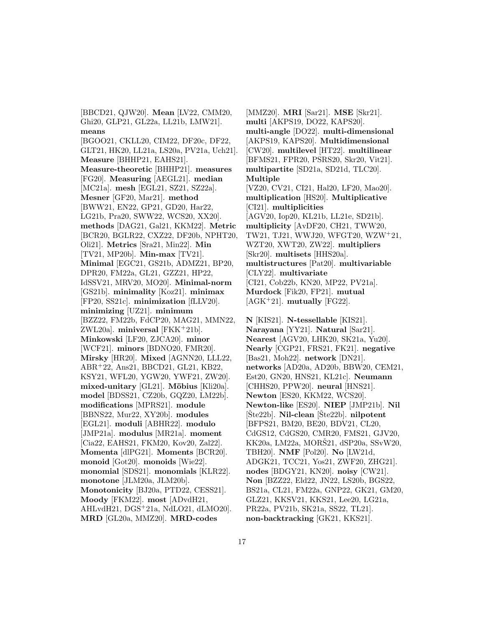[BBCD21, QJW20]. **Mean** [LV22, CMM20, Ghi20, GLP21, GL22a, LL21b, LMW21]. **means** [BGOO21, CKLL20, CIM22, DF20c, DF22, GLT21, HK20, LL21a, LS20a, PV21a, Uch21]. **Measure** [BHHP21, EAHS21]. **Measure-theoretic** [BHHP21]. **measures** [FG20]. **Measuring** [AEGL21]. **median** [MC21a]. **mesh** [EGL21, SZ21, SZ22a]. **Mesner** [GF20, Mar21]. **method** [BWW21, EN22, GP21, GD20, Har22, LG21b, Pra20, SWW22, WCS20, XX20]. **methods** [DAG21, Gal21, KKM22]. **Metric** [BCR20, BGLR22, CXZ22, DF20b, NPHT20, Oli21]. **Metrics** [Sra21, Min22]. **Min** [TV21, MP20b]. **Min-max** [TV21]. **Minimal** [EGC21, GS21b, ADMZ21, BP20, DPR20, FM22a, GL21, GZZ21, HP22, IdSSV21, MRV20, MO20]. **Minimal-norm** [GS21b]. **minimality** [Koz21]. **minimax** [FP20, SS21c]. **minimization** [fLLV20]. **minimizing** [UZ21]. **minimum** [BZZ22, FM22b, FdCP20, MAG21, MMN22, ZWL20a]. **miniversal** [FKK<sup>+</sup>21b]. **Minkowski** [LF20, ZJCA20]. **minor** [WCF21]. **minors** [BDNO20, FMR20]. **Mirsky** [HR20]. **Mixed** [AGNN20, LLL22, ABR<sup>+</sup>22, Ans21, BBCD21, GL21, KB22, KSY21, WFL20, YGW20, YWF21, ZW20]. mixed-unitary<sup>[GL21]</sup>. Möbius<sup>[Kli20a].</sup> **model** [BDSS21, CZ20b, GQZ20, LM22b]. **modifications** [MPRS21]. **module** [BBNS22, Mur22, XY20b]. **modules** [EGL21]. **moduli** [ABHR22]. **modulo** [JMP21a]. **modulus** [MR21a]. **moment** [Cia22, EAHS21, FKM20, Kov20, Zal22]. **Momenta** [dlPG21]. **Moments** [BCR20]. **monoid** [Got20]. **monoids** [Wie22]. **monomial** [SDS21]. **monomials** [KLR22]. **monotone** [JLM20a, JLM20b]. **Monotonicity** [BJ20a, PTD22, CESS21]. **Moody** [FKM22]. **most** [ADvdH21, AHLvdH21, DGS<sup>+</sup>21a, NdLO21, dLMO20]. **MRD** [GL20a, MMZ20]. **MRD-codes**

[MMZ20]. **MRI** [Sar21]. **MSE** [Skr21]. **multi** [AKPS19, DO22, KAPS20]. **multi-angle** [DO22]. **multi-dimensional** [AKPS19, KAPS20]. **Multidimensional** [CW20]. **multilevel** [HT22]. **multilinear** [BFMS21, FPR20, PSRS20, Skr20, Vit21]. **multipartite** [SD21a, SD21d, TLC20]. **Multiple** [VZ20, CV21, CI21, Hal20, LF20, Mao20]. **multiplication** [HS20]. **Multiplicative** [CI21]. **multiplicities** [AGV20, Iop20, KL21b, LL21e, SD21b]. **multiplicity** [AvDF20, CH21, TWW20, TW21, TJ21, WWJ20, WFGT20, WZW<sup>+</sup>21, WZT20, XWT20, ZW22]. **multipliers** [Skr20]. **multisets** [HHS20a]. **multistructures** [Pat20]. **multivariable** [CLY22]. **multivariate** [CI21, Cob22b, KN20, MP22, PV21a]. **Murdock** [Fik20, FP21]. **mutual** [AGK<sup>+</sup>21]. **mutually** [FG22].

**N** [KIS21]. **N-tessellable** [KIS21]. **Narayana** [YY21]. **Natural** [Sar21]. **Nearest** [AGV20, LHK20, SK21a, Yu20]. **Nearly** [CGP21, FRS21, FK21]. **negative** [Bas21, Moh22]. **network** [DN21]. **networks** [AD20a, AD20b, BBW20, CEM21, Est20, GN20, HNS21, KL21c]. **Neumann** [CHHS20, PPW20]. **neural** [HNS21]. **Newton** [ES20, KKM22, WCS20]. **Newton-like** [ES20]. **NIEP** [JMP21b]. **Nil**  $[\text{Ste22b}]$ . **Nil-clean**  $[\text{Ste22b}]$ . **nilpotent** [BFPS21, BM20, BE20, BDV21, CL20, CdGS12, CdGS20, CMR20, FMS21, GJV20, KK20a, LM22a, MORS21, dSP20a, SSvW20, TBH20]. **NMF** [Pol20]. **No** [LW21d, ADGK21, TCC21, Yos21, ZWF20, ZHG21]. **nodes** [BDGY21, KN20]. **noisy** [CW21]. **Non** [BZZ22, Eld22, JN22, LS20b, BGS22, BS21a, CL21, FM22a, GNP22, GK21, GM20, GLZ21, KKSV21, KKS21, Lee20, LG21a, PR22a, PV21b, SK21a, SS22, TL21]. **non-backtracking** [GK21, KKS21].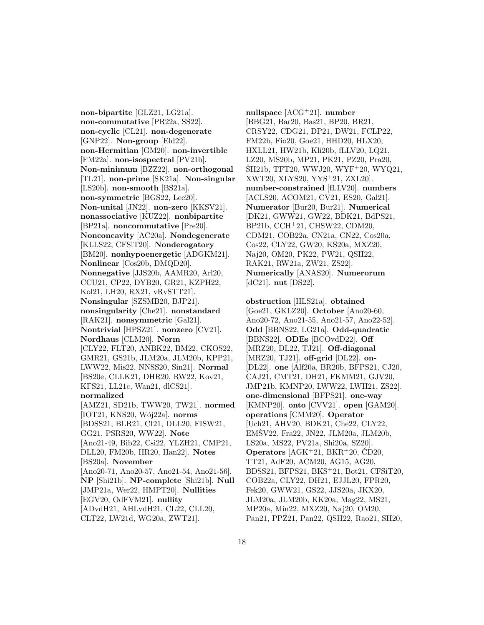**non-bipartite** [GLZ21, LG21a]. **non-commutative** [PR22a, SS22]. **non-cyclic** [CL21]. **non-degenerate** [GNP22]. **Non-group** [Eld22]. **non-Hermitian** [GM20]. **non-invertible** [FM22a]. **non-isospectral** [PV21b]. **Non-minimum** [BZZ22]. **non-orthogonal** [TL21]. **non-prime** [SK21a]. **Non-singular** [LS20b]. **non-smooth** [BS21a]. **non-symmetric** [BGS22, Lee20]. **Non-unital** [JN22]. **non-zero** [KKSV21]. **nonassociative** [KUZ22]. **nonbipartite** [BP21a]. **noncommutative** [Pre20]. **Nonconcavity** [AC20a]. **Nondegenerate** [KLLS22, CFSiT20]. **Nonderogatory** [BM20]. **nonhypoenergetic** [ADGKM21]. **Nonlinear** [Cos20b, DMQD20]. **Nonnegative** [JJS20b, AAMR20, Arl20, CCU21, CP22, DYB20, GR21, KZPH22, Kol21, LH20, RX21, vRvSTT21]. **Nonsingular** [SZSMB20, BJP21]. **nonsingularity** [Che21]. **nonstandard** [RAK21]. **nonsymmetric** [Gal21]. **Nontrivial** [HPSZ21]. **nonzero** [CV21]. **Nordhaus** [CLM20]. **Norm** [CLY22, FLT20, ANBK22, BM22, CKOS22, GMR21, GS21b, JLM20a, JLM20b, KPP21, LWW22, Mis22, NNSS20, Sin21]. **Normal** [BS20e, CLLK21, DHR20, RW22, Kov21, KFS21, LL21c, Wan21, dlCS21]. **normalized** [AMZ21, SD21b, TWW20, TW21]. **normed** [IOT21, KNS20, W´oj22a]. **norms** [BDSS21, BLR21, CI21, DLL20, FISW21, GG21, PSRS20, WW22]. **Note** [Ano21-49, Bib22, Csi22, YLZH21, CMP21, DLL20, FM20b, HR20, Han22]. **Notes** [BS20a]. **November** [Ano20-71, Ano20-57, Ano21-54, Ano21-56]. **NP** [Shi21b]. **NP-complete** [Shi21b]. **Null** [JMP21a, Wer22, HMPT20]. **Nullities** [EGV20, OdFVM21]. **nullity** [ADvdH21, AHLvdH21, CL22, CLL20, CLT22, LW21d, WG20a, ZWT21].

**nullspace** [ACG<sup>+</sup>21]. **number** [BBG21, Bar20, Bas21, BP20, BR21, CRSY22, CDG21, DP21, DW21, FCLP22, FM22b, Fio20, Goe21, HHD20, HLX20, HXLL21, HW21b, Kli20b, fLLV20, LQ21, LZ20, MS20b, MP21, PK21, PZ20, Pra20,  $\rm \check{S}H21b, TFT20, WWJ20, WYF^+20, WYQ21,$ XWT20, XLYS20, YYS<sup>+</sup>21, ZXL20]. **number-constrained** [fLLV20]. **numbers** [ACLS20, ACOM21, CV21, ES20, Gal21]. **Numerator** [Bur20, Bur21]. **Numerical** [DK21, GWW21, GW22, BDK21, BdPS21, BP21b, CCH<sup>+</sup>21, CHSW22, CDM20, CDM21, COB22a, CN21a, CN22, Cos20a, Cos22, CLY22, GW20, KS20a, MXZ20, Naj20, OM20, PK22, PW21, QSH22, RAK21, RW21a, ZW21, ZS22]. **Numerically** [ANAS20]. **Numerorum** [dC21]. **nut** [DS22].

**obstruction** [HLS21a]. **obtained** [Goe21, GKLZ20]. **October** [Ano20-60, Ano20-72, Ano21-55, Ano21-57, Ano22-52]. **Odd** [BBNS22, LG21a]. **Odd-quadratic** [BBNS22]. **ODEs** [BCOvdD22]. **Off** [MRZ20, DL22, TJ21]. **Off-diagonal** [MRZ20, TJ21]. **off-grid** [DL22]. **on-** [DL22]. **one** [Alf20a, BR20b, BFPS21, CJ20, CAJ21, CMT21, DH21, FKMM21, GJV20, JMP21b, KMNP20, LWW22, LWH21, ZS22]. **one-dimensional** [BFPS21]. **one-way** [KMNP20]. **onto** [CVV21]. **open** [GAM20]. **operations** [CMM20]. **Operator** [Uch21, AHV20, BDK21, Che22, CLY22, EMSV22, Fra22, JN22, JLM20a, JLM20b, LS20a, MS22, PV21a, Shi20a, SZ20]. **Operators** [AGK<sup>+</sup>21, BKR<sup>+</sup>20, CD20, ´ TT21, AdF20, ACM20, AG15, AG20, BDSS21, BFPS21, BKS<sup>+</sup>21, Bot21, CFSiT20, COB22a, CLY22, DH21, EJJL20, FPR20, Fek20, GWW21, GS22, JJS20a, JKX20, JLM20a, JLM20b, KK20a, Mag22, MS21, MP20a, Min22, MXZ20, Naj20, OM20, Pan21, PPZ21, Pan22, QSH22, Rao21, SH20,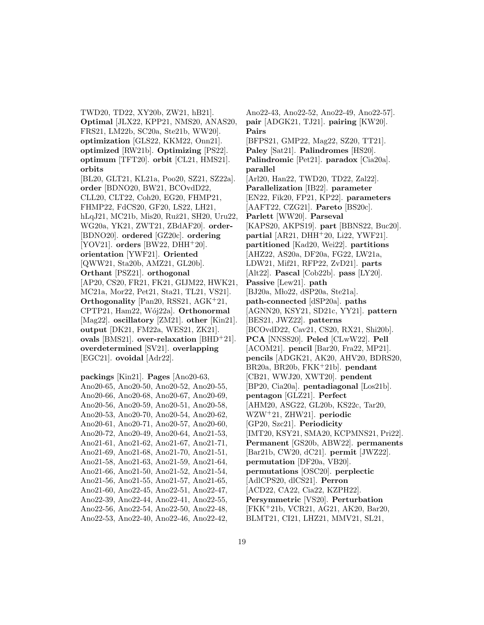TWD20, TD22, XY20b, ZW21, hB21]. **Optimal** [JLX22, KPP21, NMS20, ANAS20, FRS21, LM22b, SC20a, Ste21b, WW20]. **optimization** [GLS22, KKM22, Onn21]. **optimized** [RW21b]. **Optimizing** [PS22]. **optimum** [TFT20]. **orbit** [CL21, HMS21]. **orbits** [BL20, GLT21, KL21a, Poo20, SZ21, SZ22a]. **order** [BDNO20, BW21, BCOvdD22, CLL20, CLT22, Coh20, EG20, FHMP21, FHMP22, FdCS20, GF20, LS22, LH21, hLqJ21, MC21b, Mis20, Ruž21, SH20, Uru22, WG20a, YK21, ZWT21, ZBdAF20]. **order-** [BDNO20]. **ordered** [GZ20c]. **ordering** [YOV21]. **orders** [BW22, DHH<sup>+</sup>20]. **orientation** [YWF21]. **Oriented** [QWW21, Sta20b, AMZ21, GL20b]. **Orthant** [PSZ21]. **orthogonal** [AP20, CS20, FR21, FK21, GIJM22, HWK21, MC21a, Mor22, Pet21, Sta21, TL21, VS21]. **Orthogonality** [Pan20, RSS21, AGK<sup>+</sup>21, CPTP21, Ham22, W´oj22a]. **Orthonormal** [Mag22]. **oscillatory** [ZM21]. **other** [Kin21]. **output** [DK21, FM22a, WES21, ZK21]. **ovals** [BMS21]. **over-relaxation** [BHD<sup>+</sup>21]. **overdetermined** [SV21]. **overlapping** [EGC21]. **ovoidal** [Adr22].

**packings** [Kin21]. **Pages** [Ano20-63, Ano20-65, Ano20-50, Ano20-52, Ano20-55, Ano20-66, Ano20-68, Ano20-67, Ano20-69, Ano20-56, Ano20-59, Ano20-51, Ano20-58, Ano20-53, Ano20-70, Ano20-54, Ano20-62, Ano20-61, Ano20-71, Ano20-57, Ano20-60, Ano20-72, Ano20-49, Ano20-64, Ano21-53, Ano21-61, Ano21-62, Ano21-67, Ano21-71, Ano21-69, Ano21-68, Ano21-70, Ano21-51, Ano21-58, Ano21-63, Ano21-59, Ano21-64, Ano21-66, Ano21-50, Ano21-52, Ano21-54, Ano21-56, Ano21-55, Ano21-57, Ano21-65, Ano21-60, Ano22-45, Ano22-51, Ano22-47, Ano22-39, Ano22-44, Ano22-41, Ano22-55, Ano22-56, Ano22-54, Ano22-50, Ano22-48, Ano22-53, Ano22-40, Ano22-46, Ano22-42,

Ano22-43, Ano22-52, Ano22-49, Ano22-57]. **pair** [ADGK21, TJ21]. **pairing** [KW20]. **Pairs** [BFPS21, GMP22, Mag22, SZ20, TT21]. **Paley** [Sat21]. **Palindromes** [HS20]. **Palindromic** [Pet21]. **paradox** [Cia20a]. **parallel** [Arl20, Han22, TWD20, TD22, Zal22]. **Parallelization** [IB22]. **parameter** [EN22, Fik20, FP21, KP22]. **parameters** [AAFT22, CZG21]. **Pareto** [BS20c]. **Parlett** [WW20]. **Parseval** [KAPS20, AKPS19]. **part** [BBNS22, Buc20]. **partial** [AR21, DHH<sup>+</sup>20, Li22, YWF21]. **partitioned** [Kad20, Wei22]. **partitions** [AHZ22, AS20a, DF20a, FG22, LW21a, LDW21, Mif21, RFP22, ZvD21]. **parts** [Alt22]. **Pascal** [Cob22b]. **pass** [LY20]. **Passive** [Lew21]. **path** [BJ20a, Mło22, dSP20a, Ste21a]. **path-connected** [dSP20a]. **paths** [AGNN20, KSY21, SD21c, YY21]. **pattern** [BES21, JWZ22]. **patterns** [BCOvdD22, Cav21, CS20, RX21, Shi20b]. **PCA** [NNSS20]. **Peled** [CLwW22]. **Pell** [ACOM21]. **pencil** [Bar20, Fra22, MP21]. **pencils** [ADGK21, AK20, AHV20, BDRS20, BR20a, BR20b, FKK<sup>+</sup>21b]. **pendant** [CB21, WWJ20, XWT20]. **pendent** [BP20, Cia20a]. **pentadiagonal** [Los21b]. **pentagon** [GLZ21]. **Perfect** [AHM20, ASG22, GL20b, KS22c, Tar20, WZW<sup>+</sup>21, ZHW21]. **periodic** [GP20, Szc21]. **Periodicity** [IMT20, KSY21, SMA20, KCPMNS21, Pri22]. **Permanent** [GS20b, ABW22]. **permanents** [Bar21b, CW20, dC21]. **permit** [JWZ22]. **permutation** [DF20a, VB20]. **permutations** [OSC20]. **perplectic** [AdlCPS20, dlCS21]. **Perron** [ACD22, CA22, Cia22, KZPH22]. **Persymmetric** [VS20]. **Perturbation** [FKK<sup>+</sup>21b, VCR21, AG21, AK20, Bar20, BLMT21, CI21, LHZ21, MMV21, SL21,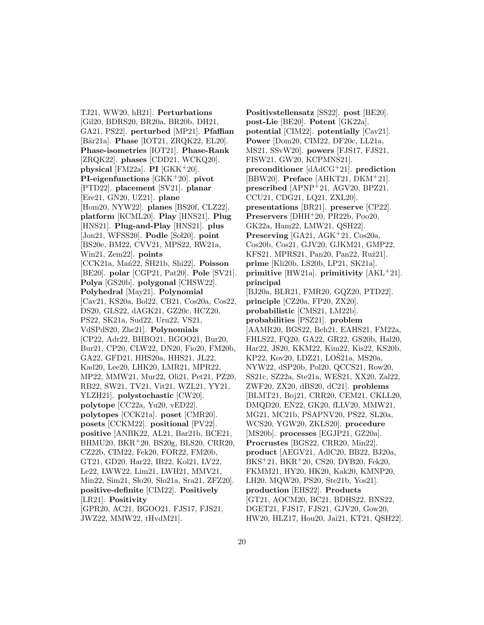TJ21, WW20, hB21]. **Perturbations** [Gil20, BDRS20, BR20a, BR20b, DH21, GA21, PS22]. **perturbed** [MP21]. **Pfaffian** [Bär21a]. **Phase** [IOT21, ZRQK22, EL20]. **Phase-isometries** [IOT21]. **Phase-Rank** [ZRQK22]. **phases** [CDD21, WCKQ20]. **physical** [FM22a]. **PI** [GKK<sup>+</sup>20]. **PI-eigenfunctions** [GKK<sup>+</sup>20]. **pivot** [PTD22]. **placement** [SV21]. **planar** [Ere21, GN20, UZ21]. **plane** [Hom20, NYW22]. **planes** [BS20f, CLZ22]. **platform** [KCML20]. **Play** [HNS21]. **Plug** [HNS21]. **Plug-and-Play** [HNS21]. **plus** [Jon21, WFSS20]. **Podle** [Sol20]. **point** [BS20e, BM22, CVV21, MPS22, RW21a, Win21, Zem22]. **points** [CCK21a, Man<sup>22</sup>, SH21b, Shi22]. **Poisson** [BE20]. **polar** [CGP21, Pat20]. **Pole** [SV21]. **Polya** [GS20b]. **polygonal** [CHSW22]. **Polyhedral** [May21]. **Polynomial** [Cav21, KS20a, Bol22, CB21, Cos20a, Cos22, DS20, GLS22, dAGK21, GZ20c, HCZ20, PS22, SK21a, Sud22, Uru22, VS21, VdSPdS20, Zhe21]. **Polynomials** [CP22, Adr22, BHBO21, BGOO21, Bur20, Bur21, CP20, CLW22, DN20, Fio20, FM20b, GA22, GFD21, HHS20a, HHS21, JL22, Kad20, Lee20, LHK20, LMR21, MPR22, MP22, MMW21, Mur22, Oli21, Pet21, PZ20, RB22, SW21, TV21, Vit21, WZL21, YY21, YLZH21]. **polystochastic** [CW20]. **polytope** [CC22a, Yu20, vED22]. **polytopes** [CCK21a]. **poset** [CMR20]. **posets** [CCKM22]. **positional** [PV22]. **positive** [ANBK22, AL21, Bar21b, BCE21, BHMU20, BKR<sup>+</sup>20, BS20g, BLS20, CRR20, CZ22b, CIM22, Fek20, FOR22, FM20b, GT21, GD20, Har22, IB22, Kol21, LV22, Le22, LWW22, Lim21, LWH21, MMV21, Min22, Sim21, Sło20, Sło21a, Sra21, ZFZ20]. **positive-definite** [CIM22]. **Positively** [LR21]. **Positivity** [GPR20, AC21, BGOO21, FJS17, FJS21, JWZ22, MMW22, tHvdM21].

**Positivstellensatz** [SS22]. **post** [BE20]. **post-Lie** [BE20]. **Potent** [GK22a]. **potential** [CIM22]. **potentially** [Cav21]. **Power** [Dom20, CIM22, DF20c, LL21a, MS21, SSvW20]. **powers** [FJS17, FJS21, FISW21, GW20, KCPMNS21]. **preconditioner** [dAdCG<sup>+</sup>21]. **prediction** [BBW20]. **Preface** [AHKT21, DKM<sup>+</sup>21]. **prescribed** [APNP<sup>+</sup>21, AGV20, BPZ21, CCU21, CDG21, LQ21, ZXL20]. **presentations** [BR21]. **preserve** [CP22]. **Preservers** [DHH<sup>+</sup>20, PR22b, Poo20, GK22a, Ham22, LMW21, QSH22]. **Preserving** [GA21, AGK<sup>+</sup>21, Cos20a, Cos20b, Cos21, GJV20, GJKM21, GMP22, KFS21, MPRS21, Pan20, Pan22, Ruž21. **prime** [Kli20b, LS20b, LP21, SK21a]. **primitive** [HW21a]. **primitivity** [AKL<sup>+</sup>21]. **principal** [BJ20a, BLR21, FMR20, GQZ20, PTD22]. **principle** [CZ20a, FP20, ZX20]. **probabilistic** [CMS21, LM22b]. **probabilities** [PSZ21]. **problem** [AAMR20, BGS22, Beh21, EAHS21, FM22a, FHLS22, FQ20, GA22, GR22, GS20b, Hal20, Har22, JS20, KKM22, Kim22, Kis22, KS20b, KP22, Kov20, LDZ21, LOS21a, MS20a, NYW22, dSP20b, Pol20, QCCS21, Row20, SS21c, SZ22a, Ste21a, WES21, XX20, Zal22, ZWF20, ZX20, dBS20, dC21]. **problems** [BLMT21, Boj21, CRR20, CEM21, CKLL20, DMQD20, EN22, GK20, fLLV20, MMW21, MG21, MC21b, PSAPNV20, PS22, SL20a, WCS20, YGW20, ZKLS20]. **procedure** [MS20b]. **processes** [EGJP21, GZ20a]. **Procrustes** [BGS22, CRR20, Min22]. **product** [AEGV21, AdlC20, BB22, BJ20a, BKS<sup>+</sup>21, BKR<sup>+</sup>20, CS20, DYB20, Fek20, FKMM21, HY20, HK20, Kak20, KMNP20, LH20, MQW20, PS20, Ste21b, Yos21]. **production** [EHS22]. **Products** [GT21, AOCM20, BC21, BDHS22, BNS22, DGET21, FJS17, FJS21, GJV20, Gow20, HW20, HLZ17, Hou20, Jai21, KT21, QSH22].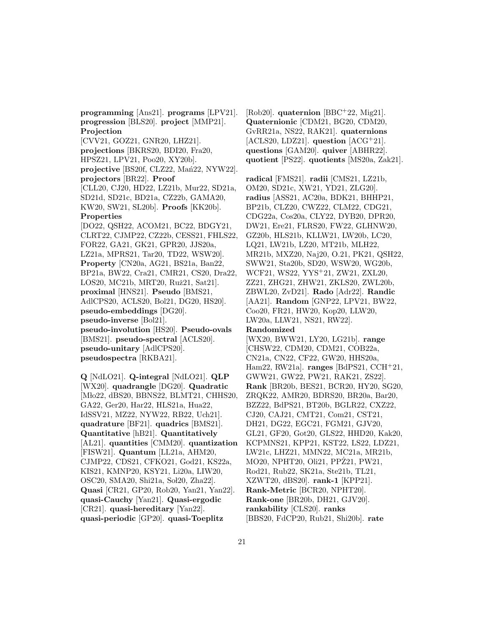**programming** [Ans21]. **programs** [LPV21]. **progression** [BLS20]. **project** [MMP21]. **Projection** [CVV21, GOZ21, GNR20, LHZ21]. **projections** [BKRS20, BDI20, Fra20, HPSZ21, LPV21, Poo20, XY20b]. projective [BS20f, CLZ22, Man<sup>22</sup>, NYW22]. **projectors** [BR22]. **Proof** [CLL20, CJ20, HD22, LZ21b, Mur22, SD21a, SD21d, SD21c, BD21a, CZ22b, GAMA20, KW20, SW21, SL20b]. **Proofs** [KK20b]. **Properties** [DO22, QSH22, ACOM21, BC22, BDGY21, CLRT22, CJMP22, CZ22b, CESS21, FHLS22,

FOR22, GA21, GK21, GPR20, JJS20a, LZ21a, MPRS21, Tar20, TD22, WSW20]. **Property** [CN20a, AG21, BS21a, Ban22, BP21a, BW22, Cra21, CMR21, CS20, Dra22, LOS20, MC21b, MRT20, Ruž21, Sat21]. **proximal** [HNS21]. **Pseudo** [BMS21, AdlCPS20, ACLS20, Bol21, DG20, HS20]. **pseudo-embeddings** [DG20]. **pseudo-inverse** [Bol21]. **pseudo-involution** [HS20]. **Pseudo-ovals** [BMS21]. **pseudo-spectral** [ACLS20]. **pseudo-unitary** [AdlCPS20]. **pseudospectra** [RKBA21].

**Q** [NdLO21]. **Q-integral** [NdLO21]. **QLP** [WX20]. **quadrangle** [DG20]. **Quadratic** [Mło22, dBS20, BBNS22, BLMT21, CHHS20, GA22, Ger20, Har22, HLS21a, Hua22, IdSSV21, MZ22, NYW22, RB22, Uch21]. **quadrature** [BF21]. **quadrics** [BMS21]. **Quantitative** [hB21]. **Quantitatively** [AL21]. **quantities** [CMM20]. **quantization** [FISW21]. **Quantum** [LL21a, AHM20, CJMP22, CDS21, CFKO21, God21, KS22a, KIS21, KMNP20, KSY21, Li20a, LIW20, OSC20, SMA20, Shi21a, Sol20, Zha22]. **Quasi** [CR21, GP20, Rob20, Yan21, Yan22]. **quasi-Cauchy** [Yan21]. **Quasi-ergodic** [CR21]. **quasi-hereditary** [Yan22]. **quasi-periodic** [GP20]. **quasi-Toeplitz**

[Rob20]. **quaternion** [BBC<sup>+</sup>22, Mig21]. **Quaternionic** [CDM21, BG20, CDM20, GvRR21a, NS22, RAK21]. **quaternions** [ACLS20, LDZ21]. **question** [ACG<sup>+</sup>21]. **questions** [GAM20]. **quiver** [ABHR22]. **quotient** [PS22]. **quotients** [MS20a, Zak21].

**radical** [FMS21]. **radii** [CMS21, LZ21b, OM20, SD21c, XW21, YD21, ZLG20]. **radius** [ASS21, AC20a, BDK21, BHHP21, BP21b, CLZ20, CWZ22, CLM22, CDG21, CDG22a, Cos20a, CLY22, DYB20, DPR20, DW21, Ere21, FLRS20, FW22, GLHNW20, GZ20b, HLS21b, KLLW21, LW20b, LC20, LQ21, LW21b, LZ20, MT21b, MLH22, MR21b, MXZ20, Naj20, O.21, PK21, QSH22, SWW21, Sta20b, SD20, WSW20, WG20b, WCF21, WS22, YYS<sup>+</sup>21, ZW21, ZXL20, ZZ21, ZHG21, ZHW21, ZKLS20, ZWL20b, ZBWL20, ZvD21]. **Rado** [Adr22]. **Randic** [AA21]. **Random** [GNP22, LPV21, BW22, Coo20, FR21, HW20, Kop20, LLW20, LW20a, LLW21, NS21, RW22].

#### **Randomized**

[WX20, BWW21, LY20, LG21b]. **range** [CHSW22, CDM20, CDM21, COB22a, CN21a, CN22, CF22, GW20, HHS20a, Ham22, RW21a]. **ranges** [BdPS21, CCH<sup>+</sup>21, GWW21, GW22, PW21, RAK21, ZS22]. **Rank** [BR20b, BES21, BCR20, HY20, SG20, ZRQK22, AMR20, BDRS20, BR20a, Bar20, BZZ22, BdPS21, BT20b, BGLR22, CXZ22, CJ20, CAJ21, CMT21, Com21, CST21, DH21, DG22, EGC21, FGM21, GJV20, GL21, GF20, Got20, GLS22, HHD20, Kak20, KCPMNS21, KPP21, KST22, LS22, LDZ21, LW21c, LHZ21, MMN22, MC21a, MR21b, MO20, NPHT20, Oli21, PPZ21, PW21, Rod21, Rub22, SK21a, Ste21b, TL21, XZWT20, dBS20]. **rank-1** [KPP21]. **Rank-Metric** [BCR20, NPHT20]. **Rank-one** [BR20b, DH21, GJV20]. **rankability** [CLS20]. **ranks** [BBS20, FdCP20, Rub21, Shi20b]. **rate**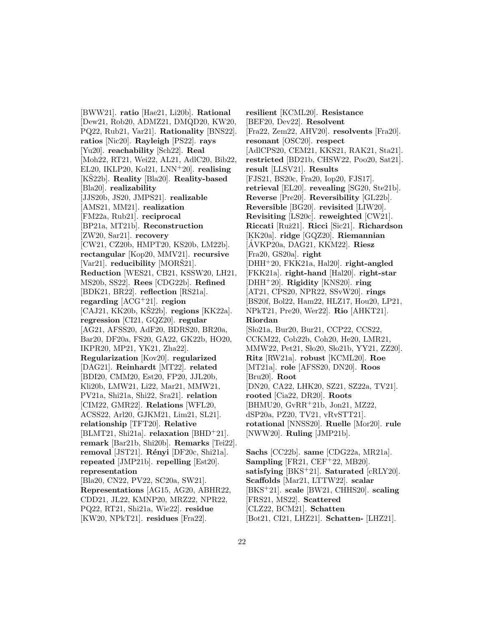[BWW21]. **ratio** [Hae21, Li20b]. **Rational** [Dew21, Rob20, ADMZ21, DMQD20, KW20, PQ22, Rub21, Var21]. **Rationality** [BNS22]. **ratios** [Nic20]. **Rayleigh** [PS22]. **rays** [Yu20]. **reachability** [Sch22]. **Real** [Moh22, RT21, Wei22, AL21, AdlC20, Bib22, EL20, IKLP20, Kol21, LNN<sup>+</sup>20]. **realising** [KŠ22b]. **Reality** [Bla20]. **Reality-based** [Bla20]. **realizability** [JJS20b, JS20, JMPS21]. **realizable** [AMS21, MM21]. **realization** [FM22a, Rub21]. **reciprocal** [BP21a, MT21b]. **Reconstruction** [ZW20, Sar21]. **recovery** [CW21, CZ20b, HMPT20, KS20b, LM22b]. **rectangular** [Kop20, MMV21]. **recursive** [Var21]. **reducibility** [MORS21]. **Reduction** [WES21, CB21, KSSW20, LH21, MS20b, SS22]. **Rees** [CDG22b]. **Refined** [BDK21, BR22]. **reflection** [RS21a]. **regarding** [ACG<sup>+</sup>21]. **region** [CAJ21, KK20b, KS22b]. **regions** [KK22a]. **regression** [CI21, GQZ20]. **regular** [AG21, AFSS20, AdF20, BDRS20, BR20a, Bar20, DF20a, FS20, GA22, GK22b, HO20, IKPR20, MP21, YK21, Zha22]. **Regularization** [Kov20]. **regularized** [DAG21]. **Reinhardt** [MT22]. **related** [BDI20, CMM20, Est20, FP20, JJL20b, Kli20b, LMW21, Li22, Mar21, MMW21, PV21a, Shi21a, Shi22, Sra21]. **relation** [CIM22, GMR22]. **Relations** [WFL20, ACSS22, Arl20, GJKM21, Lim21, SL21]. **relationship** [TFT20]. **Relative** [BLMT21, Shi21a]. **relaxation** [BHD<sup>+</sup>21]. **remark** [Bar21b, Shi20b]. **Remarks** [Tei22]. **removal** [JST21]. **Rényi** [DF20c, Shi21a]. **repeated** [JMP21b]. **repelling** [Est20]. **representation** [Bla20, CN22, PV22, SC20a, SW21]. **Representations** [AG15, AG20, ABHR22, CDD21, JL22, KMNP20, MRZ22, NPR22, PQ22, RT21, Shi21a, Wie22]. **residue** [KW20, NPkT21]. **residues** [Fra22].

**resilient** [KCML20]. **Resistance** [BEF20, Dev22]. **Resolvent** [Fra22, Zem22, AHV20]. **resolvents** [Fra20]. **resonant** [OSC20]. **respect** [AdlCPS20, CEM21, KKS21, RAK21, Sta21]. **restricted** [BD21b, CHSW22, Poo20, Sat21]. **result** [LLSV21]. **Results** [FJS21, BS20c, Fra20, Iop20, FJS17]. **retrieval** [EL20]. **revealing** [SG20, Ste21b]. **Reverse** [Pre20]. **Reversibility** [GL22b]. **Reversible** [BG20]. **revisited** [LIW20]. **Revisiting** [LS20c]. **reweighted** [CW21]. **Riccati** [Ruˇz21]. **Ricci** [Sic21]. **Richardson** [KK20a]. **ridge** [GQZ20]. **Riemannian** [AVKP20a, DAG21, KKM22]. ´ **Riesz** [Fra20, GS20a]. **right** [DHH<sup>+</sup>20, FKK21a, Hal20]. **right-angled** [FKK21a]. **right-hand** [Hal20]. **right-star** [DHH<sup>+</sup>20]. **Rigidity** [KNS20]. **ring** [AT21, CPS20, NPR22, SSvW20]. **rings** [BS20f, Bol22, Ham22, HLZ17, Hou20, LP21, NPkT21, Pre20, Wer22]. **Rio** [AHKT21]. **Riordan** [Sło21a, Bur20, Bur21, CCP22, CCS22, CCKM22, Cob22b, Coh20, He20, LMR21, MMW22, Pet21, Sło20, Sło21b, YY21, ZZ20]. **Ritz** [RW21a]. **robust** [KCML20]. **Roe** [MT21a]. **role** [AFSS20, DN20]. **Roos** [Bru20]. **Root** [DN20, CA22, LHK20, SZ21, SZ22a, TV21]. **rooted** [Cia22, DR20]. **Roots** [BHMU20, GvRR<sup>+</sup>21b, Jon21, MZ22, dSP20a, PZ20, TV21, vRvSTT21]. **rotational** [NNSS20]. **Ruelle** [Mor20]. **rule** [NWW20]. **Ruling** [JMP21b].

**Sachs** [CC22b]. **same** [CDG22a, MR21a]. **Sampling** [FR21, CEF<sup>+</sup>22, MB20]. **satisfying** [BKS<sup>+</sup>21]. **Saturated** [cRLY20]. **Scaffolds** [Mar21, LTTW22]. **scalar** [BKS<sup>+</sup>21]. **scale** [BW21, CHHS20]. **scaling** [FRS21, MS22]. **Scattered** [CLZ22, BCM21]. **Schatten** [Bot21, CI21, LHZ21]. **Schatten-** [LHZ21].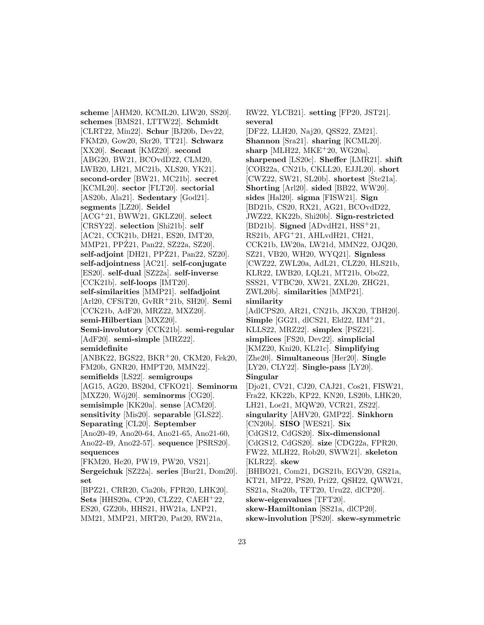**scheme** [AHM20, KCML20, LIW20, SS20]. **schemes** [BMS21, LTTW22]. **Schmidt** [CLRT22, Min22]. **Schur** [BJ20b, Dev22, FKM20, Gow20, Skr20, TT21]. **Schwarz** [XX20]. **Secant** [KMZ20]. **second** [ABG20, BW21, BCOvdD22, CLM20, LWB20, LH21, MC21b, XLS20, YK21]. **second-order** [BW21, MC21b]. **secret** [KCML20]. **sector** [FLT20]. **sectorial** [AS20b, Ala21]. **Sedentary** [God21]. **segments** [LZ20]. **Seidel** [ACG<sup>+</sup>21, BWW21, GKLZ20]. **select** [CRSY22]. **selection** [Shi21b]. **self** [AC21, CCK21b, DH21, ES20, IMT20, MMP21, PPZ21, Pan22, SZ22a, SZ20]. **self-adjoint** [DH21, PPZ21, Pan22, SZ20]. **self-adjointness** [AC21]. **self-conjugate** [ES20]. **self-dual** [SZ22a]. **self-inverse** [CCK21b]. **self-loops** [IMT20]. **self-similarities** [MMP21]. **selfadjoint** [Arl20, CFSiT20, GvRR<sup>+</sup>21b, SH20]. **Semi** [CCK21b, AdF20, MRZ22, MXZ20]. **semi-Hilbertian** [MXZ20]. **Semi-involutory** [CCK21b]. **semi-regular** [AdF20]. **semi-simple** [MRZ22]. **semidefinite** [ANBK22, BGS22, BKR<sup>+</sup>20, CKM20, Fek20, FM20b, GNR20, HMPT20, MMN22]. **semifields** [LS22]. **semigroups** [AG15, AG20, BS20d, CFKO21]. **Seminorm** [MXZ20, Wój20]. **seminorms** [CG20]. **semisimple** [KK20a]. **sense** [ACM20]. **sensitivity** [Mis20]. **separable** [GLS22]. **Separating** [CL20]. **September** [Ano20-49, Ano20-64, Ano21-65, Ano21-60, Ano22-49, Ano22-57]. **sequence** [PSRS20]. **sequences** [FKM20, He20, PW19, PW20, VS21]. **Sergeichuk** [SZ22a]. **series** [Bur21, Dom20]. **set** [BPZ21, CRR20, Cia20b, FPR20, LHK20]. **Sets** [HHS20a, CP20, CLZ22, CAEH<sup>+</sup>22, ES20, GZ20b, HHS21, HW21a, LNP21, MM21, MMP21, MRT20, Pat20, RW21a,

RW22, YLCB21]. **setting** [FP20, JST21]. **several** [DF22, LLH20, Naj20, QSS22, ZM21]. **Shannon** [Sra21]. **sharing** [KCML20]. **sharp** [MLH22, MKE<sup>+</sup>20, WG20a]. **sharpened** [LS20c]. **Sheffer** [LMR21]. **shift** [COB22a, CN21b, CKLL20, EJJL20]. **short** [CWZ22, SW21, SL20b]. **shortest** [Ste21a]. **Shorting** [Arl20]. **sided** [BB22, WW20]. **sides** [Hal20]. **sigma** [FISW21]. **Sign** [BD21b, CS20, RX21, AG21, BCOvdD22, JWZ22, KK22b, Shi20b]. **Sign-restricted** [BD21b]. **Signed** [ADvdH21, HSS<sup>+</sup>21, RS21b, AFG<sup>+</sup>21, AHLvdH21, CH21, CCK21b, LW20a, LW21d, MMN22, OJQ20, SZ21, VB20, WH20, WYQ21]. **Signless** [CWZ22, ZWL20a, AdL21, CLZ20, HLS21b, KLR22, LWB20, LQL21, MT21b, Obo22, SSS21, VTBC20, XW21, ZXL20, ZHG21, ZWL20b]. **similarities** [MMP21]. **similarity** [AdlCPS20, AR21, CN21b, JKX20, TBH20]. **Simple** [GG21, dlCS21, Eld22, IIM<sup>+</sup>21, KLLS22, MRZ22]. **simplex** [PSZ21]. **simplices** [FS20, Dev22]. **simplicial** [KMZ20, Kni20, KL21c]. **Simplifying** [Zhe20]. **Simultaneous** [Her20]. **Single** [LY20, CLY22]. **Single-pass** [LY20]. **Singular** [Djo21, CV21, CJ20, CAJ21, Cos21, FISW21, Fra22, KK22b, KP22, KN20, LS20b, LHK20, LH21, Loe21, MQW20, VCR21, ZS22]. **singularity** [AHV20, GMP22]. **Sinkhorn** [CN20b]. **SISO** [WES21]. **Six** [CdGS12, CdGS20]. **Six-dimensional** [CdGS12, CdGS20]. **size** [CDG22a, FPR20, FW22, MLH22, Rob20, SWW21]. **skeleton** [KLR22]. **skew** [BHBO21, Com21, DGS21b, EGV20, GS21a, KT21, MP22, PS20, Pri22, QSH22, QWW21, SS21a, Sta20b, TFT20, Uru22, dlCP20]. **skew-eigenvalues** [TFT20]. **skew-Hamiltonian** [SS21a, dlCP20]. **skew-involution** [PS20]. **skew-symmetric**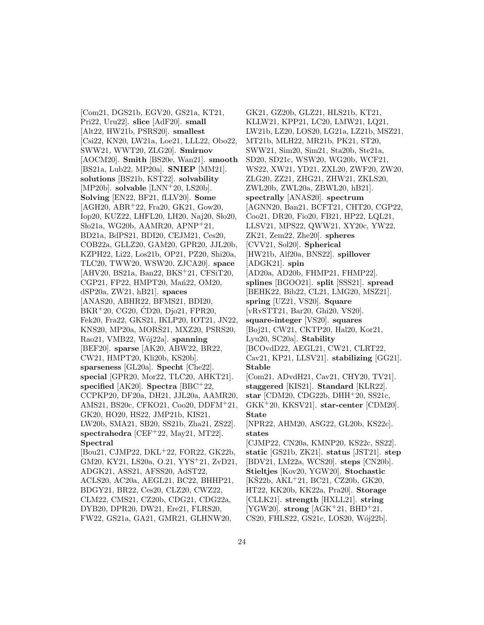[Com21, DGS21b, EGV20, GS21a, KT21, Pri22, Uru22]. **slice** [AdF20]. **small** [Alt22, HW21b, PSRS20]. **smallest** [Csi22, KN20, LW21a, Loe21, LLL22, Obo22, SWW21, WWT20, ZLG20]. **Smirnov** [AOCM20]. **Smith** [BS20e, Wan21]. **smooth** [BS21a, Lub22, MP20a]. **SNIEP** [MM21]. **solutions** [BS21b, KST22]. **solvability** [MP20b]. **solvable** [LNN<sup>+</sup>20, LS20b]. **Solving** [EN22, BF21, fLLV20]. **Some** [AGH20, ABR<sup>+</sup>22, Fra20, GK21, Gow20, Iop20, KUZ22, LHFL20, LH20, Naj20, Sło20, Sło21a, WG20b, AAMR20, APNP+21, BD21a, BdPS21, BDI20, CEJM21, Ces20, COB22a, GLLZ20, GAM20, GPR20, JJL20b, KZPH22, Li22, Los21b, OP21, PZ20, Shi20a, TLC20, TWW20, WSW20, ZJCA20]. **space** [AHV20, BS21a, Ban22, BKS<sup>+</sup>21, CFSiT20, CGP21, FP22, HMPT20, Man22, OM20, dSP20a, ZW21, hB21]. **spaces** [ANAS20, ABHR22, BFMS21, BDI20,  $BKR+20, CG20, CD20, Dj<sub>0</sub>21, FPR20,$ Fek20, Fra22, GKS21, IKLP20, IOT21, JN22, KNS20, MP20a, MORŠ21, MXZ20, PSRS20, Rao21, VMB22, W´oj22a]. **spanning** [BEF20]. **sparse** [AK20, ABW22, BR22, CW21, HMPT20, Kli20b, KS20b]. **sparseness** [GL20a]. **Specht** [Che22]. **special** [GPR20, Mor22, TLC20, AHKT21]. **specified** [AK20]. **Spectra** [BBC<sup>+</sup>22, CCPKP20, DF20a, DH21, JJL20a, AAMR20, AMS21, BS20c, CFKO21, Coo20, DDFM<sup>+</sup>21, GK20, HO20, HS22, JMP21b, KIS21, LW20b, SMA21, SB20, SS21b, Zha21, ZS22]. **spectrahedra** [CEF<sup>+</sup>22, May21, MT22]. **Spectral** [Bou21, CJMP22, DKL<sup>+</sup>22, FOR22, GK22b, GM20, KY21, LS20a, O.21, YYS<sup>+</sup>21, ZvD21, ADGK21, ASS21, AFSS20, AdST22, ACLS20, AC20a, AEGL21, BC22, BHHP21, BDGY21, BR22, Ces20, CLZ20, CWZ22, CLM22, CMS21, CZ20b, CDG21, CDG22a, DYB20, DPR20, DW21, Ere21, FLRS20, FW22, GS21a, GA21, GMR21, GLHNW20,

GK21, GZ20b, GLZ21, HLS21b, KT21, KLLW21, KPP21, LC20, LMW21, LQ21, LW21b, LZ20, LOS20, LG21a, LZ21b, MSZ21, MT21b, MLH22, MR21b, PK21, ST20, SWW21, Sim20, Sim21, Sta20b, Ste21a, SD20, SD21c, WSW20, WG20b, WCF21, WS22, XW21, YD21, ZXL20, ZWF20, ZW20, ZLG20, ZZ21, ZHG21, ZHW21, ZKLS20, ZWL20b, ZWL20a, ZBWL20, hB21]. **spectrally** [ANAS20]. **spectrum** [AGNN20, Ban21, BCFT21, CHT20, CGP22, Coo21, DR20, Fio20, FB21, HP22, LQL21, LLSV21, MPS22, QWW21, XY20c, YW22, ZK21, Zem22, Zhe20]. **spheres** [CVV21, Sol20]. **Spherical** [HW21b, Alf20a, BNS22]. **spillover** [ADGK21]. **spin** [AD20a, AD20b, FHMP21, FHMP22]. **splines** [BGOO21]. **split** [SSS21]. **spread** [BEHK22, Bib22, CL21, LMG20, MSZ21]. **spring** [UZ21, VS20]. **Square** [vRvSTT21, Bar20, Ghi20, VS20]. **square-integer** [VS20]. **squares** [Boj21, CW21, CKTP20, Hal20, Kor21, Lyu20, SC20a]. **Stability** [BCOvdD22, AEGL21, CW21, CLRT22, Cav21, KP21, LLSV21]. **stabilizing** [GG21]. **Stable** [Com21, ADvdH21, Cav21, CHY20, TV21]. **staggered** [KIS21]. **Standard** [KLR22]. **star** [CDM20, CDG22b, DHH<sup>+</sup>20, SS21c, GKK<sup>+</sup>20, KKSV21]. **star-center** [CDM20]. **State** [NPR22, AHM20, ASG22, GL20b, KS22c]. **states** [CJMP22, CN20a, KMNP20, KS22c, SS22]. **static** [GS21b, ZK21]. **status** [JST21]. **step** [BDV21, LM22a, WCS20]. **steps** [CN20b]. **Stieltjes** [Kov20, YGW20]. **Stochastic**  $[K\&22b, AKL+21, BC21, CZ20b, GK20,$ HT22, KK20b, KK22a, Pra20]. **Storage** [CLLK21]. **strength** [HXLL21]. **string**  $[YGW20]$ . **strong**  $[AGK^+21, BHD^+21,$ CS20, FHLS22, GS21c, LOS20, Wój22b].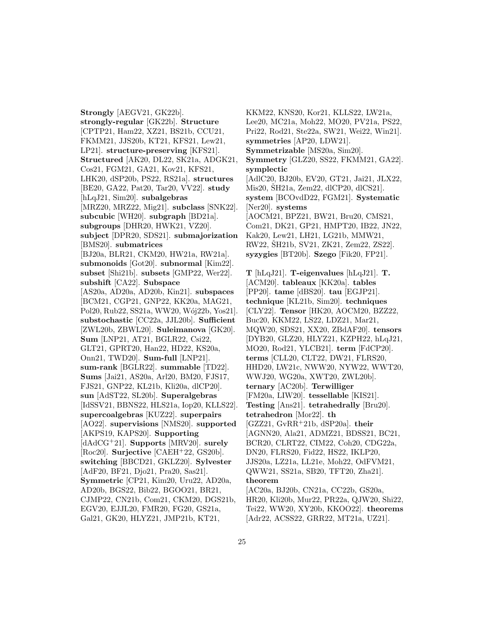**Strongly** [AEGV21, GK22b]. **strongly-regular** [GK22b]. **Structure** [CPTP21, Ham22, XZ21, BS21b, CCU21, FKMM21, JJS20b, KT21, KFS21, Lew21, LP21]. **structure-preserving** [KFS21]. **Structured** [AK20, DL22, SK21a, ADGK21, Cos21, FGM21, GA21, Kov21, KFS21, LHK20, dSP20b, PS22, RS21a]. **structures** [BE20, GA22, Pat20, Tar20, VV22]. **study** [hLqJ21, Sim20]. **subalgebras** [MRZ20, MRZ22, Mig21]. **subclass** [SNK22]. **subcubic** [WH20]. **subgraph** [BD21a]. **subgroups** [DHR20, HWK21, VZ20]. **subject** [DPR20, SDS21]. **submajorization** [BMS20]. **submatrices** [BJ20a, BLR21, CKM20, HW21a, RW21a]. **submonoids** [Got20]. **subnormal** [Kim22]. **subset** [Shi21b]. **subsets** [GMP22, Wer22]. **subshift** [CA22]. **Subspace** [AS20a, AD20a, AD20b, Kin21]. **subspaces** [BCM21, CGP21, GNP22, KK20a, MAG21, Pol20, Rub22, SS21a, WW20, Wój22b, Yos21]. **substochastic** [CC22a, JJL20b]. **Sufficient** [ZWL20b, ZBWL20]. **Suleimanova** [GK20]. **Sum** [LNP21, AT21, BGLR22, Csi22, GLT21, GPRT20, Han22, HD22, KS20a, Onn21, TWD20]. **Sum-full** [LNP21]. **sum-rank** [BGLR22]. **summable** [TD22]. **Sums** [Jai21, AS20a, Arl20, BM20, FJS17, FJS21, GNP22, KL21b, Kli20a, dlCP20]. **sun** [AdST22, SL20b]. **Superalgebras** [IdSSV21, BBNS22, HLS21a, Iop20, KLLS22]. **supercoalgebras** [KUZ22]. **superpairs** [AO22]. **supervisions** [NMS20]. **supported** [AKPS19, KAPS20]. **Supporting** [dAdCG<sup>+</sup>21]. **Supports** [MRV20]. **surely** [Roc20]. **Surjective** [CAEH<sup>+</sup>22, GS20b]. **switching** [BBCD21, GKLZ20]. **Sylvester** [AdF20, BF21, Djo21, Pra20, Sas21]. **Symmetric** [CP21, Kim20, Uru22, AD20a, AD20b, BGS22, Bib22, BGOO21, BR21, CJMP22, CN21b, Com21, CKM20, DGS21b, EGV20, EJJL20, FMR20, FG20, GS21a, Gal21, GK20, HLYZ21, JMP21b, KT21,

KKM22, KNS20, Kor21, KLLS22, LW21a, Lee20, MC21a, Moh22, MO20, PV21a, PS22, Pri22, Rod21, Ste22a, SW21, Wei22, Win21]. **symmetries** [AP20, LDW21]. **Symmetrizable** [MS20a, Sim20]. **Symmetry** [GLZ20, SS22, FKMM21, GA22]. **symplectic** [AdlC20, BJ20b, EV20, GT21, Jai21, JLX22, Mis20,  $\text{\r{S}H21a}$ , Zem22, dlCP20, dlCS21. **system** [BCOvdD22, FGM21]. **Systematic** [Ner20]. **systems** [AOCM21, BPZ21, BW21, Bru20, CMS21, Com21, DK21, GP21, HMPT20, IB22, JN22, Kak20, Lew21, LH21, LG21b, MMW21, RW22, ŠH21b, SV21, ZK21, Zem22, ZS22]. **syzygies** [BT20b]. **Szego** [Fik20, FP21].

**T** [hLqJ21]. **T-eigenvalues** [hLqJ21]. **T.** [ACM20]. **tableaux** [KK20a]. **tables** [PP20]. **tame** [dBS20]. **tau** [EGJP21]. **technique** [KL21b, Sim20]. **techniques** [CLY22]. **Tensor** [HK20, AOCM20, BZZ22, Buc20, KKM22, LS22, LDZ21, Mar21, MQW20, SDS21, XX20, ZBdAF20]. **tensors** [DYB20, GLZ20, HLYZ21, KZPH22, hLqJ21, MO20, Rod21, YLCB21]. **term** [FdCP20]. **terms** [CLL20, CLT22, DW21, FLRS20, HHD20, LW21c, NWW20, NYW22, WWT20, WWJ20, WG20a, XWT20, ZWL20b]. **ternary** [AC20b]. **Terwilliger** [FM20a, LIW20]. **tessellable** [KIS21]. **Testing** [Ans21]. **tetrahedrally** [Bru20]. **tetrahedron** [Mor22]. **th** [GZZ21, GvRR<sup>+</sup>21b, dSP20a]. **their** [AGNN20, Ala21, ADMZ21, BDSS21, BC21, BCR20, CLRT22, CIM22, Coh20, CDG22a, DN20, FLRS20, Fid22, HS22, IKLP20, JJS20a, LZ21a, LL21e, Moh22, OdFVM21, QWW21, SS21a, SB20, TFT20, Zha21]. **theorem** [AC20a, BJ20b, CN21a, CC22b, GS20a, HR20, Kli20b, Mur22, PR22a, QJW20, Shi22, Tei22, WW20, XY20b, KKOO22]. **theorems** [Adr22, ACSS22, GRR22, MT21a, UZ21].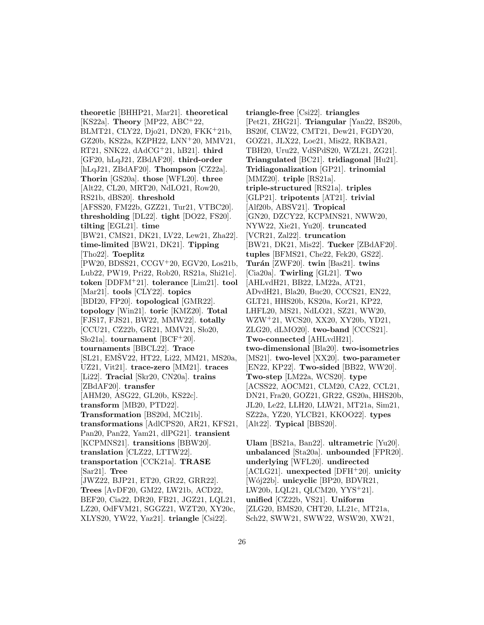**theoretic** [BHHP21, Mar21]. **theoretical** [KS22a]. **Theory** [MP22, ABC<sup>+</sup>22, BLMT21, CLY22, Djo21, DN20, FKK<sup>+</sup>21b, GZ20b, KS22a, KZPH22, LNN<sup>+</sup>20, MMV21, RT21, SNK22, dAdCG<sup>+</sup>21, hB21]. **third** [GF20, hLqJ21, ZBdAF20]. **third-order** [hLqJ21, ZBdAF20]. **Thompson** [CZ22a]. **Thorin** [GS20a]. **those** [WFL20]. **three** [Alt22, CL20, MRT20, NdLO21, Row20, RS21b, dBS20]. **threshold** [AFSS20, FM22b, GZZ21, Tur21, VTBC20]. **thresholding** [DL22]. **tight** [DO22, FS20]. **tilting** [EGL21]. **time** [BW21, CMS21, DK21, LV22, Lew21, Zha22]. **time-limited** [BW21, DK21]. **Tipping** [Tho22]. **Toeplitz** [PW20, BDSS21, CCGV<sup>+</sup>20, EGV20, Los21b, Lub22, PW19, Pri22, Rob20, RS21a, Shi21c]. **token** [DDFM<sup>+</sup>21]. **tolerance** [Lim21]. **tool** [Mar21]. **tools** [CLY22]. **topics** [BDI20, FP20]. **topological** [GMR22]. **topology** [Win21]. **toric** [KMZ20]. **Total** [FJS17, FJS21, BW22, MMW22]. **totally** [CCU21, CZ22b, GR21, MMV21, Sło20, Sho<sub>21a</sub>, **tournament** [BCF<sup>+</sup>20]. **tournaments** [BBCL22]. **Trace**  $[SL21, EM\dot{S}V22, HT22, Li22, MM21, MS20a,$ UZ21, Vit21]. **trace-zero** [MM21]. **traces** [Li22]. **Tracial** [Skr20, CN20a]. **trains** [ZBdAF20]. **transfer** [AHM20, ASG22, GL20b, KS22c]. **transform** [MB20, PTD22]. **Transformation** [BS20d, MC21b]. **transformations** [AdlCPS20, AR21, KFS21, Pan20, Pan22, Yam21, dlPG21]. **transient** [KCPMNS21]. **transitions** [BBW20]. **translation** [CLZ22, LTTW22]. **transportation** [CCK21a]. **TRASE** [Sar21]. **Tree** [JWZ22, BJP21, ET20, GR22, GRR22]. **Trees** [AvDF20, GM22, LW21b, ACD22, BEF20, Cia22, DR20, FB21, JGZ21, LQL21, LZ20, OdFVM21, SGGZ21, WZT20, XY20c, XLYS20, YW22, Yaz21]. **triangle** [Csi22].

**triangle-free** [Csi22]. **triangles** [Pet21, ZHG21]. **Triangular** [Yan22, BS20b, BS20f, CLW22, CMT21, Dew21, FGDY20, GOZ21, JLX22, Loe21, Mis22, RKBA21, TBH20, Uru22, VdSPdS20, WZL21, ZG21]. **Triangulated** [BC21]. **tridiagonal** [Hu21]. **Tridiagonalization** [GP21]. **trinomial** [MMZ20]. **triple** [RS21a]. **triple-structured** [RS21a]. **triples** [GLP21]. **tripotents** [AT21]. **trivial** [Alf20b, ABSV21]. **Tropical** [GN20, DZCY22, KCPMNS21, NWW20, NYW22, Xie21, Yu20]. **truncated** [VCR21, Zal22]. **truncation** [BW21, DK21, Mis22]. **Tucker** [ZBdAF20]. **tuples** [BFMS21, Che22, Fek20, GS22]. **Tur´an** [ZWF20]. **twin** [Bas21]. **twins** [Cia20a]. **Twirling** [GL21]. **Two** [AHLvdH21, BB22, LM22a, AT21, ADvdH21, Bla20, Buc20, CCCS21, EN22, GLT21, HHS20b, KS20a, Kor21, KP22, LHFL20, MS21, NdLO21, SZ21, WW20, WZW<sup>+</sup>21, WCS20, XX20, XY20b, YD21, ZLG20, dLMO20]. **two-band** [CCCS21]. **Two-connected** [AHLvdH21]. **two-dimensional** [Bla20]. **two-isometries** [MS21]. **two-level** [XX20]. **two-parameter** [EN22, KP22]. **Two-sided** [BB22, WW20]. **Two-step** [LM22a, WCS20]. **type** [ACSS22, AOCM21, CLM20, CA22, CCL21, DN21, Fra20, GOZ21, GR22, GS20a, HHS20b, JL20, Le22, LLH20, LLW21, MT21a, Sim21, SZ22a, YZ20, YLCB21, KKOO22]. **types** [Alt22]. **Typical** [BBS20].

**Ulam** [BS21a, Ban22]. **ultrametric** [Yu20]. **unbalanced** [Sta20a]. **unbounded** [FPR20]. **underlying** [WFL20]. **undirected** [ACLG21]. **unexpected** [DFH<sup>+</sup>20]. **unicity** [W´oj22b]. **unicyclic** [BP20, BDVR21, LW20b, LQL21, QLCM20, YYS<sup>+</sup>21]. **unified** [CZ22b, VS21]. **Uniform** [ZLG20, BMS20, CHT20, LL21c, MT21a, Sch22, SWW21, SWW22, WSW20, XW21,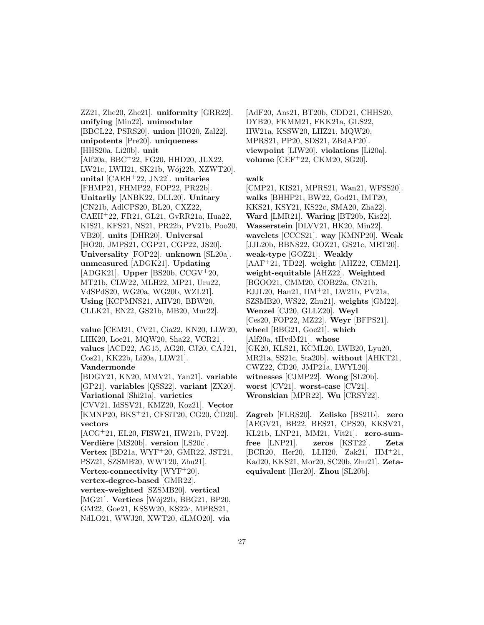ZZ21, Zhe20, Zhe21]. **uniformity** [GRR22]. **unifying** [Min22]. **unimodular** [BBCL22, PSRS20]. **union** [HO20, Zal22]. **unipotents** [Pre20]. **uniqueness** [HHS20a, Li20b]. **unit** [Alf20a, BBC<sup>+</sup>22, FG20, HHD20, JLX22, LW21c, LWH21, SK21b, Wój22b, XZWT20]. **unital** [CAEH<sup>+</sup>22, JN22]. **unitaries** [FHMP21, FHMP22, FOP22, PR22b]. **Unitarily** [ANBK22, DLL20]. **Unitary** [CN21b, AdlCPS20, BL20, CXZ22, CAEH<sup>+</sup>22, FR21, GL21, GvRR21a, Hua22, KIS21, KFS21, NS21, PR22b, PV21b, Poo20, VB20]. **units** [DHR20]. **Universal** [HO20, JMPS21, CGP21, CGP22, JS20]. **Universality** [FOP22]. **unknown** [SL20a]. **unmeasured** [ADGK21]. **Updating** [ADGK21]. **Upper** [BS20b, CCGV<sup>+</sup>20, MT21b, CLW22, MLH22, MP21, Uru22, VdSPdS20, WG20a, WG20b, WZL21]. **Using** [KCPMNS21, AHV20, BBW20, CLLK21, EN22, GS21b, MB20, Mur22].

**value** [CEM21, CV21, Cia22, KN20, LLW20, LHK20, Loe21, MQW20, Sha22, VCR21]. **values** [ACD22, AG15, AG20, CJ20, CAJ21, Cos21, KK22b, Li20a, LLW21]. **Vandermonde** [BDGY21, KN20, MMV21, Yan21]. **variable**

[GP21]. **variables** [QSS22]. **variant** [ZX20]. **Variational** [Shi21a]. **varieties** [CVV21, IdSSV21, KMZ20, Koz21]. **Vector** [KMNP20, BKS<sup>+</sup>21, CFSiT20, CG20, CD20]. **vectors**

[ACG<sup>+</sup>21, EL20, FISW21, HW21b, PV22]. **Verdière** [MS20b]. **version** [LS20c]. **Vertex** [BD21a, WYF<sup>+</sup>20, GMR22, JST21,

PSZ21, SZSMB20, WWT20, Zhu21].

**Vertex-connectivity** [WYF<sup>+</sup>20].

**vertex-degree-based** [GMR22].

**vertex-weighted** [SZSMB20]. **vertical**

[MG21]. **Vertices** [Wój22b, BBG21, BP20, GM22, Goe21, KSSW20, KS22c, MPRS21,

NdLO21, WWJ20, XWT20, dLMO20]. **via**

[AdF20, Ans21, BT20b, CDD21, CHHS20, DYB20, FKMM21, FKK21a, GLS22, HW21a, KSSW20, LHZ21, MQW20, MPRS21, PP20, SDS21, ZBdAF20]. **viewpoint** [LIW20]. **violations** [Li20a]. **volume** [CEF<sup>+</sup>22, CKM20, SG20].

#### **walk**

[CMP21, KIS21, MPRS21, Wan21, WFSS20]. **walks** [BHHP21, BW22, God21, IMT20, KKS21, KSY21, KS22c, SMA20, Zha22]. **Ward** [LMR21]. **Waring** [BT20b, Kis22]. **Wasserstein** [DLVV21, HK20, Min22]. **wavelets** [CCCS21]. **way** [KMNP20]. **Weak** [JJL20b, BBNS22, GOZ21, GS21c, MRT20]. **weak-type** [GOZ21]. **Weakly** [AAF<sup>+</sup>21, TD22]. **weight** [AHZ22, CEM21]. **weight-equitable** [AHZ22]. **Weighted** [BGOO21, CMM20, COB22a, CN21b, EJJL20, Han21, IIM<sup>+</sup>21, LW21b, PV21a, SZSMB20, WS22, Zhu21]. **weights** [GM22]. **Wenzel** [CJ20, GLLZ20]. **Weyl** [Ces20, FOP22, MZ22]. **Weyr** [BFPS21]. **wheel** [BBG21, Goe21]. **which** [Alf20a, tHvdM21]. **whose** [GK20, KLS21, KCML20, LWB20, Lyu20, MR21a, SS21c, Sta20b]. **without** [AHKT21, CWZ22, CD20, JMP21a, LWYL20]. ´ **witnesses** [CJMP22]. **Wong** [SL20b]. **worst** [CV21]. **worst-case** [CV21]. **Wronskian** [MPR22]. **Wu** [CRSY22].

**Zagreb** [FLRS20]. **Zelisko** [BS21b]. **zero** [AEGV21, BB22, BES21, CPS20, KKSV21, KL21b, LNP21, MM21, Vit21]. **zero-sumfree** [LNP21]. **zeros** [KST22]. **Zeta** [BCR20, Her20, LLH20, Zak21, IIM<sup>+</sup>21, Kad20, KKS21, Mor20, SC20b, Zhu21]. **Zetaequivalent** [Her20]. **Zhou** [SL20b].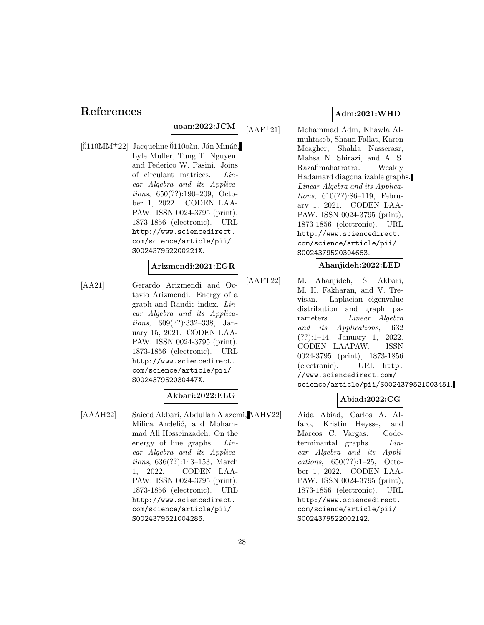## **References**

## **uoan:2022:JCM**

 $[0110MM+22]$  Jacqueline  $0110o$ àn, Ján Mináč, Lyle Muller, Tung T. Nguyen, and Federico W. Pasini. Joins of circulant matrices. Linear Algebra and its Applications, 650(??):190–209, October 1, 2022. CODEN LAA-PAW. ISSN 0024-3795 (print), 1873-1856 (electronic). URL http://www.sciencedirect. com/science/article/pii/ S002437952200221X.

#### **Arizmendi:2021:EGR**

[AA21] Gerardo Arizmendi and Octavio Arizmendi. Energy of a graph and Randic index. Linear Algebra and its Applications, 609(??):332–338, January 15, 2021. CODEN LAA-PAW. ISSN 0024-3795 (print), 1873-1856 (electronic). URL http://www.sciencedirect. com/science/article/pii/ S002437952030447X.

#### **Akbari:2022:ELG**

[AAAH22] Saieed Akbari, Abdullah Alazemi, Milica Andelić, and Mohammad Ali Hosseinzadeh. On the energy of line graphs. Linear Algebra and its Applications, 636(??):143–153, March 1, 2022. CODEN LAA-PAW. ISSN 0024-3795 (print), 1873-1856 (electronic). URL http://www.sciencedirect. com/science/article/pii/ S0024379521004286.

### **Adm:2021:WHD**

[AAF<sup>+</sup>21] Mohammad Adm, Khawla Almuhtaseb, Shaun Fallat, Karen Meagher, Shahla Nasserasr, Mahsa N. Shirazi, and A. S. Razafimahatratra. Weakly Hadamard diagonalizable graphs. Linear Algebra and its Applications, 610(??):86–119, February 1, 2021. CODEN LAA-PAW. ISSN 0024-3795 (print), 1873-1856 (electronic). URL http://www.sciencedirect. com/science/article/pii/ S0024379520304663.

#### **Ahanjideh:2022:LED**

[AAFT22] M. Ahanjideh, S. Akbari, M. H. Fakharan, and V. Trevisan. Laplacian eigenvalue distribution and graph parameters. Linear Algebra and its Applications, 632 (??):1–14, January 1, 2022. CODEN LAAPAW. ISSN 0024-3795 (print), 1873-1856 (electronic). URL http: //www.sciencedirect.com/ science/article/pii/S0024379521003451.

### **Abiad:2022:CG**

Aida Abiad, Carlos A. Alfaro, Kristin Heysse, and Marcos C. Vargas. Codeterminantal graphs. Linear Algebra and its Applications, 650(??):1–25, October 1, 2022. CODEN LAA-PAW. ISSN 0024-3795 (print), 1873-1856 (electronic). URL http://www.sciencedirect. com/science/article/pii/ S0024379522002142.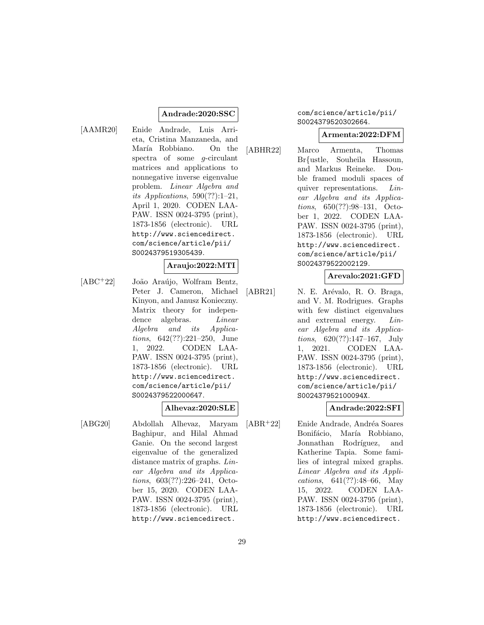#### **Andrade:2020:SSC**

[AAMR20] Enide Andrade, Luis Arrieta, Cristina Manzaneda, and María Robbiano. On the spectra of some g-circulant matrices and applications to nonnegative inverse eigenvalue problem. Linear Algebra and its Applications,  $590(??):1-21$ , April 1, 2020. CODEN LAA-PAW. ISSN 0024-3795 (print), 1873-1856 (electronic). URL http://www.sciencedirect. com/science/article/pii/ S0024379519305439.

#### **Araujo:2022:MTI**

[ABC<sup>+</sup>22] João Araújo, Wolfram Bentz, Peter J. Cameron, Michael Kinyon, and Janusz Konieczny. Matrix theory for independence algebras. *Linear* Algebra and its Applications, 642(??):221–250, June 1, 2022. CODEN LAA-PAW. ISSN 0024-3795 (print), 1873-1856 (electronic). URL http://www.sciencedirect. com/science/article/pii/ S0024379522000647.

#### **Alhevaz:2020:SLE**

[ABG20] Abdollah Alhevaz, Maryam Baghipur, and Hilal Ahmad Ganie. On the second largest eigenvalue of the generalized distance matrix of graphs. Linear Algebra and its Applications, 603(??):226–241, October 15, 2020. CODEN LAA-PAW. ISSN 0024-3795 (print), 1873-1856 (electronic). URL http://www.sciencedirect.

### com/science/article/pii/ S0024379520302664.

#### **Armenta:2022:DFM**

[ABHR22] Marco Armenta, Thomas Br{ustle, Souheila Hassoun, and Markus Reineke. Double framed moduli spaces of quiver representations. Linear Algebra and its Applications, 650(??):98–131, October 1, 2022. CODEN LAA-PAW. ISSN 0024-3795 (print), 1873-1856 (electronic). URL http://www.sciencedirect. com/science/article/pii/ S0024379522002129.

## **Arevalo:2021:GFD**

[ABR21] N. E. Arévalo, R. O. Braga, and V. M. Rodrigues. Graphs with few distinct eigenvalues and extremal energy. Linear Algebra and its Applications, 620(??):147–167, July 1, 2021. CODEN LAA-PAW. ISSN 0024-3795 (print), 1873-1856 (electronic). URL http://www.sciencedirect. com/science/article/pii/ S002437952100094X.

#### **Andrade:2022:SFI**

[ABR<sup>+</sup>22] Enide Andrade, Andréa Soares Bonifácio, María Robbiano, Jonnathan Rodríguez, and Katherine Tapia. Some families of integral mixed graphs. Linear Algebra and its Applications, 641(??):48–66, May 15, 2022. CODEN LAA-PAW. ISSN 0024-3795 (print), 1873-1856 (electronic). URL http://www.sciencedirect.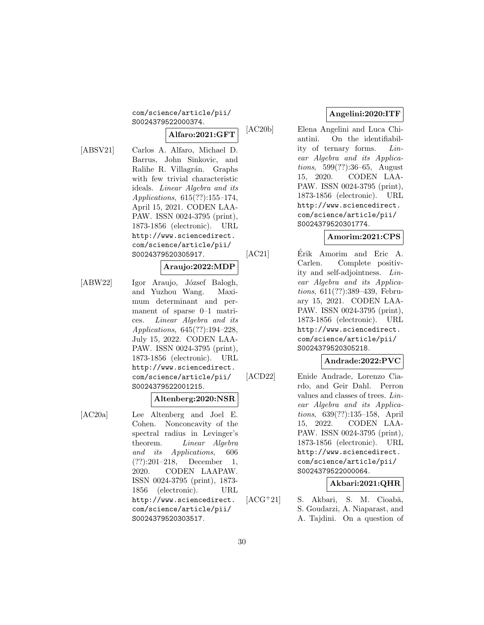#### com/science/article/pii/ S0024379522000374.

## **Alfaro:2021:GFT**

[ABSV21] Carlos A. Alfaro, Michael D. Barrus, John Sinkovic, and Ralihe R. Villagrán. Graphs with few trivial characteristic ideals. Linear Algebra and its Applications, 615(??):155–174, April 15, 2021. CODEN LAA-PAW. ISSN 0024-3795 (print), 1873-1856 (electronic). URL http://www.sciencedirect.

## **Araujo:2022:MDP**

com/science/article/pii/ S0024379520305917.

[ABW22] Igor Araujo, József Balogh, and Yuzhou Wang. Maximum determinant and permanent of sparse 0–1 matrices. Linear Algebra and its Applications, 645(??):194–228, July 15, 2022. CODEN LAA-PAW. ISSN 0024-3795 (print), 1873-1856 (electronic). URL http://www.sciencedirect. com/science/article/pii/ S0024379522001215.

#### **Altenberg:2020:NSR**

[AC20a] Lee Altenberg and Joel E. Cohen. Nonconcavity of the spectral radius in Levinger's theorem. Linear Algebra and its Applications, 606 (??):201–218, December 1, 2020. CODEN LAAPAW. ISSN 0024-3795 (print), 1873- 1856 (electronic). URL http://www.sciencedirect. com/science/article/pii/ S0024379520303517.

## **Angelini:2020:ITF**

[AC20b] Elena Angelini and Luca Chiantini. On the identifiability of ternary forms. Linear Algebra and its Applications, 599(??):36–65, August 15, 2020. CODEN LAA-PAW. ISSN 0024-3795 (print), 1873-1856 (electronic). URL http://www.sciencedirect. com/science/article/pii/ S0024379520301774.

## **Amorim:2021:CPS**

[AC21] Erik Amorim and Eric A. Carlen. Complete positivity and self-adjointness. Linear Algebra and its Applications, 611(??):389–439, February 15, 2021. CODEN LAA-PAW. ISSN 0024-3795 (print), 1873-1856 (electronic). URL http://www.sciencedirect. com/science/article/pii/ S0024379520305218.

### **Andrade:2022:PVC**

[ACD22] Enide Andrade, Lorenzo Ciardo, and Geir Dahl. Perron values and classes of trees. Linear Algebra and its Applications, 639(??):135–158, April 15, 2022. CODEN LAA-PAW. ISSN 0024-3795 (print), 1873-1856 (electronic). URL http://www.sciencedirect. com/science/article/pii/ S0024379522000064.

## **Akbari:2021:QHR**

 $[ACG+21]$  S. Akbari, S. M. Cioabă, S. Goudarzi, A. Niaparast, and A. Tajdini. On a question of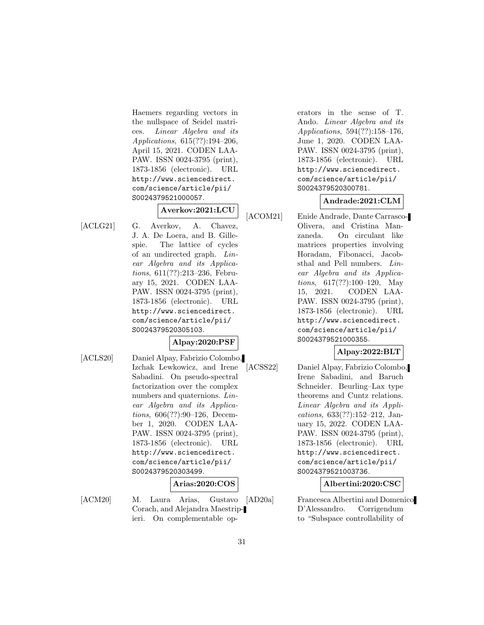Haemers regarding vectors in the nullspace of Seidel matrices. Linear Algebra and its Applications, 615(??):194–206, April 15, 2021. CODEN LAA-PAW. ISSN 0024-3795 (print), 1873-1856 (electronic). URL http://www.sciencedirect. com/science/article/pii/ S0024379521000057.

## **Averkov:2021:LCU**

[ACLG21] G. Averkov, A. Chavez, J. A. De Loera, and B. Gillespie. The lattice of cycles of an undirected graph. Linear Algebra and its Applications, 611(??):213–236, February 15, 2021. CODEN LAA-PAW. ISSN 0024-3795 (print), 1873-1856 (electronic). URL http://www.sciencedirect. com/science/article/pii/ S0024379520305103.

### **Alpay:2020:PSF**

[ACLS20] Daniel Alpay, Fabrizio Colombo, Izchak Lewkowicz, and Irene Sabadini. On pseudo-spectral factorization over the complex numbers and quaternions. Linear Algebra and its Applications, 606(??):90–126, December 1, 2020. CODEN LAA-PAW. ISSN 0024-3795 (print), 1873-1856 (electronic). URL http://www.sciencedirect. com/science/article/pii/ S0024379520303499.

## **Arias:2020:COS**

[ACM20] M. Laura Arias, Gustavo [AD20a] Corach, and Alejandra Maestripieri. On complementable operators in the sense of T. Ando. Linear Algebra and its Applications, 594(??):158–176, June 1, 2020. CODEN LAA-PAW. ISSN 0024-3795 (print), 1873-1856 (electronic). URL http://www.sciencedirect. com/science/article/pii/ S0024379520300781.

## **Andrade:2021:CLM**

[ACOM21] Enide Andrade, Dante Carrasco-Olivera, and Cristina Manzaneda. On circulant like matrices properties involving Horadam, Fibonacci, Jacobsthal and Pell numbers. Linear Algebra and its Applications, 617(??):100–120, May 15, 2021. CODEN LAA-PAW. ISSN 0024-3795 (print), 1873-1856 (electronic). URL http://www.sciencedirect. com/science/article/pii/ S0024379521000355.

## **Alpay:2022:BLT**

[ACSS22] Daniel Alpay, Fabrizio Colombo, Irene Sabadini, and Baruch Schneider. Beurling–Lax type theorems and Cuntz relations. Linear Algebra and its Applications, 633(??):152–212, January 15, 2022. CODEN LAA-PAW. ISSN 0024-3795 (print), 1873-1856 (electronic). URL http://www.sciencedirect. com/science/article/pii/ S0024379521003736.

## **Albertini:2020:CSC**

Francesca Albertini and Domenico D'Alessandro. Corrigendum to "Subspace controllability of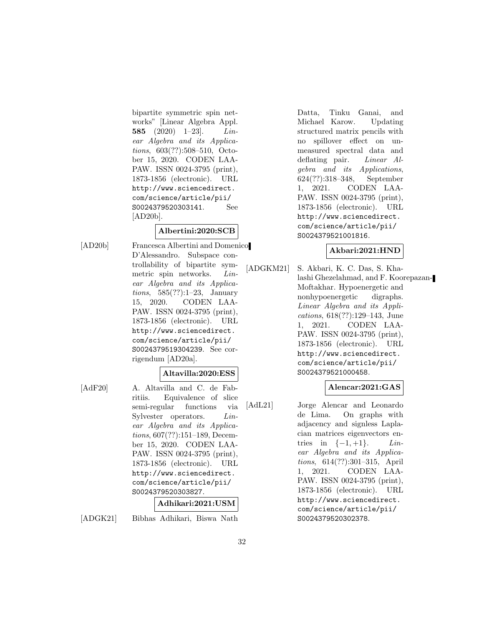bipartite symmetric spin networks" [Linear Algebra Appl. **585** (2020) 1–23]. Linear Algebra and its Applications, 603(??):508–510, October 15, 2020. CODEN LAA-PAW. ISSN 0024-3795 (print), 1873-1856 (electronic). URL http://www.sciencedirect. com/science/article/pii/ S0024379520303141. See [AD20b].

### **Albertini:2020:SCB**

[AD20b] Francesca Albertini and Domenico D'Alessandro. Subspace controllability of bipartite symmetric spin networks. Linear Algebra and its Applications, 585(??):1–23, January 15, 2020. CODEN LAA-PAW. ISSN 0024-3795 (print), 1873-1856 (electronic). URL http://www.sciencedirect. com/science/article/pii/ S0024379519304239. See corrigendum [AD20a].

### **Altavilla:2020:ESS**

[AdF20] A. Altavilla and C. de Fabritiis. Equivalence of slice semi-regular functions via Sylvester operators. Linear Algebra and its Applications, 607(??):151–189, December 15, 2020. CODEN LAA-PAW. ISSN 0024-3795 (print), 1873-1856 (electronic). URL http://www.sciencedirect. com/science/article/pii/ S0024379520303827.

#### **Adhikari:2021:USM**

[ADGK21] Bibhas Adhikari, Biswa Nath

Datta, Tinku Ganai, and Michael Karow. Updating structured matrix pencils with no spillover effect on unmeasured spectral data and deflating pair. Linear Algebra and its Applications, 624(??):318–348, September 1, 2021. CODEN LAA-PAW. ISSN 0024-3795 (print), 1873-1856 (electronic). URL http://www.sciencedirect. com/science/article/pii/ S0024379521001816.

### **Akbari:2021:HND**

[ADGKM21] S. Akbari, K. C. Das, S. Khalashi Ghezelahmad, and F. Koorepazan-Moftakhar. Hypoenergetic and nonhypoenergetic digraphs. Linear Algebra and its Applications, 618(??):129–143, June 1, 2021. CODEN LAA-PAW. ISSN 0024-3795 (print), 1873-1856 (electronic). URL http://www.sciencedirect. com/science/article/pii/ S0024379521000458.

### **Alencar:2021:GAS**

[AdL21] Jorge Alencar and Leonardo de Lima. On graphs with adjacency and signless Laplacian matrices eigenvectors entries in  $\{-1, +1\}$ . *Lin*ear Algebra and its Applications, 614(??):301–315, April 1, 2021. CODEN LAA-PAW. ISSN 0024-3795 (print), 1873-1856 (electronic). URL http://www.sciencedirect. com/science/article/pii/ S0024379520302378.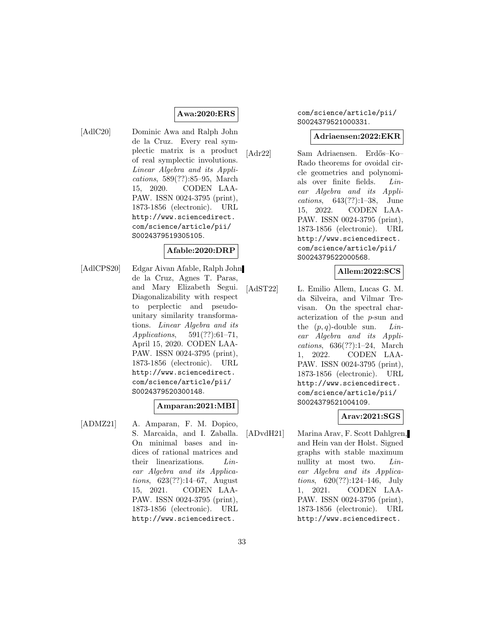#### **Awa:2020:ERS**

[AdlC20] Dominic Awa and Ralph John de la Cruz. Every real symplectic matrix is a product of real symplectic involutions. Linear Algebra and its Applications, 589(??):85–95, March 15, 2020. CODEN LAA-PAW. ISSN 0024-3795 (print), 1873-1856 (electronic). URL http://www.sciencedirect. com/science/article/pii/ S0024379519305105.

### **Afable:2020:DRP**

[AdlCPS20] Edgar Aivan Afable, Ralph John de la Cruz, Agnes T. Paras, and Mary Elizabeth Segui. Diagonalizability with respect to perplectic and pseudounitary similarity transformations. Linear Algebra and its Applications, 591(??):61–71, April 15, 2020. CODEN LAA-PAW. ISSN 0024-3795 (print), 1873-1856 (electronic). URL http://www.sciencedirect. com/science/article/pii/ S0024379520300148.

### **Amparan:2021:MBI**

[ADMZ21] A. Amparan, F. M. Dopico, S. Marcaida, and I. Zaballa. On minimal bases and indices of rational matrices and their linearizations. Linear Algebra and its Applications, 623(??):14–67, August 15, 2021. CODEN LAA-PAW. ISSN 0024-3795 (print), 1873-1856 (electronic). URL http://www.sciencedirect.

#### com/science/article/pii/ S0024379521000331.

#### **Adriaensen:2022:EKR**

[Adr22] Sam Adriaensen. Erd˝os–Ko– Rado theorems for ovoidal circle geometries and polynomials over finite fields. Linear Algebra and its Applications, 643(??):1–38, June 15, 2022. CODEN LAA-PAW. ISSN 0024-3795 (print), 1873-1856 (electronic). URL http://www.sciencedirect. com/science/article/pii/ S0024379522000568.

#### **Allem:2022:SCS**

[AdST22] L. Emilio Allem, Lucas G. M. da Silveira, and Vilmar Trevisan. On the spectral characterization of the p-sun and the  $(p, q)$ -double sun. Linear Algebra and its Applications, 636(??):1–24, March 1, 2022. CODEN LAA-PAW. ISSN 0024-3795 (print), 1873-1856 (electronic). URL http://www.sciencedirect. com/science/article/pii/ S0024379521004109.

### **Arav:2021:SGS**

[ADvdH21] Marina Arav, F. Scott Dahlgren, and Hein van der Holst. Signed graphs with stable maximum nullity at most two. Linear Algebra and its Applications, 620(??):124–146, July 1, 2021. CODEN LAA-PAW. ISSN 0024-3795 (print), 1873-1856 (electronic). URL http://www.sciencedirect.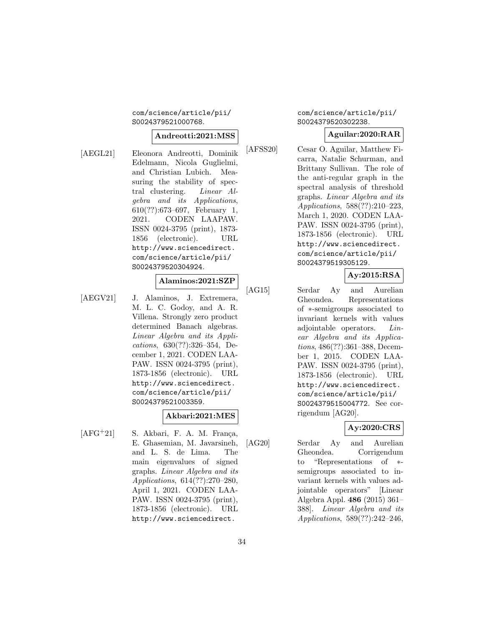#### com/science/article/pii/ S0024379521000768.

#### **Andreotti:2021:MSS**

[AEGL21] Eleonora Andreotti, Dominik Edelmann, Nicola Guglielmi, and Christian Lubich. Measuring the stability of spectral clustering. Linear Algebra and its Applications, 610(??):673–697, February 1, 2021. CODEN LAAPAW. ISSN 0024-3795 (print), 1873- 1856 (electronic). URL http://www.sciencedirect. com/science/article/pii/ S0024379520304924.

#### **Alaminos:2021:SZP**

[AEGV21] J. Alaminos, J. Extremera, M. L. C. Godoy, and A. R. Villena. Strongly zero product determined Banach algebras. Linear Algebra and its Applications, 630(??):326–354, December 1, 2021. CODEN LAA-PAW. ISSN 0024-3795 (print), 1873-1856 (electronic). URL http://www.sciencedirect. com/science/article/pii/ S0024379521003359.

## **Akbari:2021:MES**

 $[AFG<sup>+</sup>21]$  S. Akbari, F. A. M. França, E. Ghasemian, M. Javarsineh, and L. S. de Lima. The main eigenvalues of signed graphs. Linear Algebra and its Applications, 614(??):270–280, April 1, 2021. CODEN LAA-PAW. ISSN 0024-3795 (print), 1873-1856 (electronic). URL http://www.sciencedirect.

### com/science/article/pii/ S0024379520302238.

### **Aguilar:2020:RAR**

[AFSS20] Cesar O. Aguilar, Matthew Ficarra, Natalie Schurman, and Brittany Sullivan. The role of the anti-regular graph in the spectral analysis of threshold graphs. Linear Algebra and its Applications, 588(??):210–223, March 1, 2020. CODEN LAA-PAW. ISSN 0024-3795 (print), 1873-1856 (electronic). URL http://www.sciencedirect. com/science/article/pii/ S0024379519305129.

## **Ay:2015:RSA**

[AG15] Serdar Ay and Aurelian Gheondea. Representations of ∗-semigroups associated to invariant kernels with values adjointable operators. Linear Algebra and its Applications, 486(??):361–388, December 1, 2015. CODEN LAA-PAW. ISSN 0024-3795 (print), 1873-1856 (electronic). URL http://www.sciencedirect. com/science/article/pii/ S0024379515004772. See corrigendum [AG20].

## **Ay:2020:CRS**

[AG20] Serdar Ay and Aurelian Gheondea. Corrigendum to "Representations of ∗ semigroups associated to invariant kernels with values adjointable operators" [Linear Algebra Appl. **486** (2015) 361– 388]. Linear Algebra and its Applications, 589(??):242–246,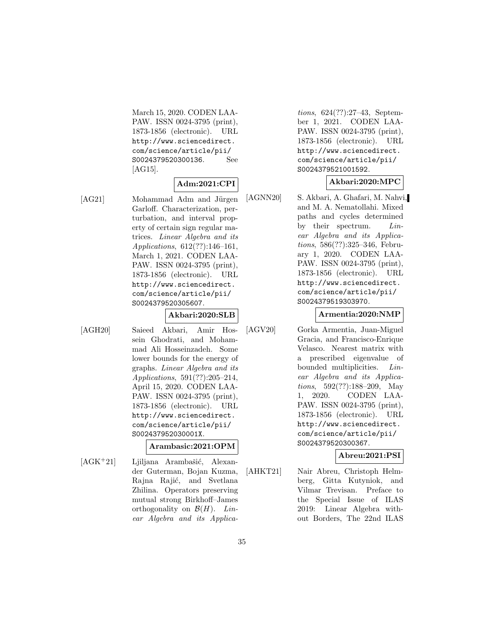March 15, 2020. CODEN LAA-PAW. ISSN 0024-3795 (print), 1873-1856 (electronic). URL http://www.sciencedirect. com/science/article/pii/ S0024379520300136. See [AG15].

#### **Adm:2021:CPI**

[AG21] Mohammad Adm and Jürgen Garloff. Characterization, perturbation, and interval property of certain sign regular matrices. Linear Algebra and its Applications, 612(??):146–161, March 1, 2021. CODEN LAA-PAW. ISSN 0024-3795 (print), 1873-1856 (electronic). URL http://www.sciencedirect. com/science/article/pii/ S0024379520305607.

### **Akbari:2020:SLB**

[AGH20] Saieed Akbari, Amir Hossein Ghodrati, and Mohammad Ali Hosseinzadeh. Some lower bounds for the energy of graphs. Linear Algebra and its Applications, 591(??):205–214, April 15, 2020. CODEN LAA-PAW. ISSN 0024-3795 (print), 1873-1856 (electronic). URL http://www.sciencedirect. com/science/article/pii/ S002437952030001X.

### **Arambasic:2021:OPM**

 $[AGK^+21]$  Ljiljana Arambašić, Alexander Guterman, Bojan Kuzma, Rajna Rajić, and Svetlana Zhilina. Operators preserving mutual strong Birkhoff–James orthogonality on  $\mathcal{B}(H)$ . Linear Algebra and its Applica-

tions, 624(??):27–43, September 1, 2021. CODEN LAA-PAW. ISSN 0024-3795 (print), 1873-1856 (electronic). URL http://www.sciencedirect. com/science/article/pii/ S0024379521001592.

## **Akbari:2020:MPC**

[AGNN20] S. Akbari, A. Ghafari, M. Nahvi, and M. A. Nematollahi. Mixed paths and cycles determined by their spectrum. Linear Algebra and its Applications, 586(??):325–346, February 1, 2020. CODEN LAA-PAW. ISSN 0024-3795 (print), 1873-1856 (electronic). URL http://www.sciencedirect. com/science/article/pii/ S0024379519303970.

## **Armentia:2020:NMP**

[AGV20] Gorka Armentia, Juan-Miguel Gracia, and Francisco-Enrique Velasco. Nearest matrix with a prescribed eigenvalue of bounded multiplicities. Linear Algebra and its Applications, 592(??):188–209, May 1, 2020. CODEN LAA-PAW. ISSN 0024-3795 (print), 1873-1856 (electronic). URL http://www.sciencedirect. com/science/article/pii/ S0024379520300367.

## **Abreu:2021:PSI**

[AHKT21] Nair Abreu, Christoph Helmberg, Gitta Kutyniok, and Vilmar Trevisan. Preface to the Special Issue of ILAS 2019: Linear Algebra without Borders, The 22nd ILAS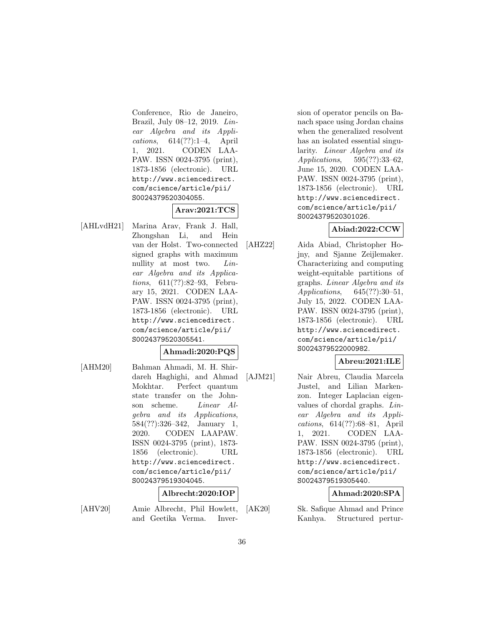Conference, Rio de Janeiro, Brazil, July 08–12, 2019. Linear Algebra and its Applications, 614(??):1–4, April 1, 2021. CODEN LAA-PAW. ISSN 0024-3795 (print), 1873-1856 (electronic). URL http://www.sciencedirect. com/science/article/pii/ S0024379520304055.

## **Arav:2021:TCS**

[AHLvdH21] Marina Arav, Frank J. Hall, Zhongshan Li, and Hein van der Holst. Two-connected signed graphs with maximum nullity at most two. Linear Algebra and its Applications, 611(??):82–93, February 15, 2021. CODEN LAA-PAW. ISSN 0024-3795 (print), 1873-1856 (electronic). URL http://www.sciencedirect. com/science/article/pii/ S0024379520305541.

## **Ahmadi:2020:PQS**

[AHM20] Bahman Ahmadi, M. H. Shirdareh Haghighi, and Ahmad Mokhtar. Perfect quantum state transfer on the Johnson scheme. Linear Algebra and its Applications, 584(??):326–342, January 1, 2020. CODEN LAAPAW. ISSN 0024-3795 (print), 1873- 1856 (electronic). URL http://www.sciencedirect. com/science/article/pii/ S0024379519304045.

#### **Albrecht:2020:IOP**

[AHV20] Amie Albrecht, Phil Howlett, and Geetika Verma. Inversion of operator pencils on Banach space using Jordan chains when the generalized resolvent has an isolated essential singularity. Linear Algebra and its Applications, 595(??):33–62, June 15, 2020. CODEN LAA-PAW. ISSN 0024-3795 (print), 1873-1856 (electronic). URL http://www.sciencedirect. com/science/article/pii/ S0024379520301026.

## **Abiad:2022:CCW**

[AHZ22] Aida Abiad, Christopher Hojny, and Sjanne Zeijlemaker. Characterizing and computing weight-equitable partitions of graphs. Linear Algebra and its Applications, 645(??):30–51, July 15, 2022. CODEN LAA-PAW. ISSN 0024-3795 (print), 1873-1856 (electronic). URL http://www.sciencedirect. com/science/article/pii/ S0024379522000982.

## **Abreu:2021:ILE**

[AJM21] Nair Abreu, Claudia Marcela Justel, and Lilian Markenzon. Integer Laplacian eigenvalues of chordal graphs. Linear Algebra and its Applications, 614(??):68–81, April 1, 2021. CODEN LAA-PAW. ISSN 0024-3795 (print), 1873-1856 (electronic). URL http://www.sciencedirect. com/science/article/pii/ S0024379519305440.

**Ahmad:2020:SPA**

[AK20] Sk. Safique Ahmad and Prince Kanhya. Structured pertur-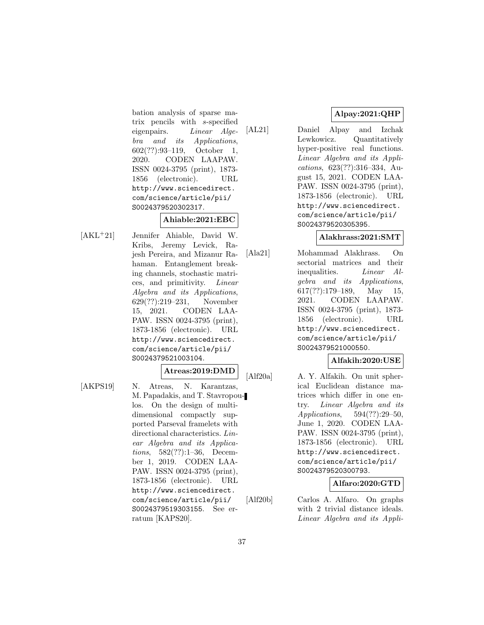bation analysis of sparse matrix pencils with s-specified eigenpairs. Linear Algebra and its Applications, 602(??):93–119, October 1, 2020. CODEN LAAPAW. ISSN 0024-3795 (print), 1873- 1856 (electronic). URL http://www.sciencedirect. com/science/article/pii/ S0024379520302317.

### **Ahiable:2021:EBC**

[AKL<sup>+</sup>21] Jennifer Ahiable, David W. Kribs, Jeremy Levick, Rajesh Pereira, and Mizanur Rahaman. Entanglement breaking channels, stochastic matrices, and primitivity. Linear Algebra and its Applications, 629(??):219–231, November 15, 2021. CODEN LAA-PAW. ISSN 0024-3795 (print), 1873-1856 (electronic). URL http://www.sciencedirect. com/science/article/pii/ S0024379521003104.

#### **Atreas:2019:DMD**

[AKPS19] N. Atreas, N. Karantzas, M. Papadakis, and T. Stavropoulos. On the design of multidimensional compactly supported Parseval framelets with directional characteristics. Linear Algebra and its Applications, 582(??):1–36, December 1, 2019. CODEN LAA-PAW. ISSN 0024-3795 (print), 1873-1856 (electronic). URL http://www.sciencedirect. com/science/article/pii/ S0024379519303155. See erratum [KAPS20].

# **Alpay:2021:QHP**

[AL21] Daniel Alpay and Izchak Lewkowicz. Quantitatively hyper-positive real functions. Linear Algebra and its Applications, 623(??):316–334, August 15, 2021. CODEN LAA-PAW. ISSN 0024-3795 (print), 1873-1856 (electronic). URL http://www.sciencedirect. com/science/article/pii/ S0024379520305395.

### **Alakhrass:2021:SMT**

[Ala21] Mohammad Alakhrass. On sectorial matrices and their inequalities. Linear Algebra and its Applications,  $617(??):179-189$ , May 15, 2021. CODEN LAAPAW. ISSN 0024-3795 (print), 1873- 1856 (electronic). URL http://www.sciencedirect. com/science/article/pii/ S0024379521000550.

## **Alfakih:2020:USE**

[Alf20a] A. Y. Alfakih. On unit spherical Euclidean distance matrices which differ in one entry. Linear Algebra and its Applications, 594(??):29–50, June 1, 2020. CODEN LAA-PAW. ISSN 0024-3795 (print), 1873-1856 (electronic). URL http://www.sciencedirect. com/science/article/pii/ S0024379520300793.

## **Alfaro:2020:GTD**

[Alf20b] Carlos A. Alfaro. On graphs with 2 trivial distance ideals. Linear Algebra and its Appli-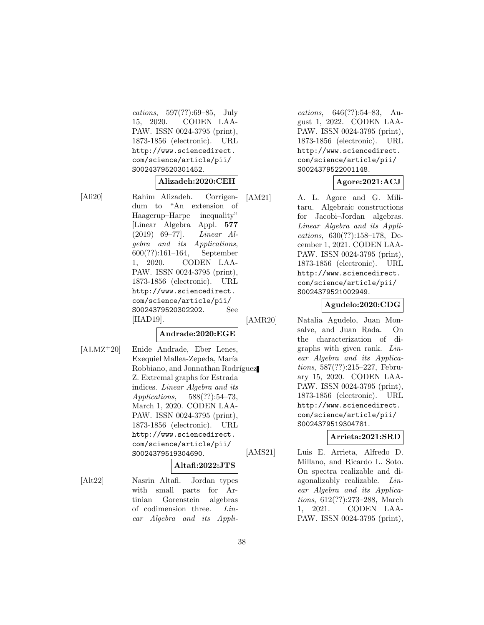cations, 597(??):69–85, July 15, 2020. CODEN LAA-PAW. ISSN 0024-3795 (print), 1873-1856 (electronic). URL http://www.sciencedirect. com/science/article/pii/ S0024379520301452.

#### **Alizadeh:2020:CEH**

[Ali20] Rahim Alizadeh. Corrigendum to "An extension of Haagerup–Harpe inequality" [Linear Algebra Appl. **577** (2019) 69–77]. Linear Algebra and its Applications, 600(??):161–164, September 1, 2020. CODEN LAA-PAW. ISSN 0024-3795 (print), 1873-1856 (electronic). URL http://www.sciencedirect. com/science/article/pii/ S0024379520302202. See [HAD19].

## **Andrade:2020:EGE**

- 
- [ALMZ<sup>+</sup>20] Enide Andrade, Eber Lenes, Exequiel Mallea-Zepeda, María Robbiano, and Jonnathan Rodríguez Z. Extremal graphs for Estrada indices. Linear Algebra and its Applications, 588(??):54–73, March 1, 2020. CODEN LAA-PAW. ISSN 0024-3795 (print), 1873-1856 (electronic). URL http://www.sciencedirect. com/science/article/pii/ S0024379519304690.

### **Altafi:2022:JTS**

[Alt22] Nasrin Altafi. Jordan types with small parts for Artinian Gorenstein algebras of codimension three. Linear Algebra and its Appli-

cations, 646(??):54–83, August 1, 2022. CODEN LAA-PAW. ISSN 0024-3795 (print), 1873-1856 (electronic). URL http://www.sciencedirect. com/science/article/pii/ S0024379522001148.

## **Agore:2021:ACJ**

[AM21] A. L. Agore and G. Militaru. Algebraic constructions for Jacobi–Jordan algebras. Linear Algebra and its Applications, 630(??):158–178, December 1, 2021. CODEN LAA-PAW. ISSN 0024-3795 (print), 1873-1856 (electronic). URL http://www.sciencedirect. com/science/article/pii/ S0024379521002949.

### **Agudelo:2020:CDG**

[AMR20] Natalia Agudelo, Juan Monsalve, and Juan Rada. On the characterization of digraphs with given rank. Linear Algebra and its Applications, 587(??):215–227, February 15, 2020. CODEN LAA-PAW. ISSN 0024-3795 (print), 1873-1856 (electronic). URL http://www.sciencedirect. com/science/article/pii/ S0024379519304781.

## **Arrieta:2021:SRD**

[AMS21] Luis E. Arrieta, Alfredo D. Millano, and Ricardo L. Soto. On spectra realizable and diagonalizably realizable. Linear Algebra and its Applications, 612(??):273–288, March 1, 2021. CODEN LAA-PAW. ISSN 0024-3795 (print),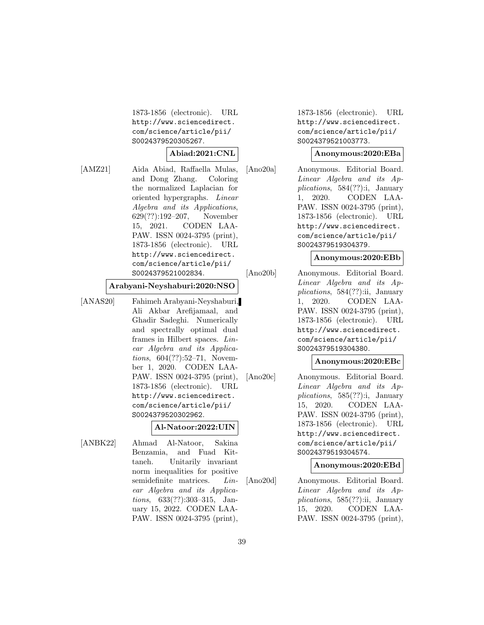1873-1856 (electronic). URL http://www.sciencedirect. com/science/article/pii/ S0024379520305267.

#### **Abiad:2021:CNL**

[AMZ21] Aida Abiad, Raffaella Mulas, and Dong Zhang. Coloring the normalized Laplacian for oriented hypergraphs. Linear Algebra and its Applications, 629(??):192–207, November 15, 2021. CODEN LAA-PAW. ISSN 0024-3795 (print), 1873-1856 (electronic). URL http://www.sciencedirect. com/science/article/pii/ S0024379521002834.

#### **Arabyani-Neyshaburi:2020:NSO**

[ANAS20] Fahimeh Arabyani-Neyshaburi, Ali Akbar Arefijamaal, and Ghadir Sadeghi. Numerically and spectrally optimal dual frames in Hilbert spaces. Linear Algebra and its Applications, 604(??):52–71, November 1, 2020. CODEN LAA-PAW. ISSN 0024-3795 (print), 1873-1856 (electronic). URL http://www.sciencedirect. com/science/article/pii/ S0024379520302962.

### **Al-Natoor:2022:UIN**

[ANBK22] Ahmad Al-Natoor, Sakina Benzamia, and Fuad Kittaneh. Unitarily invariant norm inequalities for positive semidefinite matrices. *Lin*ear Algebra and its Applications, 633(??):303–315, January 15, 2022. CODEN LAA-PAW. ISSN 0024-3795 (print),

1873-1856 (electronic). URL http://www.sciencedirect. com/science/article/pii/ S0024379521003773.

#### **Anonymous:2020:EBa**

[Ano20a] Anonymous. Editorial Board. Linear Algebra and its Applications, 584(??):i, January 1, 2020. CODEN LAA-PAW. ISSN 0024-3795 (print), 1873-1856 (electronic). URL http://www.sciencedirect. com/science/article/pii/ S0024379519304379.

#### **Anonymous:2020:EBb**

[Ano20b] Anonymous. Editorial Board. Linear Algebra and its Applications, 584(??):ii, January 1, 2020. CODEN LAA-PAW. ISSN 0024-3795 (print), 1873-1856 (electronic). URL http://www.sciencedirect. com/science/article/pii/ S0024379519304380.

#### **Anonymous:2020:EBc**

[Ano20c] Anonymous. Editorial Board. Linear Algebra and its Applications, 585(??):i, January 15, 2020. CODEN LAA-PAW. ISSN 0024-3795 (print), 1873-1856 (electronic). URL http://www.sciencedirect. com/science/article/pii/ S0024379519304574.

### **Anonymous:2020:EBd**

[Ano20d] Anonymous. Editorial Board. Linear Algebra and its Applications, 585(??):ii, January 15, 2020. CODEN LAA-PAW. ISSN 0024-3795 (print),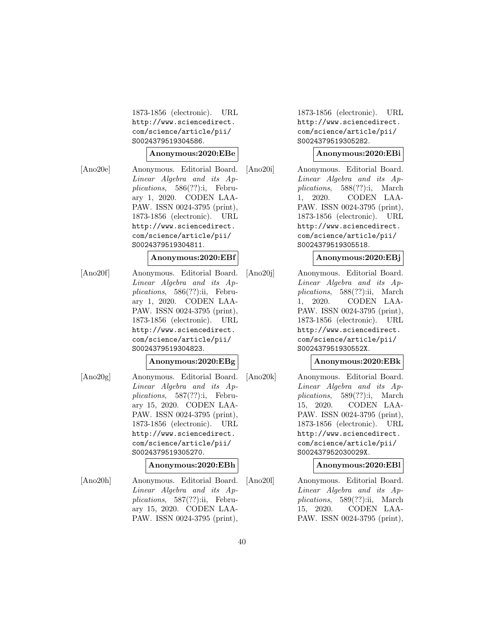1873-1856 (electronic). URL http://www.sciencedirect. com/science/article/pii/ S0024379519304586.

#### **Anonymous:2020:EBe**

[Ano20e] Anonymous. Editorial Board. Linear Algebra and its Applications, 586(??):i, February 1, 2020. CODEN LAA-PAW. ISSN 0024-3795 (print), 1873-1856 (electronic). URL http://www.sciencedirect. com/science/article/pii/ S0024379519304811.

#### **Anonymous:2020:EBf**

[Ano20f] Anonymous. Editorial Board. Linear Algebra and its Applications, 586(??):ii, February 1, 2020. CODEN LAA-PAW. ISSN 0024-3795 (print), 1873-1856 (electronic). URL http://www.sciencedirect. com/science/article/pii/ S0024379519304823.

### **Anonymous:2020:EBg**

[Ano20g] Anonymous. Editorial Board. Linear Algebra and its Applications, 587(??):i, February 15, 2020. CODEN LAA-PAW. ISSN 0024-3795 (print), 1873-1856 (electronic). URL http://www.sciencedirect. com/science/article/pii/ S0024379519305270.

### **Anonymous:2020:EBh**

[Ano20h] Anonymous. Editorial Board. Linear Algebra and its Applications, 587(??):ii, February 15, 2020. CODEN LAA-PAW. ISSN 0024-3795 (print), 1873-1856 (electronic). URL http://www.sciencedirect. com/science/article/pii/ S0024379519305282.

### **Anonymous:2020:EBi**

[Ano20i] Anonymous. Editorial Board. Linear Algebra and its Applications, 588(??):i, March 1, 2020. CODEN LAA-PAW. ISSN 0024-3795 (print), 1873-1856 (electronic). URL http://www.sciencedirect. com/science/article/pii/ S0024379519305518.

### **Anonymous:2020:EBj**

[Ano20j] Anonymous. Editorial Board. Linear Algebra and its Applications, 588(??):ii, March 1, 2020. CODEN LAA-PAW. ISSN 0024-3795 (print), 1873-1856 (electronic). URL http://www.sciencedirect. com/science/article/pii/ S002437951930552X.

### **Anonymous:2020:EBk**

[Ano20k] Anonymous. Editorial Board. Linear Algebra and its Applications, 589(??):i, March 15, 2020. CODEN LAA-PAW. ISSN 0024-3795 (print), 1873-1856 (electronic). URL http://www.sciencedirect. com/science/article/pii/ S002437952030029X.

### **Anonymous:2020:EBl**

[Ano20l] Anonymous. Editorial Board. Linear Algebra and its Applications, 589(??):ii, March 15, 2020. CODEN LAA-PAW. ISSN 0024-3795 (print),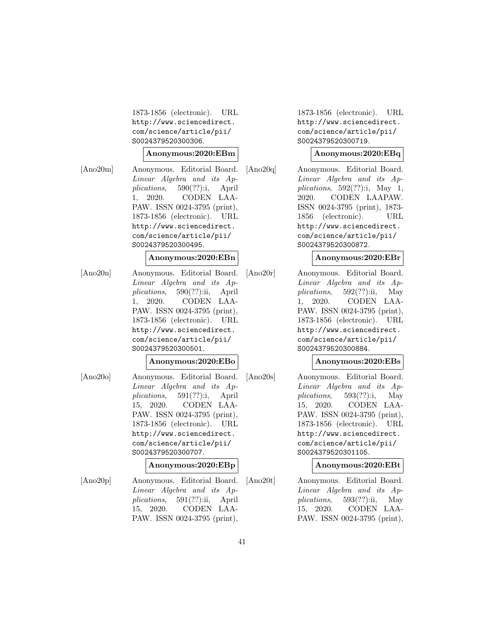1873-1856 (electronic). URL http://www.sciencedirect. com/science/article/pii/ S0024379520300306.

#### **Anonymous:2020:EBm**

[Ano20m] Anonymous. Editorial Board. Linear Algebra and its Applications, 590(??):i, April 1, 2020. CODEN LAA-PAW. ISSN 0024-3795 (print), 1873-1856 (electronic). URL http://www.sciencedirect. com/science/article/pii/ S0024379520300495.

### **Anonymous:2020:EBn**

[Ano20n] Anonymous. Editorial Board. Linear Algebra and its Applications, 590(??):ii, April 1, 2020. CODEN LAA-PAW. ISSN 0024-3795 (print), 1873-1856 (electronic). URL http://www.sciencedirect. com/science/article/pii/ S0024379520300501.

### **Anonymous:2020:EBo**

[Ano20o] Anonymous. Editorial Board. Linear Algebra and its Applications, 591(??):i, April 15, 2020. CODEN LAA-PAW. ISSN 0024-3795 (print), 1873-1856 (electronic). URL http://www.sciencedirect. com/science/article/pii/ S0024379520300707.

### **Anonymous:2020:EBp**

[Ano20p] Anonymous. Editorial Board. Linear Algebra and its Applications, 591(??):ii, April 15, 2020. CODEN LAA-PAW. ISSN 0024-3795 (print), 1873-1856 (electronic). URL http://www.sciencedirect. com/science/article/pii/ S0024379520300719.

#### **Anonymous:2020:EBq**

[Ano20q] Anonymous. Editorial Board. Linear Algebra and its Applications,  $592(??)$ :i, May 1, 2020. CODEN LAAPAW. ISSN 0024-3795 (print), 1873- 1856 (electronic). URL http://www.sciencedirect. com/science/article/pii/ S0024379520300872.

### **Anonymous:2020:EBr**

[Ano20r] Anonymous. Editorial Board. Linear Algebra and its Applications,  $592(??)$ :ii, May 1, 2020. CODEN LAA-PAW. ISSN 0024-3795 (print), 1873-1856 (electronic). URL http://www.sciencedirect. com/science/article/pii/ S0024379520300884.

### **Anonymous:2020:EBs**

[Ano20s] Anonymous. Editorial Board. Linear Algebra and its Applications, 593(??):i, May 15, 2020. CODEN LAA-PAW. ISSN 0024-3795 (print), 1873-1856 (electronic). URL http://www.sciencedirect. com/science/article/pii/ S0024379520301105.

### **Anonymous:2020:EBt**

[Ano20t] Anonymous. Editorial Board. Linear Algebra and its Applications,  $593(??)$ :ii, May 15, 2020. CODEN LAA-PAW. ISSN 0024-3795 (print),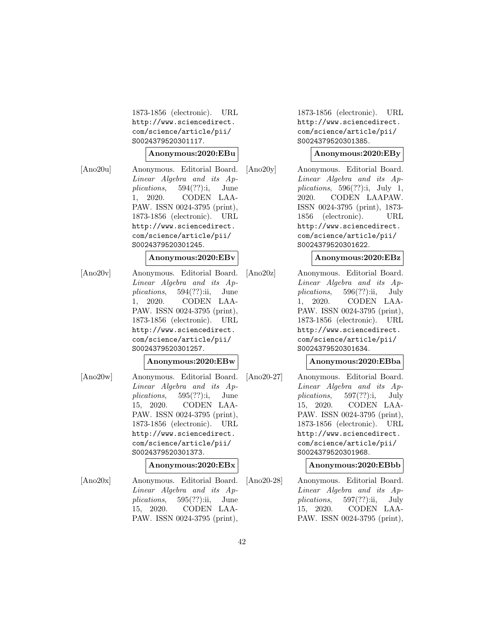1873-1856 (electronic). URL http://www.sciencedirect. com/science/article/pii/ S0024379520301117.

#### **Anonymous:2020:EBu**

[Ano20u] Anonymous. Editorial Board. Linear Algebra and its Applications, 594(??):i, June 1, 2020. CODEN LAA-PAW. ISSN 0024-3795 (print), 1873-1856 (electronic). URL http://www.sciencedirect. com/science/article/pii/ S0024379520301245.

### **Anonymous:2020:EBv**

[Ano20v] Anonymous. Editorial Board. Linear Algebra and its Applications, 594(??):ii, June 1, 2020. CODEN LAA-PAW. ISSN 0024-3795 (print), 1873-1856 (electronic). URL http://www.sciencedirect. com/science/article/pii/ S0024379520301257.

### **Anonymous:2020:EBw**

[Ano20w] Anonymous. Editorial Board. Linear Algebra and its Applications, 595(??):i, June 15, 2020. CODEN LAA-PAW. ISSN 0024-3795 (print), 1873-1856 (electronic). URL http://www.sciencedirect. com/science/article/pii/ S0024379520301373.

### **Anonymous:2020:EBx**

[Ano20x] Anonymous. Editorial Board. Linear Algebra and its Applications, 595(??):ii, June 15, 2020. CODEN LAA-PAW. ISSN 0024-3795 (print),

1873-1856 (electronic). URL http://www.sciencedirect. com/science/article/pii/ S0024379520301385.

### **Anonymous:2020:EBy**

[Ano20y] Anonymous. Editorial Board. Linear Algebra and its Applications,  $596(??)$ :i, July 1, 2020. CODEN LAAPAW. ISSN 0024-3795 (print), 1873- 1856 (electronic). URL http://www.sciencedirect. com/science/article/pii/ S0024379520301622.

### **Anonymous:2020:EBz**

[Ano20z] Anonymous. Editorial Board. Linear Algebra and its Applications, 596(??):ii, July 1, 2020. CODEN LAA-PAW. ISSN 0024-3795 (print), 1873-1856 (electronic). URL http://www.sciencedirect. com/science/article/pii/ S0024379520301634.

### **Anonymous:2020:EBba**

[Ano20-27] Anonymous. Editorial Board. Linear Algebra and its Applications, 597(??):i, July 15, 2020. CODEN LAA-PAW. ISSN 0024-3795 (print), 1873-1856 (electronic). URL http://www.sciencedirect. com/science/article/pii/ S0024379520301968.

## **Anonymous:2020:EBbb**

[Ano20-28] Anonymous. Editorial Board. Linear Algebra and its Applications,  $597(??)$ :ii, July 15, 2020. CODEN LAA-PAW. ISSN 0024-3795 (print),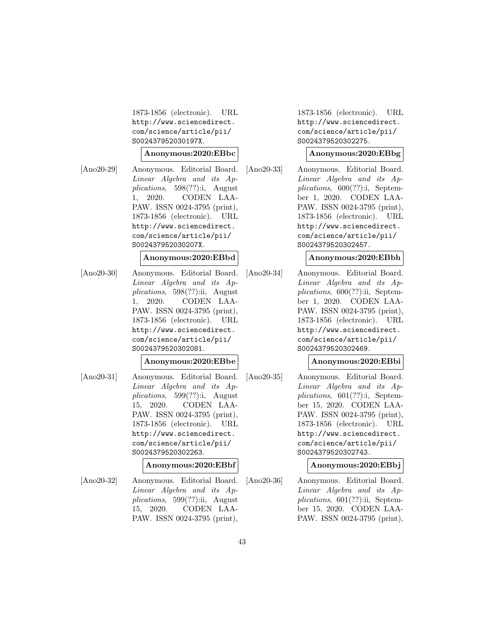1873-1856 (electronic). URL http://www.sciencedirect. com/science/article/pii/ S002437952030197X.

#### **Anonymous:2020:EBbc**

[Ano20-29] Anonymous. Editorial Board. Linear Algebra and its Applications, 598(??):i, August 1, 2020. CODEN LAA-PAW. ISSN 0024-3795 (print), 1873-1856 (electronic). URL http://www.sciencedirect. com/science/article/pii/ S002437952030207X.

### **Anonymous:2020:EBbd**

[Ano20-30] Anonymous. Editorial Board. Linear Algebra and its Applications, 598(??):ii, August 1, 2020. CODEN LAA-PAW. ISSN 0024-3795 (print), 1873-1856 (electronic). URL http://www.sciencedirect. com/science/article/pii/ S0024379520302081.

### **Anonymous:2020:EBbe**

[Ano20-31] Anonymous. Editorial Board. Linear Algebra and its Applications, 599(??):i, August 15, 2020. CODEN LAA-PAW. ISSN 0024-3795 (print), 1873-1856 (electronic). URL http://www.sciencedirect. com/science/article/pii/ S0024379520302263.

### **Anonymous:2020:EBbf**

[Ano20-32] Anonymous. Editorial Board. Linear Algebra and its Applications, 599(??):ii, August 15, 2020. CODEN LAA-PAW. ISSN 0024-3795 (print),

1873-1856 (electronic). URL http://www.sciencedirect. com/science/article/pii/ S0024379520302275.

### **Anonymous:2020:EBbg**

[Ano20-33] Anonymous. Editorial Board. Linear Algebra and its Applications, 600(??):i, September 1, 2020. CODEN LAA-PAW. ISSN 0024-3795 (print), 1873-1856 (electronic). URL http://www.sciencedirect. com/science/article/pii/ S0024379520302457.

## **Anonymous:2020:EBbh**

[Ano20-34] Anonymous. Editorial Board. Linear Algebra and its Applications, 600(??):ii, September 1, 2020. CODEN LAA-PAW. ISSN 0024-3795 (print), 1873-1856 (electronic). URL http://www.sciencedirect. com/science/article/pii/ S0024379520302469.

## **Anonymous:2020:EBbi**

[Ano20-35] Anonymous. Editorial Board. Linear Algebra and its Applications, 601(??):i, September 15, 2020. CODEN LAA-PAW. ISSN 0024-3795 (print), 1873-1856 (electronic). URL http://www.sciencedirect. com/science/article/pii/ S0024379520302743.

## **Anonymous:2020:EBbj**

[Ano20-36] Anonymous. Editorial Board. Linear Algebra and its Applications, 601(??):ii, September 15, 2020. CODEN LAA-PAW. ISSN 0024-3795 (print),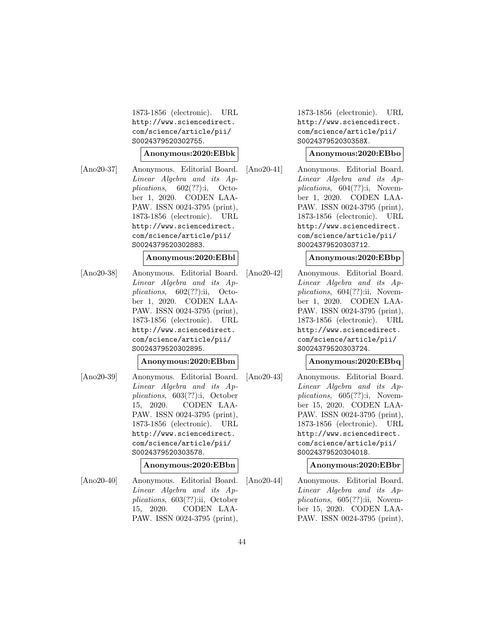1873-1856 (electronic). URL http://www.sciencedirect. com/science/article/pii/ S0024379520302755.

#### **Anonymous:2020:EBbk**

[Ano20-37] Anonymous. Editorial Board. Linear Algebra and its Applications, 602(??):i, October 1, 2020. CODEN LAA-PAW. ISSN 0024-3795 (print), 1873-1856 (electronic). URL http://www.sciencedirect. com/science/article/pii/ S0024379520302883.

### **Anonymous:2020:EBbl**

[Ano20-38] Anonymous. Editorial Board. Linear Algebra and its Applications, 602(??):ii, October 1, 2020. CODEN LAA-PAW. ISSN 0024-3795 (print), 1873-1856 (electronic). URL http://www.sciencedirect. com/science/article/pii/ S0024379520302895.

### **Anonymous:2020:EBbm**

[Ano20-39] Anonymous. Editorial Board. Linear Algebra and its Applications, 603(??):i, October 15, 2020. CODEN LAA-PAW. ISSN 0024-3795 (print), 1873-1856 (electronic). URL http://www.sciencedirect. com/science/article/pii/ S0024379520303578.

## **Anonymous:2020:EBbn**

[Ano20-40] Anonymous. Editorial Board. Linear Algebra and its Applications, 603(??):ii, October 15, 2020. CODEN LAA-PAW. ISSN 0024-3795 (print),

1873-1856 (electronic). URL http://www.sciencedirect. com/science/article/pii/ S002437952030358X.

### **Anonymous:2020:EBbo**

[Ano20-41] Anonymous. Editorial Board. Linear Algebra and its Applications, 604(??):i, November 1, 2020. CODEN LAA-PAW. ISSN 0024-3795 (print), 1873-1856 (electronic). URL http://www.sciencedirect. com/science/article/pii/ S0024379520303712.

## **Anonymous:2020:EBbp**

[Ano20-42] Anonymous. Editorial Board. Linear Algebra and its Applications,  $604(??)$ :ii, November 1, 2020. CODEN LAA-PAW. ISSN 0024-3795 (print), 1873-1856 (electronic). URL http://www.sciencedirect. com/science/article/pii/ S0024379520303724.

## **Anonymous:2020:EBbq**

[Ano20-43] Anonymous. Editorial Board. Linear Algebra and its Applications, 605(??):i, November 15, 2020. CODEN LAA-PAW. ISSN 0024-3795 (print), 1873-1856 (electronic). URL http://www.sciencedirect. com/science/article/pii/ S0024379520304018.

## **Anonymous:2020:EBbr**

[Ano20-44] Anonymous. Editorial Board. Linear Algebra and its Applications,  $605(??)$ :ii, November 15, 2020. CODEN LAA-PAW. ISSN 0024-3795 (print),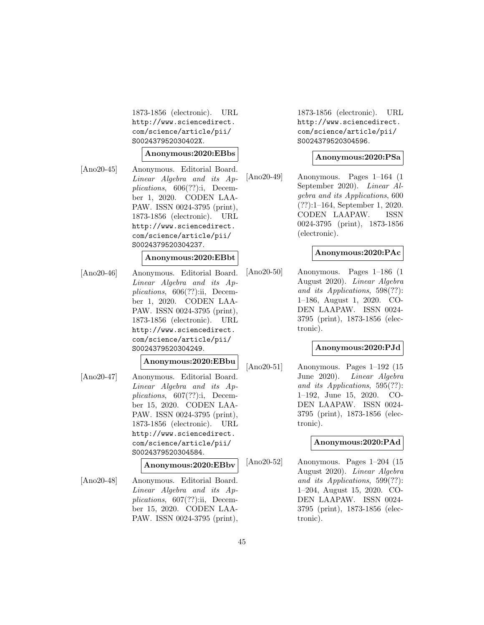1873-1856 (electronic). URL http://www.sciencedirect. com/science/article/pii/ S002437952030402X.

#### **Anonymous:2020:EBbs**

[Ano20-45] Anonymous. Editorial Board. Linear Algebra and its Applications, 606(??):i, December 1, 2020. CODEN LAA-PAW. ISSN 0024-3795 (print), 1873-1856 (electronic). URL http://www.sciencedirect. com/science/article/pii/ S0024379520304237.

#### **Anonymous:2020:EBbt**

[Ano20-46] Anonymous. Editorial Board. Linear Algebra and its Applications, 606(??):ii, December 1, 2020. CODEN LAA-PAW. ISSN 0024-3795 (print), 1873-1856 (electronic). URL http://www.sciencedirect. com/science/article/pii/ S0024379520304249.

#### **Anonymous:2020:EBbu**

[Ano20-47] Anonymous. Editorial Board. Linear Algebra and its Applications, 607(??):i, December 15, 2020. CODEN LAA-PAW. ISSN 0024-3795 (print), 1873-1856 (electronic). URL http://www.sciencedirect. com/science/article/pii/ S0024379520304584.

# **Anonymous:2020:EBbv**

[Ano20-48] Anonymous. Editorial Board. Linear Algebra and its Applications, 607(??):ii, December 15, 2020. CODEN LAA-PAW. ISSN 0024-3795 (print), 1873-1856 (electronic). URL http://www.sciencedirect. com/science/article/pii/ S0024379520304596.

### **Anonymous:2020:PSa**

[Ano20-49] Anonymous. Pages 1–164 (1 September 2020). Linear Algebra and its Applications, 600 (??):1–164, September 1, 2020. CODEN LAAPAW. ISSN 0024-3795 (print), 1873-1856 (electronic).

### **Anonymous:2020:PAc**

[Ano20-50] Anonymous. Pages 1–186 (1 August 2020). Linear Algebra and its Applications, 598(??): 1–186, August 1, 2020. CO-DEN LAAPAW. ISSN 0024- 3795 (print), 1873-1856 (electronic).

### **Anonymous:2020:PJd**

[Ano20-51] Anonymous. Pages 1–192 (15 June 2020). Linear Algebra and its Applications, 595(??): 1–192, June 15, 2020. CO-DEN LAAPAW. ISSN 0024- 3795 (print), 1873-1856 (electronic).

## **Anonymous:2020:PAd**

[Ano20-52] Anonymous. Pages 1–204 (15 August 2020). Linear Algebra and its Applications, 599(??): 1–204, August 15, 2020. CO-DEN LAAPAW. ISSN 0024- 3795 (print), 1873-1856 (electronic).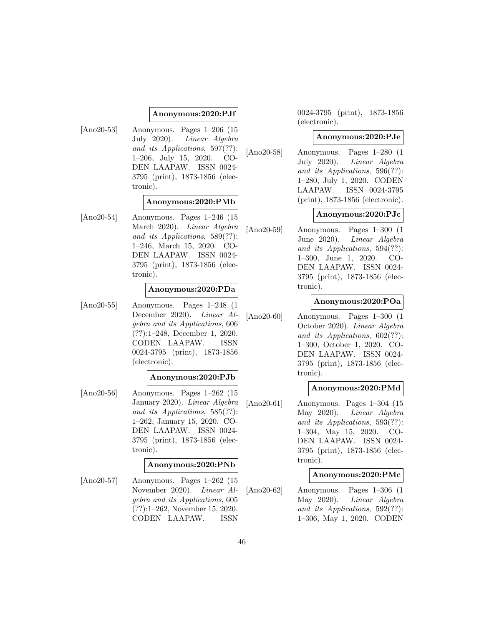## **Anonymous:2020:PJf**

[Ano20-53] Anonymous. Pages 1–206 (15 July 2020). Linear Algebra and its Applications, 597(??): 1–206, July 15, 2020. CO-DEN LAAPAW. ISSN 0024- 3795 (print), 1873-1856 (electronic).

## **Anonymous:2020:PMb**

[Ano20-54] Anonymous. Pages 1–246 (15 March 2020). Linear Algebra and its Applications, 589(??): 1–246, March 15, 2020. CO-DEN LAAPAW. ISSN 0024- 3795 (print), 1873-1856 (electronic).

#### **Anonymous:2020:PDa**

[Ano20-55] Anonymous. Pages 1–248 (1 December 2020). Linear Algebra and its Applications, 606 (??):1–248, December 1, 2020. CODEN LAAPAW. ISSN 0024-3795 (print), 1873-1856 (electronic).

# **Anonymous:2020:PJb**

[Ano20-56] Anonymous. Pages 1–262 (15 January 2020). Linear Algebra and its Applications, 585(??): 1–262, January 15, 2020. CO-DEN LAAPAW. ISSN 0024- 3795 (print), 1873-1856 (electronic).

### **Anonymous:2020:PNb**

[Ano20-57] Anonymous. Pages 1–262 (15 November 2020). Linear Algebra and its Applications, 605 (??):1–262, November 15, 2020. CODEN LAAPAW. ISSN

0024-3795 (print), 1873-1856 (electronic).

#### **Anonymous:2020:PJe**

[Ano20-58] Anonymous. Pages 1–280 (1 July 2020). Linear Algebra and its Applications, 596(??): 1–280, July 1, 2020. CODEN LAAPAW. ISSN 0024-3795 (print), 1873-1856 (electronic).

### **Anonymous:2020:PJc**

[Ano20-59] Anonymous. Pages 1–300 (1 June 2020). Linear Algebra and its Applications, 594(??): 1–300, June 1, 2020. CO-DEN LAAPAW. ISSN 0024- 3795 (print), 1873-1856 (electronic).

#### **Anonymous:2020:POa**

[Ano20-60] Anonymous. Pages 1–300 (1 October 2020). Linear Algebra and its Applications, 602(??): 1–300, October 1, 2020. CO-DEN LAAPAW. ISSN 0024- 3795 (print), 1873-1856 (electronic).

### **Anonymous:2020:PMd**

[Ano20-61] Anonymous. Pages 1–304 (15 May 2020). Linear Algebra and its Applications, 593(??): 1–304, May 15, 2020. CO-DEN LAAPAW. ISSN 0024- 3795 (print), 1873-1856 (electronic).

### **Anonymous:2020:PMc**

[Ano20-62] Anonymous. Pages 1–306 (1 May 2020). Linear Algebra and its Applications, 592(??): 1–306, May 1, 2020. CODEN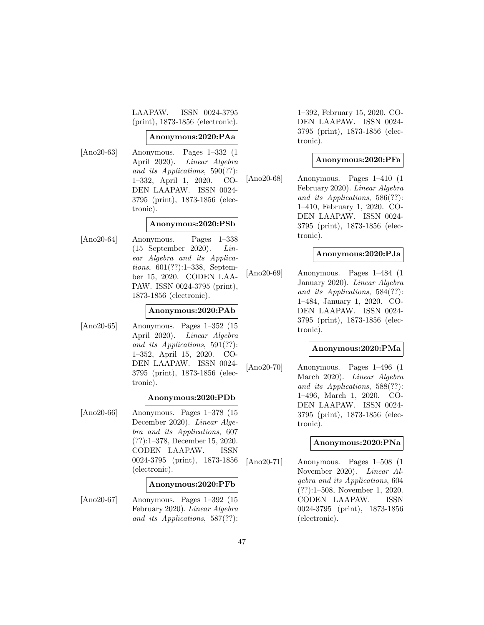LAAPAW. ISSN 0024-3795 (print), 1873-1856 (electronic).

#### **Anonymous:2020:PAa**

[Ano20-63] Anonymous. Pages 1–332 (1 April 2020). Linear Algebra and its Applications, 590(??): 1–332, April 1, 2020. CO-DEN LAAPAW. ISSN 0024- 3795 (print), 1873-1856 (electronic).

### **Anonymous:2020:PSb**

[Ano20-64] Anonymous. Pages 1–338 (15 September 2020). Linear Algebra and its Applications, 601(??):1–338, September 15, 2020. CODEN LAA-PAW. ISSN 0024-3795 (print), 1873-1856 (electronic).

### **Anonymous:2020:PAb**

[Ano20-65] Anonymous. Pages 1–352 (15 April 2020). Linear Algebra and its Applications, 591(??): 1–352, April 15, 2020. CO-DEN LAAPAW. ISSN 0024- 3795 (print), 1873-1856 (electronic).

### **Anonymous:2020:PDb**

[Ano20-66] Anonymous. Pages 1–378 (15 December 2020). Linear Algebra and its Applications, 607 (??):1–378, December 15, 2020. CODEN LAAPAW. ISSN 0024-3795 (print), 1873-1856 (electronic).

### **Anonymous:2020:PFb**

[Ano20-67] Anonymous. Pages 1–392 (15 February 2020). Linear Algebra and its Applications, 587(??): 1–392, February 15, 2020. CO-DEN LAAPAW. ISSN 0024- 3795 (print), 1873-1856 (electronic).

### **Anonymous:2020:PFa**

[Ano20-68] Anonymous. Pages 1–410 (1 February 2020). Linear Algebra and its Applications, 586(??): 1–410, February 1, 2020. CO-DEN LAAPAW. ISSN 0024- 3795 (print), 1873-1856 (electronic).

#### **Anonymous:2020:PJa**

[Ano20-69] Anonymous. Pages 1–484 (1 January 2020). Linear Algebra and its Applications, 584(??): 1–484, January 1, 2020. CO-DEN LAAPAW. ISSN 0024- 3795 (print), 1873-1856 (electronic).

### **Anonymous:2020:PMa**

[Ano20-70] Anonymous. Pages 1–496 (1 March 2020). Linear Algebra and its Applications, 588(??): 1–496, March 1, 2020. CO-DEN LAAPAW. ISSN 0024- 3795 (print), 1873-1856 (electronic).

### **Anonymous:2020:PNa**

[Ano20-71] Anonymous. Pages 1–508 (1 November 2020). Linear Algebra and its Applications, 604 (??):1–508, November 1, 2020. CODEN LAAPAW. ISSN 0024-3795 (print), 1873-1856 (electronic).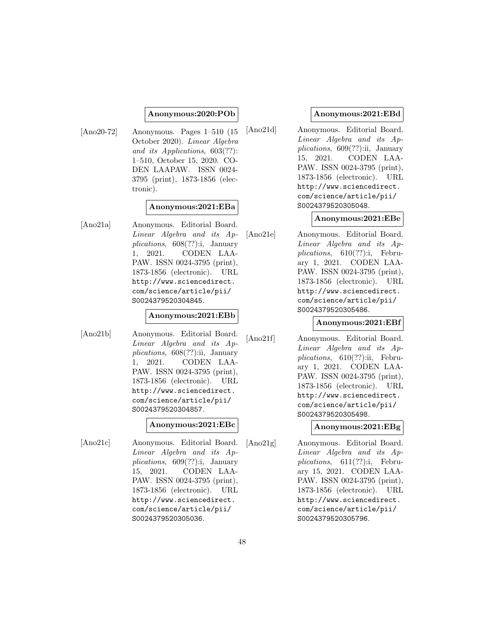### **Anonymous:2020:POb**

[Ano20-72] Anonymous. Pages 1–510 (15 October 2020). Linear Algebra and its Applications, 603(??): 1–510, October 15, 2020. CO-DEN LAAPAW. ISSN 0024- 3795 (print), 1873-1856 (electronic).

## **Anonymous:2021:EBa**

[Ano21a] Anonymous. Editorial Board. Linear Algebra and its Applications, 608(??):i, January 1, 2021. CODEN LAA-PAW. ISSN 0024-3795 (print), 1873-1856 (electronic). URL http://www.sciencedirect. com/science/article/pii/ S0024379520304845.

### **Anonymous:2021:EBb**

[Ano21b] Anonymous. Editorial Board. Linear Algebra and its Applications, 608(??):ii, January 1, 2021. CODEN LAA-PAW. ISSN 0024-3795 (print), 1873-1856 (electronic). URL http://www.sciencedirect. com/science/article/pii/ S0024379520304857.

### **Anonymous:2021:EBc**

[Ano21c] Anonymous. Editorial Board. Linear Algebra and its Applications, 609(??):i, January 15, 2021. CODEN LAA-PAW. ISSN 0024-3795 (print), 1873-1856 (electronic). URL http://www.sciencedirect. com/science/article/pii/ S0024379520305036.

### **Anonymous:2021:EBd**

[Ano21d] Anonymous. Editorial Board. Linear Algebra and its Applications, 609(??):ii, January 15, 2021. CODEN LAA-PAW. ISSN 0024-3795 (print), 1873-1856 (electronic). URL http://www.sciencedirect. com/science/article/pii/ S0024379520305048.

### **Anonymous:2021:EBe**

[Ano21e] Anonymous. Editorial Board. Linear Algebra and its Applications, 610(??):i, February 1, 2021. CODEN LAA-PAW. ISSN 0024-3795 (print), 1873-1856 (electronic). URL http://www.sciencedirect. com/science/article/pii/ S0024379520305486.

### **Anonymous:2021:EBf**

[Ano21f] Anonymous. Editorial Board. Linear Algebra and its Applications, 610(??):ii, February 1, 2021. CODEN LAA-PAW. ISSN 0024-3795 (print), 1873-1856 (electronic). URL http://www.sciencedirect. com/science/article/pii/ S0024379520305498.

**Anonymous:2021:EBg**

[Ano21g] Anonymous. Editorial Board. Linear Algebra and its Applications, 611(??):i, February 15, 2021. CODEN LAA-PAW. ISSN 0024-3795 (print), 1873-1856 (electronic). URL http://www.sciencedirect. com/science/article/pii/ S0024379520305796.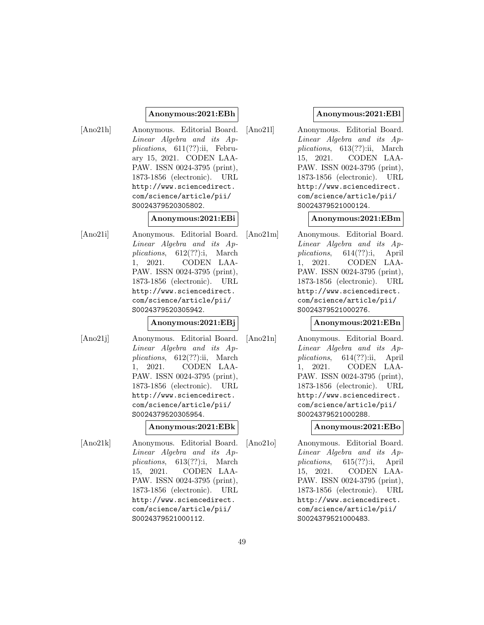### **Anonymous:2021:EBh**

[Ano21h] Anonymous. Editorial Board. Linear Algebra and its Applications, 611(??):ii, February 15, 2021. CODEN LAA-PAW. ISSN 0024-3795 (print), 1873-1856 (electronic). URL http://www.sciencedirect. com/science/article/pii/ S0024379520305802.

#### **Anonymous:2021:EBi**

[Ano21i] Anonymous. Editorial Board. Linear Algebra and its Applications, 612(??):i, March 1, 2021. CODEN LAA-PAW. ISSN 0024-3795 (print), 1873-1856 (electronic). URL http://www.sciencedirect. com/science/article/pii/ S0024379520305942.

## **Anonymous:2021:EBj**

[Ano21j] Anonymous. Editorial Board. Linear Algebra and its Applications, 612(??):ii, March 1, 2021. CODEN LAA-PAW. ISSN 0024-3795 (print), 1873-1856 (electronic). URL http://www.sciencedirect. com/science/article/pii/ S0024379520305954.

#### **Anonymous:2021:EBk**

[Ano21k] Anonymous. Editorial Board. Linear Algebra and its Applications, 613(??):i, March 15, 2021. CODEN LAA-PAW. ISSN 0024-3795 (print), 1873-1856 (electronic). URL http://www.sciencedirect. com/science/article/pii/ S0024379521000112.

# **Anonymous:2021:EBl**

[Ano21l] Anonymous. Editorial Board. Linear Algebra and its Applications, 613(??):ii, March 15, 2021. CODEN LAA-PAW. ISSN 0024-3795 (print), 1873-1856 (electronic). URL http://www.sciencedirect. com/science/article/pii/ S0024379521000124.

# **Anonymous:2021:EBm**

[Ano21m] Anonymous. Editorial Board. Linear Algebra and its Applications, 614(??):i, April 1, 2021. CODEN LAA-PAW. ISSN 0024-3795 (print), 1873-1856 (electronic). URL http://www.sciencedirect. com/science/article/pii/ S0024379521000276.

## **Anonymous:2021:EBn**

[Ano21n] Anonymous. Editorial Board. Linear Algebra and its Applications, 614(??):ii, April 1, 2021. CODEN LAA-PAW. ISSN 0024-3795 (print), 1873-1856 (electronic). URL http://www.sciencedirect. com/science/article/pii/ S0024379521000288.

**Anonymous:2021:EBo**

[Ano21o] Anonymous. Editorial Board. Linear Algebra and its Applications, 615(??):i, April 15, 2021. CODEN LAA-PAW. ISSN 0024-3795 (print), 1873-1856 (electronic). URL http://www.sciencedirect. com/science/article/pii/ S0024379521000483.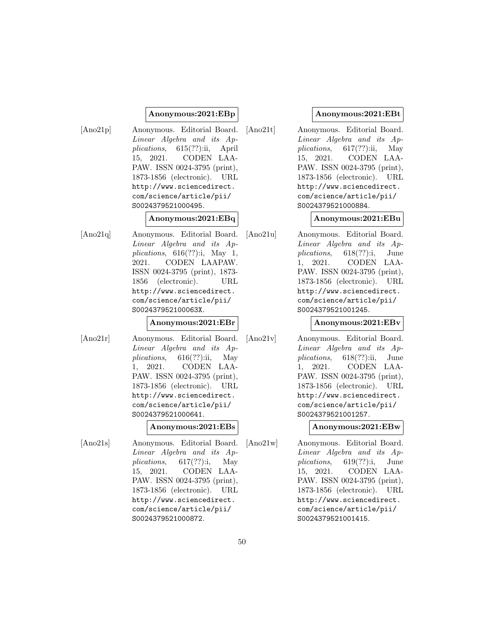### **Anonymous:2021:EBp**

[Ano21p] Anonymous. Editorial Board. Linear Algebra and its Applications, 615(??):ii, April 15, 2021. CODEN LAA-PAW. ISSN 0024-3795 (print), 1873-1856 (electronic). URL http://www.sciencedirect. com/science/article/pii/ S0024379521000495.

### **Anonymous:2021:EBq**

[Ano21q] Anonymous. Editorial Board. Linear Algebra and its Applications,  $616(??)$ :i, May 1, 2021. CODEN LAAPAW. ISSN 0024-3795 (print), 1873- 1856 (electronic). URL http://www.sciencedirect. com/science/article/pii/ S002437952100063X.

### **Anonymous:2021:EBr**

[Ano21r] Anonymous. Editorial Board. Linear Algebra and its Applications,  $616(??)$ :ii, May 1, 2021. CODEN LAA-PAW. ISSN 0024-3795 (print), 1873-1856 (electronic). URL http://www.sciencedirect. com/science/article/pii/ S0024379521000641.

#### **Anonymous:2021:EBs**

[Ano21s] Anonymous. Editorial Board. Linear Algebra and its Applications,  $617(??)$ :i, May 15, 2021. CODEN LAA-PAW. ISSN 0024-3795 (print), 1873-1856 (electronic). URL http://www.sciencedirect. com/science/article/pii/ S0024379521000872.

### **Anonymous:2021:EBt**

[Ano21t] Anonymous. Editorial Board. Linear Algebra and its Applications,  $617(??)$ :ii, May 15, 2021. CODEN LAA-PAW. ISSN 0024-3795 (print), 1873-1856 (electronic). URL http://www.sciencedirect. com/science/article/pii/ S0024379521000884.

### **Anonymous:2021:EBu**

[Ano21u] Anonymous. Editorial Board. Linear Algebra and its Applications, 618(??):i, June 1, 2021. CODEN LAA-PAW. ISSN 0024-3795 (print), 1873-1856 (electronic). URL http://www.sciencedirect. com/science/article/pii/ S0024379521001245.

### **Anonymous:2021:EBv**

[Ano21v] Anonymous. Editorial Board. Linear Algebra and its Applications, 618(??):ii, June 1, 2021. CODEN LAA-PAW. ISSN 0024-3795 (print), 1873-1856 (electronic). URL http://www.sciencedirect. com/science/article/pii/ S0024379521001257.

**Anonymous:2021:EBw**

[Ano21w] Anonymous. Editorial Board. Linear Algebra and its Applications, 619(??):i, June 15, 2021. CODEN LAA-PAW. ISSN 0024-3795 (print), 1873-1856 (electronic). URL http://www.sciencedirect. com/science/article/pii/ S0024379521001415.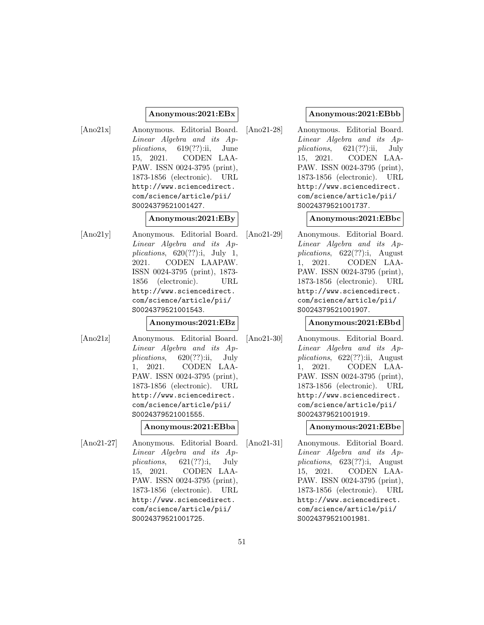### **Anonymous:2021:EBx**

[Ano21x] Anonymous. Editorial Board. Linear Algebra and its Applications,  $619(??)$ :ii, June 15, 2021. CODEN LAA-PAW. ISSN 0024-3795 (print), 1873-1856 (electronic). URL http://www.sciencedirect. com/science/article/pii/ S0024379521001427.

### **Anonymous:2021:EBy**

[Ano21y] Anonymous. Editorial Board. Linear Algebra and its Applications,  $620(??)$ :i, July 1, 2021. CODEN LAAPAW. ISSN 0024-3795 (print), 1873- 1856 (electronic). URL http://www.sciencedirect. com/science/article/pii/ S0024379521001543.

#### **Anonymous:2021:EBz**

[Ano21z] Anonymous. Editorial Board. Linear Algebra and its Ap $plications, 620(??):ii, July$ 1, 2021. CODEN LAA-PAW. ISSN 0024-3795 (print), 1873-1856 (electronic). URL http://www.sciencedirect. com/science/article/pii/ S0024379521001555.

### **Anonymous:2021:EBba**

[Ano21-27] Anonymous. Editorial Board. Linear Algebra and its Applications, 621(??):i, July 15, 2021. CODEN LAA-PAW. ISSN 0024-3795 (print), 1873-1856 (electronic). URL http://www.sciencedirect. com/science/article/pii/ S0024379521001725.

# **Anonymous:2021:EBbb**

[Ano21-28] Anonymous. Editorial Board. Linear Algebra and its Applications,  $621(??)$ :ii, July 15, 2021. CODEN LAA-PAW. ISSN 0024-3795 (print), 1873-1856 (electronic). URL http://www.sciencedirect. com/science/article/pii/ S0024379521001737.

# **Anonymous:2021:EBbc**

[Ano21-29] Anonymous. Editorial Board. Linear Algebra and its Applications, 622(??):i, August 1, 2021. CODEN LAA-PAW. ISSN 0024-3795 (print), 1873-1856 (electronic). URL http://www.sciencedirect. com/science/article/pii/ S0024379521001907.

# **Anonymous:2021:EBbd**

[Ano21-30] Anonymous. Editorial Board. Linear Algebra and its Applications, 622(??):ii, August 1, 2021. CODEN LAA-PAW. ISSN 0024-3795 (print), 1873-1856 (electronic). URL http://www.sciencedirect. com/science/article/pii/ S0024379521001919.

**Anonymous:2021:EBbe**

[Ano21-31] Anonymous. Editorial Board. Linear Algebra and its Applications, 623(??):i, August 15, 2021. CODEN LAA-PAW. ISSN 0024-3795 (print), 1873-1856 (electronic). URL http://www.sciencedirect. com/science/article/pii/ S0024379521001981.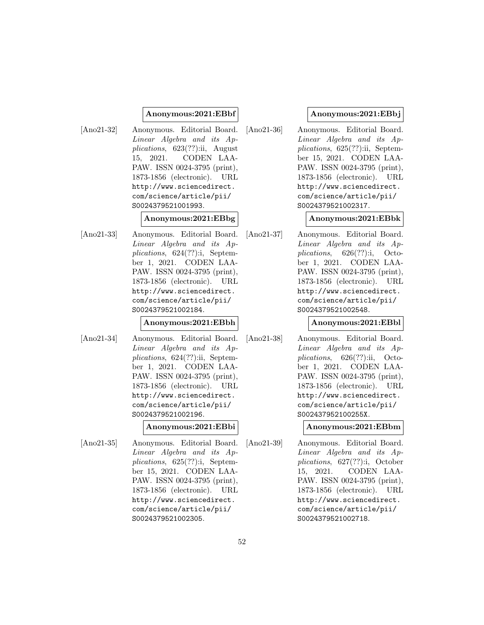### **Anonymous:2021:EBbf**

[Ano21-32] Anonymous. Editorial Board. Linear Algebra and its Applications, 623(??):ii, August 15, 2021. CODEN LAA-PAW. ISSN 0024-3795 (print), 1873-1856 (electronic). URL http://www.sciencedirect. com/science/article/pii/ S0024379521001993.

#### **Anonymous:2021:EBbg**

[Ano21-33] Anonymous. Editorial Board. Linear Algebra and its Applications, 624(??):i, September 1, 2021. CODEN LAA-PAW. ISSN 0024-3795 (print), 1873-1856 (electronic). URL http://www.sciencedirect. com/science/article/pii/ S0024379521002184.

### **Anonymous:2021:EBbh**

[Ano21-34] Anonymous. Editorial Board. Linear Algebra and its Applications, 624(??):ii, September 1, 2021. CODEN LAA-PAW. ISSN 0024-3795 (print), 1873-1856 (electronic). URL http://www.sciencedirect. com/science/article/pii/ S0024379521002196.

#### **Anonymous:2021:EBbi**

[Ano21-35] Anonymous. Editorial Board. Linear Algebra and its Applications, 625(??):i, September 15, 2021. CODEN LAA-PAW. ISSN 0024-3795 (print), 1873-1856 (electronic). URL http://www.sciencedirect. com/science/article/pii/ S0024379521002305.

## **Anonymous:2021:EBbj**

[Ano21-36] Anonymous. Editorial Board. Linear Algebra and its Applications, 625(??):ii, September 15, 2021. CODEN LAA-PAW. ISSN 0024-3795 (print), 1873-1856 (electronic). URL http://www.sciencedirect. com/science/article/pii/ S0024379521002317.

### **Anonymous:2021:EBbk**

[Ano21-37] Anonymous. Editorial Board. Linear Algebra and its Applications, 626(??):i, October 1, 2021. CODEN LAA-PAW. ISSN 0024-3795 (print), 1873-1856 (electronic). URL http://www.sciencedirect. com/science/article/pii/ S0024379521002548.

### **Anonymous:2021:EBbl**

[Ano21-38] Anonymous. Editorial Board. Linear Algebra and its Applications, 626(??):ii, October 1, 2021. CODEN LAA-PAW. ISSN 0024-3795 (print), 1873-1856 (electronic). URL http://www.sciencedirect. com/science/article/pii/ S002437952100255X.

**Anonymous:2021:EBbm**

[Ano21-39] Anonymous. Editorial Board. Linear Algebra and its Applications, 627(??):i, October 15, 2021. CODEN LAA-PAW. ISSN 0024-3795 (print), 1873-1856 (electronic). URL http://www.sciencedirect. com/science/article/pii/ S0024379521002718.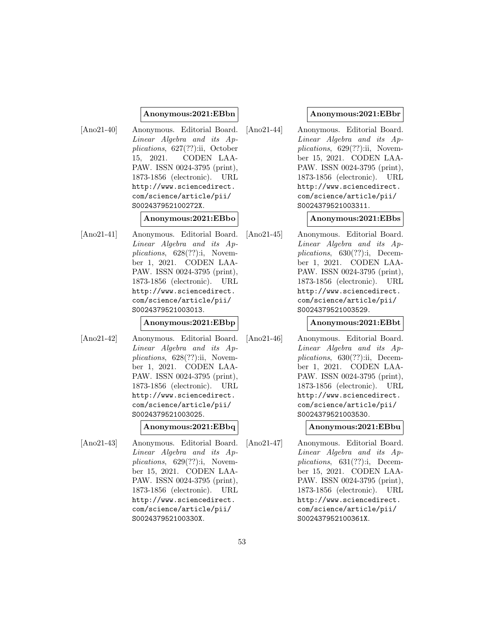#### **Anonymous:2021:EBbn**

[Ano21-40] Anonymous. Editorial Board. Linear Algebra and its Applications, 627(??):ii, October 15, 2021. CODEN LAA-PAW. ISSN 0024-3795 (print), 1873-1856 (electronic). URL http://www.sciencedirect. com/science/article/pii/ S002437952100272X.

#### **Anonymous:2021:EBbo**

[Ano21-41] Anonymous. Editorial Board. Linear Algebra and its Applications, 628(??):i, November 1, 2021. CODEN LAA-PAW. ISSN 0024-3795 (print), 1873-1856 (electronic). URL http://www.sciencedirect. com/science/article/pii/ S0024379521003013.

### **Anonymous:2021:EBbp**

[Ano21-42] Anonymous. Editorial Board. Linear Algebra and its Applications, 628(??):ii, November 1, 2021. CODEN LAA-PAW. ISSN 0024-3795 (print), 1873-1856 (electronic). URL http://www.sciencedirect. com/science/article/pii/ S0024379521003025.

#### **Anonymous:2021:EBbq**

[Ano21-43] Anonymous. Editorial Board. Linear Algebra and its Applications, 629(??):i, November 15, 2021. CODEN LAA-PAW. ISSN 0024-3795 (print), 1873-1856 (electronic). URL http://www.sciencedirect. com/science/article/pii/ S002437952100330X.

#### **Anonymous:2021:EBbr**

[Ano21-44] Anonymous. Editorial Board. Linear Algebra and its Applications,  $629(??)$ :ii, November 15, 2021. CODEN LAA-PAW. ISSN 0024-3795 (print), 1873-1856 (electronic). URL http://www.sciencedirect. com/science/article/pii/ S0024379521003311.

#### **Anonymous:2021:EBbs**

[Ano21-45] Anonymous. Editorial Board. Linear Algebra and its Applications, 630(??):i, December 1, 2021. CODEN LAA-PAW. ISSN 0024-3795 (print), 1873-1856 (electronic). URL http://www.sciencedirect. com/science/article/pii/ S0024379521003529.

#### **Anonymous:2021:EBbt**

[Ano21-46] Anonymous. Editorial Board. Linear Algebra and its Applications, 630(??):ii, December 1, 2021. CODEN LAA-PAW. ISSN 0024-3795 (print), 1873-1856 (electronic). URL http://www.sciencedirect. com/science/article/pii/ S0024379521003530.

#### **Anonymous:2021:EBbu**

[Ano21-47] Anonymous. Editorial Board. Linear Algebra and its Applications, 631(??):i, December 15, 2021. CODEN LAA-PAW. ISSN 0024-3795 (print), 1873-1856 (electronic). URL http://www.sciencedirect. com/science/article/pii/ S002437952100361X.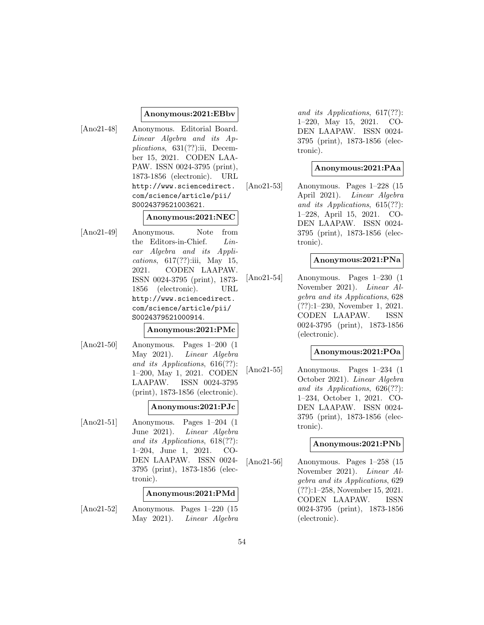#### **Anonymous:2021:EBbv**

[Ano21-48] Anonymous. Editorial Board. Linear Algebra and its Applications, 631(??):ii, December 15, 2021. CODEN LAA-PAW. ISSN 0024-3795 (print), 1873-1856 (electronic). URL http://www.sciencedirect. com/science/article/pii/ S0024379521003621.

#### **Anonymous:2021:NEC**

[Ano21-49] Anonymous. Note from the Editors-in-Chief. Linear Algebra and its Applications,  $617(??)$ :iii, May 15, 2021. CODEN LAAPAW. ISSN 0024-3795 (print), 1873- 1856 (electronic). URL http://www.sciencedirect. com/science/article/pii/ S0024379521000914.

### **Anonymous:2021:PMc**

[Ano21-50] Anonymous. Pages 1–200 (1 May 2021). Linear Algebra and its Applications, 616(??): 1–200, May 1, 2021. CODEN LAAPAW. ISSN 0024-3795 (print), 1873-1856 (electronic).

#### **Anonymous:2021:PJc**

[Ano21-51] Anonymous. Pages 1–204 (1 June 2021). Linear Algebra and its Applications, 618(??): 1–204, June 1, 2021. CO-DEN LAAPAW. ISSN 0024- 3795 (print), 1873-1856 (electronic).

### **Anonymous:2021:PMd**

[Ano21-52] Anonymous. Pages 1–220 (15 May 2021). Linear Algebra

and its Applications, 617(??): 1–220, May 15, 2021. CO-DEN LAAPAW. ISSN 0024- 3795 (print), 1873-1856 (electronic).

### **Anonymous:2021:PAa**

[Ano21-53] Anonymous. Pages 1–228 (15 April 2021). Linear Algebra and its Applications, 615(??): 1–228, April 15, 2021. CO-DEN LAAPAW. ISSN 0024- 3795 (print), 1873-1856 (electronic).

### **Anonymous:2021:PNa**

[Ano21-54] Anonymous. Pages 1–230 (1 November 2021). Linear Algebra and its Applications, 628 (??):1–230, November 1, 2021. CODEN LAAPAW. ISSN 0024-3795 (print), 1873-1856 (electronic).

## **Anonymous:2021:POa**

[Ano21-55] Anonymous. Pages 1–234 (1 October 2021). Linear Algebra and its Applications, 626(??): 1–234, October 1, 2021. CO-DEN LAAPAW. ISSN 0024- 3795 (print), 1873-1856 (electronic).

## **Anonymous:2021:PNb**

[Ano21-56] Anonymous. Pages 1–258 (15 November 2021). Linear Algebra and its Applications, 629 (??):1–258, November 15, 2021. CODEN LAAPAW. ISSN 0024-3795 (print), 1873-1856 (electronic).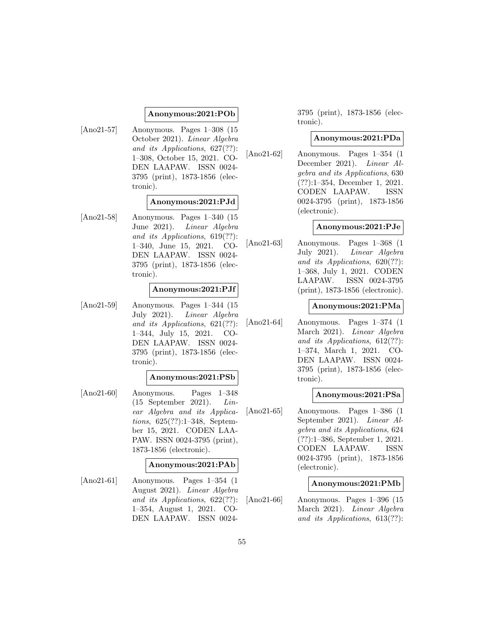### **Anonymous:2021:POb**

[Ano21-57] Anonymous. Pages 1–308 (15 October 2021). Linear Algebra and its Applications, 627(??): 1–308, October 15, 2021. CO-DEN LAAPAW. ISSN 0024- 3795 (print), 1873-1856 (electronic).

## **Anonymous:2021:PJd**

[Ano21-58] Anonymous. Pages 1–340 (15 June 2021). Linear Algebra and its Applications, 619(??): 1–340, June 15, 2021. CO-DEN LAAPAW. ISSN 0024- 3795 (print), 1873-1856 (electronic).

### **Anonymous:2021:PJf**

[Ano21-59] Anonymous. Pages 1–344 (15 July 2021). Linear Algebra and its Applications, 621(??): 1–344, July 15, 2021. CO-DEN LAAPAW. ISSN 0024- 3795 (print), 1873-1856 (electronic).

### **Anonymous:2021:PSb**

[Ano21-60] Anonymous. Pages 1–348 (15 September 2021). Linear Algebra and its Applications, 625(??):1–348, September 15, 2021. CODEN LAA-PAW. ISSN 0024-3795 (print), 1873-1856 (electronic).

## **Anonymous:2021:PAb**

[Ano21-61] Anonymous. Pages 1–354 (1 August 2021). Linear Algebra and its Applications, 622(??): 1–354, August 1, 2021. CO-DEN LAAPAW. ISSN 00243795 (print), 1873-1856 (electronic).

### **Anonymous:2021:PDa**

[Ano21-62] Anonymous. Pages 1–354 (1 December 2021). Linear Algebra and its Applications, 630 (??):1–354, December 1, 2021. CODEN LAAPAW. ISSN 0024-3795 (print), 1873-1856 (electronic).

### **Anonymous:2021:PJe**

[Ano21-63] Anonymous. Pages 1–368 (1 July 2021). Linear Algebra and its Applications, 620(??): 1–368, July 1, 2021. CODEN LAAPAW. ISSN 0024-3795 (print), 1873-1856 (electronic).

### **Anonymous:2021:PMa**

[Ano21-64] Anonymous. Pages 1–374 (1 March 2021). Linear Algebra and its Applications, 612(??): 1–374, March 1, 2021. CO-DEN LAAPAW. ISSN 0024- 3795 (print), 1873-1856 (electronic).

### **Anonymous:2021:PSa**

[Ano21-65] Anonymous. Pages 1–386 (1 September 2021). Linear Algebra and its Applications, 624 (??):1–386, September 1, 2021. CODEN LAAPAW. ISSN 0024-3795 (print), 1873-1856 (electronic).

## **Anonymous:2021:PMb**

[Ano21-66] Anonymous. Pages 1–396 (15 March 2021). Linear Algebra and its Applications, 613(??):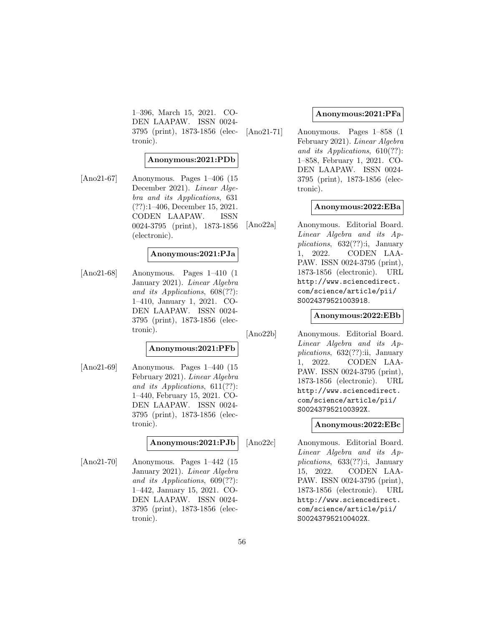1–396, March 15, 2021. CO-DEN LAAPAW. ISSN 0024- 3795 (print), 1873-1856 (electronic).

### **Anonymous:2021:PDb**

[Ano21-67] Anonymous. Pages 1–406 (15 December 2021). Linear Algebra and its Applications, 631 (??):1–406, December 15, 2021. CODEN LAAPAW. ISSN 0024-3795 (print), 1873-1856 (electronic).

### **Anonymous:2021:PJa**

[Ano21-68] Anonymous. Pages 1–410 (1 January 2021). Linear Algebra and its Applications, 608(??): 1–410, January 1, 2021. CO-DEN LAAPAW. ISSN 0024- 3795 (print), 1873-1856 (electronic).

## **Anonymous:2021:PFb**

[Ano21-69] Anonymous. Pages 1–440 (15 February 2021). Linear Algebra and its Applications, 611(??): 1–440, February 15, 2021. CO-DEN LAAPAW. ISSN 0024- 3795 (print), 1873-1856 (electronic).

### **Anonymous:2021:PJb**

[Ano21-70] Anonymous. Pages 1–442 (15 January 2021). Linear Algebra and its Applications, 609(??): 1–442, January 15, 2021. CO-DEN LAAPAW. ISSN 0024- 3795 (print), 1873-1856 (electronic).

### **Anonymous:2021:PFa**

[Ano21-71] Anonymous. Pages 1–858 (1 February 2021). Linear Algebra and its Applications, 610(??): 1–858, February 1, 2021. CO-DEN LAAPAW. ISSN 0024- 3795 (print), 1873-1856 (electronic).

### **Anonymous:2022:EBa**

[Ano22a] Anonymous. Editorial Board. Linear Algebra and its Applications,  $632(??)$ :i, January 1, 2022. CODEN LAA-PAW. ISSN 0024-3795 (print), 1873-1856 (electronic). URL http://www.sciencedirect. com/science/article/pii/ S0024379521003918.

### **Anonymous:2022:EBb**

[Ano22b] Anonymous. Editorial Board. Linear Algebra and its Applications,  $632(??)$ :ii, January 1, 2022. CODEN LAA-PAW. ISSN 0024-3795 (print), 1873-1856 (electronic). URL http://www.sciencedirect. com/science/article/pii/ S002437952100392X.

### **Anonymous:2022:EBc**

[Ano22c] Anonymous. Editorial Board. Linear Algebra and its Applications, 633(??):i, January 15, 2022. CODEN LAA-PAW. ISSN 0024-3795 (print), 1873-1856 (electronic). URL http://www.sciencedirect. com/science/article/pii/ S002437952100402X.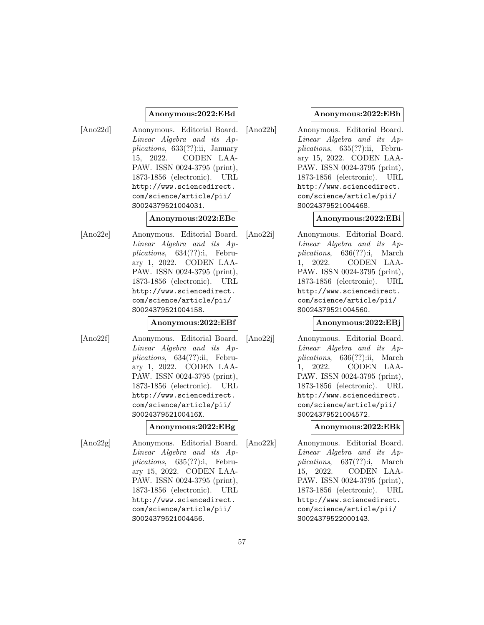### **Anonymous:2022:EBd**

[Ano22d] Anonymous. Editorial Board. Linear Algebra and its Applications, 633(??):ii, January 15, 2022. CODEN LAA-PAW. ISSN 0024-3795 (print), 1873-1856 (electronic). URL http://www.sciencedirect. com/science/article/pii/ S0024379521004031.

#### **Anonymous:2022:EBe**

[Ano22e] Anonymous. Editorial Board. Linear Algebra and its Applications, 634(??):i, February 1, 2022. CODEN LAA-PAW. ISSN 0024-3795 (print), 1873-1856 (electronic). URL http://www.sciencedirect. com/science/article/pii/ S0024379521004158.

## **Anonymous:2022:EBf**

[Ano22f] Anonymous. Editorial Board. Linear Algebra and its Applications, 634(??):ii, February 1, 2022. CODEN LAA-PAW. ISSN 0024-3795 (print), 1873-1856 (electronic). URL http://www.sciencedirect. com/science/article/pii/ S002437952100416X.

### **Anonymous:2022:EBg**

[Ano22g] Anonymous. Editorial Board. Linear Algebra and its Applications, 635(??):i, February 15, 2022. CODEN LAA-PAW. ISSN 0024-3795 (print), 1873-1856 (electronic). URL http://www.sciencedirect. com/science/article/pii/ S0024379521004456.

### **Anonymous:2022:EBh**

[Ano22h] Anonymous. Editorial Board. Linear Algebra and its Applications, 635(??):ii, February 15, 2022. CODEN LAA-PAW. ISSN 0024-3795 (print), 1873-1856 (electronic). URL http://www.sciencedirect. com/science/article/pii/ S0024379521004468.

### **Anonymous:2022:EBi**

[Ano22i] Anonymous. Editorial Board. Linear Algebra and its Applications, 636(??):i, March 1, 2022. CODEN LAA-PAW. ISSN 0024-3795 (print), 1873-1856 (electronic). URL http://www.sciencedirect. com/science/article/pii/ S0024379521004560.

### **Anonymous:2022:EBj**

[Ano22j] Anonymous. Editorial Board. Linear Algebra and its Applications, 636(??):ii, March 1, 2022. CODEN LAA-PAW. ISSN 0024-3795 (print), 1873-1856 (electronic). URL http://www.sciencedirect. com/science/article/pii/ S0024379521004572.

**Anonymous:2022:EBk**

[Ano22k] Anonymous. Editorial Board. Linear Algebra and its Applications, 637(??):i, March 15, 2022. CODEN LAA-PAW. ISSN 0024-3795 (print), 1873-1856 (electronic). URL http://www.sciencedirect. com/science/article/pii/ S0024379522000143.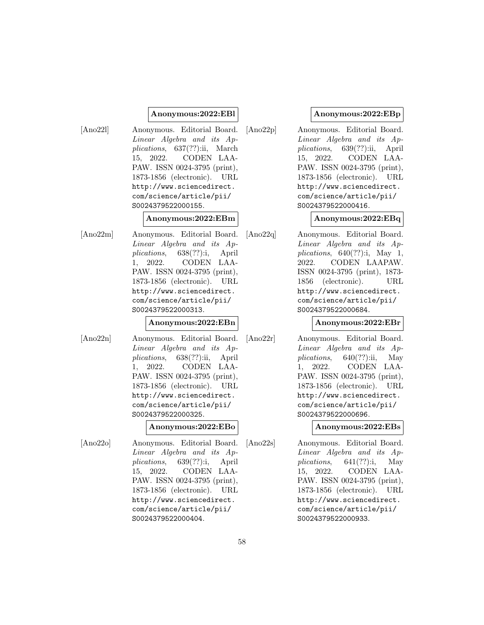### **Anonymous:2022:EBl**

[Ano22l] Anonymous. Editorial Board. Linear Algebra and its Applications, 637(??):ii, March 15, 2022. CODEN LAA-PAW. ISSN 0024-3795 (print), 1873-1856 (electronic). URL http://www.sciencedirect. com/science/article/pii/ S0024379522000155.

#### **Anonymous:2022:EBm**

[Ano22m] Anonymous. Editorial Board. Linear Algebra and its Applications, 638(??):i, April 1, 2022. CODEN LAA-PAW. ISSN 0024-3795 (print), 1873-1856 (electronic). URL http://www.sciencedirect. com/science/article/pii/ S0024379522000313.

### **Anonymous:2022:EBn**

[Ano22n] Anonymous. Editorial Board. Linear Algebra and its Applications, 638(??):ii, April 1, 2022. CODEN LAA-PAW. ISSN 0024-3795 (print), 1873-1856 (electronic). URL http://www.sciencedirect. com/science/article/pii/ S0024379522000325.

#### **Anonymous:2022:EBo**

[Ano22o] Anonymous. Editorial Board. Linear Algebra and its Applications, 639(??):i, April 15, 2022. CODEN LAA-PAW. ISSN 0024-3795 (print), 1873-1856 (electronic). URL http://www.sciencedirect. com/science/article/pii/ S0024379522000404.

### **Anonymous:2022:EBp**

[Ano22p] Anonymous. Editorial Board. Linear Algebra and its Applications, 639(??):ii, April 15, 2022. CODEN LAA-PAW. ISSN 0024-3795 (print), 1873-1856 (electronic). URL http://www.sciencedirect. com/science/article/pii/ S0024379522000416.

### **Anonymous:2022:EBq**

[Ano22q] Anonymous. Editorial Board. Linear Algebra and its Applications,  $640(??)$ :i, May 1, 2022. CODEN LAAPAW. ISSN 0024-3795 (print), 1873- 1856 (electronic). URL http://www.sciencedirect. com/science/article/pii/ S0024379522000684.

### **Anonymous:2022:EBr**

[Ano22r] Anonymous. Editorial Board. Linear Algebra and its Applications,  $640(??)$ :ii, May 1, 2022. CODEN LAA-PAW. ISSN 0024-3795 (print), 1873-1856 (electronic). URL http://www.sciencedirect. com/science/article/pii/ S0024379522000696.

**Anonymous:2022:EBs**

[Ano22s] Anonymous. Editorial Board. Linear Algebra and its Applications,  $641(??)$ :i, May 15, 2022. CODEN LAA-PAW. ISSN 0024-3795 (print), 1873-1856 (electronic). URL http://www.sciencedirect. com/science/article/pii/ S0024379522000933.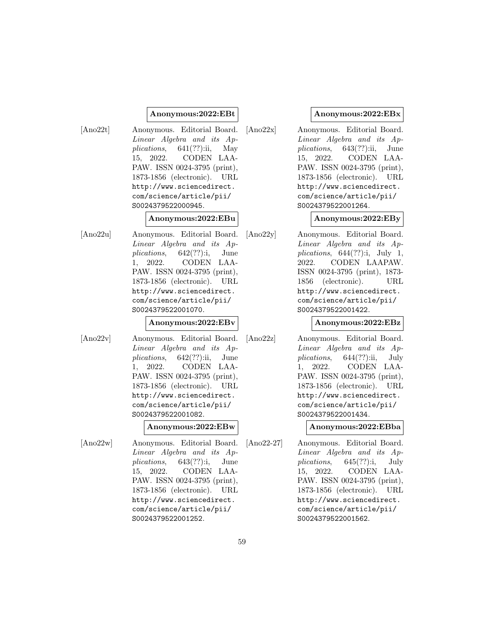### **Anonymous:2022:EBt**

[Ano22t] Anonymous. Editorial Board. Linear Algebra and its Applications,  $641(??)$ :ii, May 15, 2022. CODEN LAA-PAW. ISSN 0024-3795 (print), 1873-1856 (electronic). URL http://www.sciencedirect. com/science/article/pii/ S0024379522000945.

#### **Anonymous:2022:EBu**

[Ano22u] Anonymous. Editorial Board. Linear Algebra and its Applications, 642(??):i, June 1, 2022. CODEN LAA-PAW. ISSN 0024-3795 (print), 1873-1856 (electronic). URL http://www.sciencedirect. com/science/article/pii/ S0024379522001070.

#### **Anonymous:2022:EBv**

[Ano22v] Anonymous. Editorial Board. Linear Algebra and its Applications,  $642(??)$ :ii, June 1, 2022. CODEN LAA-PAW. ISSN 0024-3795 (print), 1873-1856 (electronic). URL http://www.sciencedirect. com/science/article/pii/ S0024379522001082.

#### **Anonymous:2022:EBw**

[Ano22w] Anonymous. Editorial Board. Linear Algebra and its Applications, 643(??):i, June 15, 2022. CODEN LAA-PAW. ISSN 0024-3795 (print), 1873-1856 (electronic). URL http://www.sciencedirect. com/science/article/pii/ S0024379522001252.

#### **Anonymous:2022:EBx**

[Ano22x] Anonymous. Editorial Board. Linear Algebra and its Applications, 643(??):ii, June 15, 2022. CODEN LAA-PAW. ISSN 0024-3795 (print), 1873-1856 (electronic). URL http://www.sciencedirect. com/science/article/pii/ S0024379522001264.

### **Anonymous:2022:EBy**

[Ano22y] Anonymous. Editorial Board. Linear Algebra and its Applications,  $644(??)$ :i, July 1, 2022. CODEN LAAPAW. ISSN 0024-3795 (print), 1873- 1856 (electronic). URL http://www.sciencedirect. com/science/article/pii/ S0024379522001422.

#### **Anonymous:2022:EBz**

[Ano22z] Anonymous. Editorial Board. Linear Algebra and its Applications,  $644(??)$ :ii, July 1, 2022. CODEN LAA-PAW. ISSN 0024-3795 (print), 1873-1856 (electronic). URL http://www.sciencedirect. com/science/article/pii/ S0024379522001434.

**Anonymous:2022:EBba**

[Ano22-27] Anonymous. Editorial Board. Linear Algebra and its Applications, 645(??):i, July 15, 2022. CODEN LAA-PAW. ISSN 0024-3795 (print), 1873-1856 (electronic). URL http://www.sciencedirect. com/science/article/pii/ S0024379522001562.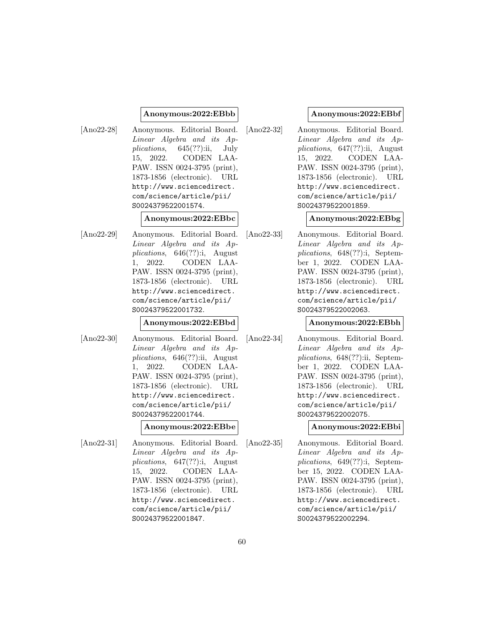#### **Anonymous:2022:EBbb**

[Ano22-28] Anonymous. Editorial Board. Linear Algebra and its Applications, 645(??):ii, July 15, 2022. CODEN LAA-PAW. ISSN 0024-3795 (print), 1873-1856 (electronic). URL http://www.sciencedirect. com/science/article/pii/ S0024379522001574.

#### **Anonymous:2022:EBbc**

[Ano22-29] Anonymous. Editorial Board. Linear Algebra and its Applications, 646(??):i, August 1, 2022. CODEN LAA-PAW. ISSN 0024-3795 (print), 1873-1856 (electronic). URL http://www.sciencedirect. com/science/article/pii/ S0024379522001732.

#### **Anonymous:2022:EBbd**

[Ano22-30] Anonymous. Editorial Board. Linear Algebra and its Applications, 646(??):ii, August 1, 2022. CODEN LAA-PAW. ISSN 0024-3795 (print), 1873-1856 (electronic). URL http://www.sciencedirect. com/science/article/pii/ S0024379522001744.

#### **Anonymous:2022:EBbe**

[Ano22-31] Anonymous. Editorial Board. Linear Algebra and its Applications, 647(??):i, August 15, 2022. CODEN LAA-PAW. ISSN 0024-3795 (print), 1873-1856 (electronic). URL http://www.sciencedirect. com/science/article/pii/ S0024379522001847.

#### **Anonymous:2022:EBbf**

[Ano22-32] Anonymous. Editorial Board. Linear Algebra and its Applications, 647(??):ii, August 15, 2022. CODEN LAA-PAW. ISSN 0024-3795 (print), 1873-1856 (electronic). URL http://www.sciencedirect. com/science/article/pii/ S0024379522001859.

### **Anonymous:2022:EBbg**

[Ano22-33] Anonymous. Editorial Board. Linear Algebra and its Applications, 648(??):i, September 1, 2022. CODEN LAA-PAW. ISSN 0024-3795 (print), 1873-1856 (electronic). URL http://www.sciencedirect. com/science/article/pii/ S0024379522002063.

#### **Anonymous:2022:EBbh**

[Ano22-34] Anonymous. Editorial Board. Linear Algebra and its Applications, 648(??):ii, September 1, 2022. CODEN LAA-PAW. ISSN 0024-3795 (print), 1873-1856 (electronic). URL http://www.sciencedirect. com/science/article/pii/ S0024379522002075.

**Anonymous:2022:EBbi**

[Ano22-35] Anonymous. Editorial Board. Linear Algebra and its Applications, 649(??):i, September 15, 2022. CODEN LAA-PAW. ISSN 0024-3795 (print), 1873-1856 (electronic). URL http://www.sciencedirect. com/science/article/pii/ S0024379522002294.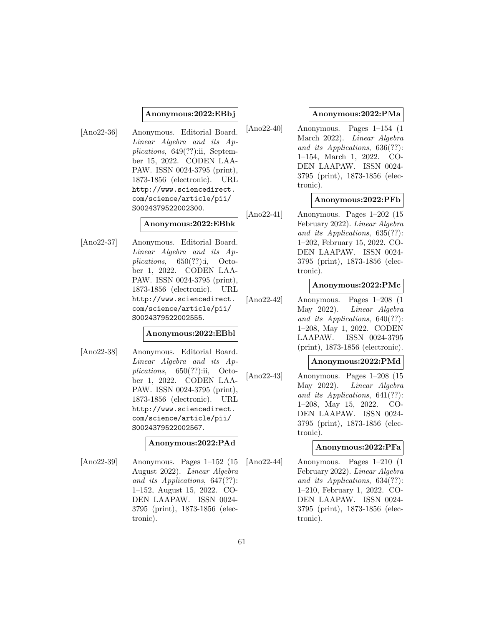### **Anonymous:2022:EBbj**

[Ano22-36] Anonymous. Editorial Board. Linear Algebra and its Applications, 649(??):ii, September 15, 2022. CODEN LAA-PAW. ISSN 0024-3795 (print), 1873-1856 (electronic). URL http://www.sciencedirect. com/science/article/pii/ S0024379522002300.

### **Anonymous:2022:EBbk**

[Ano22-37] Anonymous. Editorial Board. Linear Algebra and its Applications,  $650(??)$ :i, October 1, 2022. CODEN LAA-PAW. ISSN 0024-3795 (print), 1873-1856 (electronic). URL http://www.sciencedirect. com/science/article/pii/ S0024379522002555.

### **Anonymous:2022:EBbl**

[Ano22-38] Anonymous. Editorial Board. Linear Algebra and its Applications, 650(??):ii, October 1, 2022. CODEN LAA-PAW. ISSN 0024-3795 (print), 1873-1856 (electronic). URL http://www.sciencedirect. com/science/article/pii/ S0024379522002567.

### **Anonymous:2022:PAd**

[Ano22-39] Anonymous. Pages 1–152 (15 August 2022). Linear Algebra and its Applications, 647(??): 1–152, August 15, 2022. CO-DEN LAAPAW. ISSN 0024- 3795 (print), 1873-1856 (electronic).

## **Anonymous:2022:PMa**

[Ano22-40] Anonymous. Pages 1–154 (1 March 2022). Linear Algebra and its Applications, 636(??): 1–154, March 1, 2022. CO-DEN LAAPAW. ISSN 0024- 3795 (print), 1873-1856 (electronic).

## **Anonymous:2022:PFb**

[Ano22-41] Anonymous. Pages 1–202 (15 February 2022). Linear Algebra and its Applications, 635(??): 1–202, February 15, 2022. CO-DEN LAAPAW. ISSN 0024- 3795 (print), 1873-1856 (electronic).

## **Anonymous:2022:PMc**

[Ano22-42] Anonymous. Pages 1–208 (1 May 2022). Linear Algebra and its Applications, 640(??): 1–208, May 1, 2022. CODEN LAAPAW. ISSN 0024-3795 (print), 1873-1856 (electronic).

### **Anonymous:2022:PMd**

[Ano22-43] Anonymous. Pages 1–208 (15 May 2022). Linear Algebra and its Applications, 641(??): 1–208, May 15, 2022. CO-DEN LAAPAW. ISSN 0024- 3795 (print), 1873-1856 (electronic).

### **Anonymous:2022:PFa**

[Ano22-44] Anonymous. Pages 1–210 (1 February 2022). Linear Algebra and its Applications, 634(??): 1–210, February 1, 2022. CO-DEN LAAPAW. ISSN 0024- 3795 (print), 1873-1856 (electronic).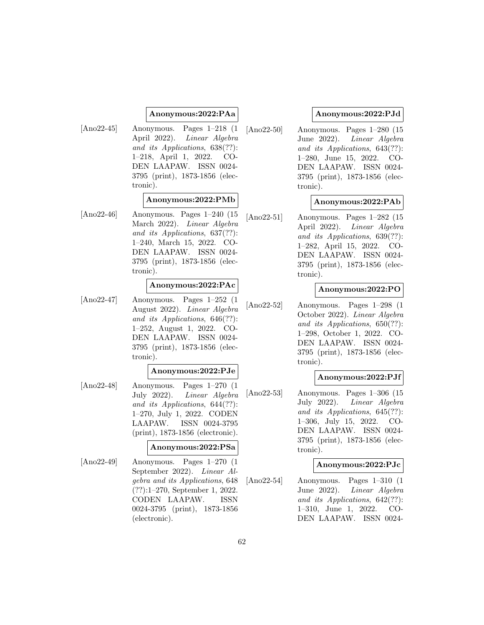## **Anonymous:2022:PAa**

- 
- [Ano22-45] Anonymous. Pages 1–218 (1 April 2022). Linear Algebra and its Applications, 638(??): 1–218, April 1, 2022. CO-DEN LAAPAW. ISSN 0024- 3795 (print), 1873-1856 (electronic).

## **Anonymous:2022:PMb**

[Ano22-46] Anonymous. Pages 1–240 (15 March 2022). Linear Algebra and its Applications, 637(??): 1–240, March 15, 2022. CO-DEN LAAPAW. ISSN 0024- 3795 (print), 1873-1856 (electronic).

## **Anonymous:2022:PAc**

[Ano22-47] Anonymous. Pages 1–252 (1 August 2022). Linear Algebra and its Applications, 646(??): 1–252, August 1, 2022. CO-DEN LAAPAW. ISSN 0024- 3795 (print), 1873-1856 (electronic).

### **Anonymous:2022:PJe**

[Ano22-48] Anonymous. Pages 1–270 (1 July 2022). Linear Algebra and its Applications, 644(??): 1–270, July 1, 2022. CODEN LAAPAW. ISSN 0024-3795 (print), 1873-1856 (electronic).

### **Anonymous:2022:PSa**

[Ano22-49] Anonymous. Pages 1–270 (1 September 2022). Linear Algebra and its Applications, 648 (??):1–270, September 1, 2022. CODEN LAAPAW. ISSN 0024-3795 (print), 1873-1856 (electronic).

## **Anonymous:2022:PJd**

[Ano22-50] Anonymous. Pages 1–280 (15 June 2022). Linear Algebra and its Applications, 643(??): 1–280, June 15, 2022. CO-DEN LAAPAW. ISSN 0024- 3795 (print), 1873-1856 (electronic).

### **Anonymous:2022:PAb**

[Ano22-51] Anonymous. Pages 1–282 (15 April 2022). Linear Algebra and its Applications, 639(??): 1–282, April 15, 2022. CO-DEN LAAPAW. ISSN 0024- 3795 (print), 1873-1856 (electronic).

## **Anonymous:2022:PO**

[Ano22-52] Anonymous. Pages 1–298 (1 October 2022). Linear Algebra and its Applications, 650(??): 1–298, October 1, 2022. CO-DEN LAAPAW. ISSN 0024- 3795 (print), 1873-1856 (electronic).

### **Anonymous:2022:PJf**

[Ano22-53] Anonymous. Pages 1–306 (15 July 2022). Linear Algebra and its Applications, 645(??): 1–306, July 15, 2022. CO-DEN LAAPAW. ISSN 0024- 3795 (print), 1873-1856 (electronic).

### **Anonymous:2022:PJc**

[Ano22-54] Anonymous. Pages 1–310 (1 June 2022). Linear Algebra and its Applications, 642(??): 1–310, June 1, 2022. CO-DEN LAAPAW. ISSN 0024-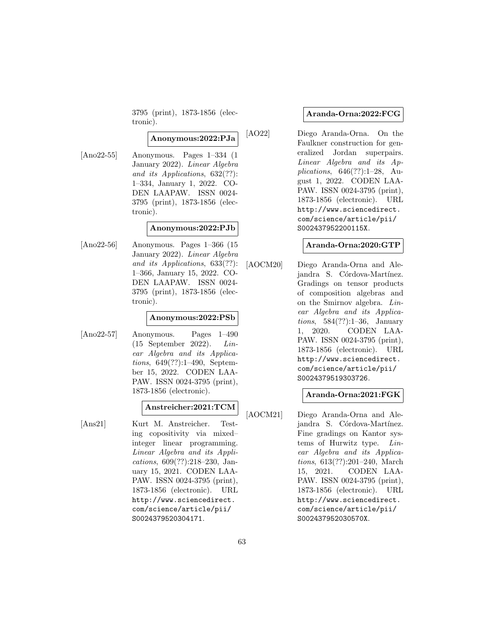3795 (print), 1873-1856 (electronic).

### **Anonymous:2022:PJa**

[Ano22-55] Anonymous. Pages 1–334 (1 January 2022). Linear Algebra and its Applications, 632(??): 1–334, January 1, 2022. CO-DEN LAAPAW. ISSN 0024- 3795 (print), 1873-1856 (electronic).

### **Anonymous:2022:PJb**

[Ano22-56] Anonymous. Pages 1–366 (15 January 2022). Linear Algebra and its Applications, 633(??): 1–366, January 15, 2022. CO-DEN LAAPAW. ISSN 0024- 3795 (print), 1873-1856 (electronic).

#### **Anonymous:2022:PSb**

[Ano22-57] Anonymous. Pages 1–490 (15 September 2022). Linear Algebra and its Applications, 649(??):1–490, September 15, 2022. CODEN LAA-PAW. ISSN 0024-3795 (print), 1873-1856 (electronic).

### **Anstreicher:2021:TCM**

[Ans21] Kurt M. Anstreicher. Testing copositivity via mixed– integer linear programming. Linear Algebra and its Applications, 609(??):218–230, January 15, 2021. CODEN LAA-PAW. ISSN 0024-3795 (print), 1873-1856 (electronic). URL http://www.sciencedirect. com/science/article/pii/ S0024379520304171.

### **Aranda-Orna:2022:FCG**

[AO22] Diego Aranda-Orna. On the Faulkner construction for generalized Jordan superpairs. Linear Algebra and its Applications, 646(??):1–28, August 1, 2022. CODEN LAA-PAW. ISSN 0024-3795 (print), 1873-1856 (electronic). URL http://www.sciencedirect. com/science/article/pii/ S002437952200115X.

### **Aranda-Orna:2020:GTP**

[AOCM20] Diego Aranda-Orna and Alejandra S. Córdova-Martínez. Gradings on tensor products of composition algebras and on the Smirnov algebra. Linear Algebra and its Applications, 584(??):1–36, January 1, 2020. CODEN LAA-PAW. ISSN 0024-3795 (print), 1873-1856 (electronic). URL http://www.sciencedirect. com/science/article/pii/ S0024379519303726.

### **Aranda-Orna:2021:FGK**

[AOCM21] Diego Aranda-Orna and Alejandra S. Córdova-Martínez. Fine gradings on Kantor systems of Hurwitz type. Linear Algebra and its Applications, 613(??):201–240, March 15, 2021. CODEN LAA-PAW. ISSN 0024-3795 (print), 1873-1856 (electronic). URL http://www.sciencedirect. com/science/article/pii/ S002437952030570X.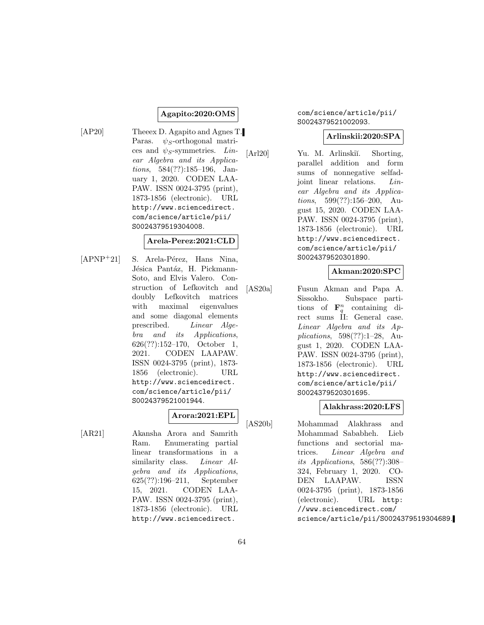## **Agapito:2020:OMS**

[AP20] Theeex D. Agapito and Agnes T. Paras.  $\psi_S$ -orthogonal matrices and  $\psi_S$ -symmetries. Linear Algebra and its Applications, 584(??):185–196, January 1, 2020. CODEN LAA-PAW. ISSN 0024-3795 (print), 1873-1856 (electronic). URL http://www.sciencedirect. com/science/article/pii/ S0024379519304008.

#### **Arela-Perez:2021:CLD**

 $[APNP<sup>+</sup>21]$  S. Arela-Pérez, Hans Nina, Jésica Pantáz, H. Pickmann-Soto, and Elvis Valero. Construction of Lefkovitch and doubly Lefkovitch matrices with maximal eigenvalues and some diagonal elements prescribed. Linear Algebra and its Applications, 626(??):152–170, October 1, 2021. CODEN LAAPAW. ISSN 0024-3795 (print), 1873- 1856 (electronic). URL http://www.sciencedirect. com/science/article/pii/ S0024379521001944.

# **Arora:2021:EPL**

[AR21] Akansha Arora and Samrith Ram. Enumerating partial linear transformations in a similarity class. Linear Algebra and its Applications, 625(??):196–211, September 15, 2021. CODEN LAA-PAW. ISSN 0024-3795 (print), 1873-1856 (electronic). URL http://www.sciencedirect.

### com/science/article/pii/ S0024379521002093.

## **Arlinskii:2020:SPA**

[Arl20] Yu. M. Arlinskiı̆. Shorting, parallel addition and form sums of nonnegative selfadjoint linear relations. Linear Algebra and its Applications, 599(??):156–200, August 15, 2020. CODEN LAA-PAW. ISSN 0024-3795 (print), 1873-1856 (electronic). URL http://www.sciencedirect. com/science/article/pii/ S0024379520301890.

## **Akman:2020:SPC**

[AS20a] Fusun Akman and Papa A. Sissokho. Subspace partitions of  $\mathbf{F}_q^n$  containing direct sums II: General case. Linear Algebra and its Applications, 598(??):1–28, August 1, 2020. CODEN LAA-PAW. ISSN 0024-3795 (print), 1873-1856 (electronic). URL http://www.sciencedirect. com/science/article/pii/ S0024379520301695.

### **Alakhrass:2020:LFS**

[AS20b] Mohammad Alakhrass and Mohammad Sababheh. Lieb functions and sectorial matrices. Linear Algebra and its Applications, 586(??):308– 324, February 1, 2020. CO-DEN LAAPAW. ISSN 0024-3795 (print), 1873-1856 (electronic). URL http: //www.sciencedirect.com/ science/article/pii/S0024379519304689.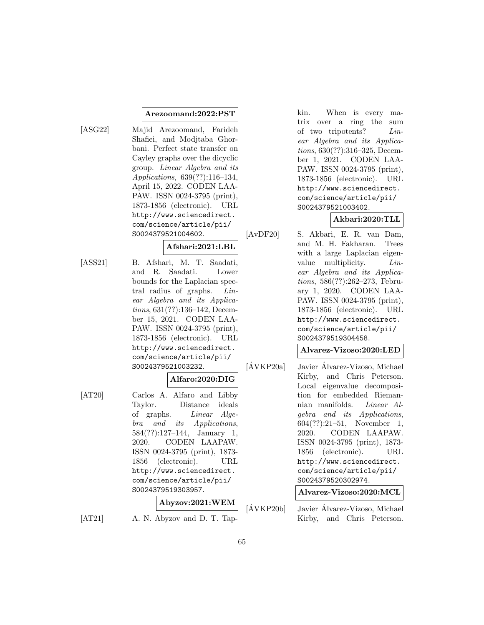#### **Arezoomand:2022:PST**

[ASG22] Majid Arezoomand, Farideh Shafiei, and Modjtaba Ghorbani. Perfect state transfer on Cayley graphs over the dicyclic group. Linear Algebra and its Applications, 639(??):116–134, April 15, 2022. CODEN LAA-PAW. ISSN 0024-3795 (print), 1873-1856 (electronic). URL http://www.sciencedirect. com/science/article/pii/ S0024379521004602.

### **Afshari:2021:LBL**

[ASS21] B. Afshari, M. T. Saadati, and R. Saadati. Lower bounds for the Laplacian spectral radius of graphs. Linear Algebra and its Applications, 631(??):136–142, December 15, 2021. CODEN LAA-PAW. ISSN 0024-3795 (print), 1873-1856 (electronic). URL http://www.sciencedirect. com/science/article/pii/ S0024379521003232.

### **Alfaro:2020:DIG**

[AT20] Carlos A. Alfaro and Libby Taylor. Distance ideals of graphs. Linear Algebra and its Applications, 584(??):127–144, January 1, 2020. CODEN LAAPAW. ISSN 0024-3795 (print), 1873- 1856 (electronic). URL http://www.sciencedirect. com/science/article/pii/ S0024379519303957.

## **Abyzov:2021:WEM**

[AT21] A. N. Abyzov and D. T. Tap-

kin. When is every matrix over a ring the sum of two tripotents? Linear Algebra and its Applications, 630(??):316–325, December 1, 2021. CODEN LAA-PAW. ISSN 0024-3795 (print), 1873-1856 (electronic). URL http://www.sciencedirect. com/science/article/pii/ S0024379521003402.

## **Akbari:2020:TLL**

[AvDF20] S. Akbari, E. R. van Dam, and M. H. Fakharan. Trees with a large Laplacian eigenvalue multiplicity.  $Lin$ ear Algebra and its Applications, 586(??):262–273, February 1, 2020. CODEN LAA-PAW. ISSN 0024-3795 (print), 1873-1856 (electronic). URL http://www.sciencedirect. com/science/article/pii/ S0024379519304458.

### **Alvarez-Vizoso:2020:LED**

 $[\text{AVKP20a}]$  Javier Álvarez-Vizoso, Michael Kirby, and Chris Peterson. Local eigenvalue decomposition for embedded Riemannian manifolds. Linear Algebra and its Applications, 604(??):21–51, November 1, 2020. CODEN LAAPAW. ISSN 0024-3795 (print), 1873- 1856 (electronic). URL http://www.sciencedirect. com/science/article/pii/ S0024379520302974.

**Alvarez-Vizoso:2020:MCL**

 $[\text{AVKP20b}]$  Javier Álvarez-Vizoso, Michael Kirby, and Chris Peterson.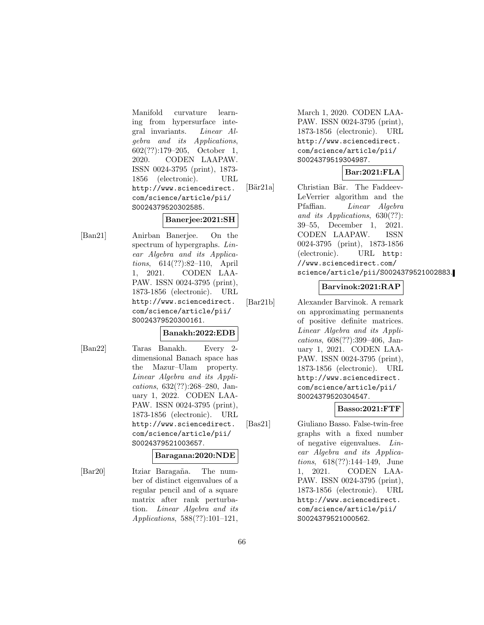Manifold curvature learning from hypersurface integral invariants. Linear Algebra and its Applications, 602(??):179–205, October 1, 2020. CODEN LAAPAW. ISSN 0024-3795 (print), 1873- 1856 (electronic). URL http://www.sciencedirect. com/science/article/pii/ S0024379520302585.

## **Banerjee:2021:SH**

[Ban21] Anirban Banerjee. On the spectrum of hypergraphs. Linear Algebra and its Applications, 614(??):82–110, April 1, 2021. CODEN LAA-PAW. ISSN 0024-3795 (print), 1873-1856 (electronic). URL http://www.sciencedirect. com/science/article/pii/ S0024379520300161.

### **Banakh:2022:EDB**

- 
- [Ban22] Taras Banakh. Every 2 dimensional Banach space has the Mazur–Ulam property. Linear Algebra and its Applications, 632(??):268–280, January 1, 2022. CODEN LAA-PAW. ISSN 0024-3795 (print), 1873-1856 (electronic). URL http://www.sciencedirect. com/science/article/pii/ S0024379521003657.

## **Baragana:2020:NDE**

[Bar20] Itziar Baragaña. The number of distinct eigenvalues of a regular pencil and of a square matrix after rank perturbation. Linear Algebra and its Applications, 588(??):101–121,

March 1, 2020. CODEN LAA-PAW. ISSN 0024-3795 (print), 1873-1856 (electronic). URL http://www.sciencedirect. com/science/article/pii/ S0024379519304987.

## **Bar:2021:FLA**

[Bär21a] Christian Bär. The Faddeev-LeVerrier algorithm and the Pfaffian. Linear Algebra and its Applications, 630(??): 39–55, December 1, 2021. CODEN LAAPAW. ISSN 0024-3795 (print), 1873-1856 (electronic). URL http: //www.sciencedirect.com/ science/article/pii/S0024379521002883.

## **Barvinok:2021:RAP**

[Bar21b] Alexander Barvinok. A remark on approximating permanents of positive definite matrices. Linear Algebra and its Applications, 608(??):399–406, January 1, 2021. CODEN LAA-PAW. ISSN 0024-3795 (print), 1873-1856 (electronic). URL http://www.sciencedirect. com/science/article/pii/ S0024379520304547.

## **Basso:2021:FTF**

[Bas21] Giuliano Basso. False-twin-free graphs with a fixed number of negative eigenvalues. Linear Algebra and its Applications, 618(??):144–149, June 1, 2021. CODEN LAA-PAW. ISSN 0024-3795 (print), 1873-1856 (electronic). URL http://www.sciencedirect. com/science/article/pii/ S0024379521000562.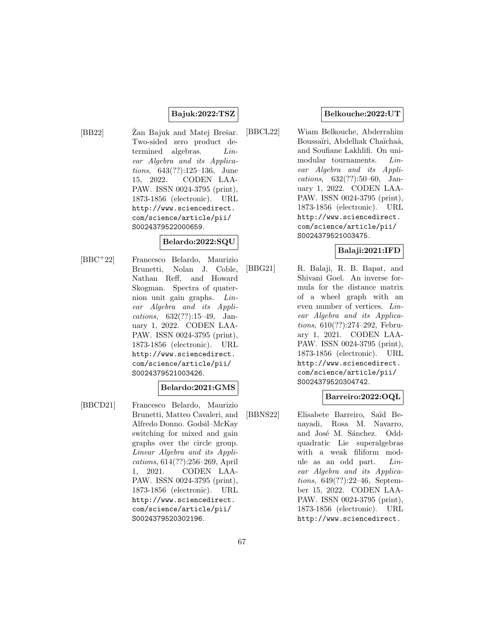## **Bajuk:2022:TSZ**

[BB22] Žan Bajuk and Matej Brešar. Two-sided zero product determined algebras. Linear Algebra and its Applications, 643(??):125–136, June 15, 2022. CODEN LAA-PAW. ISSN 0024-3795 (print), 1873-1856 (electronic). URL http://www.sciencedirect. com/science/article/pii/ S0024379522000659.

### **Belardo:2022:SQU**

[BBC<sup>+</sup>22] Francesco Belardo, Maurizio Brunetti, Nolan J. Coble, Nathan Reff, and Howard Skogman. Spectra of quaternion unit gain graphs. Linear Algebra and its Applications, 632(??):15–49, January 1, 2022. CODEN LAA-PAW. ISSN 0024-3795 (print), 1873-1856 (electronic). URL http://www.sciencedirect. com/science/article/pii/ S0024379521003426.

### **Belardo:2021:GMS**

[BBCD21] Francesco Belardo, Maurizio Brunetti, Matteo Cavaleri, and Alfredo Donno. Godsil–McKay switching for mixed and gain graphs over the circle group. Linear Algebra and its Applications, 614(??):256–269, April 1, 2021. CODEN LAA-PAW. ISSN 0024-3795 (print), 1873-1856 (electronic). URL http://www.sciencedirect. com/science/article/pii/ S0024379520302196.

### **Belkouche:2022:UT**

[BBCL22] Wiam Belkouche, Abderrahim Boussaïri, Abdelhak Chaïchaâ, and Soufiane Lakhlifi. On unimodular tournaments. *Lin*ear Algebra and its Applications, 632(??):50–60, January 1, 2022. CODEN LAA-PAW. ISSN 0024-3795 (print), 1873-1856 (electronic). URL http://www.sciencedirect. com/science/article/pii/ S0024379521003475.

### **Balaji:2021:IFD**

[BBG21] R. Balaji, R. B. Bapat, and Shivani Goel. An inverse formula for the distance matrix of a wheel graph with an even number of vertices. Linear Algebra and its Applications, 610(??):274–292, February 1, 2021. CODEN LAA-PAW. ISSN 0024-3795 (print), 1873-1856 (electronic). URL http://www.sciencedirect. com/science/article/pii/ S0024379520304742.

## **Barreiro:2022:OQL**

[BBNS22] Elisabete Barreiro, Sa¨ıd Benayadi, Rosa M. Navarro, and José M. Sánchez. Oddquadratic Lie superalgebras with a weak filiform module as an odd part. Linear Algebra and its Applications, 649(??):22–46, September 15, 2022. CODEN LAA-PAW. ISSN 0024-3795 (print), 1873-1856 (electronic). URL http://www.sciencedirect.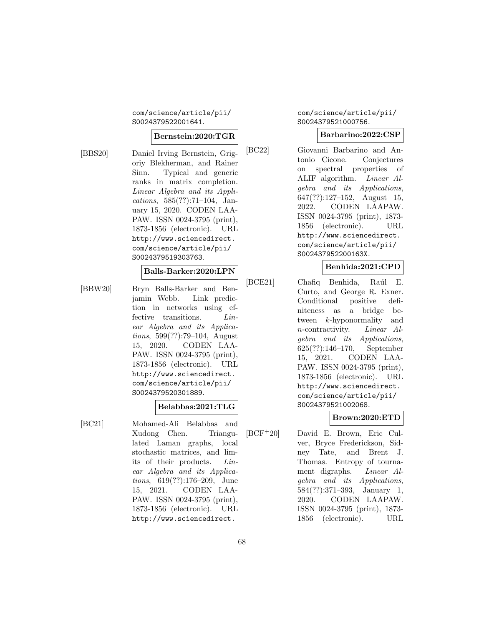### com/science/article/pii/ S0024379522001641.

### **Bernstein:2020:TGR**

[BBS20] Daniel Irving Bernstein, Grigoriy Blekherman, and Rainer Sinn. Typical and generic ranks in matrix completion. Linear Algebra and its Applications, 585(??):71–104, January 15, 2020. CODEN LAA-PAW. ISSN 0024-3795 (print), 1873-1856 (electronic). URL http://www.sciencedirect. com/science/article/pii/ S0024379519303763.

## **Balls-Barker:2020:LPN**

[BBW20] Bryn Balls-Barker and Benjamin Webb. Link prediction in networks using effective transitions. Linear Algebra and its Applications, 599(??):79–104, August 15, 2020. CODEN LAA-PAW. ISSN 0024-3795 (print), 1873-1856 (electronic). URL http://www.sciencedirect. com/science/article/pii/ S0024379520301889.

### **Belabbas:2021:TLG**

[BC21] Mohamed-Ali Belabbas and Xudong Chen. Triangulated Laman graphs, local stochastic matrices, and limits of their products. Linear Algebra and its Applications, 619(??):176–209, June 15, 2021. CODEN LAA-PAW. ISSN 0024-3795 (print), 1873-1856 (electronic). URL http://www.sciencedirect.

### com/science/article/pii/ S0024379521000756.

### **Barbarino:2022:CSP**

[BC22] Giovanni Barbarino and Antonio Cicone. Conjectures on spectral properties of ALIF algorithm. Linear Algebra and its Applications,  $647(??):127-152$ , August 15, 2022. CODEN LAAPAW. ISSN 0024-3795 (print), 1873- 1856 (electronic). URL http://www.sciencedirect. com/science/article/pii/ S002437952200163X.

### **Benhida:2021:CPD**

[BCE21] Chafiq Benhida, Raúl E. Curto, and George R. Exner. Conditional positive definiteness as a bridge between k-hyponormality and n-contractivity. Linear Algebra and its Applications, 625(??):146–170, September 15, 2021. CODEN LAA-PAW. ISSN 0024-3795 (print), 1873-1856 (electronic). URL http://www.sciencedirect. com/science/article/pii/ S0024379521002068.

## **Brown:2020:ETD**

[BCF<sup>+</sup>20] David E. Brown, Eric Culver, Bryce Frederickson, Sidney Tate, and Brent J. Thomas. Entropy of tournament digraphs. Linear Algebra and its Applications, 584(??):371–393, January 1, 2020. CODEN LAAPAW. ISSN 0024-3795 (print), 1873- 1856 (electronic). URL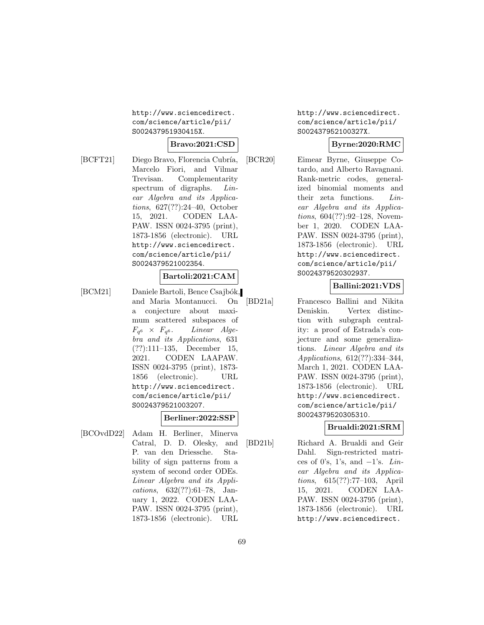http://www.sciencedirect. com/science/article/pii/ S002437951930415X.

# **Bravo:2021:CSD**

[BCFT21] Diego Bravo, Florencia Cubría, Marcelo Fiori, and Vilmar Trevisan. Complementarity spectrum of digraphs. *Lin*ear Algebra and its Applications, 627(??):24–40, October 15, 2021. CODEN LAA-PAW. ISSN 0024-3795 (print), 1873-1856 (electronic). URL http://www.sciencedirect. com/science/article/pii/ S0024379521002354.

## **Bartoli:2021:CAM**

[BCM21] Daniele Bartoli, Bence Csajbók, and Maria Montanucci. On a conjecture about maximum scattered subspaces of  $F_{q^6} \times F_{q^6}$ . Linear Algebra and its Applications, 631 (??):111–135, December 15, 2021. CODEN LAAPAW. ISSN 0024-3795 (print), 1873- 1856 (electronic). URL http://www.sciencedirect. com/science/article/pii/ S0024379521003207.

### **Berliner:2022:SSP**

[BCOvdD22] Adam H. Berliner, Minerva Catral, D. D. Olesky, and P. van den Driessche. Stability of sign patterns from a system of second order ODEs. Linear Algebra and its Applications, 632(??):61–78, January 1, 2022. CODEN LAA-PAW. ISSN 0024-3795 (print), 1873-1856 (electronic). URL http://www.sciencedirect. com/science/article/pii/ S002437952100327X.

## **Byrne:2020:RMC**

[BCR20] Eimear Byrne, Giuseppe Cotardo, and Alberto Ravagnani. Rank-metric codes, generalized binomial moments and their zeta functions. Linear Algebra and its Applications, 604(??):92–128, November 1, 2020. CODEN LAA-PAW. ISSN 0024-3795 (print), 1873-1856 (electronic). URL http://www.sciencedirect. com/science/article/pii/ S0024379520302937.

### **Ballini:2021:VDS**

[BD21a] Francesco Ballini and Nikita Deniskin. Vertex distinction with subgraph centrality: a proof of Estrada's conjecture and some generalizations. Linear Algebra and its Applications, 612(??):334–344, March 1, 2021. CODEN LAA-PAW. ISSN 0024-3795 (print), 1873-1856 (electronic). URL http://www.sciencedirect. com/science/article/pii/ S0024379520305310.

## **Brualdi:2021:SRM**

[BD21b] Richard A. Brualdi and Geir Dahl. Sign-restricted matrices of 0's, 1's, and  $-1$ 's. Linear Algebra and its Applications, 615(??):77–103, April 15, 2021. CODEN LAA-PAW. ISSN 0024-3795 (print), 1873-1856 (electronic). URL http://www.sciencedirect.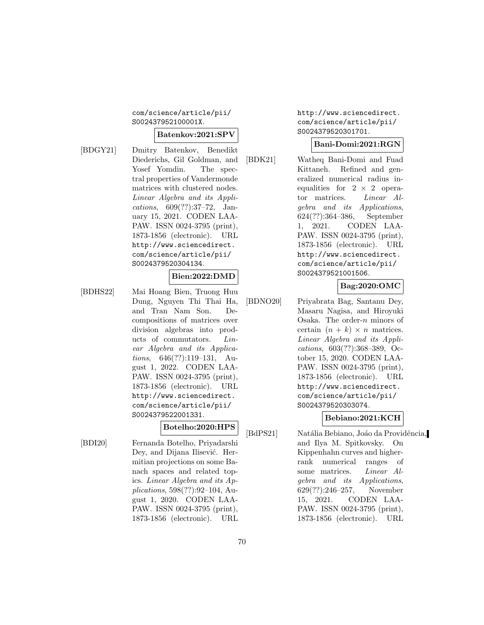com/science/article/pii/ S002437952100001X.

### **Batenkov:2021:SPV**

[BDGY21] Dmitry Batenkov, Benedikt Diederichs, Gil Goldman, and Yosef Yomdin. The spectral properties of Vandermonde matrices with clustered nodes. Linear Algebra and its Applications, 609(??):37–72, January 15, 2021. CODEN LAA-PAW. ISSN 0024-3795 (print), 1873-1856 (electronic). URL http://www.sciencedirect. com/science/article/pii/ S0024379520304134.

### **Bien:2022:DMD**

[BDHS22] Mai Hoang Bien, Truong Huu Dung, Nguyen Thi Thai Ha, and Tran Nam Son. Decompositions of matrices over division algebras into products of commutators. Linear Algebra and its Applications, 646(??):119–131, August 1, 2022. CODEN LAA-PAW. ISSN 0024-3795 (print), 1873-1856 (electronic). URL http://www.sciencedirect. com/science/article/pii/ S0024379522001331.

## **Botelho:2020:HPS**

[BDI20] Fernanda Botelho, Priyadarshi Dey, and Dijana Ilisević. Hermitian projections on some Banach spaces and related topics. Linear Algebra and its Applications, 598(??):92–104, August 1, 2020. CODEN LAA-PAW. ISSN 0024-3795 (print), 1873-1856 (electronic). URL http://www.sciencedirect. com/science/article/pii/ S0024379520301701.

### **Bani-Domi:2021:RGN**

[BDK21] Watheq Bani-Domi and Fuad Kittaneh. Refined and generalized numerical radius inequalities for  $2 \times 2$  operator matrices. Linear Algebra and its Applications, 624(??):364–386, September 1, 2021. CODEN LAA-PAW. ISSN 0024-3795 (print), 1873-1856 (electronic). URL http://www.sciencedirect. com/science/article/pii/ S0024379521001506.

# **Bag:2020:OMC**

[BDNO20] Priyabrata Bag, Santanu Dey, Masaru Nagisa, and Hiroyuki Osaka. The order-n minors of certain  $(n + k) \times n$  matrices. Linear Algebra and its Applications, 603(??):368–389, October 15, 2020. CODEN LAA-PAW. ISSN 0024-3795 (print), 1873-1856 (electronic). URL http://www.sciencedirect. com/science/article/pii/ S0024379520303074.

## **Bebiano:2021:KCH**

[BdPS21] Natália Bebiano, Joáo da Providéncia, and Ilya M. Spitkovsky. On Kippenhahn curves and higherrank numerical ranges of some matrices. Linear Algebra and its Applications, 629(??):246–257, November 15, 2021. CODEN LAA-PAW. ISSN 0024-3795 (print), 1873-1856 (electronic). URL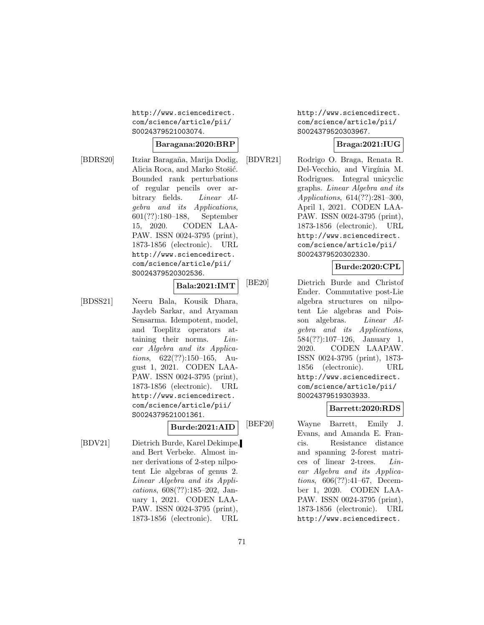http://www.sciencedirect. com/science/article/pii/ S0024379521003074.

### **Baragana:2020:BRP**

[BDRS20] Itziar Baragaña, Marija Dodig, Alicia Roca, and Marko Stošić. Bounded rank perturbations of regular pencils over arbitrary fields. Linear Algebra and its Applications, 601(??):180–188, September 15, 2020. CODEN LAA-PAW. ISSN 0024-3795 (print), 1873-1856 (electronic). URL http://www.sciencedirect. com/science/article/pii/ S0024379520302536.

### **Bala:2021:IMT**

[BDSS21] Neeru Bala, Kousik Dhara, Jaydeb Sarkar, and Aryaman Sensarma. Idempotent, model, and Toeplitz operators attaining their norms. Linear Algebra and its Applications, 622(??):150–165, August 1, 2021. CODEN LAA-PAW. ISSN 0024-3795 (print), 1873-1856 (electronic). URL http://www.sciencedirect. com/science/article/pii/ S0024379521001361.

**Burde:2021:AID**

[BDV21] Dietrich Burde, Karel Dekimpe, and Bert Verbeke. Almost inner derivations of 2-step nilpotent Lie algebras of genus 2. Linear Algebra and its Applications, 608(??):185–202, January 1, 2021. CODEN LAA-PAW. ISSN 0024-3795 (print), 1873-1856 (electronic). URL

http://www.sciencedirect. com/science/article/pii/ S0024379520303967.

# **Braga:2021:IUG**

[BDVR21] Rodrigo O. Braga, Renata R. Del-Vecchio, and Virgínia M. Rodrigues. Integral unicyclic graphs. Linear Algebra and its Applications, 614(??):281–300, April 1, 2021. CODEN LAA-PAW. ISSN 0024-3795 (print), 1873-1856 (electronic). URL http://www.sciencedirect. com/science/article/pii/ S0024379520302330.

### **Burde:2020:CPL**

[BE20] Dietrich Burde and Christof Ender. Commutative post-Lie algebra structures on nilpotent Lie algebras and Poisson algebras. Linear Algebra and its Applications, 584(??):107–126, January 1, 2020. CODEN LAAPAW. ISSN 0024-3795 (print), 1873- 1856 (electronic). URL http://www.sciencedirect. com/science/article/pii/ S0024379519303933.

### **Barrett:2020:RDS**

[BEF20] Wayne Barrett, Emily J. Evans, and Amanda E. Francis. Resistance distance and spanning 2-forest matrices of linear 2-trees. Linear Algebra and its Applications, 606(??):41–67, December 1, 2020. CODEN LAA-PAW. ISSN 0024-3795 (print), 1873-1856 (electronic). URL http://www.sciencedirect.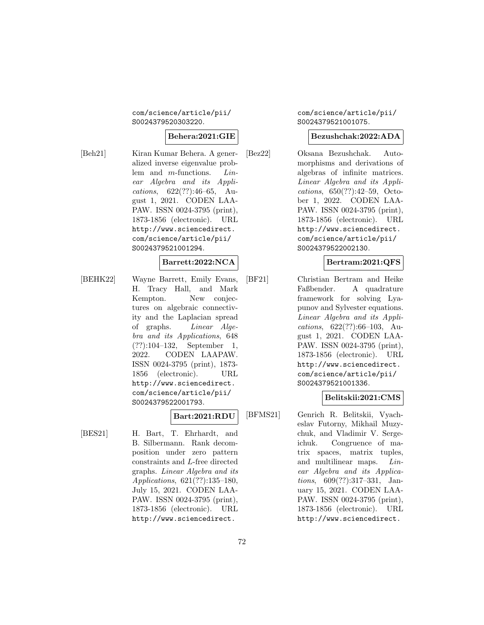### com/science/article/pii/ S0024379520303220.

## **Behera:2021:GIE**

[Beh21] Kiran Kumar Behera. A generalized inverse eigenvalue problem and m-functions. Linear Algebra and its Applications, 622(??):46–65, August 1, 2021. CODEN LAA-PAW. ISSN 0024-3795 (print), 1873-1856 (electronic). URL http://www.sciencedirect. com/science/article/pii/ S0024379521001294.

#### **Barrett:2022:NCA**

[BEHK22] Wayne Barrett, Emily Evans, H. Tracy Hall, and Mark Kempton. New conjectures on algebraic connectivity and the Laplacian spread of graphs. Linear Algebra and its Applications, 648 (??):104–132, September 1, 2022. CODEN LAAPAW. ISSN 0024-3795 (print), 1873- 1856 (electronic). URL http://www.sciencedirect. com/science/article/pii/ S0024379522001793.

### **Bart:2021:RDU**

[BES21] H. Bart, T. Ehrhardt, and B. Silbermann. Rank decomposition under zero pattern constraints and L-free directed graphs. Linear Algebra and its Applications, 621(??):135–180, July 15, 2021. CODEN LAA-PAW. ISSN 0024-3795 (print), 1873-1856 (electronic). URL http://www.sciencedirect.

### com/science/article/pii/ S0024379521001075.

### **Bezushchak:2022:ADA**

[Bez22] Oksana Bezushchak. Automorphisms and derivations of algebras of infinite matrices. Linear Algebra and its Applications, 650(??):42–59, October 1, 2022. CODEN LAA-PAW. ISSN 0024-3795 (print), 1873-1856 (electronic). URL http://www.sciencedirect. com/science/article/pii/ S0024379522002130.

### **Bertram:2021:QFS**

[BF21] Christian Bertram and Heike Faßbender. A quadrature framework for solving Lyapunov and Sylvester equations. Linear Algebra and its Applications, 622(??):66–103, August 1, 2021. CODEN LAA-PAW. ISSN 0024-3795 (print), 1873-1856 (electronic). URL http://www.sciencedirect. com/science/article/pii/ S0024379521001336.

### **Belitskii:2021:CMS**

[BFMS21] Genrich R. Belitskii, Vyacheslav Futorny, Mikhail Muzychuk, and Vladimir V. Sergeichuk. Congruence of matrix spaces, matrix tuples, and multilinear maps. Linear Algebra and its Applications, 609(??):317–331, January 15, 2021. CODEN LAA-PAW. ISSN 0024-3795 (print), 1873-1856 (electronic). URL http://www.sciencedirect.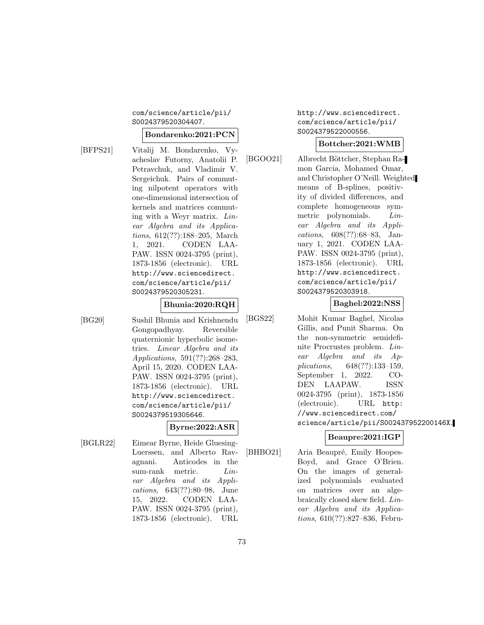#### com/science/article/pii/ S0024379520304407.

#### **Bondarenko:2021:PCN**

[BFPS21] Vitalij M. Bondarenko, Vyacheslav Futorny, Anatolii P. Petravchuk, and Vladimir V. Sergeichuk. Pairs of commuting nilpotent operators with one-dimensional intersection of kernels and matrices commuting with a Weyr matrix. Linear Algebra and its Applications, 612(??):188–205, March 1, 2021. CODEN LAA-PAW. ISSN 0024-3795 (print), 1873-1856 (electronic). URL http://www.sciencedirect. com/science/article/pii/ S0024379520305231.

#### **Bhunia:2020:RQH**

[BG20] Sushil Bhunia and Krishnendu Gongopadhyay. Reversible quaternionic hyperbolic isometries. Linear Algebra and its Applications, 591(??):268–283, April 15, 2020. CODEN LAA-PAW. ISSN 0024-3795 (print), 1873-1856 (electronic). URL http://www.sciencedirect. com/science/article/pii/ S0024379519305646.

**Byrne:2022:ASR**

[BGLR22] Eimear Byrne, Heide Gluesing-Luerssen, and Alberto Ravagnani. Anticodes in the sum-rank metric. Linear Algebra and its Applications, 643(??):80–98, June 15, 2022. CODEN LAA-PAW. ISSN 0024-3795 (print), 1873-1856 (electronic). URL http://www.sciencedirect. com/science/article/pii/ S0024379522000556.

# **Bottcher:2021:WMB**

[BGOO21] Albrecht Böttcher, Stephan Ramon Garcia, Mohamed Omar, and Christopher O'Neill. Weighted means of B-splines, positivity of divided differences, and complete homogeneous symmetric polynomials. Linear Algebra and its Applications, 608(??):68–83, January 1, 2021. CODEN LAA-PAW. ISSN 0024-3795 (print), 1873-1856 (electronic). URL http://www.sciencedirect. com/science/article/pii/ S0024379520303918.

# **Baghel:2022:NSS**

[BGS22] Mohit Kumar Baghel, Nicolas Gillis, and Punit Sharma. On the non-symmetric semidefinite Procrustes problem. Linear Algebra and its Applications, 648(??):133–159, September 1, 2022. CO-DEN LAAPAW. ISSN 0024-3795 (print), 1873-1856 (electronic). URL http: //www.sciencedirect.com/ science/article/pii/S002437952200146X.

# **Beaupre:2021:IGP**

[BHBO21] Aria Beaupré, Emily Hoopes-Boyd, and Grace O'Brien. On the images of generalized polynomials evaluated on matrices over an algebraically closed skew field. Linear Algebra and its Applications, 610(??):827–836, Febru-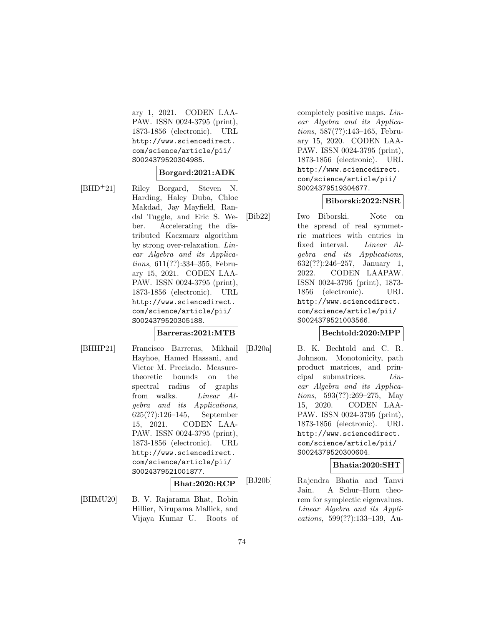ary 1, 2021. CODEN LAA-PAW. ISSN 0024-3795 (print), 1873-1856 (electronic). URL http://www.sciencedirect. com/science/article/pii/ S0024379520304985.

#### **Borgard:2021:ADK**

[BHD<sup>+</sup>21] Riley Borgard, Steven N. Harding, Haley Duba, Chloe Makdad, Jay Mayfield, Randal Tuggle, and Eric S. Weber. Accelerating the distributed Kaczmarz algorithm by strong over-relaxation. Linear Algebra and its Applications, 611(??):334–355, February 15, 2021. CODEN LAA-PAW. ISSN 0024-3795 (print), 1873-1856 (electronic). URL http://www.sciencedirect. com/science/article/pii/ S0024379520305188.

#### **Barreras:2021:MTB**

[BHHP21] Francisco Barreras, Mikhail Hayhoe, Hamed Hassani, and Victor M. Preciado. Measuretheoretic bounds on the spectral radius of graphs from walks. Linear Algebra and its Applications, 625(??):126–145, September 15, 2021. CODEN LAA-PAW. ISSN 0024-3795 (print), 1873-1856 (electronic). URL http://www.sciencedirect. com/science/article/pii/ S0024379521001877.

# **Bhat:2020:RCP**

[BHMU20] B. V. Rajarama Bhat, Robin Hillier, Nirupama Mallick, and Vijaya Kumar U. Roots of completely positive maps. Linear Algebra and its Applications, 587(??):143–165, February 15, 2020. CODEN LAA-PAW. ISSN 0024-3795 (print), 1873-1856 (electronic). URL http://www.sciencedirect. com/science/article/pii/ S0024379519304677.

#### **Biborski:2022:NSR**

[Bib22] Iwo Biborski. Note on the spread of real symmetric matrices with entries in fixed interval. Linear Algebra and its Applications, 632(??):246–257, January 1, 2022. CODEN LAAPAW. ISSN 0024-3795 (print), 1873- 1856 (electronic). URL http://www.sciencedirect. com/science/article/pii/ S0024379521003566.

#### **Bechtold:2020:MPP**

[BJ20a] B. K. Bechtold and C. R. Johnson. Monotonicity, path product matrices, and principal submatrices. Linear Algebra and its Applications, 593(??):269–275, May 15, 2020. CODEN LAA-PAW. ISSN 0024-3795 (print), 1873-1856 (electronic). URL http://www.sciencedirect. com/science/article/pii/ S0024379520300604.

# **Bhatia:2020:SHT**

[BJ20b] Rajendra Bhatia and Tanvi Jain. A Schur–Horn theorem for symplectic eigenvalues. Linear Algebra and its Applications, 599(??):133–139, Au-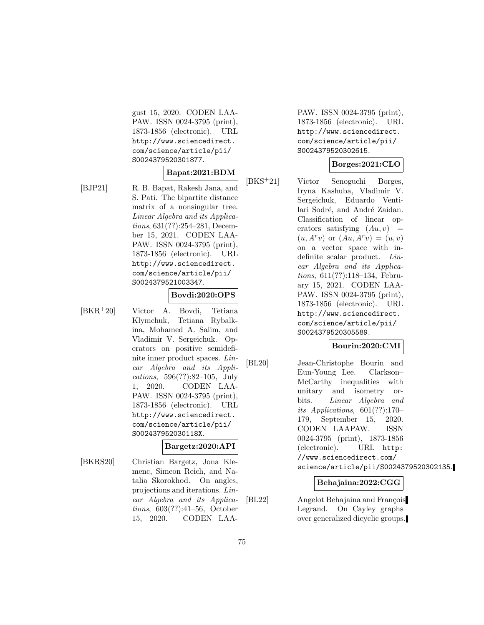gust 15, 2020. CODEN LAA-PAW. ISSN 0024-3795 (print), 1873-1856 (electronic). URL http://www.sciencedirect. com/science/article/pii/ S0024379520301877.

# **Bapat:2021:BDM**

[BJP21] R. B. Bapat, Rakesh Jana, and S. Pati. The bipartite distance matrix of a nonsingular tree. Linear Algebra and its Applications, 631(??):254–281, December 15, 2021. CODEN LAA-PAW. ISSN 0024-3795 (print), 1873-1856 (electronic). URL http://www.sciencedirect. com/science/article/pii/ S0024379521003347.

#### **Bovdi:2020:OPS**

- 
- [BKR<sup>+</sup>20] Victor A. Bovdi, Tetiana Klymchuk, Tetiana Rybalkina, Mohamed A. Salim, and Vladimir V. Sergeichuk. Operators on positive semidefinite inner product spaces. Linear Algebra and its Applications, 596(??):82–105, July 1, 2020. CODEN LAA-PAW. ISSN 0024-3795 (print), 1873-1856 (electronic). URL http://www.sciencedirect. com/science/article/pii/ S002437952030118X.

#### **Bargetz:2020:API**

[BKRS20] Christian Bargetz, Jona Klemenc, Simeon Reich, and Natalia Skorokhod. On angles, projections and iterations. Linear Algebra and its Applications, 603(??):41–56, October 15, 2020. CODEN LAA-

PAW. ISSN 0024-3795 (print), 1873-1856 (electronic). URL http://www.sciencedirect. com/science/article/pii/ S0024379520302615.

#### **Borges:2021:CLO**

[BKS<sup>+</sup>21] Victor Senoguchi Borges, Iryna Kashuba, Vladimir V. Sergeichuk, Eduardo Ventilari Sodré, and André Zaidan. Classification of linear operators satisfying  $(Au, v)$  =  $(u, A<sup>r</sup> v)$  or  $(Au, A<sup>r</sup> v) = (u, v)$ on a vector space with indefinite scalar product. Linear Algebra and its Applications, 611(??):118–134, February 15, 2021. CODEN LAA-PAW. ISSN 0024-3795 (print), 1873-1856 (electronic). URL http://www.sciencedirect. com/science/article/pii/ S0024379520305589.

#### **Bourin:2020:CMI**

[BL20] Jean-Christophe Bourin and Eun-Young Lee. Clarkson– McCarthy inequalities with unitary and isometry orbits. Linear Algebra and its Applications, 601(??):170– 179, September 15, 2020. CODEN LAAPAW. ISSN 0024-3795 (print), 1873-1856 (electronic). URL http: //www.sciencedirect.com/ science/article/pii/S0024379520302135.

#### **Behajaina:2022:CGG**

[BL22] Angelot Behajaina and François Legrand. On Cayley graphs over generalized dicyclic groups.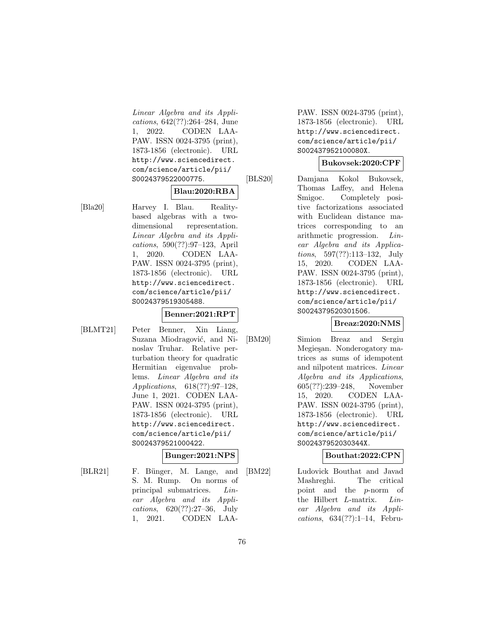Linear Algebra and its Applications, 642(??):264–284, June 1, 2022. CODEN LAA-PAW. ISSN 0024-3795 (print), 1873-1856 (electronic). URL http://www.sciencedirect. com/science/article/pii/ S0024379522000775.

#### **Blau:2020:RBA**

[Bla20] Harvey I. Blau. Realitybased algebras with a twodimensional representation. Linear Algebra and its Applications, 590(??):97–123, April 1, 2020. CODEN LAA-PAW. ISSN 0024-3795 (print), 1873-1856 (electronic). URL http://www.sciencedirect. com/science/article/pii/ S0024379519305488.

# **Benner:2021:RPT**

[BLMT21] Peter Benner, Xin Liang, Suzana Miodragović, and Ninoslav Truhar. Relative perturbation theory for quadratic Hermitian eigenvalue problems. Linear Algebra and its Applications, 618(??):97–128, June 1, 2021. CODEN LAA-PAW. ISSN 0024-3795 (print), 1873-1856 (electronic). URL http://www.sciencedirect. com/science/article/pii/ S0024379521000422.

# **Bunger:2021:NPS**

[BLR21] F. Bünger, M. Lange, and S. M. Rump. On norms of principal submatrices. Linear Algebra and its Applications, 620(??):27–36, July 1, 2021. CODEN LAA-

PAW. ISSN 0024-3795 (print), 1873-1856 (electronic). URL http://www.sciencedirect. com/science/article/pii/ S002437952100080X.

# **Bukovsek:2020:CPF**

[BLS20] Damjana Kokol Bukovsek, Thomas Laffey, and Helena Smigoc. Completely positive factorizations associated with Euclidean distance matrices corresponding to an arithmetic progression. Linear Algebra and its Applications, 597(??):113–132, July 15, 2020. CODEN LAA-PAW. ISSN 0024-3795 (print), 1873-1856 (electronic). URL http://www.sciencedirect. com/science/article/pii/ S0024379520301506.

# **Breaz:2020:NMS**

[BM20] Simion Breaz and Sergiu Megiesan. Nonderogatory matrices as sums of idempotent and nilpotent matrices. Linear Algebra and its Applications, 605(??):239–248, November 15, 2020. CODEN LAA-PAW. ISSN 0024-3795 (print), 1873-1856 (electronic). URL http://www.sciencedirect. com/science/article/pii/ S002437952030344X.

# **Bouthat:2022:CPN**

[BM22] Ludovick Bouthat and Javad Mashreghi. The critical point and the p-norm of the Hilbert L-matrix. Linear Algebra and its Applications, 634(??):1–14, Febru-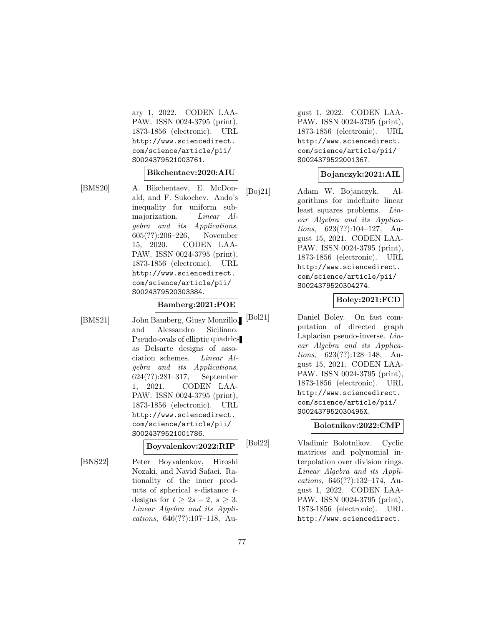ary 1, 2022. CODEN LAA-PAW. ISSN 0024-3795 (print), 1873-1856 (electronic). URL http://www.sciencedirect. com/science/article/pii/ S0024379521003761.

#### **Bikchentaev:2020:AIU**

[BMS20] A. Bikchentaev, E. McDonald, and F. Sukochev. Ando's inequality for uniform submajorization. *Linear Al*gebra and its Applications, 605(??):206–226, November 15, 2020. CODEN LAA-PAW. ISSN 0024-3795 (print), 1873-1856 (electronic). URL http://www.sciencedirect. com/science/article/pii/ S0024379520303384.

#### **Bamberg:2021:POE**

[BMS21] John Bamberg, Giusy Monzillo, and Alessandro Siciliano. Pseudo-ovals of elliptic quadrics as Delsarte designs of association schemes. Linear Algebra and its Applications, 624(??):281–317, September 1, 2021. CODEN LAA-PAW. ISSN 0024-3795 (print), 1873-1856 (electronic). URL http://www.sciencedirect. com/science/article/pii/ S0024379521001786.

# **Boyvalenkov:2022:RIP**

[BNS22] Peter Boyvalenkov, Hiroshi Nozaki, and Navid Safaei. Rationality of the inner products of spherical s-distance tdesigns for  $t \geq 2s - 2$ ,  $s \geq 3$ . Linear Algebra and its Applications, 646(??):107–118, August 1, 2022. CODEN LAA-PAW. ISSN 0024-3795 (print), 1873-1856 (electronic). URL http://www.sciencedirect. com/science/article/pii/ S0024379522001367.

# **Bojanczyk:2021:AIL**

[Boj21] Adam W. Bojanczyk. Algorithms for indefinite linear least squares problems. Linear Algebra and its Applications, 623(??):104–127, August 15, 2021. CODEN LAA-PAW. ISSN 0024-3795 (print), 1873-1856 (electronic). URL http://www.sciencedirect. com/science/article/pii/ S0024379520304274.

# **Boley:2021:FCD**

[Bol21] Daniel Boley. On fast computation of directed graph Laplacian pseudo-inverse. Linear Algebra and its Applications, 623(??):128–148, August 15, 2021. CODEN LAA-PAW. ISSN 0024-3795 (print), 1873-1856 (electronic). URL http://www.sciencedirect. com/science/article/pii/ S002437952030495X.

# **Bolotnikov:2022:CMP**

[Bol22] Vladimir Bolotnikov. Cyclic matrices and polynomial interpolation over division rings. Linear Algebra and its Applications, 646(??):132–174, August 1, 2022. CODEN LAA-PAW. ISSN 0024-3795 (print), 1873-1856 (electronic). URL http://www.sciencedirect.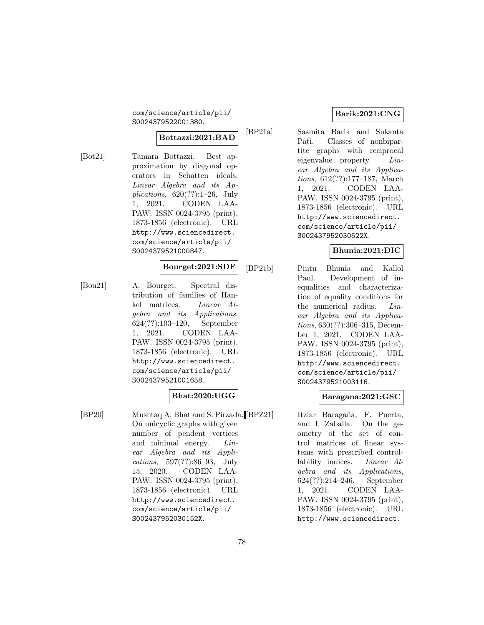com/science/article/pii/ S0024379522001380.

#### **Bottazzi:2021:BAD**

[Bot21] Tamara Bottazzi. Best approximation by diagonal operators in Schatten ideals. Linear Algebra and its Applications, 620(??):1–26, July 1, 2021. CODEN LAA-PAW. ISSN 0024-3795 (print), 1873-1856 (electronic). URL http://www.sciencedirect. com/science/article/pii/ S0024379521000847.

#### **Bourget:2021:SDF**

[Bou21] A. Bourget. Spectral distribution of families of Hankel matrices. Linear Algebra and its Applications, 624(??):103–120, September 1, 2021. CODEN LAA-PAW. ISSN 0024-3795 (print), 1873-1856 (electronic). URL http://www.sciencedirect. com/science/article/pii/ S0024379521001658.

#### **Bhat:2020:UGG**

[BP20] Mushtaq A. Bhat and S. Pirzada. On unicyclic graphs with given number of pendent vertices and minimal energy. *Lin*ear Algebra and its Applications, 597(??):86–93, July 15, 2020. CODEN LAA-PAW. ISSN 0024-3795 (print), 1873-1856 (electronic). URL http://www.sciencedirect. com/science/article/pii/ S002437952030152X.

# **Barik:2021:CNG**

[BP21a] Sasmita Barik and Sukanta Pati. Classes of nonbipartite graphs with reciprocal eigenvalue property. Linear Algebra and its Applications, 612(??):177–187, March 1, 2021. CODEN LAA-PAW. ISSN 0024-3795 (print), 1873-1856 (electronic). URL http://www.sciencedirect. com/science/article/pii/ S002437952030522X.

#### **Bhunia:2021:DIC**

[BP21b] Pintu Bhunia and Kallol Paul. Development of inequalities and characterization of equality conditions for the numerical radius. Linear Algebra and its Applications, 630(??):306–315, December 1, 2021. CODEN LAA-PAW. ISSN 0024-3795 (print), 1873-1856 (electronic). URL http://www.sciencedirect. com/science/article/pii/ S0024379521003116.

# **Baragana:2021:GSC**

Itziar Baragaña, F. Puerta, and I. Zaballa. On the geometry of the set of control matrices of linear systems with prescribed controllability indices. Linear Algebra and its Applications, 624(??):214–246, September 1, 2021. CODEN LAA-PAW. ISSN 0024-3795 (print), 1873-1856 (electronic). URL http://www.sciencedirect.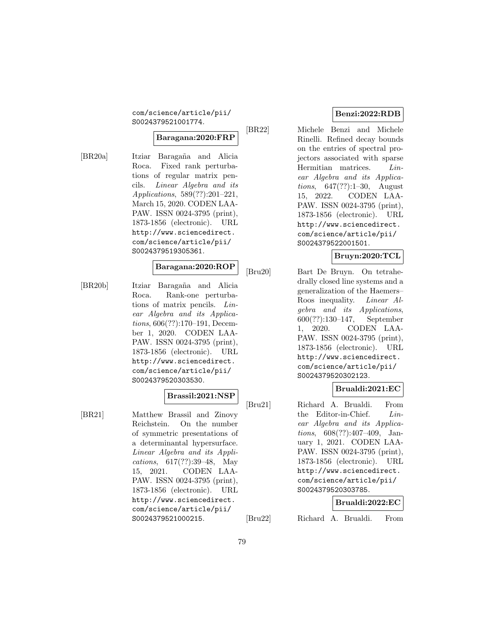com/science/article/pii/ S0024379521001774.

#### **Baragana:2020:FRP**

[BR20a] Itziar Baragaña and Alicia Roca. Fixed rank perturbations of regular matrix pencils. Linear Algebra and its Applications, 589(??):201–221, March 15, 2020. CODEN LAA-PAW. ISSN 0024-3795 (print), 1873-1856 (electronic). URL http://www.sciencedirect. com/science/article/pii/ S0024379519305361.

#### **Baragana:2020:ROP**

[BR20b] Itziar Baragaña and Alicia Roca. Rank-one perturbations of matrix pencils. Linear Algebra and its Applications, 606(??):170–191, December 1, 2020. CODEN LAA-PAW. ISSN 0024-3795 (print), 1873-1856 (electronic). URL http://www.sciencedirect. com/science/article/pii/ S0024379520303530.

#### **Brassil:2021:NSP**

[BR21] Matthew Brassil and Zinovy Reichstein. On the number of symmetric presentations of a determinantal hypersurface. Linear Algebra and its Applications, 617(??):39–48, May 15, 2021. CODEN LAA-PAW. ISSN 0024-3795 (print), 1873-1856 (electronic). URL http://www.sciencedirect. com/science/article/pii/ S0024379521000215.

# **Benzi:2022:RDB**

[BR22] Michele Benzi and Michele Rinelli. Refined decay bounds on the entries of spectral projectors associated with sparse Hermitian matrices. Linear Algebra and its Applications, 647(??):1–30, August 15, 2022. CODEN LAA-PAW. ISSN 0024-3795 (print), 1873-1856 (electronic). URL http://www.sciencedirect. com/science/article/pii/ S0024379522001501.

# **Bruyn:2020:TCL**

[Bru20] Bart De Bruyn. On tetrahedrally closed line systems and a generalization of the Haemers– Roos inequality. Linear Algebra and its Applications, 600(??):130–147, September 1, 2020. CODEN LAA-PAW. ISSN 0024-3795 (print), 1873-1856 (electronic). URL http://www.sciencedirect. com/science/article/pii/ S0024379520302123.

# **Brualdi:2021:EC**

[Bru21] Richard A. Brualdi. From the Editor-in-Chief. Linear Algebra and its Applications, 608(??):407–409, January 1, 2021. CODEN LAA-PAW. ISSN 0024-3795 (print), 1873-1856 (electronic). URL http://www.sciencedirect. com/science/article/pii/ S0024379520303785.

# **Brualdi:2022:EC**

[Bru22] Richard A. Brualdi. From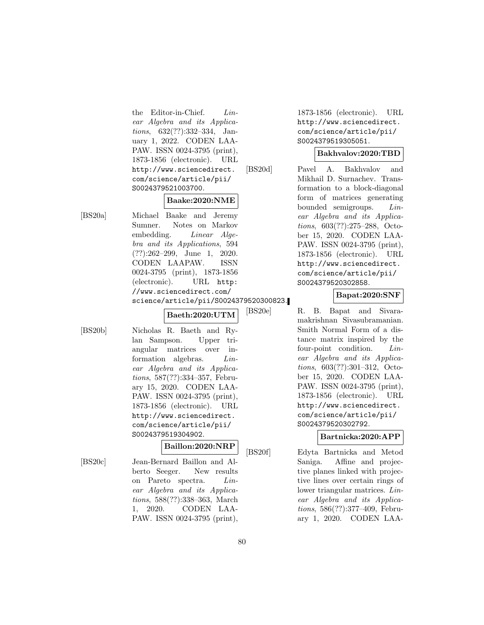the Editor-in-Chief. Linear Algebra and its Applications, 632(??):332–334, January 1, 2022. CODEN LAA-PAW. ISSN 0024-3795 (print), 1873-1856 (electronic). URL http://www.sciencedirect. com/science/article/pii/ S0024379521003700.

#### **Baake:2020:NME**

[BS20a] Michael Baake and Jeremy Sumner. Notes on Markov embedding. Linear Algebra and its Applications, 594 (??):262–299, June 1, 2020. CODEN LAAPAW. ISSN 0024-3795 (print), 1873-1856 (electronic). URL http: //www.sciencedirect.com/ science/article/pii/S0024379520300823.

**Baeth:2020:UTM**

[BS20b] Nicholas R. Baeth and Rylan Sampson. Upper triangular matrices over information algebras. *Lin*ear Algebra and its Applications, 587(??):334–357, February 15, 2020. CODEN LAA-PAW. ISSN 0024-3795 (print), 1873-1856 (electronic). URL http://www.sciencedirect. com/science/article/pii/ S0024379519304902.

#### **Baillon:2020:NRP**

[BS20c] Jean-Bernard Baillon and Alberto Seeger. New results on Pareto spectra. Linear Algebra and its Applications, 588(??):338–363, March 1, 2020. CODEN LAA-PAW. ISSN 0024-3795 (print), 1873-1856 (electronic). URL http://www.sciencedirect. com/science/article/pii/ S0024379519305051.

#### **Bakhvalov:2020:TBD**

[BS20d] Pavel A. Bakhvalov and Mikhail D. Surnachev. Transformation to a block-diagonal form of matrices generating bounded semigroups. Linear Algebra and its Applications, 603(??):275–288, October 15, 2020. CODEN LAA-PAW. ISSN 0024-3795 (print), 1873-1856 (electronic). URL http://www.sciencedirect. com/science/article/pii/ S0024379520302858.

#### **Bapat:2020:SNF**

[BS20e] R. B. Bapat and Sivaramakrishnan Sivasubramanian. Smith Normal Form of a distance matrix inspired by the four-point condition. Linear Algebra and its Applications, 603(??):301–312, October 15, 2020. CODEN LAA-PAW. ISSN 0024-3795 (print), 1873-1856 (electronic). URL http://www.sciencedirect. com/science/article/pii/ S0024379520302792.

# **Bartnicka:2020:APP**

[BS20f] Edyta Bartnicka and Metod Saniga. Affine and projective planes linked with projective lines over certain rings of lower triangular matrices. Linear Algebra and its Applications, 586(??):377–409, February 1, 2020. CODEN LAA-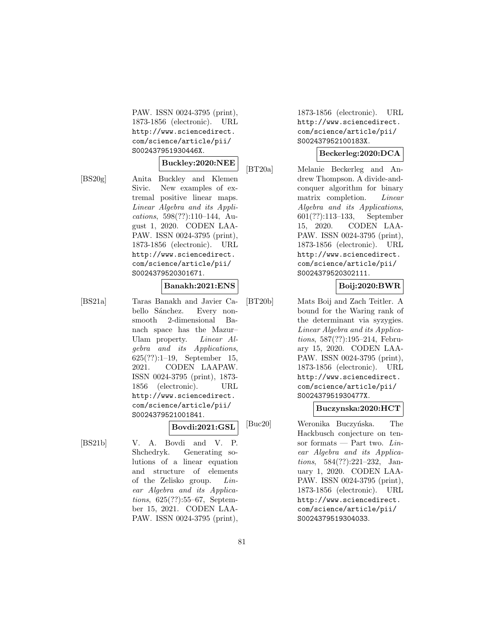PAW. ISSN 0024-3795 (print), 1873-1856 (electronic). URL http://www.sciencedirect. com/science/article/pii/ S002437951930446X.

#### **Buckley:2020:NEE**

[BS20g] Anita Buckley and Klemen Sivic. New examples of extremal positive linear maps. Linear Algebra and its Applications, 598(??):110–144, August 1, 2020. CODEN LAA-PAW. ISSN 0024-3795 (print), 1873-1856 (electronic). URL http://www.sciencedirect. com/science/article/pii/ S0024379520301671.

#### **Banakh:2021:ENS**

[BS21a] Taras Banakh and Javier Cabello Sánchez. Every nonsmooth 2-dimensional Banach space has the Mazur– Ulam property. Linear Algebra and its Applications, 625(??):1–19, September 15, 2021. CODEN LAAPAW. ISSN 0024-3795 (print), 1873- 1856 (electronic). URL http://www.sciencedirect. com/science/article/pii/ S0024379521001841.

**Bovdi:2021:GSL**

[BS21b] V. A. Bovdi and V. P. Shchedryk. Generating solutions of a linear equation and structure of elements of the Zelisko group. Linear Algebra and its Applications, 625(??):55–67, September 15, 2021. CODEN LAA-PAW. ISSN 0024-3795 (print), 1873-1856 (electronic). URL http://www.sciencedirect. com/science/article/pii/ S002437952100183X.

# **Beckerleg:2020:DCA**

[BT20a] Melanie Beckerleg and Andrew Thompson. A divide-andconquer algorithm for binary matrix completion. *Linear* Algebra and its Applications, 601(??):113–133, September 15, 2020. CODEN LAA-PAW. ISSN 0024-3795 (print), 1873-1856 (electronic). URL http://www.sciencedirect. com/science/article/pii/ S0024379520302111.

# **Boij:2020:BWR**

[BT20b] Mats Boij and Zach Teitler. A bound for the Waring rank of the determinant via syzygies. Linear Algebra and its Applications, 587(??):195–214, February 15, 2020. CODEN LAA-PAW. ISSN 0024-3795 (print), 1873-1856 (electronic). URL http://www.sciencedirect. com/science/article/pii/ S002437951930477X.

# **Buczynska:2020:HCT**

[Buc20] Weronika Buczyńska. The Hackbusch conjecture on tensor formats — Part two.  $Lin$ ear Algebra and its Applications, 584(??):221–232, January 1, 2020. CODEN LAA-PAW. ISSN 0024-3795 (print), 1873-1856 (electronic). URL http://www.sciencedirect. com/science/article/pii/ S0024379519304033.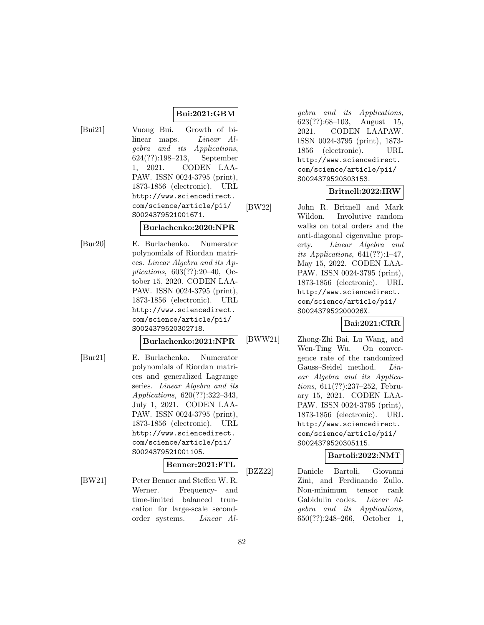# **Bui:2021:GBM**

[Bui21] Vuong Bui. Growth of bilinear maps. Linear Algebra and its Applications, 624(??):198–213, September 1, 2021. CODEN LAA-PAW. ISSN 0024-3795 (print), 1873-1856 (electronic). URL http://www.sciencedirect. com/science/article/pii/ S0024379521001671.

#### **Burlachenko:2020:NPR**

[Bur20] E. Burlachenko. Numerator polynomials of Riordan matrices. Linear Algebra and its Applications, 603(??):20–40, October 15, 2020. CODEN LAA-PAW. ISSN 0024-3795 (print), 1873-1856 (electronic). URL http://www.sciencedirect. com/science/article/pii/ S0024379520302718.

#### **Burlachenko:2021:NPR**

[Bur21] E. Burlachenko. Numerator polynomials of Riordan matrices and generalized Lagrange series. Linear Algebra and its Applications, 620(??):322–343, July 1, 2021. CODEN LAA-PAW. ISSN 0024-3795 (print), 1873-1856 (electronic). URL http://www.sciencedirect. com/science/article/pii/ S0024379521001105.

#### **Benner:2021:FTL**

[BW21] Peter Benner and Steffen W. R. Werner. Frequency- and time-limited balanced truncation for large-scale secondorder systems. Linear Al-

gebra and its Applications, 623(??):68–103, August 15, 2021. CODEN LAAPAW. ISSN 0024-3795 (print), 1873- 1856 (electronic). URL http://www.sciencedirect. com/science/article/pii/ S0024379520303153.

# **Britnell:2022:IRW**

[BW22] John R. Britnell and Mark Wildon. Involutive random walks on total orders and the anti-diagonal eigenvalue property. Linear Algebra and its Applications,  $641(??):1-47$ , May 15, 2022. CODEN LAA-PAW. ISSN 0024-3795 (print), 1873-1856 (electronic). URL http://www.sciencedirect. com/science/article/pii/ S002437952200026X.

**Bai:2021:CRR**

[BWW21] Zhong-Zhi Bai, Lu Wang, and Wen-Ting Wu. On convergence rate of the randomized Gauss–Seidel method. Linear Algebra and its Applications, 611(??):237–252, February 15, 2021. CODEN LAA-PAW. ISSN 0024-3795 (print), 1873-1856 (electronic). URL http://www.sciencedirect. com/science/article/pii/ S0024379520305115.

#### **Bartoli:2022:NMT**

[BZZ22] Daniele Bartoli, Giovanni Zini, and Ferdinando Zullo. Non-minimum tensor rank Gabidulin codes. Linear Algebra and its Applications, 650(??):248–266, October 1,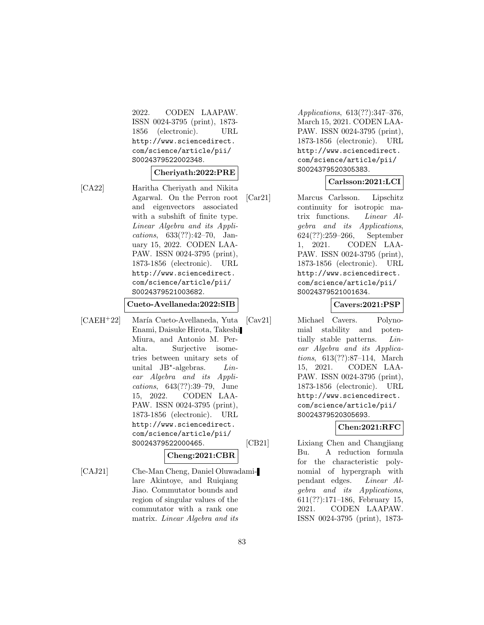2022. CODEN LAAPAW. ISSN 0024-3795 (print), 1873- 1856 (electronic). URL http://www.sciencedirect. com/science/article/pii/ S0024379522002348.

#### **Cheriyath:2022:PRE**

[CA22] Haritha Cheriyath and Nikita Agarwal. On the Perron root and eigenvectors associated with a subshift of finite type. Linear Algebra and its Applications, 633(??):42–70, January 15, 2022. CODEN LAA-PAW. ISSN 0024-3795 (print), 1873-1856 (electronic). URL http://www.sciencedirect. com/science/article/pii/ S0024379521003682.

#### **Cueto-Avellaneda:2022:SIB**

[CAEH<sup>+</sup>22] María Cueto-Avellaneda, Yuta Enami, Daisuke Hirota, Takeshi Miura, and Antonio M. Peralta. Surjective isometries between unitary sets of unital  $JB^*$ -algebras. *Lin*ear Algebra and its Applications, 643(??):39–79, June 15, 2022. CODEN LAA-PAW. ISSN 0024-3795 (print), 1873-1856 (electronic). URL http://www.sciencedirect. com/science/article/pii/ S0024379522000465.

**Cheng:2021:CBR**

[CAJ21] Che-Man Cheng, Daniel Oluwadamilare Akintoye, and Ruiqiang Jiao. Commutator bounds and region of singular values of the commutator with a rank one matrix. Linear Algebra and its

Applications, 613(??):347–376, March 15, 2021. CODEN LAA-PAW. ISSN 0024-3795 (print), 1873-1856 (electronic). URL http://www.sciencedirect. com/science/article/pii/ S0024379520305383.

### **Carlsson:2021:LCI**

[Car21] Marcus Carlsson. Lipschitz continuity for isotropic matrix functions. Linear Algebra and its Applications, 624(??):259–266, September 1, 2021. CODEN LAA-PAW. ISSN 0024-3795 (print), 1873-1856 (electronic). URL http://www.sciencedirect. com/science/article/pii/ S0024379521001634.

#### **Cavers:2021:PSP**

[Cav21] Michael Cavers. Polynomial stability and potentially stable patterns. Linear Algebra and its Applications, 613(??):87–114, March 15, 2021. CODEN LAA-PAW. ISSN 0024-3795 (print), 1873-1856 (electronic). URL http://www.sciencedirect. com/science/article/pii/ S0024379520305693.

**Chen:2021:RFC**

[CB21] Lixiang Chen and Changjiang Bu. A reduction formula for the characteristic polynomial of hypergraph with pendant edges. Linear Algebra and its Applications, 611(??):171–186, February 15, 2021. CODEN LAAPAW. ISSN 0024-3795 (print), 1873-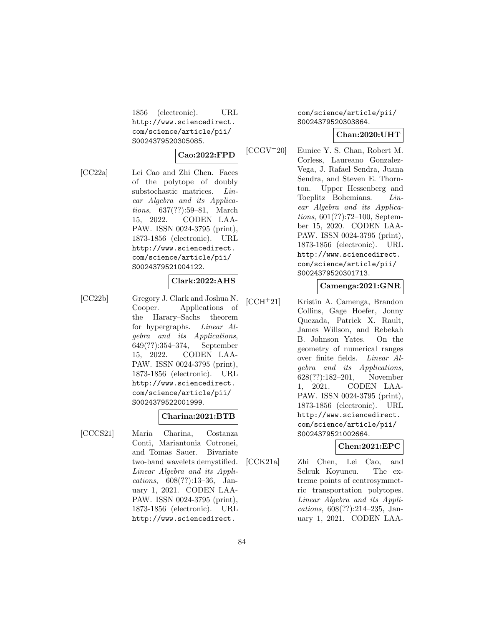1856 (electronic). URL http://www.sciencedirect. com/science/article/pii/ S0024379520305085.

#### **Cao:2022:FPD**

[CC22a] Lei Cao and Zhi Chen. Faces of the polytope of doubly substochastic matrices. Linear Algebra and its Applications, 637(??):59–81, March 15, 2022. CODEN LAA-PAW. ISSN 0024-3795 (print), 1873-1856 (electronic). URL http://www.sciencedirect. com/science/article/pii/ S0024379521004122.

#### **Clark:2022:AHS**

[CC22b] Gregory J. Clark and Joshua N. Cooper. Applications of the Harary–Sachs theorem for hypergraphs. Linear Algebra and its Applications, 649(??):354–374, September 15, 2022. CODEN LAA-PAW. ISSN 0024-3795 (print), 1873-1856 (electronic). URL http://www.sciencedirect. com/science/article/pii/ S0024379522001999.

#### **Charina:2021:BTB**

[CCCS21] Maria Charina, Costanza Conti, Mariantonia Cotronei, and Tomas Sauer. Bivariate two-band wavelets demystified. Linear Algebra and its Applications, 608(??):13–36, January 1, 2021. CODEN LAA-PAW. ISSN 0024-3795 (print), 1873-1856 (electronic). URL http://www.sciencedirect.

# com/science/article/pii/ S0024379520303864.

#### **Chan:2020:UHT**

[CCGV<sup>+</sup>20] Eunice Y. S. Chan, Robert M. Corless, Laureano Gonzalez-Vega, J. Rafael Sendra, Juana Sendra, and Steven E. Thornton. Upper Hessenberg and Toeplitz Bohemians. Linear Algebra and its Applications, 601(??):72–100, September 15, 2020. CODEN LAA-PAW. ISSN 0024-3795 (print), 1873-1856 (electronic). URL http://www.sciencedirect. com/science/article/pii/ S0024379520301713.

#### **Camenga:2021:GNR**

[CCH<sup>+</sup>21] Kristin A. Camenga, Brandon Collins, Gage Hoefer, Jonny Quezada, Patrick X. Rault, James Willson, and Rebekah B. Johnson Yates. On the geometry of numerical ranges over finite fields. Linear Algebra and its Applications, 628(??):182–201, November 1, 2021. CODEN LAA-PAW. ISSN 0024-3795 (print), 1873-1856 (electronic). URL http://www.sciencedirect. com/science/article/pii/ S0024379521002664.

#### **Chen:2021:EPC**

[CCK21a] Zhi Chen, Lei Cao, and Selcuk Koyuncu. The extreme points of centrosymmetric transportation polytopes. Linear Algebra and its Applications, 608(??):214–235, January 1, 2021. CODEN LAA-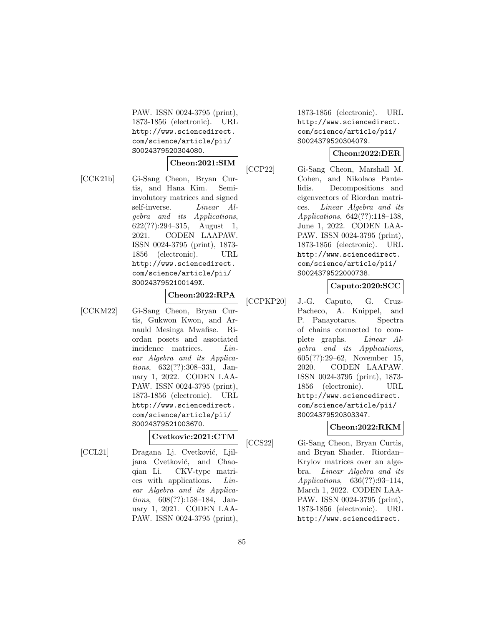PAW. ISSN 0024-3795 (print), 1873-1856 (electronic). URL http://www.sciencedirect. com/science/article/pii/ S0024379520304080.

#### **Cheon:2021:SIM**

[CCK21b] Gi-Sang Cheon, Bryan Curtis, and Hana Kim. Semiinvolutory matrices and signed self-inverse. Linear Algebra and its Applications, 622(??):294–315, August 1, 2021. CODEN LAAPAW. ISSN 0024-3795 (print), 1873- 1856 (electronic). URL http://www.sciencedirect. com/science/article/pii/ S002437952100149X.

# **Cheon:2022:RPA**

[CCKM22] Gi-Sang Cheon, Bryan Curtis, Gukwon Kwon, and Arnauld Mesinga Mwafise. Riordan posets and associated incidence matrices. Linear Algebra and its Applications, 632(??):308–331, January 1, 2022. CODEN LAA-PAW. ISSN 0024-3795 (print), 1873-1856 (electronic). URL http://www.sciencedirect. com/science/article/pii/ S0024379521003670.

#### **Cvetkovic:2021:CTM**

[CCL21] Dragana Lj. Cvetković, Ljiljana Cvetković, and Chaoqian Li. CKV-type matrices with applications. Linear Algebra and its Applications, 608(??):158–184, January 1, 2021. CODEN LAA-PAW. ISSN 0024-3795 (print), 1873-1856 (electronic). URL http://www.sciencedirect. com/science/article/pii/ S0024379520304079.

#### **Cheon:2022:DER**

[CCP22] Gi-Sang Cheon, Marshall M. Cohen, and Nikolaos Pantelidis. Decompositions and eigenvectors of Riordan matrices. Linear Algebra and its Applications, 642(??):118–138, June 1, 2022. CODEN LAA-PAW. ISSN 0024-3795 (print), 1873-1856 (electronic). URL http://www.sciencedirect. com/science/article/pii/ S0024379522000738.

# **Caputo:2020:SCC**

[CCPKP20] J.-G. Caputo, G. Cruz-Pacheco, A. Knippel, and P. Panayotaros. Spectra of chains connected to complete graphs. Linear Algebra and its Applications, 605(??):29–62, November 15, 2020. CODEN LAAPAW. ISSN 0024-3795 (print), 1873- 1856 (electronic). URL http://www.sciencedirect. com/science/article/pii/ S0024379520303347.

# **Cheon:2022:RKM**

[CCS22] Gi-Sang Cheon, Bryan Curtis, and Bryan Shader. Riordan– Krylov matrices over an algebra. Linear Algebra and its Applications, 636(??):93–114, March 1, 2022. CODEN LAA-PAW. ISSN 0024-3795 (print), 1873-1856 (electronic). URL http://www.sciencedirect.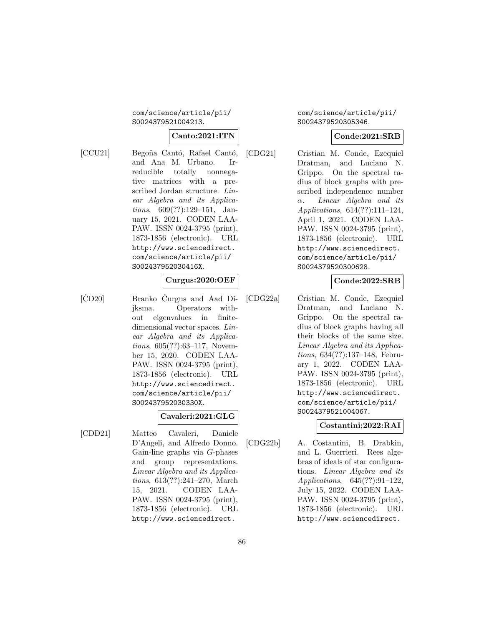#### com/science/article/pii/ S0024379521004213.

# **Canto:2021:ITN**

[CCU21] Begoña Cantó, Rafael Cantó, and Ana M. Urbano. Irreducible totally nonnegative matrices with a prescribed Jordan structure. Linear Algebra and its Applications, 609(??):129–151, January 15, 2021. CODEN LAA-PAW. ISSN 0024-3795 (print), 1873-1856 (electronic). URL http://www.sciencedirect. com/science/article/pii/ S002437952030416X.

# **Curgus:2020:OEF**

 $[\text{CD}20]$  Branko  $\text{Curgus}$  and Aad Dijksma. Operators without eigenvalues in finitedimensional vector spaces. Linear Algebra and its Applications, 605(??):63–117, November 15, 2020. CODEN LAA-PAW. ISSN 0024-3795 (print), 1873-1856 (electronic). URL http://www.sciencedirect. com/science/article/pii/ S002437952030330X.

# **Cavaleri:2021:GLG**

[CDD21] Matteo Cavaleri, Daniele D'Angeli, and Alfredo Donno. Gain-line graphs via G-phases and group representations. Linear Algebra and its Applications, 613(??):241–270, March 15, 2021. CODEN LAA-PAW. ISSN 0024-3795 (print), 1873-1856 (electronic). URL http://www.sciencedirect.

#### com/science/article/pii/ S0024379520305346.

#### **Conde:2021:SRB**

[CDG21] Cristian M. Conde, Ezequiel Dratman, and Luciano N. Grippo. On the spectral radius of block graphs with prescribed independence number α. Linear Algebra and its Applications, 614(??):111–124, April 1, 2021. CODEN LAA-PAW. ISSN 0024-3795 (print), 1873-1856 (electronic). URL http://www.sciencedirect. com/science/article/pii/ S0024379520300628.

# **Conde:2022:SRB**

[CDG22a] Cristian M. Conde, Ezequiel Dratman, and Luciano N. Grippo. On the spectral radius of block graphs having all their blocks of the same size. Linear Algebra and its Applications, 634(??):137–148, February 1, 2022. CODEN LAA-PAW. ISSN 0024-3795 (print), 1873-1856 (electronic). URL http://www.sciencedirect. com/science/article/pii/ S0024379521004067.

# **Costantini:2022:RAI**

[CDG22b] A. Costantini, B. Drabkin, and L. Guerrieri. Rees algebras of ideals of star configurations. Linear Algebra and its Applications, 645(??):91–122, July 15, 2022. CODEN LAA-PAW. ISSN 0024-3795 (print), 1873-1856 (electronic). URL http://www.sciencedirect.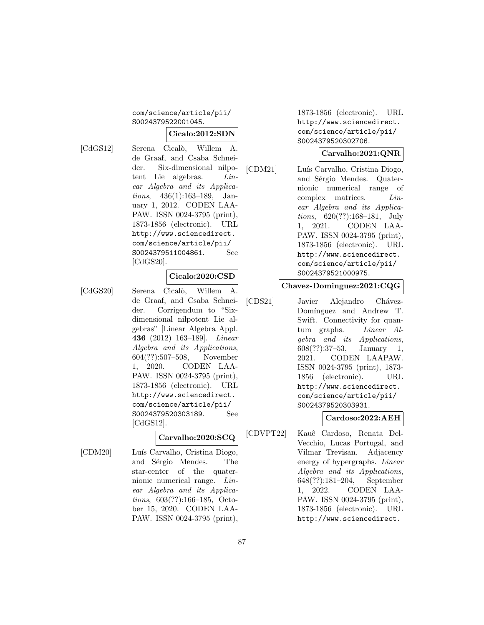### com/science/article/pii/ S0024379522001045.

#### **Cicalo:2012:SDN**

[CdGS12] Serena Cicalò, Willem A. de Graaf, and Csaba Schneider. Six-dimensional nilpotent Lie algebras. Linear Algebra and its Applications, 436(1):163–189, January 1, 2012. CODEN LAA-PAW. ISSN 0024-3795 (print), 1873-1856 (electronic). URL http://www.sciencedirect. com/science/article/pii/ S0024379511004861. See [CdGS20].

#### **Cicalo:2020:CSD**

[CdGS20] Serena Cicalò, Willem A. de Graaf, and Csaba Schneider. Corrigendum to "Sixdimensional nilpotent Lie algebras" [Linear Algebra Appl. **436** (2012) 163–189]. Linear Algebra and its Applications, 604(??):507–508, November 1, 2020. CODEN LAA-PAW. ISSN 0024-3795 (print), 1873-1856 (electronic). URL http://www.sciencedirect. com/science/article/pii/ S0024379520303189. See [CdGS12].

# **Carvalho:2020:SCQ**

[CDM20] Luís Carvalho, Cristina Diogo, and Sérgio Mendes. The star-center of the quaternionic numerical range. Linear Algebra and its Applications, 603(??):166–185, October 15, 2020. CODEN LAA-PAW. ISSN 0024-3795 (print),

1873-1856 (electronic). URL http://www.sciencedirect. com/science/article/pii/ S0024379520302706.

#### **Carvalho:2021:QNR**

[CDM21] Luís Carvalho, Cristina Diogo, and Sérgio Mendes. Quaternionic numerical range of complex matrices. Linear Algebra and its Applications, 620(??):168–181, July 1, 2021. CODEN LAA-PAW. ISSN 0024-3795 (print), 1873-1856 (electronic). URL http://www.sciencedirect. com/science/article/pii/ S0024379521000975.

#### **Chavez-Dominguez:2021:CQG**

[CDS21] Javier Alejandro Chávez-Domínguez and Andrew T. Swift. Connectivity for quantum graphs. Linear Algebra and its Applications, 608(??):37–53, January 1, 2021. CODEN LAAPAW. ISSN 0024-3795 (print), 1873- 1856 (electronic). URL http://www.sciencedirect. com/science/article/pii/ S0024379520303931.

# **Cardoso:2022:AEH**

[CDVPT22] Kauˆe Cardoso, Renata Del-Vecchio, Lucas Portugal, and Vilmar Trevisan. Adjacency energy of hypergraphs. Linear Algebra and its Applications, 648(??):181–204, September 1, 2022. CODEN LAA-PAW. ISSN 0024-3795 (print), 1873-1856 (electronic). URL http://www.sciencedirect.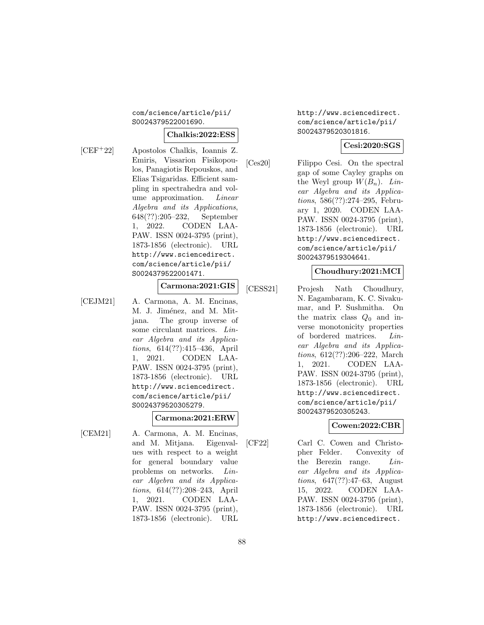# com/science/article/pii/ S0024379522001690.

#### **Chalkis:2022:ESS**

[CEF<sup>+</sup>22] Apostolos Chalkis, Ioannis Z. Emiris, Vissarion Fisikopoulos, Panagiotis Repouskos, and Elias Tsigaridas. Efficient sampling in spectrahedra and volume approximation. Linear Algebra and its Applications, 648(??):205–232, September 1, 2022. CODEN LAA-PAW. ISSN 0024-3795 (print), 1873-1856 (electronic). URL http://www.sciencedirect. com/science/article/pii/ S0024379522001471.

# **Carmona:2021:GIS**

[CEJM21] A. Carmona, A. M. Encinas, M. J. Jiménez, and M. Mitjana. The group inverse of some circulant matrices. Linear Algebra and its Applications, 614(??):415–436, April 1, 2021. CODEN LAA-PAW. ISSN 0024-3795 (print), 1873-1856 (electronic). URL http://www.sciencedirect. com/science/article/pii/ S0024379520305279.

# **Carmona:2021:ERW**

[CEM21] A. Carmona, A. M. Encinas, and M. Mitjana. Eigenvalues with respect to a weight for general boundary value problems on networks. Linear Algebra and its Applications, 614(??):208–243, April 1, 2021. CODEN LAA-PAW. ISSN 0024-3795 (print), 1873-1856 (electronic). URL

http://www.sciencedirect. com/science/article/pii/ S0024379520301816.

#### **Cesi:2020:SGS**

[Ces20] Filippo Cesi. On the spectral gap of some Cayley graphs on the Weyl group  $W(B_n)$ . Linear Algebra and its Applications, 586(??):274–295, February 1, 2020. CODEN LAA-PAW. ISSN 0024-3795 (print), 1873-1856 (electronic). URL http://www.sciencedirect. com/science/article/pii/ S0024379519304641.

#### **Choudhury:2021:MCI**

[CESS21] Projesh Nath Choudhury, N. Eagambaram, K. C. Sivakumar, and P. Sushmitha. On the matrix class  $Q_0$  and inverse monotonicity properties of bordered matrices. Linear Algebra and its Applications, 612(??):206–222, March 1, 2021. CODEN LAA-PAW. ISSN 0024-3795 (print), 1873-1856 (electronic). URL http://www.sciencedirect. com/science/article/pii/ S0024379520305243.

# **Cowen:2022:CBR**

[CF22] Carl C. Cowen and Christopher Felder. Convexity of the Berezin range. Linear Algebra and its Applications, 647(??):47–63, August 15, 2022. CODEN LAA-PAW. ISSN 0024-3795 (print), 1873-1856 (electronic). URL http://www.sciencedirect.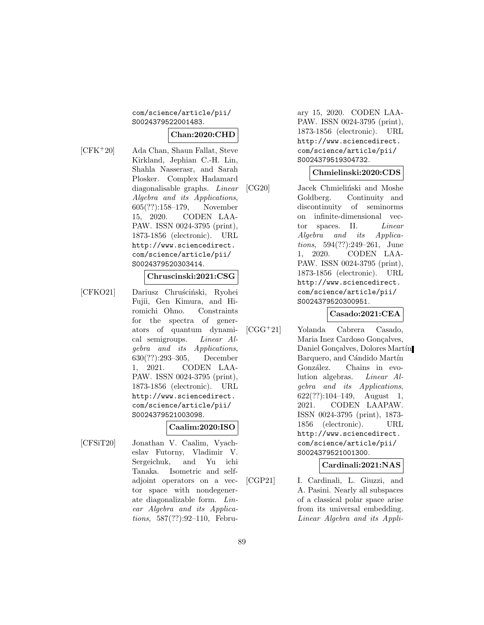# com/science/article/pii/ S0024379522001483.

# **Chan:2020:CHD**

[CFK<sup>+</sup>20] Ada Chan, Shaun Fallat, Steve Kirkland, Jephian C.-H. Lin, Shahla Nasserasr, and Sarah Plosker. Complex Hadamard diagonalisable graphs. Linear Algebra and its Applications, 605(??):158–179, November 15, 2020. CODEN LAA-PAW. ISSN 0024-3795 (print), 1873-1856 (electronic). URL http://www.sciencedirect. com/science/article/pii/ S0024379520303414.

#### **Chruscinski:2021:CSG**

[CFKO21] Dariusz Chruściński, Ryohei Fujii, Gen Kimura, and Hiromichi Ohno. Constraints for the spectra of generators of quantum dynamical semigroups. Linear Algebra and its Applications, 630(??):293–305, December 1, 2021. CODEN LAA-PAW. ISSN 0024-3795 (print), 1873-1856 (electronic). URL http://www.sciencedirect. com/science/article/pii/ S0024379521003098.

# **Caalim:2020:ISO**

[CFSiT20] Jonathan V. Caalim, Vyacheslav Futorny, Vladimir V. Sergeichuk, and Yu ichi Tanaka. Isometric and selfadjoint operators on a vector space with nondegenerate diagonalizable form. Linear Algebra and its Applications, 587(??):92–110, February 15, 2020. CODEN LAA-PAW. ISSN 0024-3795 (print), 1873-1856 (electronic). URL http://www.sciencedirect. com/science/article/pii/ S0024379519304732.

#### **Chmielinski:2020:CDS**

[CG20] Jacek Chmieliński and Moshe Goldberg. Continuity and discontinuity of seminorms on infinite-dimensional vector spaces. II. Linear Algebra and its Applications, 594(??):249–261, June 1, 2020. CODEN LAA-PAW. ISSN 0024-3795 (print), 1873-1856 (electronic). URL http://www.sciencedirect. com/science/article/pii/ S0024379520300951.

# **Casado:2021:CEA**

[CGG<sup>+</sup>21] Yolanda Cabrera Casado, Maria Inez Cardoso Gonçalves, Daniel Gonçalves, Dolores Martín Barquero, and Cándido Martín González. Chains in evolution algebras. Linear Algebra and its Applications, 622(??):104–149, August 1, 2021. CODEN LAAPAW. ISSN 0024-3795 (print), 1873- 1856 (electronic). URL http://www.sciencedirect. com/science/article/pii/ S0024379521001300.

# **Cardinali:2021:NAS**

[CGP21] I. Cardinali, L. Giuzzi, and A. Pasini. Nearly all subspaces of a classical polar space arise from its universal embedding. Linear Algebra and its Appli-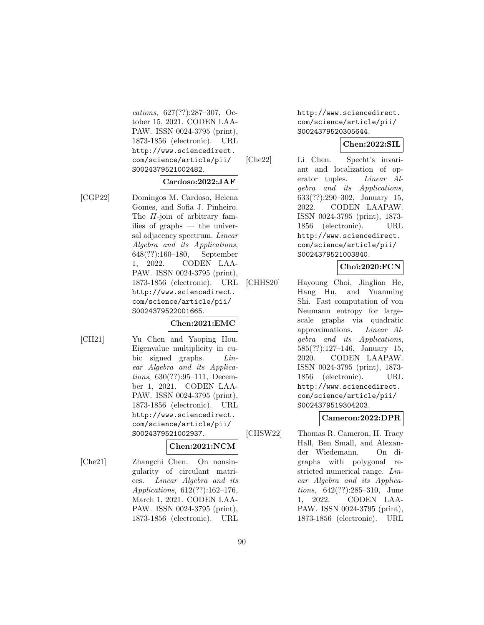cations, 627(??):287–307, October 15, 2021. CODEN LAA-PAW. ISSN 0024-3795 (print), 1873-1856 (electronic). URL http://www.sciencedirect. com/science/article/pii/ S0024379521002482.

#### **Cardoso:2022:JAF**

# [CGP22] Domingos M. Cardoso, Helena Gomes, and Sofia J. Pinheiro. The H-join of arbitrary families of graphs — the universal adjacency spectrum. Linear Algebra and its Applications, 648(??):160–180, September 1, 2022. CODEN LAA-PAW. ISSN 0024-3795 (print), 1873-1856 (electronic). URL http://www.sciencedirect. com/science/article/pii/ S0024379522001665.

# **Chen:2021:EMC**

[CH21] Yu Chen and Yaoping Hou. Eigenvalue multiplicity in cubic signed graphs. *Lin*ear Algebra and its Applications, 630(??):95–111, December 1, 2021. CODEN LAA-PAW. ISSN 0024-3795 (print), 1873-1856 (electronic). URL http://www.sciencedirect. com/science/article/pii/ S0024379521002937.

# **Chen:2021:NCM**

[Che21] Zhangchi Chen. On nonsingularity of circulant matrices. Linear Algebra and its Applications, 612(??):162–176, March 1, 2021. CODEN LAA-PAW. ISSN 0024-3795 (print), 1873-1856 (electronic). URL http://www.sciencedirect. com/science/article/pii/ S0024379520305644.

# **Chen:2022:SIL**

[Che22] Li Chen. Specht's invariant and localization of operator tuples. Linear Algebra and its Applications, 633(??):290–302, January 15, 2022. CODEN LAAPAW. ISSN 0024-3795 (print), 1873- 1856 (electronic). URL http://www.sciencedirect. com/science/article/pii/ S0024379521003840.

**Choi:2020:FCN**

[CHHS20] Hayoung Choi, Jinglian He, Hang Hu, and Yuanming Shi. Fast computation of von Neumann entropy for largescale graphs via quadratic approximations. Linear Algebra and its Applications, 585(??):127–146, January 15, 2020. CODEN LAAPAW. ISSN 0024-3795 (print), 1873- 1856 (electronic). URL http://www.sciencedirect. com/science/article/pii/ S0024379519304203.

# **Cameron:2022:DPR**

[CHSW22] Thomas R. Cameron, H. Tracy Hall, Ben Small, and Alexander Wiedemann. On digraphs with polygonal restricted numerical range. Linear Algebra and its Applications, 642(??):285–310, June 1, 2022. CODEN LAA-PAW. ISSN 0024-3795 (print), 1873-1856 (electronic). URL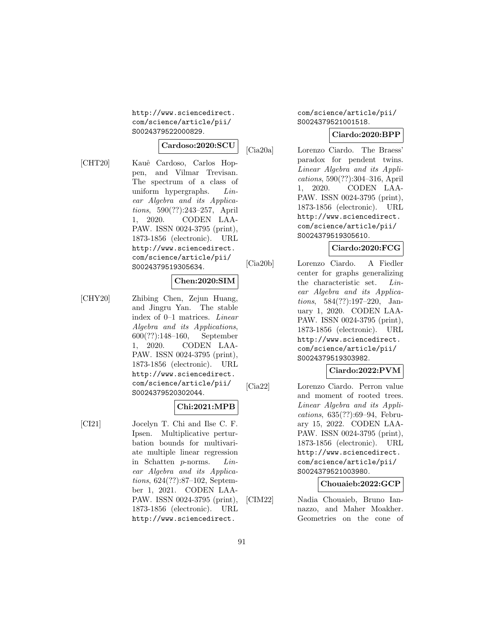http://www.sciencedirect. com/science/article/pii/ S0024379522000829.

#### **Cardoso:2020:SCU**

[CHT20] Kauˆe Cardoso, Carlos Hoppen, and Vilmar Trevisan. The spectrum of a class of uniform hypergraphs. Linear Algebra and its Applications, 590(??):243–257, April 1, 2020. CODEN LAA-PAW. ISSN 0024-3795 (print), 1873-1856 (electronic). URL http://www.sciencedirect. com/science/article/pii/ S0024379519305634.

#### **Chen:2020:SIM**

[CHY20] Zhibing Chen, Zejun Huang, and Jingru Yan. The stable index of 0–1 matrices. Linear Algebra and its Applications, 600(??):148–160, September 1, 2020. CODEN LAA-PAW. ISSN 0024-3795 (print), 1873-1856 (electronic). URL http://www.sciencedirect. com/science/article/pii/ S0024379520302044.

#### **Chi:2021:MPB**

[CI21] Jocelyn T. Chi and Ilse C. F. Ipsen. Multiplicative perturbation bounds for multivariate multiple linear regression in Schatten p-norms. Linear Algebra and its Applications, 624(??):87–102, September 1, 2021. CODEN LAA-PAW. ISSN 0024-3795 (print), 1873-1856 (electronic). URL http://www.sciencedirect.

## com/science/article/pii/ S0024379521001518.

# **Ciardo:2020:BPP**

[Cia20a] Lorenzo Ciardo. The Braess' paradox for pendent twins. Linear Algebra and its Applications, 590(??):304–316, April 1, 2020. CODEN LAA-PAW. ISSN 0024-3795 (print), 1873-1856 (electronic). URL http://www.sciencedirect. com/science/article/pii/ S0024379519305610.

# **Ciardo:2020:FCG**

[Cia20b] Lorenzo Ciardo. A Fiedler center for graphs generalizing the characteristic set. Linear Algebra and its Applications, 584(??):197–220, January 1, 2020. CODEN LAA-PAW. ISSN 0024-3795 (print), 1873-1856 (electronic). URL http://www.sciencedirect. com/science/article/pii/ S0024379519303982.

# **Ciardo:2022:PVM**

[Cia22] Lorenzo Ciardo. Perron value and moment of rooted trees. Linear Algebra and its Applications, 635(??):69–94, February 15, 2022. CODEN LAA-PAW. ISSN 0024-3795 (print), 1873-1856 (electronic). URL http://www.sciencedirect. com/science/article/pii/ S0024379521003980.

# **Chouaieb:2022:GCP**

[CIM22] Nadia Chouaieb, Bruno Iannazzo, and Maher Moakher. Geometries on the cone of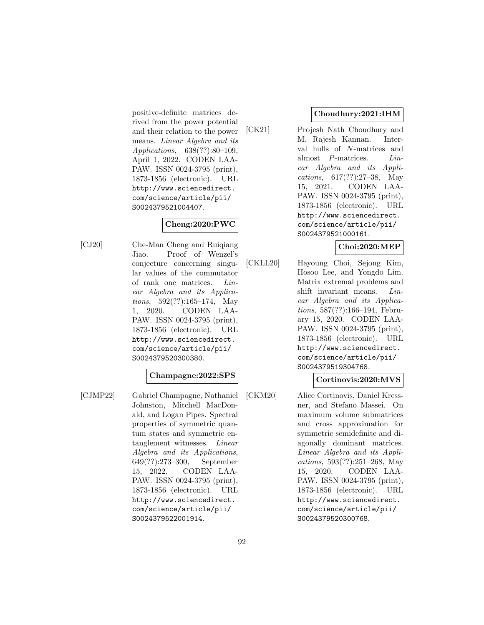positive-definite matrices derived from the power potential and their relation to the power means. Linear Algebra and its Applications, 638(??):80–109, April 1, 2022. CODEN LAA-PAW. ISSN 0024-3795 (print), 1873-1856 (electronic). URL http://www.sciencedirect. com/science/article/pii/ S0024379521004407.

# **Cheng:2020:PWC**

[CJ20] Che-Man Cheng and Ruiqiang Jiao. Proof of Wenzel's conjecture concerning singular values of the commutator of rank one matrices. Linear Algebra and its Applica*tions*,  $592(??):165-174$ , May 1, 2020. CODEN LAA-PAW. ISSN 0024-3795 (print), 1873-1856 (electronic). URL http://www.sciencedirect. com/science/article/pii/ S0024379520300380.

# **Champagne:2022:SPS**

[CJMP22] Gabriel Champagne, Nathaniel Johnston, Mitchell MacDonald, and Logan Pipes. Spectral properties of symmetric quantum states and symmetric entanglement witnesses. Linear Algebra and its Applications, 649(??):273–300, September 15, 2022. CODEN LAA-PAW. ISSN 0024-3795 (print), 1873-1856 (electronic). URL http://www.sciencedirect. com/science/article/pii/ S0024379522001914.

# **Choudhury:2021:IHM**

[CK21] Projesh Nath Choudhury and M. Rajesh Kannan. Interval hulls of N-matrices and almost P-matrices. Linear Algebra and its Applications, 617(??):27–38, May 15, 2021. CODEN LAA-PAW. ISSN 0024-3795 (print), 1873-1856 (electronic). URL http://www.sciencedirect. com/science/article/pii/ S0024379521000161.

# **Choi:2020:MEP**

[CKLL20] Hayoung Choi, Sejong Kim, Hosoo Lee, and Yongdo Lim. Matrix extremal problems and shift invariant means. Linear Algebra and its Applications, 587(??):166–194, February 15, 2020. CODEN LAA-PAW. ISSN 0024-3795 (print), 1873-1856 (electronic). URL http://www.sciencedirect. com/science/article/pii/ S0024379519304768.

#### **Cortinovis:2020:MVS**

[CKM20] Alice Cortinovis, Daniel Kressner, and Stefano Massei. On maximum volume submatrices and cross approximation for symmetric semidefinite and diagonally dominant matrices. Linear Algebra and its Applications, 593(??):251–268, May 15, 2020. CODEN LAA-PAW. ISSN 0024-3795 (print), 1873-1856 (electronic). URL http://www.sciencedirect. com/science/article/pii/ S0024379520300768.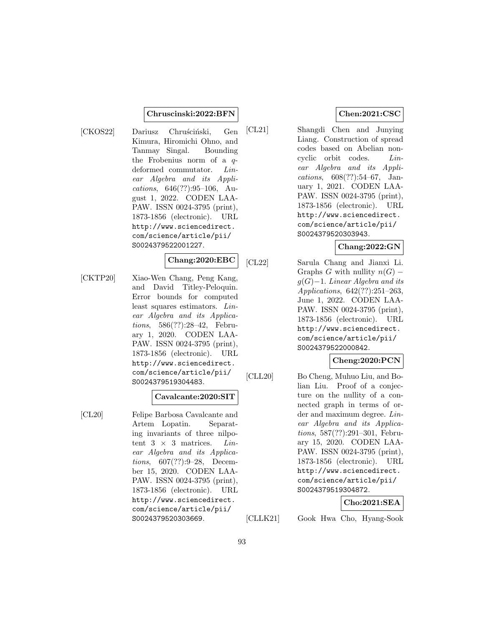#### **Chruscinski:2022:BFN**

[CKOS22] Dariusz Chruściński, Gen Kimura, Hiromichi Ohno, and Tanmay Singal. Bounding the Frobenius norm of a  $q$ deformed commutator. Linear Algebra and its Applications, 646(??):95–106, August 1, 2022. CODEN LAA-PAW. ISSN 0024-3795 (print), 1873-1856 (electronic). URL http://www.sciencedirect. com/science/article/pii/ S0024379522001227.

# **Chang:2020:EBC**

[CKTP20] Xiao-Wen Chang, Peng Kang, and David Titley-Peloquin. Error bounds for computed least squares estimators. Linear Algebra and its Applications, 586(??):28–42, February 1, 2020. CODEN LAA-PAW. ISSN 0024-3795 (print), 1873-1856 (electronic). URL http://www.sciencedirect. com/science/article/pii/ S0024379519304483.

#### **Cavalcante:2020:SIT**

[CL20] Felipe Barbosa Cavalcante and Artem Lopatin. Separating invariants of three nilpotent  $3 \times 3$  matrices. *Lin*ear Algebra and its Applications, 607(??):9–28, December 15, 2020. CODEN LAA-PAW. ISSN 0024-3795 (print), 1873-1856 (electronic). URL http://www.sciencedirect. com/science/article/pii/ S0024379520303669.

# **Chen:2021:CSC**

[CL21] Shangdi Chen and Junying Liang. Construction of spread codes based on Abelian noncyclic orbit codes. Linear Algebra and its Applications, 608(??):54–67, January 1, 2021. CODEN LAA-PAW. ISSN 0024-3795 (print), 1873-1856 (electronic). URL http://www.sciencedirect. com/science/article/pii/ S0024379520303943.

# **Chang:2022:GN**

[CL22] Sarula Chang and Jianxi Li. Graphs G with nullity  $n(G)$  –  $g(G)-1$ . Linear Algebra and its Applications, 642(??):251–263, June 1, 2022. CODEN LAA-PAW. ISSN 0024-3795 (print), 1873-1856 (electronic). URL http://www.sciencedirect. com/science/article/pii/ S0024379522000842.

# **Cheng:2020:PCN**

[CLL20] Bo Cheng, Muhuo Liu, and Bolian Liu. Proof of a conjecture on the nullity of a connected graph in terms of order and maximum degree. Linear Algebra and its Applications, 587(??):291–301, February 15, 2020. CODEN LAA-PAW. ISSN 0024-3795 (print), 1873-1856 (electronic). URL http://www.sciencedirect. com/science/article/pii/ S0024379519304872.

# **Cho:2021:SEA**

[CLLK21] Gook Hwa Cho, Hyang-Sook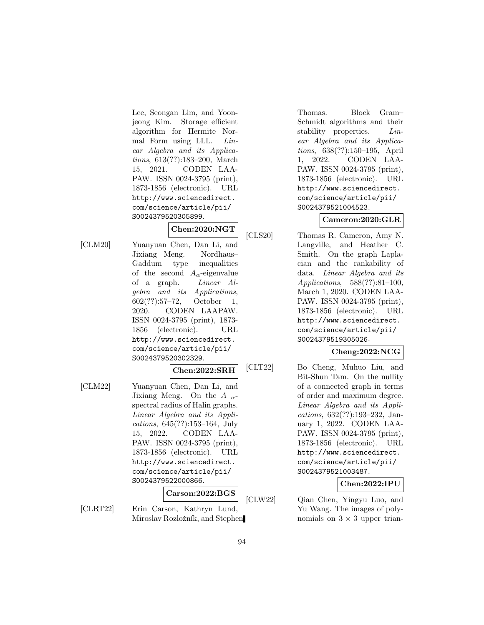Lee, Seongan Lim, and Yoonjeong Kim. Storage efficient algorithm for Hermite Normal Form using LLL. Linear Algebra and its Applications, 613(??):183–200, March 15, 2021. CODEN LAA-PAW. ISSN 0024-3795 (print), 1873-1856 (electronic). URL http://www.sciencedirect. com/science/article/pii/ S0024379520305899.

# **Chen:2020:NGT**

[CLM20] Yuanyuan Chen, Dan Li, and Jixiang Meng. Nordhaus– Gaddum type inequalities of the second  $A_{\alpha}$ -eigenvalue of a graph. Linear Algebra and its Applications, 602(??):57–72, October 1, 2020. CODEN LAAPAW. ISSN 0024-3795 (print), 1873- 1856 (electronic). URL http://www.sciencedirect. com/science/article/pii/ S0024379520302329.

#### **Chen:2022:SRH**

[CLM22] Yuanyuan Chen, Dan Li, and Jixiang Meng. On the  $A_{\alpha}$ spectral radius of Halin graphs. Linear Algebra and its Applications, 645(??):153–164, July 15, 2022. CODEN LAA-PAW. ISSN 0024-3795 (print), 1873-1856 (electronic). URL http://www.sciencedirect. com/science/article/pii/ S0024379522000866.

# **Carson:2022:BGS**

[CLRT22] Erin Carson, Kathryn Lund, Miroslav Rozložník, and Stephen Thomas. Block Gram– Schmidt algorithms and their stability properties. Linear Algebra and its Applications, 638(??):150–195, April 1, 2022. CODEN LAA-PAW. ISSN 0024-3795 (print), 1873-1856 (electronic). URL http://www.sciencedirect. com/science/article/pii/ S0024379521004523.

# **Cameron:2020:GLR**

[CLS20] Thomas R. Cameron, Amy N. Langville, and Heather C. Smith. On the graph Laplacian and the rankability of data. Linear Algebra and its Applications, 588(??):81–100, March 1, 2020. CODEN LAA-PAW. ISSN 0024-3795 (print), 1873-1856 (electronic). URL http://www.sciencedirect. com/science/article/pii/ S0024379519305026.

# **Cheng:2022:NCG**

[CLT22] Bo Cheng, Muhuo Liu, and Bit-Shun Tam. On the nullity of a connected graph in terms of order and maximum degree. Linear Algebra and its Applications, 632(??):193–232, January 1, 2022. CODEN LAA-PAW. ISSN 0024-3795 (print), 1873-1856 (electronic). URL http://www.sciencedirect. com/science/article/pii/ S0024379521003487.

# **Chen:2022:IPU**

[CLW22] Qian Chen, Yingyu Luo, and Yu Wang. The images of polynomials on  $3 \times 3$  upper trian-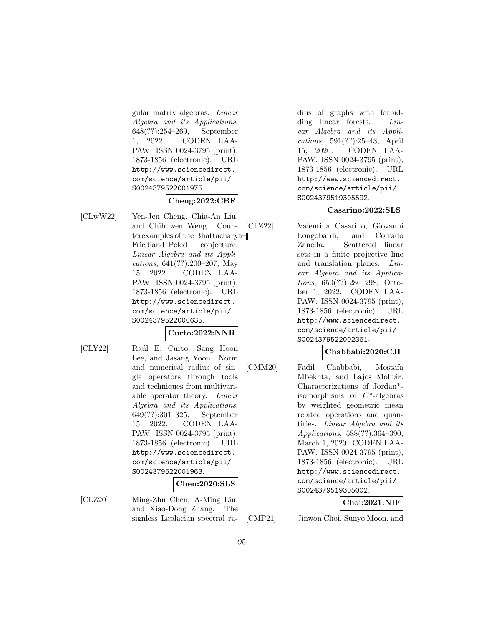gular matrix algebras. Linear Algebra and its Applications, 648(??):254–269, September 1, 2022. CODEN LAA-PAW. ISSN 0024-3795 (print), 1873-1856 (electronic). URL http://www.sciencedirect. com/science/article/pii/ S0024379522001975.

#### **Cheng:2022:CBF**

[CLwW22] Yen-Jen Cheng, Chia-An Liu, and Chih wen Weng. Counterexamples of the Bhattacharya– Friedland–Peled conjecture. Linear Algebra and its Applications, 641(??):200–207, May 15, 2022. CODEN LAA-PAW. ISSN 0024-3795 (print), 1873-1856 (electronic). URL http://www.sciencedirect. com/science/article/pii/ S0024379522000635.

# **Curto:2022:NNR**

- 
- [CLY22] Raúl E. Curto, Sang Hoon Lee, and Jasang Yoon. Norm and numerical radius of single operators through tools and techniques from multivariable operator theory. Linear Algebra and its Applications, 649(??):301–325, September 15, 2022. CODEN LAA-PAW. ISSN 0024-3795 (print), 1873-1856 (electronic). URL http://www.sciencedirect. com/science/article/pii/ S0024379522001963.

# **Chen:2020:SLS**

[CLZ20] Ming-Zhu Chen, A-Ming Liu, and Xiao-Dong Zhang. The signless Laplacian spectral radius of graphs with forbidding linear forests. *Lin*ear Algebra and its Applications, 591(??):25–43, April 15, 2020. CODEN LAA-PAW. ISSN 0024-3795 (print), 1873-1856 (electronic). URL http://www.sciencedirect. com/science/article/pii/ S0024379519305592.

# **Casarino:2022:SLS**

[CLZ22] Valentina Casarino, Giovanni Longobardi, and Corrado Zanella. Scattered linear sets in a finite projective line and translation planes. Linear Algebra and its Applications, 650(??):286–298, October 1, 2022. CODEN LAA-PAW. ISSN 0024-3795 (print), 1873-1856 (electronic). URL http://www.sciencedirect. com/science/article/pii/ S0024379522002361.

# **Chabbabi:2020:CJI**

[CMM20] Fadil Chabbabi, Mostafa Mbekhta, and Lajos Molnár. Characterizations of Jordan\* isomorphisms of C∗-algebras by weighted geometric mean related operations and quantities. Linear Algebra and its Applications, 588(??):364–390, March 1, 2020. CODEN LAA-PAW. ISSN 0024-3795 (print), 1873-1856 (electronic). URL http://www.sciencedirect. com/science/article/pii/ S0024379519305002.

**Choi:2021:NIF**

[CMP21] Jinwon Choi, Sunyo Moon, and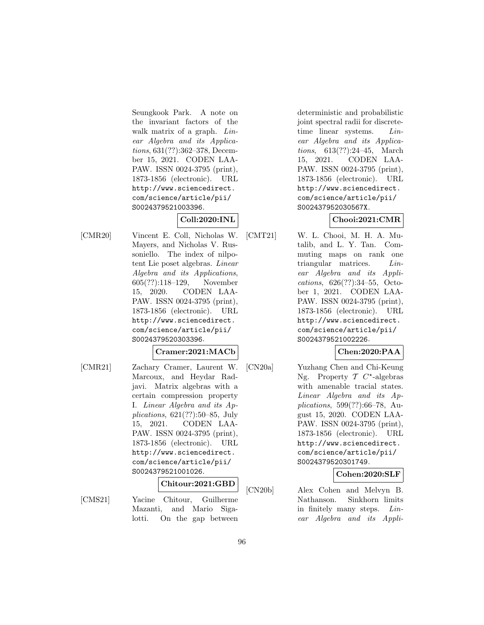Seungkook Park. A note on the invariant factors of the walk matrix of a graph. Linear Algebra and its Applications, 631(??):362–378, December 15, 2021. CODEN LAA-PAW. ISSN 0024-3795 (print), 1873-1856 (electronic). URL http://www.sciencedirect. com/science/article/pii/ S0024379521003396.

# **Coll:2020:INL**

[CMR20] Vincent E. Coll, Nicholas W. Mayers, and Nicholas V. Russoniello. The index of nilpotent Lie poset algebras. Linear Algebra and its Applications, 605(??):118–129, November 15, 2020. CODEN LAA-PAW. ISSN 0024-3795 (print), 1873-1856 (electronic). URL http://www.sciencedirect. com/science/article/pii/ S0024379520303396.

# **Cramer:2021:MACb**

[CMR21] Zachary Cramer, Laurent W. Marcoux, and Heydar Radjavi. Matrix algebras with a certain compression property I. Linear Algebra and its Applications, 621(??):50–85, July 15, 2021. CODEN LAA-PAW. ISSN 0024-3795 (print), 1873-1856 (electronic). URL http://www.sciencedirect. com/science/article/pii/ S0024379521001026.

# **Chitour:2021:GBD**

[CMS21] Yacine Chitour, Guilherme Mazanti, and Mario Sigalotti. On the gap between

deterministic and probabilistic joint spectral radii for discretetime linear systems. Linear Algebra and its Applications, 613(??):24–45, March 15, 2021. CODEN LAA-PAW. ISSN 0024-3795 (print), 1873-1856 (electronic). URL http://www.sciencedirect. com/science/article/pii/ S002437952030567X.

# **Chooi:2021:CMR**

[CMT21] W. L. Chooi, M. H. A. Mutalib, and L. Y. Tan. Commuting maps on rank one triangular matrices. Linear Algebra and its Applications, 626(??):34–55, October 1, 2021. CODEN LAA-PAW. ISSN 0024-3795 (print), 1873-1856 (electronic). URL http://www.sciencedirect. com/science/article/pii/ S0024379521002226.

# **Chen:2020:PAA**

[CN20a] Yuzhang Chen and Chi-Keung Ng. Property  $T$   $C^*$ -algebras with amenable tracial states. Linear Algebra and its Applications, 599(??):66–78, August 15, 2020. CODEN LAA-PAW. ISSN 0024-3795 (print), 1873-1856 (electronic). URL http://www.sciencedirect. com/science/article/pii/ S0024379520301749.

# **Cohen:2020:SLF**

[CN20b] Alex Cohen and Melvyn B. Nathanson. Sinkhorn limits in finitely many steps. Linear Algebra and its Appli-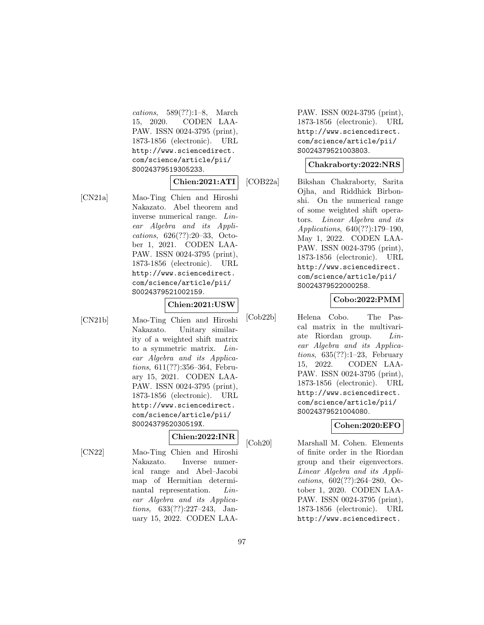cations, 589(??):1–8, March 15, 2020. CODEN LAA-PAW. ISSN 0024-3795 (print), 1873-1856 (electronic). URL http://www.sciencedirect. com/science/article/pii/ S0024379519305233.

#### **Chien:2021:ATI**

[CN21a] Mao-Ting Chien and Hiroshi Nakazato. Abel theorem and inverse numerical range. Linear Algebra and its Applications, 626(??):20–33, October 1, 2021. CODEN LAA-PAW. ISSN 0024-3795 (print), 1873-1856 (electronic). URL http://www.sciencedirect. com/science/article/pii/ S0024379521002159.

**Chien:2021:USW**

[CN21b] Mao-Ting Chien and Hiroshi Nakazato. Unitary similarity of a weighted shift matrix to a symmetric matrix. Linear Algebra and its Applications, 611(??):356–364, February 15, 2021. CODEN LAA-PAW. ISSN 0024-3795 (print), 1873-1856 (electronic). URL http://www.sciencedirect. com/science/article/pii/ S002437952030519X.

# **Chien:2022:INR**

[CN22] Mao-Ting Chien and Hiroshi Nakazato. Inverse numerical range and Abel–Jacobi map of Hermitian determinantal representation. Linear Algebra and its Applications, 633(??):227–243, January 15, 2022. CODEN LAA- PAW. ISSN 0024-3795 (print), 1873-1856 (electronic). URL http://www.sciencedirect. com/science/article/pii/ S0024379521003803.

#### **Chakraborty:2022:NRS**

[COB22a] Bikshan Chakraborty, Sarita Ojha, and Riddhick Birbonshi. On the numerical range of some weighted shift operators. Linear Algebra and its Applications, 640(??):179–190, May 1, 2022. CODEN LAA-PAW. ISSN 0024-3795 (print), 1873-1856 (electronic). URL http://www.sciencedirect. com/science/article/pii/ S0024379522000258.

# **Cobo:2022:PMM**

[Cob22b] Helena Cobo. The Pascal matrix in the multivariate Riordan group. Linear Algebra and its Applications, 635(??):1–23, February 15, 2022. CODEN LAA-PAW. ISSN 0024-3795 (print), 1873-1856 (electronic). URL http://www.sciencedirect. com/science/article/pii/ S0024379521004080.

# **Cohen:2020:EFO**

[Coh20] Marshall M. Cohen. Elements of finite order in the Riordan group and their eigenvectors. Linear Algebra and its Applications, 602(??):264–280, October 1, 2020. CODEN LAA-PAW. ISSN 0024-3795 (print), 1873-1856 (electronic). URL http://www.sciencedirect.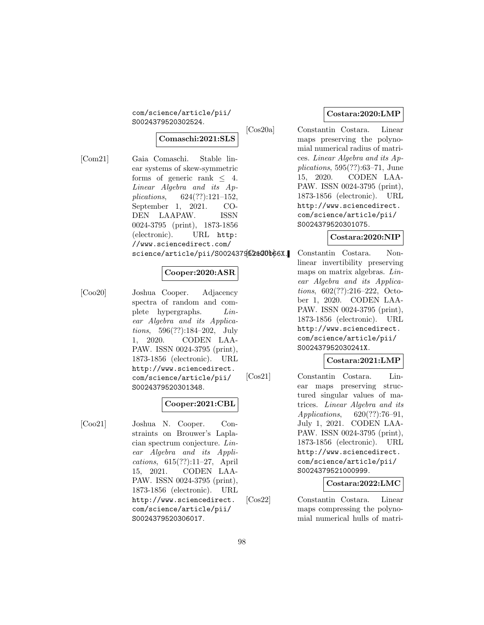com/science/article/pii/ S0024379520302524.

#### **Comaschi:2021:SLS**

[Com21] Gaia Comaschi. Stable linear systems of skew-symmetric forms of generic rank  $\leq 4$ . Linear Algebra and its Applications, 624(??):121–152, September 1, 2021. CO-DEN LAAPAW. ISSN 0024-3795 (print), 1873-1856 (electronic). URL http: //www.sciencedirect.com/ science/article/pii/S0024379620800b66X.

# **Cooper:2020:ASR**

[Coo20] Joshua Cooper. Adjacency spectra of random and complete hypergraphs. Linear Algebra and its Applications, 596(??):184–202, July 1, 2020. CODEN LAA-PAW. ISSN 0024-3795 (print), 1873-1856 (electronic). URL http://www.sciencedirect. com/science/article/pii/ S0024379520301348.

#### **Cooper:2021:CBL**

[Coo21] Joshua N. Cooper. Constraints on Brouwer's Laplacian spectrum conjecture. Linear Algebra and its Applications, 615(??):11–27, April 15, 2021. CODEN LAA-PAW. ISSN 0024-3795 (print), 1873-1856 (electronic). URL http://www.sciencedirect. com/science/article/pii/ S0024379520306017.

#### **Costara:2020:LMP**

[Cos20a] Constantin Costara. Linear maps preserving the polynomial numerical radius of matrices. Linear Algebra and its Applications, 595(??):63–71, June 15, 2020. CODEN LAA-PAW. ISSN 0024-3795 (print), 1873-1856 (electronic). URL http://www.sciencedirect. com/science/article/pii/ S0024379520301075.

#### **Costara:2020:NIP**

Constantin Costara. Nonlinear invertibility preserving maps on matrix algebras. Linear Algebra and its Applications, 602(??):216–222, October 1, 2020. CODEN LAA-PAW. ISSN 0024-3795 (print), 1873-1856 (electronic). URL http://www.sciencedirect. com/science/article/pii/ S002437952030241X.

#### **Costara:2021:LMP**

[Cos21] Constantin Costara. Linear maps preserving structured singular values of matrices. Linear Algebra and its Applications, 620(??):76–91, July 1, 2021. CODEN LAA-PAW. ISSN 0024-3795 (print), 1873-1856 (electronic). URL http://www.sciencedirect. com/science/article/pii/ S0024379521000999.

#### **Costara:2022:LMC**

[Cos22] Constantin Costara. Linear maps compressing the polynomial numerical hulls of matri-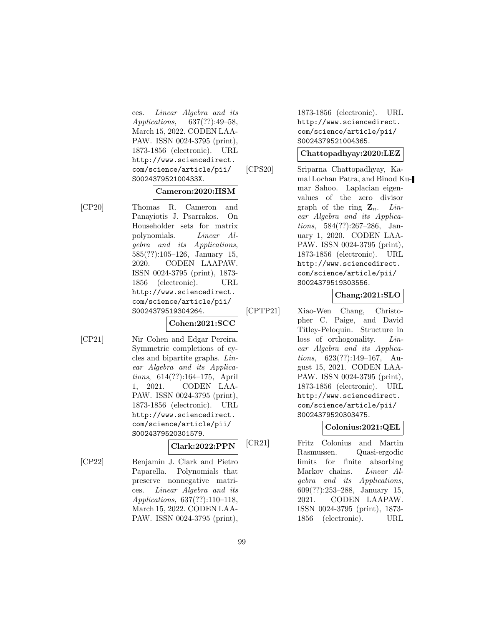ces. Linear Algebra and its Applications, 637(??):49–58, March 15, 2022. CODEN LAA-PAW. ISSN 0024-3795 (print), 1873-1856 (electronic). URL http://www.sciencedirect. com/science/article/pii/ S002437952100433X.

#### **Cameron:2020:HSM**

[CP20] Thomas R. Cameron and Panayiotis J. Psarrakos. On Householder sets for matrix polynomials. Linear Algebra and its Applications, 585(??):105–126, January 15, 2020. CODEN LAAPAW. ISSN 0024-3795 (print), 1873- 1856 (electronic). URL http://www.sciencedirect. com/science/article/pii/ S0024379519304264.

#### **Cohen:2021:SCC**

[CP21] Nir Cohen and Edgar Pereira. Symmetric completions of cycles and bipartite graphs. Linear Algebra and its Applications, 614(??):164–175, April 1, 2021. CODEN LAA-PAW. ISSN 0024-3795 (print), 1873-1856 (electronic). URL http://www.sciencedirect. com/science/article/pii/ S0024379520301579.

**Clark:2022:PPN**

[CP22] Benjamin J. Clark and Pietro Paparella. Polynomials that preserve nonnegative matrices. Linear Algebra and its Applications, 637(??):110–118, March 15, 2022. CODEN LAA-PAW. ISSN 0024-3795 (print),

1873-1856 (electronic). URL http://www.sciencedirect. com/science/article/pii/ S0024379521004365.

# **Chattopadhyay:2020:LEZ**

[CPS20] Sriparna Chattopadhyay, Kamal Lochan Patra, and Binod Kumar Sahoo. Laplacian eigenvalues of the zero divisor graph of the ring  $\mathbf{Z}_n$ . Linear Algebra and its Applications, 584(??):267–286, January 1, 2020. CODEN LAA-PAW. ISSN 0024-3795 (print), 1873-1856 (electronic). URL http://www.sciencedirect. com/science/article/pii/ S0024379519303556.

# **Chang:2021:SLO**

[CPTP21] Xiao-Wen Chang, Christopher C. Paige, and David Titley-Peloquin. Structure in loss of orthogonality. Linear Algebra and its Applications, 623(??):149–167, August 15, 2021. CODEN LAA-PAW. ISSN 0024-3795 (print), 1873-1856 (electronic). URL http://www.sciencedirect. com/science/article/pii/ S0024379520303475.

# **Colonius:2021:QEL**

[CR21] Fritz Colonius and Martin Rasmussen. Quasi-ergodic limits for finite absorbing Markov chains. Linear Algebra and its Applications, 609(??):253–288, January 15, 2021. CODEN LAAPAW. ISSN 0024-3795 (print), 1873- 1856 (electronic). URL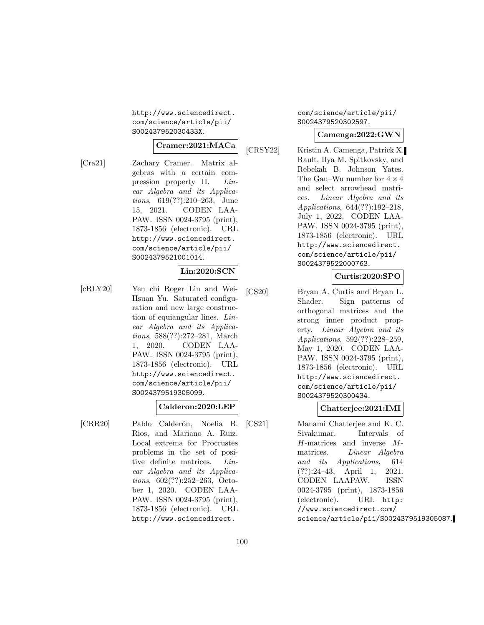http://www.sciencedirect. com/science/article/pii/ S002437952030433X.

#### **Cramer:2021:MACa**

[Cra21] Zachary Cramer. Matrix algebras with a certain compression property II. Linear Algebra and its Applications, 619(??):210–263, June 15, 2021. CODEN LAA-PAW. ISSN 0024-3795 (print), 1873-1856 (electronic). URL http://www.sciencedirect. com/science/article/pii/ S0024379521001014.

# **Lin:2020:SCN**

[cRLY20] Yen chi Roger Lin and Wei-Hsuan Yu. Saturated configuration and new large construction of equiangular lines. Linear Algebra and its Applications, 588(??):272–281, March 1, 2020. CODEN LAA-PAW. ISSN 0024-3795 (print), 1873-1856 (electronic). URL http://www.sciencedirect. com/science/article/pii/ S0024379519305099.

# **Calderon:2020:LEP**

[CRR20] Pablo Calderón, Noelia B. Rios, and Mariano A. Ruiz. Local extrema for Procrustes problems in the set of positive definite matrices. Linear Algebra and its Applications, 602(??):252–263, October 1, 2020. CODEN LAA-PAW. ISSN 0024-3795 (print), 1873-1856 (electronic). URL http://www.sciencedirect.

com/science/article/pii/ S0024379520302597.

#### **Camenga:2022:GWN**

[CRSY22] Kristin A. Camenga, Patrick X. Rault, Ilya M. Spitkovsky, and Rebekah B. Johnson Yates. The Gau–Wu number for  $4 \times 4$ and select arrowhead matrices. Linear Algebra and its Applications, 644(??):192–218, July 1, 2022. CODEN LAA-PAW. ISSN 0024-3795 (print), 1873-1856 (electronic). URL http://www.sciencedirect. com/science/article/pii/ S0024379522000763.

#### **Curtis:2020:SPO**

[CS20] Bryan A. Curtis and Bryan L. Shader. Sign patterns of orthogonal matrices and the strong inner product property. Linear Algebra and its Applications, 592(??):228–259, May 1, 2020. CODEN LAA-PAW. ISSN 0024-3795 (print), 1873-1856 (electronic). URL http://www.sciencedirect. com/science/article/pii/ S0024379520300434.

#### **Chatterjee:2021:IMI**

[CS21] Manami Chatterjee and K. C. Sivakumar. Intervals of H-matrices and inverse Mmatrices. Linear Algebra and its Applications, 614 (??):24–43, April 1, 2021. CODEN LAAPAW. ISSN 0024-3795 (print), 1873-1856 (electronic). URL http: //www.sciencedirect.com/ science/article/pii/S0024379519305087.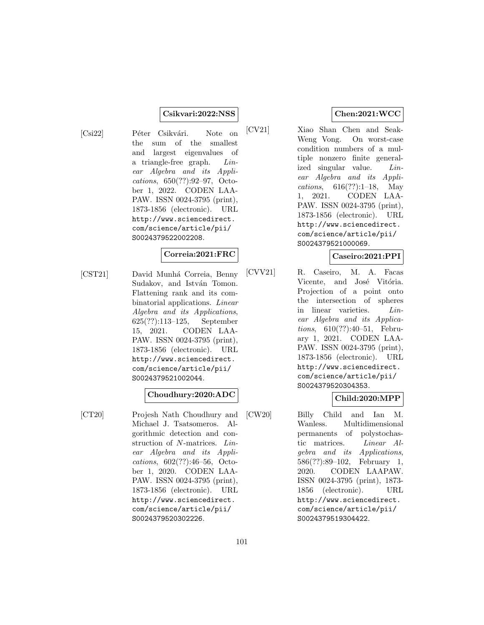#### **Csikvari:2022:NSS**

[Csi22] Péter Csikvári. Note on the sum of the smallest and largest eigenvalues of a triangle-free graph. Linear Algebra and its Applications, 650(??):92–97, October 1, 2022. CODEN LAA-PAW. ISSN 0024-3795 (print), 1873-1856 (electronic). URL http://www.sciencedirect. com/science/article/pii/ S0024379522002208.

#### **Correia:2021:FRC**

[CST21] David Munhá Correia, Benny Sudakov, and István Tomon. Flattening rank and its combinatorial applications. Linear Algebra and its Applications, 625(??):113–125, September 15, 2021. CODEN LAA-PAW. ISSN 0024-3795 (print), 1873-1856 (electronic). URL http://www.sciencedirect. com/science/article/pii/ S0024379521002044.

#### **Choudhury:2020:ADC**

[CT20] Projesh Nath Choudhury and Michael J. Tsatsomeros. Algorithmic detection and construction of N-matrices. Linear Algebra and its Applications, 602(??):46–56, October 1, 2020. CODEN LAA-PAW. ISSN 0024-3795 (print), 1873-1856 (electronic). URL http://www.sciencedirect. com/science/article/pii/ S0024379520302226.

# **Chen:2021:WCC**

[CV21] Xiao Shan Chen and Seak-Weng Vong. On worst-case condition numbers of a multiple nonzero finite generalized singular value. Linear Algebra and its Applications, 616(??):1–18, May 1, 2021. CODEN LAA-PAW. ISSN 0024-3795 (print), 1873-1856 (electronic). URL http://www.sciencedirect. com/science/article/pii/ S0024379521000069.

# **Caseiro:2021:PPI**

[CVV21] R. Caseiro, M. A. Facas Vicente, and José Vitória. Projection of a point onto the intersection of spheres in linear varieties. Linear Algebra and its Applications, 610(??):40–51, February 1, 2021. CODEN LAA-PAW. ISSN 0024-3795 (print), 1873-1856 (electronic). URL http://www.sciencedirect. com/science/article/pii/ S0024379520304353.

# **Child:2020:MPP**

[CW20] Billy Child and Ian M. Wanless. Multidimensional permanents of polystochastic matrices. Linear Algebra and its Applications, 586(??):89–102, February 1, 2020. CODEN LAAPAW. ISSN 0024-3795 (print), 1873- 1856 (electronic). URL http://www.sciencedirect. com/science/article/pii/ S0024379519304422.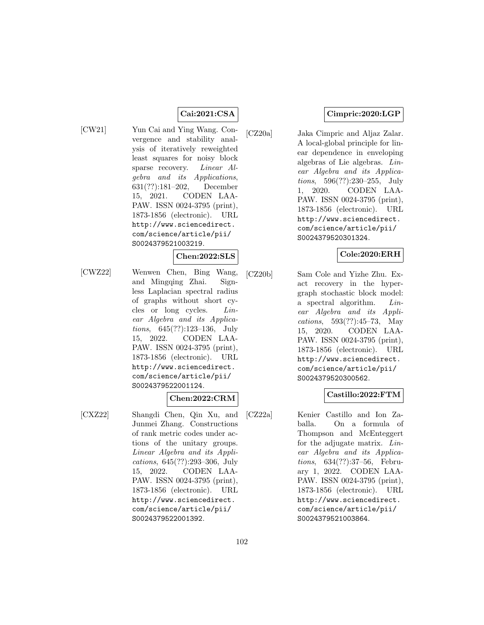# **Cai:2021:CSA**

[CW21] Yun Cai and Ying Wang. Convergence and stability analysis of iteratively reweighted least squares for noisy block sparse recovery. Linear Algebra and its Applications, 631(??):181–202, December 15, 2021. CODEN LAA-PAW. ISSN 0024-3795 (print), 1873-1856 (electronic). URL http://www.sciencedirect. com/science/article/pii/ S0024379521003219.

#### **Chen:2022:SLS**

[CWZ22] Wenwen Chen, Bing Wang, and Mingqing Zhai. Signless Laplacian spectral radius of graphs without short cycles or long cycles. Linear Algebra and its Applications, 645(??):123–136, July 15, 2022. CODEN LAA-PAW. ISSN 0024-3795 (print), 1873-1856 (electronic). URL http://www.sciencedirect. com/science/article/pii/ S0024379522001124.

#### **Chen:2022:CRM**

[CXZ22] Shangdi Chen, Qin Xu, and Junmei Zhang. Constructions of rank metric codes under actions of the unitary groups. Linear Algebra and its Applications, 645(??):293–306, July 15, 2022. CODEN LAA-PAW. ISSN 0024-3795 (print), 1873-1856 (electronic). URL http://www.sciencedirect. com/science/article/pii/ S0024379522001392.

# **Cimpric:2020:LGP**

[CZ20a] Jaka Cimpric and Aljaz Zalar. A local-global principle for linear dependence in enveloping algebras of Lie algebras. Linear Algebra and its Applications, 596(??):230–255, July 1, 2020. CODEN LAA-PAW. ISSN 0024-3795 (print), 1873-1856 (electronic). URL http://www.sciencedirect. com/science/article/pii/ S0024379520301324.

# **Cole:2020:ERH**

[CZ20b] Sam Cole and Yizhe Zhu. Exact recovery in the hypergraph stochastic block model: a spectral algorithm. Linear Algebra and its Applications, 593(??):45–73, May 15, 2020. CODEN LAA-PAW. ISSN 0024-3795 (print), 1873-1856 (electronic). URL http://www.sciencedirect. com/science/article/pii/ S0024379520300562.

# **Castillo:2022:FTM**

[CZ22a] Kenier Castillo and Ion Zaballa. On a formula of Thompson and McEnteggert for the adjugate matrix. Linear Algebra and its Applications, 634(??):37–56, February 1, 2022. CODEN LAA-PAW. ISSN 0024-3795 (print), 1873-1856 (electronic). URL http://www.sciencedirect. com/science/article/pii/ S0024379521003864.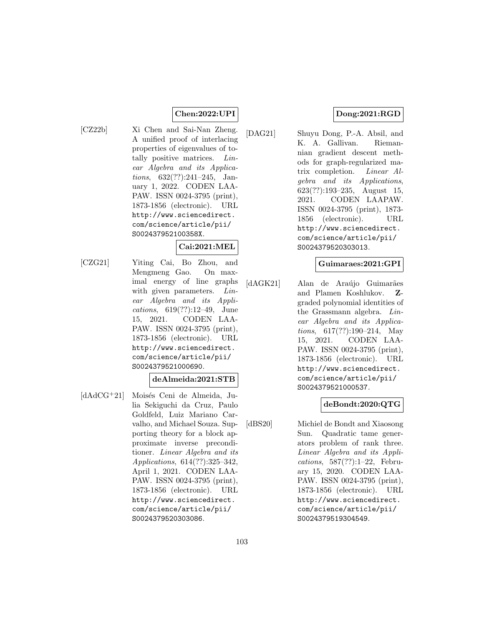# **Chen:2022:UPI**

[CZ22b] Xi Chen and Sai-Nan Zheng. A unified proof of interlacing properties of eigenvalues of totally positive matrices. Linear Algebra and its Applications, 632(??):241–245, January 1, 2022. CODEN LAA-PAW. ISSN 0024-3795 (print), 1873-1856 (electronic). URL http://www.sciencedirect. com/science/article/pii/ S002437952100358X.

# **Cai:2021:MEL**

[CZG21] Yiting Cai, Bo Zhou, and Mengmeng Gao. On maximal energy of line graphs with given parameters. Linear Algebra and its Applications, 619(??):12–49, June 15, 2021. CODEN LAA-PAW. ISSN 0024-3795 (print), 1873-1856 (electronic). URL http://www.sciencedirect. com/science/article/pii/ S0024379521000690.

# **deAlmeida:2021:STB**

 $\left[dd\right]$ d $\left[dd\right]$  Moisés Ceni de Almeida, Julia Sekiguchi da Cruz, Paulo Goldfeld, Luiz Mariano Carvalho, and Michael Souza. Supporting theory for a block approximate inverse preconditioner. Linear Algebra and its Applications, 614(??):325–342, April 1, 2021. CODEN LAA-PAW. ISSN 0024-3795 (print), 1873-1856 (electronic). URL http://www.sciencedirect. com/science/article/pii/ S0024379520303086.

# **Dong:2021:RGD**

[DAG21] Shuyu Dong, P.-A. Absil, and K. A. Gallivan. Riemannian gradient descent methods for graph-regularized matrix completion. Linear Algebra and its Applications, 623(??):193–235, August 15, 2021. CODEN LAAPAW. ISSN 0024-3795 (print), 1873- 1856 (electronic). URL http://www.sciencedirect. com/science/article/pii/ S0024379520303013.

#### **Guimaraes:2021:GPI**

[dAGK21] Alan de Araújo Guimarães and Plamen Koshlukov. **Z**graded polynomial identities of the Grassmann algebra. Linear Algebra and its Applications, 617(??):190–214, May 15, 2021. CODEN LAA-PAW. ISSN 0024-3795 (print), 1873-1856 (electronic). URL http://www.sciencedirect. com/science/article/pii/ S0024379521000537.

# **deBondt:2020:QTG**

[dBS20] Michiel de Bondt and Xiaosong Sun. Quadratic tame generators problem of rank three. Linear Algebra and its Applications, 587(??):1–22, February 15, 2020. CODEN LAA-PAW. ISSN 0024-3795 (print), 1873-1856 (electronic). URL http://www.sciencedirect. com/science/article/pii/ S0024379519304549.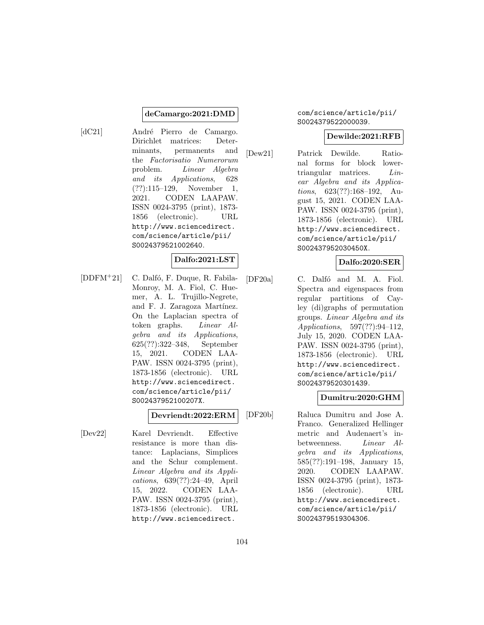#### **deCamargo:2021:DMD**

[dC21] André Pierro de Camargo. Dirichlet matrices: Determinants, permanents and the Factorisatio Numerorum problem. Linear Algebra and its Applications, 628 (??):115–129, November 1, 2021. CODEN LAAPAW. ISSN 0024-3795 (print), 1873- 1856 (electronic). URL http://www.sciencedirect. com/science/article/pii/ S0024379521002640.

# **Dalfo:2021:LST**

[DDFM<sup>+</sup>21] C. Dalfó, F. Duque, R. Fabila-Monroy, M. A. Fiol, C. Huemer, A. L. Trujillo-Negrete, and F. J. Zaragoza Martínez. On the Laplacian spectra of token graphs. Linear Algebra and its Applications, 625(??):322–348, September 15, 2021. CODEN LAA-PAW. ISSN 0024-3795 (print), 1873-1856 (electronic). URL http://www.sciencedirect. com/science/article/pii/ S002437952100207X.

#### **Devriendt:2022:ERM**

[Dev22] Karel Devriendt. Effective resistance is more than distance: Laplacians, Simplices and the Schur complement. Linear Algebra and its Applications, 639(??):24–49, April 15, 2022. CODEN LAA-PAW. ISSN 0024-3795 (print), 1873-1856 (electronic). URL http://www.sciencedirect.

#### com/science/article/pii/ S0024379522000039.

#### **Dewilde:2021:RFB**

[Dew21] Patrick Dewilde. Rational forms for block lowertriangular matrices. Linear Algebra and its Applications, 623(??):168–192, August 15, 2021. CODEN LAA-PAW. ISSN 0024-3795 (print), 1873-1856 (electronic). URL http://www.sciencedirect. com/science/article/pii/ S002437952030450X.

# **Dalfo:2020:SER**

[DF20a] C. Dalfó and M. A. Fiol. Spectra and eigenspaces from regular partitions of Cayley (di)graphs of permutation groups. Linear Algebra and its Applications, 597(??):94–112, July 15, 2020. CODEN LAA-PAW. ISSN 0024-3795 (print), 1873-1856 (electronic). URL http://www.sciencedirect. com/science/article/pii/ S0024379520301439.

# **Dumitru:2020:GHM**

[DF20b] Raluca Dumitru and Jose A. Franco. Generalized Hellinger metric and Audenaert's inbetweenness. Linear Algebra and its Applications, 585(??):191–198, January 15, 2020. CODEN LAAPAW. ISSN 0024-3795 (print), 1873- 1856 (electronic). URL http://www.sciencedirect. com/science/article/pii/ S0024379519304306.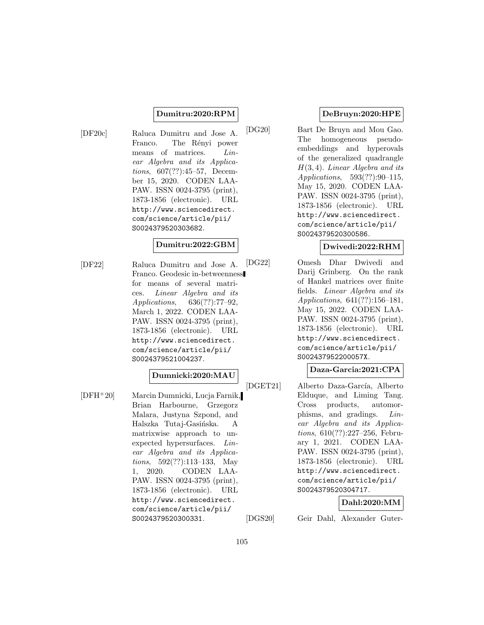# **Dumitru:2020:RPM**

[DF20c] Raluca Dumitru and Jose A. Franco. The Rényi power means of matrices. Linear Algebra and its Applications, 607(??):45–57, December 15, 2020. CODEN LAA-PAW. ISSN 0024-3795 (print), 1873-1856 (electronic). URL http://www.sciencedirect. com/science/article/pii/ S0024379520303682.

#### **Dumitru:2022:GBM**

[DF22] Raluca Dumitru and Jose A. Franco. Geodesic in-betweenness for means of several matrices. Linear Algebra and its Applications, 636(??):77–92, March 1, 2022. CODEN LAA-PAW. ISSN 0024-3795 (print), 1873-1856 (electronic). URL http://www.sciencedirect. com/science/article/pii/ S0024379521004237.

# **Dumnicki:2020:MAU**

[DFH<sup>+</sup>20] Marcin Dumnicki, Lucja Farnik, Brian Harbourne, Grzegorz Malara, Justyna Szpond, and Halszka Tutaj-Gasińska. A matrixwise approach to unexpected hypersurfaces. Linear Algebra and its Applications, 592(??):113–133, May 1, 2020. CODEN LAA-PAW. ISSN 0024-3795 (print), 1873-1856 (electronic). URL http://www.sciencedirect. com/science/article/pii/ S0024379520300331.

# **DeBruyn:2020:HPE**

[DG20] Bart De Bruyn and Mou Gao. The homogeneous pseudoembeddings and hyperovals of the generalized quadrangle  $H(3, 4)$ . Linear Algebra and its Applications, 593(??):90–115, May 15, 2020. CODEN LAA-PAW. ISSN 0024-3795 (print), 1873-1856 (electronic). URL http://www.sciencedirect. com/science/article/pii/ S0024379520300586.

# **Dwivedi:2022:RHM**

[DG22] Omesh Dhar Dwivedi and Darij Grinberg. On the rank of Hankel matrices over finite fields. Linear Algebra and its Applications, 641(??):156–181, May 15, 2022. CODEN LAA-PAW. ISSN 0024-3795 (print), 1873-1856 (electronic). URL http://www.sciencedirect. com/science/article/pii/ S002437952200057X.

# **Daza-Garcia:2021:CPA**

[DGET21] Alberto Daza-García, Alberto Elduque, and Liming Tang. Cross products, automorphisms, and gradings. Linear Algebra and its Applications, 610(??):227–256, February 1, 2021. CODEN LAA-PAW. ISSN 0024-3795 (print), 1873-1856 (electronic). URL http://www.sciencedirect. com/science/article/pii/ S0024379520304717.

# **Dahl:2020:MM**

[DGS20] Geir Dahl, Alexander Guter-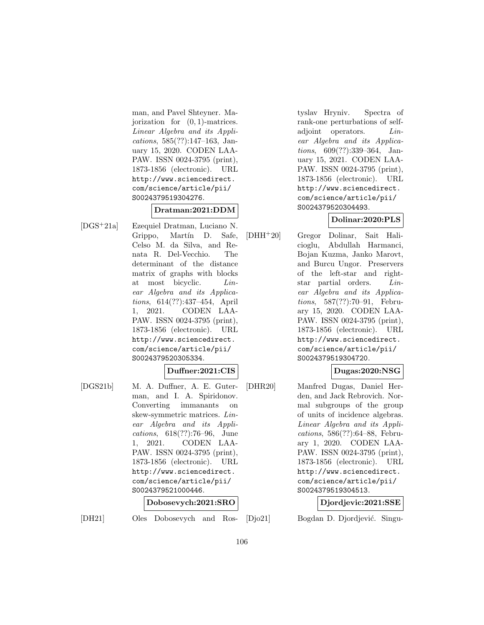man, and Pavel Shteyner. Majorization for  $(0, 1)$ -matrices. Linear Algebra and its Applications, 585(??):147–163, January 15, 2020. CODEN LAA-PAW. ISSN 0024-3795 (print), 1873-1856 (electronic). URL http://www.sciencedirect. com/science/article/pii/ S0024379519304276.

# **Dratman:2021:DDM**

[DGS<sup>+</sup>21a] Ezequiel Dratman, Luciano N. Grippo, Martín D. Safe, Celso M. da Silva, and Renata R. Del-Vecchio. The determinant of the distance matrix of graphs with blocks at most bicyclic. Linear Algebra and its Applications, 614(??):437–454, April 1, 2021. CODEN LAA-PAW. ISSN 0024-3795 (print), 1873-1856 (electronic). URL http://www.sciencedirect. com/science/article/pii/ S0024379520305334.

**Duffner:2021:CIS**

[DGS21b] M. A. Duffner, A. E. Guterman, and I. A. Spiridonov. Converting immanants on skew-symmetric matrices. Linear Algebra and its Applications, 618(??):76–96, June 1, 2021. CODEN LAA-PAW. ISSN 0024-3795 (print), 1873-1856 (electronic). URL http://www.sciencedirect. com/science/article/pii/ S0024379521000446.

# **Dobosevych:2021:SRO**

[DH21] Oles Dobosevych and Ros-

tyslav Hryniv. Spectra of rank-one perturbations of selfadjoint operators. Linear Algebra and its Applications, 609(??):339–364, January 15, 2021. CODEN LAA-PAW. ISSN 0024-3795 (print), 1873-1856 (electronic). URL http://www.sciencedirect. com/science/article/pii/ S0024379520304493.

# **Dolinar:2020:PLS**

[DHH<sup>+</sup>20] Gregor Dolinar, Sait Halicioglu, Abdullah Harmanci, Bojan Kuzma, Janko Marovt, and Burcu Ungor. Preservers of the left-star and rightstar partial orders. Linear Algebra and its Applications, 587(??):70–91, February 15, 2020. CODEN LAA-PAW. ISSN 0024-3795 (print), 1873-1856 (electronic). URL http://www.sciencedirect. com/science/article/pii/ S0024379519304720.

# **Dugas:2020:NSG**

[DHR20] Manfred Dugas, Daniel Herden, and Jack Rebrovich. Normal subgroups of the group of units of incidence algebras. Linear Algebra and its Applications, 586(??):64–88, February 1, 2020. CODEN LAA-PAW. ISSN 0024-3795 (print), 1873-1856 (electronic). URL http://www.sciencedirect. com/science/article/pii/ S0024379519304513.

# **Djordjevic:2021:SSE**

[Djo21] Bogdan D. Djordjević. Singu-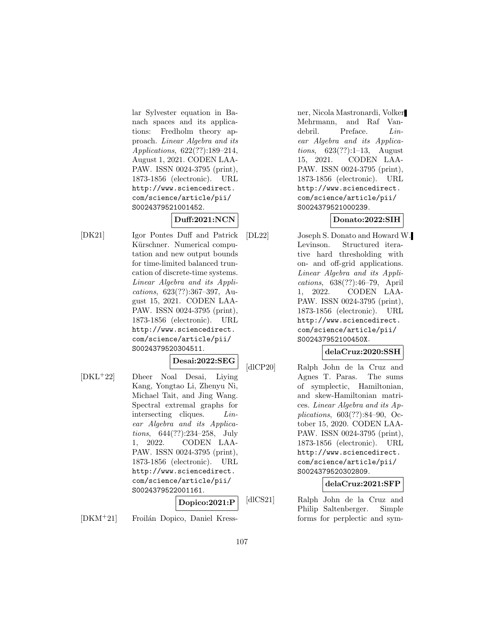lar Sylvester equation in Banach spaces and its applications: Fredholm theory approach. Linear Algebra and its Applications, 622(??):189–214, August 1, 2021. CODEN LAA-PAW. ISSN 0024-3795 (print), 1873-1856 (electronic). URL http://www.sciencedirect. com/science/article/pii/ S0024379521001452.

# **Duff:2021:NCN**

[DK21] Igor Pontes Duff and Patrick Kürschner. Numerical computation and new output bounds for time-limited balanced truncation of discrete-time systems. Linear Algebra and its Applications, 623(??):367–397, August 15, 2021. CODEN LAA-PAW. ISSN 0024-3795 (print), 1873-1856 (electronic). URL http://www.sciencedirect. com/science/article/pii/ S0024379520304511.

# **Desai:2022:SEG**

[DKL<sup>+</sup>22] Dheer Noal Desai, Liying Kang, Yongtao Li, Zhenyu Ni, Michael Tait, and Jing Wang. Spectral extremal graphs for intersecting cliques. Linear Algebra and its Applications, 644(??):234–258, July 1, 2022. CODEN LAA-PAW. ISSN 0024-3795 (print), 1873-1856 (electronic). URL http://www.sciencedirect. com/science/article/pii/ S0024379522001161.

**Dopico:2021:P**

[DKM<sup>+</sup>21] Froilán Dopico, Daniel Kress-

ner, Nicola Mastronardi, Volker Mehrmann, and Raf Vandebril. Preface. Linear Algebra and its Applications, 623(??):1–13, August 15, 2021. CODEN LAA-PAW. ISSN 0024-3795 (print), 1873-1856 (electronic). URL http://www.sciencedirect. com/science/article/pii/ S0024379521000239.

# **Donato:2022:SIH**

[DL22] Joseph S. Donato and Howard W. Levinson. Structured iterative hard thresholding with on- and off-grid applications. Linear Algebra and its Applications, 638(??):46–79, April 1, 2022. CODEN LAA-PAW. ISSN 0024-3795 (print), 1873-1856 (electronic). URL http://www.sciencedirect. com/science/article/pii/ S002437952100450X.

# **delaCruz:2020:SSH**

[dlCP20] Ralph John de la Cruz and Agnes T. Paras. The sums of symplectic, Hamiltonian, and skew-Hamiltonian matrices. Linear Algebra and its Applications, 603(??):84–90, October 15, 2020. CODEN LAA-PAW. ISSN 0024-3795 (print), 1873-1856 (electronic). URL http://www.sciencedirect. com/science/article/pii/ S0024379520302809.

# **delaCruz:2021:SFP**

[dlCS21] Ralph John de la Cruz and Philip Saltenberger. Simple forms for perplectic and sym-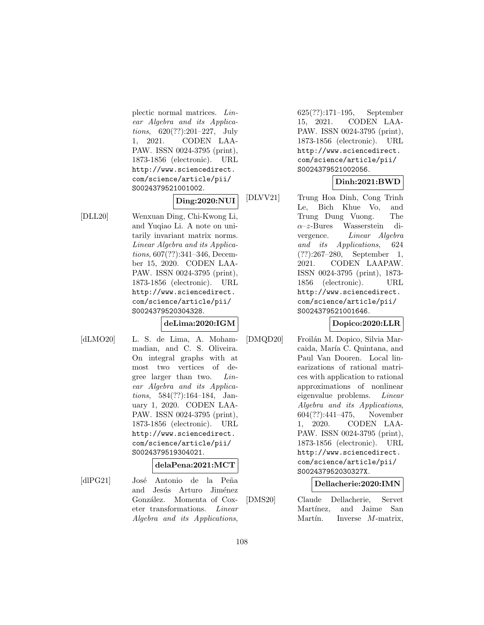plectic normal matrices. Linear Algebra and its Applications, 620(??):201–227, July 1, 2021. CODEN LAA-PAW. ISSN 0024-3795 (print), 1873-1856 (electronic). URL http://www.sciencedirect. com/science/article/pii/ S0024379521001002.

# **Ding:2020:NUI**

[DLL20] Wenxuan Ding, Chi-Kwong Li, and Yuqiao Li. A note on unitarily invariant matrix norms. Linear Algebra and its Applications, 607(??):341–346, December 15, 2020. CODEN LAA-PAW. ISSN 0024-3795 (print), 1873-1856 (electronic). URL http://www.sciencedirect. com/science/article/pii/ S0024379520304328.

#### **deLima:2020:IGM**

[dLMO20] L. S. de Lima, A. Mohammadian, and C. S. Oliveira. On integral graphs with at most two vertices of degree larger than two. Linear Algebra and its Applications, 584(??):164–184, January 1, 2020. CODEN LAA-PAW. ISSN 0024-3795 (print), 1873-1856 (electronic). URL http://www.sciencedirect. com/science/article/pii/

# **delaPena:2021:MCT**

[dlPG21] José Antonio de la Peña and Jesús Arturo Jiménez González. Momenta of Coxeter transformations. Linear Algebra and its Applications,

S0024379519304021.

625(??):171–195, September 15, 2021. CODEN LAA-PAW. ISSN 0024-3795 (print), 1873-1856 (electronic). URL http://www.sciencedirect. com/science/article/pii/ S0024379521002056.

# **Dinh:2021:BWD**

[DLVV21] Trung Hoa Dinh, Cong Trinh Le, Bich Khue Vo, and Trung Dung Vuong. The  $\alpha$ –z-Bures Wasserstein divergence. Linear Algebra and its Applications, 624 (??):267–280, September 1, 2021. CODEN LAAPAW. ISSN 0024-3795 (print), 1873- 1856 (electronic). URL http://www.sciencedirect. com/science/article/pii/ S0024379521001646.

# **Dopico:2020:LLR**

[DMQD20] Froilán M. Dopico, Silvia Marcaida, María C. Quintana, and Paul Van Dooren. Local linearizations of rational matrices with application to rational approximations of nonlinear eigenvalue problems. Linear Algebra and its Applications, 604(??):441–475, November 1, 2020. CODEN LAA-PAW. ISSN 0024-3795 (print), 1873-1856 (electronic). URL http://www.sciencedirect. com/science/article/pii/ S002437952030327X.

# **Dellacherie:2020:IMN**

[DMS20] Claude Dellacherie, Servet Martínez, and Jaime San Martín. Inverse  $M$ -matrix,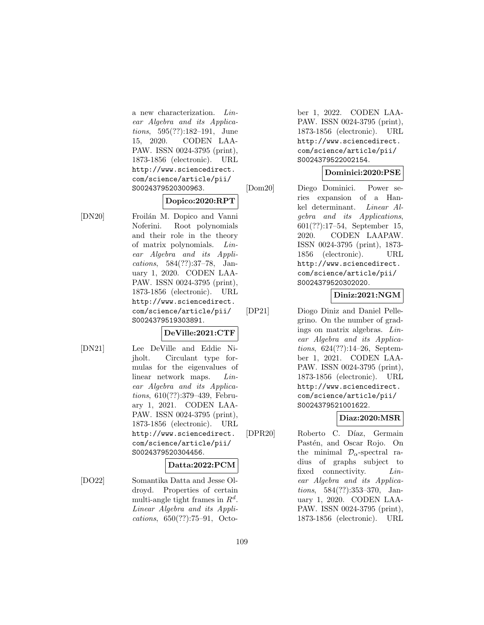a new characterization. Linear Algebra and its Applications, 595(??):182–191, June 15, 2020. CODEN LAA-PAW. ISSN 0024-3795 (print), 1873-1856 (electronic). URL http://www.sciencedirect. com/science/article/pii/ S0024379520300963.

#### **Dopico:2020:RPT**

[DN20] Froilán M. Dopico and Vanni Noferini. Root polynomials and their role in the theory of matrix polynomials. Linear Algebra and its Applications, 584(??):37–78, January 1, 2020. CODEN LAA-PAW. ISSN 0024-3795 (print), 1873-1856 (electronic). URL http://www.sciencedirect. com/science/article/pii/ S0024379519303891.

#### **DeVille:2021:CTF**

- 
- [DN21] Lee DeVille and Eddie Nijholt. Circulant type formulas for the eigenvalues of linear network maps. Linear Algebra and its Applications, 610(??):379–439, February 1, 2021. CODEN LAA-PAW. ISSN 0024-3795 (print), 1873-1856 (electronic). URL http://www.sciencedirect. com/science/article/pii/ S0024379520304456.

### **Datta:2022:PCM**

[DO22] Somantika Datta and Jesse Oldroyd. Properties of certain multi-angle tight frames in  $R^d$ . Linear Algebra and its Applications, 650(??):75–91, October 1, 2022. CODEN LAA-PAW. ISSN 0024-3795 (print), 1873-1856 (electronic). URL http://www.sciencedirect. com/science/article/pii/ S0024379522002154.

### **Dominici:2020:PSE**

[Dom20] Diego Dominici. Power series expansion of a Hankel determinant. Linear Algebra and its Applications, 601(??):17–54, September 15, 2020. CODEN LAAPAW. ISSN 0024-3795 (print), 1873- 1856 (electronic). URL http://www.sciencedirect. com/science/article/pii/ S0024379520302020.

### **Diniz:2021:NGM**

[DP21] Diogo Diniz and Daniel Pellegrino. On the number of gradings on matrix algebras. Linear Algebra and its Applications, 624(??):14–26, September 1, 2021. CODEN LAA-PAW. ISSN 0024-3795 (print), 1873-1856 (electronic). URL http://www.sciencedirect. com/science/article/pii/ S0024379521001622.

# **Diaz:2020:MSR**

[DPR20] Roberto C. Díaz, Germain Pastén, and Oscar Rojo. On the minimal  $\mathcal{D}_{\alpha}$ -spectral radius of graphs subject to fixed connectivity. *Lin*ear Algebra and its Applications, 584(??):353–370, January 1, 2020. CODEN LAA-PAW. ISSN 0024-3795 (print), 1873-1856 (electronic). URL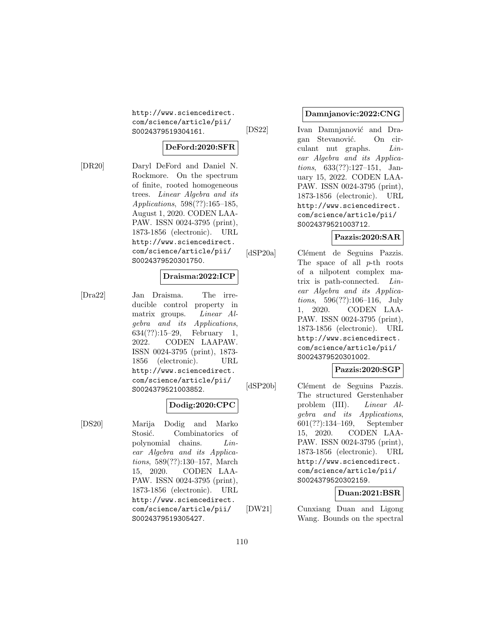http://www.sciencedirect. com/science/article/pii/ S0024379519304161.

# **DeFord:2020:SFR**

[DR20] Daryl DeFord and Daniel N. Rockmore. On the spectrum of finite, rooted homogeneous trees. Linear Algebra and its Applications, 598(??):165–185, August 1, 2020. CODEN LAA-PAW. ISSN 0024-3795 (print), 1873-1856 (electronic). URL http://www.sciencedirect. com/science/article/pii/ S0024379520301750.

### **Draisma:2022:ICP**

[Dra22] Jan Draisma. The irreducible control property in matrix groups. Linear Algebra and its Applications, 634(??):15–29, February 1, 2022. CODEN LAAPAW. ISSN 0024-3795 (print), 1873- 1856 (electronic). URL http://www.sciencedirect. com/science/article/pii/ S0024379521003852.

#### **Dodig:2020:CPC**

[DS20] Marija Dodig and Marko Stosić. Combinatorics of polynomial chains. Linear Algebra and its Applications, 589(??):130–157, March 15, 2020. CODEN LAA-PAW. ISSN 0024-3795 (print), 1873-1856 (electronic). URL http://www.sciencedirect. com/science/article/pii/ S0024379519305427.

### **Damnjanovic:2022:CNG**

[DS22] Ivan Damnjanović and Dragan Stevanović. On circulant nut graphs. Linear Algebra and its Applications, 633(??):127–151, January 15, 2022. CODEN LAA-PAW. ISSN 0024-3795 (print), 1873-1856 (electronic). URL http://www.sciencedirect. com/science/article/pii/ S0024379521003712.

### **Pazzis:2020:SAR**

[dSP20a] Clément de Seguins Pazzis. The space of all p-th roots of a nilpotent complex matrix is path-connected. Linear Algebra and its Applications, 596(??):106–116, July 1, 2020. CODEN LAA-PAW. ISSN 0024-3795 (print), 1873-1856 (electronic). URL http://www.sciencedirect. com/science/article/pii/ S0024379520301002.

### **Pazzis:2020:SGP**

[dSP20b] Clément de Seguins Pazzis. The structured Gerstenhaber problem (III). Linear Algebra and its Applications, 601(??):134–169, September 15, 2020. CODEN LAA-PAW. ISSN 0024-3795 (print), 1873-1856 (electronic). URL http://www.sciencedirect. com/science/article/pii/ S0024379520302159.

**Duan:2021:BSR**

[DW21] Cunxiang Duan and Ligong Wang. Bounds on the spectral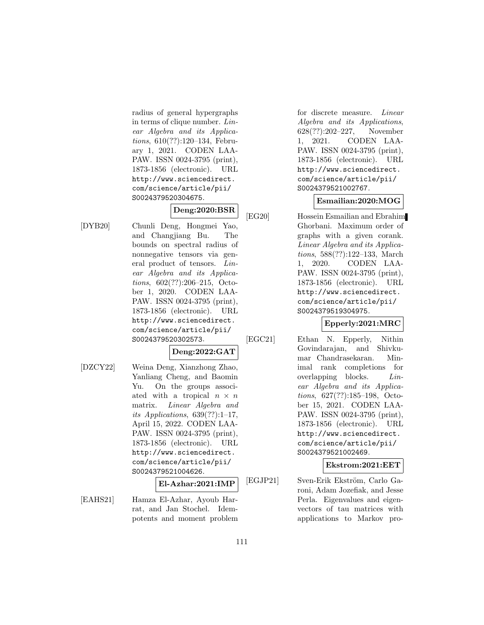radius of general hypergraphs in terms of clique number. Linear Algebra and its Applications, 610(??):120–134, February 1, 2021. CODEN LAA-PAW. ISSN 0024-3795 (print), 1873-1856 (electronic). URL http://www.sciencedirect. com/science/article/pii/ S0024379520304675.

# **Deng:2020:BSR**

[DYB20] Chunli Deng, Hongmei Yao, and Changjiang Bu. The bounds on spectral radius of nonnegative tensors via general product of tensors. Linear Algebra and its Applications, 602(??):206–215, October 1, 2020. CODEN LAA-PAW. ISSN 0024-3795 (print), 1873-1856 (electronic). URL http://www.sciencedirect. com/science/article/pii/ S0024379520302573.

# **Deng:2022:GAT**

[DZCY22] Weina Deng, Xianzhong Zhao, Yanliang Cheng, and Baomin Yu. On the groups associated with a tropical  $n \times n$ matrix. Linear Algebra and its Applications,  $639(??):1-17$ , April 15, 2022. CODEN LAA-PAW. ISSN 0024-3795 (print), 1873-1856 (electronic). URL http://www.sciencedirect. com/science/article/pii/ S0024379521004626.

### **El-Azhar:2021:IMP**

[EAHS21] Hamza El-Azhar, Ayoub Harrat, and Jan Stochel. Idempotents and moment problem for discrete measure. Linear Algebra and its Applications, 628(??):202–227, November 1, 2021. CODEN LAA-PAW. ISSN 0024-3795 (print), 1873-1856 (electronic). URL http://www.sciencedirect. com/science/article/pii/ S0024379521002767.

### **Esmailian:2020:MOG**

[EG20] Hossein Esmailian and Ebrahim Ghorbani. Maximum order of graphs with a given corank. Linear Algebra and its Applications, 588(??):122–133, March 1, 2020. CODEN LAA-PAW. ISSN 0024-3795 (print), 1873-1856 (electronic). URL http://www.sciencedirect. com/science/article/pii/ S0024379519304975.

### **Epperly:2021:MRC**

[EGC21] Ethan N. Epperly, Nithin Govindarajan, and Shivkumar Chandrasekaran. Minimal rank completions for overlapping blocks. Linear Algebra and its Applications, 627(??):185–198, October 15, 2021. CODEN LAA-PAW. ISSN 0024-3795 (print), 1873-1856 (electronic). URL http://www.sciencedirect. com/science/article/pii/ S0024379521002469.

**Ekstrom:2021:EET**

[EGJP21] Sven-Erik Ekström, Carlo Garoni, Adam Jozefiak, and Jesse Perla. Eigenvalues and eigenvectors of tau matrices with applications to Markov pro-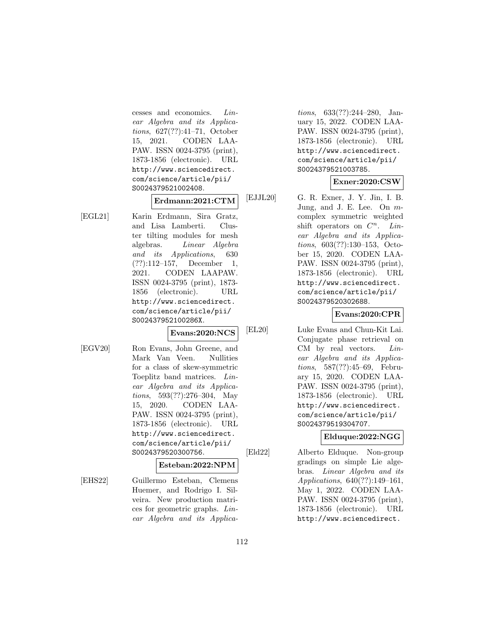cesses and economics. Linear Algebra and its Applications, 627(??):41–71, October 15, 2021. CODEN LAA-PAW. ISSN 0024-3795 (print), 1873-1856 (electronic). URL http://www.sciencedirect. com/science/article/pii/ S0024379521002408.

### **Erdmann:2021:CTM**

[EGL21] Karin Erdmann, Sira Gratz, and Lisa Lamberti. Cluster tilting modules for mesh algebras. Linear Algebra and its Applications, 630 (??):112–157, December 1, 2021. CODEN LAAPAW. ISSN 0024-3795 (print), 1873- 1856 (electronic). URL http://www.sciencedirect. com/science/article/pii/ S002437952100286X.

#### **Evans:2020:NCS**

[EGV20] Ron Evans, John Greene, and

Mark Van Veen. Nullities for a class of skew-symmetric Toeplitz band matrices. Linear Algebra and its Applications, 593(??):276–304, May 15, 2020. CODEN LAA-PAW. ISSN 0024-3795 (print), 1873-1856 (electronic). URL http://www.sciencedirect. com/science/article/pii/ S0024379520300756.

#### **Esteban:2022:NPM**

[EHS22] Guillermo Esteban, Clemens Huemer, and Rodrigo I. Silveira. New production matrices for geometric graphs. Linear Algebra and its Applica-

tions, 633(??):244–280, January 15, 2022. CODEN LAA-PAW. ISSN 0024-3795 (print), 1873-1856 (electronic). URL http://www.sciencedirect. com/science/article/pii/ S0024379521003785.

### **Exner:2020:CSW**

[EJJL20] G. R. Exner, J. Y. Jin, I. B. Jung, and J. E. Lee. On mcomplex symmetric weighted shift operators on  $C^n$ . Linear Algebra and its Applications, 603(??):130–153, October 15, 2020. CODEN LAA-PAW. ISSN 0024-3795 (print), 1873-1856 (electronic). URL http://www.sciencedirect. com/science/article/pii/ S0024379520302688.

# **Evans:2020:CPR**

[EL20] Luke Evans and Chun-Kit Lai. Conjugate phase retrieval on CM by real vectors. *Lin*ear Algebra and its Applications, 587(??):45–69, February 15, 2020. CODEN LAA-PAW. ISSN 0024-3795 (print), 1873-1856 (electronic). URL http://www.sciencedirect. com/science/article/pii/ S0024379519304707.

### **Elduque:2022:NGG**

[Eld22] Alberto Elduque. Non-group gradings on simple Lie algebras. Linear Algebra and its Applications, 640(??):149–161, May 1, 2022. CODEN LAA-PAW. ISSN 0024-3795 (print), 1873-1856 (electronic). URL http://www.sciencedirect.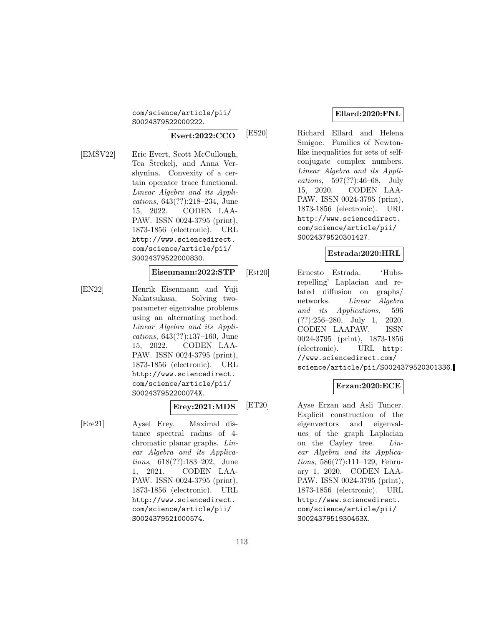com/science/article/pii/ S0024379522000222.

# **Evert:2022:CCO**

 $[EM\text{\r{S}}V22]$  Eric Evert, Scott McCullough, Tea Strekelj, and Anna Vershynina. Convexity of a certain operator trace functional. Linear Algebra and its Applications, 643(??):218–234, June 15, 2022. CODEN LAA-PAW. ISSN 0024-3795 (print), 1873-1856 (electronic). URL http://www.sciencedirect. com/science/article/pii/ S0024379522000830.

# **Eisenmann:2022:STP**

[EN22] Henrik Eisenmann and Yuji Nakatsukasa. Solving twoparameter eigenvalue problems using an alternating method. Linear Algebra and its Applications, 643(??):137–160, June 15, 2022. CODEN LAA-PAW. ISSN 0024-3795 (print), 1873-1856 (electronic). URL http://www.sciencedirect. com/science/article/pii/ S002437952200074X.

# **Erey:2021:MDS**

[Ere21] Aysel Erey. Maximal distance spectral radius of 4 chromatic planar graphs. Linear Algebra and its Applications, 618(??):183–202, June 1, 2021. CODEN LAA-PAW. ISSN 0024-3795 (print), 1873-1856 (electronic). URL http://www.sciencedirect. com/science/article/pii/ S0024379521000574.

### **Ellard:2020:FNL**

[ES20] Richard Ellard and Helena Smigoc. Families of Newtonlike inequalities for sets of selfconjugate complex numbers. Linear Algebra and its Applications, 597(??):46–68, July 15, 2020. CODEN LAA-PAW. ISSN 0024-3795 (print), 1873-1856 (electronic). URL http://www.sciencedirect. com/science/article/pii/ S0024379520301427.

### **Estrada:2020:HRL**

[Est20] Ernesto Estrada. 'Hubsrepelling' Laplacian and related diffusion on graphs/ networks. Linear Algebra and its Applications, 596 (??):256–280, July 1, 2020. CODEN LAAPAW. ISSN 0024-3795 (print), 1873-1856 (electronic). URL http: //www.sciencedirect.com/ science/article/pii/S0024379520301336.

### **Erzan:2020:ECE**

[ET20] Ayse Erzan and Asli Tuncer. Explicit construction of the eigenvectors and eigenvalues of the graph Laplacian on the Cayley tree. Linear Algebra and its Applications, 586(??):111–129, February 1, 2020. CODEN LAA-PAW. ISSN 0024-3795 (print), 1873-1856 (electronic). URL http://www.sciencedirect. com/science/article/pii/ S002437951930463X.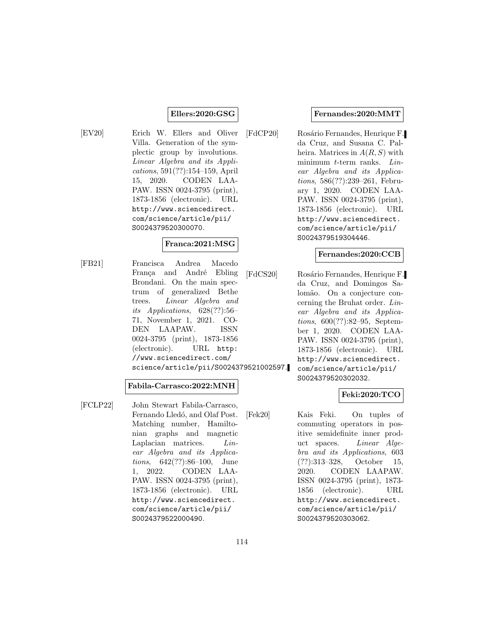### **Ellers:2020:GSG**

[EV20] Erich W. Ellers and Oliver Villa. Generation of the symplectic group by involutions. Linear Algebra and its Applications, 591(??):154–159, April 15, 2020. CODEN LAA-PAW. ISSN 0024-3795 (print), 1873-1856 (electronic). URL http://www.sciencedirect. com/science/article/pii/ S0024379520300070.

### **Franca:2021:MSG**

[FB21] Francisca Andrea Macedo França and André Ebling Brondani. On the main spectrum of generalized Bethe trees. Linear Algebra and its Applications, 628(??):56– 71, November 1, 2021. CO-DEN LAAPAW. ISSN 0024-3795 (print), 1873-1856 (electronic). URL http: //www.sciencedirect.com/ science/article/pii/S0024379521002597.

### **Fabila-Carrasco:2022:MNH**

[FCLP22] John Stewart Fabila-Carrasco, Fernando Lledó, and Olaf Post. Matching number, Hamiltonian graphs and magnetic Laplacian matrices. Linear Algebra and its Applications, 642(??):86–100, June 1, 2022. CODEN LAA-PAW. ISSN 0024-3795 (print), 1873-1856 (electronic). URL http://www.sciencedirect. com/science/article/pii/ S0024379522000490.

#### **Fernandes:2020:MMT**

[FdCP20] Rosário Fernandes, Henrique F. da Cruz, and Susana C. Palheira. Matrices in  $A(R, S)$  with minimum t-term ranks. Linear Algebra and its Applications, 586(??):239–261, February 1, 2020. CODEN LAA-PAW. ISSN 0024-3795 (print), 1873-1856 (electronic). URL http://www.sciencedirect. com/science/article/pii/ S0024379519304446.

#### **Fernandes:2020:CCB**

[FdCS20] Rosário Fernandes, Henrique F. da Cruz, and Domingos Salomão. On a conjecture concerning the Bruhat order. Linear Algebra and its Applications, 600(??):82–95, September 1, 2020. CODEN LAA-PAW. ISSN 0024-3795 (print), 1873-1856 (electronic). URL http://www.sciencedirect. com/science/article/pii/ S0024379520302032.

# **Feki:2020:TCO**

[Fek20] Kais Feki. On tuples of commuting operators in positive semidefinite inner product spaces. Linear Algebra and its Applications, 603 (??):313–328, October 15, 2020. CODEN LAAPAW. ISSN 0024-3795 (print), 1873- 1856 (electronic). URL http://www.sciencedirect. com/science/article/pii/ S0024379520303062.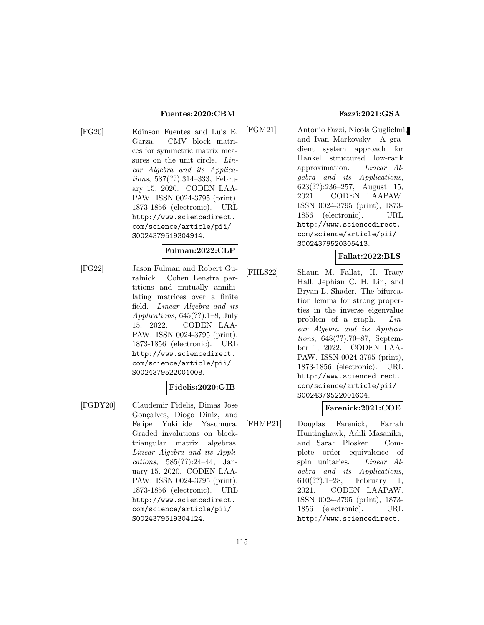### **Fuentes:2020:CBM**

[FG20] Edinson Fuentes and Luis E. Garza. CMV block matrices for symmetric matrix measures on the unit circle. Linear Algebra and its Applications, 587(??):314–333, February 15, 2020. CODEN LAA-PAW. ISSN 0024-3795 (print), 1873-1856 (electronic). URL http://www.sciencedirect. com/science/article/pii/ S0024379519304914.

#### **Fulman:2022:CLP**

[FG22] Jason Fulman and Robert Guralnick. Cohen Lenstra partitions and mutually annihilating matrices over a finite field. Linear Algebra and its Applications, 645(??):1–8, July 15, 2022. CODEN LAA-PAW. ISSN 0024-3795 (print), 1873-1856 (electronic). URL http://www.sciencedirect. com/science/article/pii/ S0024379522001008.

#### **Fidelis:2020:GIB**

[FGDY20] Claudemir Fidelis, Dimas José Gonçalves, Diogo Diniz, and Felipe Yukihide Yasumura. Graded involutions on blocktriangular matrix algebras. Linear Algebra and its Applications, 585(??):24–44, January 15, 2020. CODEN LAA-PAW. ISSN 0024-3795 (print), 1873-1856 (electronic). URL http://www.sciencedirect. com/science/article/pii/ S0024379519304124.

### **Fazzi:2021:GSA**

[FGM21] Antonio Fazzi, Nicola Guglielmi, and Ivan Markovsky. A gradient system approach for Hankel structured low-rank approximation. Linear Algebra and its Applications, 623(??):236–257, August 15, 2021. CODEN LAAPAW. ISSN 0024-3795 (print), 1873- 1856 (electronic). URL http://www.sciencedirect. com/science/article/pii/ S0024379520305413.

### **Fallat:2022:BLS**

[FHLS22] Shaun M. Fallat, H. Tracy Hall, Jephian C. H. Lin, and Bryan L. Shader. The bifurcation lemma for strong properties in the inverse eigenvalue problem of a graph. Linear Algebra and its Applications, 648(??):70–87, September 1, 2022. CODEN LAA-PAW. ISSN 0024-3795 (print), 1873-1856 (electronic). URL http://www.sciencedirect. com/science/article/pii/ S0024379522001604.

#### **Farenick:2021:COE**

[FHMP21] Douglas Farenick, Farrah Huntinghawk, Adili Masanika, and Sarah Plosker. Complete order equivalence of spin unitaries. Linear Algebra and its Applications, 610(??):1–28, February 1, 2021. CODEN LAAPAW. ISSN 0024-3795 (print), 1873- 1856 (electronic). URL http://www.sciencedirect.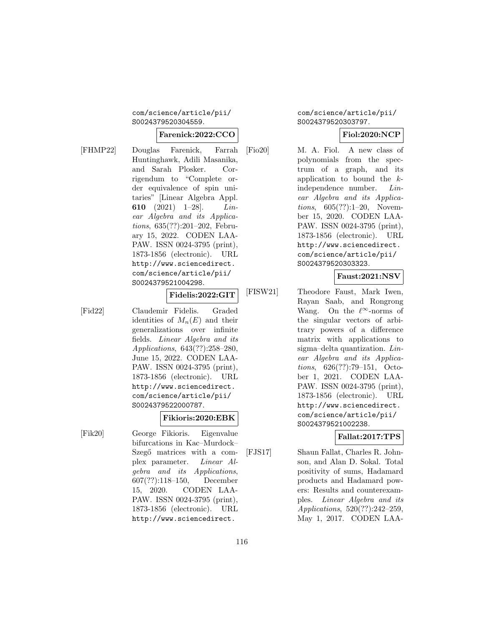### com/science/article/pii/ S0024379520304559.

### **Farenick:2022:CCO**

[FHMP22] Douglas Farenick, Farrah Huntinghawk, Adili Masanika, and Sarah Plosker. Corrigendum to "Complete order equivalence of spin unitaries" [Linear Algebra Appl. **610** (2021) 1–28]. Linear Algebra and its Applications, 635(??):201–202, February 15, 2022. CODEN LAA-PAW. ISSN 0024-3795 (print), 1873-1856 (electronic). URL http://www.sciencedirect. com/science/article/pii/ S0024379521004298.

**Fidelis:2022:GIT**

[Fid22] Claudemir Fidelis. Graded identities of  $M_n(E)$  and their generalizations over infinite fields. Linear Algebra and its Applications, 643(??):258–280, June 15, 2022. CODEN LAA-PAW. ISSN 0024-3795 (print), 1873-1856 (electronic). URL http://www.sciencedirect. com/science/article/pii/

S0024379522000787.

### **Fikioris:2020:EBK**

[Fik20] George Fikioris. Eigenvalue bifurcations in Kac–Murdock– Szegő matrices with a complex parameter. Linear Algebra and its Applications, 607(??):118–150, December 15, 2020. CODEN LAA-PAW. ISSN 0024-3795 (print), 1873-1856 (electronic). URL http://www.sciencedirect.

com/science/article/pii/ S0024379520303797.

### **Fiol:2020:NCP**

[Fio20] M. A. Fiol. A new class of polynomials from the spectrum of a graph, and its application to bound the kindependence number. Linear Algebra and its Applications, 605(??):1–20, November 15, 2020. CODEN LAA-PAW. ISSN 0024-3795 (print), 1873-1856 (electronic). URL http://www.sciencedirect. com/science/article/pii/ S0024379520303323.

### **Faust:2021:NSV**

[FISW21] Theodore Faust, Mark Iwen, Rayan Saab, and Rongrong Wang. On the  $\ell^{\infty}$ -norms of the singular vectors of arbitrary powers of a difference matrix with applications to sigma–delta quantization. Linear Algebra and its Applications, 626(??):79–151, October 1, 2021. CODEN LAA-PAW. ISSN 0024-3795 (print), 1873-1856 (electronic). URL http://www.sciencedirect. com/science/article/pii/ S0024379521002238.

### **Fallat:2017:TPS**

[FJS17] Shaun Fallat, Charles R. Johnson, and Alan D. Sokal. Total positivity of sums, Hadamard products and Hadamard powers: Results and counterexamples. Linear Algebra and its Applications, 520(??):242–259, May 1, 2017. CODEN LAA-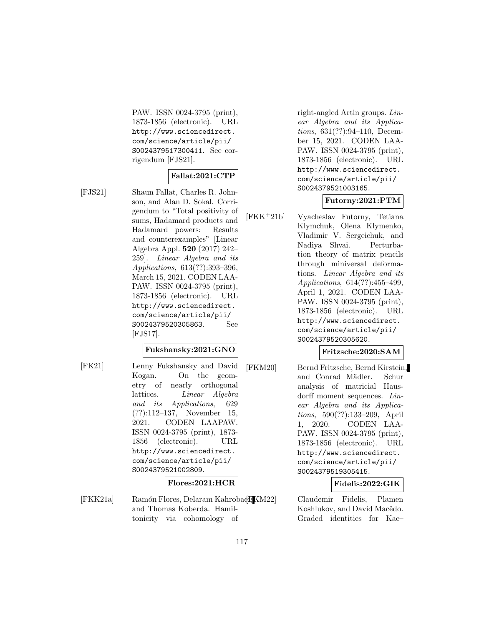PAW. ISSN 0024-3795 (print), 1873-1856 (electronic). URL http://www.sciencedirect. com/science/article/pii/ S0024379517300411. See corrigendum [FJS21].

### **Fallat:2021:CTP**

[FJS21] Shaun Fallat, Charles R. Johnson, and Alan D. Sokal. Corrigendum to "Total positivity of sums, Hadamard products and Hadamard powers: Results and counterexamples" [Linear Algebra Appl. **520** (2017) 242– 259]. Linear Algebra and its Applications, 613(??):393–396, March 15, 2021. CODEN LAA-PAW. ISSN 0024-3795 (print), 1873-1856 (electronic). URL http://www.sciencedirect. com/science/article/pii/ S0024379520305863. See [FJS17].

# **Fukshansky:2021:GNO**

[FK21] Lenny Fukshansky and David Kogan. On the geometry of nearly orthogonal lattices. *Linear Algebra* and its Applications, 629 (??):112–137, November 15, 2021. CODEN LAAPAW. ISSN 0024-3795 (print), 1873- 1856 (electronic). URL http://www.sciencedirect. com/science/article/pii/ S0024379521002809.

# **Flores:2021:HCR**

[FKK21a] Ramón Flores, Delaram Kahrobae**H**KM22] and Thomas Koberda. Hamiltonicity via cohomology of

right-angled Artin groups. Linear Algebra and its Applications, 631(??):94–110, December 15, 2021. CODEN LAA-PAW. ISSN 0024-3795 (print), 1873-1856 (electronic). URL http://www.sciencedirect. com/science/article/pii/ S0024379521003165.

### **Futorny:2021:PTM**

[FKK<sup>+</sup>21b] Vyacheslav Futorny, Tetiana Klymchuk, Olena Klymenko, Vladimir V. Sergeichuk, and Nadiya Shvai. Perturbation theory of matrix pencils through miniversal deformations. Linear Algebra and its Applications, 614(??):455–499, April 1, 2021. CODEN LAA-PAW. ISSN 0024-3795 (print), 1873-1856 (electronic). URL http://www.sciencedirect. com/science/article/pii/ S0024379520305620.

### **Fritzsche:2020:SAM**

[FKM20] Bernd Fritzsche, Bernd Kirstein, and Conrad Mädler. Schur analysis of matricial Hausdorff moment sequences. Linear Algebra and its Applications, 590(??):133–209, April 1, 2020. CODEN LAA-PAW. ISSN 0024-3795 (print), 1873-1856 (electronic). URL http://www.sciencedirect. com/science/article/pii/ S0024379519305415.

### **Fidelis:2022:GIK**

Claudemir Fidelis, Plamen Koshlukov, and David Macêdo. Graded identities for Kac–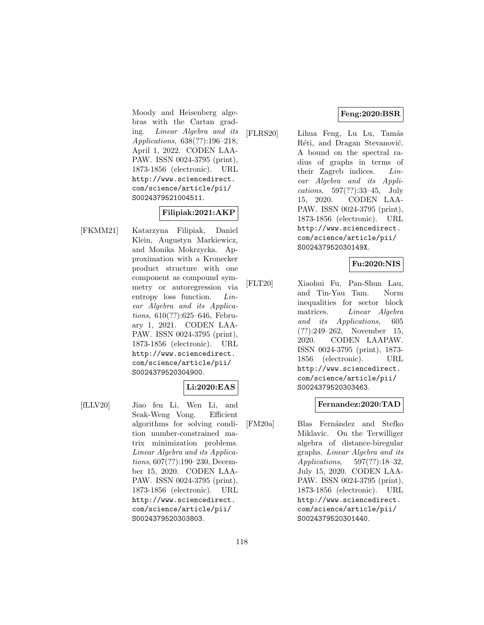### **Feng:2020:BSR**

Moody and Heisenberg algebras with the Cartan grading. Linear Algebra and its Applications, 638(??):196–218, April 1, 2022. CODEN LAA-PAW. ISSN 0024-3795 (print), 1873-1856 (electronic). URL http://www.sciencedirect. com/science/article/pii/ S0024379521004511.

### **Filipiak:2021:AKP**

[FKMM21] Katarzyna Filipiak, Daniel Klein, Augustyn Markiewicz, and Monika Mokrzycka. Approximation with a Kronecker product structure with one component as compound symmetry or autoregression via entropy loss function. *Lin*ear Algebra and its Applications, 610(??):625–646, February 1, 2021. CODEN LAA-PAW. ISSN 0024-3795 (print), 1873-1856 (electronic). URL http://www.sciencedirect. com/science/article/pii/ S0024379520304900.

### **Li:2020:EAS**

[fLLV20] Jiao fen Li, Wen Li, and Seak-Weng Vong. Efficient algorithms for solving condition number-constrained matrix minimization problems. Linear Algebra and its Applications, 607(??):190–230, December 15, 2020. CODEN LAA-PAW. ISSN 0024-3795 (print), 1873-1856 (electronic). URL http://www.sciencedirect. com/science/article/pii/ S0024379520303803.

[FLRS20] Lihua Feng, Lu Lu, Tamás Réti, and Dragan Stevanović. A bound on the spectral radius of graphs in terms of their Zagreb indices. Linear Algebra and its Applications, 597(??):33–45, July 15, 2020. CODEN LAA-PAW. ISSN 0024-3795 (print), 1873-1856 (electronic). URL http://www.sciencedirect. com/science/article/pii/ S002437952030149X.

### **Fu:2020:NIS**

[FLT20] Xiaohui Fu, Pan-Shun Lau, and Tin-Yau Tam. Norm inequalities for sector block matrices. Linear Algebra and its Applications, 605 (??):249–262, November 15, 2020. CODEN LAAPAW. ISSN 0024-3795 (print), 1873- 1856 (electronic). URL http://www.sciencedirect. com/science/article/pii/ S0024379520303463.

#### **Fernandez:2020:TAD**

[FM20a] Blas Fernández and Stefko Miklavic. On the Terwilliger algebra of distance-biregular graphs. Linear Algebra and its Applications, 597(??):18–32, July 15, 2020. CODEN LAA-PAW. ISSN 0024-3795 (print), 1873-1856 (electronic). URL http://www.sciencedirect. com/science/article/pii/ S0024379520301440.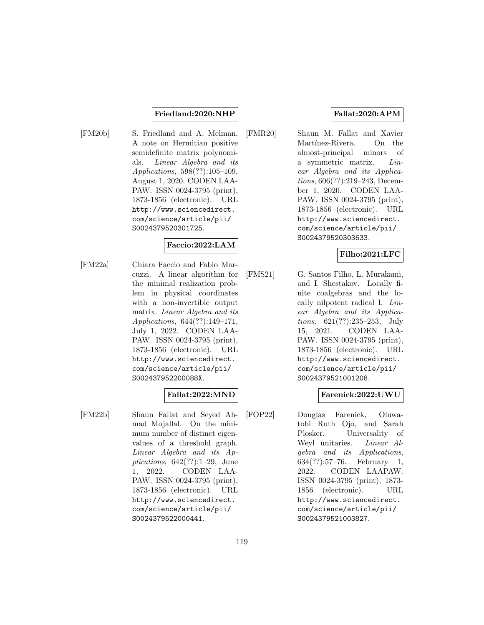### **Friedland:2020:NHP**

[FM20b] S. Friedland and A. Melman. A note on Hermitian positive semidefinite matrix polynomials. Linear Algebra and its Applications, 598(??):105–109, August 1, 2020. CODEN LAA-PAW. ISSN 0024-3795 (print), 1873-1856 (electronic). URL http://www.sciencedirect. com/science/article/pii/ S0024379520301725.

### **Faccio:2022:LAM**

[FM22a] Chiara Faccio and Fabio Marcuzzi. A linear algorithm for the minimal realization problem in physical coordinates with a non-invertible output matrix. Linear Algebra and its Applications, 644(??):149–171, July 1, 2022. CODEN LAA-PAW. ISSN 0024-3795 (print), 1873-1856 (electronic). URL http://www.sciencedirect. com/science/article/pii/ S002437952200088X.

### **Fallat:2022:MND**

[FM22b] Shaun Fallat and Seyed Ahmad Mojallal. On the minimum number of distinct eigenvalues of a threshold graph. Linear Algebra and its Applications,  $642(??):1-29$ , June 1, 2022. CODEN LAA-PAW. ISSN 0024-3795 (print), 1873-1856 (electronic). URL http://www.sciencedirect. com/science/article/pii/ S0024379522000441.

### **Fallat:2020:APM**

[FMR20] Shaun M. Fallat and Xavier Martínez-Rivera. On the almost-principal minors of a symmetric matrix. Linear Algebra and its Applications, 606(??):219–243, December 1, 2020. CODEN LAA-PAW. ISSN 0024-3795 (print), 1873-1856 (electronic). URL http://www.sciencedirect. com/science/article/pii/ S0024379520303633.

# **Filho:2021:LFC**

[FMS21] G. Santos Filho, L. Murakami, and I. Shestakov. Locally finite coalgebras and the locally nilpotent radical I. Linear Algebra and its Applications, 621(??):235–253, July 15, 2021. CODEN LAA-PAW. ISSN 0024-3795 (print), 1873-1856 (electronic). URL http://www.sciencedirect. com/science/article/pii/ S0024379521001208.

### **Farenick:2022:UWU**

[FOP22] Douglas Farenick, Oluwatobi Ruth Ojo, and Sarah Plosker. Universality of Weyl unitaries. Linear Algebra and its Applications, 634(??):57–76, February 1, 2022. CODEN LAAPAW. ISSN 0024-3795 (print), 1873- 1856 (electronic). URL http://www.sciencedirect. com/science/article/pii/ S0024379521003827.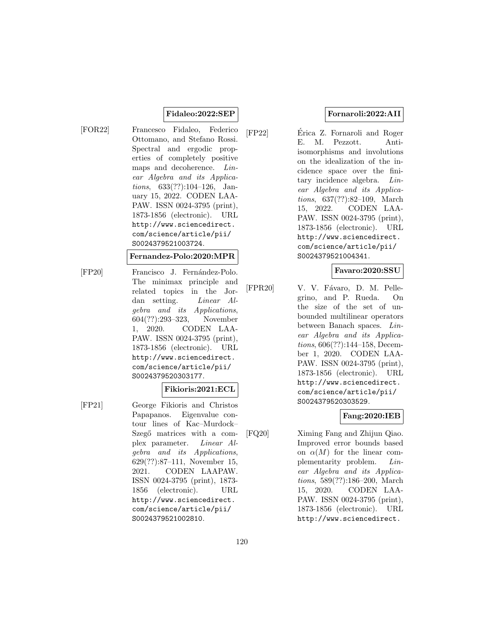### **Fidaleo:2022:SEP**

[FOR22] Francesco Fidaleo, Federico Ottomano, and Stefano Rossi. Spectral and ergodic properties of completely positive maps and decoherence. Linear Algebra and its Applications, 633(??):104–126, January 15, 2022. CODEN LAA-PAW. ISSN 0024-3795 (print), 1873-1856 (electronic). URL http://www.sciencedirect. com/science/article/pii/ S0024379521003724.

#### **Fernandez-Polo:2020:MPR**

[FP20] Francisco J. Fernández-Polo. The minimax principle and related topics in the Jordan setting. Linear Algebra and its Applications, 604(??):293–323, November 1, 2020. CODEN LAA-PAW. ISSN 0024-3795 (print), 1873-1856 (electronic). URL http://www.sciencedirect. com/science/article/pii/ S0024379520303177.

#### **Fikioris:2021:ECL**

[FP21] George Fikioris and Christos Papapanos. Eigenvalue contour lines of Kac–Murdock– Szegő matrices with a complex parameter. Linear Algebra and its Applications, 629(??):87–111, November 15, 2021. CODEN LAAPAW. ISSN 0024-3795 (print), 1873- 1856 (electronic). URL http://www.sciencedirect. com/science/article/pii/ S0024379521002810.

### **Fornaroli:2022:AII**

[FP22] Erica Z. Fornaroli and Roger ´ E. M. Pezzott. Antiisomorphisms and involutions on the idealization of the incidence space over the finitary incidence algebra. Linear Algebra and its Applications, 637(??):82–109, March 15, 2022. CODEN LAA-PAW. ISSN 0024-3795 (print), 1873-1856 (electronic). URL http://www.sciencedirect. com/science/article/pii/ S0024379521004341.

#### **Favaro:2020:SSU**

[FPR20] V. V. Fávaro, D. M. Pellegrino, and P. Rueda. On the size of the set of unbounded multilinear operators between Banach spaces. Linear Algebra and its Applications, 606(??):144–158, December 1, 2020. CODEN LAA-PAW. ISSN 0024-3795 (print), 1873-1856 (electronic). URL http://www.sciencedirect. com/science/article/pii/ S0024379520303529.

### **Fang:2020:IEB**

[FQ20] Ximing Fang and Zhijun Qiao. Improved error bounds based on  $\alpha(M)$  for the linear complementarity problem. Linear Algebra and its Applications, 589(??):186–200, March 15, 2020. CODEN LAA-PAW. ISSN 0024-3795 (print), 1873-1856 (electronic). URL http://www.sciencedirect.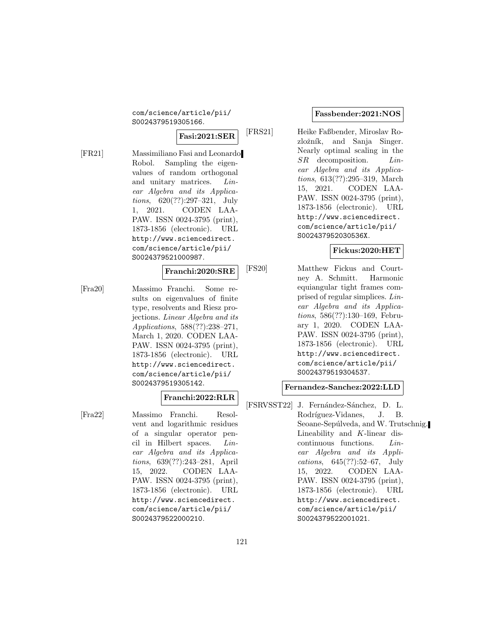com/science/article/pii/ S0024379519305166.

# **Fasi:2021:SER**

[FR21] Massimiliano Fasi and Leonardo Robol. Sampling the eigenvalues of random orthogonal and unitary matrices. *Lin*ear Algebra and its Applications, 620(??):297–321, July 1, 2021. CODEN LAA-PAW. ISSN 0024-3795 (print), 1873-1856 (electronic). URL http://www.sciencedirect. com/science/article/pii/ S0024379521000987.

### **Franchi:2020:SRE**

[Fra20] Massimo Franchi. Some results on eigenvalues of finite type, resolvents and Riesz projections. Linear Algebra and its Applications, 588(??):238–271, March 1, 2020. CODEN LAA-PAW. ISSN 0024-3795 (print), 1873-1856 (electronic). URL http://www.sciencedirect. com/science/article/pii/ S0024379519305142.

#### **Franchi:2022:RLR**

[Fra22] Massimo Franchi. Resolvent and logarithmic residues of a singular operator pencil in Hilbert spaces. Linear Algebra and its Applications, 639(??):243–281, April 15, 2022. CODEN LAA-PAW. ISSN 0024-3795 (print), 1873-1856 (electronic). URL http://www.sciencedirect. com/science/article/pii/ S0024379522000210.

#### **Fassbender:2021:NOS**

[FRS21] Heike Faßbender, Miroslav Rozložník, and Sanja Singer. Nearly optimal scaling in the SR decomposition. Linear Algebra and its Applications, 613(??):295–319, March 15, 2021. CODEN LAA-PAW. ISSN 0024-3795 (print), 1873-1856 (electronic). URL http://www.sciencedirect. com/science/article/pii/ S002437952030536X.

#### **Fickus:2020:HET**

[FS20] Matthew Fickus and Courtney A. Schmitt. Harmonic equiangular tight frames comprised of regular simplices. Linear Algebra and its Applications, 586(??):130–169, February 1, 2020. CODEN LAA-PAW. ISSN 0024-3795 (print), 1873-1856 (electronic). URL http://www.sciencedirect. com/science/article/pii/ S0024379519304537.

#### **Fernandez-Sanchez:2022:LLD**

[FSRVSST22] J. Fernández-Sánchez, D. L. Rodríguez-Vidanes, J. B. Seoane-Sepúlveda, and W. Trutschnig. Lineability and K-linear discontinuous functions. Linear Algebra and its Applications, 645(??):52–67, July 15, 2022. CODEN LAA-PAW. ISSN 0024-3795 (print), 1873-1856 (electronic). URL http://www.sciencedirect. com/science/article/pii/ S0024379522001021.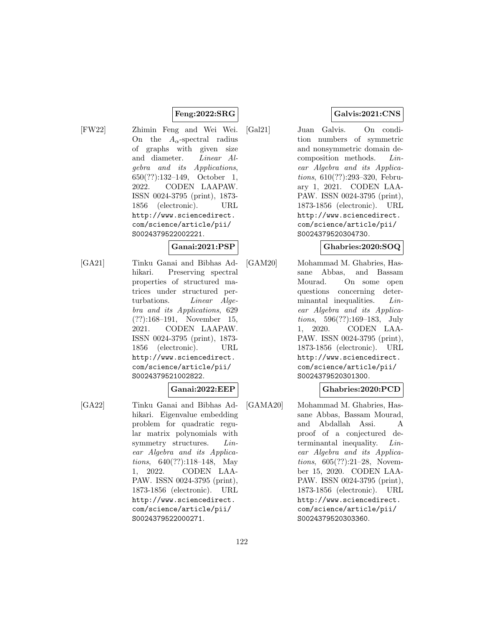# **Feng:2022:SRG**

- [FW22] Zhimin Feng and Wei Wei. On the  $A_{\alpha}$ -spectral radius of graphs with given size
	- and diameter. Linear Algebra and its Applications, 650(??):132–149, October 1, 2022. CODEN LAAPAW. ISSN 0024-3795 (print), 1873- 1856 (electronic). URL http://www.sciencedirect. com/science/article/pii/ S0024379522002221.

# **Ganai:2021:PSP**

[GA21] Tinku Ganai and Bibhas Adhikari. Preserving spectral properties of structured matrices under structured perturbations. Linear Algebra and its Applications, 629 (??):168–191, November 15, 2021. CODEN LAAPAW. ISSN 0024-3795 (print), 1873- 1856 (electronic). URL http://www.sciencedirect. com/science/article/pii/ S0024379521002822.

#### **Ganai:2022:EEP**

- 
- [GA22] Tinku Ganai and Bibhas Adhikari. Eigenvalue embedding problem for quadratic regular matrix polynomials with symmetry structures. *Lin*ear Algebra and its Applications, 640(??):118–148, May 1, 2022. CODEN LAA-PAW. ISSN 0024-3795 (print), 1873-1856 (electronic). URL http://www.sciencedirect. com/science/article/pii/ S0024379522000271.

# **Galvis:2021:CNS**

[Gal21] Juan Galvis. On condition numbers of symmetric and nonsymmetric domain decomposition methods. Linear Algebra and its Applications, 610(??):293–320, February 1, 2021. CODEN LAA-PAW. ISSN 0024-3795 (print), 1873-1856 (electronic). URL http://www.sciencedirect. com/science/article/pii/ S0024379520304730.

### **Ghabries:2020:SOQ**

[GAM20] Mohammad M. Ghabries, Hassane Abbas, and Bassam Mourad. On some open questions concerning determinantal inequalities. Linear Algebra and its Applications, 596(??):169–183, July 1, 2020. CODEN LAA-PAW. ISSN 0024-3795 (print), 1873-1856 (electronic). URL http://www.sciencedirect. com/science/article/pii/ S0024379520301300.

### **Ghabries:2020:PCD**

[GAMA20] Mohammad M. Ghabries, Hassane Abbas, Bassam Mourad, and Abdallah Assi. A proof of a conjectured determinantal inequality. Linear Algebra and its Applications, 605(??):21–28, November 15, 2020. CODEN LAA-PAW. ISSN 0024-3795 (print), 1873-1856 (electronic). URL http://www.sciencedirect. com/science/article/pii/ S0024379520303360.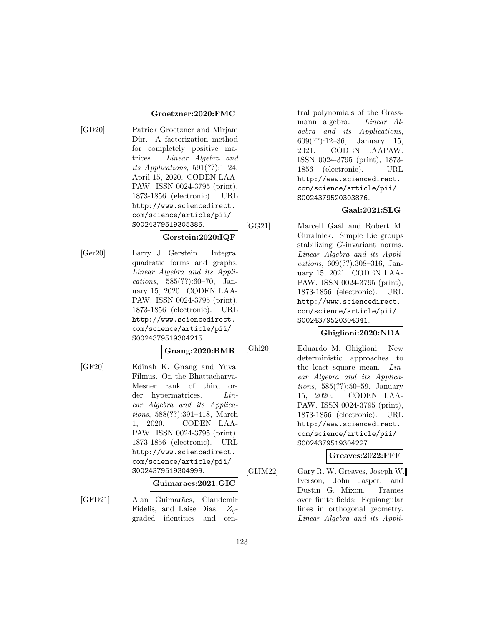### **Groetzner:2020:FMC**

[GD20] Patrick Groetzner and Mirjam Dür. A factorization method for completely positive matrices. Linear Algebra and its Applications,  $591(??):1-24$ , April 15, 2020. CODEN LAA-PAW. ISSN 0024-3795 (print), 1873-1856 (electronic). URL http://www.sciencedirect. com/science/article/pii/ S0024379519305385.

### **Gerstein:2020:IQF**

[Ger20] Larry J. Gerstein. Integral quadratic forms and graphs. Linear Algebra and its Applications, 585(??):60–70, January 15, 2020. CODEN LAA-PAW. ISSN 0024-3795 (print), 1873-1856 (electronic). URL http://www.sciencedirect. com/science/article/pii/ S0024379519304215.

#### **Gnang:2020:BMR**

[GF20] Edinah K. Gnang and Yuval Filmus. On the Bhattacharya-Mesner rank of third order hypermatrices. *Lin*ear Algebra and its Applications, 588(??):391–418, March 1, 2020. CODEN LAA-PAW. ISSN 0024-3795 (print), 1873-1856 (electronic). URL http://www.sciencedirect. com/science/article/pii/ S0024379519304999.

# **Guimaraes:2021:GIC**

[GFD21] Alan Guimarães, Claudemir Fidelis, and Laise Dias.  $Z_a$ graded identities and central polynomials of the Grassmann algebra. Linear Algebra and its Applications, 609(??):12–36, January 15, 2021. CODEN LAAPAW. ISSN 0024-3795 (print), 1873- 1856 (electronic). URL http://www.sciencedirect. com/science/article/pii/ S0024379520303876.

# **Gaal:2021:SLG**

[GG21] Marcell Gaál and Robert M. Guralnick. Simple Lie groups stabilizing G-invariant norms. Linear Algebra and its Applications, 609(??):308–316, January 15, 2021. CODEN LAA-PAW. ISSN 0024-3795 (print), 1873-1856 (electronic). URL http://www.sciencedirect. com/science/article/pii/ S0024379520304341.

### **Ghiglioni:2020:NDA**

[Ghi20] Eduardo M. Ghiglioni. New deterministic approaches to the least square mean. Linear Algebra and its Applications, 585(??):50–59, January 15, 2020. CODEN LAA-PAW. ISSN 0024-3795 (print), 1873-1856 (electronic). URL http://www.sciencedirect. com/science/article/pii/ S0024379519304227.

### **Greaves:2022:FFF**

[GIJM22] Gary R. W. Greaves, Joseph W. Iverson, John Jasper, and Dustin G. Mixon. Frames over finite fields: Equiangular lines in orthogonal geometry. Linear Algebra and its Appli-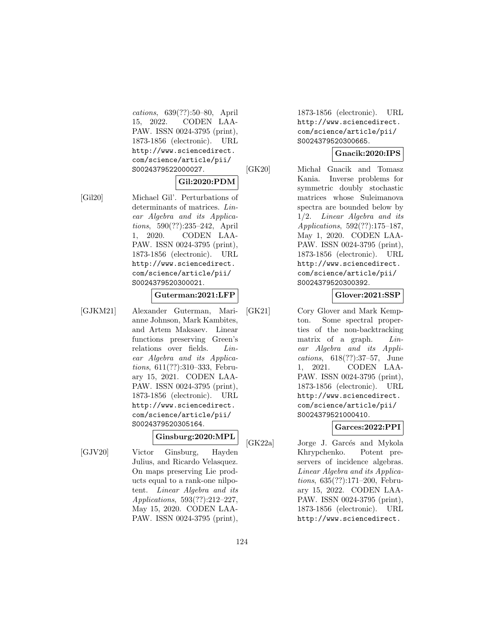cations, 639(??):50–80, April 15, 2022. CODEN LAA-PAW. ISSN 0024-3795 (print), 1873-1856 (electronic). URL http://www.sciencedirect. com/science/article/pii/ S0024379522000027.

### **Gil:2020:PDM**

[Gil20] Michael Gil'. Perturbations of determinants of matrices. Linear Algebra and its Applications, 590(??):235–242, April 1, 2020. CODEN LAA-PAW. ISSN 0024-3795 (print), 1873-1856 (electronic). URL http://www.sciencedirect. com/science/article/pii/ S0024379520300021.

#### **Guterman:2021:LFP**

- 
- [GJKM21] Alexander Guterman, Marianne Johnson, Mark Kambites, and Artem Maksaev. Linear functions preserving Green's relations over fields. Linear Algebra and its Applications, 611(??):310–333, February 15, 2021. CODEN LAA-PAW. ISSN 0024-3795 (print), 1873-1856 (electronic). URL http://www.sciencedirect. com/science/article/pii/ S0024379520305164.

### **Ginsburg:2020:MPL**

[GJV20] Victor Ginsburg, Hayden Julius, and Ricardo Velasquez. On maps preserving Lie products equal to a rank-one nilpotent. Linear Algebra and its Applications, 593(??):212–227, May 15, 2020. CODEN LAA-

PAW. ISSN 0024-3795 (print),

1873-1856 (electronic). URL http://www.sciencedirect. com/science/article/pii/ S0024379520300665.

#### **Gnacik:2020:IPS**

[GK20] Michał Gnacik and Tomasz Kania. Inverse problems for symmetric doubly stochastic matrices whose Suleimanova spectra are bounded below by 1/2. Linear Algebra and its Applications, 592(??):175–187, May 1, 2020. CODEN LAA-PAW. ISSN 0024-3795 (print), 1873-1856 (electronic). URL http://www.sciencedirect. com/science/article/pii/ S0024379520300392.

### **Glover:2021:SSP**

[GK21] Cory Glover and Mark Kempton. Some spectral properties of the non-backtracking matrix of a graph. Linear Algebra and its Applications, 618(??):37–57, June 1, 2021. CODEN LAA-PAW. ISSN 0024-3795 (print), 1873-1856 (electronic). URL http://www.sciencedirect. com/science/article/pii/ S0024379521000410.

### **Garces:2022:PPI**

[GK22a] Jorge J. Garcés and Mykola Khrypchenko. Potent preservers of incidence algebras. Linear Algebra and its Applications, 635(??):171–200, February 15, 2022. CODEN LAA-PAW. ISSN 0024-3795 (print), 1873-1856 (electronic). URL http://www.sciencedirect.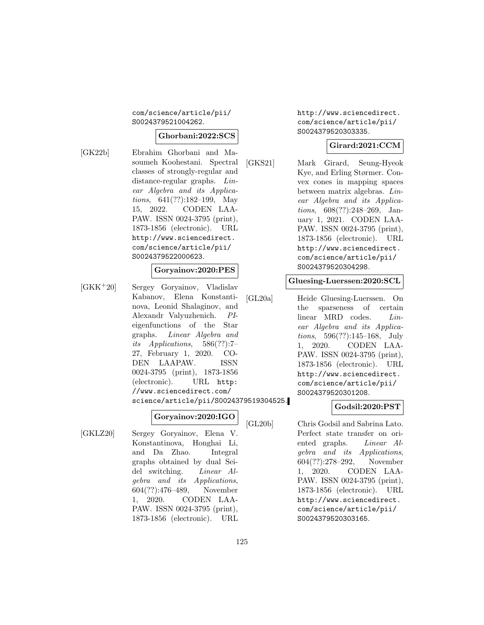#### com/science/article/pii/ S0024379521004262.

#### **Ghorbani:2022:SCS**

[GK22b] Ebrahim Ghorbani and Masoumeh Koohestani. Spectral classes of strongly-regular and distance-regular graphs. Linear Algebra and its Applications, 641(??):182–199, May 15, 2022. CODEN LAA-PAW. ISSN 0024-3795 (print), 1873-1856 (electronic). URL http://www.sciencedirect. com/science/article/pii/ S0024379522000623.

#### **Goryainov:2020:PES**

[GKK<sup>+</sup>20] Sergey Goryainov, Vladislav Kabanov, Elena Konstantinova, Leonid Shalaginov, and Alexandr Valyuzhenich. PIeigenfunctions of the Star graphs. Linear Algebra and its Applications, 586(??):7– 27, February 1, 2020. CO-DEN LAAPAW. ISSN 0024-3795 (print), 1873-1856 (electronic). URL http: //www.sciencedirect.com/ science/article/pii/S0024379519304525.

### **Goryainov:2020:IGO**

[GKLZ20] Sergey Goryainov, Elena V. Konstantinova, Honghai Li, and Da Zhao. Integral graphs obtained by dual Seidel switching. Linear Algebra and its Applications, 604(??):476–489, November 1, 2020. CODEN LAA-PAW. ISSN 0024-3795 (print), 1873-1856 (electronic). URL http://www.sciencedirect. com/science/article/pii/ S0024379520303335.

### **Girard:2021:CCM**

[GKS21] Mark Girard, Seung-Hyeok Kye, and Erling Størmer. Convex cones in mapping spaces between matrix algebras. Linear Algebra and its Applications, 608(??):248–269, January 1, 2021. CODEN LAA-PAW. ISSN 0024-3795 (print), 1873-1856 (electronic). URL http://www.sciencedirect. com/science/article/pii/ S0024379520304298.

#### **Gluesing-Luerssen:2020:SCL**

[GL20a] Heide Gluesing-Luerssen. On the sparseness of certain linear MRD codes. Linear Algebra and its Applications, 596(??):145–168, July 1, 2020. CODEN LAA-PAW. ISSN 0024-3795 (print), 1873-1856 (electronic). URL http://www.sciencedirect. com/science/article/pii/ S0024379520301208.

#### **Godsil:2020:PST**

[GL20b] Chris Godsil and Sabrina Lato. Perfect state transfer on oriented graphs. Linear Algebra and its Applications, 604(??):278–292, November 1, 2020. CODEN LAA-PAW. ISSN 0024-3795 (print), 1873-1856 (electronic). URL http://www.sciencedirect. com/science/article/pii/ S0024379520303165.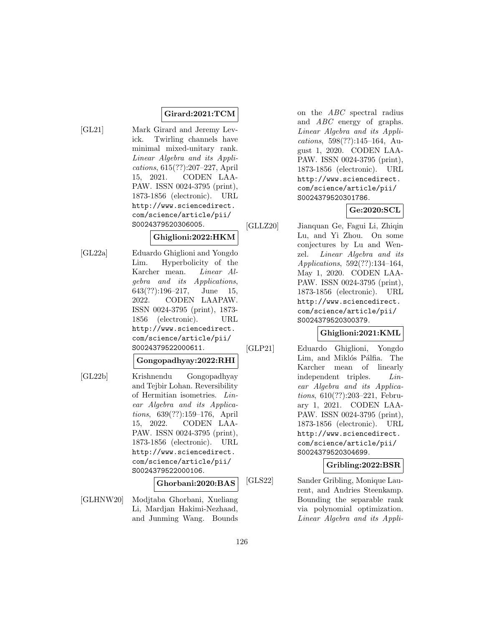# **Girard:2021:TCM**

[GL21] Mark Girard and Jeremy Levick. Twirling channels have minimal mixed-unitary rank. Linear Algebra and its Applications, 615(??):207–227, April 15, 2021. CODEN LAA-PAW. ISSN 0024-3795 (print), 1873-1856 (electronic). URL http://www.sciencedirect. com/science/article/pii/ S0024379520306005.

### **Ghiglioni:2022:HKM**

[GL22a] Eduardo Ghiglioni and Yongdo Lim. Hyperbolicity of the Karcher mean. Linear Algebra and its Applications, 643(??):196–217, June 15, 2022. CODEN LAAPAW. ISSN 0024-3795 (print), 1873- 1856 (electronic). URL http://www.sciencedirect. com/science/article/pii/ S0024379522000611.

**Gongopadhyay:2022:RHI**

[GL22b] Krishnendu Gongopadhyay and Tejbir Lohan. Reversibility of Hermitian isometries. Linear Algebra and its Applications, 639(??):159–176, April 15, 2022. CODEN LAA-PAW. ISSN 0024-3795 (print), 1873-1856 (electronic). URL http://www.sciencedirect. com/science/article/pii/ S0024379522000106.

### **Ghorbani:2020:BAS**

[GLHNW20] Modjtaba Ghorbani, Xueliang Li, Mardjan Hakimi-Nezhaad, and Junming Wang. Bounds on the ABC spectral radius and ABC energy of graphs. Linear Algebra and its Applications, 598(??):145–164, August 1, 2020. CODEN LAA-PAW. ISSN 0024-3795 (print), 1873-1856 (electronic). URL http://www.sciencedirect. com/science/article/pii/ S0024379520301786.

# **Ge:2020:SCL**

[GLLZ20] Jianquan Ge, Fagui Li, Zhiqin Lu, and Yi Zhou. On some conjectures by Lu and Wenzel. Linear Algebra and its Applications, 592(??):134–164, May 1, 2020. CODEN LAA-PAW. ISSN 0024-3795 (print), 1873-1856 (electronic). URL http://www.sciencedirect. com/science/article/pii/ S0024379520300379.

# **Ghiglioni:2021:KML**

[GLP21] Eduardo Ghiglioni, Yongdo Lim, and Miklós Pálfia. The Karcher mean of linearly independent triples. Linear Algebra and its Applications, 610(??):203–221, February 1, 2021. CODEN LAA-PAW. ISSN 0024-3795 (print), 1873-1856 (electronic). URL http://www.sciencedirect. com/science/article/pii/ S0024379520304699.

**Gribling:2022:BSR**

[GLS22] Sander Gribling, Monique Laurent, and Andries Steenkamp. Bounding the separable rank via polynomial optimization. Linear Algebra and its Appli-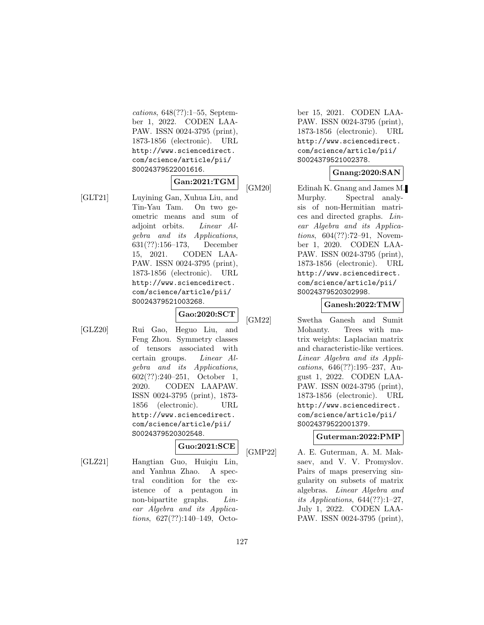cations, 648(??):1–55, September 1, 2022. CODEN LAA-PAW. ISSN 0024-3795 (print), 1873-1856 (electronic). URL http://www.sciencedirect. com/science/article/pii/ S0024379522001616.

### **Gan:2021:TGM**

[GLT21] Luyining Gan, Xuhua Liu, and Tin-Yau Tam. On two geometric means and sum of adjoint orbits. Linear Algebra and its Applications, 631(??):156–173, December 15, 2021. CODEN LAA-PAW. ISSN 0024-3795 (print), 1873-1856 (electronic). URL http://www.sciencedirect. com/science/article/pii/ S0024379521003268.

**Gao:2020:SCT**

[GLZ20] Rui Gao, Heguo Liu, and Feng Zhou. Symmetry classes of tensors associated with certain groups. Linear Algebra and its Applications, 602(??):240–251, October 1, 2020. CODEN LAAPAW. ISSN 0024-3795 (print), 1873- 1856 (electronic). URL http://www.sciencedirect. com/science/article/pii/ S0024379520302548.

# **Guo:2021:SCE**

[GLZ21] Hangtian Guo, Huiqiu Lin, and Yanhua Zhao. A spectral condition for the existence of a pentagon in non-bipartite graphs. Linear Algebra and its Applications, 627(??):140–149, October 15, 2021. CODEN LAA-PAW. ISSN 0024-3795 (print), 1873-1856 (electronic). URL http://www.sciencedirect. com/science/article/pii/ S0024379521002378.

### **Gnang:2020:SAN**

[GM20] Edinah K. Gnang and James M. Murphy. Spectral analysis of non-Hermitian matrices and directed graphs. Linear Algebra and its Applications, 604(??):72–91, November 1, 2020. CODEN LAA-PAW. ISSN 0024-3795 (print), 1873-1856 (electronic). URL http://www.sciencedirect. com/science/article/pii/ S0024379520302998.

#### **Ganesh:2022:TMW**

[GM22] Swetha Ganesh and Sumit Mohanty. Trees with matrix weights: Laplacian matrix and characteristic-like vertices. Linear Algebra and its Applications, 646(??):195–237, August 1, 2022. CODEN LAA-PAW. ISSN 0024-3795 (print), 1873-1856 (electronic). URL http://www.sciencedirect. com/science/article/pii/ S0024379522001379.

### **Guterman:2022:PMP**

[GMP22] A. E. Guterman, A. M. Maksaev, and V. V. Promyslov. Pairs of maps preserving singularity on subsets of matrix algebras. Linear Algebra and its Applications,  $644(??):1-27$ , July 1, 2022. CODEN LAA-PAW. ISSN 0024-3795 (print),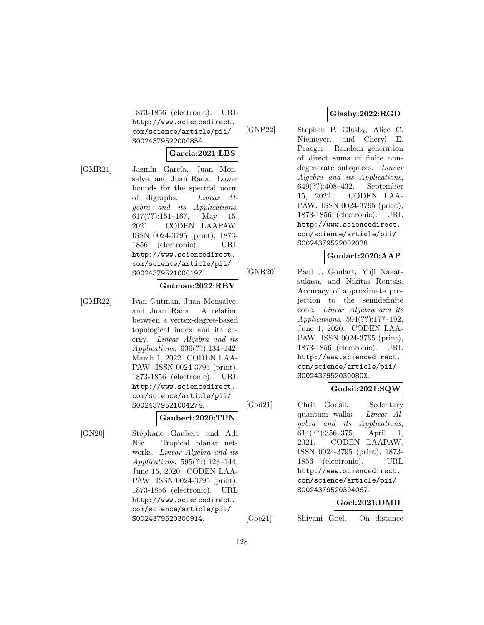1873-1856 (electronic). URL http://www.sciencedirect. com/science/article/pii/ S0024379522000854.

#### **Garcia:2021:LBS**

- 
- [GMR21] Jazmín García, Juan Monsalve, and Juan Rada. Lower bounds for the spectral norm of digraphs. Linear Algebra and its Applications,  $617(??):151-167$ , May 15, 2021. CODEN LAAPAW. ISSN 0024-3795 (print), 1873- 1856 (electronic). URL http://www.sciencedirect. com/science/article/pii/ S0024379521000197.

#### **Gutman:2022:RBV**

[GMR22] Ivan Gutman, Juan Monsalve, and Juan Rada. A relation between a vertex-degree-based topological index and its energy. Linear Algebra and its Applications, 636(??):134–142, March 1, 2022. CODEN LAA-PAW. ISSN 0024-3795 (print), 1873-1856 (electronic). URL http://www.sciencedirect. com/science/article/pii/ S0024379521004274.

#### **Gaubert:2020:TPN**

[GN20] Stéphane Gaubert and Adi Niv. Tropical planar networks. Linear Algebra and its Applications, 595(??):123–144, June 15, 2020. CODEN LAA-PAW. ISSN 0024-3795 (print), 1873-1856 (electronic). URL http://www.sciencedirect. com/science/article/pii/ S0024379520300914.

### **Glasby:2022:RGD**

[GNP22] Stephen P. Glasby, Alice C. Niemeyer, and Cheryl E. Praeger. Random generation of direct sums of finite nondegenerate subspaces. Linear Algebra and its Applications, 649(??):408–432, September 15, 2022. CODEN LAA-PAW. ISSN 0024-3795 (print), 1873-1856 (electronic). URL http://www.sciencedirect. com/science/article/pii/ S0024379522002038.

### **Goulart:2020:AAP**

[GNR20] Paul J. Goulart, Yuji Nakatsukasa, and Nikitas Rontsis. Accuracy of approximate projection to the semidefinite cone. Linear Algebra and its Applications, 594(??):177–192, June 1, 2020. CODEN LAA-PAW. ISSN 0024-3795 (print), 1873-1856 (electronic). URL http://www.sciencedirect. com/science/article/pii/ S002437952030080X.

### **Godsil:2021:SQW**

[God21] Chris Godsil. Sedentary quantum walks. Linear Algebra and its Applications, 614(??):356–375, April 1, 2021. CODEN LAAPAW. ISSN 0024-3795 (print), 1873- 1856 (electronic). URL http://www.sciencedirect. com/science/article/pii/ S0024379520304067.

#### **Goel:2021:DMH**

[Goe21] Shivani Goel. On distance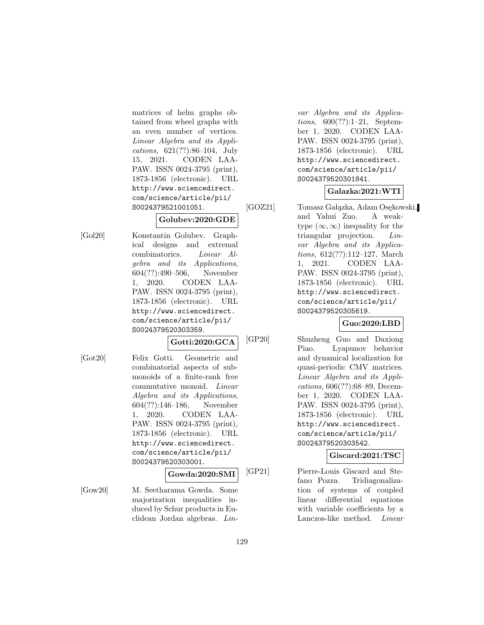matrices of helm graphs obtained from wheel graphs with an even number of vertices. Linear Algebra and its Applications, 621(??):86–104, July 15, 2021. CODEN LAA-PAW. ISSN 0024-3795 (print), 1873-1856 (electronic). URL http://www.sciencedirect. com/science/article/pii/ S0024379521001051.

### **Golubev:2020:GDE**

[Gol20] Konstantin Golubev. Graphical designs and extremal combinatorics. Linear Algebra and its Applications, 604(??):490–506, November 1, 2020. CODEN LAA-PAW. ISSN 0024-3795 (print), 1873-1856 (electronic). URL http://www.sciencedirect. com/science/article/pii/ S0024379520303359.

# **Gotti:2020:GCA**

[Got20] Felix Gotti. Geometric and combinatorial aspects of submonoids of a finite-rank free commutative monoid. Linear Algebra and its Applications, 604(??):146–186, November 1, 2020. CODEN LAA-PAW. ISSN 0024-3795 (print), 1873-1856 (electronic). URL http://www.sciencedirect. com/science/article/pii/ S0024379520303001.

### **Gowda:2020:SMI**

[Gow20] M. Seetharama Gowda. Some majorization inequalities induced by Schur products in Euclidean Jordan algebras. Lin-

ear Algebra and its Applications, 600(??):1–21, September 1, 2020. CODEN LAA-PAW. ISSN 0024-3795 (print), 1873-1856 (electronic). URL http://www.sciencedirect. com/science/article/pii/ S0024379520301841.

# **Galazka:2021:WTI**

[GOZ21] Tomasz Gałązka, Adam Osękowski, and Yahui Zuo. A weaktype  $(\infty, \infty)$  inequality for the triangular projection. Linear Algebra and its Applications, 612(??):112–127, March 1, 2021. CODEN LAA-PAW. ISSN 0024-3795 (print), 1873-1856 (electronic). URL http://www.sciencedirect. com/science/article/pii/ S0024379520305619.

# **Guo:2020:LBD**

[GP20] Shuzheng Guo and Daxiong Piao. Lyapunov behavior and dynamical localization for quasi-periodic CMV matrices. Linear Algebra and its Applications, 606(??):68–89, December 1, 2020. CODEN LAA-PAW. ISSN 0024-3795 (print), 1873-1856 (electronic). URL http://www.sciencedirect. com/science/article/pii/ S0024379520303542.

# **Giscard:2021:TSC**

[GP21] Pierre-Louis Giscard and Stefano Pozza. Tridiagonalization of systems of coupled linear differential equations with variable coefficients by a Lanczos-like method. Linear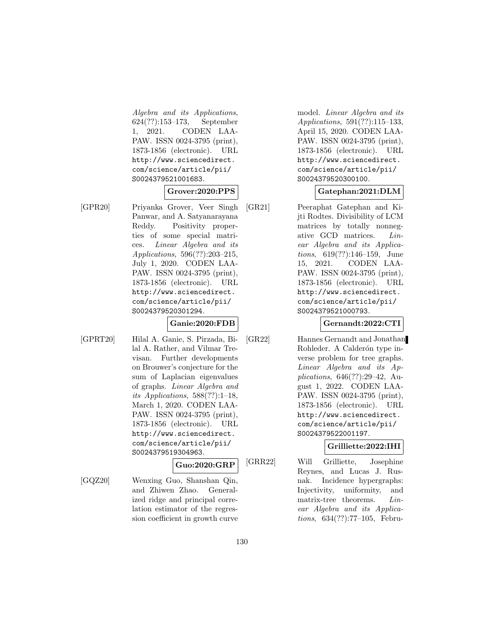Algebra and its Applications, 624(??):153–173, September 1, 2021. CODEN LAA-PAW. ISSN 0024-3795 (print), 1873-1856 (electronic). URL http://www.sciencedirect. com/science/article/pii/ S0024379521001683.

### **Grover:2020:PPS**

[GPR20] Priyanka Grover, Veer Singh Panwar, and A. Satyanarayana Reddy. Positivity properties of some special matrices. Linear Algebra and its Applications, 596(??):203–215, July 1, 2020. CODEN LAA-PAW. ISSN 0024-3795 (print), 1873-1856 (electronic). URL http://www.sciencedirect. com/science/article/pii/ S0024379520301294.

#### **Ganie:2020:FDB**

[GPRT20] Hilal A. Ganie, S. Pirzada, Bilal A. Rather, and Vilmar Trevisan. Further developments on Brouwer's conjecture for the sum of Laplacian eigenvalues of graphs. Linear Algebra and its Applications,  $588(??):1-18$ , March 1, 2020. CODEN LAA-PAW. ISSN 0024-3795 (print), 1873-1856 (electronic). URL http://www.sciencedirect. com/science/article/pii/ S0024379519304963.

**Guo:2020:GRP**

[GQZ20] Wenxing Guo, Shanshan Qin, and Zhiwen Zhao. Generalized ridge and principal correlation estimator of the regression coefficient in growth curve model. Linear Algebra and its Applications, 591(??):115–133, April 15, 2020. CODEN LAA-PAW. ISSN 0024-3795 (print), 1873-1856 (electronic). URL http://www.sciencedirect. com/science/article/pii/ S0024379520300100.

### **Gatephan:2021:DLM**

[GR21] Peeraphat Gatephan and Kijti Rodtes. Divisibility of LCM matrices by totally nonnegative GCD matrices. Linear Algebra and its Applications, 619(??):146–159, June 15, 2021. CODEN LAA-PAW. ISSN 0024-3795 (print), 1873-1856 (electronic). URL http://www.sciencedirect. com/science/article/pii/ S0024379521000793.

#### **Gernandt:2022:CTI**

[GR22] Hannes Gernandt and Jonathan Rohleder. A Calderón type inverse problem for tree graphs. Linear Algebra and its Applications, 646(??):29–42, August 1, 2022. CODEN LAA-PAW. ISSN 0024-3795 (print), 1873-1856 (electronic). URL http://www.sciencedirect. com/science/article/pii/ S0024379522001197.

### **Grilliette:2022:IHI**

[GRR22] Will Grilliette, Josephine Reynes, and Lucas J. Rusnak. Incidence hypergraphs: Injectivity, uniformity, and matrix-tree theorems. Linear Algebra and its Applications, 634(??):77–105, Febru-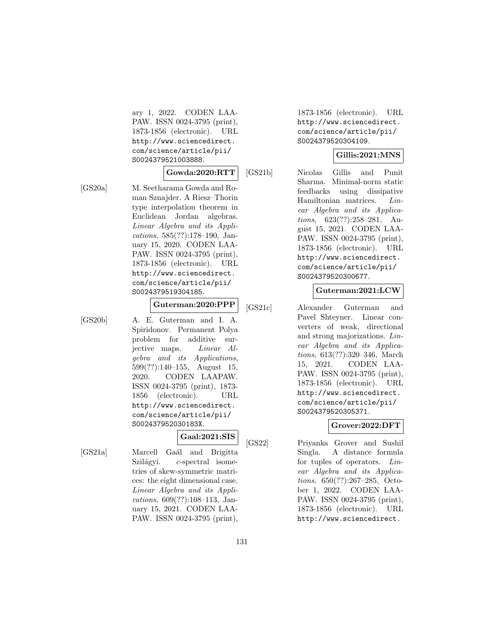ary 1, 2022. CODEN LAA-PAW. ISSN 0024-3795 (print), 1873-1856 (electronic). URL http://www.sciencedirect. com/science/article/pii/ S0024379521003888.

### **Gowda:2020:RTT**

[GS20a] M. Seetharama Gowda and Roman Sznajder. A Riesz–Thorin type interpolation theorem in Euclidean Jordan algebras. Linear Algebra and its Applications, 585(??):178–190, January 15, 2020. CODEN LAA-PAW. ISSN 0024-3795 (print), 1873-1856 (electronic). URL http://www.sciencedirect. com/science/article/pii/ S0024379519304185.

# **Guterman:2020:PPP**

[GS20b] A. E. Guterman and I. A. Spiridonov. Permanent Polya problem for additive surjective maps. Linear Algebra and its Applications, 599(??):140–155, August 15, 2020. CODEN LAAPAW. ISSN 0024-3795 (print), 1873- 1856 (electronic). URL http://www.sciencedirect. com/science/article/pii/ S002437952030183X.

**Gaal:2021:SIS**

[GS21a] Marcell Gaál and Brigitta  $Szilágyi.$  c-spectral isometries of skew-symmetric matrices: the eight dimensional case. Linear Algebra and its Applications, 609(??):108–113, January 15, 2021. CODEN LAA-PAW. ISSN 0024-3795 (print),

1873-1856 (electronic). URL http://www.sciencedirect. com/science/article/pii/ S0024379520304109.

### **Gillis:2021:MNS**

[GS21b] Nicolas Gillis and Punit Sharma. Minimal-norm static feedbacks using dissipative Hamiltonian matrices. Linear Algebra and its Applications, 623(??):258–281, August 15, 2021. CODEN LAA-PAW. ISSN 0024-3795 (print), 1873-1856 (electronic). URL http://www.sciencedirect. com/science/article/pii/ S0024379520300677.

### **Guterman:2021:LCW**

[GS21c] Alexander Guterman and Pavel Shteyner. Linear converters of weak, directional and strong majorizations. Linear Algebra and its Applications, 613(??):320–346, March 15, 2021. CODEN LAA-PAW. ISSN 0024-3795 (print), 1873-1856 (electronic). URL http://www.sciencedirect. com/science/article/pii/ S0024379520305371.

# **Grover:2022:DFT**

[GS22] Priyanka Grover and Sushil Singla. A distance formula for tuples of operators. Linear Algebra and its Applications, 650(??):267–285, October 1, 2022. CODEN LAA-PAW. ISSN 0024-3795 (print), 1873-1856 (electronic). URL http://www.sciencedirect.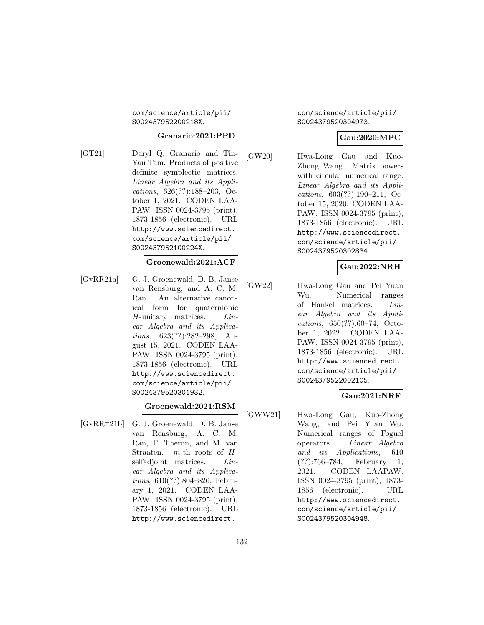com/science/article/pii/ S002437952200218X.

#### **Granario:2021:PPD**

[GT21] Daryl Q. Granario and Tin-Yau Tam. Products of positive definite symplectic matrices. Linear Algebra and its Applications, 626(??):188–203, October 1, 2021. CODEN LAA-PAW. ISSN 0024-3795 (print), 1873-1856 (electronic). URL http://www.sciencedirect. com/science/article/pii/ S002437952100224X.

#### **Groenewald:2021:ACF**

[GvRR21a] G. J. Groenewald, D. B. Janse van Rensburg, and A. C. M. Ran. An alternative canonical form for quaternionic H-unitary matrices. Linear Algebra and its Applications, 623(??):282–298, August 15, 2021. CODEN LAA-PAW. ISSN 0024-3795 (print), 1873-1856 (electronic). URL http://www.sciencedirect. com/science/article/pii/ S0024379520301932.

**Groenewald:2021:RSM**

[GvRR<sup>+</sup>21b] G. J. Groenewald, D. B. Janse van Rensburg, A. C. M. Ran, F. Theron, and M. van Straaten.  $m$ -th roots of  $H$ selfadjoint matrices. *Lin*ear Algebra and its Applications, 610(??):804–826, February 1, 2021. CODEN LAA-PAW. ISSN 0024-3795 (print), 1873-1856 (electronic). URL http://www.sciencedirect.

com/science/article/pii/ S0024379520304973.

### **Gau:2020:MPC**

[GW20] Hwa-Long Gau and Kuo-Zhong Wang. Matrix powers with circular numerical range. Linear Algebra and its Applications, 603(??):190–211, October 15, 2020. CODEN LAA-PAW. ISSN 0024-3795 (print), 1873-1856 (electronic). URL http://www.sciencedirect. com/science/article/pii/ S0024379520302834.

#### **Gau:2022:NRH**

[GW22] Hwa-Long Gau and Pei Yuan Wu. Numerical ranges of Hankel matrices. Linear Algebra and its Applications, 650(??):60–74, October 1, 2022. CODEN LAA-PAW. ISSN 0024-3795 (print), 1873-1856 (electronic). URL http://www.sciencedirect. com/science/article/pii/ S0024379522002105.

#### **Gau:2021:NRF**

[GWW21] Hwa-Long Gau, Kuo-Zhong Wang, and Pei Yuan Wu. Numerical ranges of Foguel operators. Linear Algebra and its Applications, 610 (??):766–784, February 1, 2021. CODEN LAAPAW. ISSN 0024-3795 (print), 1873- 1856 (electronic). URL http://www.sciencedirect. com/science/article/pii/ S0024379520304948.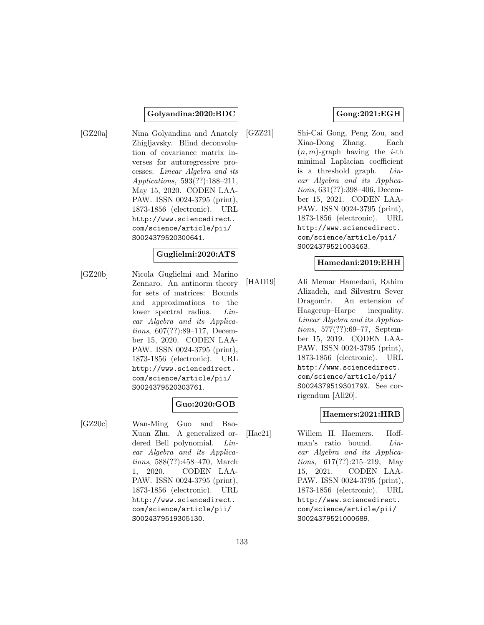#### **Golyandina:2020:BDC**

[GZ20a] Nina Golyandina and Anatoly Zhigljavsky. Blind deconvolution of covariance matrix inverses for autoregressive processes. Linear Algebra and its Applications, 593(??):188–211, May 15, 2020. CODEN LAA-PAW. ISSN 0024-3795 (print), 1873-1856 (electronic). URL http://www.sciencedirect. com/science/article/pii/ S0024379520300641.

#### **Guglielmi:2020:ATS**

[GZ20b] Nicola Guglielmi and Marino Zennaro. An antinorm theory for sets of matrices: Bounds and approximations to the lower spectral radius. Linear Algebra and its Applications, 607(??):89–117, December 15, 2020. CODEN LAA-PAW. ISSN 0024-3795 (print), 1873-1856 (electronic). URL http://www.sciencedirect. com/science/article/pii/ S0024379520303761.

### **Guo:2020:GOB**

[GZ20c] Wan-Ming Guo and Bao-Xuan Zhu. A generalized ordered Bell polynomial. Linear Algebra and its Applications, 588(??):458–470, March 1, 2020. CODEN LAA-PAW. ISSN 0024-3795 (print), 1873-1856 (electronic). URL http://www.sciencedirect. com/science/article/pii/ S0024379519305130.

### **Gong:2021:EGH**

[GZZ21] Shi-Cai Gong, Peng Zou, and Xiao-Dong Zhang. Each  $(n, m)$ -graph having the *i*-th minimal Laplacian coefficient is a threshold graph. Linear Algebra and its Applications, 631(??):398–406, December 15, 2021. CODEN LAA-PAW. ISSN 0024-3795 (print), 1873-1856 (electronic). URL http://www.sciencedirect. com/science/article/pii/ S0024379521003463.

### **Hamedani:2019:EHH**

[HAD19] Ali Memar Hamedani, Rahim Alizadeh, and Silvestru Sever Dragomir. An extension of Haagerup–Harpe inequality. Linear Algebra and its Applications, 577(??):69–77, September 15, 2019. CODEN LAA-PAW. ISSN 0024-3795 (print), 1873-1856 (electronic). URL http://www.sciencedirect. com/science/article/pii/ S002437951930179X. See corrigendum [Ali20].

#### **Haemers:2021:HRB**

[Hae21] Willem H. Haemers. Hoffman's ratio bound. Linear Algebra and its Applications, 617(??):215–219, May 15, 2021. CODEN LAA-PAW. ISSN 0024-3795 (print), 1873-1856 (electronic). URL http://www.sciencedirect. com/science/article/pii/ S0024379521000689.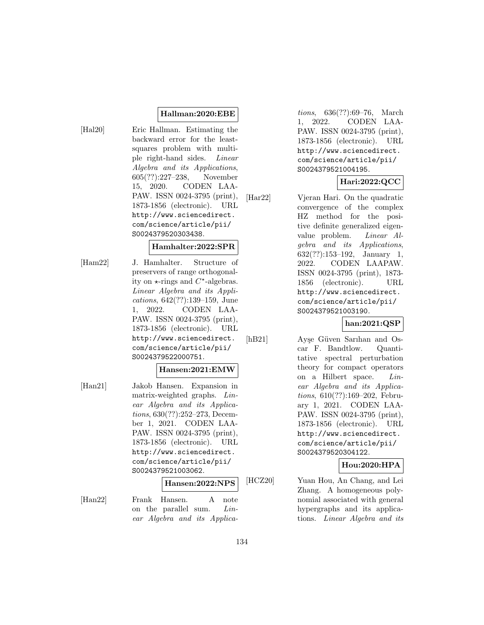### **Hallman:2020:EBE**

[Hal20] Eric Hallman. Estimating the backward error for the leastsquares problem with multiple right-hand sides. Linear Algebra and its Applications, 605(??):227–238, November 15, 2020. CODEN LAA-PAW. ISSN 0024-3795 (print), 1873-1856 (electronic). URL http://www.sciencedirect. com/science/article/pii/ S0024379520303438.

### **Hamhalter:2022:SPR**

[Ham22] J. Hamhalter. Structure of preservers of range orthogonality on  $\star$ -rings and  $C^*$ -algebras. Linear Algebra and its Applications, 642(??):139–159, June 1, 2022. CODEN LAA-PAW. ISSN 0024-3795 (print), 1873-1856 (electronic). URL http://www.sciencedirect. com/science/article/pii/ S0024379522000751.

#### **Hansen:2021:EMW**

[Han21] Jakob Hansen. Expansion in matrix-weighted graphs. Linear Algebra and its Applications, 630(??):252–273, December 1, 2021. CODEN LAA-PAW. ISSN 0024-3795 (print), 1873-1856 (electronic). URL http://www.sciencedirect. com/science/article/pii/ S0024379521003062.

#### **Hansen:2022:NPS**

[Han22] Frank Hansen. A note on the parallel sum. Linear Algebra and its Applica-

tions, 636(??):69–76, March 1, 2022. CODEN LAA-PAW. ISSN 0024-3795 (print), 1873-1856 (electronic). URL http://www.sciencedirect. com/science/article/pii/ S0024379521004195.

# **Hari:2022:QCC**

[Har22] Vjeran Hari. On the quadratic convergence of the complex HZ method for the positive definite generalized eigenvalue problem. Linear Algebra and its Applications, 632(??):153–192, January 1, 2022. CODEN LAAPAW. ISSN 0024-3795 (print), 1873- 1856 (electronic). URL http://www.sciencedirect. com/science/article/pii/ S0024379521003190.

**han:2021:QSP**

[hB21] Ayşe Güven Sarıhan and Oscar F. Bandtlow. Quantitative spectral perturbation theory for compact operators on a Hilbert space. Linear Algebra and its Applications, 610(??):169–202, February 1, 2021. CODEN LAA-PAW. ISSN 0024-3795 (print), 1873-1856 (electronic). URL http://www.sciencedirect. com/science/article/pii/ S0024379520304122.

**Hou:2020:HPA**

[HCZ20] Yuan Hou, An Chang, and Lei Zhang. A homogeneous polynomial associated with general hypergraphs and its applications. Linear Algebra and its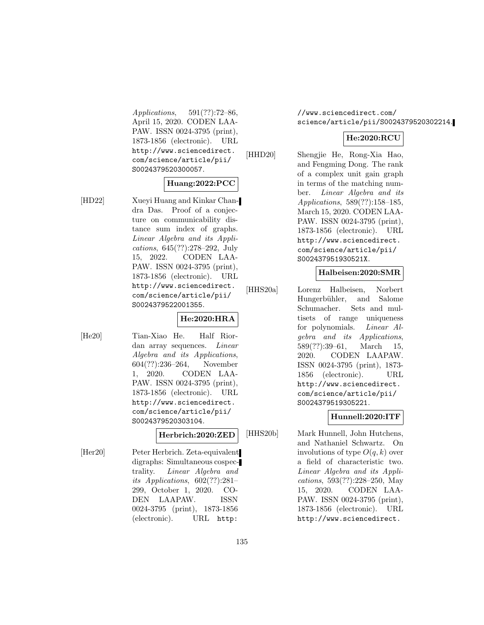Applications, 591(??):72–86, April 15, 2020. CODEN LAA-PAW. ISSN 0024-3795 (print), 1873-1856 (electronic). URL http://www.sciencedirect. com/science/article/pii/ S0024379520300057.

#### **Huang:2022:PCC**

[HD22] Xueyi Huang and Kinkar Chandra Das. Proof of a conjecture on communicability distance sum index of graphs. Linear Algebra and its Applications, 645(??):278–292, July 15, 2022. CODEN LAA-PAW. ISSN 0024-3795 (print), 1873-1856 (electronic). URL http://www.sciencedirect. com/science/article/pii/ S0024379522001355.

# **He:2020:HRA**

[He20] Tian-Xiao He. Half Riordan array sequences. Linear Algebra and its Applications, 604(??):236–264, November 1, 2020. CODEN LAA-PAW. ISSN 0024-3795 (print), 1873-1856 (electronic). URL http://www.sciencedirect. com/science/article/pii/ S0024379520303104.

### **Herbrich:2020:ZED**

[Her20] Peter Herbrich. Zeta-equivalent digraphs: Simultaneous cospectrality. Linear Algebra and its Applications, 602(??):281– 299, October 1, 2020. CO-DEN LAAPAW. ISSN 0024-3795 (print), 1873-1856 (electronic). URL http:

//www.sciencedirect.com/ science/article/pii/S0024379520302214.

# **He:2020:RCU**

[HHD20] Shengjie He, Rong-Xia Hao, and Fengming Dong. The rank of a complex unit gain graph in terms of the matching number. Linear Algebra and its Applications, 589(??):158–185, March 15, 2020. CODEN LAA-PAW. ISSN 0024-3795 (print), 1873-1856 (electronic). URL http://www.sciencedirect. com/science/article/pii/ S002437951930521X.

### **Halbeisen:2020:SMR**

[HHS20a] Lorenz Halbeisen, Norbert Hungerbühler, and Salome Schumacher. Sets and multisets of range uniqueness for polynomials. Linear Algebra and its Applications, 589(??):39–61, March 15, 2020. CODEN LAAPAW. ISSN 0024-3795 (print), 1873- 1856 (electronic). URL http://www.sciencedirect. com/science/article/pii/ S0024379519305221.

### **Hunnell:2020:ITF**

[HHS20b] Mark Hunnell, John Hutchens, and Nathaniel Schwartz. On involutions of type  $O(q, k)$  over a field of characteristic two. Linear Algebra and its Applications, 593(??):228–250, May 15, 2020. CODEN LAA-PAW. ISSN 0024-3795 (print), 1873-1856 (electronic). URL http://www.sciencedirect.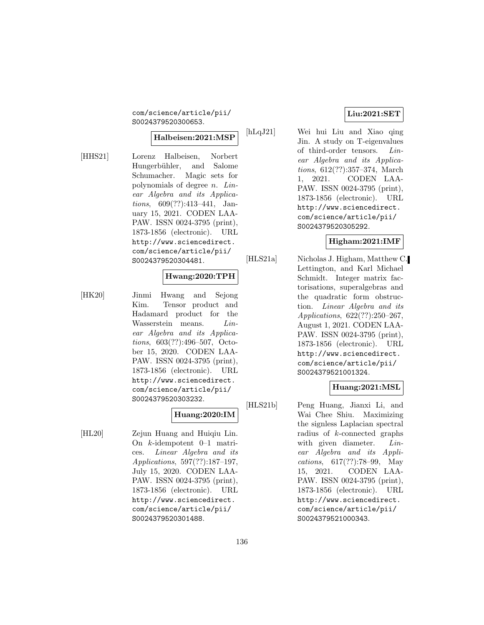com/science/article/pii/ S0024379520300653.

#### **Halbeisen:2021:MSP**

[HHS21] Lorenz Halbeisen, Norbert Hungerbühler, and Salome Schumacher. Magic sets for polynomials of degree  $n$ . Linear Algebra and its Applications, 609(??):413–441, January 15, 2021. CODEN LAA-PAW. ISSN 0024-3795 (print), 1873-1856 (electronic). URL http://www.sciencedirect. com/science/article/pii/ S0024379520304481.

# **Hwang:2020:TPH**

[HK20] Jinmi Hwang and Sejong Kim. Tensor product and Hadamard product for the Wasserstein means. Linear Algebra and its Applications, 603(??):496–507, October 15, 2020. CODEN LAA-PAW. ISSN 0024-3795 (print), 1873-1856 (electronic). URL http://www.sciencedirect. com/science/article/pii/ S0024379520303232.

#### **Huang:2020:IM**

[HL20] Zejun Huang and Huiqiu Lin. On k-idempotent 0–1 matrices. Linear Algebra and its Applications, 597(??):187–197, July 15, 2020. CODEN LAA-PAW. ISSN 0024-3795 (print), 1873-1856 (electronic). URL http://www.sciencedirect. com/science/article/pii/ S0024379520301488.

#### **Liu:2021:SET**

[hLqJ21] Wei hui Liu and Xiao qing Jin. A study on T-eigenvalues of third-order tensors. Linear Algebra and its Applications, 612(??):357–374, March 1, 2021. CODEN LAA-PAW. ISSN 0024-3795 (print), 1873-1856 (electronic). URL http://www.sciencedirect. com/science/article/pii/ S0024379520305292.

### **Higham:2021:IMF**

[HLS21a] Nicholas J. Higham, Matthew C. Lettington, and Karl Michael Schmidt. Integer matrix factorisations, superalgebras and the quadratic form obstruction. Linear Algebra and its Applications, 622(??):250–267, August 1, 2021. CODEN LAA-PAW. ISSN 0024-3795 (print), 1873-1856 (electronic). URL http://www.sciencedirect. com/science/article/pii/ S0024379521001324.

#### **Huang:2021:MSL**

[HLS21b] Peng Huang, Jianxi Li, and Wai Chee Shiu. Maximizing the signless Laplacian spectral radius of k-connected graphs with given diameter. Linear Algebra and its Applications, 617(??):78–99, May 15, 2021. CODEN LAA-PAW. ISSN 0024-3795 (print), 1873-1856 (electronic). URL http://www.sciencedirect. com/science/article/pii/ S0024379521000343.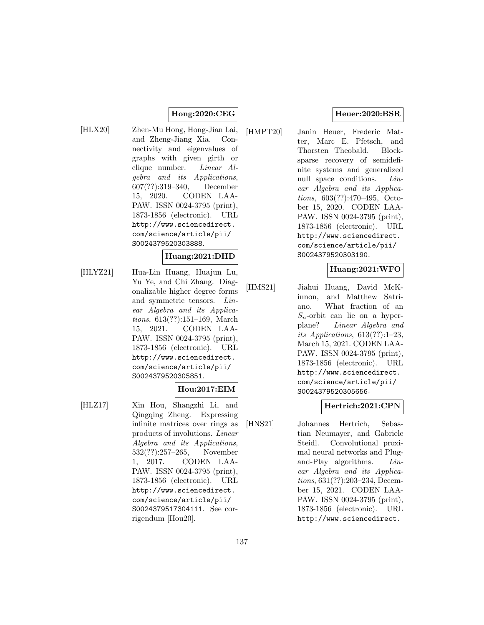### **Hong:2020:CEG**

[HLX20] Zhen-Mu Hong, Hong-Jian Lai, and Zheng-Jiang Xia. Connectivity and eigenvalues of graphs with given girth or clique number. Linear Algebra and its Applications, 607(??):319–340, December 15, 2020. CODEN LAA-PAW. ISSN 0024-3795 (print), 1873-1856 (electronic). URL http://www.sciencedirect. com/science/article/pii/ S0024379520303888.

#### **Huang:2021:DHD**

[HLYZ21] Hua-Lin Huang, Huajun Lu, Yu Ye, and Chi Zhang. Diagonalizable higher degree forms and symmetric tensors. Linear Algebra and its Applications, 613(??):151–169, March 15, 2021. CODEN LAA-PAW. ISSN 0024-3795 (print), 1873-1856 (electronic). URL http://www.sciencedirect. com/science/article/pii/ S0024379520305851.

#### **Hou:2017:EIM**

[HLZ17] Xin Hou, Shangzhi Li, and Qingqing Zheng. Expressing infinite matrices over rings as products of involutions. Linear Algebra and its Applications, 532(??):257–265, November 1, 2017. CODEN LAA-PAW. ISSN 0024-3795 (print), 1873-1856 (electronic). URL http://www.sciencedirect. com/science/article/pii/ S0024379517304111. See corrigendum [Hou20].

### **Heuer:2020:BSR**

[HMPT20] Janin Heuer, Frederic Matter, Marc E. Pfetsch, and Thorsten Theobald. Blocksparse recovery of semidefinite systems and generalized null space conditions. Linear Algebra and its Applications, 603(??):470–495, October 15, 2020. CODEN LAA-PAW. ISSN 0024-3795 (print), 1873-1856 (electronic). URL http://www.sciencedirect. com/science/article/pii/ S0024379520303190.

# **Huang:2021:WFO**

[HMS21] Jiahui Huang, David McKinnon, and Matthew Satriano. What fraction of an  $S_n$ -orbit can lie on a hyperplane? Linear Algebra and its Applications,  $613(??):1-23$ , March 15, 2021. CODEN LAA-PAW. ISSN 0024-3795 (print), 1873-1856 (electronic). URL http://www.sciencedirect. com/science/article/pii/ S0024379520305656.

#### **Hertrich:2021:CPN**

[HNS21] Johannes Hertrich, Sebastian Neumayer, and Gabriele Steidl. Convolutional proximal neural networks and Plugand-Play algorithms. Linear Algebra and its Applications, 631(??):203–234, December 15, 2021. CODEN LAA-PAW. ISSN 0024-3795 (print), 1873-1856 (electronic). URL http://www.sciencedirect.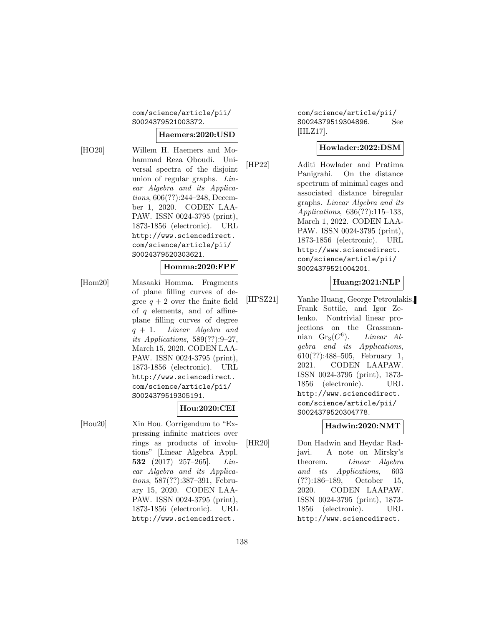### com/science/article/pii/ S0024379521003372.

### **Haemers:2020:USD**

[HO20] Willem H. Haemers and Mohammad Reza Oboudi. Universal spectra of the disjoint union of regular graphs. Linear Algebra and its Applications, 606(??):244–248, December 1, 2020. CODEN LAA-PAW. ISSN 0024-3795 (print), 1873-1856 (electronic). URL http://www.sciencedirect. com/science/article/pii/ S0024379520303621.

#### **Homma:2020:FPF**

[Hom20] Masaaki Homma. Fragments of plane filling curves of degree  $q + 2$  over the finite field of  $q$  elements, and of affineplane filling curves of degree  $q + 1$ . Linear Algebra and its Applications, 589(??):9–27, March 15, 2020. CODEN LAA-PAW. ISSN 0024-3795 (print), 1873-1856 (electronic). URL http://www.sciencedirect. com/science/article/pii/ S0024379519305191.

### **Hou:2020:CEI**

[Hou20] Xin Hou. Corrigendum to "Expressing infinite matrices over rings as products of involutions" [Linear Algebra Appl. **532** (2017) 257–265]. Linear Algebra and its Applications, 587(??):387–391, February 15, 2020. CODEN LAA-PAW. ISSN 0024-3795 (print), 1873-1856 (electronic). URL http://www.sciencedirect.

com/science/article/pii/ S0024379519304896. See [HLZ17].

### **Howlader:2022:DSM**

[HP22] Aditi Howlader and Pratima Panigrahi. On the distance spectrum of minimal cages and associated distance biregular graphs. Linear Algebra and its Applications, 636(??):115–133, March 1, 2022. CODEN LAA-PAW. ISSN 0024-3795 (print), 1873-1856 (electronic). URL http://www.sciencedirect. com/science/article/pii/ S0024379521004201.

#### **Huang:2021:NLP**

[HPSZ21] Yanhe Huang, George Petroulakis, Frank Sottile, and Igor Zelenko. Nontrivial linear projections on the Grassmannian  $Gr_3(C^6)$ . Linear Algebra and its Applications, 610(??):488–505, February 1, 2021. CODEN LAAPAW. ISSN 0024-3795 (print), 1873- 1856 (electronic). URL http://www.sciencedirect. com/science/article/pii/ S0024379520304778.

### **Hadwin:2020:NMT**

[HR20] Don Hadwin and Heydar Radjavi. A note on Mirsky's theorem. Linear Algebra and its Applications, 603 (??):186–189, October 15, 2020. CODEN LAAPAW. ISSN 0024-3795 (print), 1873- 1856 (electronic). URL http://www.sciencedirect.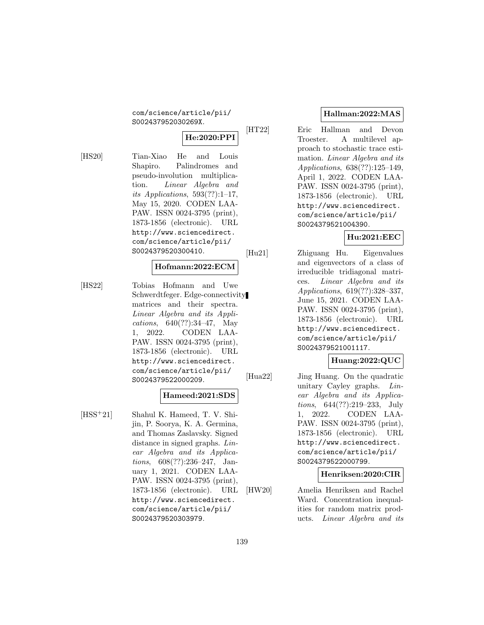com/science/article/pii/ S002437952030269X.

# **He:2020:PPI**

[HS20] Tian-Xiao He and Louis Shapiro. Palindromes and pseudo-involution multiplication. Linear Algebra and its Applications, 593(??):1–17, May 15, 2020. CODEN LAA-PAW. ISSN 0024-3795 (print), 1873-1856 (electronic). URL http://www.sciencedirect. com/science/article/pii/ S0024379520300410.

### **Hofmann:2022:ECM**

[HS22] Tobias Hofmann and Uwe Schwerdtfeger. Edge-connectivity matrices and their spectra. Linear Algebra and its Applications, 640(??):34–47, May 1, 2022. CODEN LAA-PAW. ISSN 0024-3795 (print), 1873-1856 (electronic). URL http://www.sciencedirect. com/science/article/pii/ S0024379522000209.

# **Hameed:2021:SDS**

[HSS<sup>+</sup>21] Shahul K. Hameed, T. V. Shijin, P. Soorya, K. A. Germina, and Thomas Zaslavsky. Signed distance in signed graphs. Linear Algebra and its Applications, 608(??):236–247, January 1, 2021. CODEN LAA-PAW. ISSN 0024-3795 (print), 1873-1856 (electronic). URL http://www.sciencedirect. com/science/article/pii/ S0024379520303979.

# **Hallman:2022:MAS**

[HT22] Eric Hallman and Devon Troester. A multilevel approach to stochastic trace estimation. Linear Algebra and its Applications, 638(??):125–149, April 1, 2022. CODEN LAA-PAW. ISSN 0024-3795 (print), 1873-1856 (electronic). URL http://www.sciencedirect. com/science/article/pii/ S0024379521004390.

# **Hu:2021:EEC**

[Hu21] Zhiguang Hu. Eigenvalues and eigenvectors of a class of irreducible tridiagonal matrices. Linear Algebra and its Applications, 619(??):328–337, June 15, 2021. CODEN LAA-PAW. ISSN 0024-3795 (print), 1873-1856 (electronic). URL http://www.sciencedirect. com/science/article/pii/ S0024379521001117.

# **Huang:2022:QUC**

[Hua22] Jing Huang. On the quadratic unitary Cayley graphs. Linear Algebra and its Applications, 644(??):219–233, July 1, 2022. CODEN LAA-PAW. ISSN 0024-3795 (print), 1873-1856 (electronic). URL http://www.sciencedirect. com/science/article/pii/ S0024379522000799.

### **Henriksen:2020:CIR**

[HW20] Amelia Henriksen and Rachel Ward. Concentration inequalities for random matrix products. Linear Algebra and its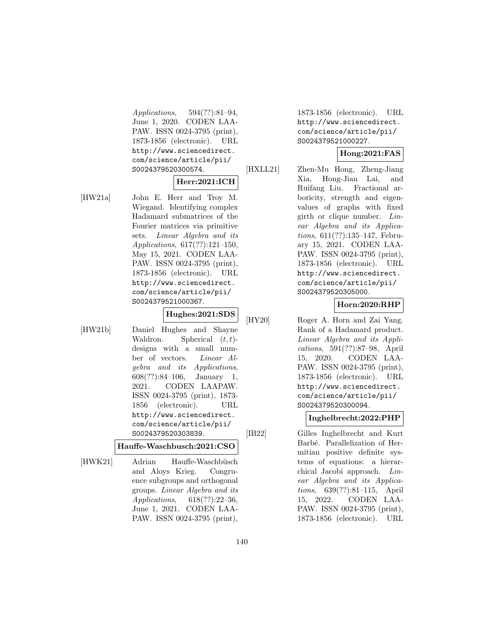Applications, 594(??):81–94, June 1, 2020. CODEN LAA-PAW. ISSN 0024-3795 (print), 1873-1856 (electronic). URL http://www.sciencedirect. com/science/article/pii/ S0024379520300574.

### **Herr:2021:ICH**

[HW21a] John E. Herr and Troy M. Wiegand. Identifying complex Hadamard submatrices of the Fourier matrices via primitive sets. Linear Algebra and its Applications, 617(??):121–150, May 15, 2021. CODEN LAA-PAW. ISSN 0024-3795 (print), 1873-1856 (electronic). URL http://www.sciencedirect. com/science/article/pii/ S0024379521000367.

**Hughes:2021:SDS**

[HW21b] Daniel Hughes and Shayne Waldron. Spherical  $(t, t)$ designs with a small number of vectors. Linear Algebra and its Applications, 608(??):84–106, January 1, 2021. CODEN LAAPAW. ISSN 0024-3795 (print), 1873- 1856 (electronic). URL http://www.sciencedirect. com/science/article/pii/ S0024379520303839.

#### **Hauffe-Waschbusch:2021:CSO**

[HWK21] Adrian Hauffe-Waschbüsch and Aloys Krieg. Congruence subgroups and orthogonal groups. Linear Algebra and its Applications, 618(??):22–36, June 1, 2021. CODEN LAA-PAW. ISSN 0024-3795 (print),

1873-1856 (electronic). URL http://www.sciencedirect. com/science/article/pii/ S0024379521000227.

# **Hong:2021:FAS**

[HXLL21] Zhen-Mu Hong, Zheng-Jiang Xia, Hong-Jian Lai, and Ruifang Liu. Fractional arboricity, strength and eigenvalues of graphs with fixed girth or clique number.  $Lin$ ear Algebra and its Applications, 611(??):135–147, February 15, 2021. CODEN LAA-PAW. ISSN 0024-3795 (print), 1873-1856 (electronic). URL http://www.sciencedirect. com/science/article/pii/ S0024379520305000.

### **Horn:2020:RHP**

[HY20] Roger A. Horn and Zai Yang. Rank of a Hadamard product. Linear Algebra and its Applications, 591(??):87–98, April 15, 2020. CODEN LAA-PAW. ISSN 0024-3795 (print), 1873-1856 (electronic). URL http://www.sciencedirect. com/science/article/pii/ S0024379520300094.

# **Inghelbrecht:2022:PHP**

[IB22] Gilles Inghelbrecht and Kurt Barbé. Parallelization of Hermitian positive definite systems of equations: a hierarchical Jacobi approach. Linear Algebra and its Applications, 639(??):81–115, April 15, 2022. CODEN LAA-PAW. ISSN 0024-3795 (print), 1873-1856 (electronic). URL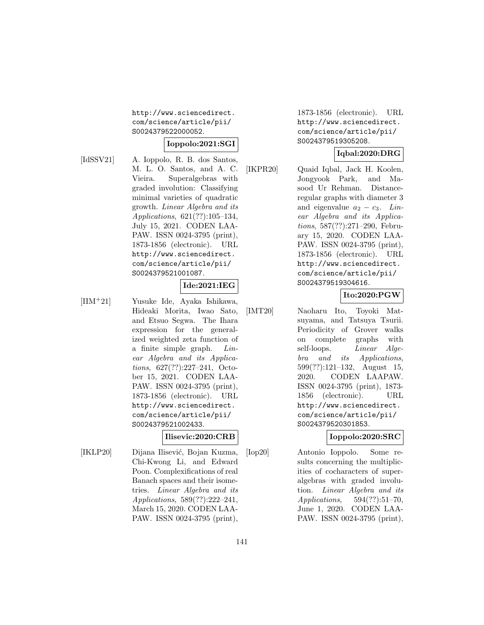http://www.sciencedirect. com/science/article/pii/ S0024379522000052.

# **Ioppolo:2021:SGI**

[IdSSV21] A. Ioppolo, R. B. dos Santos, M. L. O. Santos, and A. C. Vieira. Superalgebras with graded involution: Classifying minimal varieties of quadratic growth. Linear Algebra and its Applications, 621(??):105–134, July 15, 2021. CODEN LAA-PAW. ISSN 0024-3795 (print), 1873-1856 (electronic). URL http://www.sciencedirect. com/science/article/pii/ S0024379521001087.

### **Ide:2021:IEG**

[IIM<sup>+</sup>21] Yusuke Ide, Ayaka Ishikawa, Hideaki Morita, Iwao Sato, and Etsuo Segwa. The Ihara expression for the generalized weighted zeta function of a finite simple graph. Linear Algebra and its Applications, 627(??):227–241, October 15, 2021. CODEN LAA-PAW. ISSN 0024-3795 (print), 1873-1856 (electronic). URL http://www.sciencedirect. com/science/article/pii/ S0024379521002433.

### **Ilisevic:2020:CRB**

[IKLP20] Dijana Ilisević, Bojan Kuzma, Chi-Kwong Li, and Edward Poon. Complexifications of real Banach spaces and their isometries. Linear Algebra and its Applications, 589(??):222–241, March 15, 2020. CODEN LAA-PAW. ISSN 0024-3795 (print),

1873-1856 (electronic). URL http://www.sciencedirect. com/science/article/pii/ S0024379519305208.

### **Iqbal:2020:DRG**

[IKPR20] Quaid Iqbal, Jack H. Koolen, Jongyook Park, and Masood Ur Rehman. Distanceregular graphs with diameter 3 and eigenvalue  $a_2 - c_3$ . Linear Algebra and its Applications, 587(??):271–290, February 15, 2020. CODEN LAA-PAW. ISSN 0024-3795 (print), 1873-1856 (electronic). URL http://www.sciencedirect. com/science/article/pii/ S0024379519304616.

# **Ito:2020:PGW**

[IMT20] Naoharu Ito, Toyoki Matsuyama, and Tatsuya Tsurii. Periodicity of Grover walks on complete graphs with self-loops. *Linear* Algebra and its Applications, 599(??):121–132, August 15, 2020. CODEN LAAPAW. ISSN 0024-3795 (print), 1873- 1856 (electronic). URL http://www.sciencedirect. com/science/article/pii/ S0024379520301853.

#### **Ioppolo:2020:SRC**

[Iop20] Antonio Ioppolo. Some results concerning the multiplicities of cocharacters of superalgebras with graded involution. Linear Algebra and its Applications, 594(??):51–70, June 1, 2020. CODEN LAA-PAW. ISSN 0024-3795 (print),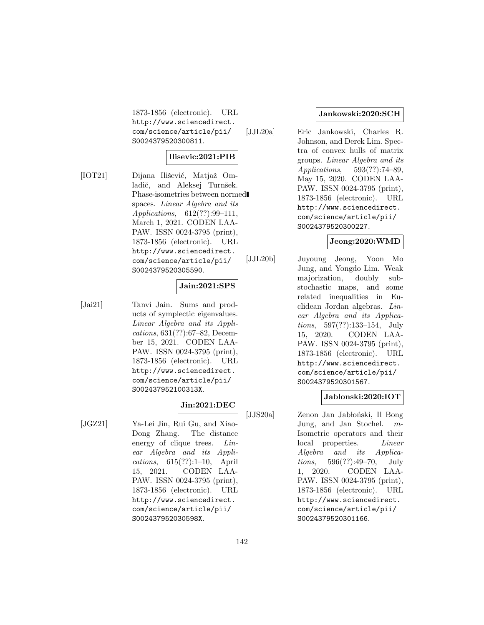1873-1856 (electronic). URL http://www.sciencedirect. com/science/article/pii/ S0024379520300811.

### **Ilisevic:2021:PIB**

[IOT21] Dijana Ilišević, Matjaž Omladič, and Aleksej Turnšek. Phase-isometries between normed spaces. Linear Algebra and its Applications, 612(??):99–111, March 1, 2021. CODEN LAA-PAW. ISSN 0024-3795 (print), 1873-1856 (electronic). URL http://www.sciencedirect. com/science/article/pii/ S0024379520305590.

# **Jain:2021:SPS**

[Jai21] Tanvi Jain. Sums and products of symplectic eigenvalues. Linear Algebra and its Applications, 631(??):67–82, December 15, 2021. CODEN LAA-PAW. ISSN 0024-3795 (print), 1873-1856 (electronic). URL http://www.sciencedirect. com/science/article/pii/ S002437952100313X.

# **Jin:2021:DEC**

[JGZ21] Ya-Lei Jin, Rui Gu, and Xiao-Dong Zhang. The distance energy of clique trees. Linear Algebra and its Applications, 615(??):1–10, April 15, 2021. CODEN LAA-PAW. ISSN 0024-3795 (print), 1873-1856 (electronic). URL http://www.sciencedirect. com/science/article/pii/ S002437952030598X.

#### **Jankowski:2020:SCH**

[JJL20a] Eric Jankowski, Charles R. Johnson, and Derek Lim. Spectra of convex hulls of matrix groups. Linear Algebra and its Applications, 593(??):74–89, May 15, 2020. CODEN LAA-PAW. ISSN 0024-3795 (print), 1873-1856 (electronic). URL http://www.sciencedirect. com/science/article/pii/ S0024379520300227.

#### **Jeong:2020:WMD**

[JJL20b] Juyoung Jeong, Yoon Mo Jung, and Yongdo Lim. Weak majorization, doubly substochastic maps, and some related inequalities in Euclidean Jordan algebras. Linear Algebra and its Applications, 597(??):133–154, July 15, 2020. CODEN LAA-PAW. ISSN 0024-3795 (print), 1873-1856 (electronic). URL http://www.sciencedirect. com/science/article/pii/ S0024379520301567.

#### **Jablonski:2020:IOT**

[JJS20a] Zenon Jan Jabłoński, Il Bong Jung, and Jan Stochel. m-Isometric operators and their local properties. Linear Algebra and its Applications, 596(??):49–70, July 1, 2020. CODEN LAA-PAW. ISSN 0024-3795 (print), 1873-1856 (electronic). URL http://www.sciencedirect. com/science/article/pii/ S0024379520301166.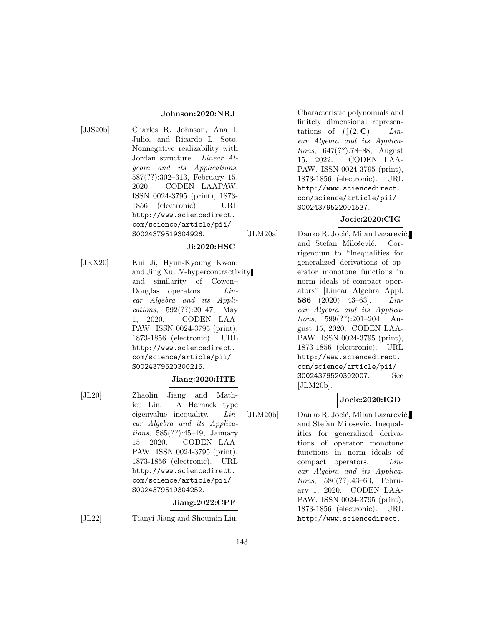#### **Johnson:2020:NRJ**

- [JJS20b] Charles R. Johnson, Ana I. Julio, and Ricardo L. Soto. Nonnegative realizability with Jordan structure. Linear Algebra and its Applications, 587(??):302–313, February 15, 2020. CODEN LAAPAW. ISSN 0024-3795 (print), 1873- 1856 (electronic). URL http://www.sciencedirect. com/science/article/pii/ S0024379519304926.
	-

**Ji:2020:HSC**

[JKX20] Kui Ji, Hyun-Kyoung Kwon, and Jing Xu. N-hypercontractivity and similarity of Cowen– Douglas operators. *Lin*ear Algebra and its Applications, 592(??):20–47, May 1, 2020. CODEN LAA-PAW. ISSN 0024-3795 (print), 1873-1856 (electronic). URL http://www.sciencedirect. com/science/article/pii/ S0024379520300215.

### **Jiang:2020:HTE**

[JL20] Zhaolin Jiang and Mathieu Lin. A Harnack type eigenvalue inequality. Linear Algebra and its Applications, 585(??):45–49, January 15, 2020. CODEN LAA-PAW. ISSN 0024-3795 (print), 1873-1856 (electronic). URL http://www.sciencedirect. com/science/article/pii/ S0024379519304252.

#### **Jiang:2022:CPF**

[JL22] Tianyi Jiang and Shoumin Liu.

Characteristic polynomials and finitely dimensional representations of  $\int (2, \mathbf{C})$ . Linear Algebra and its Applications, 647(??):78–88, August 15, 2022. CODEN LAA-PAW. ISSN 0024-3795 (print), 1873-1856 (electronic). URL http://www.sciencedirect. com/science/article/pii/ S0024379522001537.

# **Jocic:2020:CIG**

[JLM20a] Danko R. Jocić, Milan Lazarević, and Stefan Milošević. Corrigendum to "Inequalities for generalized derivations of operator monotone functions in norm ideals of compact operators" [Linear Algebra Appl. **586** (2020) 43–63]. Linear Algebra and its Applications, 599(??):201–204, August 15, 2020. CODEN LAA-PAW. ISSN 0024-3795 (print), 1873-1856 (electronic). URL http://www.sciencedirect. com/science/article/pii/ S0024379520302007. See [JLM20b].

# **Jocic:2020:IGD**

[JLM20b] Danko R. Jocić, Milan Lazarević, and Stefan Milosević. Inequalities for generalized derivations of operator monotone functions in norm ideals of compact operators. Linear Algebra and its Applications, 586(??):43–63, February 1, 2020. CODEN LAA-PAW. ISSN 0024-3795 (print), 1873-1856 (electronic). URL http://www.sciencedirect.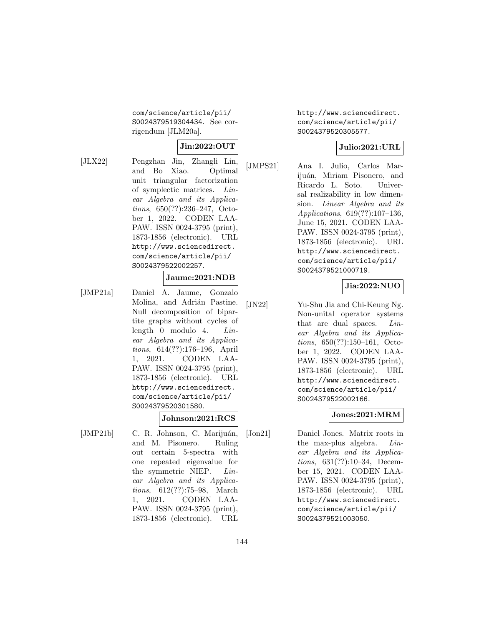com/science/article/pii/ S0024379519304434. See corrigendum [JLM20a].

# **Jin:2022:OUT**

[JLX22] Pengzhan Jin, Zhangli Lin, and Bo Xiao. Optimal unit triangular factorization of symplectic matrices. Linear Algebra and its Applications, 650(??):236–247, October 1, 2022. CODEN LAA-PAW. ISSN 0024-3795 (print), 1873-1856 (electronic). URL http://www.sciencedirect. com/science/article/pii/ S0024379522002257.

### **Jaume:2021:NDB**

[JMP21a] Daniel A. Jaume, Gonzalo Molina, and Adrián Pastine. Null decomposition of bipartite graphs without cycles of length 0 modulo 4. Linear Algebra and its Applications, 614(??):176–196, April 1, 2021. CODEN LAA-PAW. ISSN 0024-3795 (print), 1873-1856 (electronic). URL http://www.sciencedirect. com/science/article/pii/ S0024379520301580.

### **Johnson:2021:RCS**

[JMP21b] C. R. Johnson, C. Marijuán, and M. Pisonero. Ruling out certain 5-spectra with one repeated eigenvalue for the symmetric NIEP. Linear Algebra and its Applications, 612(??):75–98, March 1, 2021. CODEN LAA-PAW. ISSN 0024-3795 (print), 1873-1856 (electronic). URL http://www.sciencedirect. com/science/article/pii/ S0024379520305577.

### **Julio:2021:URL**

[JMPS21] Ana I. Julio, Carlos Marijuán, Miriam Pisonero, and Ricardo L. Soto. Universal realizability in low dimension. Linear Algebra and its Applications, 619(??):107–136, June 15, 2021. CODEN LAA-PAW. ISSN 0024-3795 (print), 1873-1856 (electronic). URL http://www.sciencedirect. com/science/article/pii/ S0024379521000719.

# **Jia:2022:NUO**

[JN22] Yu-Shu Jia and Chi-Keung Ng. Non-unital operator systems that are dual spaces. Linear Algebra and its Applications, 650(??):150–161, October 1, 2022. CODEN LAA-PAW. ISSN 0024-3795 (print), 1873-1856 (electronic). URL http://www.sciencedirect. com/science/article/pii/ S0024379522002166.

### **Jones:2021:MRM**

[Jon21] Daniel Jones. Matrix roots in the max-plus algebra. Linear Algebra and its Applications, 631(??):10–34, December 15, 2021. CODEN LAA-PAW. ISSN 0024-3795 (print), 1873-1856 (electronic). URL http://www.sciencedirect. com/science/article/pii/ S0024379521003050.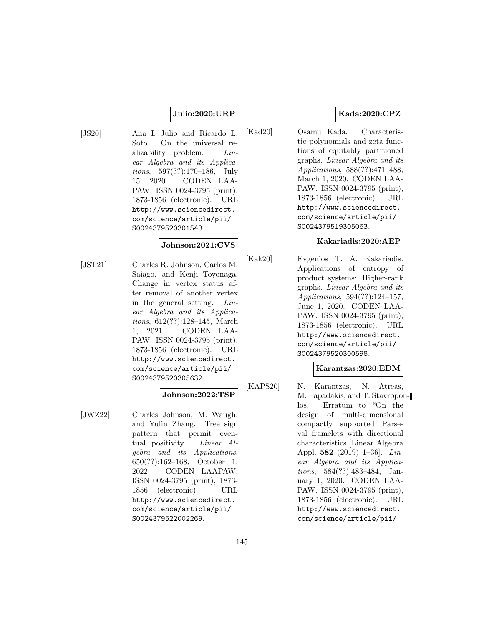### **Julio:2020:URP**

[JS20] Ana I. Julio and Ricardo L. Soto. On the universal realizability problem. *Lin*ear Algebra and its Applications, 597(??):170–186, July 15, 2020. CODEN LAA-PAW. ISSN 0024-3795 (print), 1873-1856 (electronic). URL http://www.sciencedirect. com/science/article/pii/ S0024379520301543.

## **Johnson:2021:CVS**

[JST21] Charles R. Johnson, Carlos M. Saiago, and Kenji Toyonaga. Change in vertex status after removal of another vertex in the general setting. Linear Algebra and its Applications, 612(??):128–145, March 1, 2021. CODEN LAA-PAW. ISSN 0024-3795 (print), 1873-1856 (electronic). URL http://www.sciencedirect. com/science/article/pii/ S0024379520305632.

### **Johnson:2022:TSP**

[JWZ22] Charles Johnson, M. Waugh, and Yulin Zhang. Tree sign pattern that permit eventual positivity. *Linear Al*gebra and its Applications, 650(??):162–168, October 1, 2022. CODEN LAAPAW. ISSN 0024-3795 (print), 1873- 1856 (electronic). URL http://www.sciencedirect. com/science/article/pii/ S0024379522002269.

## **Kada:2020:CPZ**

[Kad20] Osamu Kada. Characteristic polynomials and zeta functions of equitably partitioned graphs. Linear Algebra and its Applications, 588(??):471–488, March 1, 2020. CODEN LAA-PAW. ISSN 0024-3795 (print), 1873-1856 (electronic). URL http://www.sciencedirect. com/science/article/pii/ S0024379519305063.

### **Kakariadis:2020:AEP**

[Kak20] Evgenios T. A. Kakariadis. Applications of entropy of product systems: Higher-rank graphs. Linear Algebra and its Applications, 594(??):124–157, June 1, 2020. CODEN LAA-PAW. ISSN 0024-3795 (print), 1873-1856 (electronic). URL http://www.sciencedirect. com/science/article/pii/ S0024379520300598.

### **Karantzas:2020:EDM**

[KAPS20] N. Karantzas, N. Atreas, M. Papadakis, and T. Stavropoulos. Erratum to "On the design of multi-dimensional compactly supported Parseval framelets with directional characteristics [Linear Algebra Appl. **582** (2019) 1–36]. Linear Algebra and its Applications, 584(??):483–484, January 1, 2020. CODEN LAA-PAW. ISSN 0024-3795 (print), 1873-1856 (electronic). URL http://www.sciencedirect. com/science/article/pii/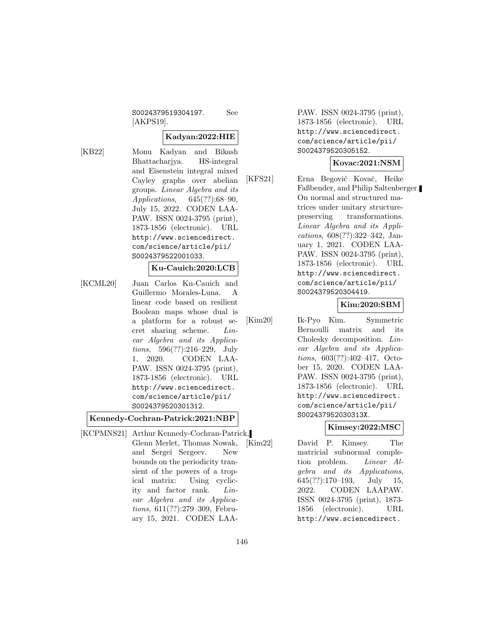S0024379519304197. See [AKPS19].

## **Kadyan:2022:HIE**

[KB22] Monu Kadyan and Bikash Bhattacharjya. HS-integral and Eisenstein integral mixed Cayley graphs over abelian groups. Linear Algebra and its Applications, 645(??):68–90, July 15, 2022. CODEN LAA-PAW. ISSN 0024-3795 (print), 1873-1856 (electronic). URL http://www.sciencedirect. com/science/article/pii/ S0024379522001033.

#### **Ku-Cauich:2020:LCB**

[KCML20] Juan Carlos Ku-Cauich and Guillermo Morales-Luna. A linear code based on resilient Boolean maps whose dual is a platform for a robust secret sharing scheme. Linear Algebra and its Applications, 596(??):216–229, July 1, 2020. CODEN LAA-PAW. ISSN 0024-3795 (print), 1873-1856 (electronic). URL http://www.sciencedirect. com/science/article/pii/ S0024379520301312.

#### **Kennedy-Cochran-Patrick:2021:NBP**

[KCPMNS21] Arthur Kennedy-Cochran-Patrick, Glenn Merlet, Thomas Nowak, and Sergeï Sergeev. New bounds on the periodicity transient of the powers of a tropical matrix: Using cyclicity and factor rank. Linear Algebra and its Applications, 611(??):279–309, February 15, 2021. CODEN LAA-

PAW. ISSN 0024-3795 (print), 1873-1856 (electronic). URL http://www.sciencedirect. com/science/article/pii/ S0024379520305152.

#### **Kovac:2021:NSM**

[KFS21] Erna Begović Kovač, Heike Faßbender, and Philip Saltenberger. On normal and structured matrices under unitary structurepreserving transformations. Linear Algebra and its Applications, 608(??):322–342, January 1, 2021. CODEN LAA-PAW. ISSN 0024-3795 (print), 1873-1856 (electronic). URL http://www.sciencedirect. com/science/article/pii/ S0024379520304419.

### **Kim:2020:SBM**

[Kim20] Ik-Pyo Kim. Symmetric Bernoulli matrix and its Cholesky decomposition. Linear Algebra and its Applications, 603(??):402–417, October 15, 2020. CODEN LAA-PAW. ISSN 0024-3795 (print), 1873-1856 (electronic). URL http://www.sciencedirect. com/science/article/pii/ S002437952030313X.

**Kimsey:2022:MSC**

[Kim22] David P. Kimsey. The matricial subnormal completion problem. Linear Algebra and its Applications, 645(??):170–193, July 15, 2022. CODEN LAAPAW. ISSN 0024-3795 (print), 1873- 1856 (electronic). URL http://www.sciencedirect.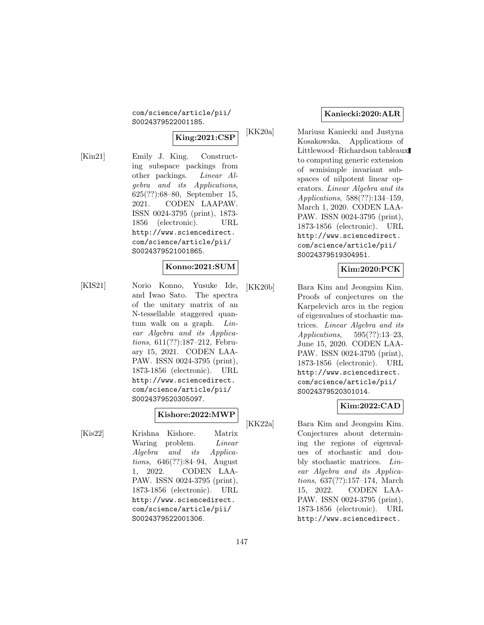com/science/article/pii/ S0024379522001185.

# **King:2021:CSP**

[Kin21] Emily J. King. Constructing subspace packings from other packings. Linear Algebra and its Applications, 625(??):68–80, September 15, 2021. CODEN LAAPAW. ISSN 0024-3795 (print), 1873- 1856 (electronic). URL http://www.sciencedirect. com/science/article/pii/ S0024379521001865.

## **Konno:2021:SUM**

[KIS21] Norio Konno, Yusuke Ide, and Iwao Sato. The spectra of the unitary matrix of an N-tessellable staggered quantum walk on a graph. Linear Algebra and its Applications, 611(??):187–212, February 15, 2021. CODEN LAA-PAW. ISSN 0024-3795 (print), 1873-1856 (electronic). URL http://www.sciencedirect. com/science/article/pii/ S0024379520305097.

## **Kishore:2022:MWP**

[Kis22] Krishna Kishore. Matrix Waring problem. *Linear* Algebra and its Applications, 646(??):84–94, August 1, 2022. CODEN LAA-PAW. ISSN 0024-3795 (print), 1873-1856 (electronic). URL http://www.sciencedirect. com/science/article/pii/ S0024379522001306.

## **Kaniecki:2020:ALR**

[KK20a] Mariusz Kaniecki and Justyna Kosakowska. Applications of Littlewood–Richardson tableaux to computing generic extension of semisimple invariant subspaces of nilpotent linear operators. Linear Algebra and its Applications, 588(??):134–159, March 1, 2020. CODEN LAA-PAW. ISSN 0024-3795 (print), 1873-1856 (electronic). URL http://www.sciencedirect. com/science/article/pii/ S0024379519304951.

## **Kim:2020:PCK**

[KK20b] Bara Kim and Jeongsim Kim. Proofs of conjectures on the Karpelevich arcs in the region of eigenvalues of stochastic matrices. Linear Algebra and its Applications, 595(??):13–23, June 15, 2020. CODEN LAA-PAW. ISSN 0024-3795 (print), 1873-1856 (electronic). URL http://www.sciencedirect. com/science/article/pii/ S0024379520301014.

## **Kim:2022:CAD**

[KK22a] Bara Kim and Jeongsim Kim. Conjectures about determining the regions of eigenvalues of stochastic and doubly stochastic matrices. Linear Algebra and its Applications, 637(??):157–174, March 15, 2022. CODEN LAA-PAW. ISSN 0024-3795 (print), 1873-1856 (electronic). URL http://www.sciencedirect.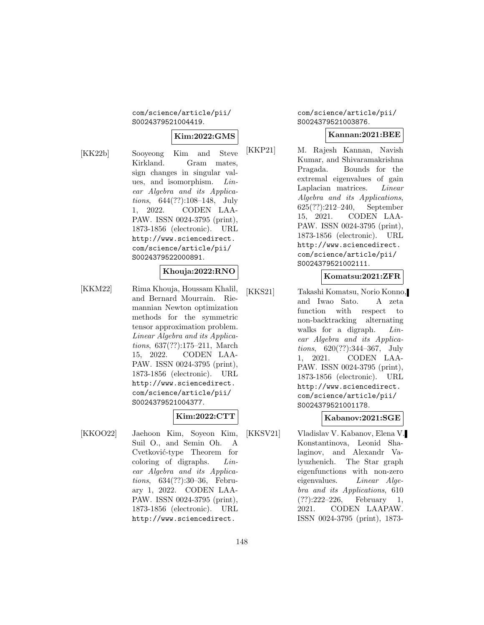com/science/article/pii/ S0024379521004419.

# **Kim:2022:GMS**

[KK22b] Sooyeong Kim and Steve Kirkland. Gram mates, sign changes in singular values, and isomorphism. Linear Algebra and its Applications, 644(??):108–148, July 1, 2022. CODEN LAA-PAW. ISSN 0024-3795 (print), 1873-1856 (electronic). URL http://www.sciencedirect. com/science/article/pii/ S0024379522000891.

## **Khouja:2022:RNO**

[KKM22] Rima Khouja, Houssam Khalil, and Bernard Mourrain. Riemannian Newton optimization methods for the symmetric tensor approximation problem. Linear Algebra and its Applications, 637(??):175–211, March 15, 2022. CODEN LAA-PAW. ISSN 0024-3795 (print), 1873-1856 (electronic). URL http://www.sciencedirect. com/science/article/pii/ S0024379521004377.

# **Kim:2022:CTT**

[KKOO22] Jaehoon Kim, Soyeon Kim, Suil O., and Semin Oh. A Cvetković-type Theorem for coloring of digraphs. Linear Algebra and its Applications, 634(??):30–36, February 1, 2022. CODEN LAA-PAW. ISSN 0024-3795 (print), 1873-1856 (electronic). URL http://www.sciencedirect.

com/science/article/pii/ S0024379521003876.

### **Kannan:2021:BEE**

[KKP21] M. Rajesh Kannan, Navish Kumar, and Shivaramakrishna Pragada. Bounds for the extremal eigenvalues of gain Laplacian matrices. Linear Algebra and its Applications, 625(??):212–240, September 15, 2021. CODEN LAA-PAW. ISSN 0024-3795 (print), 1873-1856 (electronic). URL http://www.sciencedirect. com/science/article/pii/ S0024379521002111.

### **Komatsu:2021:ZFR**

[KKS21] Takashi Komatsu, Norio Konno, and Iwao Sato. A zeta function with respect to non-backtracking alternating walks for a digraph. *Lin*ear Algebra and its Applications, 620(??):344–367, July 1, 2021. CODEN LAA-PAW. ISSN 0024-3795 (print), 1873-1856 (electronic). URL http://www.sciencedirect. com/science/article/pii/ S0024379521001178.

## **Kabanov:2021:SGE**

[KKSV21] Vladislav V. Kabanov, Elena V. Konstantinova, Leonid Shalaginov, and Alexandr Valyuzhenich. The Star graph eigenfunctions with non-zero eigenvalues. Linear Algebra and its Applications, 610 (??):222–226, February 1, 2021. CODEN LAAPAW. ISSN 0024-3795 (print), 1873-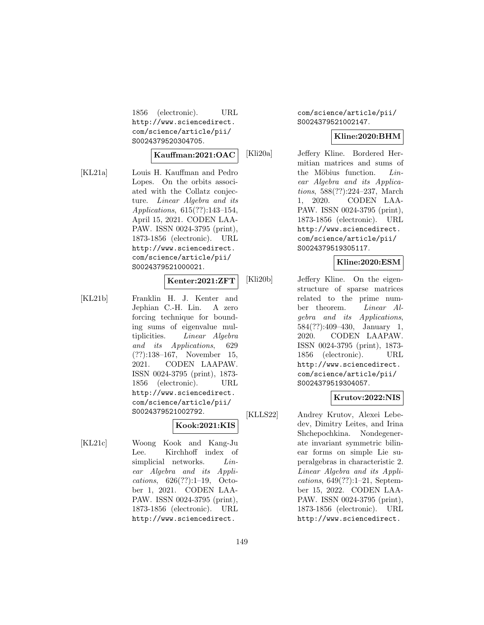1856 (electronic). URL http://www.sciencedirect. com/science/article/pii/ S0024379520304705.

### **Kauffman:2021:OAC**

[KL21a] Louis H. Kauffman and Pedro Lopes. On the orbits associated with the Collatz conjecture. Linear Algebra and its Applications, 615(??):143–154, April 15, 2021. CODEN LAA-PAW. ISSN 0024-3795 (print), 1873-1856 (electronic). URL http://www.sciencedirect. com/science/article/pii/ S0024379521000021.

#### **Kenter:2021:ZFT**

[KL21b] Franklin H. J. Kenter and Jephian C.-H. Lin. A zero forcing technique for bounding sums of eigenvalue multiplicities. Linear Algebra and its Applications, 629 (??):138–167, November 15, 2021. CODEN LAAPAW. ISSN 0024-3795 (print), 1873- 1856 (electronic). URL http://www.sciencedirect. com/science/article/pii/ S0024379521002792.

## **Kook:2021:KIS**

[KL21c] Woong Kook and Kang-Ju Lee. Kirchhoff index of simplicial networks. *Lin*ear Algebra and its Applications, 626(??):1–19, October 1, 2021. CODEN LAA-PAW. ISSN 0024-3795 (print), 1873-1856 (electronic). URL http://www.sciencedirect.

## com/science/article/pii/ S0024379521002147.

# **Kline:2020:BHM**

[Kli20a] Jeffery Kline. Bordered Hermitian matrices and sums of the Möbius function.  $Lin$ ear Algebra and its Applications, 588(??):224–237, March 1, 2020. CODEN LAA-PAW. ISSN 0024-3795 (print), 1873-1856 (electronic). URL http://www.sciencedirect. com/science/article/pii/ S0024379519305117.

# **Kline:2020:ESM**

[Kli20b] Jeffery Kline. On the eigenstructure of sparse matrices related to the prime number theorem. Linear Algebra and its Applications, 584(??):409–430, January 1, 2020. CODEN LAAPAW. ISSN 0024-3795 (print), 1873- 1856 (electronic). URL http://www.sciencedirect. com/science/article/pii/ S0024379519304057.

### **Krutov:2022:NIS**

[KLLS22] Andrey Krutov, Alexei Lebedev, Dimitry Leites, and Irina Shchepochkina. Nondegenerate invariant symmetric bilinear forms on simple Lie superalgebras in characteristic 2. Linear Algebra and its Applications, 649(??):1–21, September 15, 2022. CODEN LAA-PAW. ISSN 0024-3795 (print), 1873-1856 (electronic). URL http://www.sciencedirect.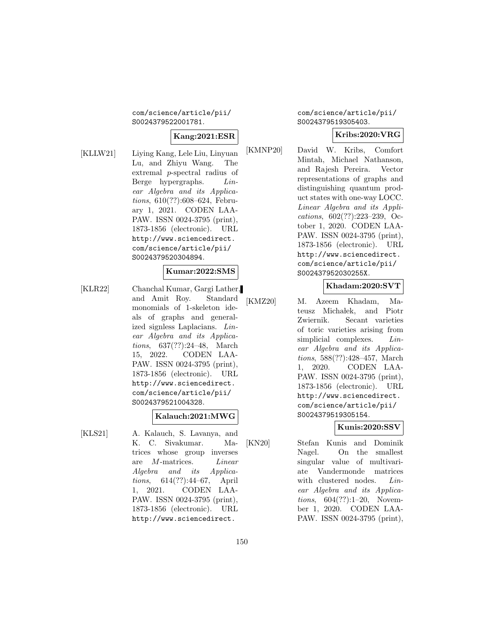com/science/article/pii/ S0024379522001781.

#### **Kang:2021:ESR**

[KLLW21] Liying Kang, Lele Liu, Linyuan Lu, and Zhiyu Wang. The extremal p-spectral radius of Berge hypergraphs. Linear Algebra and its Applications, 610(??):608–624, February 1, 2021. CODEN LAA-PAW. ISSN 0024-3795 (print), 1873-1856 (electronic). URL http://www.sciencedirect. com/science/article/pii/ S0024379520304894.

## **Kumar:2022:SMS**

[KLR22] Chanchal Kumar, Gargi Lather, and Amit Roy. Standard monomials of 1-skeleton ideals of graphs and generalized signless Laplacians. Linear Algebra and its Applications, 637(??):24–48, March 15, 2022. CODEN LAA-PAW. ISSN 0024-3795 (print), 1873-1856 (electronic). URL http://www.sciencedirect. com/science/article/pii/ S0024379521004328.

## **Kalauch:2021:MWG**

[KLS21] A. Kalauch, S. Lavanya, and K. C. Sivakumar. Matrices whose group inverses are M-matrices. Linear Algebra and its Applications, 614(??):44–67, April 1, 2021. CODEN LAA-PAW. ISSN 0024-3795 (print), 1873-1856 (electronic). URL http://www.sciencedirect.

com/science/article/pii/ S0024379519305403.

### **Kribs:2020:VRG**

[KMNP20] David W. Kribs, Comfort Mintah, Michael Nathanson, and Rajesh Pereira. Vector representations of graphs and distinguishing quantum product states with one-way LOCC. Linear Algebra and its Applications, 602(??):223–239, October 1, 2020. CODEN LAA-PAW. ISSN 0024-3795 (print), 1873-1856 (electronic). URL http://www.sciencedirect. com/science/article/pii/ S002437952030255X.

## **Khadam:2020:SVT**

[KMZ20] M. Azeem Khadam, Mateusz Michałek, and Piotr Zwiernik. Secant varieties of toric varieties arising from simplicial complexes. *Lin*ear Algebra and its Applications, 588(??):428–457, March 1, 2020. CODEN LAA-PAW. ISSN 0024-3795 (print), 1873-1856 (electronic). URL http://www.sciencedirect. com/science/article/pii/ S0024379519305154.

## **Kunis:2020:SSV**

[KN20] Stefan Kunis and Dominik Nagel. On the smallest singular value of multivariate Vandermonde matrices with clustered nodes. *Lin*ear Algebra and its Applications, 604(??):1–20, November 1, 2020. CODEN LAA-PAW. ISSN 0024-3795 (print),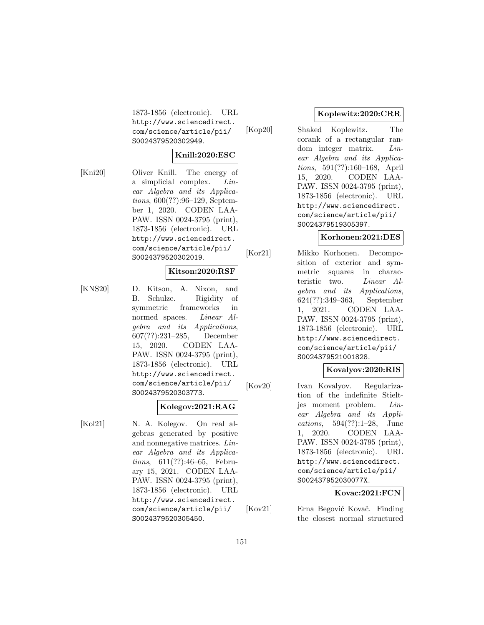1873-1856 (electronic). URL http://www.sciencedirect. com/science/article/pii/ S0024379520302949.

### **Knill:2020:ESC**

[Kni20] Oliver Knill. The energy of a simplicial complex. Linear Algebra and its Applications, 600(??):96–129, September 1, 2020. CODEN LAA-PAW. ISSN 0024-3795 (print), 1873-1856 (electronic). URL http://www.sciencedirect. com/science/article/pii/ S0024379520302019.

## **Kitson:2020:RSF**

[KNS20] D. Kitson, A. Nixon, and B. Schulze. Rigidity of symmetric frameworks in normed spaces. Linear Algebra and its Applications, 607(??):231–285, December 15, 2020. CODEN LAA-PAW. ISSN 0024-3795 (print), 1873-1856 (electronic). URL http://www.sciencedirect. com/science/article/pii/ S0024379520303773.

### **Kolegov:2021:RAG**

[Kol21] N. A. Kolegov. On real algebras generated by positive and nonnegative matrices. Linear Algebra and its Applications, 611(??):46–65, February 15, 2021. CODEN LAA-PAW. ISSN 0024-3795 (print), 1873-1856 (electronic). URL http://www.sciencedirect. com/science/article/pii/ S0024379520305450.

### **Koplewitz:2020:CRR**

[Kop20] Shaked Koplewitz. The corank of a rectangular random integer matrix. Linear Algebra and its Applications, 591(??):160–168, April 15, 2020. CODEN LAA-PAW. ISSN 0024-3795 (print), 1873-1856 (electronic). URL http://www.sciencedirect. com/science/article/pii/ S0024379519305397.

### **Korhonen:2021:DES**

[Kor21] Mikko Korhonen. Decomposition of exterior and symmetric squares in characteristic two. Linear Algebra and its Applications, 624(??):349–363, September 1, 2021. CODEN LAA-PAW. ISSN 0024-3795 (print), 1873-1856 (electronic). URL http://www.sciencedirect. com/science/article/pii/ S0024379521001828.

## **Kovalyov:2020:RIS**

[Kov20] Ivan Kovalyov. Regularization of the indefinite Stieltjes moment problem. Linear Algebra and its Applications, 594(??):1–28, June 1, 2020. CODEN LAA-PAW. ISSN 0024-3795 (print), 1873-1856 (electronic). URL http://www.sciencedirect. com/science/article/pii/ S002437952030077X.

**Kovac:2021:FCN**

[Kov21] Erna Begović Kovač. Finding the closest normal structured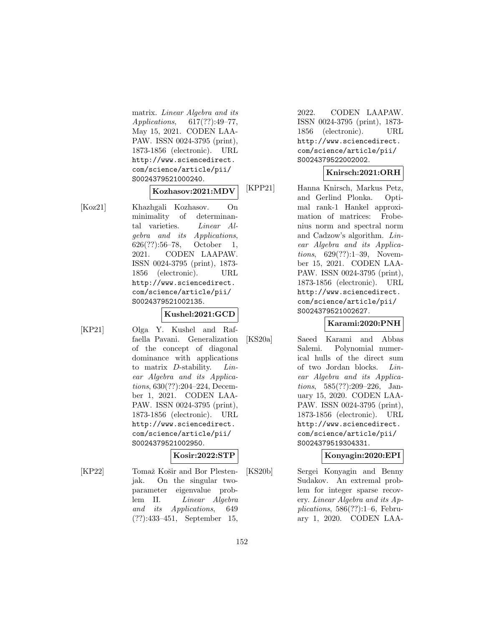matrix. Linear Algebra and its Applications, 617(??):49–77, May 15, 2021. CODEN LAA-PAW. ISSN 0024-3795 (print), 1873-1856 (electronic). URL http://www.sciencedirect. com/science/article/pii/ S0024379521000240.

### **Kozhasov:2021:MDV**

[Koz21] Khazhgali Kozhasov. On minimality of determinantal varieties. Linear Algebra and its Applications, 626(??):56–78, October 1, 2021. CODEN LAAPAW. ISSN 0024-3795 (print), 1873- 1856 (electronic). URL http://www.sciencedirect. com/science/article/pii/ S0024379521002135.

## **Kushel:2021:GCD**

[KP21] Olga Y. Kushel and Raffaella Pavani. Generalization of the concept of diagonal dominance with applications to matrix D-stability. Linear Algebra and its Applications, 630(??):204–224, December 1, 2021. CODEN LAA-PAW. ISSN 0024-3795 (print), 1873-1856 (electronic). URL http://www.sciencedirect. com/science/article/pii/ S0024379521002950.

## **Kosir:2022:STP**

[KP22] Tomaž Košir and Bor Plestenjak. On the singular twoparameter eigenvalue problem II. Linear Algebra and its Applications, 649 (??):433–451, September 15,

2022. CODEN LAAPAW. ISSN 0024-3795 (print), 1873- 1856 (electronic). URL http://www.sciencedirect. com/science/article/pii/ S0024379522002002.

## **Knirsch:2021:ORH**

[KPP21] Hanna Knirsch, Markus Petz, and Gerlind Plonka. Optimal rank-1 Hankel approximation of matrices: Frobenius norm and spectral norm and Cadzow's algorithm. Linear Algebra and its Applications, 629(??):1–39, November 15, 2021. CODEN LAA-PAW. ISSN 0024-3795 (print), 1873-1856 (electronic). URL http://www.sciencedirect. com/science/article/pii/ S0024379521002627.

## **Karami:2020:PNH**

[KS20a] Saeed Karami and Abbas Salemi. Polynomial numerical hulls of the direct sum of two Jordan blocks. Linear Algebra and its Applications, 585(??):209–226, January 15, 2020. CODEN LAA-PAW. ISSN 0024-3795 (print), 1873-1856 (electronic). URL http://www.sciencedirect. com/science/article/pii/ S0024379519304331.

## **Konyagin:2020:EPI**

[KS20b] Sergei Konyagin and Benny Sudakov. An extremal problem for integer sparse recovery. Linear Algebra and its Applications,  $586(??):1-6$ , February 1, 2020. CODEN LAA-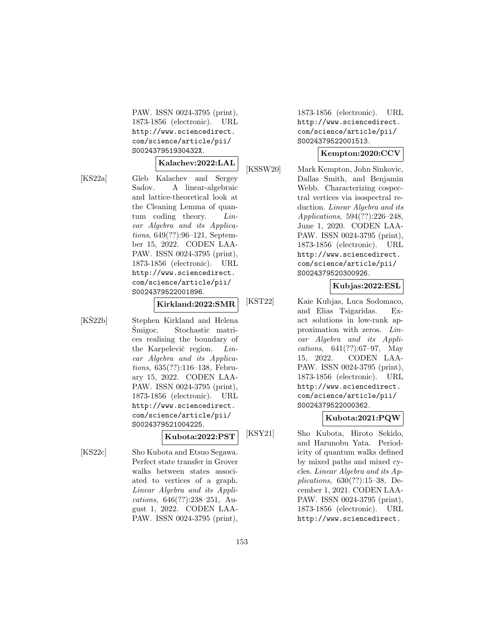PAW. ISSN 0024-3795 (print), 1873-1856 (electronic). URL http://www.sciencedirect. com/science/article/pii/ S002437951930432X.

#### **Kalachev:2022:LAL**

[KS22a] Gleb Kalachev and Sergey Sadov. A linear-algebraic and lattice-theoretical look at the Cleaning Lemma of quantum coding theory. *Lin*ear Algebra and its Applications, 649(??):96–121, September 15, 2022. CODEN LAA-PAW. ISSN 0024-3795 (print), 1873-1856 (electronic). URL http://www.sciencedirect. com/science/article/pii/ S0024379522001896.

### **Kirkland:2022:SMR**

[KŠ22b] Stephen Kirkland and Helena Smigoc. Stochastic matrices realising the boundary of the Karpelevič region. Linear Algebra and its Applications, 635(??):116–138, February 15, 2022. CODEN LAA-PAW. ISSN 0024-3795 (print), 1873-1856 (electronic). URL http://www.sciencedirect. com/science/article/pii/ S0024379521004225.

## **Kubota:2022:PST**

[KS22c] Sho Kubota and Etsuo Segawa. Perfect state transfer in Grover walks between states associated to vertices of a graph. Linear Algebra and its Applications, 646(??):238–251, August 1, 2022. CODEN LAA-PAW. ISSN 0024-3795 (print),

1873-1856 (electronic). URL http://www.sciencedirect. com/science/article/pii/ S0024379522001513.

### **Kempton:2020:CCV**

[KSSW20] Mark Kempton, John Sinkovic, Dallas Smith, and Benjamin Webb. Characterizing cospectral vertices via isospectral reduction. Linear Algebra and its Applications, 594(??):226–248, June 1, 2020. CODEN LAA-PAW. ISSN 0024-3795 (print), 1873-1856 (electronic). URL http://www.sciencedirect. com/science/article/pii/ S0024379520300926.

## **Kubjas:2022:ESL**

[KST22] Kaie Kubjas, Luca Sodomaco, and Elias Tsigaridas. Exact solutions in low-rank approximation with zeros. Linear Algebra and its Applications, 641(??):67–97, May 15, 2022. CODEN LAA-PAW. ISSN 0024-3795 (print), 1873-1856 (electronic). URL http://www.sciencedirect. com/science/article/pii/ S0024379522000362.

## **Kubota:2021:PQW**

[KSY21] Sho Kubota, Hiroto Sekido, and Harunobu Yata. Periodicity of quantum walks defined by mixed paths and mixed cycles. Linear Algebra and its Applications, 630(??):15–38, December 1, 2021. CODEN LAA-PAW. ISSN 0024-3795 (print), 1873-1856 (electronic). URL http://www.sciencedirect.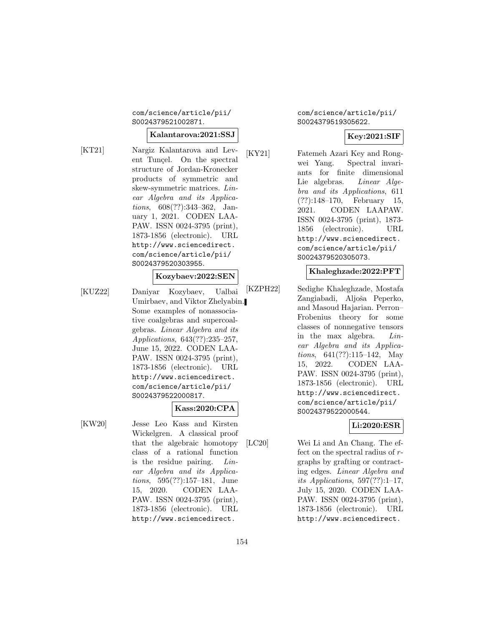com/science/article/pii/ S0024379521002871.

### **Kalantarova:2021:SSJ**

[KT21] Nargiz Kalantarova and Levent Tunçel. On the spectral structure of Jordan-Kronecker products of symmetric and skew-symmetric matrices. Linear Algebra and its Applications, 608(??):343–362, January 1, 2021. CODEN LAA-PAW. ISSN 0024-3795 (print), 1873-1856 (electronic). URL http://www.sciencedirect. com/science/article/pii/ S0024379520303955.

## **Kozybaev:2022:SEN**

[KUZ22] Daniyar Kozybaev, Ualbai Umirbaev, and Viktor Zhelyabin. Some examples of nonassociative coalgebras and supercoalgebras. Linear Algebra and its Applications, 643(??):235–257, June 15, 2022. CODEN LAA-PAW. ISSN 0024-3795 (print), 1873-1856 (electronic). URL http://www.sciencedirect. com/science/article/pii/ S0024379522000817.

## **Kass:2020:CPA**

[KW20] Jesse Leo Kass and Kirsten Wickelgren. A classical proof that the algebraic homotopy class of a rational function is the residue pairing. Linear Algebra and its Applications, 595(??):157–181, June 15, 2020. CODEN LAA-PAW. ISSN 0024-3795 (print), 1873-1856 (electronic). URL http://www.sciencedirect.

com/science/article/pii/ S0024379519305622.

### **Key:2021:SIF**

[KY21] Fatemeh Azari Key and Rongwei Yang. Spectral invariants for finite dimensional Lie algebras. Linear Algebra and its Applications, 611 (??):148–170, February 15, 2021. CODEN LAAPAW. ISSN 0024-3795 (print), 1873- 1856 (electronic). URL http://www.sciencedirect. com/science/article/pii/ S0024379520305073.

### **Khaleghzade:2022:PFT**

[KZPH22] Sedighe Khaleghzade, Mostafa Zangiabadi, Aljoša Peperko, and Masoud Hajarian. Perron– Frobenius theory for some classes of nonnegative tensors in the max algebra. Linear Algebra and its Applications, 641(??):115–142, May 15, 2022. CODEN LAA-PAW. ISSN 0024-3795 (print), 1873-1856 (electronic). URL http://www.sciencedirect. com/science/article/pii/ S0024379522000544.

## **Li:2020:ESR**

[LC20] Wei Li and An Chang. The effect on the spectral radius of rgraphs by grafting or contracting edges. Linear Algebra and its Applications,  $597(??):1-17$ , July 15, 2020. CODEN LAA-PAW. ISSN 0024-3795 (print), 1873-1856 (electronic). URL http://www.sciencedirect.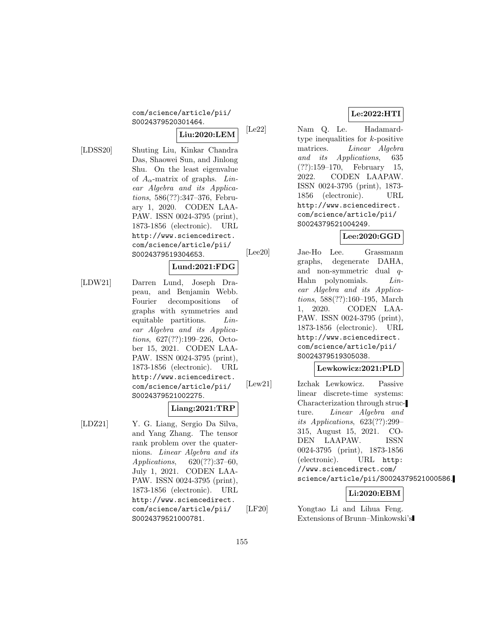#### com/science/article/pii/ S0024379520301464.

# **Liu:2020:LEM**

[LDSS20] Shuting Liu, Kinkar Chandra Das, Shaowei Sun, and Jinlong Shu. On the least eigenvalue of  $A_{\alpha}$ -matrix of graphs. Linear Algebra and its Applications, 586(??):347–376, February 1, 2020. CODEN LAA-PAW. ISSN 0024-3795 (print), 1873-1856 (electronic). URL http://www.sciencedirect. com/science/article/pii/ S0024379519304653.

## **Lund:2021:FDG**

[LDW21] Darren Lund, Joseph Drapeau, and Benjamin Webb. Fourier decompositions of graphs with symmetries and equitable partitions. *Lin*ear Algebra and its Applications, 627(??):199–226, October 15, 2021. CODEN LAA-PAW. ISSN 0024-3795 (print), 1873-1856 (electronic). URL http://www.sciencedirect. com/science/article/pii/ S0024379521002275.

## **Liang:2021:TRP**

[LDZ21] Y. G. Liang, Sergio Da Silva, and Yang Zhang. The tensor rank problem over the quaternions. Linear Algebra and its Applications, 620(??):37–60, July 1, 2021. CODEN LAA-PAW. ISSN 0024-3795 (print), 1873-1856 (electronic). URL http://www.sciencedirect. com/science/article/pii/ S0024379521000781.

# **Le:2022:HTI**

[Le22] Nam Q. Le. Hadamardtype inequalities for  $k$ -positive matrices. Linear Algebra and its Applications, 635 (??):159–170, February 15, 2022. CODEN LAAPAW. ISSN 0024-3795 (print), 1873- 1856 (electronic). URL http://www.sciencedirect. com/science/article/pii/ S0024379521004249.

# **Lee:2020:GGD**

[Lee20] Jae-Ho Lee. Grassmann graphs, degenerate DAHA, and non-symmetric dual q-Hahn polynomials. Linear Algebra and its Applications, 588(??):160–195, March 1, 2020. CODEN LAA-PAW. ISSN 0024-3795 (print), 1873-1856 (electronic). URL http://www.sciencedirect. com/science/article/pii/ S0024379519305038.

## **Lewkowicz:2021:PLD**

[Lew21] Izchak Lewkowicz. Passive linear discrete-time systems: Characterization through structure. Linear Algebra and its Applications, 623(??):299– 315, August 15, 2021. CO-DEN LAAPAW. ISSN 0024-3795 (print), 1873-1856 (electronic). URL http: //www.sciencedirect.com/ science/article/pii/S0024379521000586.

## **Li:2020:EBM**

[LF20] Yongtao Li and Lihua Feng. Extensions of Brunn–Minkowski's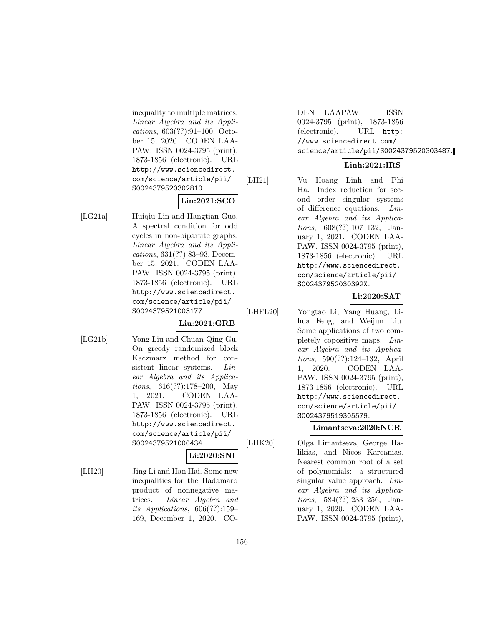inequality to multiple matrices. Linear Algebra and its Applications, 603(??):91–100, October 15, 2020. CODEN LAA-PAW. ISSN 0024-3795 (print), 1873-1856 (electronic). URL http://www.sciencedirect. com/science/article/pii/ S0024379520302810.

### **Lin:2021:SCO**

[LG21a] Huiqiu Lin and Hangtian Guo. A spectral condition for odd cycles in non-bipartite graphs. Linear Algebra and its Applications, 631(??):83–93, December 15, 2021. CODEN LAA-PAW. ISSN 0024-3795 (print), 1873-1856 (electronic). URL http://www.sciencedirect. com/science/article/pii/ S0024379521003177.

**Liu:2021:GRB**

- 
- [LG21b] Yong Liu and Chuan-Qing Gu. On greedy randomized block Kaczmarz method for consistent linear systems. Linear Algebra and its Applications, 616(??):178–200, May 1, 2021. CODEN LAA-PAW. ISSN 0024-3795 (print), 1873-1856 (electronic). URL http://www.sciencedirect. com/science/article/pii/ S0024379521000434. **Li:2020:SNI**

[LH20] Jing Li and Han Hai. Some new inequalities for the Hadamard product of nonnegative matrices. Linear Algebra and its Applications, 606(??):159– 169, December 1, 2020. CO-

DEN LAAPAW. ISSN 0024-3795 (print), 1873-1856 (electronic). URL http: //www.sciencedirect.com/ science/article/pii/S0024379520303487.

## **Linh:2021:IRS**

[LH21] Vu Hoang Linh and Phi Ha. Index reduction for second order singular systems of difference equations. Linear Algebra and its Applications, 608(??):107–132, January 1, 2021. CODEN LAA-PAW. ISSN 0024-3795 (print), 1873-1856 (electronic). URL http://www.sciencedirect. com/science/article/pii/ S002437952030392X.

## **Li:2020:SAT**

[LHFL20] Yongtao Li, Yang Huang, Lihua Feng, and Weijun Liu. Some applications of two completely copositive maps. Linear Algebra and its Applications, 590(??):124–132, April 1, 2020. CODEN LAA-PAW. ISSN 0024-3795 (print), 1873-1856 (electronic). URL http://www.sciencedirect. com/science/article/pii/ S0024379519305579.

### **Limantseva:2020:NCR**

[LHK20] Olga Limantseva, George Halikias, and Nicos Karcanias. Nearest common root of a set of polynomials: a structured singular value approach. Linear Algebra and its Applications, 584(??):233–256, January 1, 2020. CODEN LAA-PAW. ISSN 0024-3795 (print),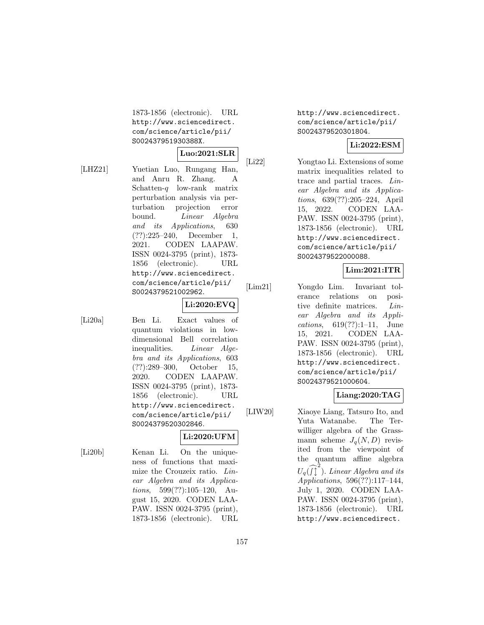1873-1856 (electronic). URL http://www.sciencedirect. com/science/article/pii/ S002437951930388X.

#### **Luo:2021:SLR**

[LHZ21] Yuetian Luo, Rungang Han, and Anru R. Zhang. A Schatten- $q$  low-rank matrix perturbation analysis via perturbation projection error bound. *Linear Algebra* and its Applications, 630 (??):225–240, December 1, 2021. CODEN LAAPAW. ISSN 0024-3795 (print), 1873- 1856 (electronic). URL http://www.sciencedirect. com/science/article/pii/ S0024379521002962.

## **Li:2020:EVQ**

[Li20a] Ben Li. Exact values of quantum violations in lowdimensional Bell correlation inequalities. Linear Algebra and its Applications, 603 (??):289–300, October 15, 2020. CODEN LAAPAW. ISSN 0024-3795 (print), 1873- 1856 (electronic). URL http://www.sciencedirect. com/science/article/pii/ S0024379520302846.

## **Li:2020:UFM**

[Li20b] Kenan Li. On the uniqueness of functions that maximize the Crouzeix ratio. Linear Algebra and its Applications, 599(??):105–120, August 15, 2020. CODEN LAA-PAW. ISSN 0024-3795 (print), 1873-1856 (electronic). URL http://www.sciencedirect. com/science/article/pii/ S0024379520301804.

## **Li:2022:ESM**

[Li22] Yongtao Li. Extensions of some matrix inequalities related to trace and partial traces. Linear Algebra and its Applications, 639(??):205–224, April 15, 2022. CODEN LAA-PAW. ISSN 0024-3795 (print), 1873-1856 (electronic). URL http://www.sciencedirect. com/science/article/pii/ S0024379522000088.

## **Lim:2021:ITR**

[Lim21] Yongdo Lim. Invariant tolerance relations on positive definite matrices. Linear Algebra and its Applications, 619(??):1–11, June 15, 2021. CODEN LAA-PAW. ISSN 0024-3795 (print), 1873-1856 (electronic). URL http://www.sciencedirect. com/science/article/pii/ S0024379521000604.

## **Liang:2020:TAG**

[LIW20] Xiaoye Liang, Tatsuro Ito, and Yuta Watanabe. The Terwilliger algebra of the Grassmann scheme  $J_q(N,D)$  revisited from the viewpoint of the quantum affine algebra  $U_q(\widehat{J}^2)$ . Linear Algebra and its Applications, 596(??):117–144, July 1, 2020. CODEN LAA-PAW. ISSN 0024-3795 (print), 1873-1856 (electronic). URL http://www.sciencedirect.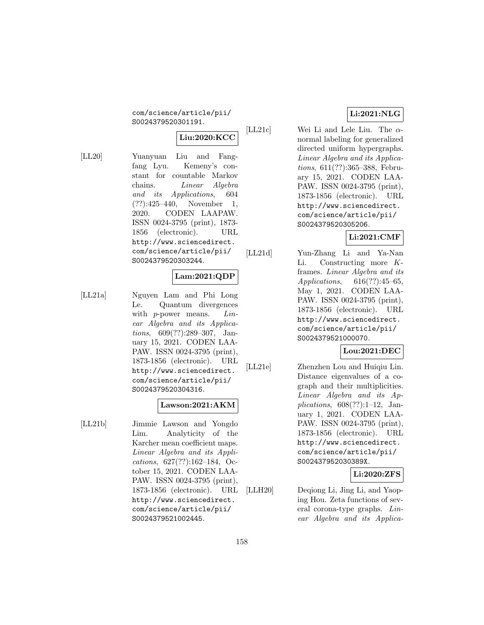com/science/article/pii/ S0024379520301191.

# **Liu:2020:KCC**

[LL20] Yuanyuan Liu and Fangfang Lyu. Kemeny's constant for countable Markov chains. Linear Algebra and its Applications, 604 (??):425–440, November 1, 2020. CODEN LAAPAW. ISSN 0024-3795 (print), 1873- 1856 (electronic). URL http://www.sciencedirect. com/science/article/pii/ S0024379520303244.

# **Lam:2021:QDP**

[LL21a] Nguyen Lam and Phi Long Le. Quantum divergences with  $p$ -power means.  $Lin$ ear Algebra and its Applications, 609(??):289–307, January 15, 2021. CODEN LAA-PAW. ISSN 0024-3795 (print), 1873-1856 (electronic). URL http://www.sciencedirect. com/science/article/pii/ S0024379520304316.

## **Lawson:2021:AKM**

[LL21b] Jimmie Lawson and Yongdo Lim. Analyticity of the Karcher mean coefficient maps. Linear Algebra and its Applications, 627(??):162–184, October 15, 2021. CODEN LAA-PAW. ISSN 0024-3795 (print), 1873-1856 (electronic). URL http://www.sciencedirect. com/science/article/pii/ S0024379521002445.

## **Li:2021:NLG**

[LL21c] Wei Li and Lele Liu. The  $\alpha$ normal labeling for generalized directed uniform hypergraphs. Linear Algebra and its Applications, 611(??):365–388, February 15, 2021. CODEN LAA-PAW. ISSN 0024-3795 (print), 1873-1856 (electronic). URL http://www.sciencedirect. com/science/article/pii/ S0024379520305206.

## **Li:2021:CMF**

[LL21d] Yun-Zhang Li and Ya-Nan Li. Constructing more Kframes. Linear Algebra and its Applications, 616(??):45–65, May 1, 2021. CODEN LAA-PAW. ISSN 0024-3795 (print), 1873-1856 (electronic). URL http://www.sciencedirect. com/science/article/pii/ S0024379521000070.

## **Lou:2021:DEC**

[LL21e] Zhenzhen Lou and Huiqiu Lin. Distance eigenvalues of a cograph and their multiplicities. Linear Algebra and its Applications,  $608(??):1-12$ , January 1, 2021. CODEN LAA-PAW. ISSN 0024-3795 (print), 1873-1856 (electronic). URL http://www.sciencedirect. com/science/article/pii/ S002437952030389X.

### **Li:2020:ZFS**

[LLH20] Deqiong Li, Jing Li, and Yaoping Hou. Zeta functions of several corona-type graphs. Linear Algebra and its Applica-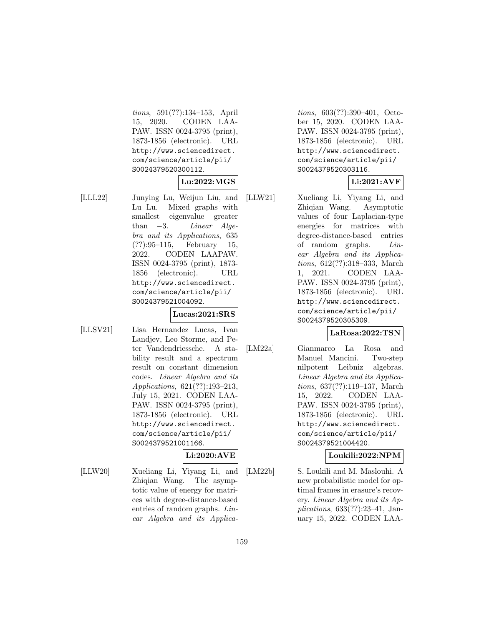tions, 591(??):134–153, April 15, 2020. CODEN LAA-PAW. ISSN 0024-3795 (print), 1873-1856 (electronic). URL http://www.sciencedirect. com/science/article/pii/ S0024379520300112.

### **Lu:2022:MGS**

[LLL22] Junying Lu, Weijun Liu, and Lu Lu. Mixed graphs with smallest eigenvalue greater than  $-3$ . Linear Algebra and its Applications, 635 (??):95–115, February 15, 2022. CODEN LAAPAW. ISSN 0024-3795 (print), 1873- 1856 (electronic). URL http://www.sciencedirect. com/science/article/pii/ S0024379521004092.

### **Lucas:2021:SRS**

[LLSV21] Lisa Hernandez Lucas, Ivan Landjev, Leo Storme, and Peter Vandendriessche. A stability result and a spectrum result on constant dimension codes. Linear Algebra and its Applications, 621(??):193–213, July 15, 2021. CODEN LAA-PAW. ISSN 0024-3795 (print), 1873-1856 (electronic). URL http://www.sciencedirect. com/science/article/pii/ S0024379521001166.

# **Li:2020:AVE**

[LLW20] Xueliang Li, Yiyang Li, and Zhiqian Wang. The asymptotic value of energy for matrices with degree-distance-based entries of random graphs. Linear Algebra and its Applica-

tions, 603(??):390–401, October 15, 2020. CODEN LAA-PAW. ISSN 0024-3795 (print), 1873-1856 (electronic). URL http://www.sciencedirect. com/science/article/pii/ S0024379520303116.

# **Li:2021:AVF**

[LLW21] Xueliang Li, Yiyang Li, and Zhiqian Wang. Asymptotic values of four Laplacian-type energies for matrices with degree-distance-based entries of random graphs. Linear Algebra and its Applications, 612(??):318–333, March 1, 2021. CODEN LAA-PAW. ISSN 0024-3795 (print), 1873-1856 (electronic). URL http://www.sciencedirect. com/science/article/pii/ S0024379520305309.

## **LaRosa:2022:TSN**

[LM22a] Gianmarco La Rosa and Manuel Mancini. Two-step nilpotent Leibniz algebras. Linear Algebra and its Applications, 637(??):119–137, March 15, 2022. CODEN LAA-PAW. ISSN 0024-3795 (print), 1873-1856 (electronic). URL http://www.sciencedirect. com/science/article/pii/ S0024379521004420.

## **Loukili:2022:NPM**

[LM22b] S. Loukili and M. Maslouhi. A new probabilistic model for optimal frames in erasure's recovery. Linear Algebra and its Applications, 633(??):23–41, January 15, 2022. CODEN LAA-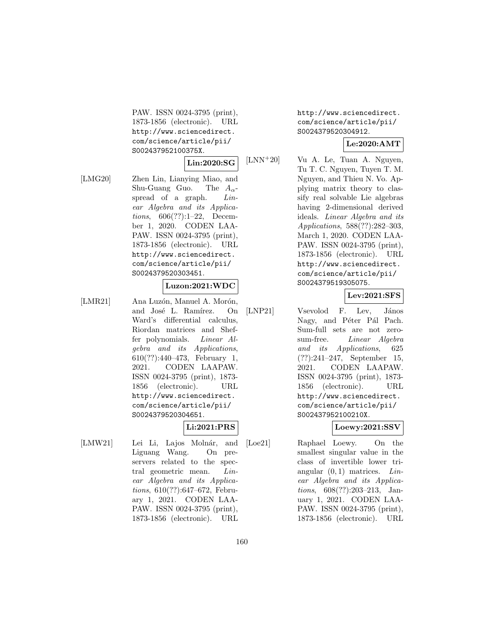PAW. ISSN 0024-3795 (print), 1873-1856 (electronic). URL http://www.sciencedirect. com/science/article/pii/ S002437952100375X.

### **Lin:2020:SG**

[LMG20] Zhen Lin, Lianying Miao, and Shu-Guang Guo. The  $A_{\alpha}$ spread of a graph. *Lin*ear Algebra and its Applications, 606(??):1–22, December 1, 2020. CODEN LAA-PAW. ISSN 0024-3795 (print), 1873-1856 (electronic). URL http://www.sciencedirect. com/science/article/pii/ S0024379520303451.

### **Luzon:2021:WDC**

[LMR21] Ana Luzón, Manuel A. Morón, and José L. Ramírez. On Ward's differential calculus, Riordan matrices and Sheffer polynomials. Linear Algebra and its Applications, 610(??):440–473, February 1, 2021. CODEN LAAPAW. ISSN 0024-3795 (print), 1873- 1856 (electronic). URL http://www.sciencedirect. com/science/article/pii/ S0024379520304651.

**Li:2021:PRS**

[LMW21] Lei Li, Lajos Molnár, and Liguang Wang. On preservers related to the spectral geometric mean. Linear Algebra and its Applications, 610(??):647–672, February 1, 2021. CODEN LAA-PAW. ISSN 0024-3795 (print), 1873-1856 (electronic). URL

http://www.sciencedirect. com/science/article/pii/ S0024379520304912.

## **Le:2020:AMT**

[LNN<sup>+</sup>20] Vu A. Le, Tuan A. Nguyen, Tu T. C. Nguyen, Tuyen T. M. Nguyen, and Thieu N. Vo. Applying matrix theory to classify real solvable Lie algebras having 2-dimensional derived ideals. Linear Algebra and its Applications, 588(??):282–303, March 1, 2020. CODEN LAA-PAW. ISSN 0024-3795 (print), 1873-1856 (electronic). URL http://www.sciencedirect. com/science/article/pii/ S0024379519305075.

## **Lev:2021:SFS**

[LNP21] Vsevolod F. Lev, János Nagy, and Péter Pál Pach. Sum-full sets are not zerosum-free. Linear Algebra and its Applications, 625 (??):241–247, September 15, 2021. CODEN LAAPAW. ISSN 0024-3795 (print), 1873- 1856 (electronic). URL http://www.sciencedirect. com/science/article/pii/ S002437952100210X.

### **Loewy:2021:SSV**

[Loe21] Raphael Loewy. On the smallest singular value in the class of invertible lower triangular  $(0, 1)$  matrices. Linear Algebra and its Applications, 608(??):203–213, January 1, 2021. CODEN LAA-PAW. ISSN 0024-3795 (print), 1873-1856 (electronic). URL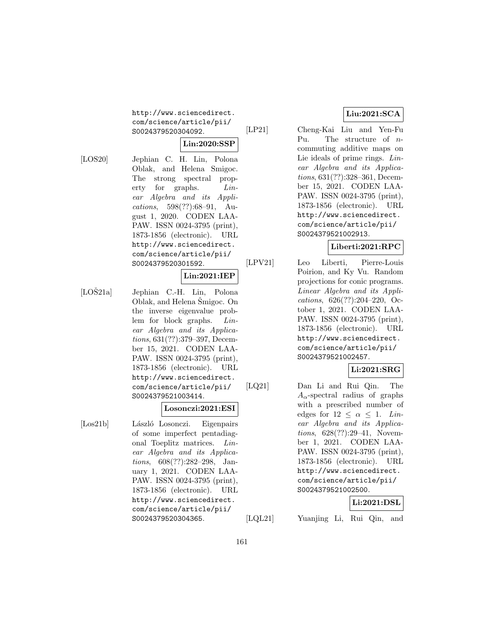http://www.sciencedirect. com/science/article/pii/ S0024379520304092.

# **Lin:2020:SSP**

[LOS20] Jephian C. H. Lin, Polona Oblak, and Helena Smigoc. The strong spectral property for graphs. Linear Algebra and its Applications, 598(??):68–91, August 1, 2020. CODEN LAA-PAW. ISSN 0024-3795 (print), 1873-1856 (electronic). URL http://www.sciencedirect. com/science/article/pii/ S0024379520301592.

### **Lin:2021:IEP**

 $[LO\check{S}21a]$  Jephian C.-H. Lin, Polona Oblak, and Helena Smigoc. On the inverse eigenvalue problem for block graphs. Linear Algebra and its Applications, 631(??):379–397, December 15, 2021. CODEN LAA-PAW. ISSN 0024-3795 (print), 1873-1856 (electronic). URL http://www.sciencedirect. com/science/article/pii/ S0024379521003414.

### **Losonczi:2021:ESI**

[Los21b] László Losonczi. Eigenpairs of some imperfect pentadiagonal Toeplitz matrices. Linear Algebra and its Applications, 608(??):282–298, January 1, 2021. CODEN LAA-PAW. ISSN 0024-3795 (print), 1873-1856 (electronic). URL http://www.sciencedirect. com/science/article/pii/ S0024379520304365.

## **Liu:2021:SCA**

[LP21] Cheng-Kai Liu and Yen-Fu Pu. The structure of ncommuting additive maps on Lie ideals of prime rings. Linear Algebra and its Applications, 631(??):328–361, December 15, 2021. CODEN LAA-PAW. ISSN 0024-3795 (print), 1873-1856 (electronic). URL http://www.sciencedirect. com/science/article/pii/ S0024379521002913.

## **Liberti:2021:RPC**

[LPV21] Leo Liberti, Pierre-Louis Poirion, and Ky Vu. Random projections for conic programs. Linear Algebra and its Applications, 626(??):204–220, October 1, 2021. CODEN LAA-PAW. ISSN 0024-3795 (print), 1873-1856 (electronic). URL http://www.sciencedirect. com/science/article/pii/ S0024379521002457.

## **Li:2021:SRG**

[LQ21] Dan Li and Rui Qin. The  $A_{\alpha}$ -spectral radius of graphs with a prescribed number of edges for  $12 < \alpha < 1$ . Linear Algebra and its Applications, 628(??):29–41, November 1, 2021. CODEN LAA-PAW. ISSN 0024-3795 (print), 1873-1856 (electronic). URL http://www.sciencedirect. com/science/article/pii/ S0024379521002500.

## **Li:2021:DSL**

[LQL21] Yuanjing Li, Rui Qin, and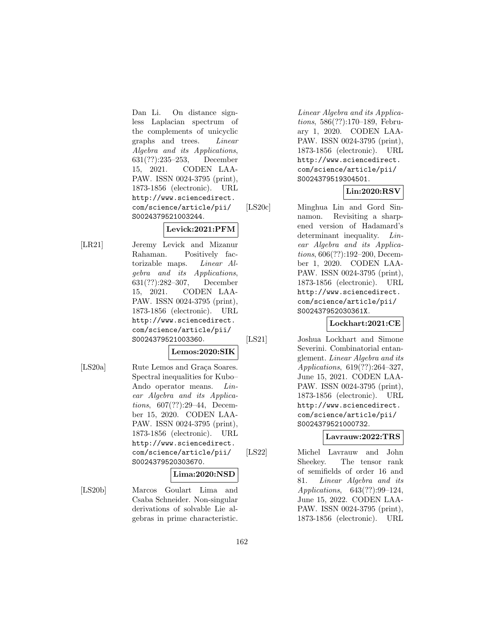Dan Li. On distance signless Laplacian spectrum of the complements of unicyclic graphs and trees. Linear Algebra and its Applications, 631(??):235–253, December 15, 2021. CODEN LAA-PAW. ISSN 0024-3795 (print), 1873-1856 (electronic). URL http://www.sciencedirect. com/science/article/pii/ S0024379521003244.

## **Levick:2021:PFM**

[LR21] Jeremy Levick and Mizanur Rahaman. Positively factorizable maps. Linear Algebra and its Applications, 631(??):282–307, December 15, 2021. CODEN LAA-PAW. ISSN 0024-3795 (print), 1873-1856 (electronic). URL http://www.sciencedirect. com/science/article/pii/ S0024379521003360.

#### **Lemos:2020:SIK**

[LS20a] Rute Lemos and Graça Soares. Spectral inequalities for Kubo– Ando operator means. Linear Algebra and its Applications, 607(??):29–44, December 15, 2020. CODEN LAA-PAW. ISSN 0024-3795 (print), 1873-1856 (electronic). URL http://www.sciencedirect. com/science/article/pii/ S0024379520303670.

### **Lima:2020:NSD**

[LS20b] Marcos Goulart Lima and Csaba Schneider. Non-singular derivations of solvable Lie algebras in prime characteristic.

Linear Algebra and its Applications, 586(??):170–189, February 1, 2020. CODEN LAA-PAW. ISSN 0024-3795 (print), 1873-1856 (electronic). URL http://www.sciencedirect. com/science/article/pii/ S0024379519304501.

## **Lin:2020:RSV**

[LS20c] Minghua Lin and Gord Sinnamon. Revisiting a sharpened version of Hadamard's determinant inequality. *Lin*ear Algebra and its Applications, 606(??):192–200, December 1, 2020. CODEN LAA-PAW. ISSN 0024-3795 (print), 1873-1856 (electronic). URL http://www.sciencedirect. com/science/article/pii/ S002437952030361X.

## **Lockhart:2021:CE**

[LS21] Joshua Lockhart and Simone Severini. Combinatorial entanglement. Linear Algebra and its Applications, 619(??):264–327, June 15, 2021. CODEN LAA-PAW. ISSN 0024-3795 (print), 1873-1856 (electronic). URL http://www.sciencedirect. com/science/article/pii/ S0024379521000732.

## **Lavrauw:2022:TRS**

[LS22] Michel Lavrauw and John Sheekey. The tensor rank of semifields of order 16 and 81. Linear Algebra and its Applications, 643(??):99–124, June 15, 2022. CODEN LAA-PAW. ISSN 0024-3795 (print), 1873-1856 (electronic). URL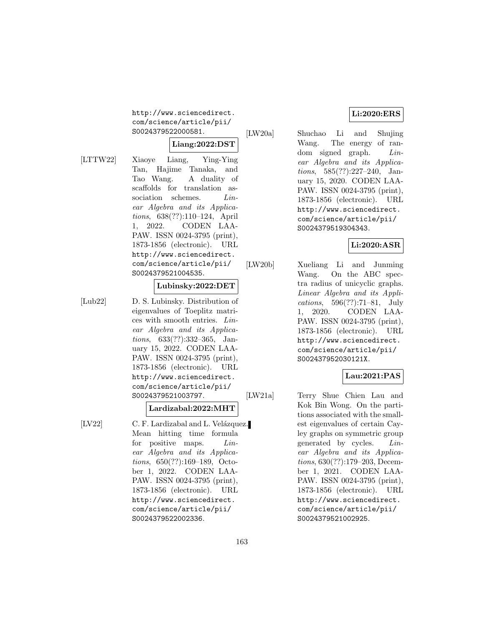http://www.sciencedirect. com/science/article/pii/ S0024379522000581.

### **Liang:2022:DST**

[LTTW22] Xiaoye Liang, Ying-Ying Tan, Hajime Tanaka, and Tao Wang. A duality of scaffolds for translation association schemes. *Lin*ear Algebra and its Applications, 638(??):110–124, April 1, 2022. CODEN LAA-PAW. ISSN 0024-3795 (print), 1873-1856 (electronic). URL http://www.sciencedirect. com/science/article/pii/ S0024379521004535.

### **Lubinsky:2022:DET**

[Lub22] D. S. Lubinsky. Distribution of eigenvalues of Toeplitz matrices with smooth entries. Linear Algebra and its Applications, 633(??):332–365, January 15, 2022. CODEN LAA-PAW. ISSN 0024-3795 (print), 1873-1856 (electronic). URL http://www.sciencedirect. com/science/article/pii/ S0024379521003797.

#### **Lardizabal:2022:MHT**

[LV22] C. F. Lardizabal and L. Velázquez. Mean hitting time formula for positive maps. *Lin*ear Algebra and its Applications, 650(??):169–189, October 1, 2022. CODEN LAA-PAW. ISSN 0024-3795 (print), 1873-1856 (electronic). URL http://www.sciencedirect. com/science/article/pii/ S0024379522002336.

### **Li:2020:ERS**

[LW20a] Shuchao Li and Shujing Wang. The energy of random signed graph. *Lin*ear Algebra and its Applications, 585(??):227–240, January 15, 2020. CODEN LAA-PAW. ISSN 0024-3795 (print), 1873-1856 (electronic). URL http://www.sciencedirect. com/science/article/pii/ S0024379519304343.

## **Li:2020:ASR**

[LW20b] Xueliang Li and Junming Wang. On the ABC spectra radius of unicyclic graphs. Linear Algebra and its Applications, 596(??):71–81, July 1, 2020. CODEN LAA-PAW. ISSN 0024-3795 (print), 1873-1856 (electronic). URL http://www.sciencedirect. com/science/article/pii/ S002437952030121X.

## **Lau:2021:PAS**

[LW21a] Terry Shue Chien Lau and Kok Bin Wong. On the partitions associated with the smallest eigenvalues of certain Cayley graphs on symmetric group generated by cycles. Linear Algebra and its Applications, 630(??):179–203, December 1, 2021. CODEN LAA-PAW. ISSN 0024-3795 (print), 1873-1856 (electronic). URL http://www.sciencedirect. com/science/article/pii/ S0024379521002925.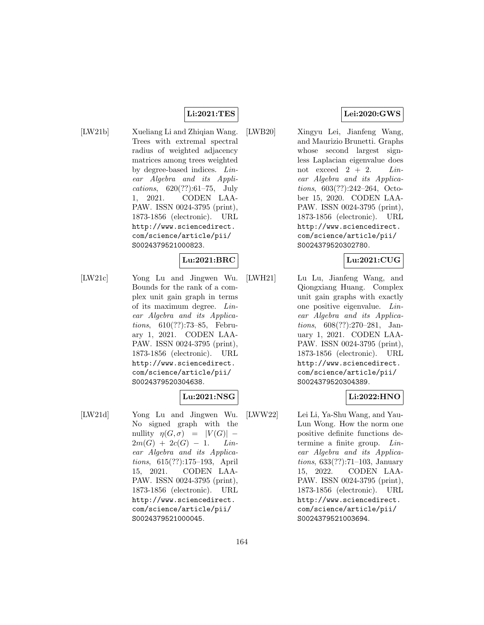### **Li:2021:TES**

[LW21b] Xueliang Li and Zhiqian Wang. Trees with extremal spectral radius of weighted adjacency matrices among trees weighted by degree-based indices. Linear Algebra and its Applications, 620(??):61–75, July 1, 2021. CODEN LAA-PAW. ISSN 0024-3795 (print), 1873-1856 (electronic). URL http://www.sciencedirect. com/science/article/pii/ S0024379521000823.

### **Lu:2021:BRC**

[LW21c] Yong Lu and Jingwen Wu. Bounds for the rank of a complex unit gain graph in terms of its maximum degree. Linear Algebra and its Applications, 610(??):73–85, February 1, 2021. CODEN LAA-PAW. ISSN 0024-3795 (print), 1873-1856 (electronic). URL http://www.sciencedirect. com/science/article/pii/ S0024379520304638.

### **Lu:2021:NSG**

[LW21d] Yong Lu and Jingwen Wu. No signed graph with the nullity  $\eta(G, \sigma) = |V(G)| 2m(G) + 2c(G) - 1.$  Linear Algebra and its Applications, 615(??):175–193, April 15, 2021. CODEN LAA-PAW. ISSN 0024-3795 (print), 1873-1856 (electronic). URL http://www.sciencedirect. com/science/article/pii/ S0024379521000045.

### **Lei:2020:GWS**

[LWB20] Xingyu Lei, Jianfeng Wang, and Maurizio Brunetti. Graphs whose second largest signless Laplacian eigenvalue does not exceed  $2 + 2$ . Linear Algebra and its Applications, 603(??):242–264, October 15, 2020. CODEN LAA-PAW. ISSN 0024-3795 (print), 1873-1856 (electronic). URL http://www.sciencedirect. com/science/article/pii/ S0024379520302780.

## **Lu:2021:CUG**

[LWH21] Lu Lu, Jianfeng Wang, and Qiongxiang Huang. Complex unit gain graphs with exactly one positive eigenvalue. Linear Algebra and its Applications, 608(??):270–281, January 1, 2021. CODEN LAA-PAW. ISSN 0024-3795 (print), 1873-1856 (electronic). URL http://www.sciencedirect. com/science/article/pii/ S0024379520304389.

## **Li:2022:HNO**

[LWW22] Lei Li, Ya-Shu Wang, and Yau-Lun Wong. How the norm one positive definite functions determine a finite group. Linear Algebra and its Applications, 633(??):71–103, January 15, 2022. CODEN LAA-PAW. ISSN 0024-3795 (print), 1873-1856 (electronic). URL http://www.sciencedirect. com/science/article/pii/ S0024379521003694.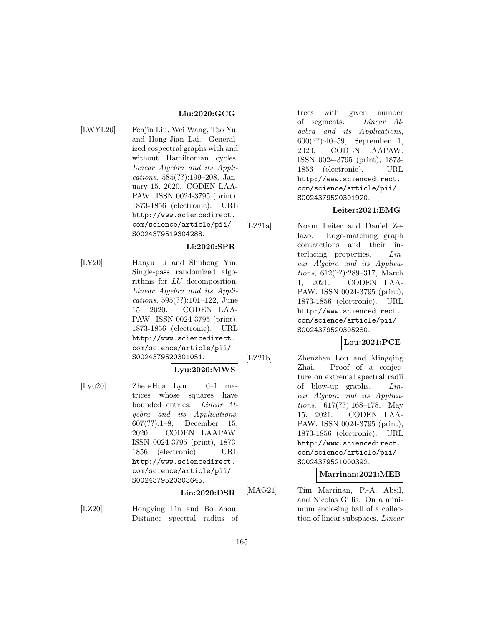## **Liu:2020:GCG**

- 
- [LWYL20] Fenjin Liu, Wei Wang, Tao Yu, and Hong-Jian Lai. Generalized cospectral graphs with and without Hamiltonian cycles. Linear Algebra and its Applications, 585(??):199–208, January 15, 2020. CODEN LAA-PAW. ISSN 0024-3795 (print), 1873-1856 (electronic). URL http://www.sciencedirect. com/science/article/pii/ S0024379519304288.
	- **Li:2020:SPR**
- [LY20] Hanyu Li and Shuheng Yin. Single-pass randomized algorithms for LU decomposition. Linear Algebra and its Applications, 595(??):101–122, June 15, 2020. CODEN LAA-PAW. ISSN 0024-3795 (print), 1873-1856 (electronic). URL http://www.sciencedirect. com/science/article/pii/ S0024379520301051.

## **Lyu:2020:MWS**

[Lyu20] Zhen-Hua Lyu. 0–1 matrices whose squares have bounded entries. Linear Algebra and its Applications, 607(??):1–8, December 15, 2020. CODEN LAAPAW. ISSN 0024-3795 (print), 1873- 1856 (electronic). URL http://www.sciencedirect. com/science/article/pii/ S0024379520303645.

**Lin:2020:DSR**

[LZ20] Hongying Lin and Bo Zhou. Distance spectral radius of trees with given number of segments. Linear Algebra and its Applications, 600(??):40–59, September 1, 2020. CODEN LAAPAW. ISSN 0024-3795 (print), 1873- 1856 (electronic). URL http://www.sciencedirect. com/science/article/pii/ S0024379520301920.

# **Leiter:2021:EMG**

[LZ21a] Noam Leiter and Daniel Zelazo. Edge-matching graph contractions and their interlacing properties. Linear Algebra and its Applications, 612(??):289–317, March 1, 2021. CODEN LAA-PAW. ISSN 0024-3795 (print), 1873-1856 (electronic). URL http://www.sciencedirect. com/science/article/pii/ S0024379520305280.

## **Lou:2021:PCE**

[LZ21b] Zhenzhen Lou and Mingqing Zhai. Proof of a conjecture on extremal spectral radii of blow-up graphs. Linear Algebra and its Applications, 617(??):168–178, May 15, 2021. CODEN LAA-PAW. ISSN 0024-3795 (print), 1873-1856 (electronic). URL http://www.sciencedirect. com/science/article/pii/ S0024379521000392.

## **Marrinan:2021:MEB**

[MAG21] Tim Marrinan, P.-A. Absil, and Nicolas Gillis. On a minimum enclosing ball of a collection of linear subspaces. Linear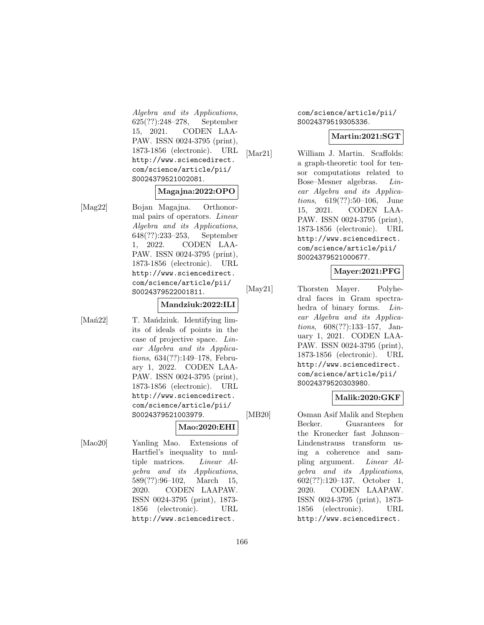Algebra and its Applications, 625(??):248–278, September 15, 2021. CODEN LAA-PAW. ISSN 0024-3795 (print), 1873-1856 (electronic). URL http://www.sciencedirect. com/science/article/pii/ S0024379521002081.

### **Magajna:2022:OPO**

[Mag22] Bojan Magajna. Orthonormal pairs of operators. Linear Algebra and its Applications, 648(??):233–253, September 1, 2022. CODEN LAA-PAW. ISSN 0024-3795 (print), 1873-1856 (electronic). URL http://www.sciencedirect. com/science/article/pii/ S0024379522001811.

### **Mandziuk:2022:ILI**

[Man<sup>22]</sup> T. Mandziuk. Identifying limits of ideals of points in the case of projective space. Linear Algebra and its Applications, 634(??):149–178, February 1, 2022. CODEN LAA-PAW. ISSN 0024-3795 (print), 1873-1856 (electronic). URL http://www.sciencedirect. com/science/article/pii/ S0024379521003979.

#### **Mao:2020:EHI**

[Mao20] Yanling Mao. Extensions of Hartfiel's inequality to multiple matrices. Linear Algebra and its Applications, 589(??):96–102, March 15, 2020. CODEN LAAPAW. ISSN 0024-3795 (print), 1873- 1856 (electronic). URL http://www.sciencedirect.

com/science/article/pii/ S0024379519305336.

## **Martin:2021:SGT**

[Mar21] William J. Martin. Scaffolds: a graph-theoretic tool for tensor computations related to Bose–Mesner algebras. Linear Algebra and its Applications, 619(??):50–106, June 15, 2021. CODEN LAA-PAW. ISSN 0024-3795 (print), 1873-1856 (electronic). URL http://www.sciencedirect. com/science/article/pii/ S0024379521000677.

# **Mayer:2021:PFG**

[May21] Thorsten Mayer. Polyhedral faces in Gram spectrahedra of binary forms. Linear Algebra and its Applications, 608(??):133–157, January 1, 2021. CODEN LAA-PAW. ISSN 0024-3795 (print), 1873-1856 (electronic). URL http://www.sciencedirect. com/science/article/pii/ S0024379520303980.

## **Malik:2020:GKF**

[MB20] Osman Asif Malik and Stephen Becker. Guarantees for the Kronecker fast Johnson– Lindenstrauss transform using a coherence and sampling argument. Linear Algebra and its Applications, 602(??):120–137, October 1, 2020. CODEN LAAPAW. ISSN 0024-3795 (print), 1873- 1856 (electronic). URL http://www.sciencedirect.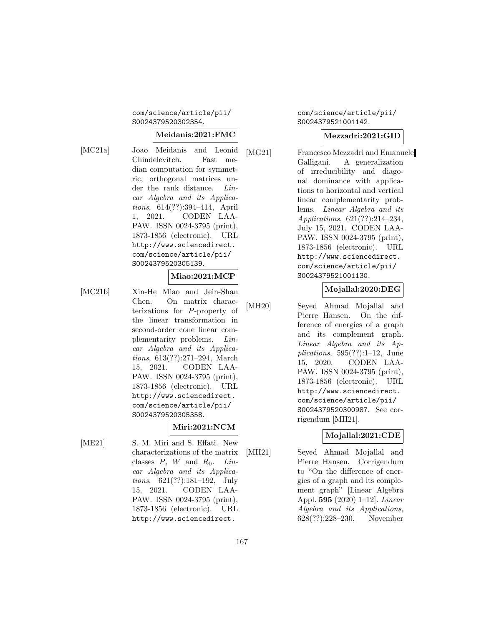### com/science/article/pii/ S0024379520302354.

### **Meidanis:2021:FMC**

[MC21a] Joao Meidanis and Leonid Chindelevitch. Fast median computation for symmetric, orthogonal matrices under the rank distance. Linear Algebra and its Applications, 614(??):394–414, April 1, 2021. CODEN LAA-PAW. ISSN 0024-3795 (print), 1873-1856 (electronic). URL http://www.sciencedirect. com/science/article/pii/ S0024379520305139.

## **Miao:2021:MCP**

[MC21b] Xin-He Miao and Jein-Shan Chen. On matrix characterizations for P-property of the linear transformation in second-order cone linear complementarity problems. Linear Algebra and its Applications, 613(??):271–294, March 15, 2021. CODEN LAA-PAW. ISSN 0024-3795 (print), 1873-1856 (electronic). URL http://www.sciencedirect. com/science/article/pii/ S0024379520305358.

## **Miri:2021:NCM**

[ME21] S. M. Miri and S. Effati. New characterizations of the matrix classes  $P$ ,  $W$  and  $R_0$ . Linear Algebra and its Applications, 621(??):181–192, July 15, 2021. CODEN LAA-PAW. ISSN 0024-3795 (print), 1873-1856 (electronic). URL http://www.sciencedirect.

com/science/article/pii/ S0024379521001142.

### **Mezzadri:2021:GID**

[MG21] Francesco Mezzadri and Emanuele Galligani. A generalization of irreducibility and diagonal dominance with applications to horizontal and vertical linear complementarity problems. Linear Algebra and its Applications, 621(??):214–234, July 15, 2021. CODEN LAA-PAW. ISSN 0024-3795 (print), 1873-1856 (electronic). URL http://www.sciencedirect. com/science/article/pii/ S0024379521001130.

### **Mojallal:2020:DEG**

[MH20] Seyed Ahmad Mojallal and Pierre Hansen. On the difference of energies of a graph and its complement graph. Linear Algebra and its Applications,  $595(??):1-12$ , June 15, 2020. CODEN LAA-PAW. ISSN 0024-3795 (print), 1873-1856 (electronic). URL http://www.sciencedirect. com/science/article/pii/ S0024379520300987. See corrigendum [MH21].

## **Mojallal:2021:CDE**

[MH21] Seyed Ahmad Mojallal and Pierre Hansen. Corrigendum to "On the difference of energies of a graph and its complement graph" [Linear Algebra Appl. **595** (2020) 1–12]. Linear Algebra and its Applications, 628(??):228–230, November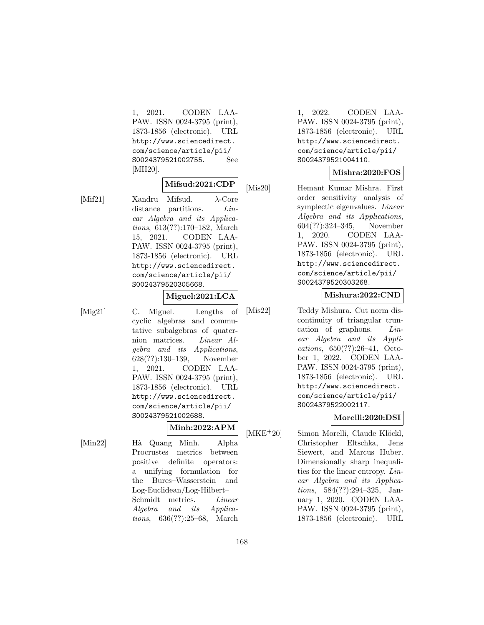1, 2021. CODEN LAA-PAW. ISSN 0024-3795 (print), 1873-1856 (electronic). URL http://www.sciencedirect. com/science/article/pii/ S0024379521002755. See [MH20].

## **Mifsud:2021:CDP**

[Mif21] Xandru Mifsud. λ-Core distance partitions. *Lin*ear Algebra and its Applications, 613(??):170–182, March 15, 2021. CODEN LAA-PAW. ISSN 0024-3795 (print), 1873-1856 (electronic). URL http://www.sciencedirect. com/science/article/pii/ S0024379520305668.

**Miguel:2021:LCA**

[Mig21] C. Miguel. Lengths of cyclic algebras and commutative subalgebras of quaternion matrices. Linear Algebra and its Applications, 628(??):130–139, November 1, 2021. CODEN LAA-PAW. ISSN 0024-3795 (print), 1873-1856 (electronic). URL http://www.sciencedirect. com/science/article/pii/ S0024379521002688.

### **Minh:2022:APM**

[Min22] H`a Quang Minh. Alpha Procrustes metrics between positive definite operators: a unifying formulation for the Bures–Wasserstein and Log-Euclidean/Log-Hilbert– Schmidt metrics. *Linear* Algebra and its Applications, 636(??):25–68, March

1, 2022. CODEN LAA-PAW. ISSN 0024-3795 (print), 1873-1856 (electronic). URL http://www.sciencedirect. com/science/article/pii/ S0024379521004110.

### **Mishra:2020:FOS**

[Mis20] Hemant Kumar Mishra. First order sensitivity analysis of symplectic eigenvalues. Linear Algebra and its Applications, 604(??):324–345, November 1, 2020. CODEN LAA-PAW. ISSN 0024-3795 (print), 1873-1856 (electronic). URL http://www.sciencedirect. com/science/article/pii/ S0024379520303268.

### **Mishura:2022:CND**

[Mis22] Teddy Mishura. Cut norm discontinuity of triangular truncation of graphons. Linear Algebra and its Applications, 650(??):26–41, October 1, 2022. CODEN LAA-PAW. ISSN 0024-3795 (print), 1873-1856 (electronic). URL http://www.sciencedirect. com/science/article/pii/ S0024379522002117.

## **Morelli:2020:DSI**

[MKE<sup>+</sup>20] Simon Morelli, Claude Klöckl, Christopher Eltschka, Jens Siewert, and Marcus Huber. Dimensionally sharp inequalities for the linear entropy. Linear Algebra and its Applications, 584(??):294–325, January 1, 2020. CODEN LAA-PAW. ISSN 0024-3795 (print), 1873-1856 (electronic). URL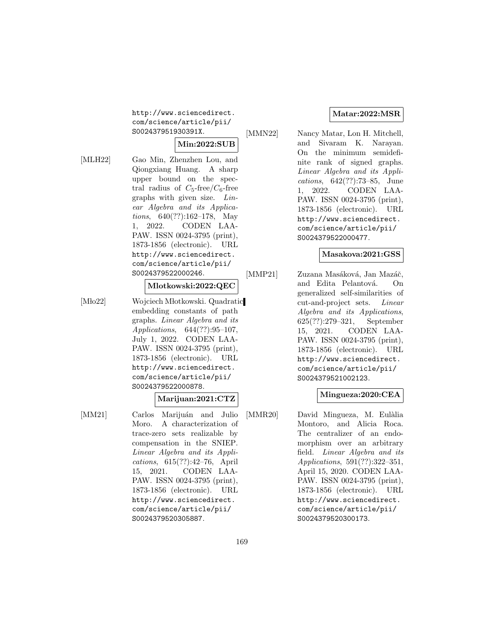http://www.sciencedirect. com/science/article/pii/ S002437951930391X.

## **Min:2022:SUB**

- 
- [MLH22] Gao Min, Zhenzhen Lou, and Qiongxiang Huang. A sharp upper bound on the spectral radius of  $C_5$ -free/ $C_6$ -free graphs with given size. Linear Algebra and its Applications, 640(??):162–178, May 1, 2022. CODEN LAA-PAW. ISSN 0024-3795 (print), 1873-1856 (electronic). URL http://www.sciencedirect. com/science/article/pii/ S0024379522000246.

#### **Mlotkowski:2022:QEC**

[Mło22] Wojciech Młotkowski. Quadratic embedding constants of path graphs. Linear Algebra and its Applications, 644(??):95–107, July 1, 2022. CODEN LAA-PAW. ISSN 0024-3795 (print), 1873-1856 (electronic). URL http://www.sciencedirect. com/science/article/pii/ S0024379522000878.

### **Marijuan:2021:CTZ**

[MM21] Carlos Marijuán and Julio Moro. A characterization of trace-zero sets realizable by compensation in the SNIEP. Linear Algebra and its Applications, 615(??):42–76, April 15, 2021. CODEN LAA-PAW. ISSN 0024-3795 (print), 1873-1856 (electronic). URL http://www.sciencedirect. com/science/article/pii/ S0024379520305887.

### **Matar:2022:MSR**

[MMN22] Nancy Matar, Lon H. Mitchell, and Sivaram K. Narayan. On the minimum semidefinite rank of signed graphs. Linear Algebra and its Applications, 642(??):73–85, June 1, 2022. CODEN LAA-PAW. ISSN 0024-3795 (print), 1873-1856 (electronic). URL http://www.sciencedirect. com/science/article/pii/ S0024379522000477.

### **Masakova:2021:GSS**

[MMP21] Zuzana Masáková, Jan Mazáč, and Edita Pelantová. On generalized self-similarities of cut-and-project sets. Linear Algebra and its Applications, 625(??):279–321, September 15, 2021. CODEN LAA-PAW. ISSN 0024-3795 (print), 1873-1856 (electronic). URL http://www.sciencedirect. com/science/article/pii/ S0024379521002123.

### **Mingueza:2020:CEA**

[MMR20] David Mingueza, M. Eulàlia Montoro, and Alicia Roca. The centralizer of an endomorphism over an arbitrary field. Linear Algebra and its Applications, 591(??):322–351, April 15, 2020. CODEN LAA-PAW. ISSN 0024-3795 (print), 1873-1856 (electronic). URL http://www.sciencedirect. com/science/article/pii/ S0024379520300173.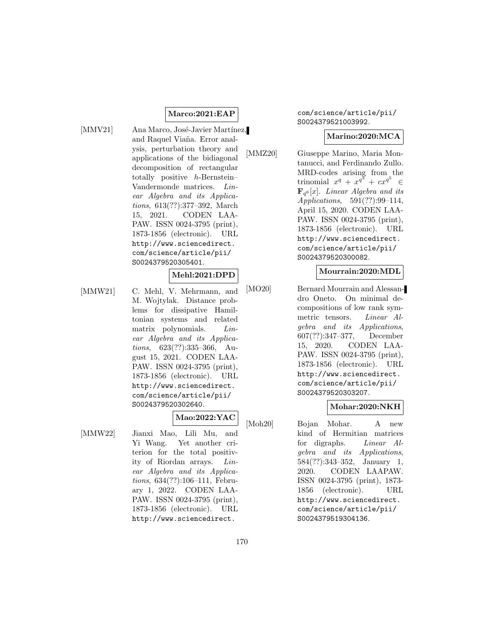### **Marco:2021:EAP**

[MMV21] Ana Marco, José-Javier Martínez, and Raquel Via˜na. Error analysis, perturbation theory and applications of the bidiagonal decomposition of rectangular totally positive h-Bernstein– Vandermonde matrices. Linear Algebra and its Applications, 613(??):377–392, March 15, 2021. CODEN LAA-PAW. ISSN 0024-3795 (print), 1873-1856 (electronic). URL http://www.sciencedirect. com/science/article/pii/ S0024379520305401.

### **Mehl:2021:DPD**

[MMW21] C. Mehl, V. Mehrmann, and M. Wojtylak. Distance problems for dissipative Hamiltonian systems and related matrix polynomials. *Lin*ear Algebra and its Applications, 623(??):335–366, August 15, 2021. CODEN LAA-PAW. ISSN 0024-3795 (print), 1873-1856 (electronic). URL http://www.sciencedirect. com/science/article/pii/ S0024379520302640.

## **Mao:2022:YAC**

[MMW22] Jianxi Mao, Lili Mu, and Yi Wang. Yet another criterion for the total positivity of Riordan arrays. Linear Algebra and its Applications, 634(??):106–111, February 1, 2022. CODEN LAA-PAW. ISSN 0024-3795 (print), 1873-1856 (electronic). URL http://www.sciencedirect.

com/science/article/pii/ S0024379521003992.

### **Marino:2020:MCA**

[MMZ20] Giuseppe Marino, Maria Montanucci, and Ferdinando Zullo. MRD-codes arising from the trinomial  $x^q + x^{q^3} + cx^{q^5}$ ∈  $\mathbf{F}_{q^6}[x]$ . Linear Algebra and its Applications, 591(??):99–114, April 15, 2020. CODEN LAA-PAW. ISSN 0024-3795 (print), 1873-1856 (electronic). URL http://www.sciencedirect. com/science/article/pii/ S0024379520300082.

### **Mourrain:2020:MDL**

[MO20] Bernard Mourrain and Alessandro Oneto. On minimal decompositions of low rank symmetric tensors. Linear Algebra and its Applications, 607(??):347–377, December 15, 2020. CODEN LAA-PAW. ISSN 0024-3795 (print), 1873-1856 (electronic). URL http://www.sciencedirect. com/science/article/pii/ S0024379520303207.

### **Mohar:2020:NKH**

[Moh20] Bojan Mohar. A new kind of Hermitian matrices for digraphs. Linear Algebra and its Applications, 584(??):343–352, January 1, 2020. CODEN LAAPAW. ISSN 0024-3795 (print), 1873- 1856 (electronic). URL http://www.sciencedirect. com/science/article/pii/ S0024379519304136.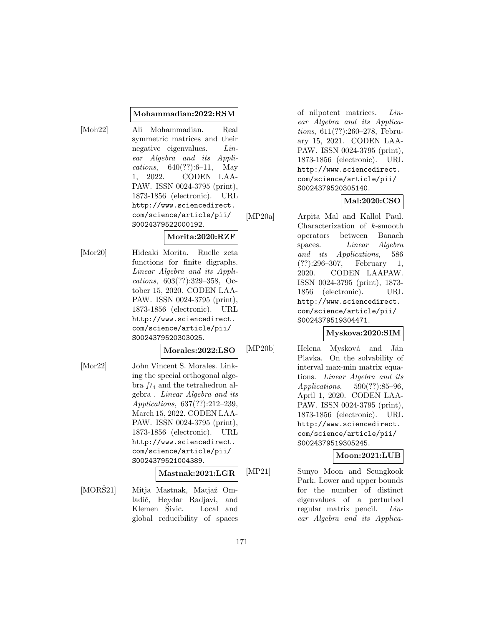#### **Mohammadian:2022:RSM**

[Moh22] Ali Mohammadian. Real symmetric matrices and their negative eigenvalues. Linear Algebra and its Applications, 640(??):6–11, May 1, 2022. CODEN LAA-PAW. ISSN 0024-3795 (print), 1873-1856 (electronic). URL http://www.sciencedirect. com/science/article/pii/ S0024379522000192.

## **Morita:2020:RZF**

[Mor20] Hideaki Morita. Ruelle zeta functions for finite digraphs. Linear Algebra and its Applications, 603(??):329–358, October 15, 2020. CODEN LAA-PAW. ISSN 0024-3795 (print), 1873-1856 (electronic). URL http://www.sciencedirect. com/science/article/pii/ S0024379520303025.

### **Morales:2022:LSO**

[Mor22] John Vincent S. Morales. Linking the special orthogonal algebra  $\int_{4}$  and the tetrahedron algebra . Linear Algebra and its Applications, 637(??):212–239, March 15, 2022. CODEN LAA-PAW. ISSN 0024-3795 (print), 1873-1856 (electronic). URL http://www.sciencedirect. com/science/article/pii/ S0024379521004389.

## **Mastnak:2021:LGR**

[MORŠ21] Mitja Mastnak, Matjaž Omladič, Heydar Radjavi, and Klemen Šivic. Local and global reducibility of spaces of nilpotent matrices. Linear Algebra and its Applications, 611(??):260–278, February 15, 2021. CODEN LAA-PAW. ISSN 0024-3795 (print), 1873-1856 (electronic). URL http://www.sciencedirect. com/science/article/pii/ S0024379520305140.

### **Mal:2020:CSO**

[MP20a] Arpita Mal and Kallol Paul. Characterization of k-smooth operators between Banach spaces. *Linear* Algebra and its Applications, 586 (??):296–307, February 1, 2020. CODEN LAAPAW. ISSN 0024-3795 (print), 1873- 1856 (electronic). URL http://www.sciencedirect. com/science/article/pii/ S0024379519304471.

## **Myskova:2020:SIM**

[MP20b] Helena Mysková and Ján Plavka. On the solvability of interval max-min matrix equations. Linear Algebra and its Applications, 590(??):85–96, April 1, 2020. CODEN LAA-PAW. ISSN 0024-3795 (print), 1873-1856 (electronic). URL http://www.sciencedirect. com/science/article/pii/ S0024379519305245.

## **Moon:2021:LUB**

[MP21] Sunyo Moon and Seungkook Park. Lower and upper bounds for the number of distinct eigenvalues of a perturbed regular matrix pencil. Linear Algebra and its Applica-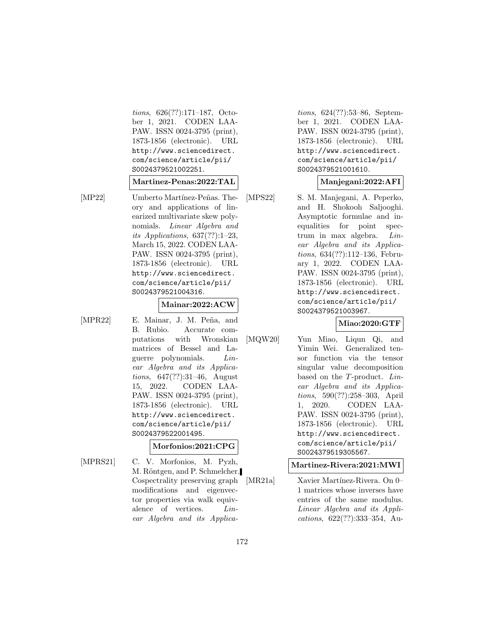tions, 626(??):171–187, October 1, 2021. CODEN LAA-PAW. ISSN 0024-3795 (print), 1873-1856 (electronic). URL http://www.sciencedirect. com/science/article/pii/ S0024379521002251.

#### **Martinez-Penas:2022:TAL**

[MP22] Umberto Martínez-Peñas. Theory and applications of linearized multivariate skew polynomials. Linear Algebra and its Applications, 637(??):1–23, March 15, 2022. CODEN LAA-PAW. ISSN 0024-3795 (print), 1873-1856 (electronic). URL http://www.sciencedirect. com/science/article/pii/ S0024379521004316.

### **Mainar:2022:ACW**

[MPR22] E. Mainar, J. M. Peña, and B. Rubio. Accurate computations with Wronskian matrices of Bessel and Laguerre polynomials. Linear Algebra and its Applications, 647(??):31–46, August 15, 2022. CODEN LAA-PAW. ISSN 0024-3795 (print), 1873-1856 (electronic). URL http://www.sciencedirect. com/science/article/pii/ S0024379522001495.

## **Morfonios:2021:CPG**

[MPRS21] C. V. Morfonios, M. Pyzh, M. Röntgen, and P. Schmelcher. Cospectrality preserving graph modifications and eigenvector properties via walk equivalence of vertices. Linear Algebra and its Applica-

tions, 624(??):53–86, September 1, 2021. CODEN LAA-PAW. ISSN 0024-3795 (print), 1873-1856 (electronic). URL http://www.sciencedirect. com/science/article/pii/ S0024379521001610.

## **Manjegani:2022:AFI**

[MPS22] S. M. Manjegani, A. Peperko, and H. Shokooh Saljooghi. Asymptotic formulae and inequalities for point spectrum in max algebra. Linear Algebra and its Applications, 634(??):112–136, February 1, 2022. CODEN LAA-PAW. ISSN 0024-3795 (print), 1873-1856 (electronic). URL http://www.sciencedirect. com/science/article/pii/ S0024379521003967.

## **Miao:2020:GTF**

[MQW20] Yun Miao, Liqun Qi, and Yimin Wei. Generalized tensor function via the tensor singular value decomposition based on the T-product. Linear Algebra and its Applications, 590(??):258–303, April 1, 2020. CODEN LAA-PAW. ISSN 0024-3795 (print), 1873-1856 (electronic). URL http://www.sciencedirect. com/science/article/pii/ S0024379519305567.

## **Martinez-Rivera:2021:MWI**

[MR21a] Xavier Martínez-Rivera. On 0– 1 matrices whose inverses have entries of the same modulus. Linear Algebra and its Applications, 622(??):333–354, Au-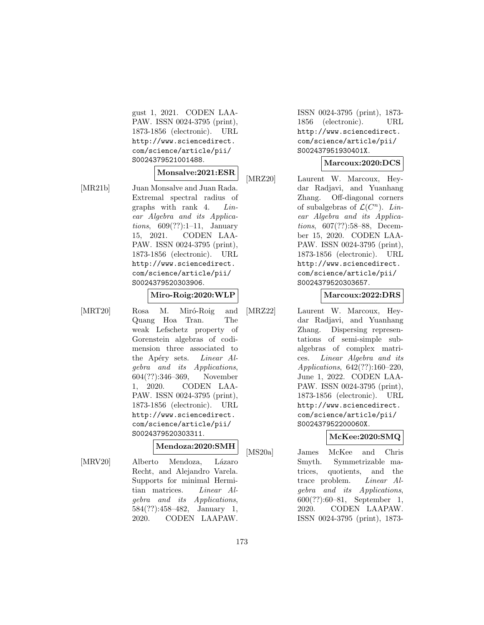gust 1, 2021. CODEN LAA-PAW. ISSN 0024-3795 (print), 1873-1856 (electronic). URL http://www.sciencedirect. com/science/article/pii/ S0024379521001488.

# **Monsalve:2021:ESR**

[MR21b] Juan Monsalve and Juan Rada. Extremal spectral radius of graphs with rank 4. Linear Algebra and its Applications, 609(??):1–11, January 15, 2021. CODEN LAA-PAW. ISSN 0024-3795 (print), 1873-1856 (electronic). URL http://www.sciencedirect. com/science/article/pii/ S0024379520303906.

#### **Miro-Roig:2020:WLP**

[MRT20] Rosa M. Miró-Roig and Quang Hoa Tran. The weak Lefschetz property of Gorenstein algebras of codimension three associated to the Apéry sets. *Linear Al*gebra and its Applications, 604(??):346–369, November 1, 2020. CODEN LAA-PAW. ISSN 0024-3795 (print), 1873-1856 (electronic). URL http://www.sciencedirect. com/science/article/pii/ S0024379520303311.

### **Mendoza:2020:SMH**

[MRV20] Alberto Mendoza, Lázaro Recht, and Alejandro Varela. Supports for minimal Hermitian matrices. Linear Algebra and its Applications, 584(??):458–482, January 1, 2020. CODEN LAAPAW. ISSN 0024-3795 (print), 1873- 1856 (electronic). URL http://www.sciencedirect. com/science/article/pii/ S002437951930401X.

#### **Marcoux:2020:DCS**

[MRZ20] Laurent W. Marcoux, Heydar Radjavi, and Yuanhang Zhang. Off-diagonal corners of subalgebras of  $\mathcal{L}(C^n)$ . Linear Algebra and its Applications, 607(??):58–88, December 15, 2020. CODEN LAA-PAW. ISSN 0024-3795 (print), 1873-1856 (electronic). URL http://www.sciencedirect. com/science/article/pii/ S0024379520303657.

#### **Marcoux:2022:DRS**

[MRZ22] Laurent W. Marcoux, Heydar Radjavi, and Yuanhang Zhang. Dispersing representations of semi-simple subalgebras of complex matrices. Linear Algebra and its Applications, 642(??):160–220, June 1, 2022. CODEN LAA-PAW. ISSN 0024-3795 (print), 1873-1856 (electronic). URL http://www.sciencedirect. com/science/article/pii/ S002437952200060X.

## **McKee:2020:SMQ**

[MS20a] James McKee and Chris Smyth. Symmetrizable matrices, quotients, and the trace problem. Linear Algebra and its Applications, 600(??):60–81, September 1, 2020. CODEN LAAPAW. ISSN 0024-3795 (print), 1873-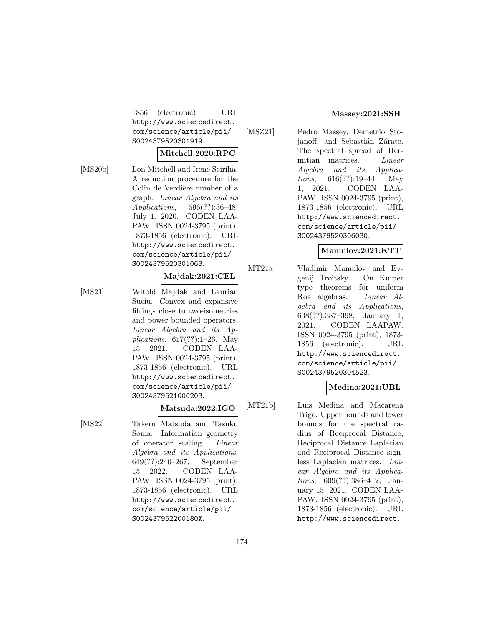1856 (electronic). URL http://www.sciencedirect. com/science/article/pii/ S0024379520301919.

### **Mitchell:2020:RPC**

[MS20b] Lon Mitchell and Irene Sciriha. A reduction procedure for the Colin de Verdière number of a graph. Linear Algebra and its Applications, 596(??):36–48, July 1, 2020. CODEN LAA-PAW. ISSN 0024-3795 (print), 1873-1856 (electronic). URL http://www.sciencedirect. com/science/article/pii/ S0024379520301063.

## **Majdak:2021:CEL**

[MS21] Witold Majdak and Laurian Suciu. Convex and expansive liftings close to two-isometries and power bounded operators. Linear Algebra and its Applications, 617(??):1–26, May 15, 2021. CODEN LAA-PAW. ISSN 0024-3795 (print), 1873-1856 (electronic). URL http://www.sciencedirect. com/science/article/pii/ S0024379521000203.

## **Matsuda:2022:IGO**

[MS22] Takeru Matsuda and Tasuku Soma. Information geometry of operator scaling. Linear Algebra and its Applications, 649(??):240–267, September 15, 2022. CODEN LAA-PAW. ISSN 0024-3795 (print), 1873-1856 (electronic). URL http://www.sciencedirect. com/science/article/pii/ S002437952200180X.

### **Massey:2021:SSH**

[MSZ21] Pedro Massey, Demetrio Stojanoff, and Sebastián Zárate. The spectral spread of Hermitian matrices. *Linear* Algebra and its Applications, 616(??):19–44, May 1, 2021. CODEN LAA-PAW. ISSN 0024-3795 (print), 1873-1856 (electronic). URL http://www.sciencedirect. com/science/article/pii/ S0024379520306030.

### **Manuilov:2021:KTT**

[MT21a] Vladimir Manuilov and Evgenij Troitsky. On Kuiper type theorems for uniform Roe algebras. Linear Algebra and its Applications, 608(??):387–398, January 1, 2021. CODEN LAAPAW. ISSN 0024-3795 (print), 1873- 1856 (electronic). URL http://www.sciencedirect. com/science/article/pii/ S0024379520304523.

### **Medina:2021:UBL**

[MT21b] Luis Medina and Macarena Trigo. Upper bounds and lower bounds for the spectral radius of Reciprocal Distance, Reciprocal Distance Laplacian and Reciprocal Distance signless Laplacian matrices. Linear Algebra and its Applications, 609(??):386–412, January 15, 2021. CODEN LAA-PAW. ISSN 0024-3795 (print), 1873-1856 (electronic). URL http://www.sciencedirect.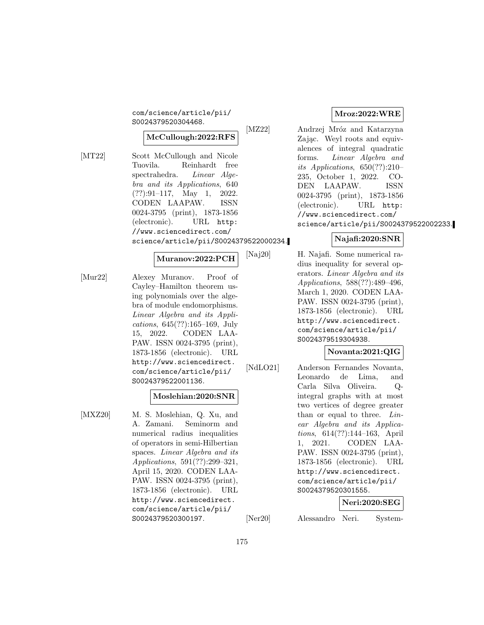com/science/article/pii/ S0024379520304468.

### **McCullough:2022:RFS**

[MT22] Scott McCullough and Nicole Tuovila. Reinhardt free spectrahedra. Linear Algebra and its Applications, 640 (??):91–117, May 1, 2022. CODEN LAAPAW. ISSN 0024-3795 (print), 1873-1856 (electronic). URL http: //www.sciencedirect.com/ science/article/pii/S0024379522000234.

### **Muranov:2022:PCH**

[Mur22] Alexey Muranov. Proof of Cayley–Hamilton theorem using polynomials over the algebra of module endomorphisms. Linear Algebra and its Applications, 645(??):165–169, July 15, 2022. CODEN LAA-PAW. ISSN 0024-3795 (print), 1873-1856 (electronic). URL http://www.sciencedirect. com/science/article/pii/ S0024379522001136.

#### **Moslehian:2020:SNR**

[MXZ20] M. S. Moslehian, Q. Xu, and A. Zamani. Seminorm and numerical radius inequalities of operators in semi-Hilbertian spaces. Linear Algebra and its Applications, 591(??):299–321, April 15, 2020. CODEN LAA-PAW. ISSN 0024-3795 (print), 1873-1856 (electronic). URL http://www.sciencedirect. com/science/article/pii/ S0024379520300197.

### **Mroz:2022:WRE**

[MZ22] Andrzej Mróz and Katarzyna Zając. Weyl roots and equivalences of integral quadratic forms. Linear Algebra and its Applications,  $650(??):210-$ 235, October 1, 2022. CO-DEN LAAPAW. ISSN 0024-3795 (print), 1873-1856 (electronic). URL http: //www.sciencedirect.com/ science/article/pii/S0024379522002233.

### **Najafi:2020:SNR**

[Naj20] H. Najafi. Some numerical radius inequality for several operators. Linear Algebra and its Applications, 588(??):489–496, March 1, 2020. CODEN LAA-PAW. ISSN 0024-3795 (print), 1873-1856 (electronic). URL http://www.sciencedirect. com/science/article/pii/ S0024379519304938.

## **Novanta:2021:QIG**

[NdLO21] Anderson Fernandes Novanta, Leonardo de Lima, and Carla Silva Oliveira. Qintegral graphs with at most two vertices of degree greater than or equal to three. Linear Algebra and its Applications, 614(??):144–163, April 1, 2021. CODEN LAA-PAW. ISSN 0024-3795 (print), 1873-1856 (electronic). URL http://www.sciencedirect. com/science/article/pii/ S0024379520301555.

### **Neri:2020:SEG**

[Ner20] Alessandro Neri. System-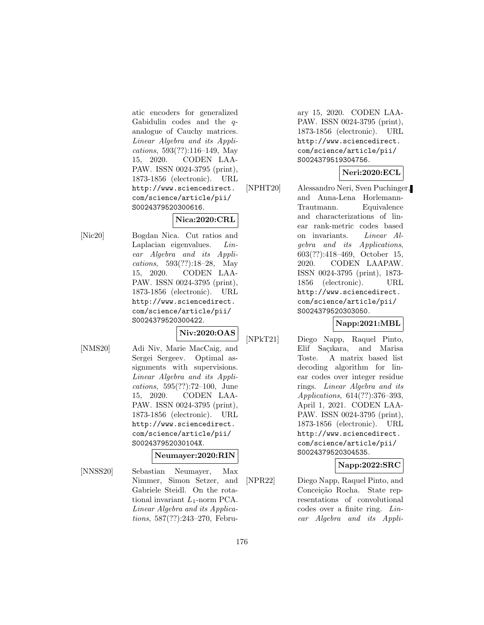atic encoders for generalized Gabidulin codes and the qanalogue of Cauchy matrices. Linear Algebra and its Applications, 593(??):116–149, May 15, 2020. CODEN LAA-PAW. ISSN 0024-3795 (print), 1873-1856 (electronic). URL http://www.sciencedirect. com/science/article/pii/ S0024379520300616.

# **Nica:2020:CRL**

[Nic20] Bogdan Nica. Cut ratios and Laplacian eigenvalues. Linear Algebra and its Applications, 593(??):18–28, May 15, 2020. CODEN LAA-PAW. ISSN 0024-3795 (print), 1873-1856 (electronic). URL http://www.sciencedirect. com/science/article/pii/ S0024379520300422.

## **Niv:2020:OAS**

[NMS20] Adi Niv, Marie MacCaig, and Sergei Sergeev. Optimal assignments with supervisions. Linear Algebra and its Applications, 595(??):72–100, June 15, 2020. CODEN LAA-PAW. ISSN 0024-3795 (print), 1873-1856 (electronic). URL http://www.sciencedirect. com/science/article/pii/ S002437952030104X.

## **Neumayer:2020:RIN**

[NNSS20] Sebastian Neumayer, Max Nimmer, Simon Setzer, and Gabriele Steidl. On the rotational invariant  $L_1$ -norm PCA. Linear Algebra and its Applications, 587(??):243–270, February 15, 2020. CODEN LAA-PAW. ISSN 0024-3795 (print), 1873-1856 (electronic). URL http://www.sciencedirect. com/science/article/pii/ S0024379519304756.

# **Neri:2020:ECL**

[NPHT20] Alessandro Neri, Sven Puchinger, and Anna-Lena Horlemann-Trautmann. Equivalence and characterizations of linear rank-metric codes based on invariants. Linear Algebra and its Applications, 603(??):418–469, October 15, 2020. CODEN LAAPAW. ISSN 0024-3795 (print), 1873- 1856 (electronic). URL http://www.sciencedirect. com/science/article/pii/ S0024379520303050.

# **Napp:2021:MBL**

[NPkT21] Diego Napp, Raquel Pinto, Elif Sacıkara, and Marisa Toste. A matrix based list decoding algorithm for linear codes over integer residue rings. Linear Algebra and its Applications, 614(??):376–393, April 1, 2021. CODEN LAA-PAW. ISSN 0024-3795 (print), 1873-1856 (electronic). URL http://www.sciencedirect. com/science/article/pii/ S0024379520304535.

# **Napp:2022:SRC**

[NPR22] Diego Napp, Raquel Pinto, and Conceição Rocha. State representations of convolutional codes over a finite ring. Linear Algebra and its Appli-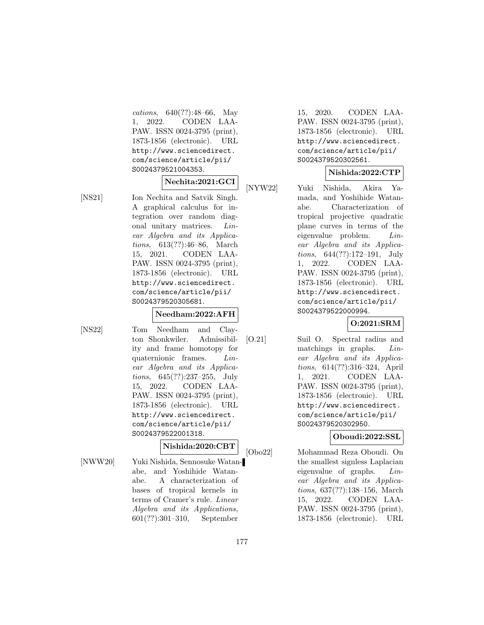cations, 640(??):48–66, May 1, 2022. CODEN LAA-PAW. ISSN 0024-3795 (print), 1873-1856 (electronic). URL http://www.sciencedirect. com/science/article/pii/ S0024379521004353.

### **Nechita:2021:GCI**

[NS21] Ion Nechita and Satvik Singh. A graphical calculus for integration over random diagonal unitary matrices. Linear Algebra and its Applications, 613(??):46–86, March 15, 2021. CODEN LAA-PAW. ISSN 0024-3795 (print), 1873-1856 (electronic). URL http://www.sciencedirect. com/science/article/pii/ S0024379520305681.

### **Needham:2022:AFH**

[NS22] Tom Needham and Clayton Shonkwiler. Admissibility and frame homotopy for quaternionic frames. Linear Algebra and its Applications, 645(??):237–255, July 15, 2022. CODEN LAA-PAW. ISSN 0024-3795 (print), 1873-1856 (electronic). URL http://www.sciencedirect. com/science/article/pii/ S0024379522001318.

### **Nishida:2020:CBT**

[NWW20] Yuki Nishida, Sennosuke Watanabe, and Yoshihide Watanabe. A characterization of bases of tropical kernels in terms of Cramer's rule. Linear Algebra and its Applications, 601(??):301–310, September

15, 2020. CODEN LAA-PAW. ISSN 0024-3795 (print), 1873-1856 (electronic). URL http://www.sciencedirect. com/science/article/pii/ S0024379520302561.

## **Nishida:2022:CTP**

[NYW22] Yuki Nishida, Akira Yamada, and Yoshihide Watanabe. Characterization of tropical projective quadratic plane curves in terms of the eigenvalue problem. Linear Algebra and its Applications, 644(??):172–191, July 1, 2022. CODEN LAA-PAW. ISSN 0024-3795 (print), 1873-1856 (electronic). URL http://www.sciencedirect. com/science/article/pii/ S0024379522000994.

**O:2021:SRM**

[O.21] Suil O. Spectral radius and matchings in graphs. Linear Algebra and its Applications, 614(??):316–324, April 1, 2021. CODEN LAA-PAW. ISSN 0024-3795 (print), 1873-1856 (electronic). URL http://www.sciencedirect. com/science/article/pii/ S0024379520302950.

## **Oboudi:2022:SSL**

[Obo22] Mohammad Reza Oboudi. On the smallest signless Laplacian eigenvalue of graphs. Linear Algebra and its Applications, 637(??):138–156, March 15, 2022. CODEN LAA-PAW. ISSN 0024-3795 (print), 1873-1856 (electronic). URL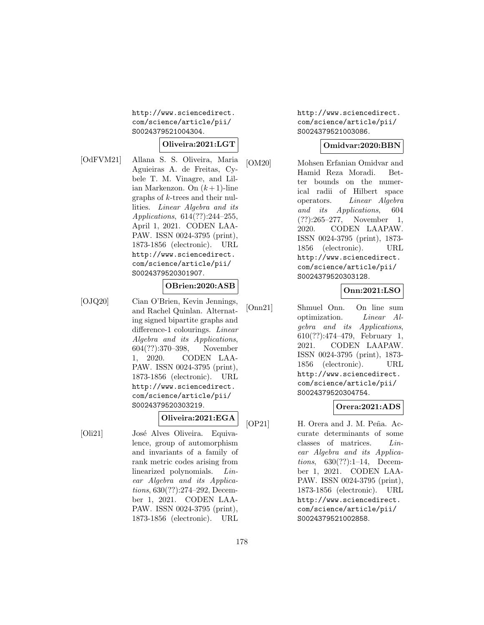http://www.sciencedirect. com/science/article/pii/ S0024379521004304.

## **Oliveira:2021:LGT**

[OdFVM21] Allana S. S. Oliveira, Maria Aguieiras A. de Freitas, Cybele T. M. Vinagre, and Lilian Markenzon. On  $(k+1)$ -line graphs of k-trees and their nullities. Linear Algebra and its Applications, 614(??):244–255, April 1, 2021. CODEN LAA-PAW. ISSN 0024-3795 (print), 1873-1856 (electronic). URL http://www.sciencedirect. com/science/article/pii/ S0024379520301907.

### **OBrien:2020:ASB**

[OJQ20] Cian O'Brien, Kevin Jennings, and Rachel Quinlan. Alternating signed bipartite graphs and difference-1 colourings. Linear Algebra and its Applications, 604(??):370–398, November 1, 2020. CODEN LAA-PAW. ISSN 0024-3795 (print), 1873-1856 (electronic). URL http://www.sciencedirect. com/science/article/pii/ S0024379520303219.

## **Oliveira:2021:EGA**

[Oli21] José Alves Oliveira. Equivalence, group of automorphism and invariants of a family of rank metric codes arising from linearized polynomials. Linear Algebra and its Applications, 630(??):274–292, December 1, 2021. CODEN LAA-PAW. ISSN 0024-3795 (print), 1873-1856 (electronic). URL http://www.sciencedirect. com/science/article/pii/ S0024379521003086.

### **Omidvar:2020:BBN**

[OM20] Mohsen Erfanian Omidvar and Hamid Reza Moradi. Better bounds on the numerical radii of Hilbert space operators. Linear Algebra and its Applications, 604 (??):265–277, November 1, 2020. CODEN LAAPAW. ISSN 0024-3795 (print), 1873- 1856 (electronic). URL http://www.sciencedirect. com/science/article/pii/ S0024379520303128.

## **Onn:2021:LSO**

[Onn21] Shmuel Onn. On line sum optimization. Linear Algebra and its Applications, 610(??):474–479, February 1, 2021. CODEN LAAPAW. ISSN 0024-3795 (print), 1873- 1856 (electronic). URL http://www.sciencedirect. com/science/article/pii/ S0024379520304754.

## **Orera:2021:ADS**

[OP21] H. Orera and J. M. Peña. Accurate determinants of some classes of matrices. Linear Algebra and its Applications, 630(??):1–14, December 1, 2021. CODEN LAA-PAW. ISSN 0024-3795 (print), 1873-1856 (electronic). URL http://www.sciencedirect. com/science/article/pii/ S0024379521002858.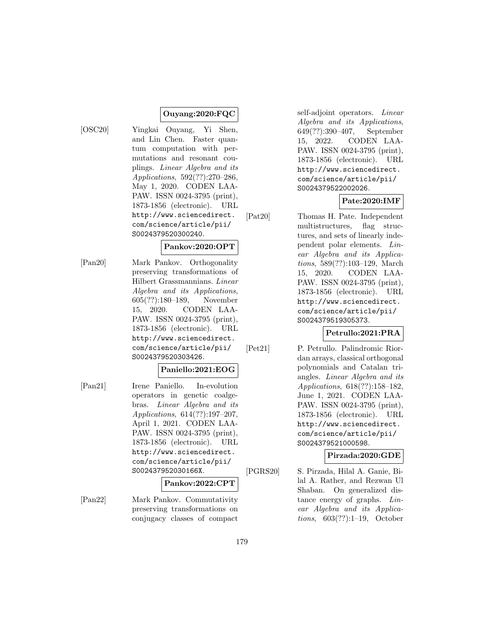### **Ouyang:2020:FQC**

[OSC20] Yingkai Ouyang, Yi Shen, and Lin Chen. Faster quantum computation with permutations and resonant couplings. Linear Algebra and its Applications, 592(??):270–286, May 1, 2020. CODEN LAA-PAW. ISSN 0024-3795 (print), 1873-1856 (electronic). URL http://www.sciencedirect. com/science/article/pii/ S0024379520300240.

## **Pankov:2020:OPT**

[Pan20] Mark Pankov. Orthogonality preserving transformations of Hilbert Grassmannians. Linear Algebra and its Applications, 605(??):180–189, November 15, 2020. CODEN LAA-PAW. ISSN 0024-3795 (print), 1873-1856 (electronic). URL http://www.sciencedirect. com/science/article/pii/ S0024379520303426.

## **Paniello:2021:EOG**

[Pan21] Irene Paniello. In-evolution operators in genetic coalgebras. Linear Algebra and its Applications, 614(??):197–207, April 1, 2021. CODEN LAA-PAW. ISSN 0024-3795 (print), 1873-1856 (electronic). URL http://www.sciencedirect. com/science/article/pii/ S002437952030166X.

### **Pankov:2022:CPT**

[Pan22] Mark Pankov. Commutativity preserving transformations on conjugacy classes of compact

self-adjoint operators. Linear Algebra and its Applications, 649(??):390–407, September 15, 2022. CODEN LAA-PAW. ISSN 0024-3795 (print), 1873-1856 (electronic). URL http://www.sciencedirect. com/science/article/pii/ S0024379522002026.

## **Pate:2020:IMF**

[Pat20] Thomas H. Pate. Independent multistructures, flag structures, and sets of linearly independent polar elements. Linear Algebra and its Applications, 589(??):103–129, March 15, 2020. CODEN LAA-PAW. ISSN 0024-3795 (print), 1873-1856 (electronic). URL http://www.sciencedirect. com/science/article/pii/ S0024379519305373.

## **Petrullo:2021:PRA**

[Pet21] P. Petrullo. Palindromic Riordan arrays, classical orthogonal polynomials and Catalan triangles. Linear Algebra and its Applications, 618(??):158–182, June 1, 2021. CODEN LAA-PAW. ISSN 0024-3795 (print), 1873-1856 (electronic). URL http://www.sciencedirect. com/science/article/pii/ S0024379521000598.

## **Pirzada:2020:GDE**

[PGRS20] S. Pirzada, Hilal A. Ganie, Bilal A. Rather, and Rezwan Ul Shaban. On generalized distance energy of graphs. Linear Algebra and its Applications, 603(??):1–19, October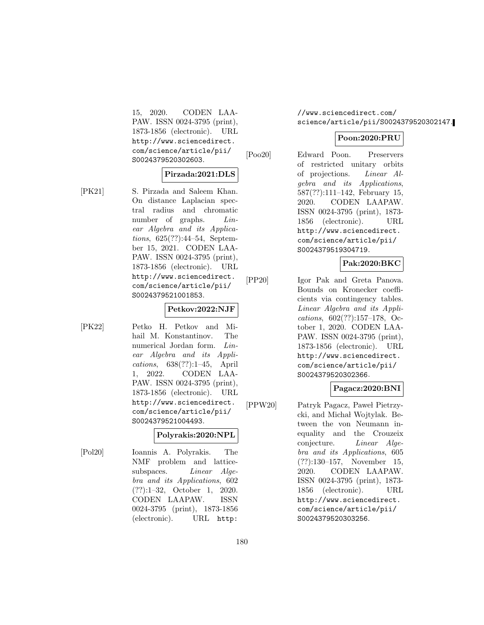15, 2020. CODEN LAA-PAW. ISSN 0024-3795 (print), 1873-1856 (electronic). URL http://www.sciencedirect. com/science/article/pii/ S0024379520302603.

#### **Pirzada:2021:DLS**

[PK21] S. Pirzada and Saleem Khan. On distance Laplacian spectral radius and chromatic number of graphs. *Lin*ear Algebra and its Applications, 625(??):44–54, September 15, 2021. CODEN LAA-PAW. ISSN 0024-3795 (print), 1873-1856 (electronic). URL http://www.sciencedirect. com/science/article/pii/ S0024379521001853.

## **Petkov:2022:NJF**

[PK22] Petko H. Petkov and Mihail M. Konstantinov. The numerical Jordan form. Linear Algebra and its Applications, 638(??):1–45, April 1, 2022. CODEN LAA-PAW. ISSN 0024-3795 (print), 1873-1856 (electronic). URL http://www.sciencedirect. com/science/article/pii/ S0024379521004493.

### **Polyrakis:2020:NPL**

[Pol20] Ioannis A. Polyrakis. The NMF problem and latticesubspaces. *Linear Alge*bra and its Applications, 602 (??):1–32, October 1, 2020. CODEN LAAPAW. ISSN 0024-3795 (print), 1873-1856 (electronic). URL http:

//www.sciencedirect.com/ science/article/pii/S0024379520302147.

### **Poon:2020:PRU**

[Poo20] Edward Poon. Preservers of restricted unitary orbits of projections. Linear Algebra and its Applications, 587(??):111–142, February 15, 2020. CODEN LAAPAW. ISSN 0024-3795 (print), 1873- 1856 (electronic). URL http://www.sciencedirect. com/science/article/pii/ S0024379519304719.

### **Pak:2020:BKC**

[PP20] Igor Pak and Greta Panova. Bounds on Kronecker coefficients via contingency tables. Linear Algebra and its Applications, 602(??):157–178, October 1, 2020. CODEN LAA-PAW. ISSN 0024-3795 (print), 1873-1856 (electronic). URL http://www.sciencedirect. com/science/article/pii/ S0024379520302366.

### **Pagacz:2020:BNI**

[PPW20] Patryk Pagacz, Paweł Pietrzycki, and Michał Wojtylak. Between the von Neumann inequality and the Crouzeix conjecture. Linear Algebra and its Applications, 605 (??):130–157, November 15, 2020. CODEN LAAPAW. ISSN 0024-3795 (print), 1873- 1856 (electronic). URL http://www.sciencedirect. com/science/article/pii/ S0024379520303256.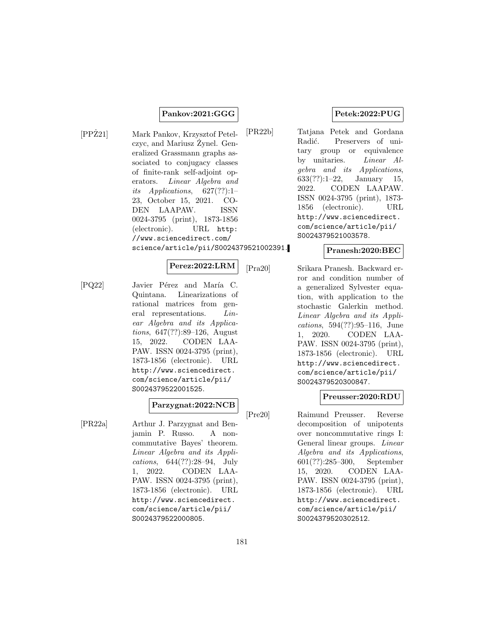### **Pankov:2021:GGG**

[PPZ21] Mark Pankov, Krzysztof Petelczyc, and Mariusz Zynel. Generalized Grassmann graphs associated to conjugacy classes of finite-rank self-adjoint operators. Linear Algebra and its Applications,  $627(??):1-$ 23, October 15, 2021. CO-DEN LAAPAW. ISSN 0024-3795 (print), 1873-1856 (electronic). URL http: //www.sciencedirect.com/ science/article/pii/S0024379521002391.

# **Perez:2022:LRM**

[PQ22] Javier Pérez and María C. Quintana. Linearizations of rational matrices from general representations. Linear Algebra and its Applications, 647(??):89–126, August 15, 2022. CODEN LAA-PAW. ISSN 0024-3795 (print), 1873-1856 (electronic). URL http://www.sciencedirect. com/science/article/pii/ S0024379522001525.

# **Parzygnat:2022:NCB**

[PR22a] Arthur J. Parzygnat and Benjamin P. Russo. A noncommutative Bayes' theorem. Linear Algebra and its Applications, 644(??):28–94, July 1, 2022. CODEN LAA-PAW. ISSN 0024-3795 (print), 1873-1856 (electronic). URL http://www.sciencedirect. com/science/article/pii/ S0024379522000805.

# **Petek:2022:PUG**

[PR22b] Tatjana Petek and Gordana Radić. Preservers of unitary group or equivalence by unitaries. Linear Algebra and its Applications, 633(??):1–22, January 15, 2022. CODEN LAAPAW. ISSN 0024-3795 (print), 1873- 1856 (electronic). URL http://www.sciencedirect. com/science/article/pii/ S0024379521003578.

#### **Pranesh:2020:BEC**

[Pra20] Srikara Pranesh. Backward error and condition number of a generalized Sylvester equation, with application to the stochastic Galerkin method. Linear Algebra and its Applications, 594(??):95–116, June 1, 2020. CODEN LAA-PAW. ISSN 0024-3795 (print), 1873-1856 (electronic). URL http://www.sciencedirect. com/science/article/pii/ S0024379520300847.

### **Preusser:2020:RDU**

[Pre20] Raimund Preusser. Reverse decomposition of unipotents over noncommutative rings I: General linear groups. Linear Algebra and its Applications, 601(??):285–300, September 15, 2020. CODEN LAA-PAW. ISSN 0024-3795 (print), 1873-1856 (electronic). URL http://www.sciencedirect. com/science/article/pii/ S0024379520302512.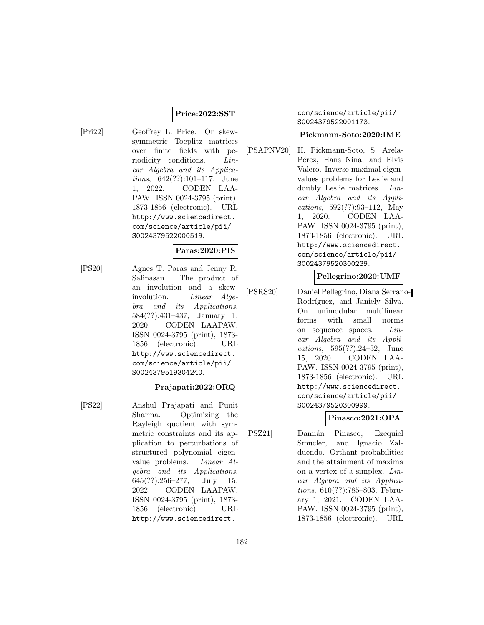### **Price:2022:SST**

[Pri22] Geoffrey L. Price. On skewsymmetric Toeplitz matrices over finite fields with periodicity conditions. Linear Algebra and its Applications, 642(??):101–117, June 1, 2022. CODEN LAA-PAW. ISSN 0024-3795 (print), 1873-1856 (electronic). URL http://www.sciencedirect. com/science/article/pii/ S0024379522000519.

### **Paras:2020:PIS**

[PS20] Agnes T. Paras and Jenny R. Salinasan. The product of an involution and a skewinvolution. Linear Algebra and its Applications, 584(??):431–437, January 1, 2020. CODEN LAAPAW. ISSN 0024-3795 (print), 1873- 1856 (electronic). URL http://www.sciencedirect. com/science/article/pii/ S0024379519304240.

### **Prajapati:2022:ORQ**

[PS22] Anshul Prajapati and Punit Sharma. Optimizing the Rayleigh quotient with symmetric constraints and its application to perturbations of structured polynomial eigenvalue problems. Linear Algebra and its Applications, 645(??):256–277, July 15, 2022. CODEN LAAPAW. ISSN 0024-3795 (print), 1873- 1856 (electronic). URL http://www.sciencedirect.

# com/science/article/pii/ S0024379522001173.

### **Pickmann-Soto:2020:IME**

[PSAPNV20] H. Pickmann-Soto, S. Arela-Pérez, Hans Nina, and Elvis Valero. Inverse maximal eigenvalues problems for Leslie and doubly Leslie matrices. Linear Algebra and its Applications, 592(??):93–112, May 1, 2020. CODEN LAA-PAW. ISSN 0024-3795 (print), 1873-1856 (electronic). URL http://www.sciencedirect. com/science/article/pii/ S0024379520300239.

# **Pellegrino:2020:UMF**

[PSRS20] Daniel Pellegrino, Diana Serrano-Rodríguez, and Janiely Silva. On unimodular multilinear forms with small norms on sequence spaces. Linear Algebra and its Applications, 595(??):24–32, June 15, 2020. CODEN LAA-PAW. ISSN 0024-3795 (print), 1873-1856 (electronic). URL http://www.sciencedirect. com/science/article/pii/ S0024379520300999.

# **Pinasco:2021:OPA**

[PSZ21] Damián Pinasco, Ezequiel Smucler, and Ignacio Zalduendo. Orthant probabilities and the attainment of maxima on a vertex of a simplex. Linear Algebra and its Applications, 610(??):785–803, February 1, 2021. CODEN LAA-PAW. ISSN 0024-3795 (print), 1873-1856 (electronic). URL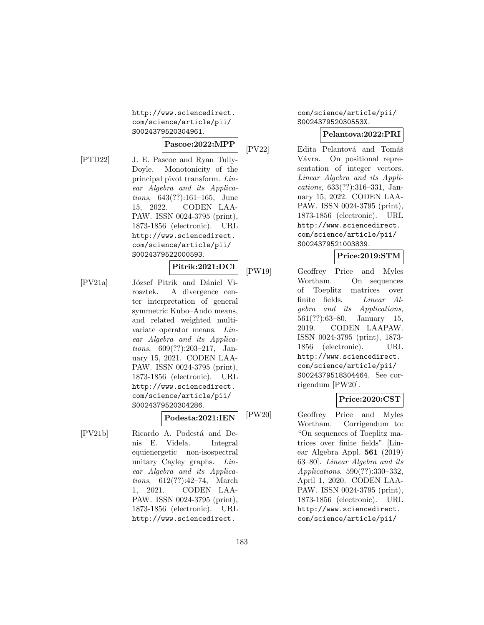http://www.sciencedirect. com/science/article/pii/ S0024379520304961.

### **Pascoe:2022:MPP**

[PTD22] J. E. Pascoe and Ryan Tully-Doyle. Monotonicity of the principal pivot transform. Linear Algebra and its Applications, 643(??):161–165, June 15, 2022. CODEN LAA-PAW. ISSN 0024-3795 (print), 1873-1856 (electronic). URL http://www.sciencedirect. com/science/article/pii/ S0024379522000593.

# **Pitrik:2021:DCI**

[PV21a] József Pitrik and Dániel Virosztek. A divergence center interpretation of general symmetric Kubo–Ando means, and related weighted multivariate operator means. Linear Algebra and its Applications, 609(??):203–217, January 15, 2021. CODEN LAA-PAW. ISSN 0024-3795 (print), 1873-1856 (electronic). URL http://www.sciencedirect. com/science/article/pii/ S0024379520304286.

### **Podesta:2021:IEN**

[PV21b] Ricardo A. Podestá and Denis E. Videla. Integral equienergetic non-isospectral unitary Cayley graphs. Linear Algebra and its Applications, 612(??):42–74, March 1, 2021. CODEN LAA-PAW. ISSN 0024-3795 (print), 1873-1856 (electronic). URL http://www.sciencedirect.

com/science/article/pii/ S002437952030553X.

### **Pelantova:2022:PRI**

[PV22] Edita Pelantová and Tomáš Vávra. On positional representation of integer vectors. Linear Algebra and its Applications, 633(??):316–331, January 15, 2022. CODEN LAA-PAW. ISSN 0024-3795 (print), 1873-1856 (electronic). URL http://www.sciencedirect. com/science/article/pii/ S0024379521003839.

# **Price:2019:STM**

[PW19] Geoffrey Price and Myles Wortham. On sequences of Toeplitz matrices over finite fields. Linear Algebra and its Applications, 561(??):63–80, January 15, 2019. CODEN LAAPAW. ISSN 0024-3795 (print), 1873- 1856 (electronic). URL http://www.sciencedirect. com/science/article/pii/ S0024379518304464. See corrigendum [PW20].

# **Price:2020:CST**

[PW20] Geoffrey Price and Myles Wortham. Corrigendum to: "On sequences of Toeplitz matrices over finite fields" [Linear Algebra Appl. **561** (2019) 63–80]. Linear Algebra and its Applications, 590(??):330–332, April 1, 2020. CODEN LAA-PAW. ISSN 0024-3795 (print), 1873-1856 (electronic). URL http://www.sciencedirect. com/science/article/pii/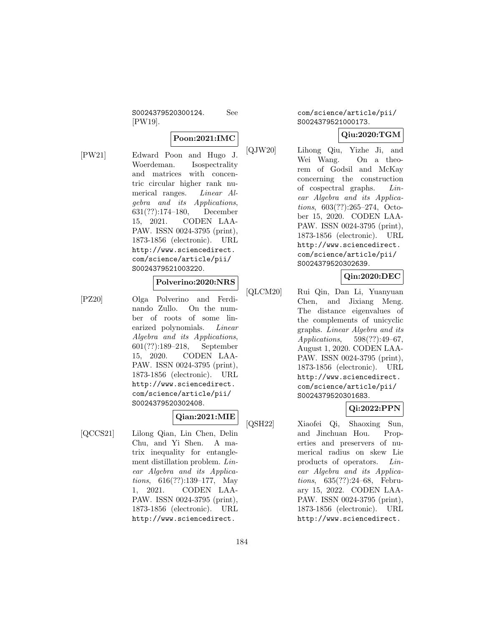S0024379520300124. See [PW19].

### **Poon:2021:IMC**

[PW21] Edward Poon and Hugo J. Woerdeman. Isospectrality and matrices with concentric circular higher rank numerical ranges. Linear Algebra and its Applications, 631(??):174–180, December 15, 2021. CODEN LAA-PAW. ISSN 0024-3795 (print), 1873-1856 (electronic). URL http://www.sciencedirect. com/science/article/pii/ S0024379521003220.

### **Polverino:2020:NRS**

[PZ20] Olga Polverino and Ferdinando Zullo. On the number of roots of some linearized polynomials. Linear Algebra and its Applications, 601(??):189–218, September 15, 2020. CODEN LAA-PAW. ISSN 0024-3795 (print), 1873-1856 (electronic). URL http://www.sciencedirect. com/science/article/pii/ S0024379520302408.

# **Qian:2021:MIE**

[QCCS21] Lilong Qian, Lin Chen, Delin Chu, and Yi Shen. A matrix inequality for entanglement distillation problem. Linear Algebra and its Applications, 616(??):139–177, May 1, 2021. CODEN LAA-PAW. ISSN 0024-3795 (print), 1873-1856 (electronic). URL http://www.sciencedirect.

com/science/article/pii/ S0024379521000173.

# **Qiu:2020:TGM**

[QJW20] Lihong Qiu, Yizhe Ji, and Wei Wang. On a theorem of Godsil and McKay concerning the construction of cospectral graphs. Linear Algebra and its Applications, 603(??):265–274, October 15, 2020. CODEN LAA-PAW. ISSN 0024-3795 (print), 1873-1856 (electronic). URL http://www.sciencedirect. com/science/article/pii/ S0024379520302639.

# **Qin:2020:DEC**

[QLCM20] Rui Qin, Dan Li, Yuanyuan Chen, and Jixiang Meng. The distance eigenvalues of the complements of unicyclic graphs. Linear Algebra and its Applications, 598(??):49–67, August 1, 2020. CODEN LAA-PAW. ISSN 0024-3795 (print), 1873-1856 (electronic). URL http://www.sciencedirect. com/science/article/pii/ S0024379520301683.

# **Qi:2022:PPN**

[QSH22] Xiaofei Qi, Shaoxing Sun, and Jinchuan Hou. Properties and preservers of numerical radius on skew Lie products of operators. Linear Algebra and its Applications, 635(??):24–68, February 15, 2022. CODEN LAA-PAW. ISSN 0024-3795 (print), 1873-1856 (electronic). URL http://www.sciencedirect.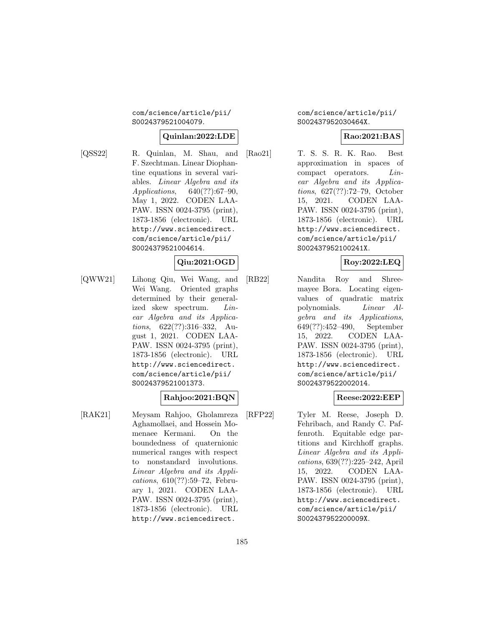### com/science/article/pii/ S0024379521004079.

### **Quinlan:2022:LDE**

[QSS22] R. Quinlan, M. Shau, and F. Szechtman. Linear Diophantine equations in several variables. Linear Algebra and its Applications, 640(??):67–90, May 1, 2022. CODEN LAA-PAW. ISSN 0024-3795 (print), 1873-1856 (electronic). URL http://www.sciencedirect. com/science/article/pii/ S0024379521004614.

# **Qiu:2021:OGD**

[QWW21] Lihong Qiu, Wei Wang, and Wei Wang. Oriented graphs determined by their generalized skew spectrum. Linear Algebra and its Applications, 622(??):316–332, August 1, 2021. CODEN LAA-PAW. ISSN 0024-3795 (print), 1873-1856 (electronic). URL http://www.sciencedirect. com/science/article/pii/ S0024379521001373.

# **Rahjoo:2021:BQN**

[RAK21] Meysam Rahjoo, Gholamreza Aghamollaei, and Hossein Momenaee Kermani. On the boundedness of quaternionic numerical ranges with respect to nonstandard involutions. Linear Algebra and its Applications, 610(??):59–72, February 1, 2021. CODEN LAA-PAW. ISSN 0024-3795 (print), 1873-1856 (electronic). URL http://www.sciencedirect.

com/science/article/pii/ S002437952030464X.

#### **Rao:2021:BAS**

[Rao21] T. S. S. R. K. Rao. Best approximation in spaces of compact operators. Linear Algebra and its Applications, 627(??):72–79, October 15, 2021. CODEN LAA-PAW. ISSN 0024-3795 (print), 1873-1856 (electronic). URL http://www.sciencedirect. com/science/article/pii/ S002437952100241X.

### **Roy:2022:LEQ**

[RB22] Nandita Roy and Shreemayee Bora. Locating eigenvalues of quadratic matrix polynomials. Linear Algebra and its Applications, 649(??):452–490, September 15, 2022. CODEN LAA-PAW. ISSN 0024-3795 (print), 1873-1856 (electronic). URL http://www.sciencedirect. com/science/article/pii/ S0024379522002014.

### **Reese:2022:EEP**

[RFP22] Tyler M. Reese, Joseph D. Fehribach, and Randy C. Paffenroth. Equitable edge partitions and Kirchhoff graphs. Linear Algebra and its Applications, 639(??):225–242, April 15, 2022. CODEN LAA-PAW. ISSN 0024-3795 (print), 1873-1856 (electronic). URL http://www.sciencedirect. com/science/article/pii/ S002437952200009X.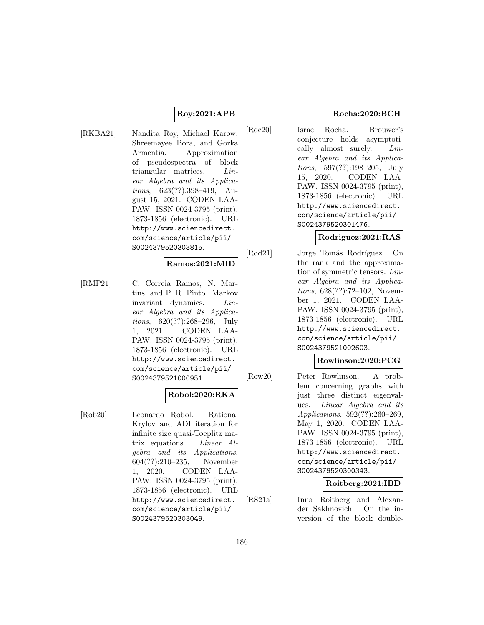### **Roy:2021:APB**

[RKBA21] Nandita Roy, Michael Karow, Shreemayee Bora, and Gorka Armentia. Approximation of pseudospectra of block triangular matrices. Linear Algebra and its Applications, 623(??):398–419, August 15, 2021. CODEN LAA-PAW. ISSN 0024-3795 (print), 1873-1856 (electronic). URL http://www.sciencedirect. com/science/article/pii/ S0024379520303815.

# **Ramos:2021:MID**

[RMP21] C. Correia Ramos, N. Martins, and P. R. Pinto. Markov invariant dynamics. Linear Algebra and its Applications, 620(??):268–296, July 1, 2021. CODEN LAA-PAW. ISSN 0024-3795 (print), 1873-1856 (electronic). URL http://www.sciencedirect. com/science/article/pii/ S0024379521000951.

# **Robol:2020:RKA**

[Rob20] Leonardo Robol. Rational Krylov and ADI iteration for infinite size quasi-Toeplitz matrix equations. Linear Algebra and its Applications, 604(??):210–235, November 1, 2020. CODEN LAA-PAW. ISSN 0024-3795 (print), 1873-1856 (electronic). URL http://www.sciencedirect. com/science/article/pii/ S0024379520303049.

# **Rocha:2020:BCH**

[Roc20] Israel Rocha. Brouwer's conjecture holds asymptotically almost surely. *Lin*ear Algebra and its Applications, 597(??):198–205, July 15, 2020. CODEN LAA-PAW. ISSN 0024-3795 (print), 1873-1856 (electronic). URL http://www.sciencedirect. com/science/article/pii/ S0024379520301476.

### **Rodriguez:2021:RAS**

[Rod21] Jorge Tomás Rodríguez. On the rank and the approximation of symmetric tensors. Linear Algebra and its Applications, 628(??):72–102, November 1, 2021. CODEN LAA-PAW. ISSN 0024-3795 (print), 1873-1856 (electronic). URL http://www.sciencedirect. com/science/article/pii/ S0024379521002603.

### **Rowlinson:2020:PCG**

[Row20] Peter Rowlinson. A problem concerning graphs with just three distinct eigenvalues. Linear Algebra and its Applications, 592(??):260–269, May 1, 2020. CODEN LAA-PAW. ISSN 0024-3795 (print), 1873-1856 (electronic). URL http://www.sciencedirect. com/science/article/pii/ S0024379520300343.

### **Roitberg:2021:IBD**

[RS21a] Inna Roitberg and Alexander Sakhnovich. On the inversion of the block double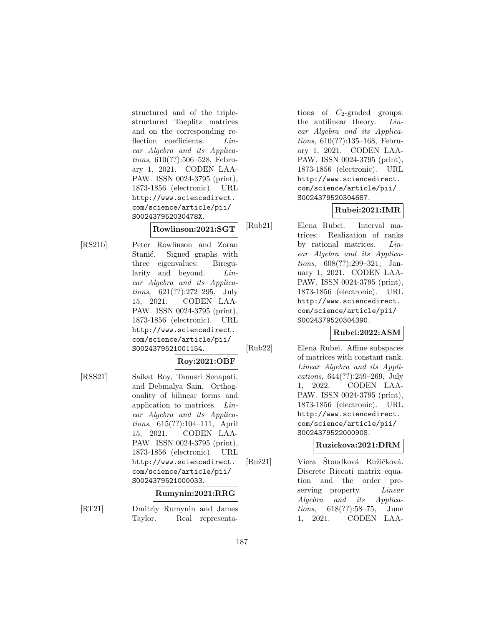structured and of the triplestructured Toeplitz matrices and on the corresponding reflection coefficients. *Lin*ear Algebra and its Applications, 610(??):506–528, February 1, 2021. CODEN LAA-PAW. ISSN 0024-3795 (print), 1873-1856 (electronic). URL http://www.sciencedirect. com/science/article/pii/ S002437952030478X.

# **Rowlinson:2021:SGT**

[RS21b] Peter Rowlinson and Zoran Stanić. Signed graphs with three eigenvalues: Biregularity and beyond. Linear Algebra and its Applications, 621(??):272–295, July 15, 2021. CODEN LAA-PAW. ISSN 0024-3795 (print), 1873-1856 (electronic). URL http://www.sciencedirect. com/science/article/pii/ S0024379521001154.

# **Roy:2021:OBF**

[RSS21] Saikat Roy, Tanusri Senapati, and Debmalya Sain. Orthogonality of bilinear forms and application to matrices. Linear Algebra and its Applications, 615(??):104–111, April 15, 2021. CODEN LAA-PAW. ISSN 0024-3795 (print), 1873-1856 (electronic). URL http://www.sciencedirect. com/science/article/pii/ S0024379521000033.

### **Rumynin:2021:RRG**

[RT21] Dmitriy Rumynin and James Taylor. Real representations of  $C_2$ -graded groups: the antilinear theory. Linear Algebra and its Applications, 610(??):135–168, February 1, 2021. CODEN LAA-PAW. ISSN 0024-3795 (print), 1873-1856 (electronic). URL http://www.sciencedirect. com/science/article/pii/ S0024379520304687.

# **Rubei:2021:IMR**

[Rub21] Elena Rubei. Interval matrices: Realization of ranks by rational matrices. Linear Algebra and its Applications, 608(??):299–321, January 1, 2021. CODEN LAA-PAW. ISSN 0024-3795 (print), 1873-1856 (electronic). URL http://www.sciencedirect. com/science/article/pii/ S0024379520304390.

# **Rubei:2022:ASM**

[Rub22] Elena Rubei. Affine subspaces of matrices with constant rank. Linear Algebra and its Applications, 644(??):259–269, July 1, 2022. CODEN LAA-PAW. ISSN 0024-3795 (print), 1873-1856 (electronic). URL http://www.sciencedirect. com/science/article/pii/ S0024379522000908.

# **Ruzickova:2021:DRM**

[Ruž21] Viera Stoudková Ružičková. Discrete Riccati matrix equation and the order preserving property. *Linear* Algebra and its Applications, 618(??):58–75, June 1, 2021. CODEN LAA-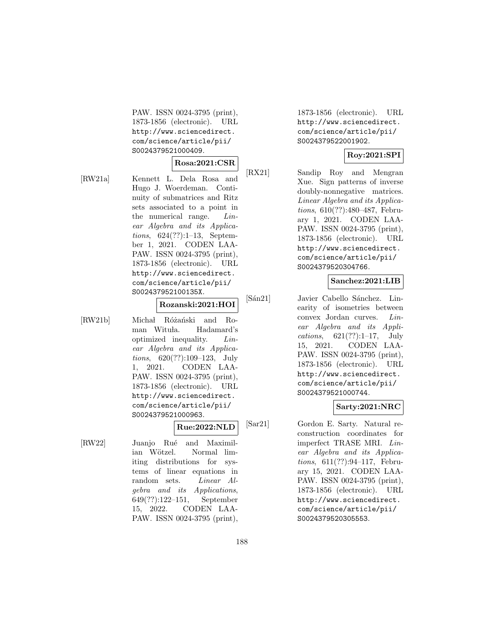PAW. ISSN 0024-3795 (print), 1873-1856 (electronic). URL http://www.sciencedirect. com/science/article/pii/ S0024379521000409.

$$
\text{Rosa:} 2021 \text{:} \text{CSR}
$$

[RW21a] Kennett L. Dela Rosa and Hugo J. Woerdeman. Continuity of submatrices and Ritz sets associated to a point in the numerical range. Linear Algebra and its Applications, 624(??):1–13, September 1, 2021. CODEN LAA-PAW. ISSN 0024-3795 (print), 1873-1856 (electronic). URL http://www.sciencedirect. com/science/article/pii/ S002437952100135X.

# **Rozanski:2021:HOI**

**Rue:2022:NLD**

[RW21b] Michał Różański and Roman Wituła. Hadamard's optimized inequality. Linear Algebra and its Applications, 620(??):109–123, July 1, 2021. CODEN LAA-PAW. ISSN 0024-3795 (print), 1873-1856 (electronic). URL http://www.sciencedirect. com/science/article/pii/ S0024379521000963.

[RW22] Juanjo Rué and Maximilian Wötzel. Normal limiting distributions for systems of linear equations in random sets. *Linear Al*gebra and its Applications, 649(??):122–151, September 15, 2022. CODEN LAA-PAW. ISSN 0024-3795 (print), 1873-1856 (electronic). URL http://www.sciencedirect. com/science/article/pii/ S0024379522001902.

# **Roy:2021:SPI**

[RX21] Sandip Roy and Mengran Xue. Sign patterns of inverse doubly-nonnegative matrices. Linear Algebra and its Applications, 610(??):480–487, February 1, 2021. CODEN LAA-PAW. ISSN 0024-3795 (print), 1873-1856 (electronic). URL http://www.sciencedirect. com/science/article/pii/ S0024379520304766.

# **Sanchez:2021:LIB**

[Sán21] Javier Cabello Sánchez. Linearity of isometries between convex Jordan curves. Linear Algebra and its Applications, 621(??):1–17, July 15, 2021. CODEN LAA-PAW. ISSN 0024-3795 (print), 1873-1856 (electronic). URL http://www.sciencedirect. com/science/article/pii/ S0024379521000744.

### **Sarty:2021:NRC**

[Sar21] Gordon E. Sarty. Natural reconstruction coordinates for imperfect TRASE MRI. Linear Algebra and its Applications, 611(??):94–117, February 15, 2021. CODEN LAA-PAW. ISSN 0024-3795 (print), 1873-1856 (electronic). URL http://www.sciencedirect. com/science/article/pii/ S0024379520305553.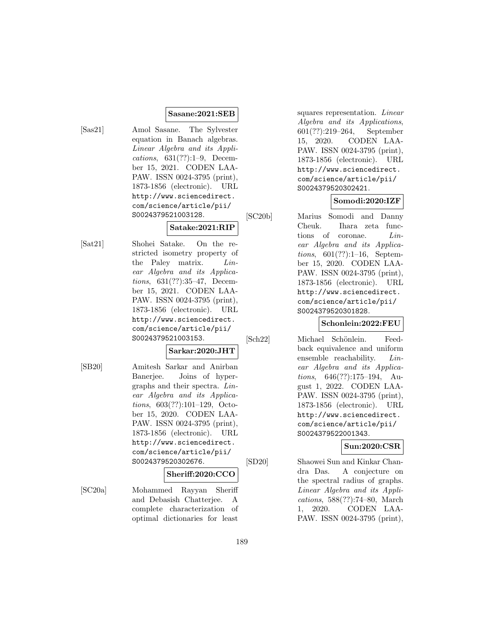### **Sasane:2021:SEB**

- 
- [Sas21] Amol Sasane. The Sylvester equation in Banach algebras. Linear Algebra and its Applications, 631(??):1–9, December 15, 2021. CODEN LAA-PAW. ISSN 0024-3795 (print), 1873-1856 (electronic). URL http://www.sciencedirect. com/science/article/pii/ S0024379521003128.

# **Satake:2021:RIP**

[Sat21] Shohei Satake. On the restricted isometry property of the Paley matrix. Linear Algebra and its Applications, 631(??):35–47, December 15, 2021. CODEN LAA-PAW. ISSN 0024-3795 (print), 1873-1856 (electronic). URL http://www.sciencedirect. com/science/article/pii/ S0024379521003153.

### **Sarkar:2020:JHT**

[SB20] Amitesh Sarkar and Anirban Banerjee. Joins of hypergraphs and their spectra. Linear Algebra and its Applications, 603(??):101–129, October 15, 2020. CODEN LAA-PAW. ISSN 0024-3795 (print), 1873-1856 (electronic). URL http://www.sciencedirect. com/science/article/pii/ S0024379520302676.

### **Sheriff:2020:CCO**

[SC20a] Mohammed Rayyan Sheriff and Debasish Chatterjee. A complete characterization of optimal dictionaries for least

squares representation. Linear Algebra and its Applications, 601(??):219–264, September 15, 2020. CODEN LAA-PAW. ISSN 0024-3795 (print), 1873-1856 (electronic). URL http://www.sciencedirect. com/science/article/pii/ S0024379520302421.

# **Somodi:2020:IZF**

[SC20b] Marius Somodi and Danny Cheuk. Ihara zeta functions of coronae. Linear Algebra and its Applications, 601(??):1–16, September 15, 2020. CODEN LAA-PAW. ISSN 0024-3795 (print), 1873-1856 (electronic). URL http://www.sciencedirect. com/science/article/pii/ S0024379520301828.

# **Schonlein:2022:FEU**

[Sch22] Michael Schönlein. Feedback equivalence and uniform ensemble reachability. Linear Algebra and its Applications, 646(??):175–194, August 1, 2022. CODEN LAA-PAW. ISSN 0024-3795 (print), 1873-1856 (electronic). URL http://www.sciencedirect. com/science/article/pii/ S0024379522001343.

### **Sun:2020:CSR**

[SD20] Shaowei Sun and Kinkar Chandra Das. A conjecture on the spectral radius of graphs. Linear Algebra and its Applications, 588(??):74–80, March 1, 2020. CODEN LAA-PAW. ISSN 0024-3795 (print),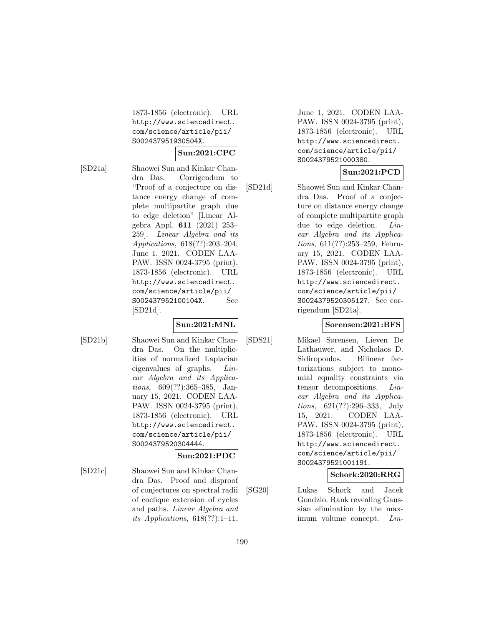1873-1856 (electronic). URL http://www.sciencedirect. com/science/article/pii/ S002437951930504X.

### **Sun:2021:CPC**

[SD21a] Shaowei Sun and Kinkar Chandra Das. Corrigendum to "Proof of a conjecture on distance energy change of complete multipartite graph due to edge deletion" [Linear Algebra Appl. **611** (2021) 253– 259]. Linear Algebra and its Applications, 618(??):203–204, June 1, 2021. CODEN LAA-PAW. ISSN 0024-3795 (print), 1873-1856 (electronic). URL http://www.sciencedirect. com/science/article/pii/ S002437952100104X. See [SD21d].

# **Sun:2021:MNL**

[SD21b] Shaowei Sun and Kinkar Chandra Das. On the multiplicities of normalized Laplacian eigenvalues of graphs. Linear Algebra and its Applications, 609(??):365–385, January 15, 2021. CODEN LAA-PAW. ISSN 0024-3795 (print), 1873-1856 (electronic). URL http://www.sciencedirect. com/science/article/pii/ S0024379520304444.

# **Sun:2021:PDC**

[SD21c] Shaowei Sun and Kinkar Chandra Das. Proof and disproof of conjectures on spectral radii of coclique extension of cycles and paths. Linear Algebra and its Applications,  $618(??):1-11$ ,

June 1, 2021. CODEN LAA-PAW. ISSN 0024-3795 (print), 1873-1856 (electronic). URL http://www.sciencedirect. com/science/article/pii/ S0024379521000380.

# **Sun:2021:PCD**

[SD21d] Shaowei Sun and Kinkar Chandra Das. Proof of a conjecture on distance energy change of complete multipartite graph due to edge deletion. Linear Algebra and its Applications, 611(??):253–259, February 15, 2021. CODEN LAA-PAW. ISSN 0024-3795 (print), 1873-1856 (electronic). URL http://www.sciencedirect. com/science/article/pii/ S0024379520305127. See corrigendum [SD21a].

# **Sorensen:2021:BFS**

[SDS21] Mikael Sørensen, Lieven De Lathauwer, and Nicholaos D. Sidiropoulos. Bilinear factorizations subject to monomial equality constraints via tensor decompositions. Linear Algebra and its Applications, 621(??):296–333, July 15, 2021. CODEN LAA-PAW. ISSN 0024-3795 (print), 1873-1856 (electronic). URL http://www.sciencedirect. com/science/article/pii/ S0024379521001191.

# **Schork:2020:RRG**

[SG20] Lukas Schork and Jacek Gondzio. Rank revealing Gaussian elimination by the maximum volume concept. Lin-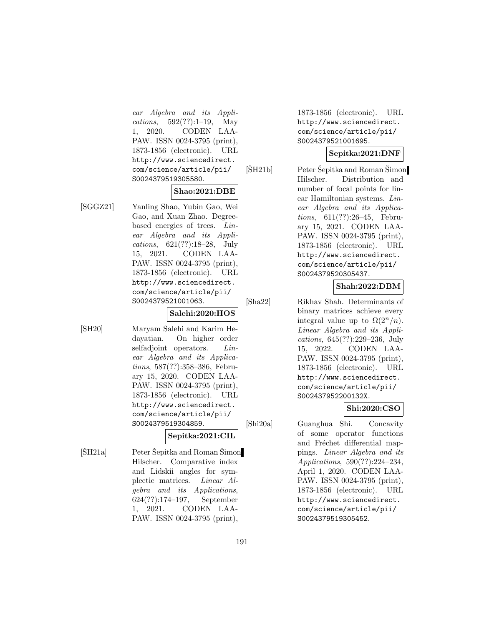ear Algebra and its Applications, 592(??):1–19, May 1, 2020. CODEN LAA-PAW. ISSN 0024-3795 (print), 1873-1856 (electronic). URL http://www.sciencedirect. com/science/article/pii/ S0024379519305580.

### **Shao:2021:DBE**

[SGGZ21] Yanling Shao, Yubin Gao, Wei Gao, and Xuan Zhao. Degreebased energies of trees. Linear Algebra and its Applications, 621(??):18–28, July 15, 2021. CODEN LAA-PAW. ISSN 0024-3795 (print), 1873-1856 (electronic). URL http://www.sciencedirect. com/science/article/pii/ S0024379521001063.

### **Salehi:2020:HOS**

[SH20] Maryam Salehi and Karim Hedayatian. On higher order selfadjoint operators. Linear Algebra and its Applications, 587(??):358–386, February 15, 2020. CODEN LAA-PAW. ISSN 0024-3795 (print), 1873-1856 (electronic). URL http://www.sciencedirect. com/science/article/pii/ S0024379519304859.

**Sepitka:2021:CIL**

 $[\text{ŠH21a}] \qquad \qquad$  Peter Šepitka and Roman Šimon Hilscher. Comparative index and Lidskii angles for symplectic matrices. Linear Algebra and its Applications, 624(??):174–197, September 1, 2021. CODEN LAA-PAW. ISSN 0024-3795 (print),

1873-1856 (electronic). URL http://www.sciencedirect. com/science/article/pii/ S0024379521001695.

### **Sepitka:2021:DNF**

 $[\text{ŠH21b}] \qquad \qquad$  Peter Šepitka and Roman Šimon Hilscher. Distribution and number of focal points for linear Hamiltonian systems. Linear Algebra and its Applications, 611(??):26–45, February 15, 2021. CODEN LAA-PAW. ISSN 0024-3795 (print), 1873-1856 (electronic). URL http://www.sciencedirect. com/science/article/pii/ S0024379520305437.

# **Shah:2022:DBM**

[Sha22] Rikhav Shah. Determinants of binary matrices achieve every integral value up to  $\Omega(2^n/n)$ . Linear Algebra and its Applications, 645(??):229–236, July 15, 2022. CODEN LAA-PAW. ISSN 0024-3795 (print), 1873-1856 (electronic). URL http://www.sciencedirect. com/science/article/pii/ S002437952200132X.

# **Shi:2020:CSO**

[Shi20a] Guanghua Shi. Concavity of some operator functions and Fréchet differential mappings. Linear Algebra and its Applications, 590(??):224–234, April 1, 2020. CODEN LAA-PAW. ISSN 0024-3795 (print), 1873-1856 (electronic). URL http://www.sciencedirect. com/science/article/pii/ S0024379519305452.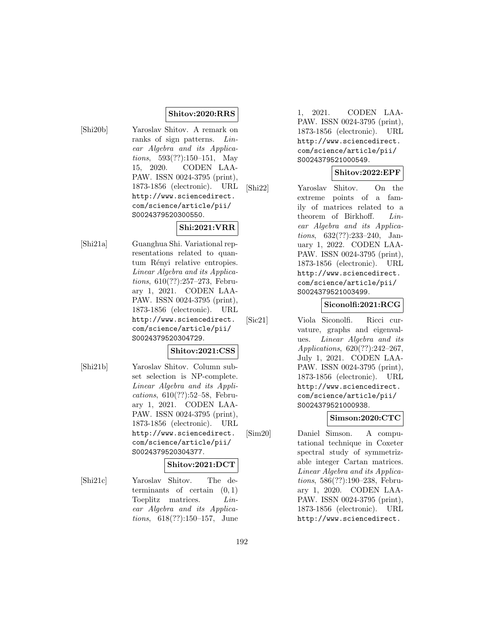### **Shitov:2020:RRS**

[Shi20b] Yaroslav Shitov. A remark on ranks of sign patterns. Linear Algebra and its Applications, 593(??):150–151, May 15, 2020. CODEN LAA-PAW. ISSN 0024-3795 (print), 1873-1856 (electronic). URL http://www.sciencedirect. com/science/article/pii/ S0024379520300550.

### **Shi:2021:VRR**

[Shi21a] Guanghua Shi. Variational representations related to quantum Rényi relative entropies. Linear Algebra and its Applications, 610(??):257–273, February 1, 2021. CODEN LAA-PAW. ISSN 0024-3795 (print), 1873-1856 (electronic). URL http://www.sciencedirect. com/science/article/pii/ S0024379520304729.

### **Shitov:2021:CSS**

[Shi21b] Yaroslav Shitov. Column subset selection is NP-complete. Linear Algebra and its Applications, 610(??):52–58, February 1, 2021. CODEN LAA-PAW. ISSN 0024-3795 (print), 1873-1856 (electronic). URL http://www.sciencedirect. com/science/article/pii/ S0024379520304377.

### **Shitov:2021:DCT**

[Shi21c] Yaroslav Shitov. The determinants of certain  $(0, 1)$ Toeplitz matrices. Linear Algebra and its Applications, 618(??):150–157, June

1, 2021. CODEN LAA-PAW. ISSN 0024-3795 (print), 1873-1856 (electronic). URL http://www.sciencedirect. com/science/article/pii/ S0024379521000549.

### **Shitov:2022:EPF**

[Shi22] Yaroslav Shitov. On the extreme points of a family of matrices related to a theorem of Birkhoff. Linear Algebra and its Applications, 632(??):233–240, January 1, 2022. CODEN LAA-PAW. ISSN 0024-3795 (print), 1873-1856 (electronic). URL http://www.sciencedirect. com/science/article/pii/ S0024379521003499.

### **Siconolfi:2021:RCG**

[Sic21] Viola Siconolfi. Ricci curvature, graphs and eigenvalues. Linear Algebra and its Applications, 620(??):242–267, July 1, 2021. CODEN LAA-PAW. ISSN 0024-3795 (print), 1873-1856 (electronic). URL http://www.sciencedirect. com/science/article/pii/ S0024379521000938.

# **Simson:2020:CTC**

[Sim20] Daniel Simson. A computational technique in Coxeter spectral study of symmetrizable integer Cartan matrices. Linear Algebra and its Applications, 586(??):190–238, February 1, 2020. CODEN LAA-PAW. ISSN 0024-3795 (print), 1873-1856 (electronic). URL http://www.sciencedirect.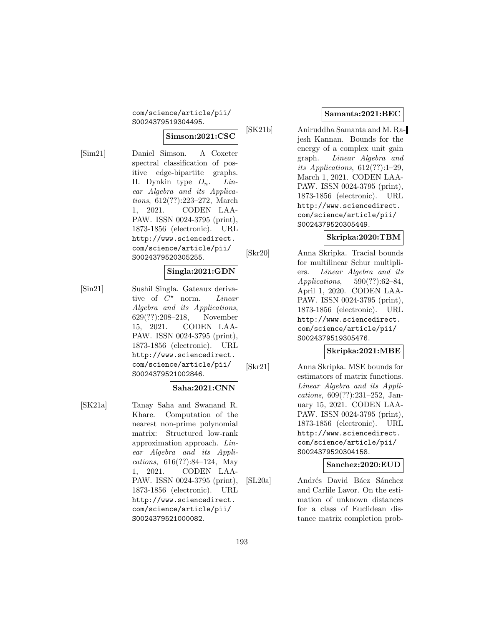com/science/article/pii/ S0024379519304495.

### **Simson:2021:CSC**

[Sim21] Daniel Simson. A Coxeter spectral classification of positive edge-bipartite graphs. II. Dynkin type  $D_n$ . Linear Algebra and its Applications, 612(??):223–272, March 1, 2021. CODEN LAA-PAW. ISSN 0024-3795 (print), 1873-1856 (electronic). URL http://www.sciencedirect. com/science/article/pii/ S0024379520305255.

# **Singla:2021:GDN**

[Sin21] Sushil Singla. Gateaux derivative of  $C^*$  norm. Linear Algebra and its Applications, 629(??):208–218, November 15, 2021. CODEN LAA-PAW. ISSN 0024-3795 (print), 1873-1856 (electronic). URL http://www.sciencedirect. com/science/article/pii/ S0024379521002846.

### **Saha:2021:CNN**

[SK21a] Tanay Saha and Swanand R. Khare. Computation of the nearest non-prime polynomial matrix: Structured low-rank approximation approach. Linear Algebra and its Applications, 616(??):84–124, May 1, 2021. CODEN LAA-PAW. ISSN 0024-3795 (print), 1873-1856 (electronic). URL http://www.sciencedirect. com/science/article/pii/ S0024379521000082.

### **Samanta:2021:BEC**

[SK21b] Aniruddha Samanta and M. Rajesh Kannan. Bounds for the energy of a complex unit gain graph. Linear Algebra and its Applications,  $612(??):1-29$ , March 1, 2021. CODEN LAA-PAW. ISSN 0024-3795 (print), 1873-1856 (electronic). URL http://www.sciencedirect. com/science/article/pii/ S0024379520305449.

# **Skripka:2020:TBM**

[Skr20] Anna Skripka. Tracial bounds for multilinear Schur multipliers. Linear Algebra and its Applications, 590(??):62–84, April 1, 2020. CODEN LAA-PAW. ISSN 0024-3795 (print), 1873-1856 (electronic). URL http://www.sciencedirect. com/science/article/pii/ S0024379519305476.

# **Skripka:2021:MBE**

[Skr21] Anna Skripka. MSE bounds for estimators of matrix functions. Linear Algebra and its Applications, 609(??):231–252, January 15, 2021. CODEN LAA-PAW. ISSN 0024-3795 (print), 1873-1856 (electronic). URL http://www.sciencedirect. com/science/article/pii/ S0024379520304158.

**Sanchez:2020:EUD**

[SL20a] Andrés David Báez Sánchez and Carlile Lavor. On the estimation of unknown distances for a class of Euclidean distance matrix completion prob-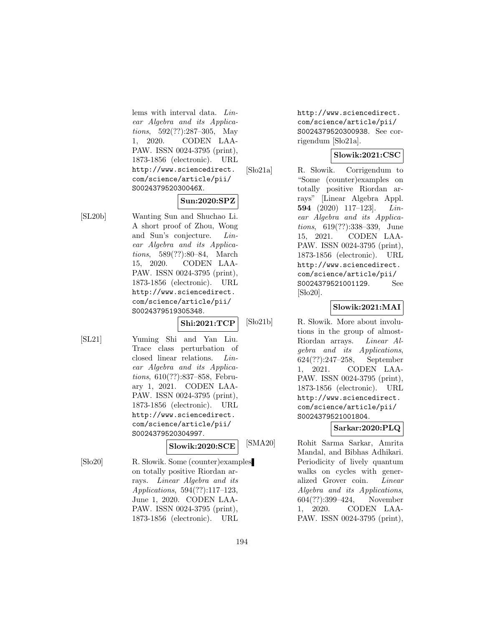lems with interval data. Linear Algebra and its Applications, 592(??):287–305, May 1, 2020. CODEN LAA-PAW. ISSN 0024-3795 (print), 1873-1856 (electronic). URL http://www.sciencedirect. com/science/article/pii/ S002437952030046X.

# **Sun:2020:SPZ**

[SL20b] Wanting Sun and Shuchao Li. A short proof of Zhou, Wong and Sun's conjecture. Linear Algebra and its Applications, 589(??):80–84, March 15, 2020. CODEN LAA-PAW. ISSN 0024-3795 (print), 1873-1856 (electronic). URL http://www.sciencedirect. com/science/article/pii/ S0024379519305348.

**Shi:2021:TCP**

[SL21] Yuming Shi and Yan Liu. Trace class perturbation of closed linear relations. Linear Algebra and its Applications, 610(??):837–858, February 1, 2021. CODEN LAA-PAW. ISSN 0024-3795 (print), 1873-1856 (electronic). URL http://www.sciencedirect. com/science/article/pii/ S0024379520304997.

**Slowik:2020:SCE**

[Sło20] R. Słowik. Some (counter)examples on totally positive Riordan arrays. Linear Algebra and its Applications, 594(??):117–123, June 1, 2020. CODEN LAA-PAW. ISSN 0024-3795 (print), 1873-1856 (electronic). URL

http://www.sciencedirect. com/science/article/pii/ S0024379520300938. See corrigendum [Sło21a].

# **Slowik:2021:CSC**

[Slo21a] R. Słowik. Corrigendum to "Some (counter)examples on totally positive Riordan arrays" [Linear Algebra Appl. **594** (2020) 117–123]. Linear Algebra and its Applications, 619(??):338–339, June 15, 2021. CODEN LAA-PAW. ISSN 0024-3795 (print), 1873-1856 (electronic). URL http://www.sciencedirect. com/science/article/pii/ S0024379521001129. See  $[S<sub>1</sub>020]$ .

# **Slowik:2021:MAI**

[Sło21b] R. Słowik. More about involutions in the group of almost-Riordan arrays. Linear Algebra and its Applications, 624(??):247–258, September 1, 2021. CODEN LAA-PAW. ISSN 0024-3795 (print), 1873-1856 (electronic). URL http://www.sciencedirect. com/science/article/pii/ S0024379521001804.

# **Sarkar:2020:PLQ**

[SMA20] Rohit Sarma Sarkar, Amrita Mandal, and Bibhas Adhikari. Periodicity of lively quantum walks on cycles with generalized Grover coin. Linear Algebra and its Applications, 604(??):399–424, November 1, 2020. CODEN LAA-PAW. ISSN 0024-3795 (print),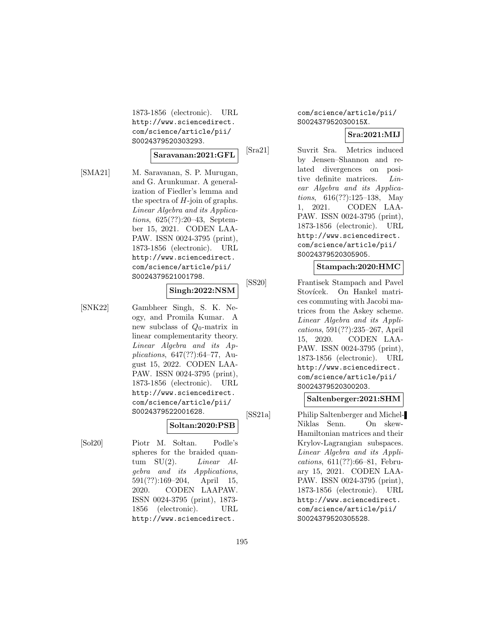1873-1856 (electronic). URL http://www.sciencedirect. com/science/article/pii/ S0024379520303293.

### **Saravanan:2021:GFL**

[SMA21] M. Saravanan, S. P. Murugan, and G. Arunkumar. A generalization of Fiedler's lemma and the spectra of  $H$ -join of graphs. Linear Algebra and its Applications, 625(??):20–43, September 15, 2021. CODEN LAA-PAW. ISSN 0024-3795 (print), 1873-1856 (electronic). URL http://www.sciencedirect. com/science/article/pii/ S0024379521001798.

### **Singh:2022:NSM**

[SNK22] Gambheer Singh, S. K. Neogy, and Promila Kumar. A new subclass of  $Q_0$ -matrix in linear complementarity theory. Linear Algebra and its Applications, 647(??):64–77, August 15, 2022. CODEN LAA-PAW. ISSN 0024-3795 (print), 1873-1856 (electronic). URL http://www.sciencedirect. com/science/article/pii/ S0024379522001628.

### **Soltan:2020:PSB**

[Sol20] Piotr M. Soltan. Podle's spheres for the braided quantum  $SU(2)$ . *Linear Al*gebra and its Applications, 591(??):169–204, April 15, 2020. CODEN LAAPAW. ISSN 0024-3795 (print), 1873- 1856 (electronic). URL http://www.sciencedirect.

# com/science/article/pii/ S002437952030015X.

# **Sra:2021:MIJ**

[Sra21] Suvrit Sra. Metrics induced by Jensen–Shannon and related divergences on positive definite matrices. Linear Algebra and its Applications, 616(??):125–138, May 1, 2021. CODEN LAA-PAW. ISSN 0024-3795 (print), 1873-1856 (electronic). URL http://www.sciencedirect. com/science/article/pii/ S0024379520305905.

# **Stampach:2020:HMC**

[SS20] Frantisek Stampach and Pavel Stovícek. On Hankel matrices commuting with Jacobi matrices from the Askey scheme. Linear Algebra and its Applications, 591(??):235–267, April 15, 2020. CODEN LAA-PAW. ISSN 0024-3795 (print), 1873-1856 (electronic). URL http://www.sciencedirect. com/science/article/pii/ S0024379520300203.

### **Saltenberger:2021:SHM**

[SS21a] Philip Saltenberger and Michel-Niklas Senn. On skew-Hamiltonian matrices and their Krylov-Lagrangian subspaces. Linear Algebra and its Applications, 611(??):66–81, February 15, 2021. CODEN LAA-PAW. ISSN 0024-3795 (print), 1873-1856 (electronic). URL http://www.sciencedirect. com/science/article/pii/ S0024379520305528.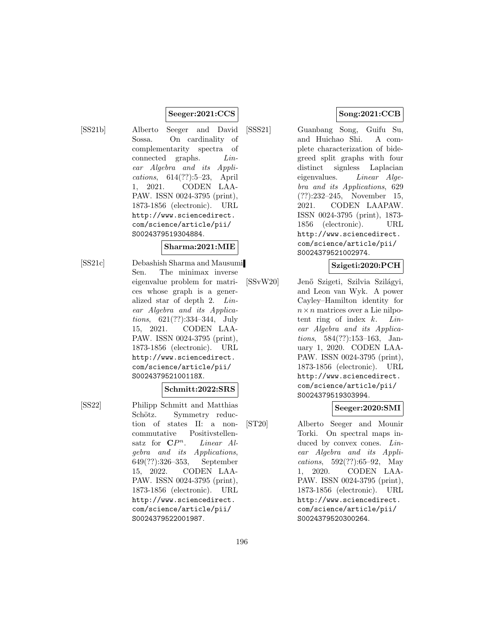#### **Seeger:2021:CCS**

[SS21b] Alberto Seeger and David Sossa. On cardinality of complementarity spectra of connected graphs. Linear Algebra and its Applications, 614(??):5–23, April 1, 2021. CODEN LAA-PAW. ISSN 0024-3795 (print), 1873-1856 (electronic). URL http://www.sciencedirect. com/science/article/pii/ S0024379519304884.

### **Sharma:2021:MIE**

[SS21c] Debashish Sharma and Mausumi Sen. The minimax inverse eigenvalue problem for matrices whose graph is a generalized star of depth 2. Linear Algebra and its Applications, 621(??):334–344, July 15, 2021. CODEN LAA-PAW. ISSN 0024-3795 (print), 1873-1856 (electronic). URL http://www.sciencedirect. com/science/article/pii/ S002437952100118X.

### **Schmitt:2022:SRS**

[SS22] Philipp Schmitt and Matthias Schötz. Symmetry reduction of states II: a noncommutative Positivstellensatz for  $\mathbb{C}P^n$ . Linear Algebra and its Applications, 649(??):326–353, September 15, 2022. CODEN LAA-PAW. ISSN 0024-3795 (print), 1873-1856 (electronic). URL http://www.sciencedirect. com/science/article/pii/ S0024379522001987.

# **Song:2021:CCB**

[SSS21] Guanbang Song, Guifu Su, and Huichao Shi. A complete characterization of bidegreed split graphs with four distinct signless Laplacian eigenvalues. Linear Algebra and its Applications, 629 (??):232–245, November 15, 2021. CODEN LAAPAW. ISSN 0024-3795 (print), 1873- 1856 (electronic). URL http://www.sciencedirect. com/science/article/pii/ S0024379521002974.

### **Szigeti:2020:PCH**

[SSvW20] Jenő Szigeti, Szilvia Szilágyi, and Leon van Wyk. A power Cayley–Hamilton identity for  $n \times n$  matrices over a Lie nilpotent ring of index  $k$ . Linear Algebra and its Applications, 584(??):153–163, January 1, 2020. CODEN LAA-PAW. ISSN 0024-3795 (print), 1873-1856 (electronic). URL http://www.sciencedirect. com/science/article/pii/ S0024379519303994.

### **Seeger:2020:SMI**

[ST20] Alberto Seeger and Mounir Torki. On spectral maps induced by convex cones. *Lin*ear Algebra and its Applications, 592(??):65–92, May 1, 2020. CODEN LAA-PAW. ISSN 0024-3795 (print), 1873-1856 (electronic). URL http://www.sciencedirect. com/science/article/pii/ S0024379520300264.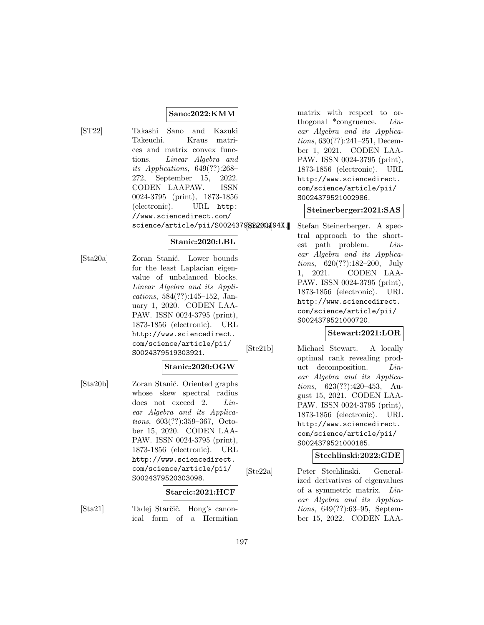# **Sano:2022:KMM**

[ST22] Takashi Sano and Kazuki Takeuchi. Kraus matrices and matrix convex functions. Linear Algebra and its Applications, 649(??):268– 272, September 15, 2022. CODEN LAAPAW. ISSN 0024-3795 (print), 1873-1856 (electronic). URL http: //www.sciencedirect.com/ science/article/pii/S0024379522200194X.

# **Stanic:2020:LBL**

[Sta20a] Zoran Stanić. Lower bounds for the least Laplacian eigenvalue of unbalanced blocks. Linear Algebra and its Applications, 584(??):145–152, January 1, 2020. CODEN LAA-PAW. ISSN 0024-3795 (print), 1873-1856 (electronic). URL http://www.sciencedirect. com/science/article/pii/ S0024379519303921.

# **Stanic:2020:OGW**

[Sta20b] Zoran Stanić. Oriented graphs whose skew spectral radius does not exceed 2. Linear Algebra and its Applications, 603(??):359–367, October 15, 2020. CODEN LAA-PAW. ISSN 0024-3795 (print), 1873-1856 (electronic). URL http://www.sciencedirect. com/science/article/pii/ S0024379520303098.

### **Starcic:2021:HCF**

[Sta21] Tadej Starčič. Hong's canonical form of a Hermitian matrix with respect to orthogonal  $*$ congruence. *Lin*ear Algebra and its Applications, 630(??):241–251, December 1, 2021. CODEN LAA-PAW. ISSN 0024-3795 (print), 1873-1856 (electronic). URL http://www.sciencedirect. com/science/article/pii/ S0024379521002986.

### **Steinerberger:2021:SAS**

Stefan Steinerberger. A spectral approach to the shortest path problem. Linear Algebra and its Applications, 620(??):182–200, July 1, 2021. CODEN LAA-PAW. ISSN 0024-3795 (print), 1873-1856 (electronic). URL http://www.sciencedirect. com/science/article/pii/ S0024379521000720.

# **Stewart:2021:LOR**

[Ste21b] Michael Stewart. A locally optimal rank revealing product decomposition. Linear Algebra and its Applications, 623(??):420–453, August 15, 2021. CODEN LAA-PAW. ISSN 0024-3795 (print), 1873-1856 (electronic). URL http://www.sciencedirect. com/science/article/pii/ S0024379521000185.

### **Stechlinski:2022:GDE**

[Ste22a] Peter Stechlinski. Generalized derivatives of eigenvalues of a symmetric matrix. Linear Algebra and its Applications, 649(??):63–95, September 15, 2022. CODEN LAA-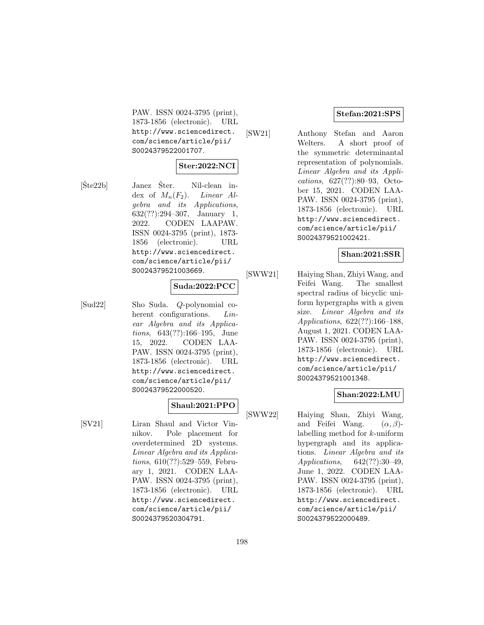PAW. ISSN 0024-3795 (print), 1873-1856 (electronic). URL http://www.sciencedirect. com/science/article/pii/ S0024379522001707.

# **Ster:2022:NCI**

 $[\text{Šte22b}]$  Janez  $\text{Šter.}$  Nil-clean index of  $M_n(F_2)$ . Linear Algebra and its Applications, 632(??):294–307, January 1, 2022. CODEN LAAPAW. ISSN 0024-3795 (print), 1873- 1856 (electronic). URL http://www.sciencedirect. com/science/article/pii/ S0024379521003669.

### **Suda:2022:PCC**

[Sud22] Sho Suda. Q-polynomial coherent configurations. *Lin*ear Algebra and its Applications, 643(??):166–195, June 15, 2022. CODEN LAA-PAW. ISSN 0024-3795 (print), 1873-1856 (electronic). URL http://www.sciencedirect. com/science/article/pii/ S0024379522000520.

# **Shaul:2021:PPO**

[SV21] Liran Shaul and Victor Vinnikov. Pole placement for overdetermined 2D systems. Linear Algebra and its Applications, 610(??):529–559, February 1, 2021. CODEN LAA-PAW. ISSN 0024-3795 (print), 1873-1856 (electronic). URL http://www.sciencedirect. com/science/article/pii/ S0024379520304791.

### **Stefan:2021:SPS**

[SW21] Anthony Stefan and Aaron Welters. A short proof of the symmetric determinantal representation of polynomials. Linear Algebra and its Applications, 627(??):80–93, October 15, 2021. CODEN LAA-PAW. ISSN 0024-3795 (print), 1873-1856 (electronic). URL http://www.sciencedirect. com/science/article/pii/ S0024379521002421.

### **Shan:2021:SSR**

[SWW21] Haiying Shan, Zhiyi Wang, and Feifei Wang. The smallest spectral radius of bicyclic uniform hypergraphs with a given size. Linear Algebra and its Applications, 622(??):166–188, August 1, 2021. CODEN LAA-PAW. ISSN 0024-3795 (print), 1873-1856 (electronic). URL http://www.sciencedirect. com/science/article/pii/ S0024379521001348.

# **Shan:2022:LMU**

[SWW22] Haiying Shan, Zhiyi Wang, and Feifei Wang.  $(\alpha, \beta)$ labelling method for k-uniform hypergraph and its applications. Linear Algebra and its Applications, 642(??):30–49, June 1, 2022. CODEN LAA-PAW. ISSN 0024-3795 (print), 1873-1856 (electronic). URL http://www.sciencedirect. com/science/article/pii/ S0024379522000489.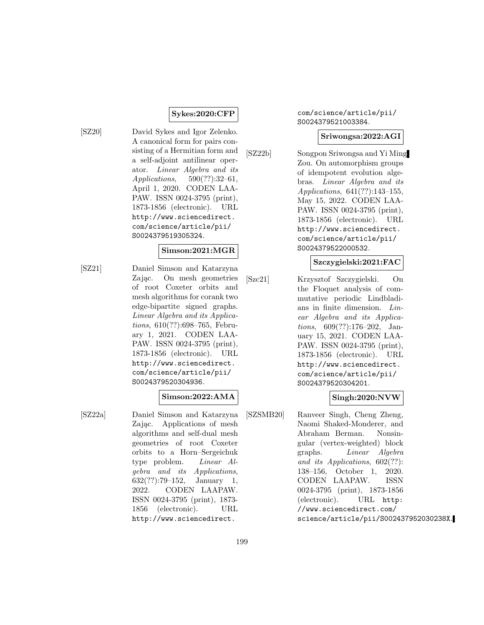### **Sykes:2020:CFP**

[SZ20] David Sykes and Igor Zelenko. A canonical form for pairs consisting of a Hermitian form and a self-adjoint antilinear operator. Linear Algebra and its Applications, 590(??):32–61, April 1, 2020. CODEN LAA-PAW. ISSN 0024-3795 (print), 1873-1856 (electronic). URL http://www.sciencedirect. com/science/article/pii/ S0024379519305324.

### **Simson:2021:MGR**

[SZ21] Daniel Simson and Katarzyna Zając. On mesh geometries of root Coxeter orbits and mesh algorithms for corank two edge-bipartite signed graphs. Linear Algebra and its Applications, 610(??):698–765, February 1, 2021. CODEN LAA-PAW. ISSN 0024-3795 (print), 1873-1856 (electronic). URL http://www.sciencedirect. com/science/article/pii/ S0024379520304936.

### **Simson:2022:AMA**

[SZ22a] Daniel Simson and Katarzyna Zając. Applications of mesh algorithms and self-dual mesh geometries of root Coxeter orbits to a Horn–Sergeichuk type problem. Linear Algebra and its Applications, 632(??):79–152, January 1, 2022. CODEN LAAPAW. ISSN 0024-3795 (print), 1873- 1856 (electronic). URL http://www.sciencedirect.

### com/science/article/pii/ S0024379521003384.

### **Sriwongsa:2022:AGI**

[SZ22b] Songpon Sriwongsa and Yi Ming Zou. On automorphism groups of idempotent evolution algebras. Linear Algebra and its Applications, 641(??):143–155, May 15, 2022. CODEN LAA-PAW. ISSN 0024-3795 (print), 1873-1856 (electronic). URL http://www.sciencedirect. com/science/article/pii/ S0024379522000532.

### **Szczygielski:2021:FAC**

[Szc21] Krzysztof Szczygielski. On the Floquet analysis of commutative periodic Lindbladians in finite dimension. Linear Algebra and its Applications, 609(??):176–202, January 15, 2021. CODEN LAA-PAW. ISSN 0024-3795 (print), 1873-1856 (electronic). URL http://www.sciencedirect. com/science/article/pii/ S0024379520304201.

# **Singh:2020:NVW**

[SZSMB20] Ranveer Singh, Cheng Zheng, Naomi Shaked-Monderer, and Abraham Berman. Nonsingular (vertex-weighted) block graphs. Linear Algebra and its Applications, 602(??): 138–156, October 1, 2020. CODEN LAAPAW. ISSN 0024-3795 (print), 1873-1856 (electronic). URL http: //www.sciencedirect.com/ science/article/pii/S002437952030238X.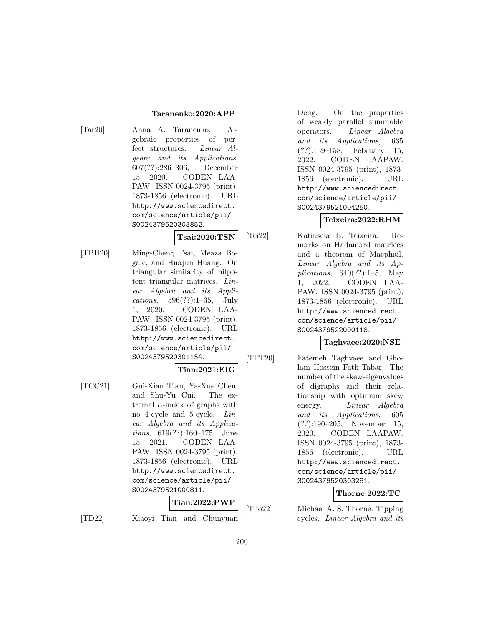### **Taranenko:2020:APP**

[Tar20] Anna A. Taranenko. Algebraic properties of perfect structures. Linear Algebra and its Applications, 607(??):286–306, December 15, 2020. CODEN LAA-PAW. ISSN 0024-3795 (print), 1873-1856 (electronic). URL http://www.sciencedirect. com/science/article/pii/ S0024379520303852.

# **Tsai:2020:TSN**

[TBH20] Ming-Cheng Tsai, Meaza Bogale, and Huajun Huang. On triangular similarity of nilpotent triangular matrices. Linear Algebra and its Applications, 596(??):1–35, July 1, 2020. CODEN LAA-PAW. ISSN 0024-3795 (print), 1873-1856 (electronic). URL http://www.sciencedirect. com/science/article/pii/ S0024379520301154.

# **Tian:2021:EIG**

[TCC21] Gui-Xian Tian, Ya-Xue Chen, and Shu-Yu Cui. The extremal  $\alpha$ -index of graphs with no 4-cycle and 5-cycle. Linear Algebra and its Applications, 619(??):160–175, June 15, 2021. CODEN LAA-PAW. ISSN 0024-3795 (print), 1873-1856 (electronic). URL http://www.sciencedirect. com/science/article/pii/ S0024379521000811.

# **Tian:2022:PWP**

[TD22] Xiaoyi Tian and Chunyuan

Deng. On the properties of weakly parallel summable operators. Linear Algebra and its Applications, 635 (??):139–158, February 15, 2022. CODEN LAAPAW. ISSN 0024-3795 (print), 1873- 1856 (electronic). URL http://www.sciencedirect. com/science/article/pii/ S0024379521004250.

# **Teixeira:2022:RHM**

[Tei22] Katiuscia B. Teixeira. Remarks on Hadamard matrices and a theorem of Macphail. Linear Algebra and its Applications,  $640(??):1-5$ , May 1, 2022. CODEN LAA-PAW. ISSN 0024-3795 (print), 1873-1856 (electronic). URL http://www.sciencedirect. com/science/article/pii/ S0024379522000118.

# **Taghvaee:2020:NSE**

[TFT20] Fatemeh Taghvaee and Gholam Hossein Fath-Tabar. The number of the skew-eigenvalues of digraphs and their relationship with optimum skew energy. *Linear Algebra* and its Applications, 605 (??):190–205, November 15, 2020. CODEN LAAPAW. ISSN 0024-3795 (print), 1873- 1856 (electronic). URL http://www.sciencedirect. com/science/article/pii/ S0024379520303281.

**Thorne:2022:TC**

[Tho22] Michael A. S. Thorne. Tipping cycles. Linear Algebra and its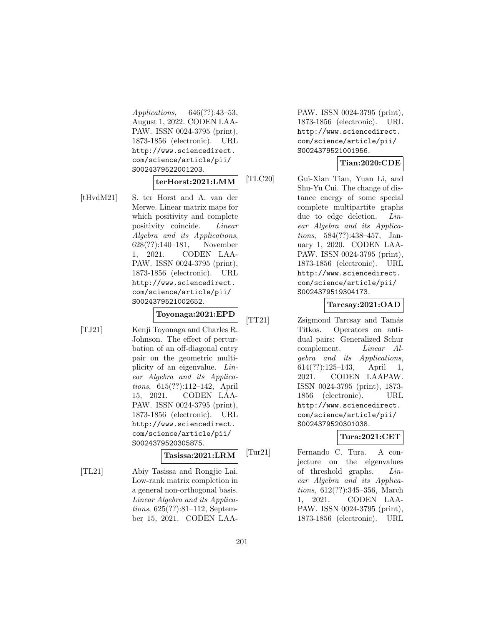Applications, 646(??):43–53, August 1, 2022. CODEN LAA-PAW. ISSN 0024-3795 (print), 1873-1856 (electronic). URL http://www.sciencedirect. com/science/article/pii/ S0024379522001203.

### **terHorst:2021:LMM**

[tHvdM21] S. ter Horst and A. van der Merwe. Linear matrix maps for which positivity and complete positivity coincide. Linear Algebra and its Applications, 628(??):140–181, November 1, 2021. CODEN LAA-PAW. ISSN 0024-3795 (print), 1873-1856 (electronic). URL http://www.sciencedirect. com/science/article/pii/ S0024379521002652.

**Toyonaga:2021:EPD**

[TJ21] Kenji Toyonaga and Charles R. Johnson. The effect of perturbation of an off-diagonal entry pair on the geometric multiplicity of an eigenvalue. Linear Algebra and its Applications, 615(??):112–142, April 15, 2021. CODEN LAA-PAW. ISSN 0024-3795 (print), 1873-1856 (electronic). URL http://www.sciencedirect. com/science/article/pii/ S0024379520305875.

**Tasissa:2021:LRM**

[TL21] Abiy Tasissa and Rongjie Lai. Low-rank matrix completion in a general non-orthogonal basis. Linear Algebra and its Applications, 625(??):81–112, September 15, 2021. CODEN LAA-

PAW. ISSN 0024-3795 (print), 1873-1856 (electronic). URL http://www.sciencedirect. com/science/article/pii/ S0024379521001956.

### **Tian:2020:CDE**

[TLC20] Gui-Xian Tian, Yuan Li, and Shu-Yu Cui. The change of distance energy of some special complete multipartite graphs due to edge deletion. Linear Algebra and its Applications, 584(??):438–457, January 1, 2020. CODEN LAA-PAW. ISSN 0024-3795 (print), 1873-1856 (electronic). URL http://www.sciencedirect. com/science/article/pii/ S0024379519304173.

### **Tarcsay:2021:OAD**

[TT21] Zsigmond Tarcsay and Tamás Titkos. Operators on antidual pairs: Generalized Schur complement. Linear Algebra and its Applications, 614(??):125–143, April 1, 2021. CODEN LAAPAW. ISSN 0024-3795 (print), 1873- 1856 (electronic). URL http://www.sciencedirect. com/science/article/pii/ S0024379520301038.

# **Tura:2021:CET**

[Tur21] Fernando C. Tura. A conjecture on the eigenvalues of threshold graphs. Linear Algebra and its Applications, 612(??):345–356, March 1, 2021. CODEN LAA-PAW. ISSN 0024-3795 (print), 1873-1856 (electronic). URL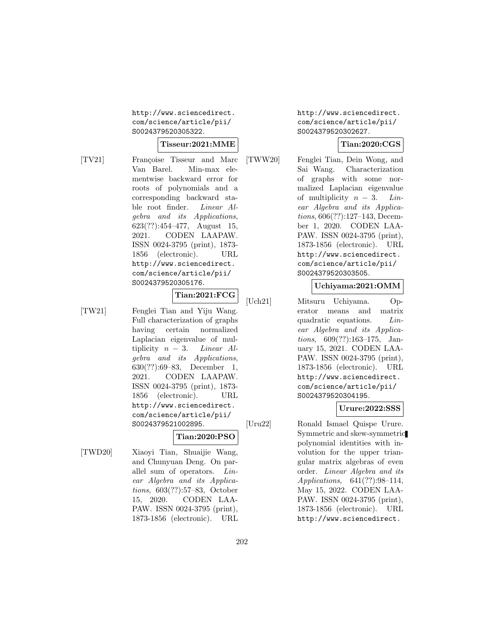http://www.sciencedirect. com/science/article/pii/ S0024379520305322.

# **Tisseur:2021:MME**

- [TV21] Françoise Tisseur and Marc Van Barel. Min-max elementwise backward error for roots of polynomials and a corresponding backward stable root finder. Linear Algebra and its Applications, 623(??):454–477, August 15, 2021. CODEN LAAPAW. ISSN 0024-3795 (print), 1873- 1856 (electronic). URL http://www.sciencedirect. com/science/article/pii/ S0024379520305176.
- [TW21] Fenglei Tian and Yiju Wang. Full characterization of graphs having certain normalized Laplacian eigenvalue of multiplicity  $n - 3$ . Linear Algebra and its Applications, 630(??):69–83, December 1, 2021. CODEN LAAPAW. ISSN 0024-3795 (print), 1873- 1856 (electronic). URL http://www.sciencedirect. com/science/article/pii/ S0024379521002895.

# **Tian:2020:PSO**

**Tian:2021:FCG**

[TWD20] Xiaoyi Tian, Shuaijie Wang, and Chunyuan Deng. On parallel sum of operators. Linear Algebra and its Applications, 603(??):57–83, October 15, 2020. CODEN LAA-PAW. ISSN 0024-3795 (print), 1873-1856 (electronic). URL http://www.sciencedirect. com/science/article/pii/ S0024379520302627.

# **Tian:2020:CGS**

[TWW20] Fenglei Tian, Dein Wong, and Sai Wang. Characterization of graphs with some normalized Laplacian eigenvalue of multiplicity  $n-3$ . Linear Algebra and its Applications, 606(??):127–143, December 1, 2020. CODEN LAA-PAW. ISSN 0024-3795 (print), 1873-1856 (electronic). URL http://www.sciencedirect. com/science/article/pii/ S0024379520303505.

# **Uchiyama:2021:OMM**

[Uch21] Mitsuru Uchiyama. Operator means and matrix quadratic equations. Linear Algebra and its Applications, 609(??):163–175, January 15, 2021. CODEN LAA-PAW. ISSN 0024-3795 (print), 1873-1856 (electronic). URL http://www.sciencedirect. com/science/article/pii/ S0024379520304195.

# **Urure:2022:SSS**

[Uru22] Ronald Ismael Quispe Urure. Symmetric and skew-symmetric polynomial identities with involution for the upper triangular matrix algebras of even order. Linear Algebra and its Applications, 641(??):98–114, May 15, 2022. CODEN LAA-PAW. ISSN 0024-3795 (print), 1873-1856 (electronic). URL http://www.sciencedirect.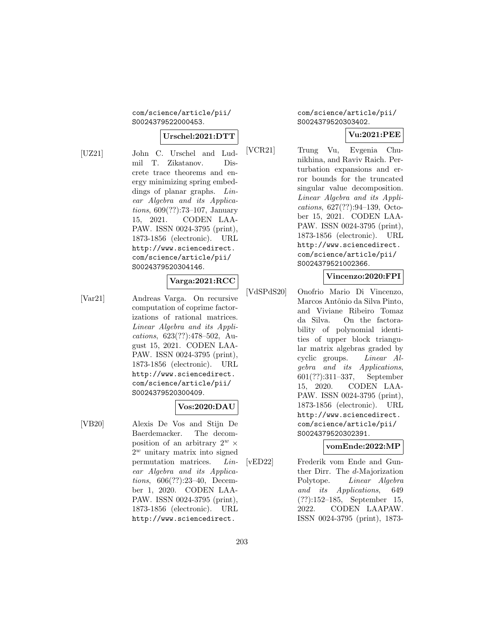### com/science/article/pii/ S0024379522000453.

### **Urschel:2021:DTT**

[UZ21] John C. Urschel and Ludmil T. Zikatanov. Discrete trace theorems and energy minimizing spring embeddings of planar graphs. *Lin*ear Algebra and its Applications, 609(??):73–107, January 15, 2021. CODEN LAA-PAW. ISSN 0024-3795 (print), 1873-1856 (electronic). URL http://www.sciencedirect. com/science/article/pii/

### **Varga:2021:RCC**

[Var21] Andreas Varga. On recursive computation of coprime factorizations of rational matrices. Linear Algebra and its Applications, 623(??):478–502, August 15, 2021. CODEN LAA-PAW. ISSN 0024-3795 (print), 1873-1856 (electronic). URL http://www.sciencedirect. com/science/article/pii/ S0024379520300409.

S0024379520304146.

# **Vos:2020:DAU**

[VB20] Alexis De Vos and Stijn De Baerdemacker. The decomposition of an arbitrary  $2^w$  ×  $2^w$  unitary matrix into signed permutation matrices. Linear Algebra and its Applications, 606(??):23–40, December 1, 2020. CODEN LAA-PAW. ISSN 0024-3795 (print), 1873-1856 (electronic). URL http://www.sciencedirect.

com/science/article/pii/ S0024379520303402.

### **Vu:2021:PEE**

[VCR21] Trung Vu, Evgenia Chunikhina, and Raviv Raich. Perturbation expansions and error bounds for the truncated singular value decomposition. Linear Algebra and its Applications, 627(??):94–139, October 15, 2021. CODEN LAA-PAW. ISSN 0024-3795 (print), 1873-1856 (electronic). URL http://www.sciencedirect. com/science/article/pii/ S0024379521002366.

### **Vincenzo:2020:FPI**

[VdSPdS20] Onofrio Mario Di Vincenzo, Marcos Antônio da Silva Pinto, and Viviane Ribeiro Tomaz da Silva. On the factorability of polynomial identities of upper block triangular matrix algebras graded by cyclic groups. Linear Algebra and its Applications, 601(??):311–337, September 15, 2020. CODEN LAA-PAW. ISSN 0024-3795 (print), 1873-1856 (electronic). URL http://www.sciencedirect. com/science/article/pii/ S0024379520302391.

### **vomEnde:2022:MP**

[vED22] Frederik vom Ende and Gunther Dirr. The d-Majorization Polytope. Linear Algebra and its Applications, 649 (??):152–185, September 15, 2022. CODEN LAAPAW. ISSN 0024-3795 (print), 1873-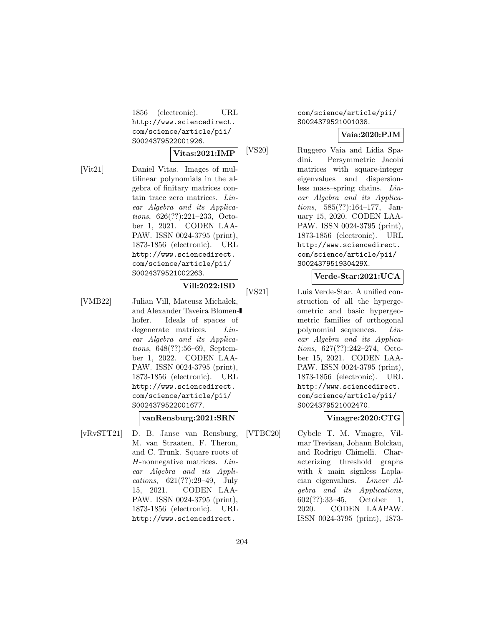1856 (electronic). URL http://www.sciencedirect. com/science/article/pii/ S0024379522001926.

#### **Vitas:2021:IMP**

- 
- [Vit21] Daniel Vitas. Images of multilinear polynomials in the algebra of finitary matrices contain trace zero matrices. Linear Algebra and its Applications, 626(??):221–233, October 1, 2021. CODEN LAA-PAW. ISSN 0024-3795 (print), 1873-1856 (electronic). URL http://www.sciencedirect. com/science/article/pii/ S0024379521002263.

**Vill:2022:ISD**

[VMB22] Julian Vill, Mateusz Michałek, and Alexander Taveira Blomenhofer. Ideals of spaces of degenerate matrices. *Lin*ear Algebra and its Applications, 648(??):56–69, September 1, 2022. CODEN LAA-PAW. ISSN 0024-3795 (print), 1873-1856 (electronic). URL http://www.sciencedirect. com/science/article/pii/ S0024379522001677.

### **vanRensburg:2021:SRN**

[vRvSTT21] D. B. Janse van Rensburg, M. van Straaten, F. Theron, and C. Trunk. Square roots of H-nonnegative matrices. Linear Algebra and its Applications, 621(??):29–49, July 15, 2021. CODEN LAA-PAW. ISSN 0024-3795 (print), 1873-1856 (electronic). URL http://www.sciencedirect.

### com/science/article/pii/ S0024379521001038.

# **Vaia:2020:PJM**

[VS20] Ruggero Vaia and Lidia Spadini. Persymmetric Jacobi matrices with square-integer eigenvalues and dispersionless mass–spring chains. Linear Algebra and its Applications, 585(??):164–177, January 15, 2020. CODEN LAA-PAW. ISSN 0024-3795 (print), 1873-1856 (electronic). URL http://www.sciencedirect. com/science/article/pii/ S002437951930429X.

### **Verde-Star:2021:UCA**

[VS21] Luis Verde-Star. A unified construction of all the hypergeometric and basic hypergeometric families of orthogonal polynomial sequences. Linear Algebra and its Applications, 627(??):242–274, October 15, 2021. CODEN LAA-PAW. ISSN 0024-3795 (print), 1873-1856 (electronic). URL http://www.sciencedirect. com/science/article/pii/ S0024379521002470.

# **Vinagre:2020:CTG**

[VTBC20] Cybele T. M. Vinagre, Vilmar Trevisan, Johann Bolckau, and Rodrigo Chimelli. Characterizing threshold graphs with  $k$  main signless Laplacian eigenvalues. Linear Algebra and its Applications, 602(??):33–45, October 1, 2020. CODEN LAAPAW. ISSN 0024-3795 (print), 1873-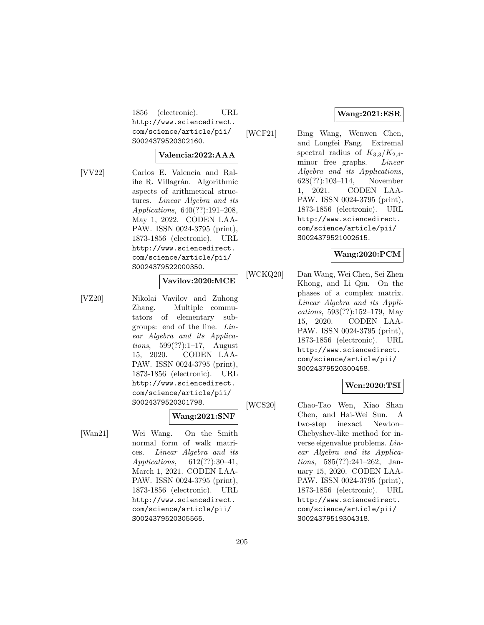1856 (electronic). URL http://www.sciencedirect. com/science/article/pii/ S0024379520302160.

#### **Valencia:2022:AAA**

- 
- [VV22] Carlos E. Valencia and Ralihe R. Villagrán. Algorithmic aspects of arithmetical structures. Linear Algebra and its Applications, 640(??):191–208, May 1, 2022. CODEN LAA-PAW. ISSN 0024-3795 (print), 1873-1856 (electronic). URL http://www.sciencedirect. com/science/article/pii/ S0024379522000350.

### **Vavilov:2020:MCE**

[VZ20] Nikolai Vavilov and Zuhong Zhang. Multiple commutators of elementary subgroups: end of the line. Linear Algebra and its Applications, 599(??):1–17, August 15, 2020. CODEN LAA-PAW. ISSN 0024-3795 (print), 1873-1856 (electronic). URL http://www.sciencedirect. com/science/article/pii/ S0024379520301798.

### **Wang:2021:SNF**

[Wan21] Wei Wang. On the Smith normal form of walk matrices. Linear Algebra and its Applications, 612(??):30–41, March 1, 2021. CODEN LAA-PAW. ISSN 0024-3795 (print), 1873-1856 (electronic). URL http://www.sciencedirect. com/science/article/pii/ S0024379520305565.

### **Wang:2021:ESR**

[WCF21] Bing Wang, Wenwen Chen, and Longfei Fang. Extremal spectral radius of  $K_{3,3}/K_{2,4}$ minor free graphs. *Linear* Algebra and its Applications, 628(??):103–114, November 1, 2021. CODEN LAA-PAW. ISSN 0024-3795 (print), 1873-1856 (electronic). URL http://www.sciencedirect. com/science/article/pii/ S0024379521002615.

### **Wang:2020:PCM**

[WCKQ20] Dan Wang, Wei Chen, Sei Zhen Khong, and Li Qiu. On the phases of a complex matrix. Linear Algebra and its Applications, 593(??):152–179, May 15, 2020. CODEN LAA-PAW. ISSN 0024-3795 (print), 1873-1856 (electronic). URL http://www.sciencedirect. com/science/article/pii/ S0024379520300458.

### **Wen:2020:TSI**

[WCS20] Chao-Tao Wen, Xiao Shan Chen, and Hai-Wei Sun. A two-step inexact Newton– Chebyshev-like method for inverse eigenvalue problems. Linear Algebra and its Applications, 585(??):241–262, January 15, 2020. CODEN LAA-PAW. ISSN 0024-3795 (print), 1873-1856 (electronic). URL http://www.sciencedirect. com/science/article/pii/ S0024379519304318.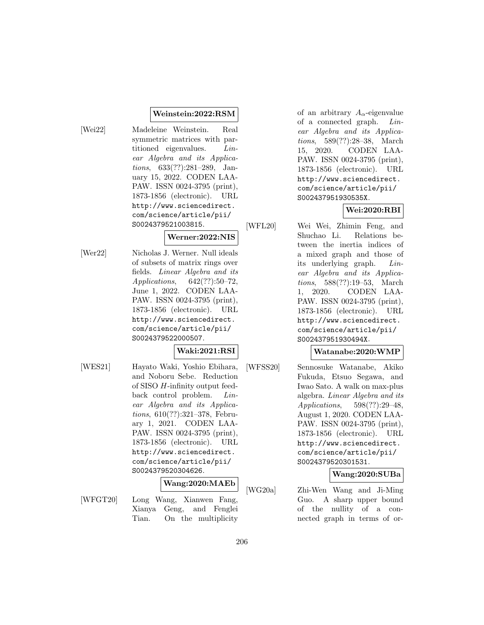### **Weinstein:2022:RSM**

[Wei22] Madeleine Weinstein. Real symmetric matrices with partitioned eigenvalues. Linear Algebra and its Applications, 633(??):281–289, January 15, 2022. CODEN LAA-PAW. ISSN 0024-3795 (print), 1873-1856 (electronic). URL http://www.sciencedirect. com/science/article/pii/ S0024379521003815.

# **Werner:2022:NIS**

[Wer22] Nicholas J. Werner. Null ideals of subsets of matrix rings over fields. Linear Algebra and its Applications, 642(??):50–72, June 1, 2022. CODEN LAA-PAW. ISSN 0024-3795 (print), 1873-1856 (electronic). URL http://www.sciencedirect. com/science/article/pii/ S0024379522000507.

# **Waki:2021:RSI**

[WES21] Hayato Waki, Yoshio Ebihara, and Noboru Sebe. Reduction of SISO H-infinity output feedback control problem. Linear Algebra and its Applications, 610(??):321–378, February 1, 2021. CODEN LAA-PAW. ISSN 0024-3795 (print), 1873-1856 (electronic). URL http://www.sciencedirect. com/science/article/pii/ S0024379520304626.

# **Wang:2020:MAEb**

[WFGT20] Long Wang, Xianwen Fang, Xianya Geng, and Fenglei Tian. On the multiplicity

of an arbitrary  $A_{\alpha}$ -eigenvalue of a connected graph. Linear Algebra and its Applications, 589(??):28–38, March 15, 2020. CODEN LAA-PAW. ISSN 0024-3795 (print), 1873-1856 (electronic). URL http://www.sciencedirect. com/science/article/pii/ S002437951930535X.

# **Wei:2020:RBI**

[WFL20] Wei Wei, Zhimin Feng, and Shuchao Li. Relations between the inertia indices of a mixed graph and those of its underlying graph. Linear Algebra and its Applications, 588(??):19–53, March 1, 2020. CODEN LAA-PAW. ISSN 0024-3795 (print), 1873-1856 (electronic). URL http://www.sciencedirect. com/science/article/pii/ S002437951930494X.

### **Watanabe:2020:WMP**

[WFSS20] Sennosuke Watanabe, Akiko Fukuda, Etsuo Segawa, and Iwao Sato. A walk on max-plus algebra. Linear Algebra and its Applications, 598(??):29–48, August 1, 2020. CODEN LAA-PAW. ISSN 0024-3795 (print), 1873-1856 (electronic). URL http://www.sciencedirect. com/science/article/pii/ S0024379520301531.

### **Wang:2020:SUBa**

[WG20a] Zhi-Wen Wang and Ji-Ming Guo. A sharp upper bound of the nullity of a connected graph in terms of or-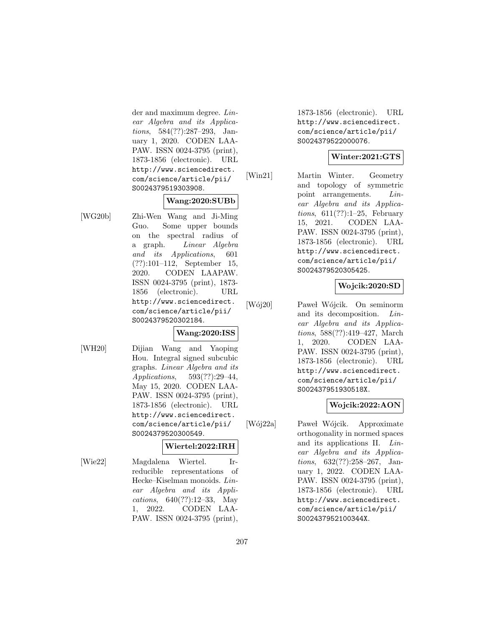der and maximum degree. Linear Algebra and its Applications, 584(??):287–293, January 1, 2020. CODEN LAA-PAW. ISSN 0024-3795 (print), 1873-1856 (electronic). URL http://www.sciencedirect. com/science/article/pii/ S0024379519303908.

# **Wang:2020:SUBb**

[WG20b] Zhi-Wen Wang and Ji-Ming Guo. Some upper bounds on the spectral radius of a graph. Linear Algebra and its Applications, 601 (??):101–112, September 15, 2020. CODEN LAAPAW. ISSN 0024-3795 (print), 1873- 1856 (electronic). URL http://www.sciencedirect. com/science/article/pii/ S0024379520302184.

# **Wang:2020:ISS**

[WH20] Dijian Wang and Yaoping Hou. Integral signed subcubic graphs. Linear Algebra and its Applications, 593(??):29–44, May 15, 2020. CODEN LAA-PAW. ISSN 0024-3795 (print), 1873-1856 (electronic). URL http://www.sciencedirect. com/science/article/pii/ S0024379520300549.

# **Wiertel:2022:IRH**

[Wie22] Magdalena Wiertel. Irreducible representations of Hecke–Kiselman monoids. Linear Algebra and its Applications, 640(??):12–33, May 1, 2022. CODEN LAA-PAW. ISSN 0024-3795 (print),

1873-1856 (electronic). URL http://www.sciencedirect. com/science/article/pii/ S0024379522000076.

# **Winter:2021:GTS**

[Win21] Martin Winter. Geometry and topology of symmetric point arrangements. Linear Algebra and its Applications,  $611(??):1-25$ , February 15, 2021. CODEN LAA-PAW. ISSN 0024-3795 (print), 1873-1856 (electronic). URL http://www.sciencedirect. com/science/article/pii/ S0024379520305425.

# **Wojcik:2020:SD**

[Wój20] Paweł Wójcik. On seminorm and its decomposition. Linear Algebra and its Applications, 588(??):419–427, March 1, 2020. CODEN LAA-PAW. ISSN 0024-3795 (print), 1873-1856 (electronic). URL http://www.sciencedirect. com/science/article/pii/ S002437951930518X.

# **Wojcik:2022:AON**

[Wój22a] Paweł Wójcik. Approximate orthogonality in normed spaces and its applications II. Linear Algebra and its Applications, 632(??):258–267, January 1, 2022. CODEN LAA-PAW. ISSN 0024-3795 (print), 1873-1856 (electronic). URL http://www.sciencedirect. com/science/article/pii/ S002437952100344X.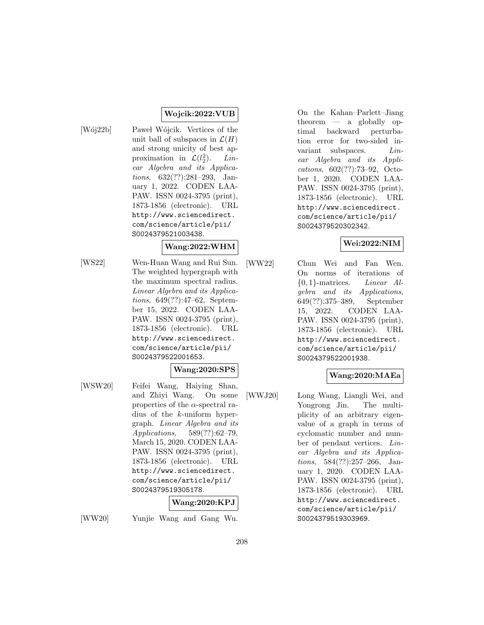# **Wojcik:2022:VUB**

[Wój22b] Pawel Wójcik. Vertices of the unit ball of subspaces in  $\mathcal{L}(H)$ and strong unicity of best approximation in  $\mathcal{L}(l_2^2)$  $Lin$ ear Algebra and its Applications, 632(??):281–293, January 1, 2022. CODEN LAA-PAW. ISSN 0024-3795 (print), 1873-1856 (electronic). URL http://www.sciencedirect. com/science/article/pii/ S0024379521003438.

# **Wang:2022:WHM**

[WS22] Wen-Huan Wang and Rui Sun. The weighted hypergraph with the maximum spectral radius. Linear Algebra and its Applications, 649(??):47–62, September 15, 2022. CODEN LAA-PAW. ISSN 0024-3795 (print), 1873-1856 (electronic). URL http://www.sciencedirect. com/science/article/pii/ S0024379522001653.

### **Wang:2020:SPS**

[WSW20] Feifei Wang, Haiying Shan, and Zhiyi Wang. On some properties of the  $\alpha$ -spectral radius of the k-uniform hypergraph. Linear Algebra and its Applications, 589(??):62–79, March 15, 2020. CODEN LAA-PAW. ISSN 0024-3795 (print), 1873-1856 (electronic). URL http://www.sciencedirect. com/science/article/pii/ S0024379519305178.

### **Wang:2020:KPJ**

[WW20] Yunjie Wang and Gang Wu.

On the Kahan–Parlett–Jiang theorem — a globally optimal backward perturbation error for two-sided invariant subspaces. *Lin*ear Algebra and its Applications, 602(??):73–92, October 1, 2020. CODEN LAA-PAW. ISSN 0024-3795 (print), 1873-1856 (electronic). URL http://www.sciencedirect. com/science/article/pii/ S0024379520302342.

# **Wei:2022:NIM**

[WW22] Chun Wei and Fan Wen. On norms of iterations of  $\{0,1\}$ -matrices. *Linear Al*gebra and its Applications, 649(??):375–389, September 15, 2022. CODEN LAA-PAW. ISSN 0024-3795 (print), 1873-1856 (electronic). URL http://www.sciencedirect. com/science/article/pii/ S0024379522001938.

# **Wang:2020:MAEa**

[WWJ20] Long Wang, Liangli Wei, and Yongrong Jin. The multiplicity of an arbitrary eigenvalue of a graph in terms of cyclomatic number and number of pendant vertices. Linear Algebra and its Applications, 584(??):257–266, January 1, 2020. CODEN LAA-PAW. ISSN 0024-3795 (print), 1873-1856 (electronic). URL http://www.sciencedirect. com/science/article/pii/ S0024379519303969.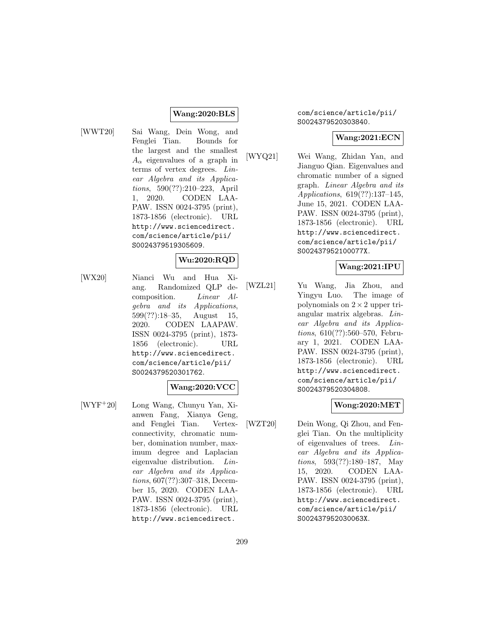#### **Wang:2020:BLS**

[WWT20] Sai Wang, Dein Wong, and Fenglei Tian. Bounds for the largest and the smallest  $A_{\alpha}$  eigenvalues of a graph in terms of vertex degrees. Linear Algebra and its Applications, 590(??):210–223, April 1, 2020. CODEN LAA-PAW. ISSN 0024-3795 (print), 1873-1856 (electronic). URL http://www.sciencedirect. com/science/article/pii/ S0024379519305609.

# **Wu:2020:RQD**

[WX20] Nianci Wu and Hua Xiang. Randomized QLP decomposition. Linear Algebra and its Applications, 599(??):18–35, August 15, 2020. CODEN LAAPAW. ISSN 0024-3795 (print), 1873- 1856 (electronic). URL http://www.sciencedirect. com/science/article/pii/ S0024379520301762.

### **Wang:2020:VCC**

[WYF<sup>+</sup>20] Long Wang, Chunyu Yan, Xianwen Fang, Xianya Geng, and Fenglei Tian. Vertexconnectivity, chromatic number, domination number, maximum degree and Laplacian eigenvalue distribution. Linear Algebra and its Applications, 607(??):307–318, December 15, 2020. CODEN LAA-PAW. ISSN 0024-3795 (print), 1873-1856 (electronic). URL http://www.sciencedirect.

com/science/article/pii/ S0024379520303840.

### **Wang:2021:ECN**

[WYQ21] Wei Wang, Zhidan Yan, and Jianguo Qian. Eigenvalues and chromatic number of a signed graph. Linear Algebra and its Applications, 619(??):137–145, June 15, 2021. CODEN LAA-PAW. ISSN 0024-3795 (print), 1873-1856 (electronic). URL http://www.sciencedirect. com/science/article/pii/ S002437952100077X.

#### **Wang:2021:IPU**

[WZL21] Yu Wang, Jia Zhou, and Yingyu Luo. The image of polynomials on  $2 \times 2$  upper triangular matrix algebras. Linear Algebra and its Applications, 610(??):560–570, February 1, 2021. CODEN LAA-PAW. ISSN 0024-3795 (print), 1873-1856 (electronic). URL http://www.sciencedirect. com/science/article/pii/ S0024379520304808.

### **Wong:2020:MET**

[WZT20] Dein Wong, Qi Zhou, and Fenglei Tian. On the multiplicity of eigenvalues of trees. Linear Algebra and its Applications, 593(??):180–187, May 15, 2020. CODEN LAA-PAW. ISSN 0024-3795 (print), 1873-1856 (electronic). URL http://www.sciencedirect. com/science/article/pii/ S002437952030063X.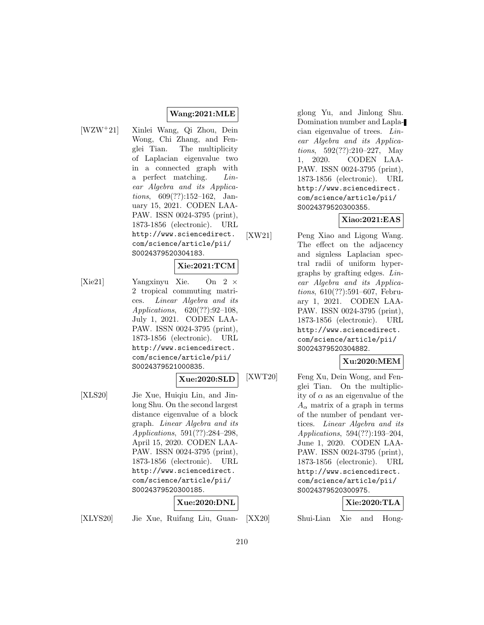### **Wang:2021:MLE**

[WZW<sup>+</sup>21] Xinlei Wang, Qi Zhou, Dein Wong, Chi Zhang, and Fenglei Tian. The multiplicity of Laplacian eigenvalue two in a connected graph with a perfect matching. Linear Algebra and its Applications, 609(??):152–162, January 15, 2021. CODEN LAA-PAW. ISSN 0024-3795 (print), 1873-1856 (electronic). URL http://www.sciencedirect. com/science/article/pii/ S0024379520304183.

### **Xie:2021:TCM**

[Xie21] Yangxinyu Xie. On 2 × 2 tropical commuting matrices. Linear Algebra and its Applications, 620(??):92–108, July 1, 2021. CODEN LAA-PAW. ISSN 0024-3795 (print), 1873-1856 (electronic). URL http://www.sciencedirect. com/science/article/pii/ S0024379521000835.

### **Xue:2020:SLD**

[XLS20] Jie Xue, Huiqiu Lin, and Jinlong Shu. On the second largest distance eigenvalue of a block graph. Linear Algebra and its Applications, 591(??):284–298, April 15, 2020. CODEN LAA-PAW. ISSN 0024-3795 (print), 1873-1856 (electronic). URL http://www.sciencedirect. com/science/article/pii/ S0024379520300185.

**Xue:2020:DNL**

glong Yu, and Jinlong Shu. Domination number and Laplacian eigenvalue of trees. Linear Algebra and its Applications, 592(??):210–227, May 1, 2020. CODEN LAA-PAW. ISSN 0024-3795 (print), 1873-1856 (electronic). URL http://www.sciencedirect. com/science/article/pii/ S0024379520300355.

# **Xiao:2021:EAS**

[XW21] Peng Xiao and Ligong Wang. The effect on the adjacency and signless Laplacian spectral radii of uniform hypergraphs by grafting edges. Linear Algebra and its Applications, 610(??):591–607, February 1, 2021. CODEN LAA-PAW. ISSN 0024-3795 (print), 1873-1856 (electronic). URL http://www.sciencedirect. com/science/article/pii/ S0024379520304882.

# **Xu:2020:MEM**

[XWT20] Feng Xu, Dein Wong, and Fenglei Tian. On the multiplicity of  $\alpha$  as an eigenvalue of the  $A_{\alpha}$  matrix of a graph in terms of the number of pendant vertices. Linear Algebra and its Applications, 594(??):193–204, June 1, 2020. CODEN LAA-PAW. ISSN 0024-3795 (print), 1873-1856 (electronic). URL http://www.sciencedirect. com/science/article/pii/ S0024379520300975.

# **Xie:2020:TLA**

[XLYS20] Jie Xue, Ruifang Liu, Guan-

Shui-Lian Xie and Hong-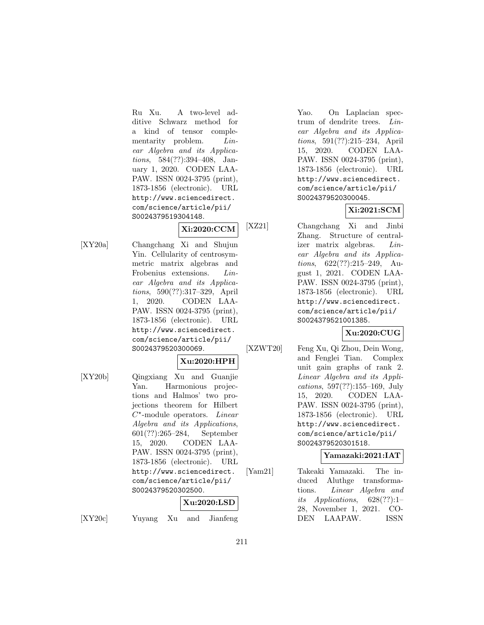Ru Xu. A two-level additive Schwarz method for a kind of tensor complementarity problem. *Lin*ear Algebra and its Applications, 584(??):394–408, January 1, 2020. CODEN LAA-PAW. ISSN 0024-3795 (print), 1873-1856 (electronic). URL http://www.sciencedirect. com/science/article/pii/ S0024379519304148.

# **Xi:2020:CCM**

[XY20a] Changchang Xi and Shujun Yin. Cellularity of centrosymmetric matrix algebras and Frobenius extensions. Linear Algebra and its Applications, 590(??):317–329, April 1, 2020. CODEN LAA-PAW. ISSN 0024-3795 (print), 1873-1856 (electronic). URL http://www.sciencedirect. com/science/article/pii/ S0024379520300069.

# **Xu:2020:HPH**

[XY20b] Qingxiang Xu and Guanjie Yan. Harmonious projections and Halmos' two projections theorem for Hilbert  $C^*$ -module operators. Linear Algebra and its Applications, 601(??):265–284, September 15, 2020. CODEN LAA-PAW. ISSN 0024-3795 (print), 1873-1856 (electronic). URL http://www.sciencedirect. com/science/article/pii/ S0024379520302500.

# **Xu:2020:LSD**

[XY20c] Yuyang Xu and Jianfeng

Yao. On Laplacian spectrum of dendrite trees. Linear Algebra and its Applications, 591(??):215–234, April 15, 2020. CODEN LAA-PAW. ISSN 0024-3795 (print), 1873-1856 (electronic). URL http://www.sciencedirect. com/science/article/pii/ S0024379520300045.

# **Xi:2021:SCM**

[XZ21] Changchang Xi and Jinbi Zhang. Structure of centralizer matrix algebras. Linear Algebra and its Applications, 622(??):215–249, August 1, 2021. CODEN LAA-PAW. ISSN 0024-3795 (print), 1873-1856 (electronic). URL http://www.sciencedirect. com/science/article/pii/ S0024379521001385.

# **Xu:2020:CUG**

[XZWT20] Feng Xu, Qi Zhou, Dein Wong,

and Fenglei Tian. Complex unit gain graphs of rank 2. Linear Algebra and its Applications, 597(??):155–169, July 15, 2020. CODEN LAA-PAW. ISSN 0024-3795 (print), 1873-1856 (electronic). URL http://www.sciencedirect. com/science/article/pii/ S0024379520301518.

# **Yamazaki:2021:IAT**

[Yam21] Takeaki Yamazaki. The induced Aluthge transformations. Linear Algebra and its Applications,  $628(??):1-$ 28, November 1, 2021. CO-DEN LAAPAW. ISSN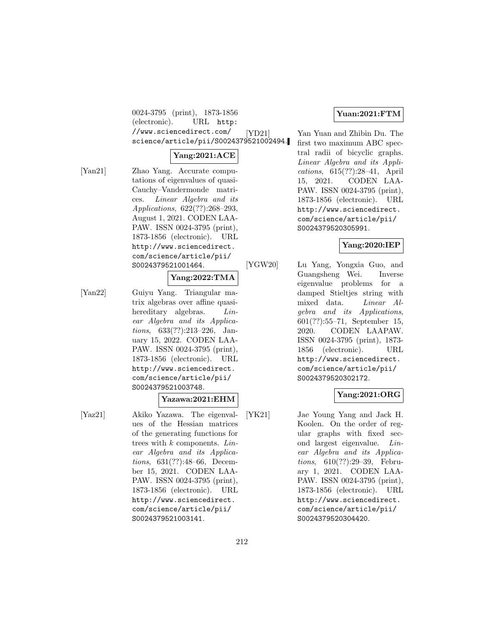0024-3795 (print), 1873-1856 (electronic). URL http: //www.sciencedirect.com/ science/article/pii/S0024379521002494.

#### **Yang:2021:ACE**

[Yan21] Zhao Yang. Accurate computations of eigenvalues of quasi-Cauchy–Vandermonde matrices. Linear Algebra and its Applications, 622(??):268–293, August 1, 2021. CODEN LAA-PAW. ISSN 0024-3795 (print), 1873-1856 (electronic). URL http://www.sciencedirect. com/science/article/pii/ S0024379521001464.

# **Yang:2022:TMA**

[Yan22] Guiyu Yang. Triangular matrix algebras over affine quasihereditary algebras. *Lin*ear Algebra and its Applications, 633(??):213–226, January 15, 2022. CODEN LAA-PAW. ISSN 0024-3795 (print), 1873-1856 (electronic). URL http://www.sciencedirect. com/science/article/pii/ S0024379521003748.

#### **Yazawa:2021:EHM**

[Yaz21] Akiko Yazawa. The eigenvalues of the Hessian matrices of the generating functions for trees with  $k$  components.  $Lin$ ear Algebra and its Applications, 631(??):48–66, December 15, 2021. CODEN LAA-PAW. ISSN 0024-3795 (print), 1873-1856 (electronic). URL http://www.sciencedirect. com/science/article/pii/ S0024379521003141.

### **Yuan:2021:FTM**

[YD21] Yan Yuan and Zhibin Du. The first two maximum ABC spectral radii of bicyclic graphs. Linear Algebra and its Applications, 615(??):28–41, April 15, 2021. CODEN LAA-PAW. ISSN 0024-3795 (print), 1873-1856 (electronic). URL http://www.sciencedirect. com/science/article/pii/ S0024379520305991.

### **Yang:2020:IEP**

[YGW20] Lu Yang, Yongxia Guo, and Guangsheng Wei. Inverse eigenvalue problems for a damped Stieltjes string with mixed data. Linear Algebra and its Applications, 601(??):55–71, September 15, 2020. CODEN LAAPAW. ISSN 0024-3795 (print), 1873- 1856 (electronic). URL http://www.sciencedirect. com/science/article/pii/ S0024379520302172.

### **Yang:2021:ORG**

[YK21] Jae Young Yang and Jack H. Koolen. On the order of regular graphs with fixed second largest eigenvalue. Linear Algebra and its Applications, 610(??):29–39, February 1, 2021. CODEN LAA-PAW. ISSN 0024-3795 (print), 1873-1856 (electronic). URL http://www.sciencedirect. com/science/article/pii/ S0024379520304420.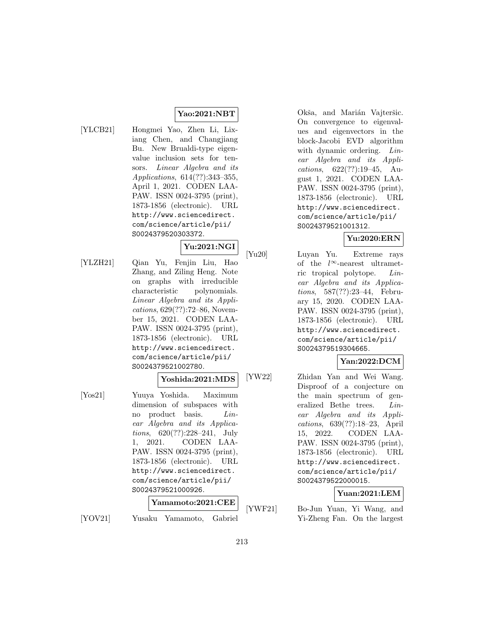# **Yao:2021:NBT**

[YLCB21] Hongmei Yao, Zhen Li, Lixiang Chen, and Changjiang Bu. New Brualdi-type eigenvalue inclusion sets for tensors. Linear Algebra and its Applications, 614(??):343–355, April 1, 2021. CODEN LAA-PAW. ISSN 0024-3795 (print), 1873-1856 (electronic). URL http://www.sciencedirect. com/science/article/pii/ S0024379520303372.

# **Yu:2021:NGI**

[YLZH21] Qian Yu, Fenjin Liu, Hao Zhang, and Ziling Heng. Note on graphs with irreducible characteristic polynomials. Linear Algebra and its Applications, 629(??):72–86, November 15, 2021. CODEN LAA-PAW. ISSN 0024-3795 (print), 1873-1856 (electronic). URL http://www.sciencedirect. com/science/article/pii/ S0024379521002780.

### **Yoshida:2021:MDS**

[Yos21] Yuuya Yoshida. Maximum dimension of subspaces with no product basis. Linear Algebra and its Applications, 620(??):228–241, July 1, 2021. CODEN LAA-PAW. ISSN 0024-3795 (print), 1873-1856 (electronic). URL http://www.sciencedirect. com/science/article/pii/ S0024379521000926.

# **Yamamoto:2021:CEE**

[YOV21] Yusaku Yamamoto, Gabriel

Okša, and Marián Vajteršic. On convergence to eigenvalues and eigenvectors in the block-Jacobi EVD algorithm with dynamic ordering. Linear Algebra and its Applications, 622(??):19–45, August 1, 2021. CODEN LAA-PAW. ISSN 0024-3795 (print), 1873-1856 (electronic). URL http://www.sciencedirect. com/science/article/pii/ S0024379521001312.

# **Yu:2020:ERN**

[Yu20] Luyan Yu. Extreme rays of the  $l^{\infty}$ -nearest ultrametric tropical polytope. Linear Algebra and its Applications, 587(??):23–44, February 15, 2020. CODEN LAA-PAW. ISSN 0024-3795 (print), 1873-1856 (electronic). URL http://www.sciencedirect. com/science/article/pii/ S0024379519304665.

# **Yan:2022:DCM**

[YW22] Zhidan Yan and Wei Wang. Disproof of a conjecture on the main spectrum of generalized Bethe trees. Linear Algebra and its Applications, 639(??):18–23, April 15, 2022. CODEN LAA-PAW. ISSN 0024-3795 (print), 1873-1856 (electronic). URL http://www.sciencedirect. com/science/article/pii/ S0024379522000015.

# **Yuan:2021:LEM**

[YWF21] Bo-Jun Yuan, Yi Wang, and Yi-Zheng Fan. On the largest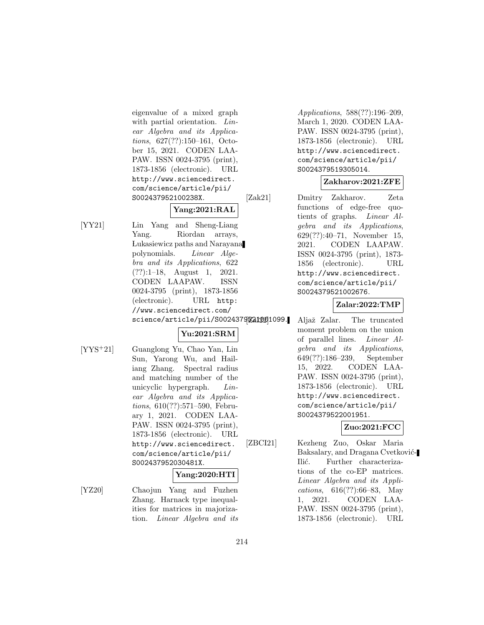eigenvalue of a mixed graph with partial orientation. Linear Algebra and its Applications, 627(??):150–161, October 15, 2021. CODEN LAA-PAW. ISSN 0024-3795 (print), 1873-1856 (electronic). URL http://www.sciencedirect. com/science/article/pii/ S002437952100238X.

# **Yang:2021:RAL**

[YY21] Lin Yang and Sheng-Liang Yang. Riordan arrays, Lukasiewicz paths and Naray ana polynomials. Linear Algebra and its Applications, 622 (??):1–18, August 1, 2021. CODEN LAAPAW. ISSN 0024-3795 (print), 1873-1856 (electronic). URL http: //www.sciencedirect.com/ science/article/pii/S00243792212001099.

# **Yu:2021:SRM**

[YYS<sup>+</sup>21] Guanglong Yu, Chao Yan, Lin Sun, Yarong Wu, and Hailiang Zhang. Spectral radius and matching number of the unicyclic hypergraph. Linear Algebra and its Applications, 610(??):571–590, February 1, 2021. CODEN LAA-PAW. ISSN 0024-3795 (print), 1873-1856 (electronic). URL http://www.sciencedirect. com/science/article/pii/ S002437952030481X.

# **Yang:2020:HTI**

[YZ20] Chaojun Yang and Fuzhen Zhang. Harnack type inequalities for matrices in majorization. Linear Algebra and its

Applications, 588(??):196–209, March 1, 2020. CODEN LAA-PAW. ISSN 0024-3795 (print), 1873-1856 (electronic). URL http://www.sciencedirect. com/science/article/pii/ S0024379519305014.

# **Zakharov:2021:ZFE**

[Zak21] Dmitry Zakharov. Zeta functions of edge-free quotients of graphs. Linear Algebra and its Applications, 629(??):40–71, November 15, 2021. CODEN LAAPAW. ISSN 0024-3795 (print), 1873- 1856 (electronic). URL http://www.sciencedirect. com/science/article/pii/ S0024379521002676.

# **Zalar:2022:TMP**

Aljaž Zalar. The truncated moment problem on the union of parallel lines. Linear Algebra and its Applications, 649(??):186–239, September 15, 2022. CODEN LAA-PAW. ISSN 0024-3795 (print), 1873-1856 (electronic). URL http://www.sciencedirect. com/science/article/pii/ S0024379522001951.

# **Zuo:2021:FCC**

[ZBCI21] Kezheng Zuo, Oskar Maria Baksalary, and Dragana Cvetković-Ilić. Further characterizations of the co-EP matrices. Linear Algebra and its Applications, 616(??):66–83, May 1, 2021. CODEN LAA-PAW. ISSN 0024-3795 (print), 1873-1856 (electronic). URL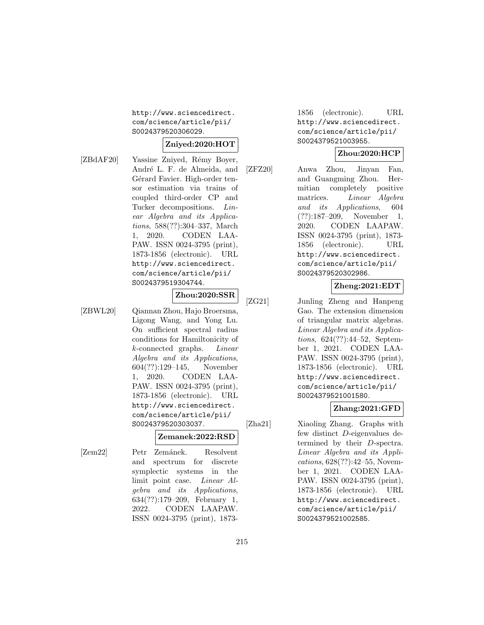http://www.sciencedirect. com/science/article/pii/ S0024379520306029.

# **Zniyed:2020:HOT**

**Zhou:2020:SSR**

- 
- [ZBdAF20] Yassine Zniyed, Rémy Boyer, André L. F. de Almeida, and Gérard Favier. High-order tensor estimation via trains of coupled third-order CP and Tucker decompositions. Linear Algebra and its Applications, 588(??):304–337, March 1, 2020. CODEN LAA-PAW. ISSN 0024-3795 (print), 1873-1856 (electronic). URL http://www.sciencedirect. com/science/article/pii/ S0024379519304744.
- 

[ZBWL20] Qiannan Zhou, Hajo Broersma, Ligong Wang, and Yong Lu. On sufficient spectral radius conditions for Hamiltonicity of k-connected graphs. Linear Algebra and its Applications, 604(??):129–145, November 1, 2020. CODEN LAA-PAW. ISSN 0024-3795 (print), 1873-1856 (electronic). URL http://www.sciencedirect. com/science/article/pii/ S0024379520303037.

# **Zemanek:2022:RSD**

[Zem22] Petr Zemánek. Resolvent and spectrum for discrete symplectic systems in the limit point case. Linear Algebra and its Applications, 634(??):179–209, February 1, 2022. CODEN LAAPAW. ISSN 0024-3795 (print), 1873-

1856 (electronic). URL http://www.sciencedirect. com/science/article/pii/ S0024379521003955.

# **Zhou:2020:HCP**

[ZFZ20] Anwa Zhou, Jinyan Fan, and Guangming Zhou. Hermitian completely positive matrices. Linear Algebra and its Applications, 604 (??):187–209, November 1, 2020. CODEN LAAPAW. ISSN 0024-3795 (print), 1873- 1856 (electronic). URL http://www.sciencedirect. com/science/article/pii/ S0024379520302986.

### **Zheng:2021:EDT**

[ZG21] Junling Zheng and Hanpeng Gao. The extension dimension of triangular matrix algebras. Linear Algebra and its Applications, 624(??):44–52, September 1, 2021. CODEN LAA-PAW. ISSN 0024-3795 (print), 1873-1856 (electronic). URL http://www.sciencedirect. com/science/article/pii/ S0024379521001580.

# **Zhang:2021:GFD**

[Zha21] Xiaoling Zhang. Graphs with few distinct D-eigenvalues determined by their D-spectra. Linear Algebra and its Applications, 628(??):42–55, November 1, 2021. CODEN LAA-PAW. ISSN 0024-3795 (print), 1873-1856 (electronic). URL http://www.sciencedirect. com/science/article/pii/ S0024379521002585.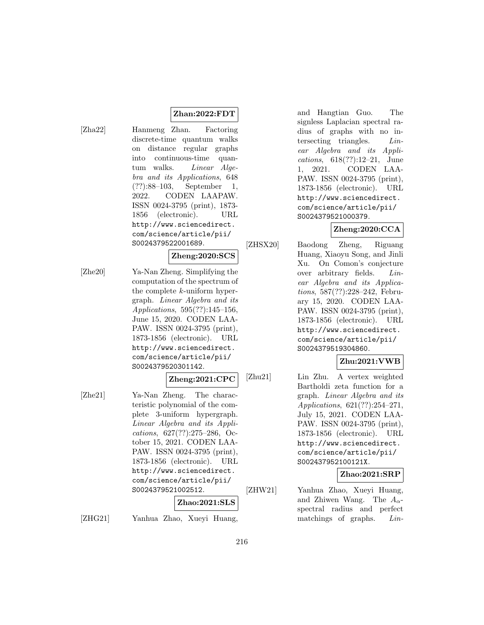### **Zhan:2022:FDT**

[Zha22] Hanmeng Zhan. Factoring discrete-time quantum walks on distance regular graphs into continuous-time quantum walks. *Linear Alge*bra and its Applications, 648 (??):88–103, September 1, 2022. CODEN LAAPAW. ISSN 0024-3795 (print), 1873- 1856 (electronic). URL http://www.sciencedirect. com/science/article/pii/ S0024379522001689.

### **Zheng:2020:SCS**

[Zhe20] Ya-Nan Zheng. Simplifying the computation of the spectrum of the complete k-uniform hypergraph. Linear Algebra and its Applications, 595(??):145–156, June 15, 2020. CODEN LAA-PAW. ISSN 0024-3795 (print), 1873-1856 (electronic). URL http://www.sciencedirect. com/science/article/pii/ S0024379520301142.

#### **Zheng:2021:CPC**

[Zhe21] Ya-Nan Zheng. The characteristic polynomial of the complete 3-uniform hypergraph. Linear Algebra and its Applications, 627(??):275–286, October 15, 2021. CODEN LAA-PAW. ISSN 0024-3795 (print), 1873-1856 (electronic). URL http://www.sciencedirect. com/science/article/pii/ S0024379521002512.

#### **Zhao:2021:SLS**

[ZHG21] Yanhua Zhao, Xueyi Huang,

and Hangtian Guo. The signless Laplacian spectral radius of graphs with no intersecting triangles. Linear Algebra and its Applications, 618(??):12–21, June 1, 2021. CODEN LAA-PAW. ISSN 0024-3795 (print), 1873-1856 (electronic). URL http://www.sciencedirect. com/science/article/pii/ S0024379521000379.

### **Zheng:2020:CCA**

[ZHSX20] Baodong Zheng, Riguang Huang, Xiaoyu Song, and Jinli Xu. On Comon's conjecture over arbitrary fields. Linear Algebra and its Applications, 587(??):228–242, February 15, 2020. CODEN LAA-PAW. ISSN 0024-3795 (print), 1873-1856 (electronic). URL http://www.sciencedirect. com/science/article/pii/ S0024379519304860.

# **Zhu:2021:VWB**

[Zhu21] Lin Zhu. A vertex weighted Bartholdi zeta function for a graph. Linear Algebra and its Applications, 621(??):254–271, July 15, 2021. CODEN LAA-PAW. ISSN 0024-3795 (print), 1873-1856 (electronic). URL http://www.sciencedirect. com/science/article/pii/ S002437952100121X.

### **Zhao:2021:SRP**

[ZHW21] Yanhua Zhao, Xueyi Huang, and Zhiwen Wang. The  $A_{\alpha}$ spectral radius and perfect matchings of graphs. Lin-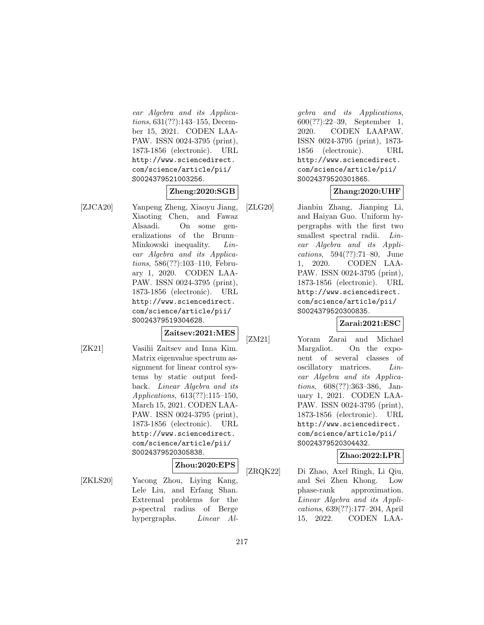ear Algebra and its Applications, 631(??):143–155, December 15, 2021. CODEN LAA-PAW. ISSN 0024-3795 (print), 1873-1856 (electronic). URL http://www.sciencedirect. com/science/article/pii/ S0024379521003256.

## **Zheng:2020:SGB**

[ZJCA20] Yanpeng Zheng, Xiaoyu Jiang, Xiaoting Chen, and Fawaz Alsaadi. On some generalizations of the Brunn– Minkowski inequality. Linear Algebra and its Applications, 586(??):103–110, February 1, 2020. CODEN LAA-PAW. ISSN 0024-3795 (print), 1873-1856 (electronic). URL http://www.sciencedirect. com/science/article/pii/ S0024379519304628.

## **Zaitsev:2021:MES**

[ZK21] Vasilii Zaitsev and Inna Kim. Matrix eigenvalue spectrum assignment for linear control systems by static output feedback. Linear Algebra and its Applications, 613(??):115–150, March 15, 2021. CODEN LAA-PAW. ISSN 0024-3795 (print), 1873-1856 (electronic). URL http://www.sciencedirect. com/science/article/pii/ S0024379520305838.

### **Zhou:2020:EPS**

[ZKLS20] Yacong Zhou, Liying Kang, Lele Liu, and Erfang Shan. Extremal problems for the p-spectral radius of Berge hypergraphs. *Linear Al-*

gebra and its Applications, 600(??):22–39, September 1, 2020. CODEN LAAPAW. ISSN 0024-3795 (print), 1873- 1856 (electronic). URL http://www.sciencedirect. com/science/article/pii/ S0024379520301865.

## **Zhang:2020:UHF**

[ZLG20] Jianbin Zhang, Jianping Li, and Haiyan Guo. Uniform hypergraphs with the first two smallest spectral radii. Linear Algebra and its Applications, 594(??):71–80, June 1, 2020. CODEN LAA-PAW. ISSN 0024-3795 (print), 1873-1856 (electronic). URL http://www.sciencedirect. com/science/article/pii/ S0024379520300835.

## **Zarai:2021:ESC**

[ZM21] Yoram Zarai and Michael Margaliot. On the exponent of several classes of oscillatory matrices. Linear Algebra and its Applications, 608(??):363–386, January 1, 2021. CODEN LAA-PAW. ISSN 0024-3795 (print), 1873-1856 (electronic). URL http://www.sciencedirect. com/science/article/pii/ S0024379520304432.

### **Zhao:2022:LPR**

[ZRQK22] Di Zhao, Axel Ringh, Li Qiu, and Sei Zhen Khong. Low phase-rank approximation. Linear Algebra and its Applications, 639(??):177–204, April 15, 2022. CODEN LAA-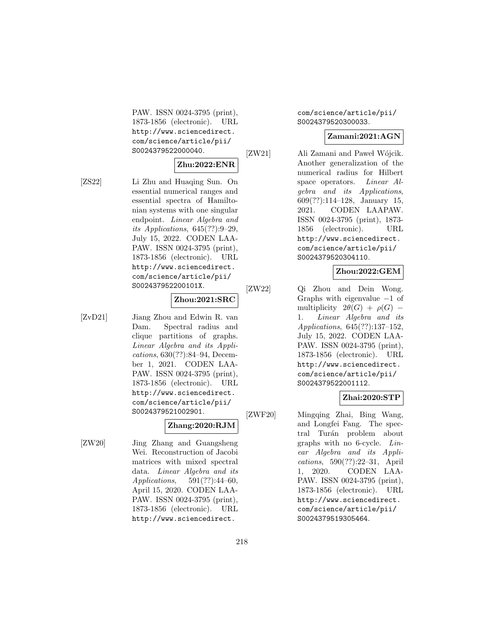PAW. ISSN 0024-3795 (print), 1873-1856 (electronic). URL http://www.sciencedirect. com/science/article/pii/ S0024379522000040.

## **Zhu:2022:ENR**

[ZS22] Li Zhu and Huaqing Sun. On essential numerical ranges and essential spectra of Hamiltonian systems with one singular endpoint. Linear Algebra and its Applications, 645(??):9–29, July 15, 2022. CODEN LAA-PAW. ISSN 0024-3795 (print), 1873-1856 (electronic). URL http://www.sciencedirect. com/science/article/pii/ S002437952200101X.

#### **Zhou:2021:SRC**

[ZvD21] Jiang Zhou and Edwin R. van Dam. Spectral radius and clique partitions of graphs. Linear Algebra and its Applications, 630(??):84–94, December 1, 2021. CODEN LAA-PAW. ISSN 0024-3795 (print), 1873-1856 (electronic). URL http://www.sciencedirect. com/science/article/pii/ S0024379521002901.

# **Zhang:2020:RJM**

[ZW20] Jing Zhang and Guangsheng Wei. Reconstruction of Jacobi matrices with mixed spectral data. Linear Algebra and its Applications, 591(??):44–60, April 15, 2020. CODEN LAA-PAW. ISSN 0024-3795 (print), 1873-1856 (electronic). URL http://www.sciencedirect.

com/science/article/pii/ S0024379520300033.

## **Zamani:2021:AGN**

[ZW21] Ali Zamani and Pawel Wójcik. Another generalization of the numerical radius for Hilbert space operators. Linear Algebra and its Applications, 609(??):114–128, January 15, 2021. CODEN LAAPAW. ISSN 0024-3795 (print), 1873- 1856 (electronic). URL http://www.sciencedirect. com/science/article/pii/ S0024379520304110.

# **Zhou:2022:GEM**

[ZW22] Qi Zhou and Dein Wong. Graphs with eigenvalue −1 of multiplicity  $2\theta(G) + \rho(G)$  – 1. Linear Algebra and its Applications, 645(??):137–152, July 15, 2022. CODEN LAA-PAW. ISSN 0024-3795 (print), 1873-1856 (electronic). URL http://www.sciencedirect. com/science/article/pii/ S0024379522001112.

# **Zhai:2020:STP**

[ZWF20] Mingqing Zhai, Bing Wang, and Longfei Fang. The spectral Turán problem about graphs with no 6-cycle. Linear Algebra and its Applications, 590(??):22–31, April 1, 2020. CODEN LAA-PAW. ISSN 0024-3795 (print), 1873-1856 (electronic). URL http://www.sciencedirect. com/science/article/pii/ S0024379519305464.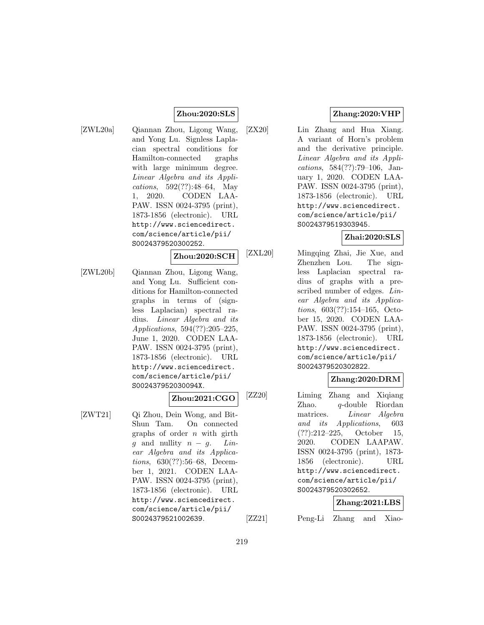### **Zhou:2020:SLS**

[ZWL20a] Qiannan Zhou, Ligong Wang, and Yong Lu. Signless Laplacian spectral conditions for Hamilton-connected graphs with large minimum degree. Linear Algebra and its Applications, 592(??):48–64, May 1, 2020. CODEN LAA-PAW. ISSN 0024-3795 (print), 1873-1856 (electronic). URL http://www.sciencedirect. com/science/article/pii/ S0024379520300252.

### **Zhou:2020:SCH**

[ZWL20b] Qiannan Zhou, Ligong Wang, and Yong Lu. Sufficient conditions for Hamilton-connected graphs in terms of (signless Laplacian) spectral radius. Linear Algebra and its Applications, 594(??):205–225, June 1, 2020. CODEN LAA-PAW. ISSN 0024-3795 (print), 1873-1856 (electronic). URL http://www.sciencedirect. com/science/article/pii/ S002437952030094X.

## **Zhou:2021:CGO**

[ZWT21] Qi Zhou, Dein Wong, and Bit-Shun Tam. On connected graphs of order  $n$  with girth g and nullity  $n - g$ . Linear Algebra and its Applications, 630(??):56–68, December 1, 2021. CODEN LAA-PAW. ISSN 0024-3795 (print), 1873-1856 (electronic). URL http://www.sciencedirect. com/science/article/pii/ S0024379521002639.

## **Zhang:2020:VHP**

[ZX20] Lin Zhang and Hua Xiang. A variant of Horn's problem and the derivative principle. Linear Algebra and its Applications, 584(??):79–106, January 1, 2020. CODEN LAA-PAW. ISSN 0024-3795 (print), 1873-1856 (electronic). URL http://www.sciencedirect. com/science/article/pii/ S0024379519303945.

## **Zhai:2020:SLS**

[ZXL20] Mingqing Zhai, Jie Xue, and Zhenzhen Lou. The signless Laplacian spectral radius of graphs with a prescribed number of edges. Linear Algebra and its Applications, 603(??):154–165, October 15, 2020. CODEN LAA-PAW. ISSN 0024-3795 (print), 1873-1856 (electronic). URL http://www.sciencedirect. com/science/article/pii/ S0024379520302822.

## **Zhang:2020:DRM**

[ZZ20] Liming Zhang and Xiqiang Zhao. q-double Riordan matrices. Linear Algebra and its Applications, 603 (??):212–225, October 15, 2020. CODEN LAAPAW. ISSN 0024-3795 (print), 1873- 1856 (electronic). URL http://www.sciencedirect. com/science/article/pii/ S0024379520302652.

### **Zhang:2021:LBS**

[ZZ21] Peng-Li Zhang and Xiao-